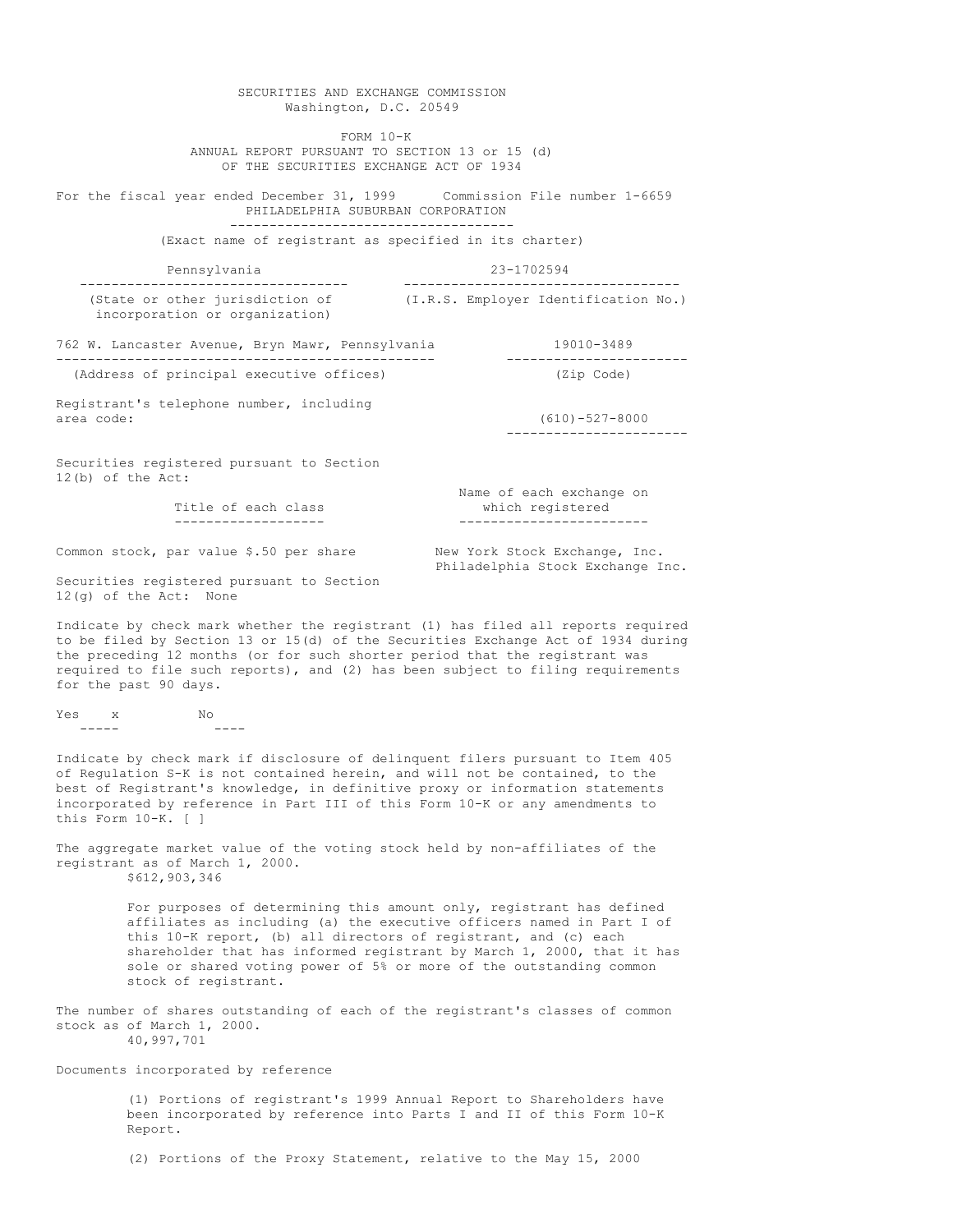SECURITIES AND EXCHANGE COMMISSION Washington, D.C. 20549 FORM 10-K ANNUAL REPORT PURSUANT TO SECTION 13 or 15 (d) OF THE SECURITIES EXCHANGE ACT OF 1934 For the fiscal year ended December 31, 1999 Commission File number 1-6659 PHILADELPHIA SUBURBAN CORPORATION ------------------------------------ (Exact name of registrant as specified in its charter) Pennsylvania 23-1702594 ---------------------------------- ----------------------------------- (State or other jurisdiction of (I.R.S. Employer Identification No.) incorporation or organization) 762 W. Lancaster Avenue, Bryn Mawr, Pennsylvania 19010-3489 ------------------------------------------------ ----------------------- (Address of principal executive offices) (Zip Code) Registrant's telephone number, including  $(610) -527-8000$ ----------------------- Securities registered pursuant to Section 12(b) of the Act: Name of each exchange on Title of each class which registered ------------------- ------------------------ Common stock, par value \$.50 per share New York Stock Exchange, Inc. Philadelphia Stock Exchange Inc.

Securities registered pursuant to Section 12(g) of the Act: None

Indicate by check mark whether the registrant (1) has filed all reports required to be filed by Section 13 or 15(d) of the Securities Exchange Act of 1934 during the preceding 12 months (or for such shorter period that the registrant was required to file such reports), and (2) has been subject to filing requirements for the past 90 days.

Yes x No ----- ----

Indicate by check mark if disclosure of delinquent filers pursuant to Item 405 of Regulation S-K is not contained herein, and will not be contained, to the best of Registrant's knowledge, in definitive proxy or information statements incorporated by reference in Part III of this Form 10-K or any amendments to this Form 10-K. [ ]

The aggregate market value of the voting stock held by non-affiliates of the registrant as of March 1, 2000. \$612,903,346

> For purposes of determining this amount only, registrant has defined affiliates as including (a) the executive officers named in Part I of this 10-K report, (b) all directors of registrant, and (c) each shareholder that has informed registrant by March 1, 2000, that it has sole or shared voting power of 5% or more of the outstanding common stock of registrant.

The number of shares outstanding of each of the registrant's classes of common stock as of March 1, 2000. 40,997,701

Documents incorporated by reference

(1) Portions of registrant's 1999 Annual Report to Shareholders have been incorporated by reference into Parts I and II of this Form 10-K Report.

(2) Portions of the Proxy Statement, relative to the May 15, 2000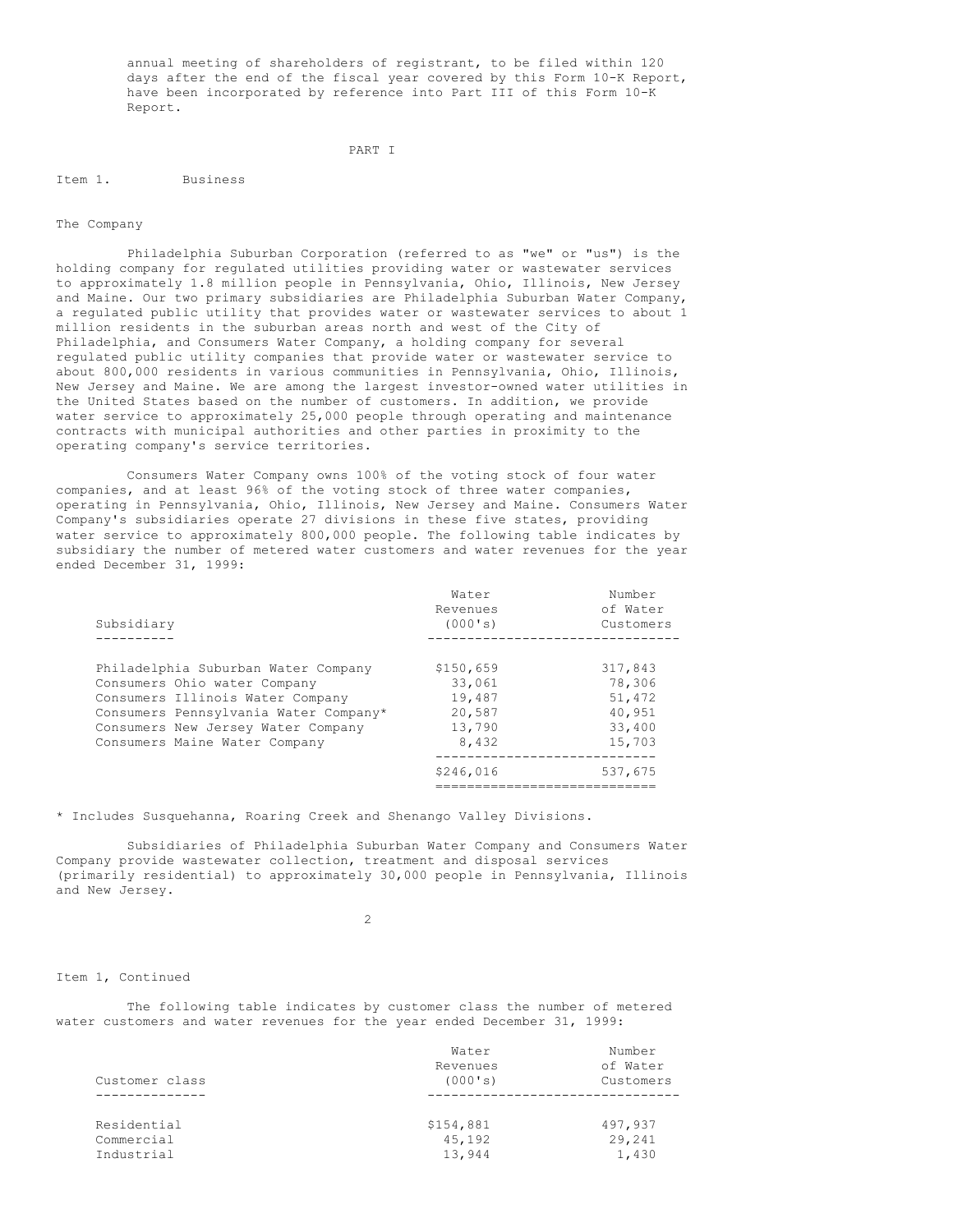annual meeting of shareholders of registrant, to be filed within 120 days after the end of the fiscal year covered by this Form 10-K Report, have been incorporated by reference into Part III of this Form 10-K Report.

PART I

## Item 1. Business

## The Company

Philadelphia Suburban Corporation (referred to as "we" or "us") is the holding company for regulated utilities providing water or wastewater services to approximately 1.8 million people in Pennsylvania, Ohio, Illinois, New Jersey and Maine. Our two primary subsidiaries are Philadelphia Suburban Water Company, a regulated public utility that provides water or wastewater services to about 1 million residents in the suburban areas north and west of the City of Philadelphia, and Consumers Water Company, a holding company for several regulated public utility companies that provide water or wastewater service to about 800,000 residents in various communities in Pennsylvania, Ohio, Illinois, New Jersey and Maine. We are among the largest investor-owned water utilities in the United States based on the number of customers. In addition, we provide water service to approximately 25,000 people through operating and maintenance contracts with municipal authorities and other parties in proximity to the operating company's service territories.

Consumers Water Company owns 100% of the voting stock of four water companies, and at least 96% of the voting stock of three water companies, operating in Pennsylvania, Ohio, Illinois, New Jersey and Maine. Consumers Water Company's subsidiaries operate 27 divisions in these five states, providing water service to approximately 800,000 people. The following table indicates by subsidiary the number of metered water customers and water revenues for the year ended December 31, 1999:

|                                       | Water     | Number    |
|---------------------------------------|-----------|-----------|
|                                       | Revenues  | of Water  |
| Subsidiary                            | (000's)   | Customers |
|                                       |           |           |
|                                       |           |           |
| Philadelphia Suburban Water Company   | \$150,659 | 317,843   |
| Consumers Ohio water Company          | 33,061    | 78,306    |
| Consumers Illinois Water Company      | 19,487    | 51,472    |
| Consumers Pennsylvania Water Company* | 20,587    | 40,951    |
| Consumers New Jersey Water Company    | 13,790    | 33,400    |
| Consumers Maine Water Company         | 8,432     | 15,703    |
|                                       |           |           |
|                                       | \$246,016 | 537,675   |
|                                       |           |           |

\* Includes Susquehanna, Roaring Creek and Shenango Valley Divisions.

Subsidiaries of Philadelphia Suburban Water Company and Consumers Water Company provide wastewater collection, treatment and disposal services (primarily residential) to approximately 30,000 people in Pennsylvania, Illinois and New Jersey.

 $\mathfrak{D}$ 

## Item 1, Continued

The following table indicates by customer class the number of metered water customers and water revenues for the year ended December 31, 1999:

|                | Water     | Number    |
|----------------|-----------|-----------|
|                | Revenues  | of Water  |
| Customer class | (000's)   | Customers |
|                |           |           |
|                |           |           |
| Residential    | \$154,881 | 497,937   |
| Commercial     | 45,192    | 29,241    |
| Industrial     | 13,944    | 1,430     |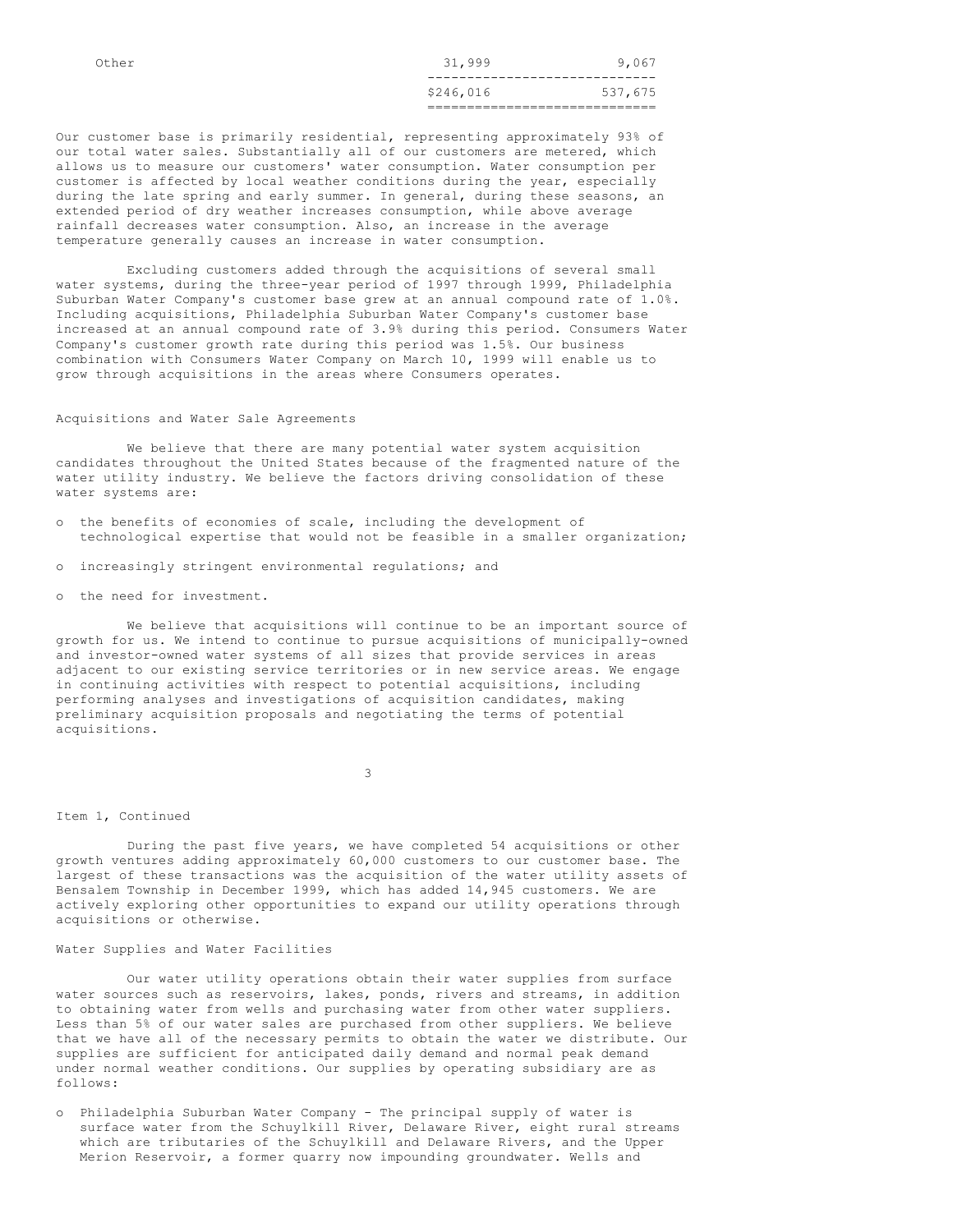|       | \$246,016 | 537,675 |
|-------|-----------|---------|
| Other | 31,999    | 9,067   |
|       |           |         |

Our customer base is primarily residential, representing approximately 93% of our total water sales. Substantially all of our customers are metered, which allows us to measure our customers' water consumption. Water consumption per customer is affected by local weather conditions during the year, especially during the late spring and early summer. In general, during these seasons, an extended period of dry weather increases consumption, while above average rainfall decreases water consumption. Also, an increase in the average temperature generally causes an increase in water consumption.

Excluding customers added through the acquisitions of several small water systems, during the three-year period of 1997 through 1999, Philadelphia Suburban Water Company's customer base grew at an annual compound rate of 1.0%. Including acquisitions, Philadelphia Suburban Water Company's customer base increased at an annual compound rate of 3.9% during this period. Consumers Water Company's customer growth rate during this period was 1.5%. Our business combination with Consumers Water Company on March 10, 1999 will enable us to grow through acquisitions in the areas where Consumers operates.

## Acquisitions and Water Sale Agreements

We believe that there are many potential water system acquisition candidates throughout the United States because of the fragmented nature of the water utility industry. We believe the factors driving consolidation of these water systems are:

- o the benefits of economies of scale, including the development of technological expertise that would not be feasible in a smaller organization;
- o increasingly stringent environmental regulations; and
- o the need for investment.

We believe that acquisitions will continue to be an important source of growth for us. We intend to continue to pursue acquisitions of municipally-owned and investor-owned water systems of all sizes that provide services in areas adjacent to our existing service territories or in new service areas. We engage in continuing activities with respect to potential acquisitions, including performing analyses and investigations of acquisition candidates, making preliminary acquisition proposals and negotiating the terms of potential acquisitions.

3

## Item 1, Continued

During the past five years, we have completed 54 acquisitions or other growth ventures adding approximately 60,000 customers to our customer base. The largest of these transactions was the acquisition of the water utility assets of Bensalem Township in December 1999, which has added 14,945 customers. We are actively exploring other opportunities to expand our utility operations through acquisitions or otherwise.

## Water Supplies and Water Facilities

Our water utility operations obtain their water supplies from surface water sources such as reservoirs, lakes, ponds, rivers and streams, in addition to obtaining water from wells and purchasing water from other water suppliers. Less than 5% of our water sales are purchased from other suppliers. We believe that we have all of the necessary permits to obtain the water we distribute. Our supplies are sufficient for anticipated daily demand and normal peak demand under normal weather conditions. Our supplies by operating subsidiary are as follows:

o Philadelphia Suburban Water Company - The principal supply of water is surface water from the Schuylkill River, Delaware River, eight rural streams which are tributaries of the Schuylkill and Delaware Rivers, and the Upper Merion Reservoir, a former quarry now impounding groundwater. Wells and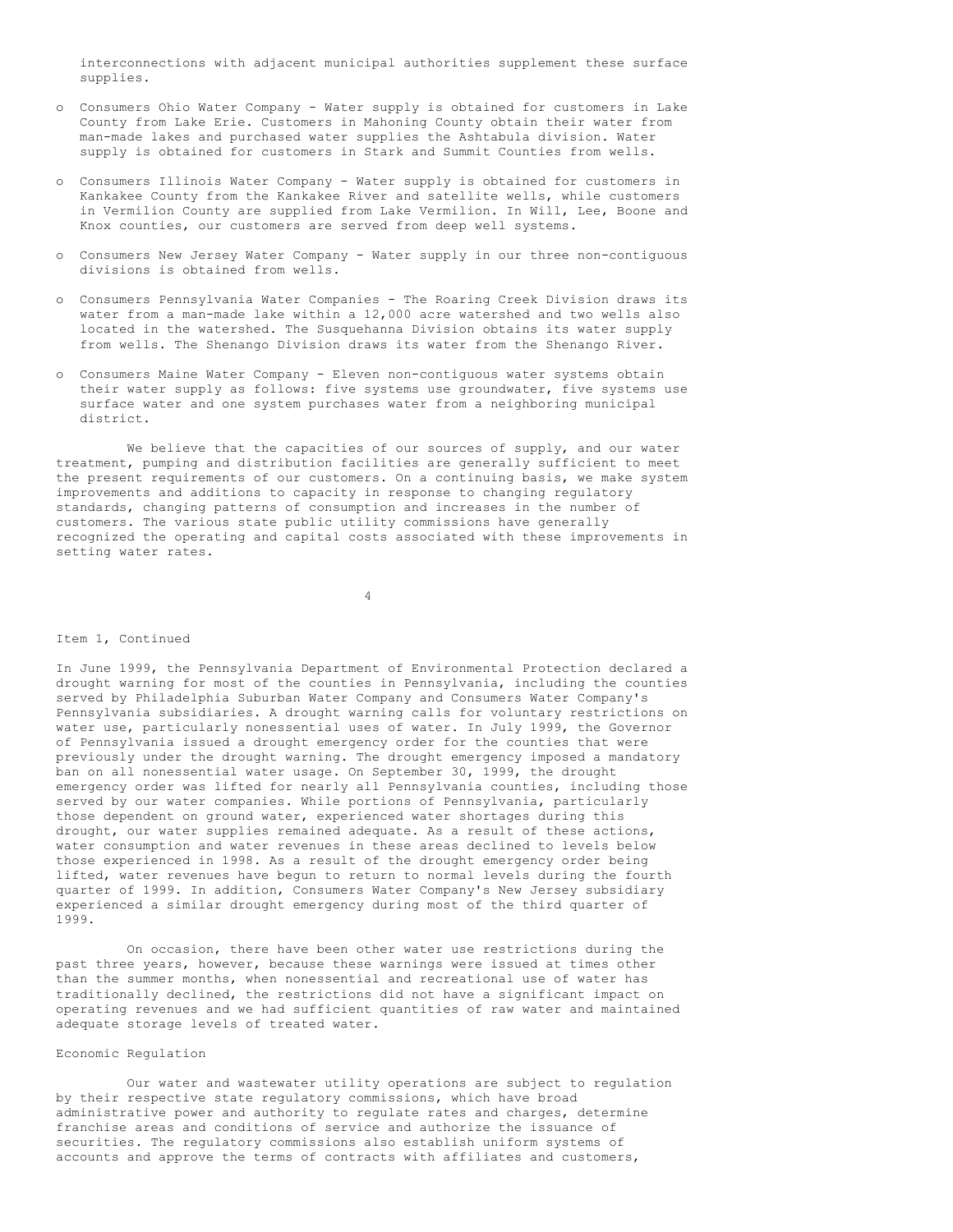interconnections with adjacent municipal authorities supplement these surface supplies.

- o Consumers Ohio Water Company Water supply is obtained for customers in Lake County from Lake Erie. Customers in Mahoning County obtain their water from man-made lakes and purchased water supplies the Ashtabula division. Water supply is obtained for customers in Stark and Summit Counties from wells.
- o Consumers Illinois Water Company Water supply is obtained for customers in Kankakee County from the Kankakee River and satellite wells, while customers in Vermilion County are supplied from Lake Vermilion. In Will, Lee, Boone and Knox counties, our customers are served from deep well systems.
- o Consumers New Jersey Water Company Water supply in our three non-contiguous divisions is obtained from wells.
- o Consumers Pennsylvania Water Companies The Roaring Creek Division draws its water from a man-made lake within a 12,000 acre watershed and two wells also located in the watershed. The Susquehanna Division obtains its water supply from wells. The Shenango Division draws its water from the Shenango River.
- o Consumers Maine Water Company Eleven non-contiguous water systems obtain their water supply as follows: five systems use groundwater, five systems use surface water and one system purchases water from a neighboring municipal district.

We believe that the capacities of our sources of supply, and our water treatment, pumping and distribution facilities are generally sufficient to meet the present requirements of our customers. On a continuing basis, we make system improvements and additions to capacity in response to changing regulatory standards, changing patterns of consumption and increases in the number of customers. The various state public utility commissions have generally recognized the operating and capital costs associated with these improvements in setting water rates.

4

## Item 1, Continued

In June 1999, the Pennsylvania Department of Environmental Protection declared a drought warning for most of the counties in Pennsylvania, including the counties served by Philadelphia Suburban Water Company and Consumers Water Company's Pennsylvania subsidiaries. A drought warning calls for voluntary restrictions on water use, particularly nonessential uses of water. In July 1999, the Governor of Pennsylvania issued a drought emergency order for the counties that were previously under the drought warning. The drought emergency imposed a mandatory ban on all nonessential water usage. On September 30, 1999, the drought emergency order was lifted for nearly all Pennsylvania counties, including those served by our water companies. While portions of Pennsylvania, particularly those dependent on ground water, experienced water shortages during this drought, our water supplies remained adequate. As a result of these actions, water consumption and water revenues in these areas declined to levels below those experienced in 1998. As a result of the drought emergency order being lifted, water revenues have begun to return to normal levels during the fourth quarter of 1999. In addition, Consumers Water Company's New Jersey subsidiary experienced a similar drought emergency during most of the third quarter of 1999.

On occasion, there have been other water use restrictions during the past three years, however, because these warnings were issued at times other than the summer months, when nonessential and recreational use of water has traditionally declined, the restrictions did not have a significant impact on operating revenues and we had sufficient quantities of raw water and maintained adequate storage levels of treated water.

# Economic Regulation

Our water and wastewater utility operations are subject to regulation by their respective state regulatory commissions, which have broad administrative power and authority to regulate rates and charges, determine franchise areas and conditions of service and authorize the issuance of securities. The regulatory commissions also establish uniform systems of accounts and approve the terms of contracts with affiliates and customers,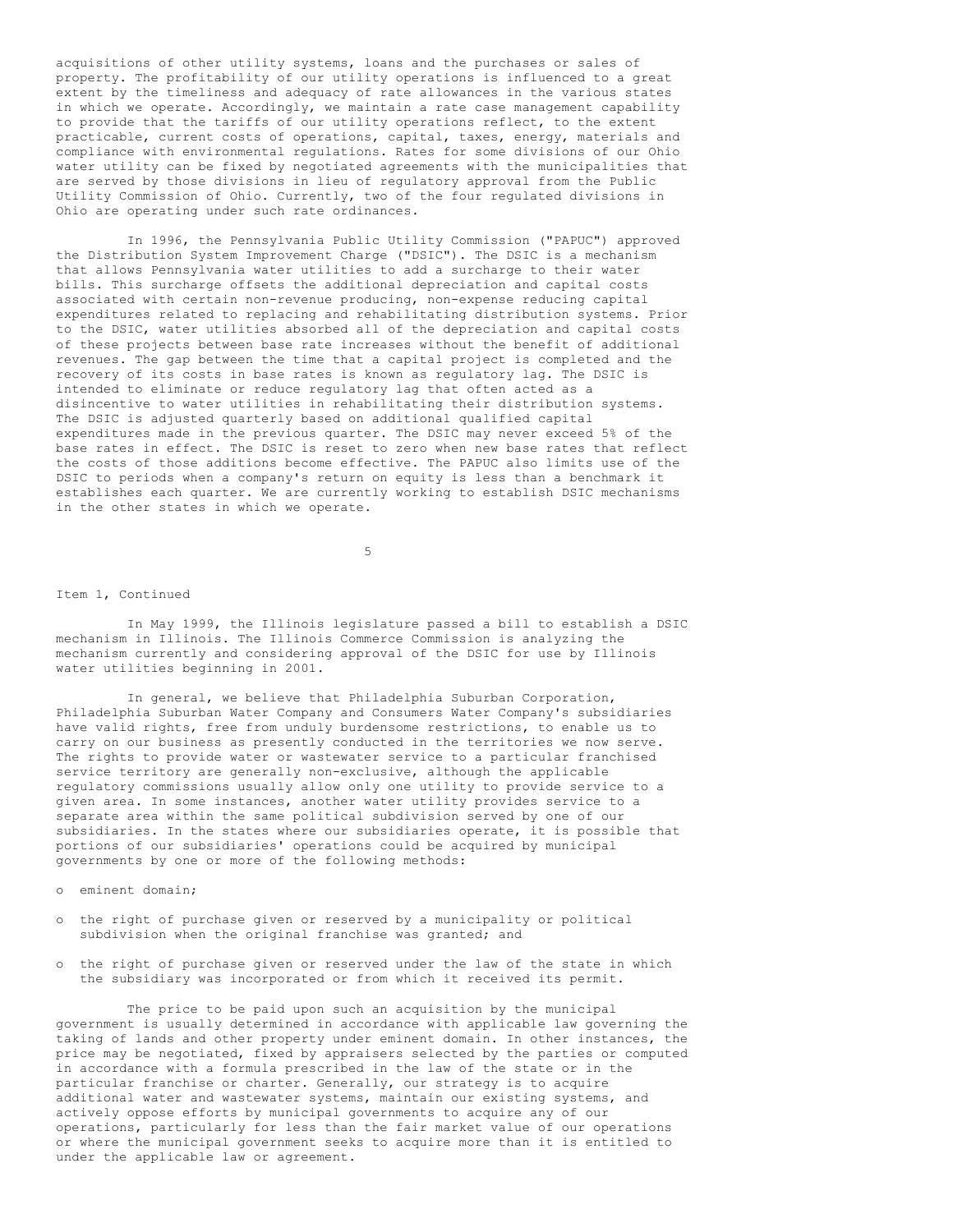acquisitions of other utility systems, loans and the purchases or sales of property. The profitability of our utility operations is influenced to a great extent by the timeliness and adequacy of rate allowances in the various states in which we operate. Accordingly, we maintain a rate case management capability to provide that the tariffs of our utility operations reflect, to the extent practicable, current costs of operations, capital, taxes, energy, materials and compliance with environmental regulations. Rates for some divisions of our Ohio water utility can be fixed by negotiated agreements with the municipalities that are served by those divisions in lieu of regulatory approval from the Public Utility Commission of Ohio. Currently, two of the four regulated divisions in Ohio are operating under such rate ordinances.

In 1996, the Pennsylvania Public Utility Commission ("PAPUC") approved the Distribution System Improvement Charge ("DSIC"). The DSIC is a mechanism that allows Pennsylvania water utilities to add a surcharge to their water bills. This surcharge offsets the additional depreciation and capital costs associated with certain non-revenue producing, non-expense reducing capital expenditures related to replacing and rehabilitating distribution systems. Prior to the DSIC, water utilities absorbed all of the depreciation and capital costs of these projects between base rate increases without the benefit of additional revenues. The gap between the time that a capital project is completed and the recovery of its costs in base rates is known as regulatory lag. The DSIC is intended to eliminate or reduce regulatory lag that often acted as a disincentive to water utilities in rehabilitating their distribution systems. The DSIC is adjusted quarterly based on additional qualified capital expenditures made in the previous quarter. The DSIC may never exceed 5% of the base rates in effect. The DSIC is reset to zero when new base rates that reflect the costs of those additions become effective. The PAPUC also limits use of the DSIC to periods when a company's return on equity is less than a benchmark it establishes each quarter. We are currently working to establish DSIC mechanisms in the other states in which we operate.

5

## Item 1, Continued

In May 1999, the Illinois legislature passed a bill to establish a DSIC mechanism in Illinois. The Illinois Commerce Commission is analyzing the mechanism currently and considering approval of the DSIC for use by Illinois water utilities beginning in 2001.

In general, we believe that Philadelphia Suburban Corporation, Philadelphia Suburban Water Company and Consumers Water Company's subsidiaries have valid rights, free from unduly burdensome restrictions, to enable us to carry on our business as presently conducted in the territories we now serve. The rights to provide water or wastewater service to a particular franchised service territory are generally non-exclusive, although the applicable regulatory commissions usually allow only one utility to provide service to a given area. In some instances, another water utility provides service to a separate area within the same political subdivision served by one of our subsidiaries. In the states where our subsidiaries operate, it is possible that portions of our subsidiaries' operations could be acquired by municipal governments by one or more of the following methods:

o eminent domain;

- o the right of purchase given or reserved by a municipality or political subdivision when the original franchise was granted; and
- o the right of purchase given or reserved under the law of the state in which the subsidiary was incorporated or from which it received its permit.

The price to be paid upon such an acquisition by the municipal government is usually determined in accordance with applicable law governing the taking of lands and other property under eminent domain. In other instances, the price may be negotiated, fixed by appraisers selected by the parties or computed in accordance with a formula prescribed in the law of the state or in the particular franchise or charter. Generally, our strategy is to acquire additional water and wastewater systems, maintain our existing systems, and actively oppose efforts by municipal governments to acquire any of our operations, particularly for less than the fair market value of our operations or where the municipal government seeks to acquire more than it is entitled to under the applicable law or agreement.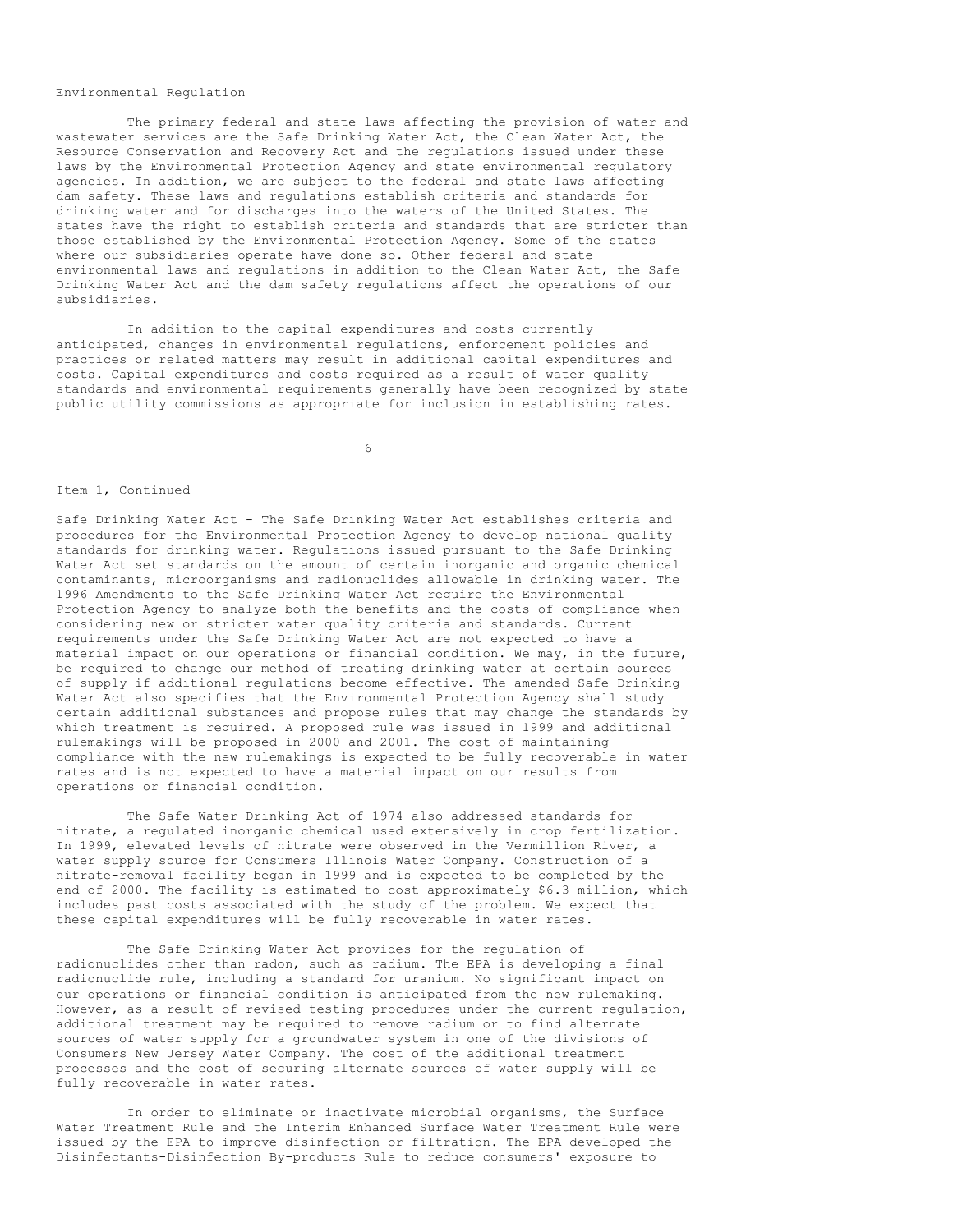### Environmental Regulation

The primary federal and state laws affecting the provision of water and wastewater services are the Safe Drinking Water Act, the Clean Water Act, the Resource Conservation and Recovery Act and the regulations issued under these laws by the Environmental Protection Agency and state environmental regulatory agencies. In addition, we are subject to the federal and state laws affecting dam safety. These laws and regulations establish criteria and standards for drinking water and for discharges into the waters of the United States. The states have the right to establish criteria and standards that are stricter than those established by the Environmental Protection Agency. Some of the states where our subsidiaries operate have done so. Other federal and state environmental laws and regulations in addition to the Clean Water Act, the Safe Drinking Water Act and the dam safety regulations affect the operations of our subsidiaries.

In addition to the capital expenditures and costs currently anticipated, changes in environmental regulations, enforcement policies and practices or related matters may result in additional capital expenditures and costs. Capital expenditures and costs required as a result of water quality standards and environmental requirements generally have been recognized by state public utility commissions as appropriate for inclusion in establishing rates.

6

## Item 1, Continued

Safe Drinking Water Act - The Safe Drinking Water Act establishes criteria and procedures for the Environmental Protection Agency to develop national quality standards for drinking water. Regulations issued pursuant to the Safe Drinking Water Act set standards on the amount of certain inorganic and organic chemical contaminants, microorganisms and radionuclides allowable in drinking water. The 1996 Amendments to the Safe Drinking Water Act require the Environmental Protection Agency to analyze both the benefits and the costs of compliance when considering new or stricter water quality criteria and standards. Current requirements under the Safe Drinking Water Act are not expected to have a material impact on our operations or financial condition. We may, in the future, be required to change our method of treating drinking water at certain sources of supply if additional regulations become effective. The amended Safe Drinking Water Act also specifies that the Environmental Protection Agency shall study certain additional substances and propose rules that may change the standards by which treatment is required. A proposed rule was issued in 1999 and additional rulemakings will be proposed in 2000 and 2001. The cost of maintaining compliance with the new rulemakings is expected to be fully recoverable in water rates and is not expected to have a material impact on our results from operations or financial condition.

The Safe Water Drinking Act of 1974 also addressed standards for nitrate, a regulated inorganic chemical used extensively in crop fertilization. In 1999, elevated levels of nitrate were observed in the Vermillion River, a water supply source for Consumers Illinois Water Company. Construction of a nitrate-removal facility began in 1999 and is expected to be completed by the end of 2000. The facility is estimated to cost approximately \$6.3 million, which includes past costs associated with the study of the problem. We expect that these capital expenditures will be fully recoverable in water rates.

The Safe Drinking Water Act provides for the regulation of radionuclides other than radon, such as radium. The EPA is developing a final radionuclide rule, including a standard for uranium. No significant impact on our operations or financial condition is anticipated from the new rulemaking. However, as a result of revised testing procedures under the current regulation, additional treatment may be required to remove radium or to find alternate sources of water supply for a groundwater system in one of the divisions of Consumers New Jersey Water Company. The cost of the additional treatment processes and the cost of securing alternate sources of water supply will be fully recoverable in water rates.

In order to eliminate or inactivate microbial organisms, the Surface Water Treatment Rule and the Interim Enhanced Surface Water Treatment Rule were issued by the EPA to improve disinfection or filtration. The EPA developed the Disinfectants-Disinfection By-products Rule to reduce consumers' exposure to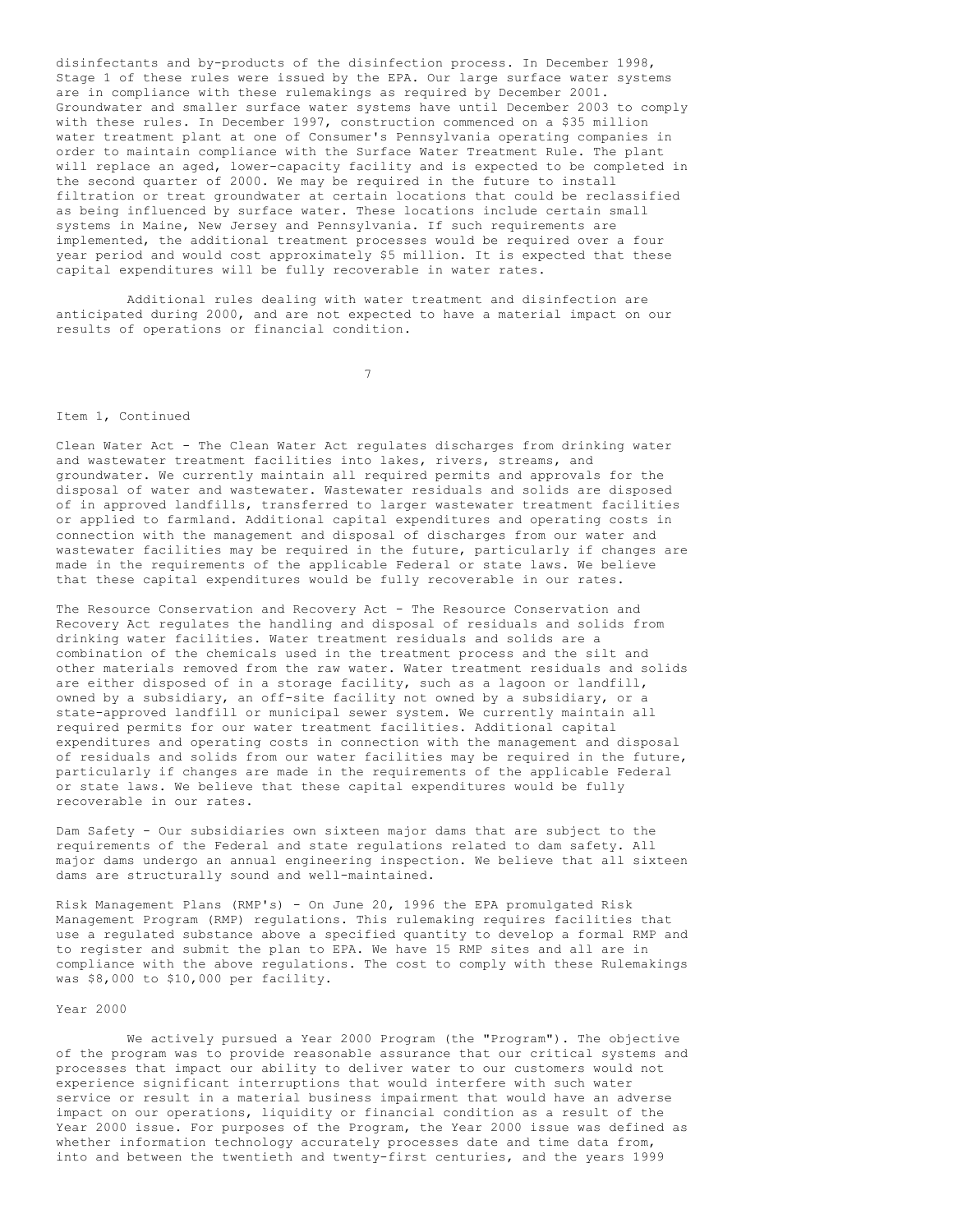disinfectants and by-products of the disinfection process. In December 1998, Stage 1 of these rules were issued by the EPA. Our large surface water systems are in compliance with these rulemakings as required by December 2001. Groundwater and smaller surface water systems have until December 2003 to comply with these rules. In December 1997, construction commenced on a \$35 million water treatment plant at one of Consumer's Pennsylvania operating companies in order to maintain compliance with the Surface Water Treatment Rule. The plant will replace an aged, lower-capacity facility and is expected to be completed in the second quarter of 2000. We may be required in the future to install filtration or treat groundwater at certain locations that could be reclassified as being influenced by surface water. These locations include certain small systems in Maine, New Jersey and Pennsylvania. If such requirements are implemented, the additional treatment processes would be required over a four year period and would cost approximately \$5 million. It is expected that these capital expenditures will be fully recoverable in water rates.

Additional rules dealing with water treatment and disinfection are anticipated during 2000, and are not expected to have a material impact on our results of operations or financial condition.

7

## Item 1, Continued

Clean Water Act - The Clean Water Act regulates discharges from drinking water and wastewater treatment facilities into lakes, rivers, streams, and groundwater. We currently maintain all required permits and approvals for the disposal of water and wastewater. Wastewater residuals and solids are disposed of in approved landfills, transferred to larger wastewater treatment facilities or applied to farmland. Additional capital expenditures and operating costs in connection with the management and disposal of discharges from our water and wastewater facilities may be required in the future, particularly if changes are made in the requirements of the applicable Federal or state laws. We believe that these capital expenditures would be fully recoverable in our rates.

The Resource Conservation and Recovery Act - The Resource Conservation and Recovery Act regulates the handling and disposal of residuals and solids from drinking water facilities. Water treatment residuals and solids are a combination of the chemicals used in the treatment process and the silt and other materials removed from the raw water. Water treatment residuals and solids are either disposed of in a storage facility, such as a lagoon or landfill, owned by a subsidiary, an off-site facility not owned by a subsidiary, or a state-approved landfill or municipal sewer system. We currently maintain all required permits for our water treatment facilities. Additional capital expenditures and operating costs in connection with the management and disposal of residuals and solids from our water facilities may be required in the future, particularly if changes are made in the requirements of the applicable Federal or state laws. We believe that these capital expenditures would be fully recoverable in our rates.

Dam Safety - Our subsidiaries own sixteen major dams that are subject to the requirements of the Federal and state regulations related to dam safety. All major dams undergo an annual engineering inspection. We believe that all sixteen dams are structurally sound and well-maintained.

Risk Management Plans (RMP's) - On June 20, 1996 the EPA promulgated Risk Management Program (RMP) regulations. This rulemaking requires facilities that use a regulated substance above a specified quantity to develop a formal RMP and to register and submit the plan to EPA. We have 15 RMP sites and all are in compliance with the above regulations. The cost to comply with these Rulemakings was \$8,000 to \$10,000 per facility.

## Year 2000

We actively pursued a Year 2000 Program (the "Program"). The objective of the program was to provide reasonable assurance that our critical systems and processes that impact our ability to deliver water to our customers would not experience significant interruptions that would interfere with such water service or result in a material business impairment that would have an adverse impact on our operations, liquidity or financial condition as a result of the Year 2000 issue. For purposes of the Program, the Year 2000 issue was defined as whether information technology accurately processes date and time data from, into and between the twentieth and twenty-first centuries, and the years 1999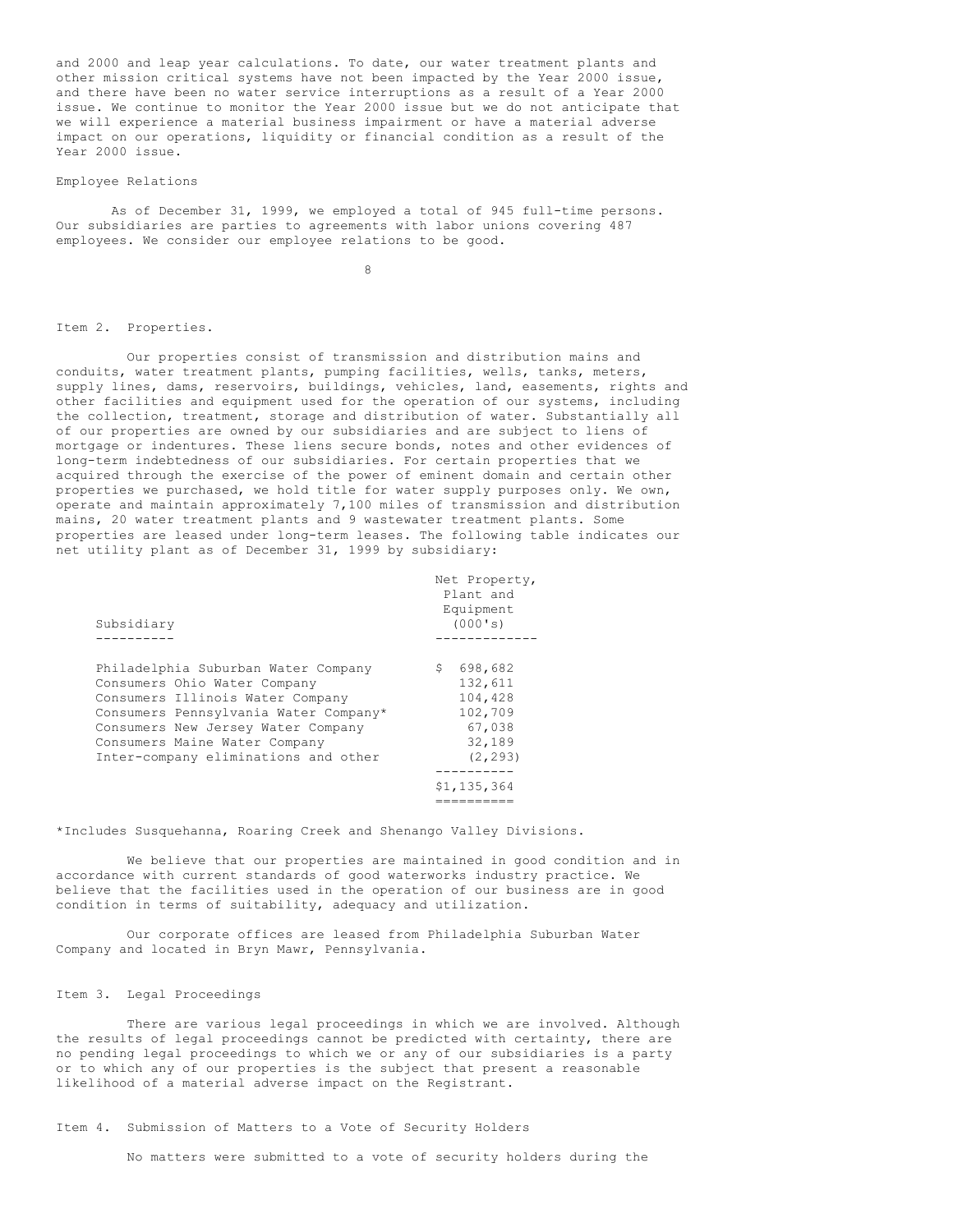and 2000 and leap year calculations. To date, our water treatment plants and other mission critical systems have not been impacted by the Year 2000 issue, and there have been no water service interruptions as a result of a Year 2000 issue. We continue to monitor the Year 2000 issue but we do not anticipate that we will experience a material business impairment or have a material adverse impact on our operations, liquidity or financial condition as a result of the Year 2000 issue.

## Employee Relations

As of December 31, 1999, we employed a total of 945 full-time persons. Our subsidiaries are parties to agreements with labor unions covering 487 employees. We consider our employee relations to be good.

8

## Item 2. Properties.

Our properties consist of transmission and distribution mains and conduits, water treatment plants, pumping facilities, wells, tanks, meters, supply lines, dams, reservoirs, buildings, vehicles, land, easements, rights and other facilities and equipment used for the operation of our systems, including the collection, treatment, storage and distribution of water. Substantially all of our properties are owned by our subsidiaries and are subject to liens of mortgage or indentures. These liens secure bonds, notes and other evidences of long-term indebtedness of our subsidiaries. For certain properties that we acquired through the exercise of the power of eminent domain and certain other properties we purchased, we hold title for water supply purposes only. We own, operate and maintain approximately 7,100 miles of transmission and distribution mains, 20 water treatment plants and 9 wastewater treatment plants. Some properties are leased under long-term leases. The following table indicates our net utility plant as of December 31, 1999 by subsidiary:

| Subsidiary                                                                                                                                                                                                                                                      | Net Property,<br>Plant and<br>Equipment<br>(000's)                                            |
|-----------------------------------------------------------------------------------------------------------------------------------------------------------------------------------------------------------------------------------------------------------------|-----------------------------------------------------------------------------------------------|
| Philadelphia Suburban Water Company<br>Consumers Ohio Water Company<br>Consumers Illinois Water Company<br>Consumers Pennsylvania Water Company*<br>Consumers New Jersey Water Company<br>Consumers Maine Water Company<br>Inter-company eliminations and other | \$<br>698,682<br>132,611<br>104,428<br>102,709<br>67,038<br>32,189<br>(2, 293)<br>\$1,135,364 |

\*Includes Susquehanna, Roaring Creek and Shenango Valley Divisions.

We believe that our properties are maintained in good condition and in accordance with current standards of good waterworks industry practice. We believe that the facilities used in the operation of our business are in good condition in terms of suitability, adequacy and utilization.

Our corporate offices are leased from Philadelphia Suburban Water Company and located in Bryn Mawr, Pennsylvania.

## Item 3. Legal Proceedings

There are various legal proceedings in which we are involved. Although the results of legal proceedings cannot be predicted with certainty, there are no pending legal proceedings to which we or any of our subsidiaries is a party or to which any of our properties is the subject that present a reasonable likelihood of a material adverse impact on the Registrant.

Item 4. Submission of Matters to a Vote of Security Holders

No matters were submitted to a vote of security holders during the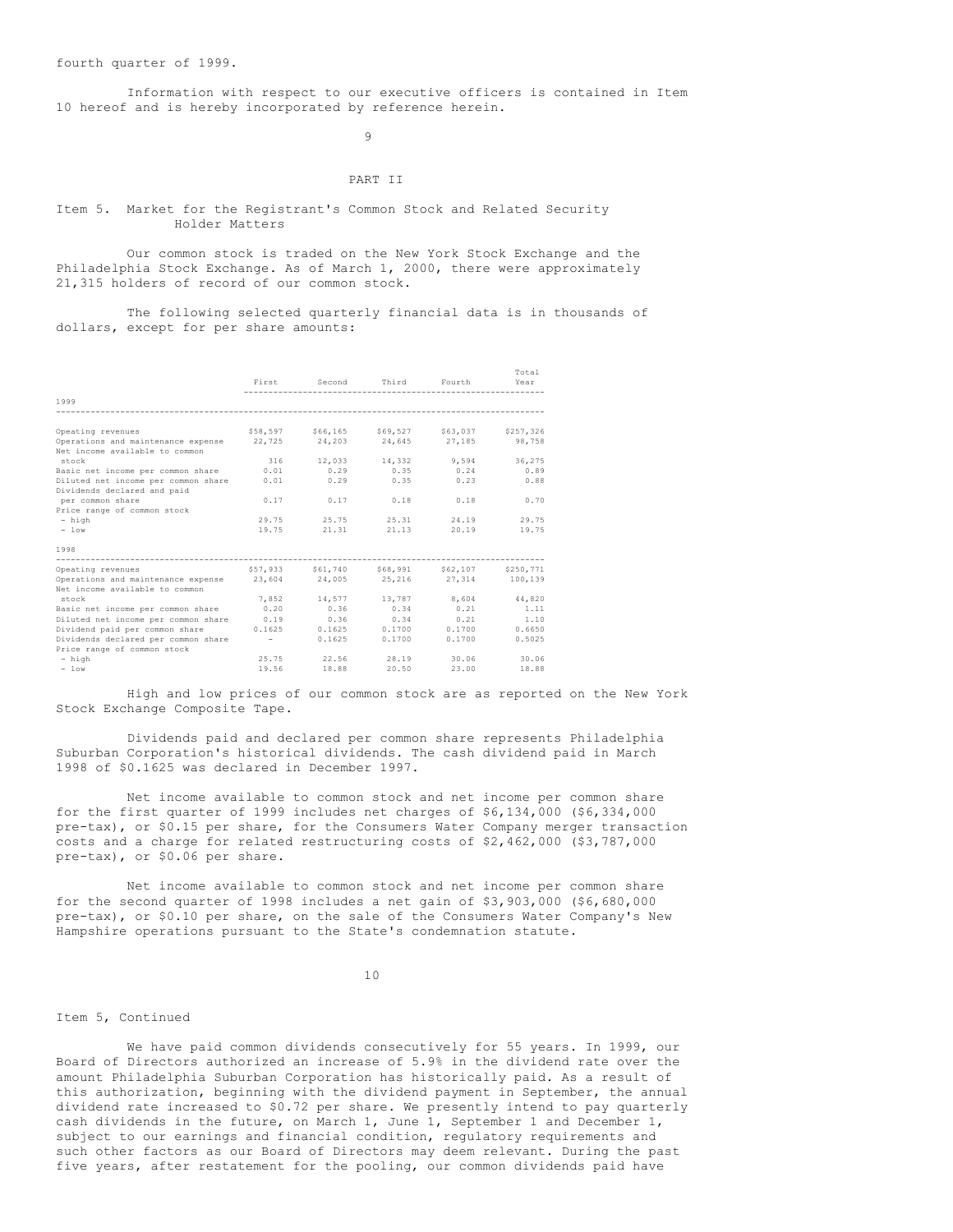fourth quarter of 1999.

Information with respect to our executive officers is contained in Item 10 hereof and is hereby incorporated by reference herein.

9

## PART II

## Item 5. Market for the Registrant's Common Stock and Related Security Holder Matters

Our common stock is traded on the New York Stock Exchange and the Philadelphia Stock Exchange. As of March 1, 2000, there were approximately 21,315 holders of record of our common stock.

The following selected quarterly financial data is in thousands of dollars, except for per share amounts:

|                                                                      | First  | Second                                        |                   | Third Fourth  | Total<br>Year |
|----------------------------------------------------------------------|--------|-----------------------------------------------|-------------------|---------------|---------------|
| 1999                                                                 |        |                                               |                   |               |               |
| Opeating revenues                                                    |        | \$58,597 \$66,165 \$69,527 \$63,037           |                   |               | \$257,326     |
| Operations and maintenance expense<br>Net income available to common |        | 22,725 24,203 24,645 27,185                   |                   |               | 98,758        |
| stock                                                                |        | 316 12,033 14,332 9,594                       |                   |               | 36,275        |
| Basic net income per common share                                    | 0.01   | 0.29                                          | 0.35              | 0.24          | 0.89          |
| Diluted net income per common share<br>Dividends declared and paid   | 0.01   | 0.29                                          | 0.35              | 0.23          | 0.88          |
| per common share                                                     | 0.17   | 0.17                                          | 0.18              | 0.18          | 0.70          |
| Price range of common stock                                          |        |                                               |                   |               |               |
| $-$ high                                                             | 29.75  | 25.75                                         | 25.31             | 24.19         | 29.75         |
| $-$ low                                                              | 19.75  | 21.31                                         | 21.13             | 20.19         | 19.75         |
| 1998                                                                 |        |                                               |                   |               |               |
| Opeating revenues                                                    |        | \$57,933 \$61,740 \$68,991 \$62,107 \$250,771 |                   |               |               |
| Operations and maintenance expense                                   |        | 23,604 24,005 25,216 27,314 100,139           |                   |               |               |
| Net income available to common                                       |        |                                               |                   |               |               |
| stock                                                                |        | 7,852 14,577 13,787 8,604                     |                   |               | 44,820        |
| Basic net income per common share                                    | 0.20   | 0.36                                          | $0.34$ $0.21$     |               | 1.11          |
| Diluted net income per common share                                  | 0.19   | 0.36                                          |                   | $0.34$ $0.21$ | 1.10          |
| Dividend paid per common share                                       | 0.1625 | 0.1625                                        | $0.1700$ $0.1700$ |               | 0.6650        |
| Dividends declared per common share                                  |        | 0.1625                                        | 0.1700            | 0.1700        | 0.5025        |
| Price range of common stock                                          |        |                                               |                   |               |               |
| - high                                                               | 25.75  | 22.56                                         | 28.19             | 30.06         | 30.06         |
| $-$ low                                                              | 19.56  | 18.88                                         | 20.50             | 23.00         | 18.88         |

High and low prices of our common stock are as reported on the New York Stock Exchange Composite Tape.

Dividends paid and declared per common share represents Philadelphia Suburban Corporation's historical dividends. The cash dividend paid in March 1998 of \$0.1625 was declared in December 1997.

Net income available to common stock and net income per common share for the first quarter of 1999 includes net charges of \$6,134,000 (\$6,334,000 pre-tax), or \$0.15 per share, for the Consumers Water Company merger transaction costs and a charge for related restructuring costs of \$2,462,000 (\$3,787,000 pre-tax), or \$0.06 per share.

Net income available to common stock and net income per common share for the second quarter of 1998 includes a net gain of \$3,903,000 (\$6,680,000 pre-tax), or \$0.10 per share, on the sale of the Consumers Water Company's New Hampshire operations pursuant to the State's condemnation statute.

10

## Item 5, Continued

We have paid common dividends consecutively for 55 years. In 1999, our Board of Directors authorized an increase of 5.9% in the dividend rate over the amount Philadelphia Suburban Corporation has historically paid. As a result of this authorization, beginning with the dividend payment in September, the annual dividend rate increased to \$0.72 per share. We presently intend to pay quarterly cash dividends in the future, on March 1, June 1, September 1 and December 1, subject to our earnings and financial condition, regulatory requirements and such other factors as our Board of Directors may deem relevant. During the past five years, after restatement for the pooling, our common dividends paid have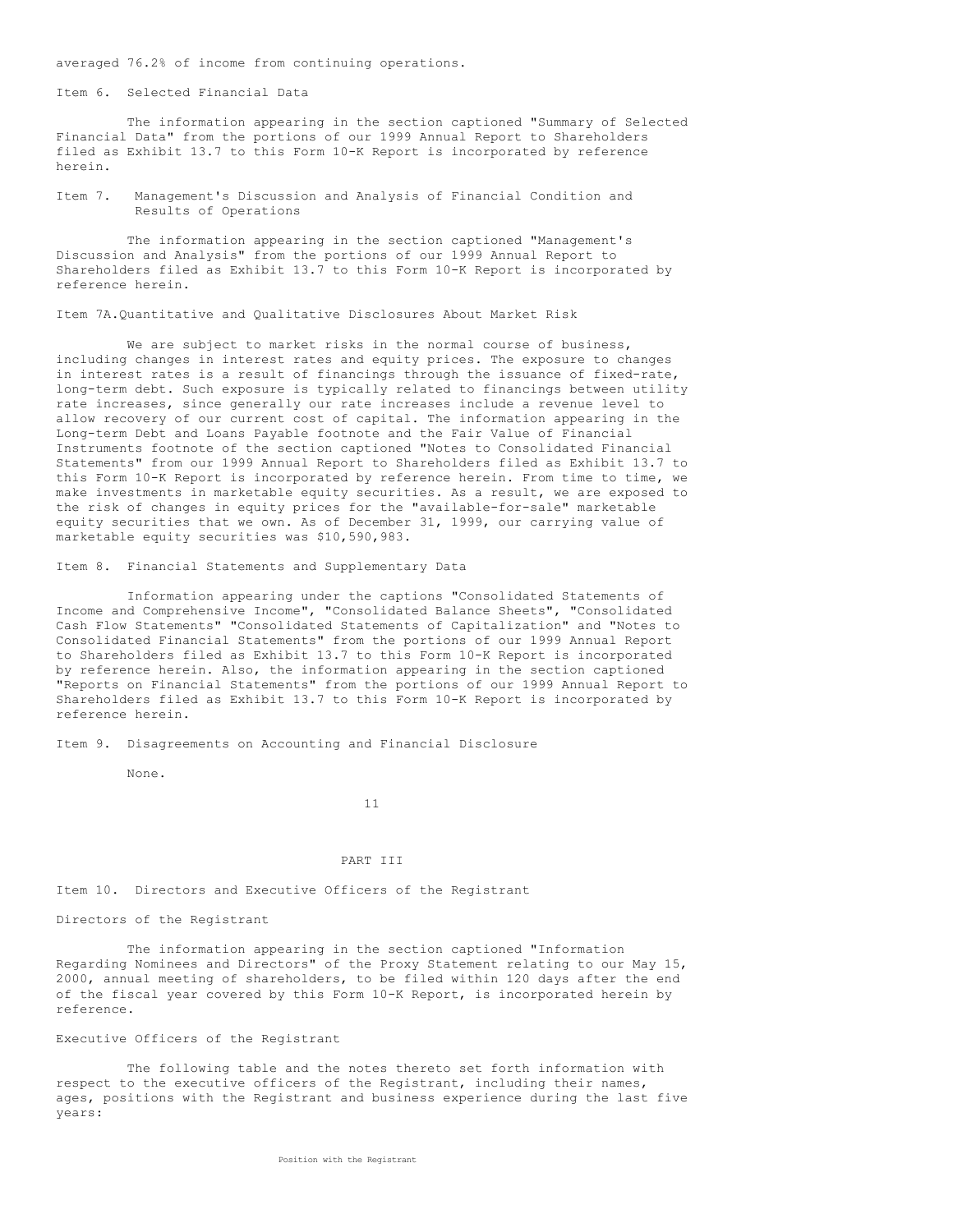averaged 76.2% of income from continuing operations.

Item 6. Selected Financial Data

The information appearing in the section captioned "Summary of Selected Financial Data" from the portions of our 1999 Annual Report to Shareholders filed as Exhibit 13.7 to this Form 10-K Report is incorporated by reference herein.

Item 7. Management's Discussion and Analysis of Financial Condition and Results of Operations

The information appearing in the section captioned "Management's Discussion and Analysis" from the portions of our 1999 Annual Report to Shareholders filed as Exhibit 13.7 to this Form 10-K Report is incorporated by reference herein.

Item 7A.Quantitative and Qualitative Disclosures About Market Risk

We are subject to market risks in the normal course of business, including changes in interest rates and equity prices. The exposure to changes in interest rates is a result of financings through the issuance of fixed-rate, long-term debt. Such exposure is typically related to financings between utility rate increases, since generally our rate increases include a revenue level to allow recovery of our current cost of capital. The information appearing in the Long-term Debt and Loans Payable footnote and the Fair Value of Financial Instruments footnote of the section captioned "Notes to Consolidated Financial Statements" from our 1999 Annual Report to Shareholders filed as Exhibit 13.7 to this Form 10-K Report is incorporated by reference herein. From time to time, we make investments in marketable equity securities. As a result, we are exposed to the risk of changes in equity prices for the "available-for-sale" marketable equity securities that we own. As of December 31, 1999, our carrying value of marketable equity securities was \$10,590,983.

Item 8. Financial Statements and Supplementary Data

Information appearing under the captions "Consolidated Statements of Income and Comprehensive Income", "Consolidated Balance Sheets", "Consolidated Cash Flow Statements" "Consolidated Statements of Capitalization" and "Notes to Consolidated Financial Statements" from the portions of our 1999 Annual Report to Shareholders filed as Exhibit 13.7 to this Form 10-K Report is incorporated by reference herein. Also, the information appearing in the section captioned "Reports on Financial Statements" from the portions of our 1999 Annual Report to Shareholders filed as Exhibit 13.7 to this Form 10-K Report is incorporated by reference herein.

Item 9. Disagreements on Accounting and Financial Disclosure

None.

11

# PART III

Item 10. Directors and Executive Officers of the Registrant

Directors of the Registrant

The information appearing in the section captioned "Information Regarding Nominees and Directors" of the Proxy Statement relating to our May 15, 2000, annual meeting of shareholders, to be filed within 120 days after the end of the fiscal year covered by this Form 10-K Report, is incorporated herein by reference.

Executive Officers of the Registrant

The following table and the notes thereto set forth information with respect to the executive officers of the Registrant, including their names, ages, positions with the Registrant and business experience during the last five years: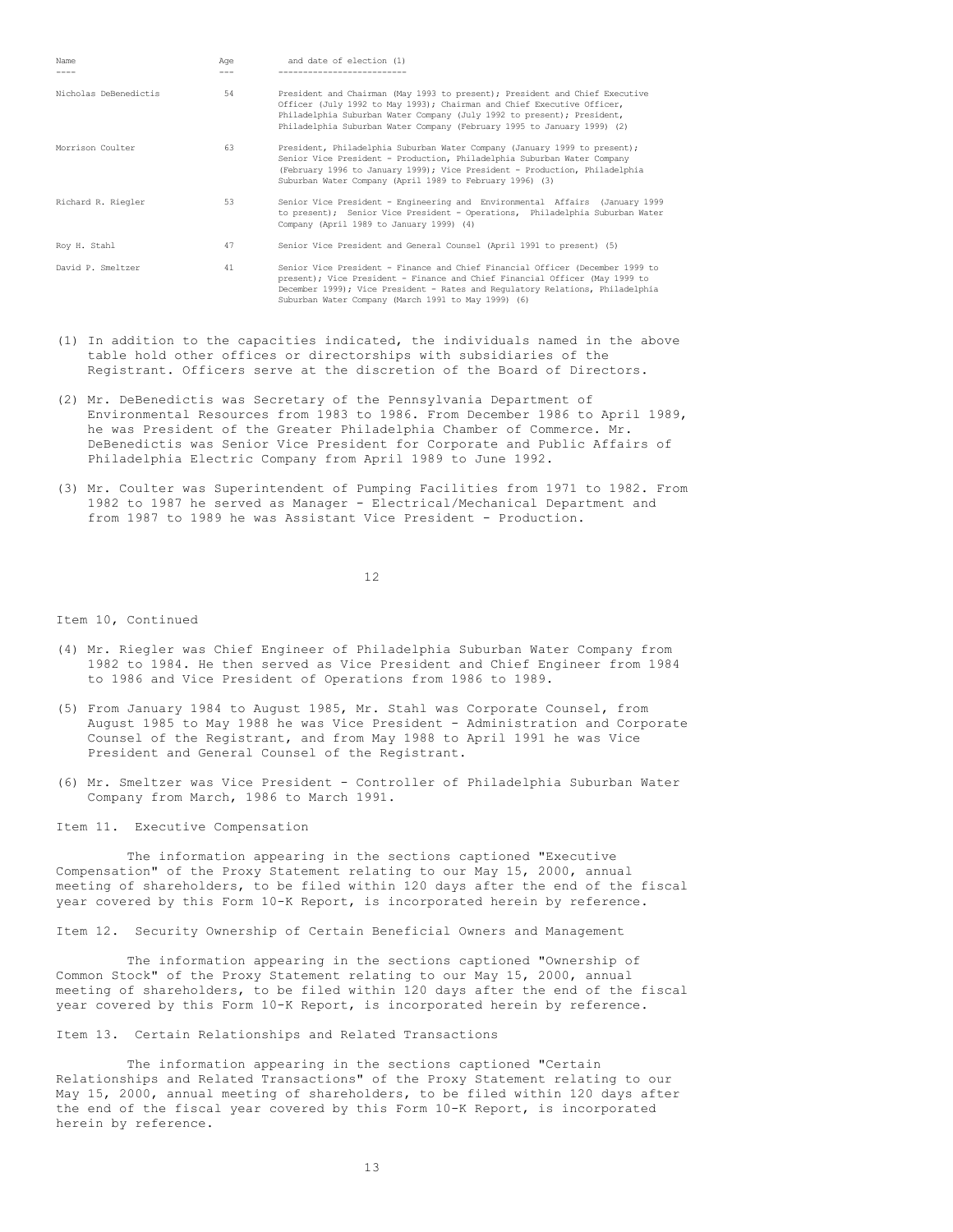| Name                  | Aae | and date of election (1)<br>--------------------                                                                                                                                                                                                                                                           |
|-----------------------|-----|------------------------------------------------------------------------------------------------------------------------------------------------------------------------------------------------------------------------------------------------------------------------------------------------------------|
| Nicholas DeBenedictis | 54  | President and Chairman (May 1993 to present); President and Chief Executive<br>Officer (July 1992 to May 1993); Chairman and Chief Executive Officer,<br>Philadelphia Suburban Water Company (July 1992 to present); President,<br>Philadelphia Suburban Water Company (February 1995 to January 1999) (2) |
| Morrison Coulter      | 63  | President, Philadelphia Suburban Water Company (January 1999 to present);<br>Senior Vice President - Production, Philadelphia Suburban Water Company<br>(February 1996 to January 1999); Vice President - Production, Philadelphia<br>Suburban Water Company (April 1989 to February 1996) (3)             |
| Richard R. Riegler    | 53  | Senior Vice President - Engineering and Environmental Affairs (January 1999<br>to present); Senior Vice President - Operations, Philadelphia Suburban Water<br>Company (April 1989 to January 1999) (4)                                                                                                    |
| Roy H. Stahl          | 47  | Senior Vice President and General Counsel (April 1991 to present) (5)                                                                                                                                                                                                                                      |
| David P. Smeltzer     | 41  | Senior Vice President - Finance and Chief Financial Officer (December 1999 to<br>present); Vice President - Finance and Chief Financial Officer (May 1999 to<br>December 1999); Vice President - Rates and Requlatory Relations, Philadelphia<br>Suburban Water Company (March 1991 to May 1999) (6)       |

- (1) In addition to the capacities indicated, the individuals named in the above table hold other offices or directorships with subsidiaries of the Registrant. Officers serve at the discretion of the Board of Directors.
- (2) Mr. DeBenedictis was Secretary of the Pennsylvania Department of Environmental Resources from 1983 to 1986. From December 1986 to April 1989, he was President of the Greater Philadelphia Chamber of Commerce. Mr. DeBenedictis was Senior Vice President for Corporate and Public Affairs of Philadelphia Electric Company from April 1989 to June 1992.
- (3) Mr. Coulter was Superintendent of Pumping Facilities from 1971 to 1982. From 1982 to 1987 he served as Manager - Electrical/Mechanical Department and from 1987 to 1989 he was Assistant Vice President - Production.

Item 10, Continued

- (4) Mr. Riegler was Chief Engineer of Philadelphia Suburban Water Company from 1982 to 1984. He then served as Vice President and Chief Engineer from 1984 to 1986 and Vice President of Operations from 1986 to 1989.
- (5) From January 1984 to August 1985, Mr. Stahl was Corporate Counsel, from August 1985 to May 1988 he was Vice President - Administration and Corporate Counsel of the Registrant, and from May 1988 to April 1991 he was Vice President and General Counsel of the Registrant.
- (6) Mr. Smeltzer was Vice President Controller of Philadelphia Suburban Water Company from March, 1986 to March 1991.

Item 11. Executive Compensation

The information appearing in the sections captioned "Executive Compensation" of the Proxy Statement relating to our May 15, 2000, annual meeting of shareholders, to be filed within 120 days after the end of the fiscal year covered by this Form 10-K Report, is incorporated herein by reference.

Item 12. Security Ownership of Certain Beneficial Owners and Management

The information appearing in the sections captioned "Ownership of Common Stock" of the Proxy Statement relating to our May 15, 2000, annual meeting of shareholders, to be filed within 120 days after the end of the fiscal year covered by this Form 10-K Report, is incorporated herein by reference.

Item 13. Certain Relationships and Related Transactions

The information appearing in the sections captioned "Certain Relationships and Related Transactions" of the Proxy Statement relating to our May 15, 2000, annual meeting of shareholders, to be filed within 120 days after the end of the fiscal year covered by this Form 10-K Report, is incorporated herein by reference.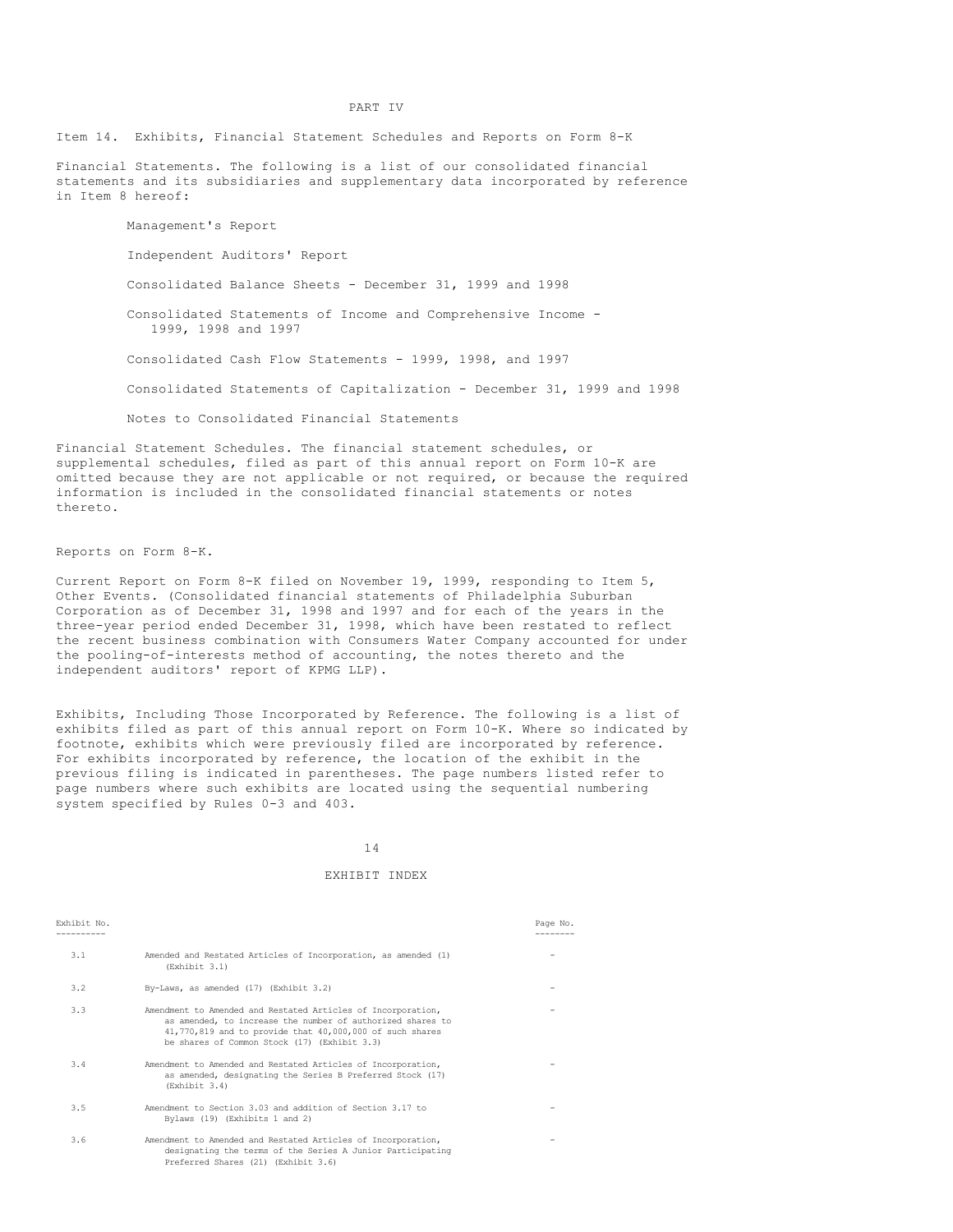## PART IV

Item 14. Exhibits, Financial Statement Schedules and Reports on Form 8-K

Financial Statements. The following is a list of our consolidated financial statements and its subsidiaries and supplementary data incorporated by reference in Item 8 hereof:

Management's Report Independent Auditors' Report Consolidated Balance Sheets - December 31, 1999 and 1998 Consolidated Statements of Income and Comprehensive Income - 1999, 1998 and 1997 Consolidated Cash Flow Statements - 1999, 1998, and 1997 Consolidated Statements of Capitalization - December 31, 1999 and 1998 Notes to Consolidated Financial Statements

Financial Statement Schedules. The financial statement schedules, or supplemental schedules, filed as part of this annual report on Form 10-K are omitted because they are not applicable or not required, or because the required information is included in the consolidated financial statements or notes thereto.

Reports on Form 8-K.

Current Report on Form 8-K filed on November 19, 1999, responding to Item 5, Other Events. (Consolidated financial statements of Philadelphia Suburban Corporation as of December 31, 1998 and 1997 and for each of the years in the three-year period ended December 31, 1998, which have been restated to reflect the recent business combination with Consumers Water Company accounted for under the pooling-of-interests method of accounting, the notes thereto and the independent auditors' report of KPMG LLP).

Exhibits, Including Those Incorporated by Reference. The following is a list of exhibits filed as part of this annual report on Form 10-K. Where so indicated by footnote, exhibits which were previously filed are incorporated by reference. For exhibits incorporated by reference, the location of the exhibit in the previous filing is indicated in parentheses. The page numbers listed refer to page numbers where such exhibits are located using the sequential numbering system specified by Rules 0-3 and 403.

## 14

# EXHIBIT INDEX

| Exhibit No. |                                                                                                                                                                                                                                            | Page No. |
|-------------|--------------------------------------------------------------------------------------------------------------------------------------------------------------------------------------------------------------------------------------------|----------|
| 3.1         | Amended and Restated Articles of Incorporation, as amended (1)<br>(Exhibit 3.1)                                                                                                                                                            |          |
| 3.2         | By-Laws, as amended (17) (Exhibit 3.2)                                                                                                                                                                                                     |          |
| 3.3         | Amendment to Amended and Restated Articles of Incorporation,<br>as amended, to increase the number of authorized shares to<br>$41,770,819$ and to provide that $40,000,000$ of such shares<br>be shares of Common Stock (17) (Exhibit 3.3) |          |
| 3.4         | Amendment to Amended and Restated Articles of Incorporation,<br>as amended, designating the Series B Preferred Stock (17)<br>(Exhibit 3.4)                                                                                                 |          |
| 3.5         | Amendment to Section 3.03 and addition of Section 3.17 to<br>Bylaws (19) (Exhibits 1 and 2)                                                                                                                                                |          |
| 3.6         | Amendment to Amended and Restated Articles of Incorporation,<br>designating the terms of the Series A Junior Participating<br>Preferred Shares (21) (Exhibit 3.6)                                                                          |          |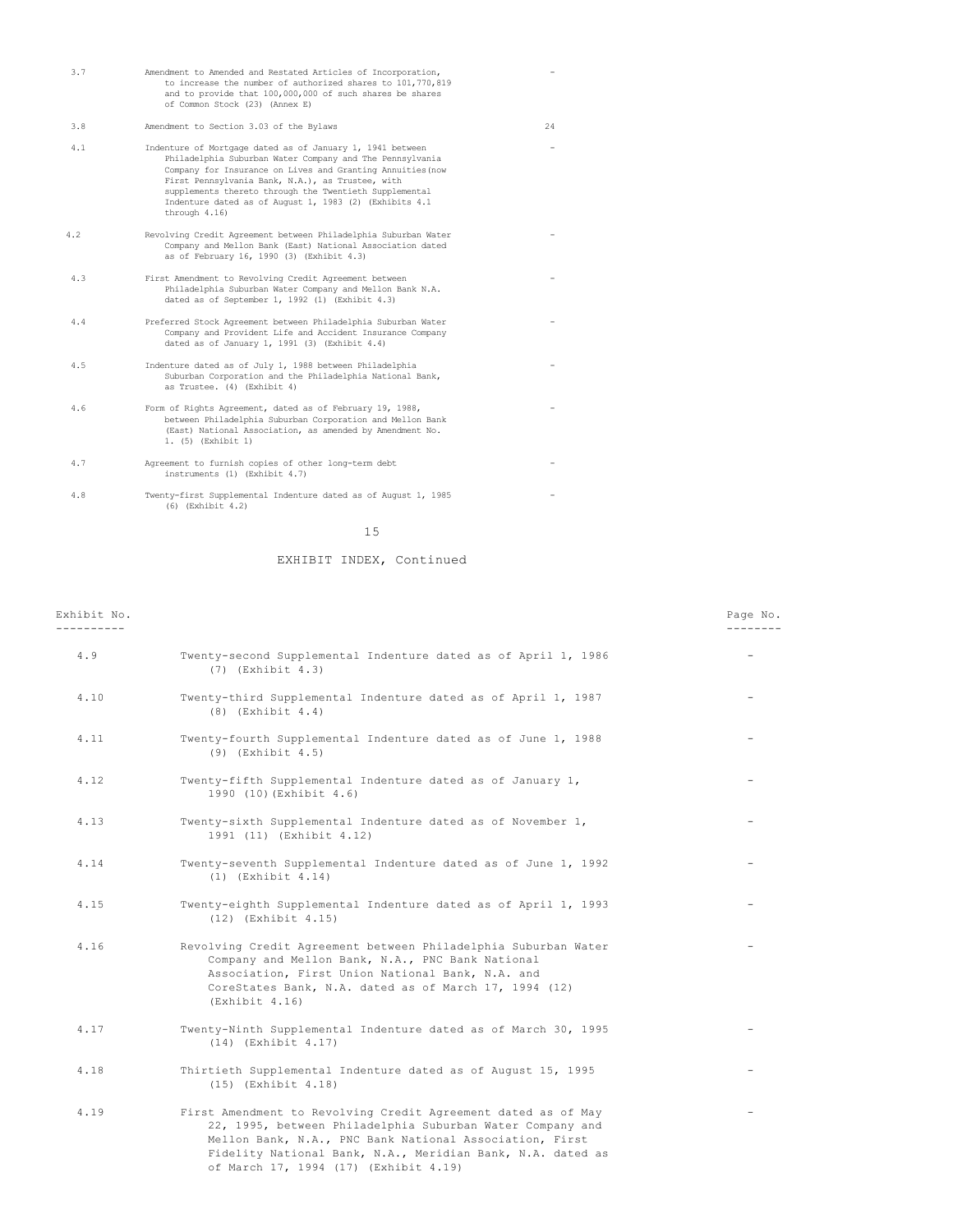| 3.7 | Amendment to Amended and Restated Articles of Incorporation,<br>to increase the number of authorized shares to 101,770,819<br>and to provide that 100,000,000 of such shares be shares<br>of Common Stock (23) (Annex E)                                                                                                                                                        |    |
|-----|---------------------------------------------------------------------------------------------------------------------------------------------------------------------------------------------------------------------------------------------------------------------------------------------------------------------------------------------------------------------------------|----|
| 3.8 | Amendment to Section 3.03 of the Bylaws                                                                                                                                                                                                                                                                                                                                         | 24 |
| 4.1 | Indenture of Mortgage dated as of January 1, 1941 between<br>Philadelphia Suburban Water Company and The Pennsylvania<br>Company for Insurance on Lives and Granting Annuities (now<br>First Pennsylvania Bank, N.A.), as Trustee, with<br>supplements thereto through the Twentieth Supplemental<br>Indenture dated as of August 1, 1983 (2) (Exhibits 4.1<br>through $4.16$ ) |    |
| 4.2 | Revolving Credit Agreement between Philadelphia Suburban Water<br>Company and Mellon Bank (East) National Association dated<br>as of February 16, 1990 (3) (Exhibit 4.3)                                                                                                                                                                                                        |    |
| 4.3 | First Amendment to Revolving Credit Agreement between<br>Philadelphia Suburban Water Company and Mellon Bank N.A.<br>dated as of September 1, 1992 (1) (Exhibit 4.3)                                                                                                                                                                                                            |    |
| 4.4 | Preferred Stock Agreement between Philadelphia Suburban Water<br>Company and Provident Life and Accident Insurance Company<br>dated as of January 1, 1991 (3) (Exhibit 4.4)                                                                                                                                                                                                     |    |
| 4.5 | Indenture dated as of July 1, 1988 between Philadelphia<br>Suburban Corporation and the Philadelphia National Bank,<br>as Trustee. (4) (Exhibit 4)                                                                                                                                                                                                                              |    |
| 4.6 | Form of Rights Agreement, dated as of February 19, 1988,<br>between Philadelphia Suburban Corporation and Mellon Bank<br>(East) National Association, as amended by Amendment No.<br>1. (5) (Exhibit 1)                                                                                                                                                                         |    |
| 4.7 | Agreement to furnish copies of other long-term debt<br>instruments (1) (Exhibit 4.7)                                                                                                                                                                                                                                                                                            |    |
| 4.8 | Twenty-first Supplemental Indenture dated as of August 1, 1985<br>$(6)$ (Exhibit $4.2$ )                                                                                                                                                                                                                                                                                        |    |

## EXHIBIT INDEX, Continued

# Exhibit No. Page No. ---------- -------- 4.9 Twenty-second Supplemental Indenture dated as of April 1, 1986 - (7) (Exhibit 4.3) 4.10 Twenty-third Supplemental Indenture dated as of April 1, 1987 - (8) (Exhibit 4.4) 4.11 Twenty-fourth Supplemental Indenture dated as of June 1, 1988 - (9) (Exhibit 4.5) 4.12 Twenty-fifth Supplemental Indenture dated as of January 1, - 1990 (10)(Exhibit 4.6) 4.13 Twenty-sixth Supplemental Indenture dated as of November 1, 1991 (11) (Exhibit 4.12) 4.14 Twenty-seventh Supplemental Indenture dated as of June 1, 1992 - (1) (Exhibit 4.14) 4.15 Twenty-eighth Supplemental Indenture dated as of April 1, 1993 - (12) (Exhibit 4.15) 4.16 Revolving Credit Agreement between Philadelphia Suburban Water - Company and Mellon Bank, N.A., PNC Bank National Association, First Union National Bank, N.A. and CoreStates Bank, N.A. dated as of March 17, 1994 (12) (Exhibit 4.16) 4.17 Twenty-Ninth Supplemental Indenture dated as of March 30, 1995 - (14) (Exhibit 4.17) 4.18 Thirtieth Supplemental Indenture dated as of August 15, 1995 - (15) (Exhibit 4.18) 4.19 First Amendment to Revolving Credit Agreement dated as of May - 22, 1995, between Philadelphia Suburban Water Company and Mellon Bank, N.A., PNC Bank National Association, First Fidelity National Bank, N.A., Meridian Bank, N.A. dated as

of March 17, 1994 (17) (Exhibit 4.19)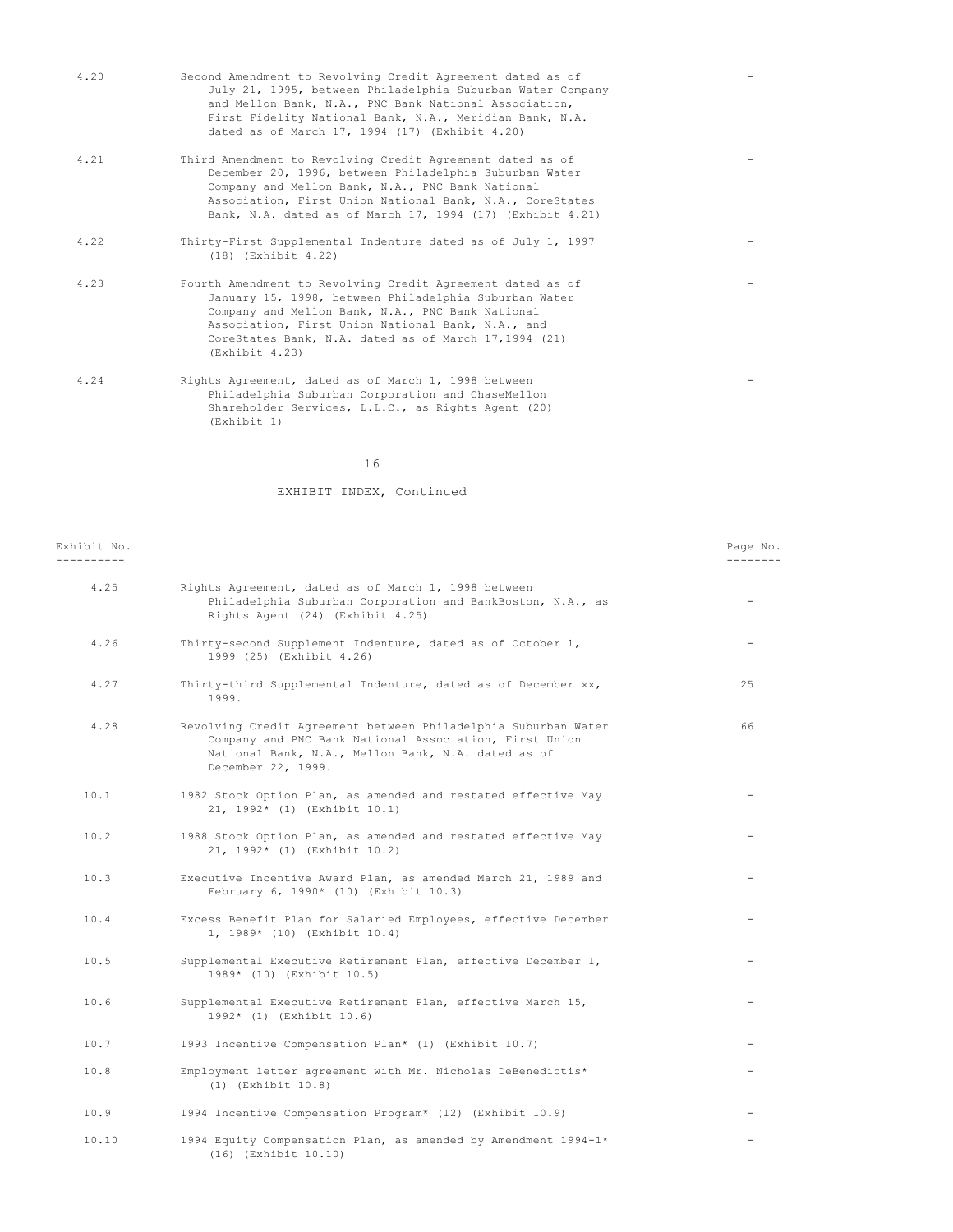| 4.20 | Second Amendment to Revolving Credit Agreement dated as of<br>July 21, 1995, between Philadelphia Suburban Water Company<br>and Mellon Bank, N.A., PNC Bank National Association,<br>First Fidelity National Bank, N.A., Meridian Bank, N.A.<br>dated as of March 17, 1994 (17) (Exhibit 4.20)          |  |
|------|---------------------------------------------------------------------------------------------------------------------------------------------------------------------------------------------------------------------------------------------------------------------------------------------------------|--|
| 4.21 | Third Amendment to Revolving Credit Agreement dated as of<br>December 20, 1996, between Philadelphia Suburban Water<br>Company and Mellon Bank, N.A., PNC Bank National<br>Association, First Union National Bank, N.A., CoreStates<br>Bank, N.A. dated as of March 17, 1994 (17) (Exhibit 4.21)        |  |
| 4.22 | Thirty-First Supplemental Indenture dated as of July 1, 1997<br>$(18)$ (Exhibit 4.22)                                                                                                                                                                                                                   |  |
| 4.23 | Fourth Amendment to Revolving Credit Agreement dated as of<br>January 15, 1998, between Philadelphia Suburban Water<br>Company and Mellon Bank, N.A., PNC Bank National<br>Association, First Union National Bank, N.A., and<br>CoreStates Bank, N.A. dated as of March 17, 1994 (21)<br>(Exhibit 4.23) |  |
| 4.24 | Rights Agreement, dated as of March 1, 1998 between<br>Philadelphia Suburban Corporation and ChaseMellon<br>Shareholder Services, L.L.C., as Rights Agent (20)<br>(Exhibit 1)                                                                                                                           |  |

# EXHIBIT INDEX, Continued

| Exhibit No. |                                                                                                                                                                                                      | Page No.<br>-------- |
|-------------|------------------------------------------------------------------------------------------------------------------------------------------------------------------------------------------------------|----------------------|
| 4.25        | Rights Agreement, dated as of March 1, 1998 between<br>Philadelphia Suburban Corporation and BankBoston, N.A., as<br>Rights Agent (24) (Exhibit 4.25)                                                |                      |
| 4.26        | Thirty-second Supplement Indenture, dated as of October 1,<br>1999 (25) (Exhibit 4.26)                                                                                                               |                      |
| 4.27        | Thirty-third Supplemental Indenture, dated as of December xx,<br>1999.                                                                                                                               | 25                   |
| 4.28        | Revolving Credit Agreement between Philadelphia Suburban Water<br>Company and PNC Bank National Association, First Union<br>National Bank, N.A., Mellon Bank, N.A. dated as of<br>December 22, 1999. | 66                   |
| 10.1        | 1982 Stock Option Plan, as amended and restated effective May<br>21, 1992* (1) (Exhibit 10.1)                                                                                                        |                      |
| 10.2        | 1988 Stock Option Plan, as amended and restated effective May<br>21, 1992* (1) (Exhibit 10.2)                                                                                                        |                      |
| 10.3        | Executive Incentive Award Plan, as amended March 21, 1989 and<br>February 6, 1990* (10) (Exhibit 10.3)                                                                                               |                      |
| 10.4        | Excess Benefit Plan for Salaried Employees, effective December<br>1, 1989* (10) (Exhibit 10.4)                                                                                                       |                      |
| 10.5        | Supplemental Executive Retirement Plan, effective December 1,<br>1989* (10) (Exhibit 10.5)                                                                                                           |                      |
| 10.6        | Supplemental Executive Retirement Plan, effective March 15,<br>1992* (1) (Exhibit 10.6)                                                                                                              |                      |
| 10.7        | 1993 Incentive Compensation Plan* (1) (Exhibit 10.7)                                                                                                                                                 |                      |
| 10.8        | Employment letter agreement with Mr. Nicholas DeBenedictis*<br>$(1)$ (Exhibit $10.8$ )                                                                                                               |                      |
| 10.9        | 1994 Incentive Compensation Program* (12) (Exhibit 10.9)                                                                                                                                             |                      |
| 10.10       | 1994 Equity Compensation Plan, as amended by Amendment 1994-1*<br>(16) (Exhibit 10.10)                                                                                                               |                      |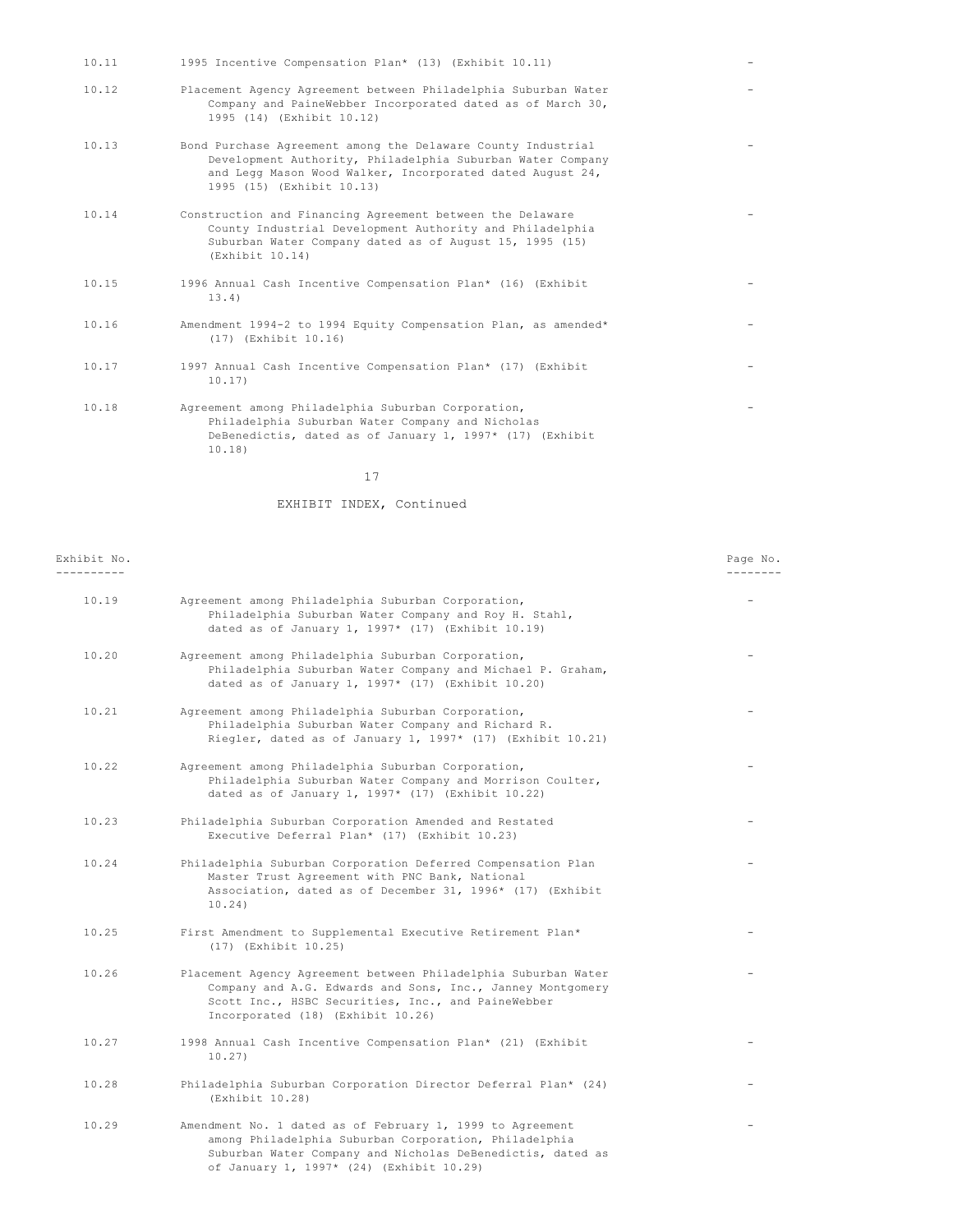| 10.11 | 1995 Incentive Compensation Plan* (13) (Exhibit 10.11)                                                                                                                                                               |
|-------|----------------------------------------------------------------------------------------------------------------------------------------------------------------------------------------------------------------------|
| 10.12 | Placement Agency Agreement between Philadelphia Suburban Water<br>Company and PaineWebber Incorporated dated as of March 30,<br>1995 (14) (Exhibit 10.12)                                                            |
| 10.13 | Bond Purchase Agreement among the Delaware County Industrial<br>Development Authority, Philadelphia Suburban Water Company<br>and Legg Mason Wood Walker, Incorporated dated August 24,<br>1995 (15) (Exhibit 10.13) |
| 10.14 | Construction and Financing Agreement between the Delaware<br>County Industrial Development Authority and Philadelphia<br>Suburban Water Company dated as of August 15, 1995 (15)<br>(Exhibit 10.14)                  |
| 10.15 | 1996 Annual Cash Incentive Compensation Plan* (16) (Exhibit<br>13.4)                                                                                                                                                 |
| 10.16 | Amendment 1994-2 to 1994 Equity Compensation Plan, as amended*<br>(17) (Exhibit 10.16)                                                                                                                               |
| 10.17 | 1997 Annual Cash Incentive Compensation Plan* (17) (Exhibit<br>10.17)                                                                                                                                                |
| 10.18 | Agreement among Philadelphia Suburban Corporation,<br>Philadelphia Suburban Water Company and Nicholas<br>DeBenedictis, dated as of January 1, 1997* (17) (Exhibit<br>10.18)                                         |

# EXHIBIT INDEX, Continued

| Exhibit No. |                                                                                                                                                                                                                              | Page No.<br>-------- |
|-------------|------------------------------------------------------------------------------------------------------------------------------------------------------------------------------------------------------------------------------|----------------------|
| 10.19       | Agreement among Philadelphia Suburban Corporation,<br>Philadelphia Suburban Water Company and Roy H. Stahl,<br>dated as of January 1, $1997*$ (17) (Exhibit 10.19)                                                           |                      |
| 10.20       | Agreement among Philadelphia Suburban Corporation,<br>Philadelphia Suburban Water Company and Michael P. Graham,<br>dated as of January 1, $1997*$ (17) (Exhibit 10.20)                                                      |                      |
| 10.21       | Agreement among Philadelphia Suburban Corporation,<br>Philadelphia Suburban Water Company and Richard R.<br>Riegler, dated as of January 1, 1997* (17) (Exhibit 10.21)                                                       |                      |
| 10.22       | Agreement among Philadelphia Suburban Corporation,<br>Philadelphia Suburban Water Company and Morrison Coulter,<br>dated as of January 1, $1997*$ (17) (Exhibit 10.22)                                                       |                      |
| 10.23       | Philadelphia Suburban Corporation Amended and Restated<br>Executive Deferral Plan* (17) (Exhibit 10.23)                                                                                                                      |                      |
| 10.24       | Philadelphia Suburban Corporation Deferred Compensation Plan<br>Master Trust Agreement with PNC Bank, National<br>Association, dated as of December 31, 1996* (17) (Exhibit<br>10.24)                                        |                      |
| 10.25       | First Amendment to Supplemental Executive Retirement Plan*<br>(17) (Exhibit 10.25)                                                                                                                                           |                      |
| 10.26       | Placement Agency Agreement between Philadelphia Suburban Water<br>Company and A.G. Edwards and Sons, Inc., Janney Montgomery<br>Scott Inc., HSBC Securities, Inc., and PaineWebber<br>Incorporated (18) (Exhibit 10.26)      |                      |
| 10.27       | 1998 Annual Cash Incentive Compensation Plan* (21) (Exhibit<br>10.27                                                                                                                                                         |                      |
| 10.28       | Philadelphia Suburban Corporation Director Deferral Plan* (24)<br>(Exhibit 10.28)                                                                                                                                            |                      |
| 10.29       | Amendment No. 1 dated as of February 1, 1999 to Agreement<br>among Philadelphia Suburban Corporation, Philadelphia<br>Suburban Water Company and Nicholas DeBenedictis, dated as<br>of January 1, 1997* (24) (Exhibit 10.29) |                      |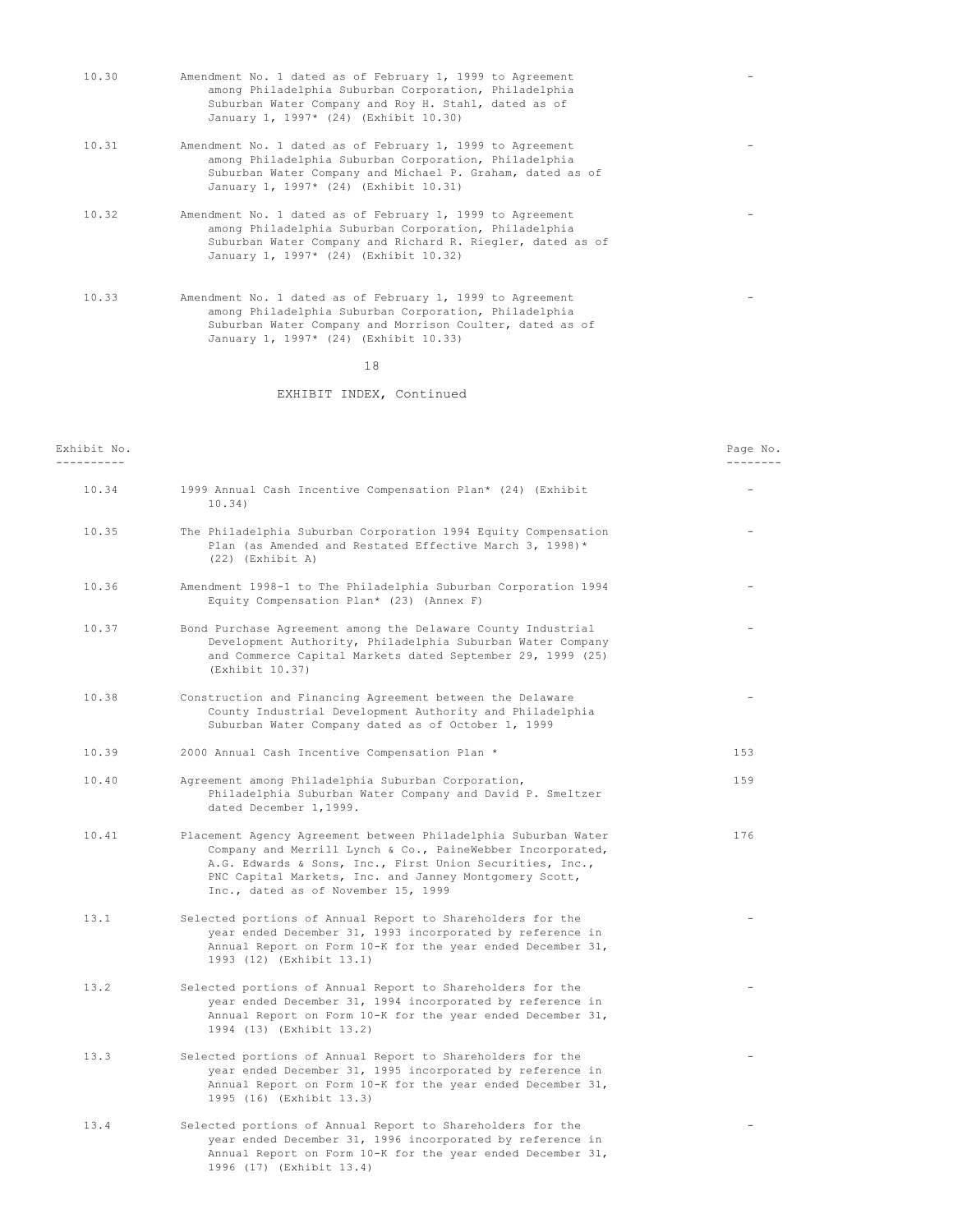- 10.30 Amendment No. 1 dated as of February 1, 1999 to Agreement among Philadelphia Suburban Corporation, Philadelphia Suburban Water Company and Roy H. Stahl, dated as of January 1, 1997\* (24) (Exhibit 10.30)
- 10.31 Amendment No. 1 dated as of February 1, 1999 to Agreement among Philadelphia Suburban Corporation, Philadelphia Suburban Water Company and Michael P. Graham, dated as of January 1, 1997\* (24) (Exhibit 10.31)
- 10.32 Amendment No. 1 dated as of February 1, 1999 to Agreement among Philadelphia Suburban Corporation, Philadelphia Suburban Water Company and Richard R. Riegler, dated as of January 1, 1997\* (24) (Exhibit 10.32)
- 10.33 Amendment No. 1 dated as of February 1, 1999 to Agreement among Philadelphia Suburban Corporation, Philadelphia Suburban Water Company and Morrison Coulter, dated as of January 1, 1997\* (24) (Exhibit 10.33)

## EXHIBIT INDEX, Continued

| Exhibit No.<br>-------- |                                                                                                                                                                                                                                                                                           | Page No.<br>--------- |
|-------------------------|-------------------------------------------------------------------------------------------------------------------------------------------------------------------------------------------------------------------------------------------------------------------------------------------|-----------------------|
| 10.34                   | 1999 Annual Cash Incentive Compensation Plan* (24) (Exhibit<br>10.34)                                                                                                                                                                                                                     |                       |
| 10.35                   | The Philadelphia Suburban Corporation 1994 Equity Compensation<br>Plan (as Amended and Restated Effective March 3, 1998)*<br>$(22)$ (Exhibit A)                                                                                                                                           |                       |
| 10.36                   | Amendment 1998-1 to The Philadelphia Suburban Corporation 1994<br>Equity Compensation Plan* (23) (Annex F)                                                                                                                                                                                |                       |
| 10.37                   | Bond Purchase Agreement among the Delaware County Industrial<br>Development Authority, Philadelphia Suburban Water Company<br>and Commerce Capital Markets dated September 29, 1999 (25)<br>(Exhibit 10.37)                                                                               |                       |
| 10.38                   | Construction and Financing Agreement between the Delaware<br>County Industrial Development Authority and Philadelphia<br>Suburban Water Company dated as of October 1, 1999                                                                                                               |                       |
| 10.39                   | 2000 Annual Cash Incentive Compensation Plan *                                                                                                                                                                                                                                            | 153                   |
| 10.40                   | Agreement among Philadelphia Suburban Corporation,<br>Philadelphia Suburban Water Company and David P. Smeltzer<br>dated December 1, 1999.                                                                                                                                                | 159                   |
| 10.41                   | Placement Agency Agreement between Philadelphia Suburban Water<br>Company and Merrill Lynch & Co., PaineWebber Incorporated,<br>A.G. Edwards & Sons, Inc., First Union Securities, Inc.,<br>PNC Capital Markets, Inc. and Janney Montgomery Scott,<br>Inc., dated as of November 15, 1999 | 176                   |
| 13.1                    | Selected portions of Annual Report to Shareholders for the<br>year ended December 31, 1993 incorporated by reference in<br>Annual Report on Form 10-K for the year ended December 31,<br>1993 (12) (Exhibit 13.1)                                                                         |                       |
| 13.2                    | Selected portions of Annual Report to Shareholders for the<br>year ended December 31, 1994 incorporated by reference in<br>Annual Report on Form 10-K for the year ended December 31,<br>1994 (13) (Exhibit 13.2)                                                                         |                       |
| 13.3                    | Selected portions of Annual Report to Shareholders for the<br>year ended December 31, 1995 incorporated by reference in<br>Annual Report on Form 10-K for the year ended December 31,<br>1995 (16) (Exhibit 13.3)                                                                         |                       |
| 13.4                    | Selected portions of Annual Report to Shareholders for the<br>year ended December 31, 1996 incorporated by reference in<br>Annual Report on Form 10-K for the year ended December 31,<br>1996 (17) (Exhibit 13.4)                                                                         |                       |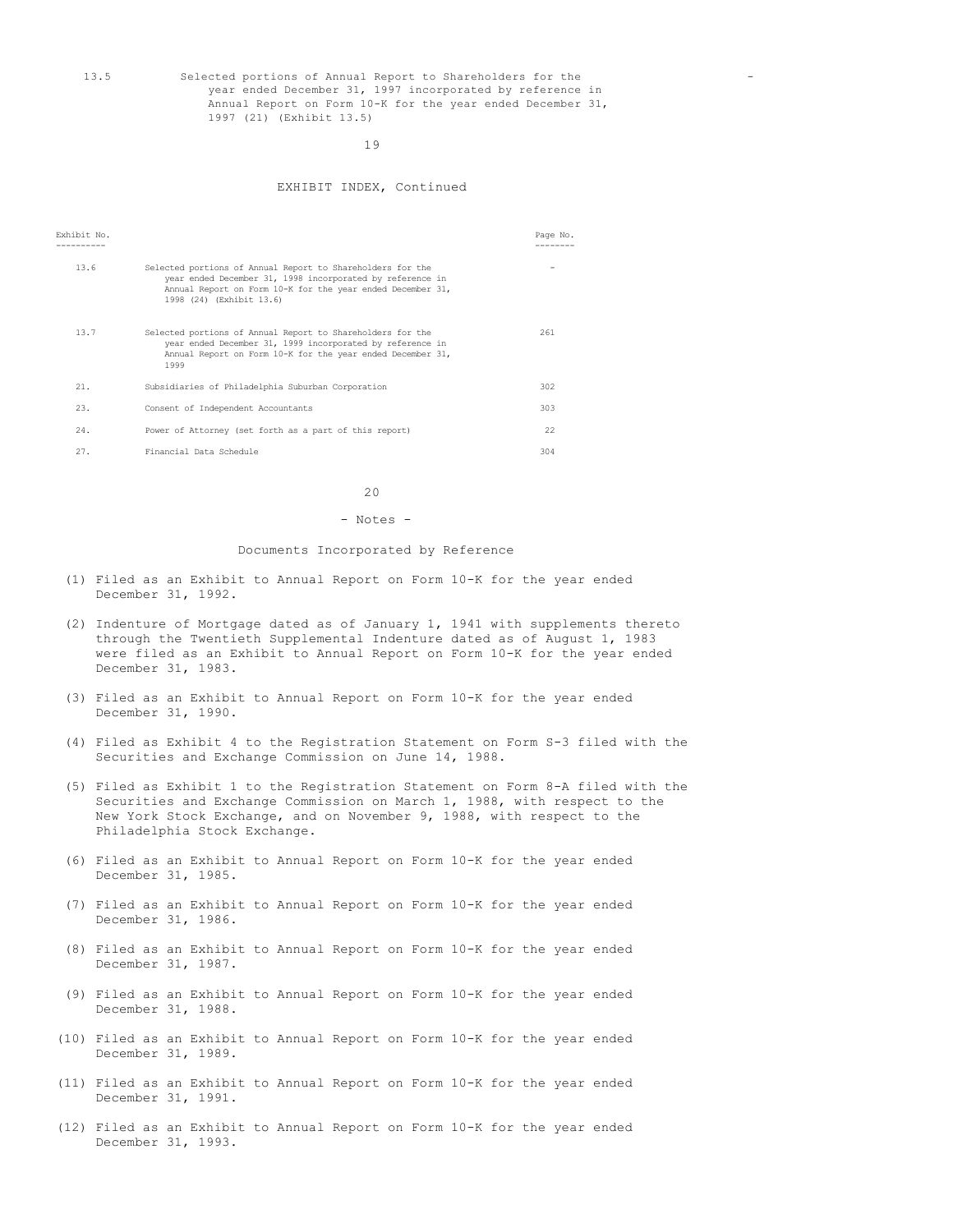13.5 Selected portions of Annual Report to Shareholders for the year ended December 31, 1997 incorporated by reference in Annual Report on Form 10-K for the year ended December 31, 1997 (21) (Exhibit 13.5)

## 19

# EXHIBIT INDEX, Continued

| Exhibit No. |                                                                                                                                                                                                                   | Page No. |
|-------------|-------------------------------------------------------------------------------------------------------------------------------------------------------------------------------------------------------------------|----------|
| 13.6        | Selected portions of Annual Report to Shareholders for the<br>year ended December 31, 1998 incorporated by reference in<br>Annual Report on Form 10-K for the year ended December 31,<br>1998 (24) (Exhibit 13.6) |          |
| 13.7        | Selected portions of Annual Report to Shareholders for the<br>year ended December 31, 1999 incorporated by reference in<br>Annual Report on Form 10-K for the year ended December 31,<br>1999                     | 261      |
| 21.         | Subsidiaries of Philadelphia Suburban Corporation                                                                                                                                                                 | 302      |
| 23.         | Consent of Independent Accountants                                                                                                                                                                                | 303      |
| 24.         | Power of Attorney (set forth as a part of this report)                                                                                                                                                            | 22       |
| 27.         | Financial Data Schedule                                                                                                                                                                                           | 304      |

## $20$

## - Notes -

## Documents Incorporated by Reference

- (1) Filed as an Exhibit to Annual Report on Form 10-K for the year ended December 31, 1992.
- (2) Indenture of Mortgage dated as of January 1, 1941 with supplements thereto through the Twentieth Supplemental Indenture dated as of August 1, 1983 were filed as an Exhibit to Annual Report on Form 10-K for the year ended December 31, 1983.
- (3) Filed as an Exhibit to Annual Report on Form 10-K for the year ended December 31, 1990.
- (4) Filed as Exhibit 4 to the Registration Statement on Form S-3 filed with the Securities and Exchange Commission on June 14, 1988.
- (5) Filed as Exhibit 1 to the Registration Statement on Form 8-A filed with the Securities and Exchange Commission on March 1, 1988, with respect to the New York Stock Exchange, and on November 9, 1988, with respect to the Philadelphia Stock Exchange.
- (6) Filed as an Exhibit to Annual Report on Form 10-K for the year ended December 31, 1985.
- (7) Filed as an Exhibit to Annual Report on Form 10-K for the year ended December 31, 1986.
- (8) Filed as an Exhibit to Annual Report on Form 10-K for the year ended December 31, 1987.
- (9) Filed as an Exhibit to Annual Report on Form 10-K for the year ended December 31, 1988.
- (10) Filed as an Exhibit to Annual Report on Form 10-K for the year ended December 31, 1989.
- (11) Filed as an Exhibit to Annual Report on Form 10-K for the year ended December 31, 1991.
- (12) Filed as an Exhibit to Annual Report on Form 10-K for the year ended December 31, 1993.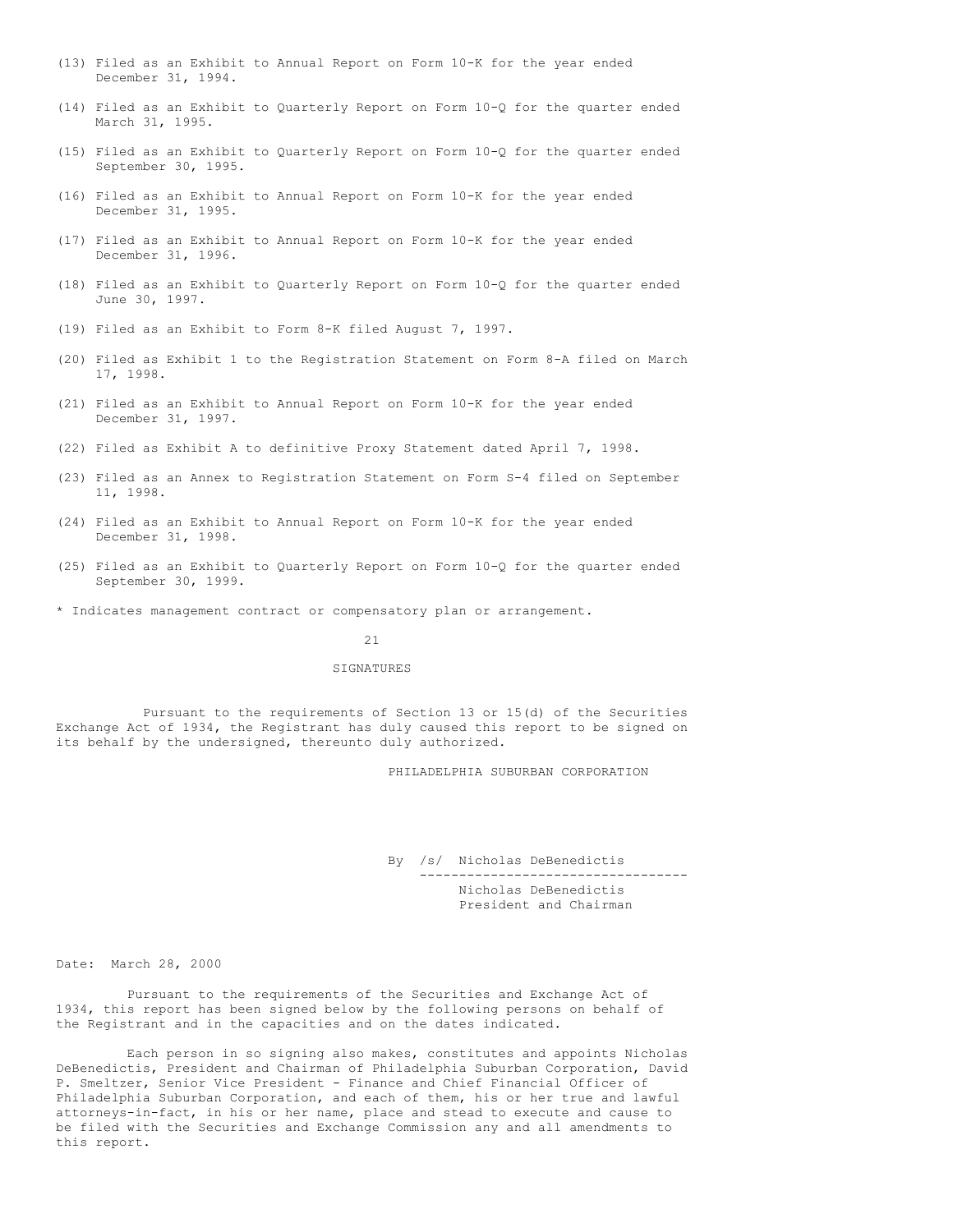- (13) Filed as an Exhibit to Annual Report on Form 10-K for the year ended December 31, 1994.
- (14) Filed as an Exhibit to Quarterly Report on Form 10-Q for the quarter ended March 31, 1995.
- (15) Filed as an Exhibit to Quarterly Report on Form 10-Q for the quarter ended September 30, 1995.
- (16) Filed as an Exhibit to Annual Report on Form 10-K for the year ended December 31, 1995.
- (17) Filed as an Exhibit to Annual Report on Form 10-K for the year ended December 31, 1996.
- (18) Filed as an Exhibit to Quarterly Report on Form 10-Q for the quarter ended June 30, 1997.
- (19) Filed as an Exhibit to Form 8-K filed August 7, 1997.
- (20) Filed as Exhibit 1 to the Registration Statement on Form 8-A filed on March 17, 1998.
- (21) Filed as an Exhibit to Annual Report on Form 10-K for the year ended December 31, 1997.
- (22) Filed as Exhibit A to definitive Proxy Statement dated April 7, 1998.
- (23) Filed as an Annex to Registration Statement on Form S-4 filed on September 11, 1998.
- (24) Filed as an Exhibit to Annual Report on Form 10-K for the year ended December 31, 1998.
- (25) Filed as an Exhibit to Quarterly Report on Form 10-Q for the quarter ended September 30, 1999.
- \* Indicates management contract or compensatory plan or arrangement.

## **SIGNATURES**

Pursuant to the requirements of Section 13 or 15(d) of the Securities Exchange Act of 1934, the Registrant has duly caused this report to be signed on its behalf by the undersigned, thereunto duly authorized.

PHILADELPHIA SUBURBAN CORPORATION

By /s/ Nicholas DeBenedictis ---------------------------------- Nicholas DeBenedictis President and Chairman

Date: March 28, 2000

Pursuant to the requirements of the Securities and Exchange Act of 1934, this report has been signed below by the following persons on behalf of the Registrant and in the capacities and on the dates indicated.

Each person in so signing also makes, constitutes and appoints Nicholas DeBenedictis, President and Chairman of Philadelphia Suburban Corporation, David P. Smeltzer, Senior Vice President - Finance and Chief Financial Officer of Philadelphia Suburban Corporation, and each of them, his or her true and lawful attorneys-in-fact, in his or her name, place and stead to execute and cause to be filed with the Securities and Exchange Commission any and all amendments to this report.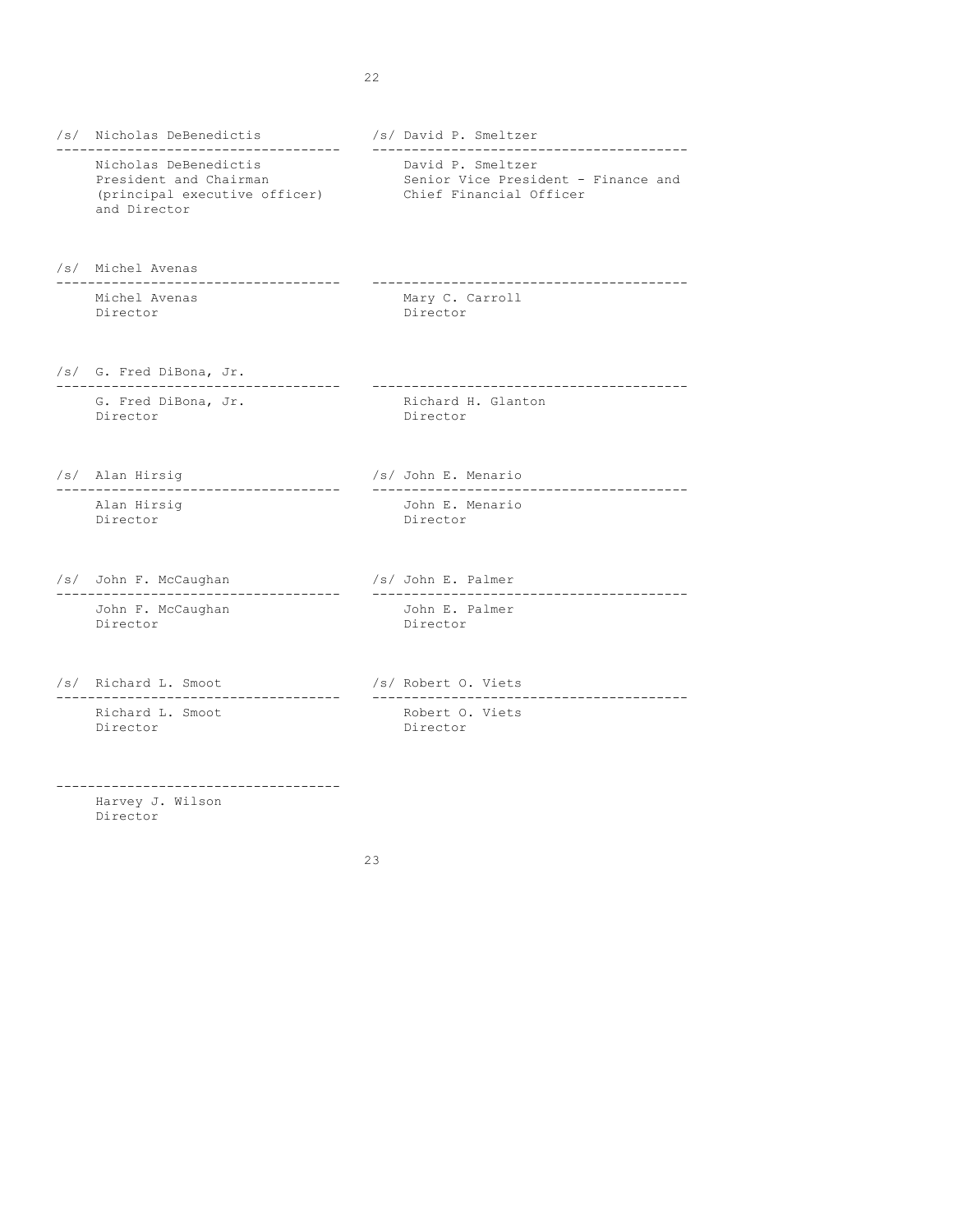/s/ Nicholas DeBenedictis /s/ David P. Smeltzer ------------------------------------ ---------------------------------------- Nicholas DeBenedictis<br>President and Chairman David P. Smeltzer<br>Senior Vice President - Finance and<br>Chief Financial Officer (principal executive officer) and Director /s/ Michel Avenas ------------------------------------ ---------------------------------------- Michel Avenas (Mary C. Carroll Mary C. Carroll<br>Director Director /s/ G. Fred DiBona, Jr. ------------------------------------ ---------------------------------------- G. Fred DiBona, Jr. Richard H. Glanton Director Director /s/ Alan Hirsig /s/ John E. Menario ------------------------------------ ---------------------------------------- Alan Hirsig John E. Menario Director /s/ John F. McCaughan /s/ John E. Palmer ------------------------------------ ---------------------------------------- John F. McCaughan<br>Director Director /s/ Richard L. Smoot /s/ Robert O. Viets ------------------------------------ ---------------------------------------- Richard L. Smoot<br>Director Director ------------------------------------

Harvey J. Wilson Director

23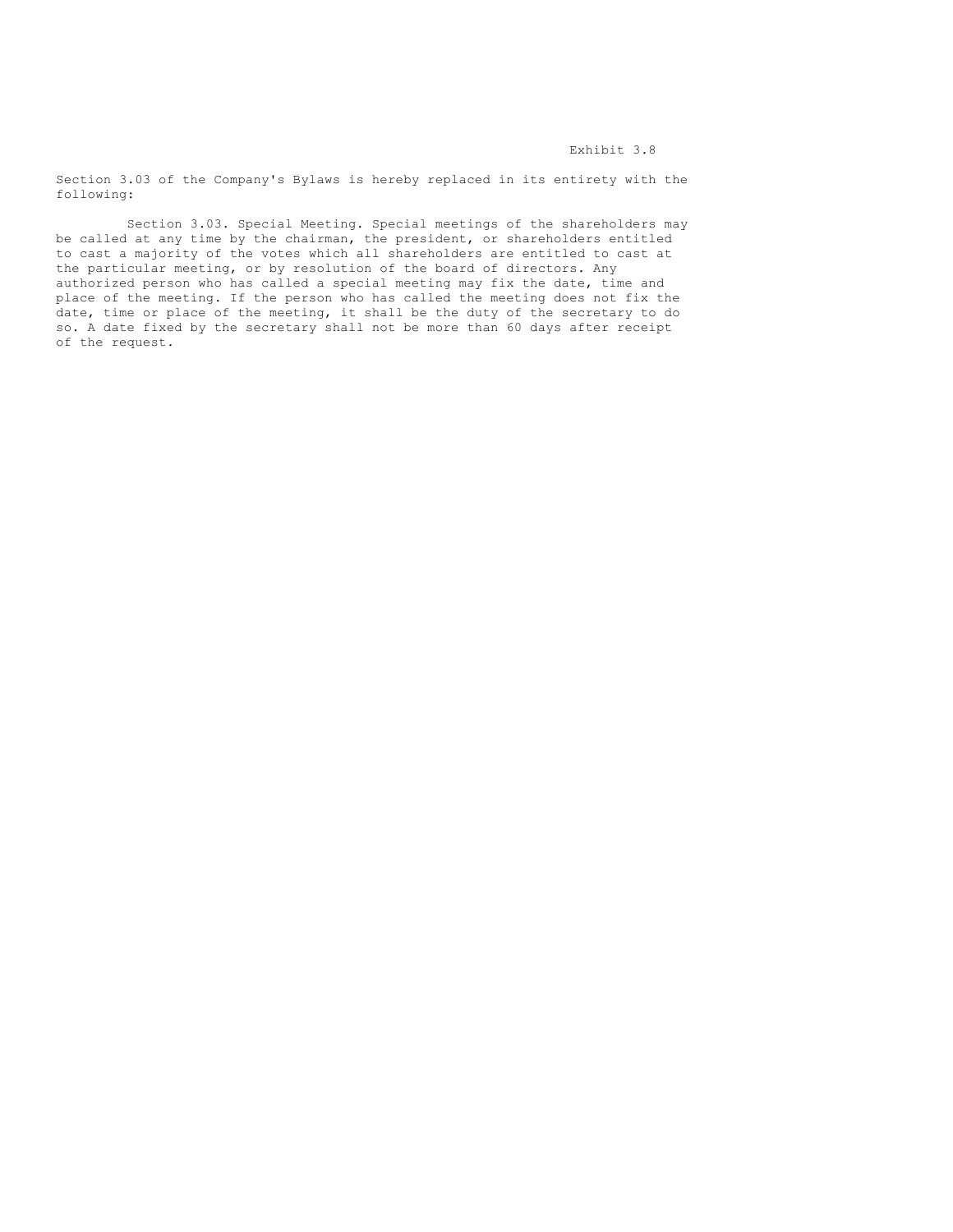Exhibit 3.8

Section 3.03 of the Company's Bylaws is hereby replaced in its entirety with the following:

Section 3.03. Special Meeting. Special meetings of the shareholders may be called at any time by the chairman, the president, or shareholders entitled to cast a majority of the votes which all shareholders are entitled to cast at the particular meeting, or by resolution of the board of directors. Any authorized person who has called a special meeting may fix the date, time and place of the meeting. If the person who has called the meeting does not fix the date, time or place of the meeting, it shall be the duty of the secretary to do so. A date fixed by the secretary shall not be more than 60 days after receipt of the request.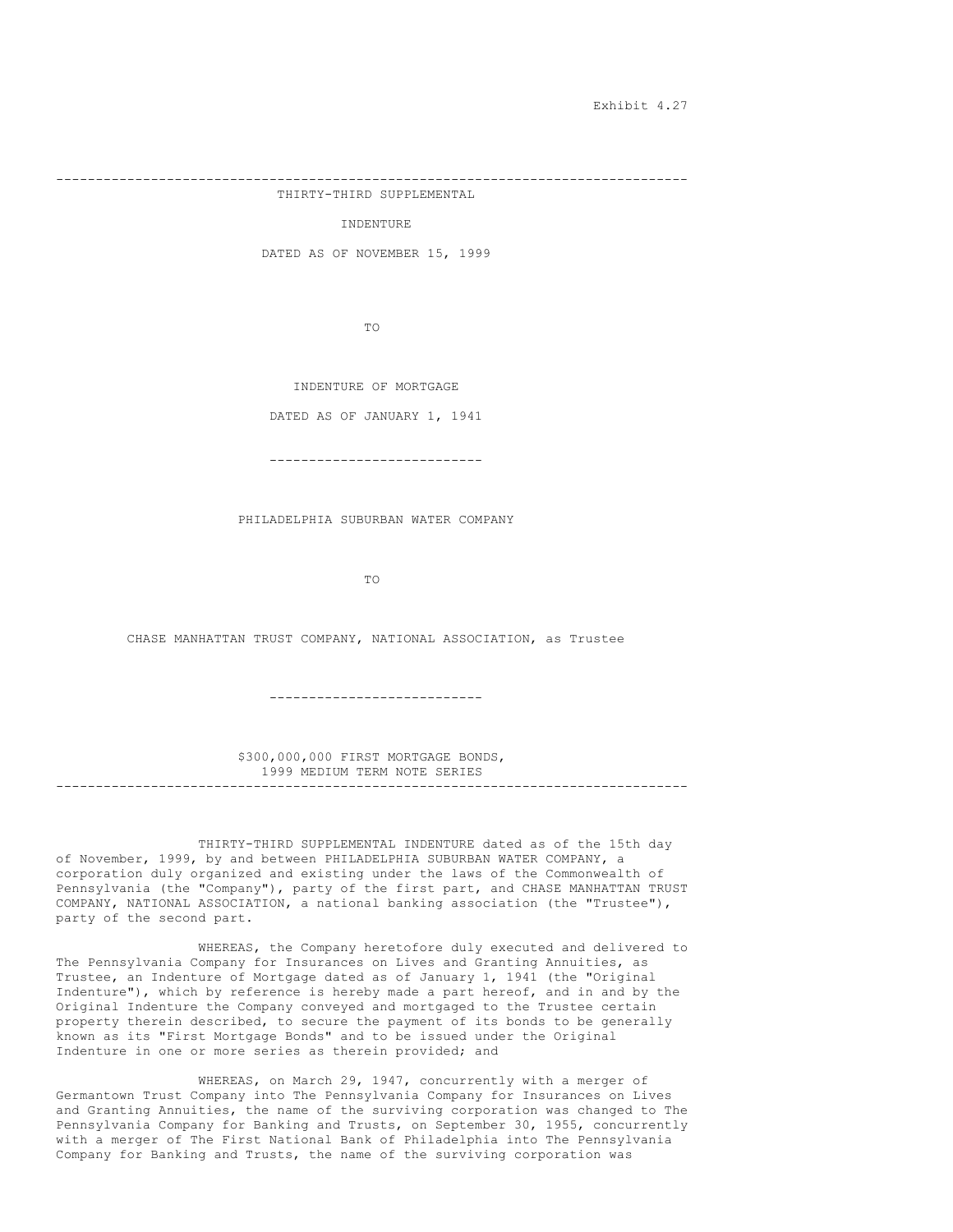Exhibit 4.27

--------------------------------------------------------------------------------

THIRTY-THIRD SUPPLEMENTAL

INDENTURE

DATED AS OF NOVEMBER 15, 1999

TO

INDENTURE OF MORTGAGE

DATED AS OF JANUARY 1, 1941

---------------------------

PHILADELPHIA SUBURBAN WATER COMPANY

TO

CHASE MANHATTAN TRUST COMPANY, NATIONAL ASSOCIATION, as Trustee

---------------------------

\$300,000,000 FIRST MORTGAGE BONDS, 1999 MEDIUM TERM NOTE SERIES --------------------------------------------------------------------------------

THIRTY-THIRD SUPPLEMENTAL INDENTURE dated as of the 15th day of November, 1999, by and between PHILADELPHIA SUBURBAN WATER COMPANY, a corporation duly organized and existing under the laws of the Commonwealth of Pennsylvania (the "Company"), party of the first part, and CHASE MANHATTAN TRUST COMPANY, NATIONAL ASSOCIATION, a national banking association (the "Trustee"), party of the second part.

WHEREAS, the Company heretofore duly executed and delivered to The Pennsylvania Company for Insurances on Lives and Granting Annuities, as Trustee, an Indenture of Mortgage dated as of January 1, 1941 (the "Original Indenture"), which by reference is hereby made a part hereof, and in and by the Original Indenture the Company conveyed and mortgaged to the Trustee certain property therein described, to secure the payment of its bonds to be generally known as its "First Mortgage Bonds" and to be issued under the Original Indenture in one or more series as therein provided; and

WHEREAS, on March 29, 1947, concurrently with a merger of Germantown Trust Company into The Pennsylvania Company for Insurances on Lives and Granting Annuities, the name of the surviving corporation was changed to The Pennsylvania Company for Banking and Trusts, on September 30, 1955, concurrently with a merger of The First National Bank of Philadelphia into The Pennsylvania Company for Banking and Trusts, the name of the surviving corporation was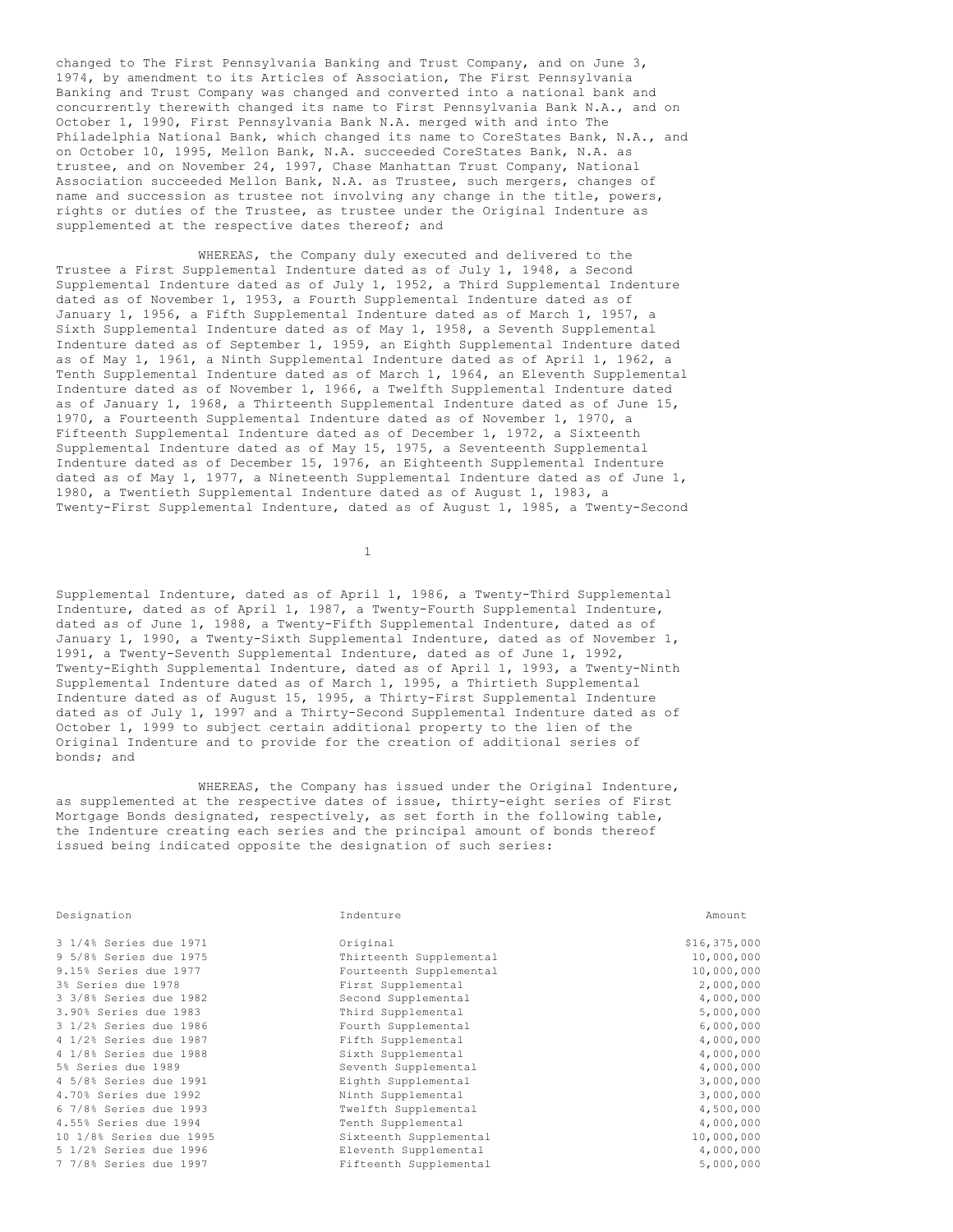changed to The First Pennsylvania Banking and Trust Company, and on June 3, 1974, by amendment to its Articles of Association, The First Pennsylvania Banking and Trust Company was changed and converted into a national bank and concurrently therewith changed its name to First Pennsylvania Bank N.A., and on October 1, 1990, First Pennsylvania Bank N.A. merged with and into The Philadelphia National Bank, which changed its name to CoreStates Bank, N.A., and on October 10, 1995, Mellon Bank, N.A. succeeded CoreStates Bank, N.A. as trustee, and on November 24, 1997, Chase Manhattan Trust Company, National Association succeeded Mellon Bank, N.A. as Trustee, such mergers, changes of name and succession as trustee not involving any change in the title, powers, rights or duties of the Trustee, as trustee under the Original Indenture as supplemented at the respective dates thereof; and

WHEREAS, the Company duly executed and delivered to the Trustee a First Supplemental Indenture dated as of July 1, 1948, a Second Supplemental Indenture dated as of July 1, 1952, a Third Supplemental Indenture dated as of November 1, 1953, a Fourth Supplemental Indenture dated as of January 1, 1956, a Fifth Supplemental Indenture dated as of March 1, 1957, a Sixth Supplemental Indenture dated as of May 1, 1958, a Seventh Supplemental Indenture dated as of September 1, 1959, an Eighth Supplemental Indenture dated as of May 1, 1961, a Ninth Supplemental Indenture dated as of April 1, 1962, a Tenth Supplemental Indenture dated as of March 1, 1964, an Eleventh Supplemental Indenture dated as of November 1, 1966, a Twelfth Supplemental Indenture dated as of January 1, 1968, a Thirteenth Supplemental Indenture dated as of June 15, 1970, a Fourteenth Supplemental Indenture dated as of November 1, 1970, a Fifteenth Supplemental Indenture dated as of December 1, 1972, a Sixteenth Supplemental Indenture dated as of May 15, 1975, a Seventeenth Supplemental Indenture dated as of December 15, 1976, an Eighteenth Supplemental Indenture dated as of May 1, 1977, a Nineteenth Supplemental Indenture dated as of June 1, 1980, a Twentieth Supplemental Indenture dated as of August 1, 1983, a Twenty-First Supplemental Indenture, dated as of August 1, 1985, a Twenty-Second

1

Supplemental Indenture, dated as of April 1, 1986, a Twenty-Third Supplemental Indenture, dated as of April 1, 1987, a Twenty-Fourth Supplemental Indenture, dated as of June 1, 1988, a Twenty-Fifth Supplemental Indenture, dated as of January 1, 1990, a Twenty-Sixth Supplemental Indenture, dated as of November 1, 1991, a Twenty-Seventh Supplemental Indenture, dated as of June 1, 1992, Twenty-Eighth Supplemental Indenture, dated as of April 1, 1993, a Twenty-Ninth Supplemental Indenture dated as of March 1, 1995, a Thirtieth Supplemental Indenture dated as of August 15, 1995, a Thirty-First Supplemental Indenture dated as of July 1, 1997 and a Thirty-Second Supplemental Indenture dated as of October 1, 1999 to subject certain additional property to the lien of the Original Indenture and to provide for the creation of additional series of bonds; and

WHEREAS, the Company has issued under the Original Indenture, as supplemented at the respective dates of issue, thirty-eight series of First Mortgage Bonds designated, respectively, as set forth in the following table, the Indenture creating each series and the principal amount of bonds thereof issued being indicated opposite the designation of such series:

| Designation             | Indenture               | Amount       |
|-------------------------|-------------------------|--------------|
| 3 1/4% Series due 1971  | Original                | \$16,375,000 |
| 9 5/8% Series due 1975  | Thirteenth Supplemental | 10,000,000   |
| 9.15% Series due 1977   | Fourteenth Supplemental | 10,000,000   |
| 3% Series due 1978      | First Supplemental      | 2,000,000    |
| 3 3/8% Series due 1982  | Second Supplemental     | 4,000,000    |
| 3.90% Series due 1983   | Third Supplemental      | 5,000,000    |
| 3 1/2% Series due 1986  | Fourth Supplemental     | 6,000,000    |
| 4 1/2% Series due 1987  | Fifth Supplemental      | 4,000,000    |
| 4 1/8% Series due 1988  | Sixth Supplemental      | 4,000,000    |
| 5% Series due 1989      | Seventh Supplemental    | 4,000,000    |
| 4 5/8% Series due 1991  | Eighth Supplemental     | 3,000,000    |
| 4.70% Series due 1992   | Ninth Supplemental      | 3,000,000    |
| 6 7/8% Series due 1993  | Twelfth Supplemental    | 4,500,000    |
| 4.55% Series due 1994   | Tenth Supplemental      | 4,000,000    |
| 10 1/8% Series due 1995 | Sixteenth Supplemental  | 10,000,000   |
| 5 1/2% Series due 1996  | Eleventh Supplemental   | 4,000,000    |
| 7 7/8% Series due 1997  | Fifteenth Supplemental  | 5,000,000    |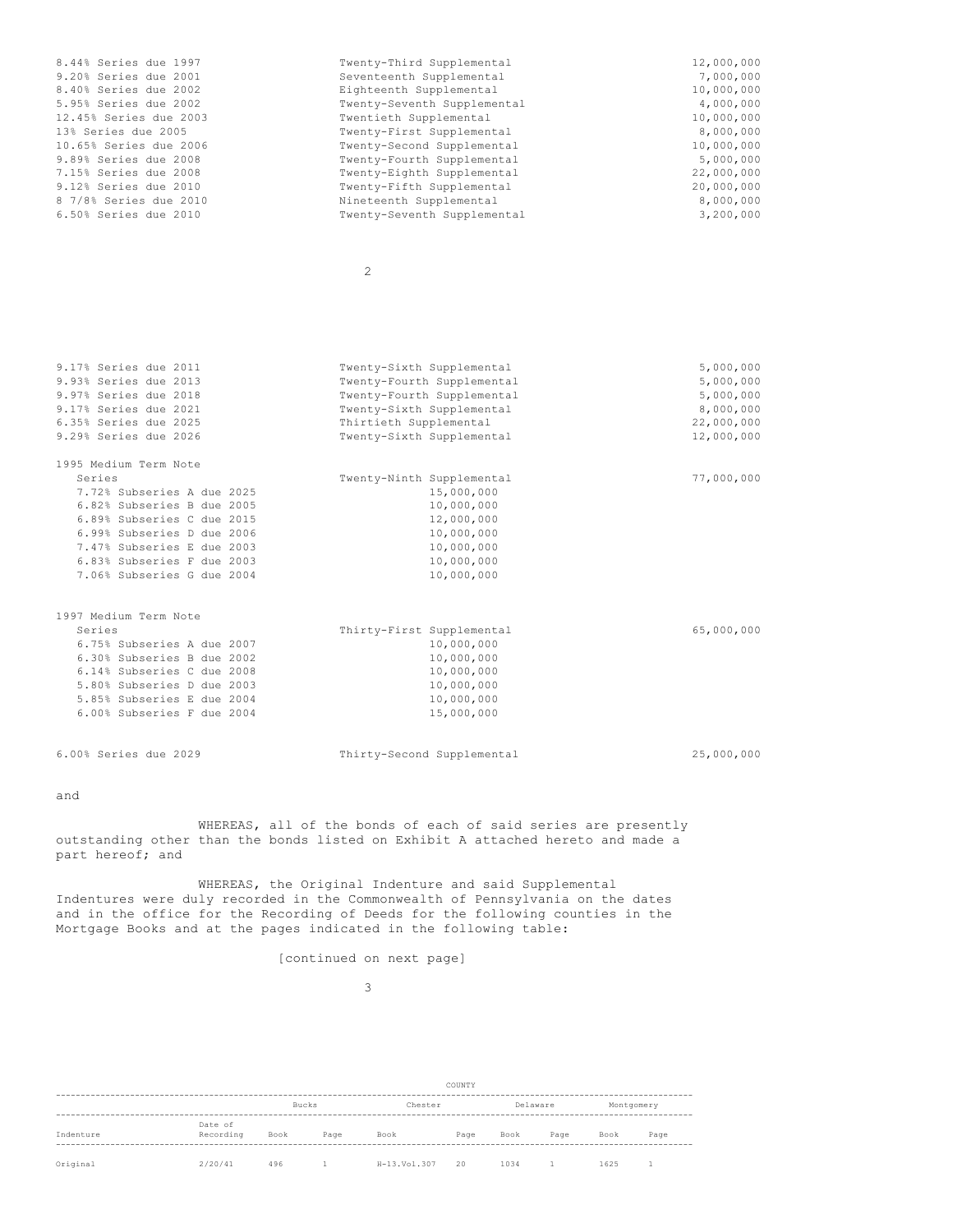| 8.44% Series due 1997<br>9.20% Series due 2001<br>8.40% Series due 2002<br>5.95% Series due 2002<br>12.45% Series due 2003<br>13% Series due 2005<br>10.65% Series due 2006<br>9.89% Series due 2008<br>7.15% Series due 2008<br>9.12% Series due 2010<br>8 7/8% Series due 2010<br>6.50% Series due 2010 | Twenty-Third Supplemental<br>Seventeenth Supplemental<br>Eighteenth Supplemental<br>Twenty-Seventh Supplemental<br>Twentieth Supplemental<br>Twenty-First Supplemental<br>Twenty-Second Supplemental<br>Twenty-Fourth Supplemental<br>Twenty-Eighth Supplemental<br>Twenty-Fifth Supplemental<br>Nineteenth Supplemental<br>Twenty-Seventh Supplemental | 12,000,000<br>7,000,000<br>10,000,000<br>4,000,000<br>10,000,000<br>8,000,000<br>10,000,000<br>5,000,000<br>22,000,000<br>20,000,000<br>8,000,000<br>3,200,000 |
|-----------------------------------------------------------------------------------------------------------------------------------------------------------------------------------------------------------------------------------------------------------------------------------------------------------|---------------------------------------------------------------------------------------------------------------------------------------------------------------------------------------------------------------------------------------------------------------------------------------------------------------------------------------------------------|----------------------------------------------------------------------------------------------------------------------------------------------------------------|
|                                                                                                                                                                                                                                                                                                           | 2                                                                                                                                                                                                                                                                                                                                                       |                                                                                                                                                                |
|                                                                                                                                                                                                                                                                                                           |                                                                                                                                                                                                                                                                                                                                                         |                                                                                                                                                                |
|                                                                                                                                                                                                                                                                                                           |                                                                                                                                                                                                                                                                                                                                                         |                                                                                                                                                                |
| 9.17% Series due 2011<br>9.93% Series due 2013<br>9.97% Series due 2018<br>9.17% Series due 2021<br>6.35% Series due 2025<br>9.29% Series due 2026                                                                                                                                                        | Twenty-Sixth Supplemental<br>Twenty-Fourth Supplemental<br>Twenty-Fourth Supplemental<br>Twenty-Sixth Supplemental<br>Thirtieth Supplemental<br>Twenty-Sixth Supplemental                                                                                                                                                                               | 5,000,000<br>5,000,000<br>5,000,000<br>8,000,000<br>22,000,000<br>12,000,000                                                                                   |
| 1995 Medium Term Note                                                                                                                                                                                                                                                                                     |                                                                                                                                                                                                                                                                                                                                                         |                                                                                                                                                                |
| Series<br>7.72% Subseries A due 2025<br>6.82% Subseries B due 2005<br>6.89% Subseries C due 2015<br>6.99% Subseries D due 2006<br>7.47% Subseries E due 2003<br>6.83% Subseries F due 2003<br>7.06% Subseries G due 2004                                                                                  | Twenty-Ninth Supplemental<br>15,000,000<br>10,000,000<br>12,000,000<br>10,000,000<br>10,000,000<br>10,000,000<br>10,000,000                                                                                                                                                                                                                             | 77,000,000                                                                                                                                                     |
| 1997 Medium Term Note                                                                                                                                                                                                                                                                                     |                                                                                                                                                                                                                                                                                                                                                         |                                                                                                                                                                |
| Series<br>6.75% Subseries A due 2007<br>6.30% Subseries B due 2002<br>6.14% Subseries C due 2008<br>5.80% Subseries D due 2003<br>5.85% Subseries E due 2004<br>6.00% Subseries F due 2004                                                                                                                | Thirty-First Supplemental<br>10,000,000<br>10,000,000<br>10,000,000<br>10,000,000<br>10,000,000<br>15,000,000                                                                                                                                                                                                                                           | 65,000,000                                                                                                                                                     |
| 6.00% Series due 2029                                                                                                                                                                                                                                                                                     | Thirty-Second Supplemental                                                                                                                                                                                                                                                                                                                              | 25,000,000                                                                                                                                                     |
| and                                                                                                                                                                                                                                                                                                       |                                                                                                                                                                                                                                                                                                                                                         |                                                                                                                                                                |

WHEREAS, all of the bonds of each of said series are presently outstanding other than the bonds listed on Exhibit A attached hereto and made a part hereof; and

WHEREAS, the Original Indenture and said Supplemental Indentures were duly recorded in the Commonwealth of Pennsylvania on the dates and in the office for the Recording of Deeds for the following counties in the Mortgage Books and at the pages indicated in the following table:

[continued on next page]

3

|           |                      | COUNTY |      |              |          |      |      |            |      |
|-----------|----------------------|--------|------|--------------|----------|------|------|------------|------|
|           |                      | Bucks  |      | Chester      | Delaware |      |      | Montgomery |      |
| Indenture | Date of<br>Recording | Book   | Page | Book         | Page     | Book | Page | Book       | Page |
| Original  | 2/20/41              | 496    |      | H-13.Vol.307 | 20       | 1034 |      | 1625       |      |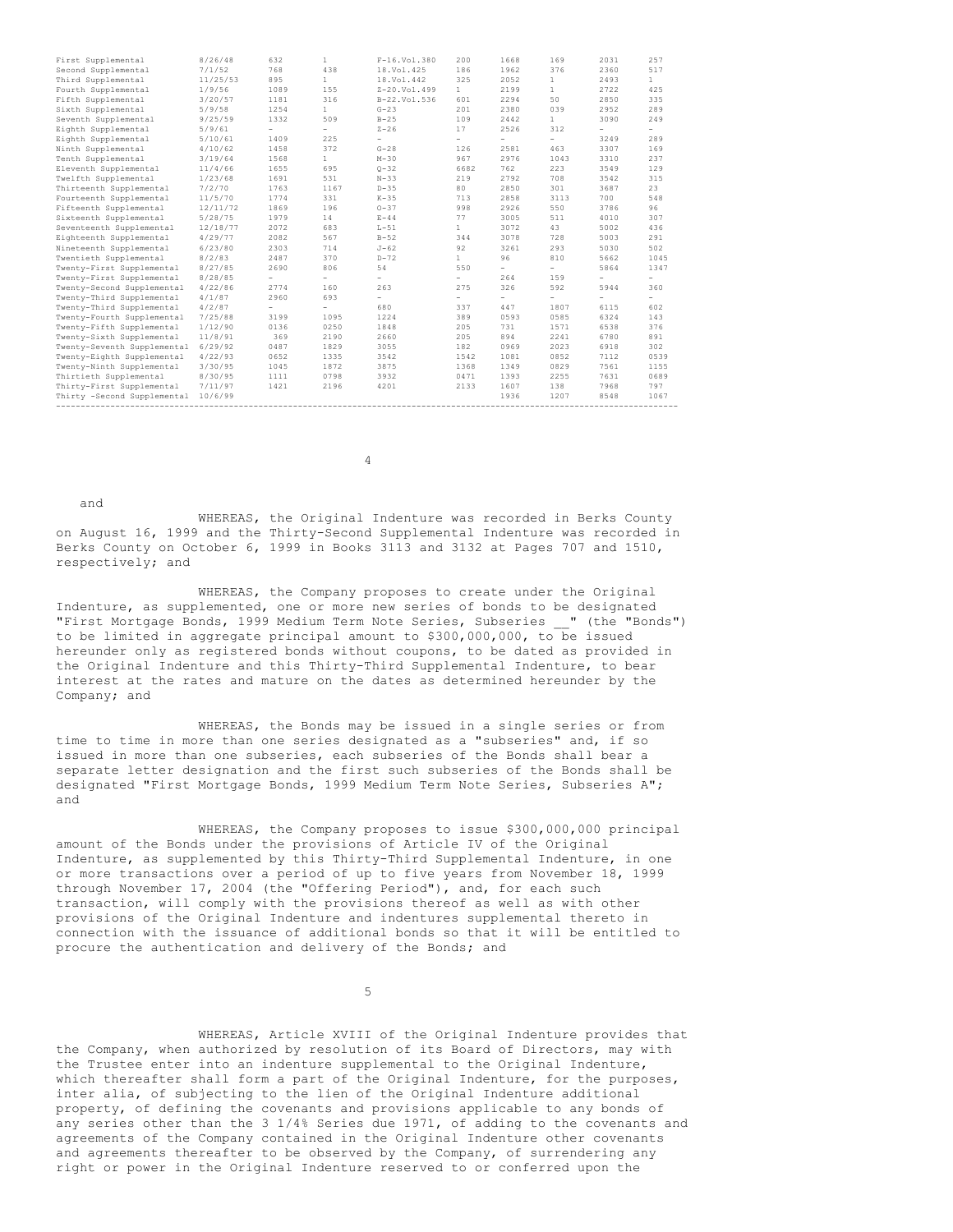| First Supplemental          | 8/26/48  | 632                      | п.                       | $F-16. Vol. 380$         | 200                      | 1668                     | 169                      | 2031                     | 257                      |
|-----------------------------|----------|--------------------------|--------------------------|--------------------------|--------------------------|--------------------------|--------------------------|--------------------------|--------------------------|
| Second Supplemental         | 7/1/52   | 768                      | 438                      | 18.Vol.425               | 186                      | 1962                     | 376                      | 2360                     | 517                      |
| Third Supplemental          | 11/25/53 | 895                      | $\mathbf{1}$             | 18.Vol.442               | 325                      | 2052                     | $\mathbf{1}$             | 2493                     | $\mathbf{1}$             |
| Fourth Supplemental         | 1/9/56   | 1089                     | 155                      | $Z - 20.Vol.499$         | $\mathbf{1}$             | 2199                     | 1.                       | 2722                     | 425                      |
| Fifth Supplemental          | 3/20/57  | 1181                     | 316                      | B-22.Vol.536             | 601                      | 2294                     | 50                       | 2850                     | 335                      |
| Sixth Supplemental          | 5/9/58   | 1254                     | $\mathbf{1}$             | $G - 23$                 | 201                      | 2380                     | 039                      | 2952                     | 289                      |
| Seventh Supplemental        | 9/25/59  | 1332                     | 509                      | $B-25$                   | 109                      | 2442                     | $\mathbf{1}$             | 3090                     | 249                      |
| Eighth Supplemental         | 5/9/61   | $\overline{a}$           | ÷                        | $Z - 26$                 | 17                       | 2526                     | 312                      | $\overline{\phantom{0}}$ | $\overline{\phantom{0}}$ |
| Eighth Supplemental         | 5/10/61  | 1409                     | 225                      | ۰                        | $\overline{\phantom{0}}$ | ۰                        | $\overline{\phantom{a}}$ | 3249                     | 289                      |
| Ninth Supplemental          | 4/10/62  | 1458                     | 372                      | $G-28$                   | 126                      | 2581                     | 463                      | 3307                     | 169                      |
| Tenth Supplemental          | 3/19/64  | 1568                     | $\mathbf{1}$             | $M-30$                   | 967                      | 2976                     | 1043                     | 3310                     | 237                      |
| Eleventh Supplemental       | 11/4/66  | 1655                     | 695                      | $Q - 32$                 | 6682                     | 762                      | 223                      | 3549                     | 129                      |
| Twelfth Supplemental        | 1/23/68  | 1691                     | 531                      | $N - 33$                 | 219                      | 2792                     | 708                      | 3542                     | 315                      |
| Thirteenth Supplemental     | 7/2/70   | 1763                     | 1167                     | $D-35$                   | 80                       | 2850                     | 301                      | 3687                     | 23                       |
| Fourteenth Supplemental     | 11/5/70  | 1774                     | 331                      | $K-35$                   | 713                      | 2858                     | 3113                     | 700                      | 548                      |
| Fifteenth Supplemental      | 12/11/72 | 1869                     | 196                      | $0 - 37$                 | 998                      | 2926                     | 550                      | 3786                     | 96                       |
| Sixteenth Supplemental      | 5/28/75  | 1979                     | 14                       | $E - 44$                 | 77                       | 3005                     | 511                      | 4010                     | 307                      |
| Seventeenth Supplemental    | 12/18/77 | 2072                     | 683                      | $L-51$                   | $\mathbf{1}$             | 3072                     | 43                       | 5002                     | 436                      |
| Eighteenth Supplemental     | 4/29/77  | 2082                     | 567                      | $B-52$                   | 344                      | 3078                     | 728                      | 5003                     | 291                      |
| Nineteenth Supplemental     | 6/23/80  | 2303                     | 714                      | $J - 62$                 | 92                       | 3261                     | 293                      | 5030                     | 502                      |
| Twentieth Supplemental      | 8/2/83   | 2487                     | 370                      | $D-72$                   | $\mathbf{1}$             | 96                       | 810                      | 5662                     | 1045                     |
| Twenty-First Supplemental   | 8/27/85  | 2690                     | 806                      | 54                       | 550                      | $\overline{a}$           | $\overline{a}$           | 5864                     | 1347                     |
| Twenty-First Supplemental   | 8/28/85  | ۰                        | $\overline{\phantom{0}}$ | $\overline{a}$           | $\overline{a}$           | 264                      | 159                      | ۰                        | $\overline{\phantom{0}}$ |
| Twenty-Second Supplemental  | 4/22/86  | 2774                     | 160                      | 263                      | 275                      | 326                      | 592                      | 5944                     | 360                      |
| Twenty-Third Supplemental   | 4/1/87   | 2960                     | 693                      | $\overline{\phantom{0}}$ | $\overline{\phantom{0}}$ | $\overline{\phantom{0}}$ | $\overline{\phantom{a}}$ | $\overline{a}$           | $\sim$                   |
| Twenty-Third Supplemental   | 4/2/87   | $\overline{\phantom{a}}$ | $\overline{a}$           | 680                      | 337                      | 447                      | 1807                     | 6115                     | 602                      |
| Twenty-Fourth Supplemental  | 7/25/88  | 3199                     | 1095                     | 1224                     | 389                      | 0593                     | 0585                     | 6324                     | 143                      |
| Twenty-Fifth Supplemental   | 1/12/90  | 0136                     | 0250                     | 1848                     | 205                      | 731                      | 1571                     | 6538                     | 376                      |
| Twenty-Sixth Supplemental   | 11/8/91  | 369                      | 2190                     | 2660                     | 205                      | 894                      | 2241                     | 6780                     | 891                      |
| Twenty-Seventh Supplemental | 6/29/92  | 0487                     | 1829                     | 3055                     | 182                      | 0969                     | 2023                     | 6918                     | 302                      |
| Twenty-Eighth Supplemental  | 4/22/93  | 0652                     | 1335                     | 3542                     | 1542                     | 1081                     | 0852                     | 7112                     | 0539                     |
| Twenty-Ninth Supplemental   | 3/30/95  | 1045                     | 1872                     | 3875                     | 1368                     | 1349                     | 0829                     | 7561                     | 1155                     |
| Thirtieth Supplemental      | 8/30/95  | 1111                     | 0798                     | 3932                     | 0471                     | 1393                     | 2255                     | 7631                     | 0689                     |
| Thirty-First Supplemental   | 7/11/97  | 1421                     | 2196                     | 4201                     | 2133                     | 1607                     | 138                      | 7968                     | 797                      |
| Thirty -Second Supplemental | 10/6/99  |                          |                          |                          |                          | 1936                     | 1207                     | 8548                     | 1067                     |
|                             |          |                          |                          |                          |                          |                          |                          |                          |                          |

and

WHEREAS, the Original Indenture was recorded in Berks County on August 16, 1999 and the Thirty-Second Supplemental Indenture was recorded in Berks County on October 6, 1999 in Books 3113 and 3132 at Pages 707 and 1510, respectively; and

WHEREAS, the Company proposes to create under the Original Indenture, as supplemented, one or more new series of bonds to be designated "First Mortgage Bonds, 1999 Medium Term Note Series, Subseries \_\_" (the "Bonds") to be limited in aggregate principal amount to \$300,000,000, to be issued hereunder only as registered bonds without coupons, to be dated as provided in the Original Indenture and this Thirty-Third Supplemental Indenture, to bear interest at the rates and mature on the dates as determined hereunder by the Company; and

WHEREAS, the Bonds may be issued in a single series or from time to time in more than one series designated as a "subseries" and, if so issued in more than one subseries, each subseries of the Bonds shall bear a separate letter designation and the first such subseries of the Bonds shall be designated "First Mortgage Bonds, 1999 Medium Term Note Series, Subseries A"; and

WHEREAS, the Company proposes to issue \$300,000,000 principal amount of the Bonds under the provisions of Article IV of the Original Indenture, as supplemented by this Thirty-Third Supplemental Indenture, in one or more transactions over a period of up to five years from November 18, 1999 through November 17, 2004 (the "Offering Period"), and, for each such transaction, will comply with the provisions thereof as well as with other provisions of the Original Indenture and indentures supplemental thereto in connection with the issuance of additional bonds so that it will be entitled to procure the authentication and delivery of the Bonds; and

5

WHEREAS, Article XVIII of the Original Indenture provides that the Company, when authorized by resolution of its Board of Directors, may with the Trustee enter into an indenture supplemental to the Original Indenture, which thereafter shall form a part of the Original Indenture, for the purposes, inter alia, of subjecting to the lien of the Original Indenture additional property, of defining the covenants and provisions applicable to any bonds of any series other than the 3 1/4% Series due 1971, of adding to the covenants and agreements of the Company contained in the Original Indenture other covenants and agreements thereafter to be observed by the Company, of surrendering any right or power in the Original Indenture reserved to or conferred upon the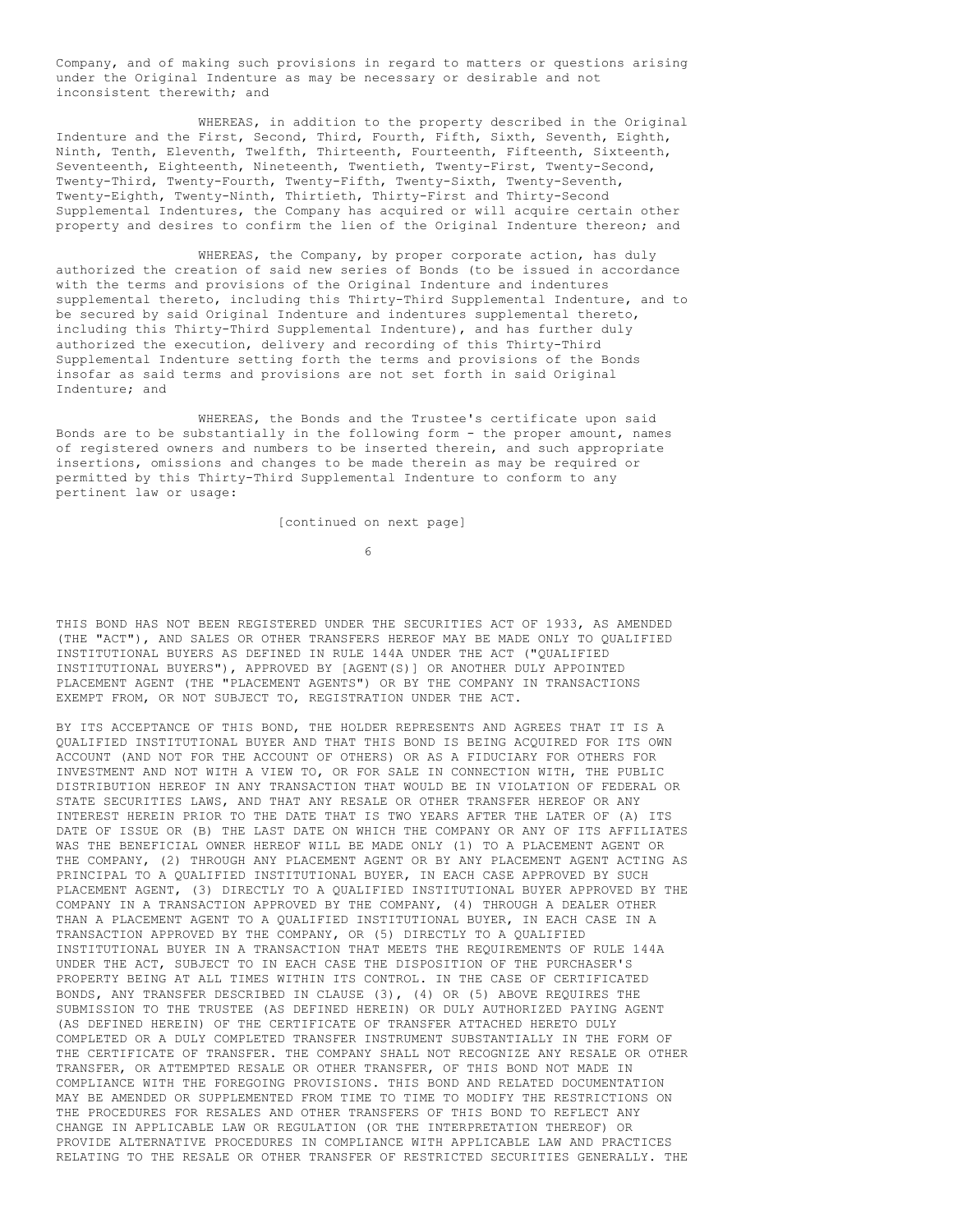Company, and of making such provisions in regard to matters or questions arising under the Original Indenture as may be necessary or desirable and not inconsistent therewith; and

WHEREAS, in addition to the property described in the Original Indenture and the First, Second, Third, Fourth, Fifth, Sixth, Seventh, Eighth, Ninth, Tenth, Eleventh, Twelfth, Thirteenth, Fourteenth, Fifteenth, Sixteenth, Seventeenth, Eighteenth, Nineteenth, Twentieth, Twenty-First, Twenty-Second, Twenty-Third, Twenty-Fourth, Twenty-Fifth, Twenty-Sixth, Twenty-Seventh, Twenty-Eighth, Twenty-Ninth, Thirtieth, Thirty-First and Thirty-Second Supplemental Indentures, the Company has acquired or will acquire certain other property and desires to confirm the lien of the Original Indenture thereon; and

WHEREAS, the Company, by proper corporate action, has duly authorized the creation of said new series of Bonds (to be issued in accordance with the terms and provisions of the Original Indenture and indentures supplemental thereto, including this Thirty-Third Supplemental Indenture, and to be secured by said Original Indenture and indentures supplemental thereto, including this Thirty-Third Supplemental Indenture), and has further duly authorized the execution, delivery and recording of this Thirty-Third Supplemental Indenture setting forth the terms and provisions of the Bonds insofar as said terms and provisions are not set forth in said Original Indenture; and

WHEREAS, the Bonds and the Trustee's certificate upon said Bonds are to be substantially in the following form - the proper amount, names of registered owners and numbers to be inserted therein, and such appropriate insertions, omissions and changes to be made therein as may be required or permitted by this Thirty-Third Supplemental Indenture to conform to any pertinent law or usage:

> [continued on next page] 6

THIS BOND HAS NOT BEEN REGISTERED UNDER THE SECURITIES ACT OF 1933, AS AMENDED (THE "ACT"), AND SALES OR OTHER TRANSFERS HEREOF MAY BE MADE ONLY TO QUALIFIED INSTITUTIONAL BUYERS AS DEFINED IN RULE 144A UNDER THE ACT ("QUALIFIED INSTITUTIONAL BUYERS"), APPROVED BY [AGENT(S)] OR ANOTHER DULY APPOINTED PLACEMENT AGENT (THE "PLACEMENT AGENTS") OR BY THE COMPANY IN TRANSACTIONS EXEMPT FROM, OR NOT SUBJECT TO, REGISTRATION UNDER THE ACT.

BY ITS ACCEPTANCE OF THIS BOND, THE HOLDER REPRESENTS AND AGREES THAT IT IS A QUALIFIED INSTITUTIONAL BUYER AND THAT THIS BOND IS BEING ACQUIRED FOR ITS OWN ACCOUNT (AND NOT FOR THE ACCOUNT OF OTHERS) OR AS A FIDUCIARY FOR OTHERS FOR INVESTMENT AND NOT WITH A VIEW TO, OR FOR SALE IN CONNECTION WITH, THE PUBLIC DISTRIBUTION HEREOF IN ANY TRANSACTION THAT WOULD BE IN VIOLATION OF FEDERAL OR STATE SECURITIES LAWS, AND THAT ANY RESALE OR OTHER TRANSFER HEREOF OR ANY INTEREST HEREIN PRIOR TO THE DATE THAT IS TWO YEARS AFTER THE LATER OF (A) ITS DATE OF ISSUE OR (B) THE LAST DATE ON WHICH THE COMPANY OR ANY OF ITS AFFILIATES WAS THE BENEFICIAL OWNER HEREOF WILL BE MADE ONLY (1) TO A PLACEMENT AGENT OR THE COMPANY, (2) THROUGH ANY PLACEMENT AGENT OR BY ANY PLACEMENT AGENT ACTING AS PRINCIPAL TO A QUALIFIED INSTITUTIONAL BUYER, IN EACH CASE APPROVED BY SUCH PLACEMENT AGENT, (3) DIRECTLY TO A QUALIFIED INSTITUTIONAL BUYER APPROVED BY THE COMPANY IN A TRANSACTION APPROVED BY THE COMPANY, (4) THROUGH A DEALER OTHER THAN A PLACEMENT AGENT TO A QUALIFIED INSTITUTIONAL BUYER, IN EACH CASE IN A TRANSACTION APPROVED BY THE COMPANY, OR (5) DIRECTLY TO A QUALIFIED INSTITUTIONAL BUYER IN A TRANSACTION THAT MEETS THE REQUIREMENTS OF RULE 144A UNDER THE ACT, SUBJECT TO IN EACH CASE THE DISPOSITION OF THE PURCHASER'S PROPERTY BEING AT ALL TIMES WITHIN ITS CONTROL. IN THE CASE OF CERTIFICATED BONDS, ANY TRANSFER DESCRIBED IN CLAUSE (3), (4) OR (5) ABOVE REQUIRES THE SUBMISSION TO THE TRUSTEE (AS DEFINED HEREIN) OR DULY AUTHORIZED PAYING AGENT (AS DEFINED HEREIN) OF THE CERTIFICATE OF TRANSFER ATTACHED HERETO DULY COMPLETED OR A DULY COMPLETED TRANSFER INSTRUMENT SUBSTANTIALLY IN THE FORM OF THE CERTIFICATE OF TRANSFER. THE COMPANY SHALL NOT RECOGNIZE ANY RESALE OR OTHER TRANSFER, OR ATTEMPTED RESALE OR OTHER TRANSFER, OF THIS BOND NOT MADE IN COMPLIANCE WITH THE FOREGOING PROVISIONS. THIS BOND AND RELATED DOCUMENTATION MAY BE AMENDED OR SUPPLEMENTED FROM TIME TO TIME TO MODIFY THE RESTRICTIONS ON THE PROCEDURES FOR RESALES AND OTHER TRANSFERS OF THIS BOND TO REFLECT ANY CHANGE IN APPLICABLE LAW OR REGULATION (OR THE INTERPRETATION THEREOF) OR PROVIDE ALTERNATIVE PROCEDURES IN COMPLIANCE WITH APPLICABLE LAW AND PRACTICES RELATING TO THE RESALE OR OTHER TRANSFER OF RESTRICTED SECURITIES GENERALLY. THE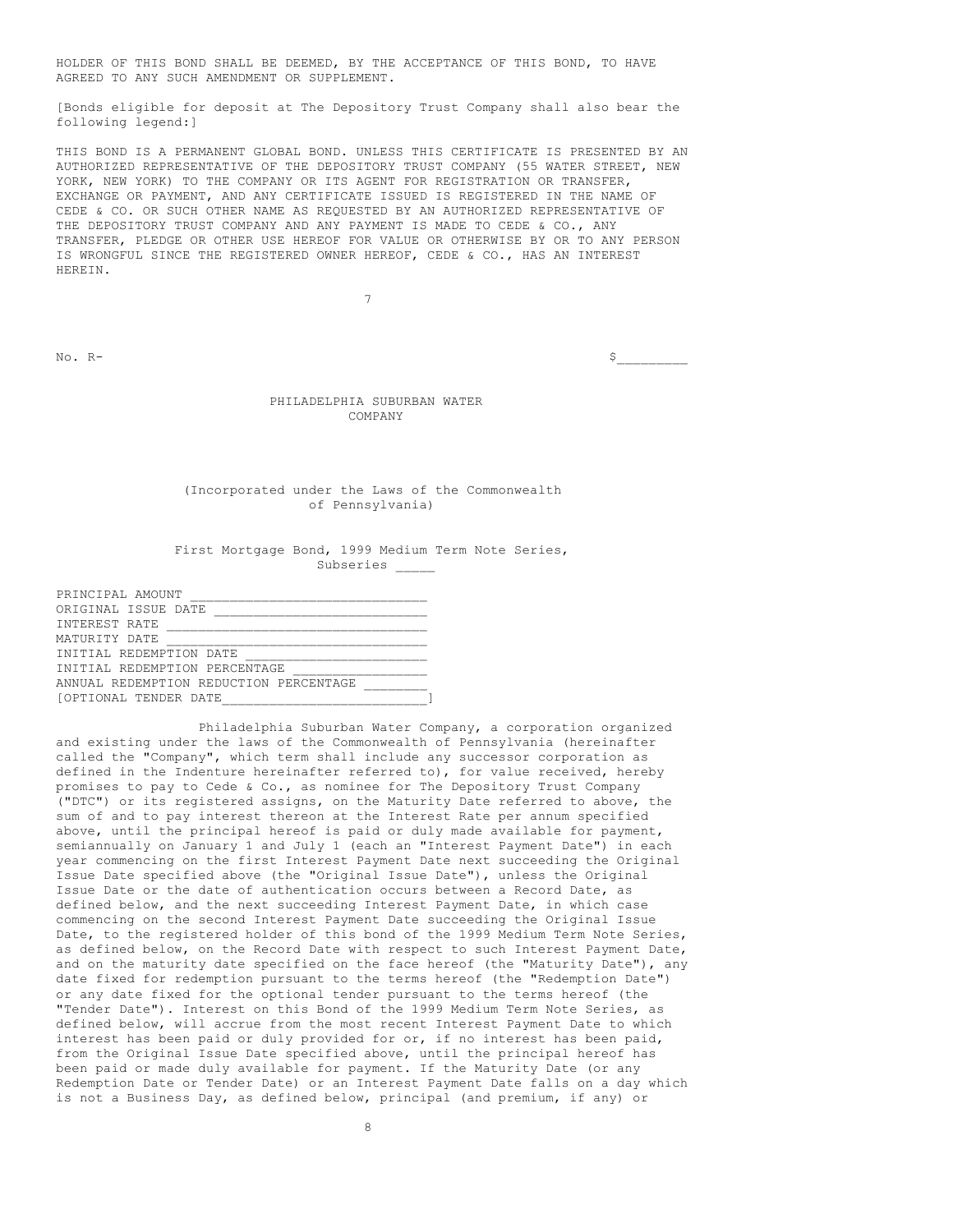HOLDER OF THIS BOND SHALL BE DEEMED, BY THE ACCEPTANCE OF THIS BOND, TO HAVE AGREED TO ANY SUCH AMENDMENT OR SUPPLEMENT.

[Bonds eligible for deposit at The Depository Trust Company shall also bear the following legend:]

THIS BOND IS A PERMANENT GLOBAL BOND. UNLESS THIS CERTIFICATE IS PRESENTED BY AN AUTHORIZED REPRESENTATIVE OF THE DEPOSITORY TRUST COMPANY (55 WATER STREET, NEW YORK, NEW YORK) TO THE COMPANY OR ITS AGENT FOR REGISTRATION OR TRANSFER, EXCHANGE OR PAYMENT, AND ANY CERTIFICATE ISSUED IS REGISTERED IN THE NAME OF CEDE & CO. OR SUCH OTHER NAME AS REQUESTED BY AN AUTHORIZED REPRESENTATIVE OF THE DEPOSITORY TRUST COMPANY AND ANY PAYMENT IS MADE TO CEDE & CO., ANY TRANSFER, PLEDGE OR OTHER USE HEREOF FOR VALUE OR OTHERWISE BY OR TO ANY PERSON IS WRONGFUL SINCE THE REGISTERED OWNER HEREOF, CEDE & CO., HAS AN INTEREST HEREIN.

7

No. R- \$\_\_\_\_\_\_\_\_\_

PHILADELPHIA SUBURBAN WATER COMPANY

(Incorporated under the Laws of the Commonwealth of Pennsylvania)

First Mortgage Bond, 1999 Medium Term Note Series, Subseries \_\_\_\_\_

| PRINCIPAL AMOUNT                       |
|----------------------------------------|
| ORIGINAL ISSUE DATE                    |
| INTEREST RATE                          |
| MATURITY DATE                          |
| INITIAL REDEMPTION DATE                |
| INITIAL REDEMPTION PERCENTAGE          |
| ANNUAL REDEMPTION REDUCTION PERCENTAGE |
| <b>[OPTIONAL TENDER DATE</b>           |

Philadelphia Suburban Water Company, a corporation organized and existing under the laws of the Commonwealth of Pennsylvania (hereinafter called the "Company", which term shall include any successor corporation as defined in the Indenture hereinafter referred to), for value received, hereby promises to pay to Cede & Co., as nominee for The Depository Trust Company ("DTC") or its registered assigns, on the Maturity Date referred to above, the sum of and to pay interest thereon at the Interest Rate per annum specified above, until the principal hereof is paid or duly made available for payment, semiannually on January 1 and July 1 (each an "Interest Payment Date") in each year commencing on the first Interest Payment Date next succeeding the Original Issue Date specified above (the "Original Issue Date"), unless the Original Issue Date or the date of authentication occurs between a Record Date, as defined below, and the next succeeding Interest Payment Date, in which case commencing on the second Interest Payment Date succeeding the Original Issue Date, to the registered holder of this bond of the 1999 Medium Term Note Series, as defined below, on the Record Date with respect to such Interest Payment Date, and on the maturity date specified on the face hereof (the "Maturity Date"), any date fixed for redemption pursuant to the terms hereof (the "Redemption Date") or any date fixed for the optional tender pursuant to the terms hereof (the "Tender Date"). Interest on this Bond of the 1999 Medium Term Note Series, as defined below, will accrue from the most recent Interest Payment Date to which interest has been paid or duly provided for or, if no interest has been paid, from the Original Issue Date specified above, until the principal hereof has been paid or made duly available for payment. If the Maturity Date (or any Redemption Date or Tender Date) or an Interest Payment Date falls on a day which is not a Business Day, as defined below, principal (and premium, if any) or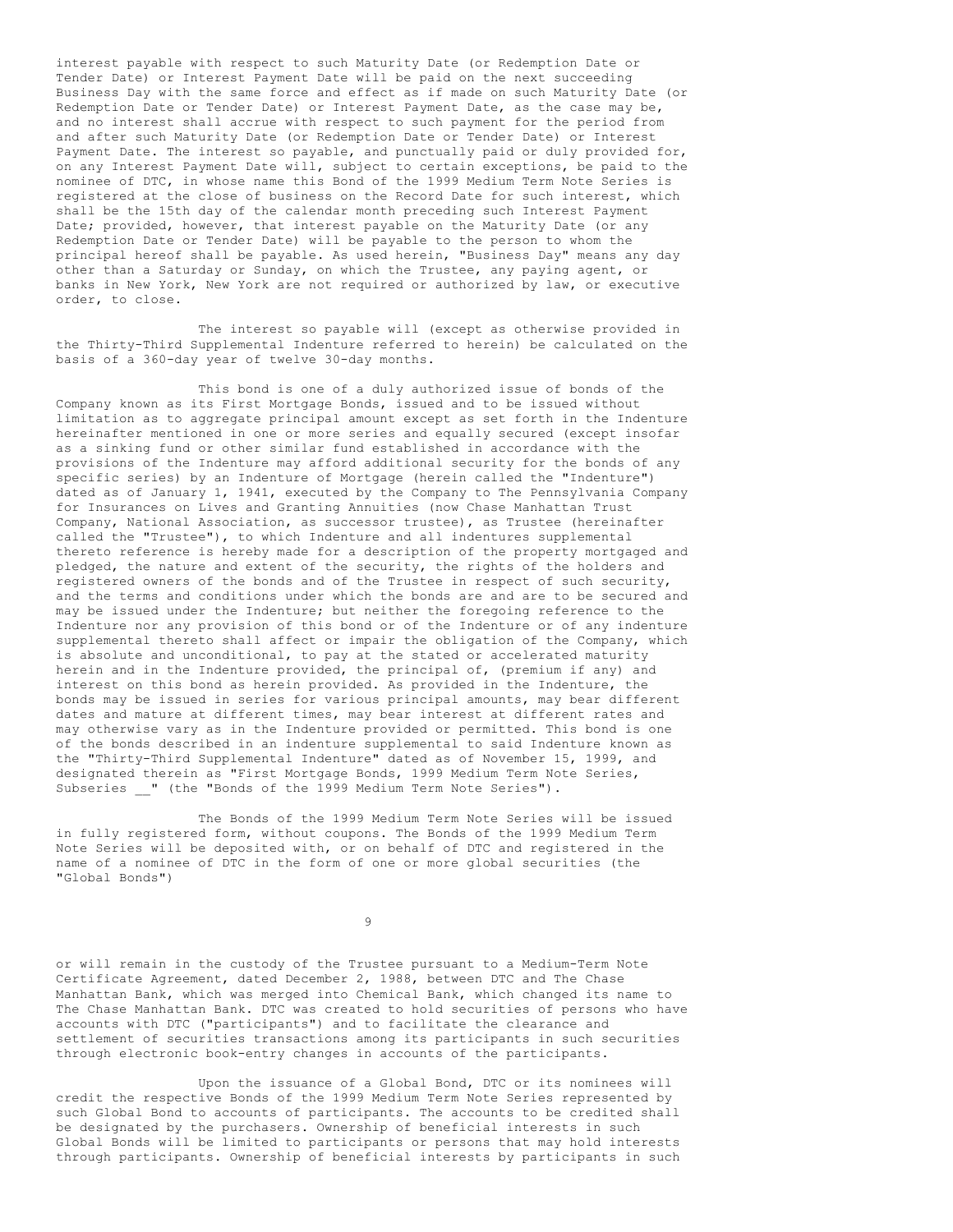interest payable with respect to such Maturity Date (or Redemption Date or Tender Date) or Interest Payment Date will be paid on the next succeeding Business Day with the same force and effect as if made on such Maturity Date (or Redemption Date or Tender Date) or Interest Payment Date, as the case may be, and no interest shall accrue with respect to such payment for the period from and after such Maturity Date (or Redemption Date or Tender Date) or Interest Payment Date. The interest so payable, and punctually paid or duly provided for, on any Interest Payment Date will, subject to certain exceptions, be paid to the nominee of DTC, in whose name this Bond of the 1999 Medium Term Note Series is registered at the close of business on the Record Date for such interest, which shall be the 15th day of the calendar month preceding such Interest Payment Date; provided, however, that interest payable on the Maturity Date (or any Redemption Date or Tender Date) will be payable to the person to whom the principal hereof shall be payable. As used herein, "Business Day" means any day other than a Saturday or Sunday, on which the Trustee, any paying agent, or banks in New York, New York are not required or authorized by law, or executive order, to close.

The interest so payable will (except as otherwise provided in the Thirty-Third Supplemental Indenture referred to herein) be calculated on the basis of a 360-day year of twelve 30-day months.

This bond is one of a duly authorized issue of bonds of the Company known as its First Mortgage Bonds, issued and to be issued without limitation as to aggregate principal amount except as set forth in the Indenture hereinafter mentioned in one or more series and equally secured (except insofar as a sinking fund or other similar fund established in accordance with the provisions of the Indenture may afford additional security for the bonds of any specific series) by an Indenture of Mortgage (herein called the "Indenture") dated as of January 1, 1941, executed by the Company to The Pennsylvania Company for Insurances on Lives and Granting Annuities (now Chase Manhattan Trust Company, National Association, as successor trustee), as Trustee (hereinafter called the "Trustee"), to which Indenture and all indentures supplemental thereto reference is hereby made for a description of the property mortgaged and pledged, the nature and extent of the security, the rights of the holders and registered owners of the bonds and of the Trustee in respect of such security, and the terms and conditions under which the bonds are and are to be secured and may be issued under the Indenture; but neither the foregoing reference to the Indenture nor any provision of this bond or of the Indenture or of any indenture supplemental thereto shall affect or impair the obligation of the Company, which is absolute and unconditional, to pay at the stated or accelerated maturity herein and in the Indenture provided, the principal of, (premium if any) and interest on this bond as herein provided. As provided in the Indenture, the bonds may be issued in series for various principal amounts, may bear different dates and mature at different times, may bear interest at different rates and may otherwise vary as in the Indenture provided or permitted. This bond is one of the bonds described in an indenture supplemental to said Indenture known as the "Thirty-Third Supplemental Indenture" dated as of November 15, 1999, and designated therein as "First Mortgage Bonds, 1999 Medium Term Note Series, Subseries " (the "Bonds of the 1999 Medium Term Note Series").

The Bonds of the 1999 Medium Term Note Series will be issued in fully registered form, without coupons. The Bonds of the 1999 Medium Term Note Series will be deposited with, or on behalf of DTC and registered in the name of a nominee of DTC in the form of one or more global securities (the "Global Bonds")

9

or will remain in the custody of the Trustee pursuant to a Medium-Term Note Certificate Agreement, dated December 2, 1988, between DTC and The Chase Manhattan Bank, which was merged into Chemical Bank, which changed its name to The Chase Manhattan Bank. DTC was created to hold securities of persons who have accounts with DTC ("participants") and to facilitate the clearance and settlement of securities transactions among its participants in such securities through electronic book-entry changes in accounts of the participants.

Upon the issuance of a Global Bond, DTC or its nominees will credit the respective Bonds of the 1999 Medium Term Note Series represented by such Global Bond to accounts of participants. The accounts to be credited shall be designated by the purchasers. Ownership of beneficial interests in such Global Bonds will be limited to participants or persons that may hold interests through participants. Ownership of beneficial interests by participants in such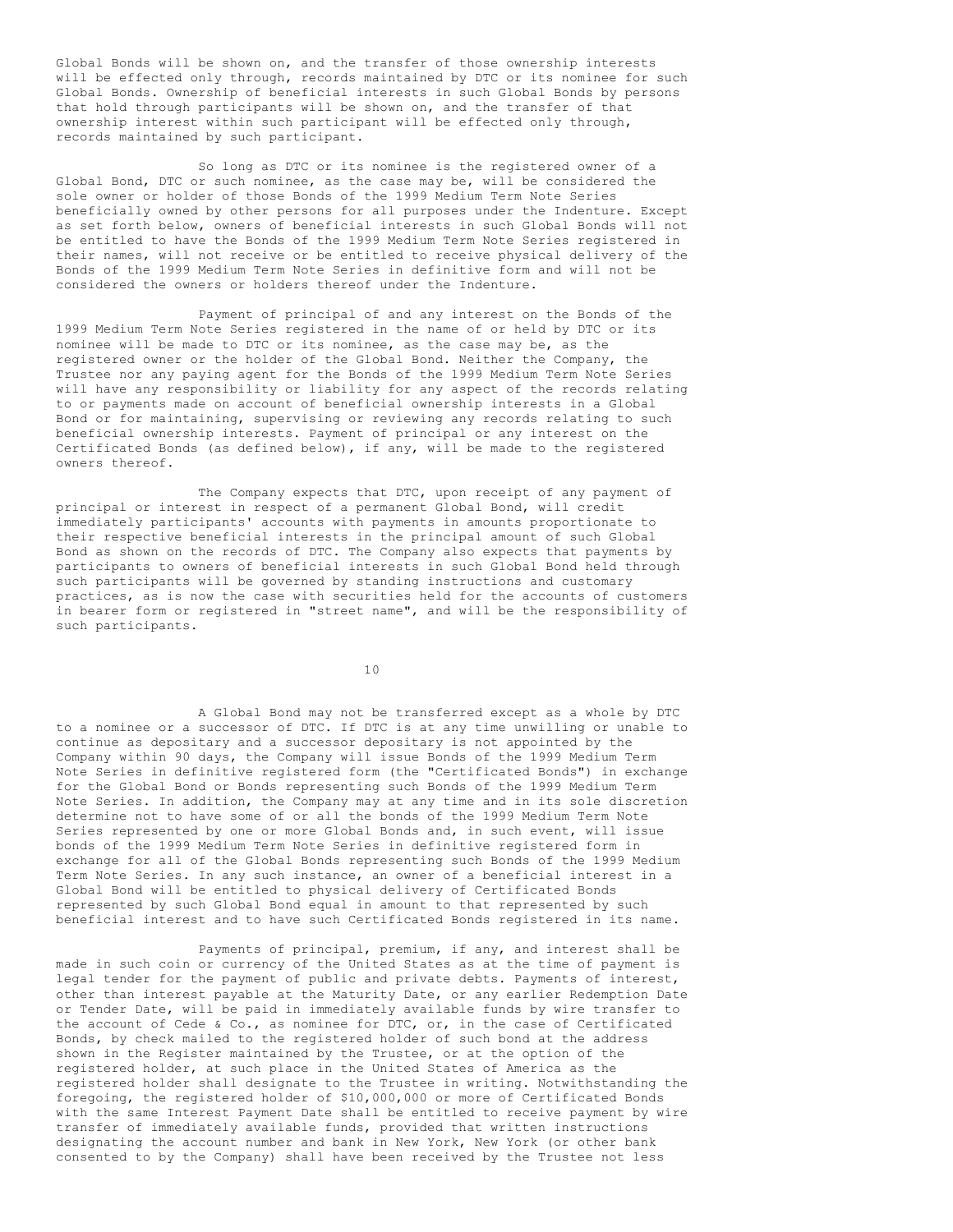Global Bonds will be shown on, and the transfer of those ownership interests will be effected only through, records maintained by DTC or its nominee for such Global Bonds. Ownership of beneficial interests in such Global Bonds by persons that hold through participants will be shown on, and the transfer of that ownership interest within such participant will be effected only through, records maintained by such participant.

So long as DTC or its nominee is the registered owner of a Global Bond, DTC or such nominee, as the case may be, will be considered the sole owner or holder of those Bonds of the 1999 Medium Term Note Series beneficially owned by other persons for all purposes under the Indenture. Except as set forth below, owners of beneficial interests in such Global Bonds will not be entitled to have the Bonds of the 1999 Medium Term Note Series registered in their names, will not receive or be entitled to receive physical delivery of the Bonds of the 1999 Medium Term Note Series in definitive form and will not be considered the owners or holders thereof under the Indenture.

Payment of principal of and any interest on the Bonds of the 1999 Medium Term Note Series registered in the name of or held by DTC or its nominee will be made to DTC or its nominee, as the case may be, as the registered owner or the holder of the Global Bond. Neither the Company, the Trustee nor any paying agent for the Bonds of the 1999 Medium Term Note Series will have any responsibility or liability for any aspect of the records relating to or payments made on account of beneficial ownership interests in a Global Bond or for maintaining, supervising or reviewing any records relating to such beneficial ownership interests. Payment of principal or any interest on the Certificated Bonds (as defined below), if any, will be made to the registered owners thereof.

The Company expects that DTC, upon receipt of any payment of principal or interest in respect of a permanent Global Bond, will credit immediately participants' accounts with payments in amounts proportionate to their respective beneficial interests in the principal amount of such Global Bond as shown on the records of DTC. The Company also expects that payments by participants to owners of beneficial interests in such Global Bond held through such participants will be governed by standing instructions and customary practices, as is now the case with securities held for the accounts of customers in bearer form or registered in "street name", and will be the responsibility of such participants.

10

A Global Bond may not be transferred except as a whole by DTC to a nominee or a successor of DTC. If DTC is at any time unwilling or unable to continue as depositary and a successor depositary is not appointed by the Company within 90 days, the Company will issue Bonds of the 1999 Medium Term Note Series in definitive registered form (the "Certificated Bonds") in exchange for the Global Bond or Bonds representing such Bonds of the 1999 Medium Term Note Series. In addition, the Company may at any time and in its sole discretion determine not to have some of or all the bonds of the 1999 Medium Term Note Series represented by one or more Global Bonds and, in such event, will issue bonds of the 1999 Medium Term Note Series in definitive registered form in exchange for all of the Global Bonds representing such Bonds of the 1999 Medium Term Note Series. In any such instance, an owner of a beneficial interest in a Global Bond will be entitled to physical delivery of Certificated Bonds represented by such Global Bond equal in amount to that represented by such beneficial interest and to have such Certificated Bonds registered in its name.

Payments of principal, premium, if any, and interest shall be made in such coin or currency of the United States as at the time of payment is legal tender for the payment of public and private debts. Payments of interest, other than interest payable at the Maturity Date, or any earlier Redemption Date or Tender Date, will be paid in immediately available funds by wire transfer to the account of Cede & Co., as nominee for DTC, or, in the case of Certificated Bonds, by check mailed to the registered holder of such bond at the address shown in the Register maintained by the Trustee, or at the option of the registered holder, at such place in the United States of America as the registered holder shall designate to the Trustee in writing. Notwithstanding the foregoing, the registered holder of \$10,000,000 or more of Certificated Bonds with the same Interest Payment Date shall be entitled to receive payment by wire transfer of immediately available funds, provided that written instructions designating the account number and bank in New York, New York (or other bank consented to by the Company) shall have been received by the Trustee not less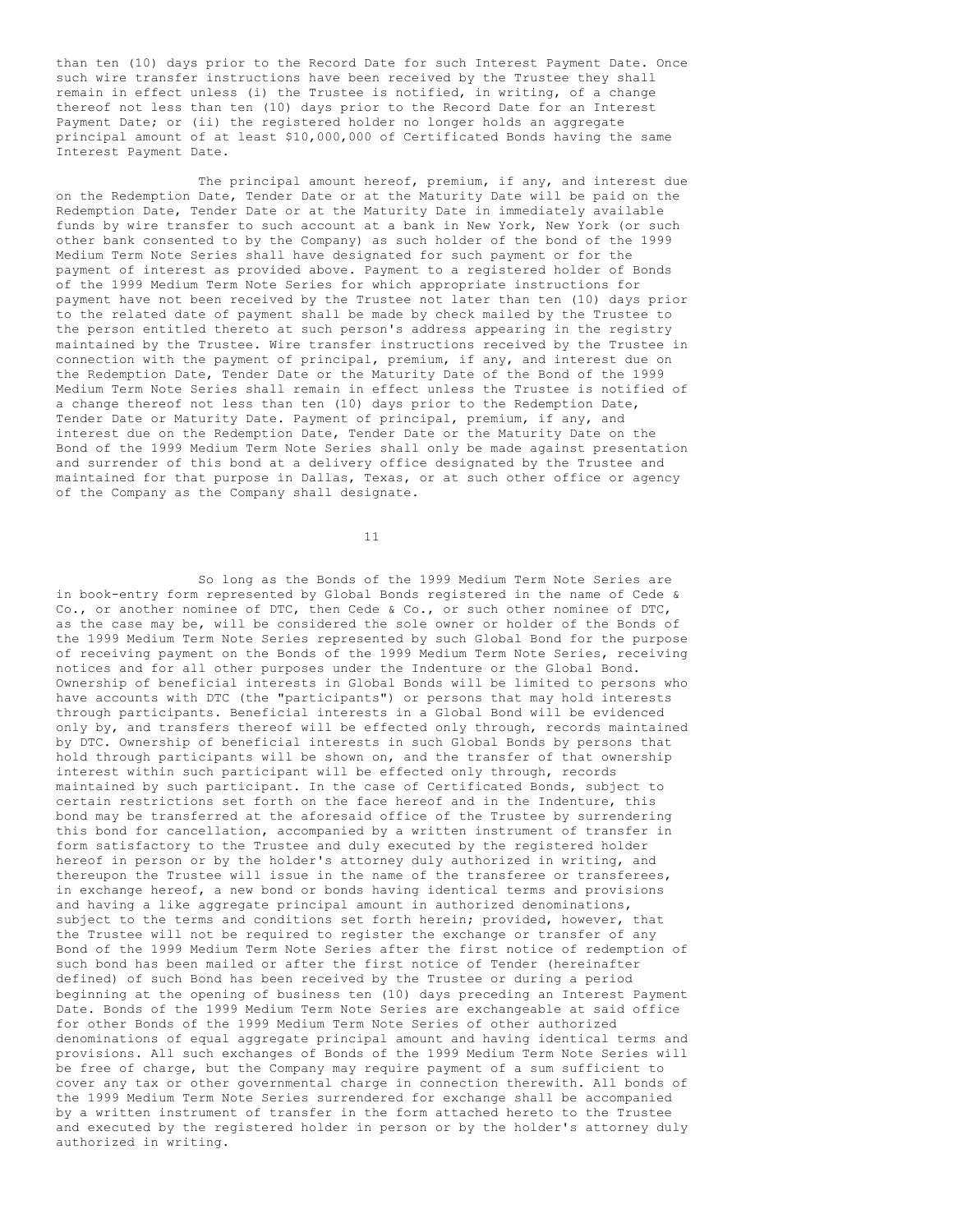than ten (10) days prior to the Record Date for such Interest Payment Date. Once such wire transfer instructions have been received by the Trustee they shall remain in effect unless (i) the Trustee is notified, in writing, of a change thereof not less than ten (10) days prior to the Record Date for an Interest Payment Date; or (ii) the registered holder no longer holds an aggregate principal amount of at least \$10,000,000 of Certificated Bonds having the same Interest Payment Date.

The principal amount hereof, premium, if any, and interest due on the Redemption Date, Tender Date or at the Maturity Date will be paid on the Redemption Date, Tender Date or at the Maturity Date in immediately available funds by wire transfer to such account at a bank in New York, New York (or such other bank consented to by the Company) as such holder of the bond of the 1999 Medium Term Note Series shall have designated for such payment or for the payment of interest as provided above. Payment to a registered holder of Bonds of the 1999 Medium Term Note Series for which appropriate instructions for payment have not been received by the Trustee not later than ten (10) days prior to the related date of payment shall be made by check mailed by the Trustee to the person entitled thereto at such person's address appearing in the registry maintained by the Trustee. Wire transfer instructions received by the Trustee in connection with the payment of principal, premium, if any, and interest due on the Redemption Date, Tender Date or the Maturity Date of the Bond of the 1999 Medium Term Note Series shall remain in effect unless the Trustee is notified of a change thereof not less than ten (10) days prior to the Redemption Date, Tender Date or Maturity Date. Payment of principal, premium, if any, and interest due on the Redemption Date, Tender Date or the Maturity Date on the Bond of the 1999 Medium Term Note Series shall only be made against presentation and surrender of this bond at a delivery office designated by the Trustee and maintained for that purpose in Dallas, Texas, or at such other office or agency of the Company as the Company shall designate.

11

So long as the Bonds of the 1999 Medium Term Note Series are in book-entry form represented by Global Bonds registered in the name of Cede & Co., or another nominee of DTC, then Cede & Co., or such other nominee of DTC, as the case may be, will be considered the sole owner or holder of the Bonds of the 1999 Medium Term Note Series represented by such Global Bond for the purpose of receiving payment on the Bonds of the 1999 Medium Term Note Series, receiving notices and for all other purposes under the Indenture or the Global Bond. Ownership of beneficial interests in Global Bonds will be limited to persons who have accounts with DTC (the "participants") or persons that may hold interests through participants. Beneficial interests in a Global Bond will be evidenced only by, and transfers thereof will be effected only through, records maintained by DTC. Ownership of beneficial interests in such Global Bonds by persons that hold through participants will be shown on, and the transfer of that ownership interest within such participant will be effected only through, records maintained by such participant. In the case of Certificated Bonds, subject to certain restrictions set forth on the face hereof and in the Indenture, this bond may be transferred at the aforesaid office of the Trustee by surrendering this bond for cancellation, accompanied by a written instrument of transfer in form satisfactory to the Trustee and duly executed by the registered holder hereof in person or by the holder's attorney duly authorized in writing, and thereupon the Trustee will issue in the name of the transferee or transferees, in exchange hereof, a new bond or bonds having identical terms and provisions and having a like aggregate principal amount in authorized denominations, subject to the terms and conditions set forth herein; provided, however, that the Trustee will not be required to register the exchange or transfer of any Bond of the 1999 Medium Term Note Series after the first notice of redemption of such bond has been mailed or after the first notice of Tender (hereinafter defined) of such Bond has been received by the Trustee or during a period beginning at the opening of business ten (10) days preceding an Interest Payment Date. Bonds of the 1999 Medium Term Note Series are exchangeable at said office for other Bonds of the 1999 Medium Term Note Series of other authorized denominations of equal aggregate principal amount and having identical terms and provisions. All such exchanges of Bonds of the 1999 Medium Term Note Series will be free of charge, but the Company may require payment of a sum sufficient to cover any tax or other governmental charge in connection therewith. All bonds of the 1999 Medium Term Note Series surrendered for exchange shall be accompanied by a written instrument of transfer in the form attached hereto to the Trustee and executed by the registered holder in person or by the holder's attorney duly authorized in writing.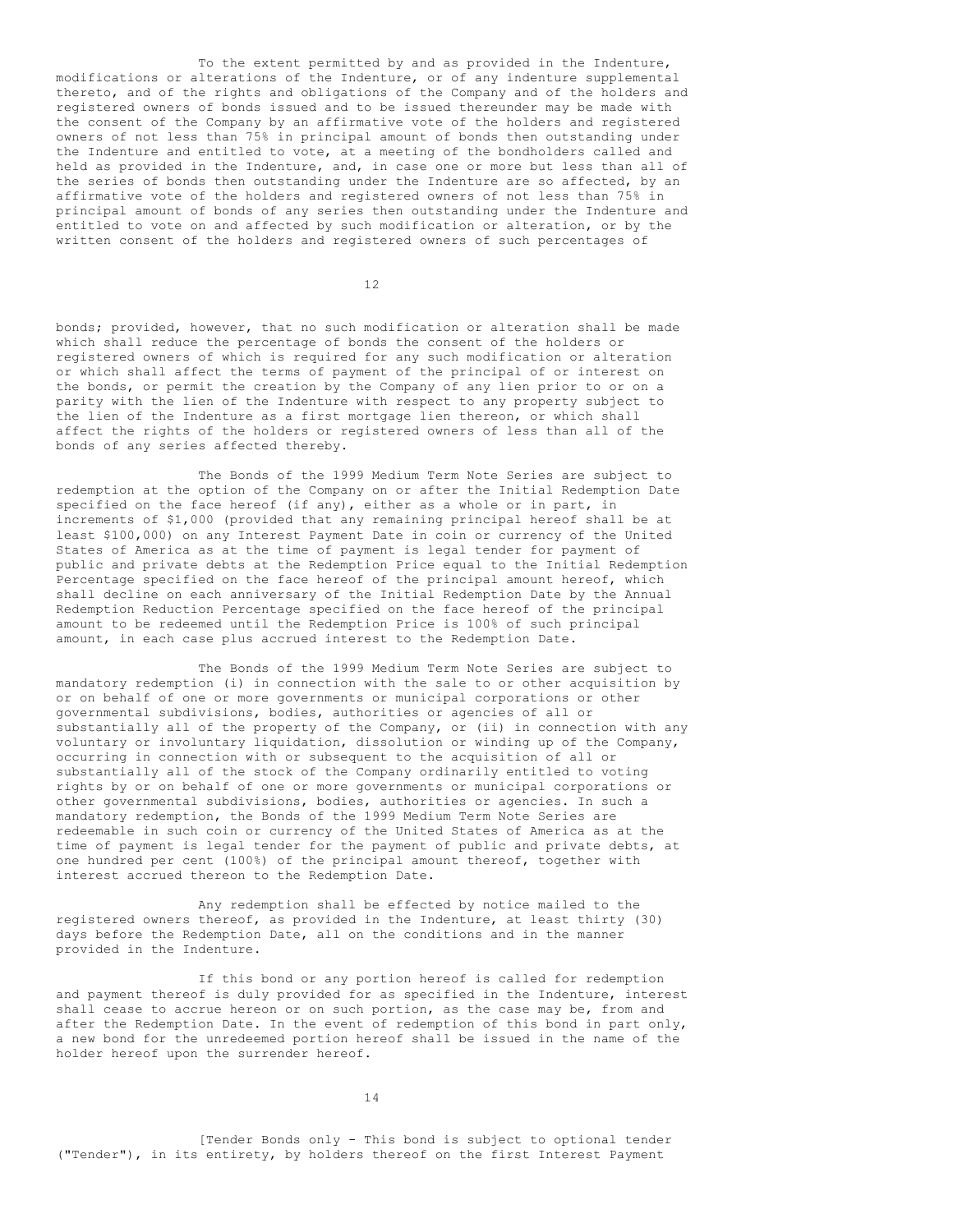To the extent permitted by and as provided in the Indenture, modifications or alterations of the Indenture, or of any indenture supplemental thereto, and of the rights and obligations of the Company and of the holders and registered owners of bonds issued and to be issued thereunder may be made with the consent of the Company by an affirmative vote of the holders and registered owners of not less than 75% in principal amount of bonds then outstanding under the Indenture and entitled to vote, at a meeting of the bondholders called and held as provided in the Indenture, and, in case one or more but less than all of the series of bonds then outstanding under the Indenture are so affected, by an affirmative vote of the holders and registered owners of not less than 75% in principal amount of bonds of any series then outstanding under the Indenture and entitled to vote on and affected by such modification or alteration, or by the written consent of the holders and registered owners of such percentages of

12

bonds; provided, however, that no such modification or alteration shall be made which shall reduce the percentage of bonds the consent of the holders or registered owners of which is required for any such modification or alteration or which shall affect the terms of payment of the principal of or interest on the bonds, or permit the creation by the Company of any lien prior to or on a parity with the lien of the Indenture with respect to any property subject to the lien of the Indenture as a first mortgage lien thereon, or which shall affect the rights of the holders or registered owners of less than all of the bonds of any series affected thereby.

The Bonds of the 1999 Medium Term Note Series are subject to redemption at the option of the Company on or after the Initial Redemption Date specified on the face hereof (if any), either as a whole or in part, in increments of \$1,000 (provided that any remaining principal hereof shall be at least \$100,000) on any Interest Payment Date in coin or currency of the United States of America as at the time of payment is legal tender for payment of public and private debts at the Redemption Price equal to the Initial Redemption Percentage specified on the face hereof of the principal amount hereof, which shall decline on each anniversary of the Initial Redemption Date by the Annual Redemption Reduction Percentage specified on the face hereof of the principal amount to be redeemed until the Redemption Price is 100% of such principal amount, in each case plus accrued interest to the Redemption Date.

The Bonds of the 1999 Medium Term Note Series are subject to mandatory redemption (i) in connection with the sale to or other acquisition by or on behalf of one or more governments or municipal corporations or other governmental subdivisions, bodies, authorities or agencies of all or substantially all of the property of the Company, or (ii) in connection with any voluntary or involuntary liquidation, dissolution or winding up of the Company, occurring in connection with or subsequent to the acquisition of all or substantially all of the stock of the Company ordinarily entitled to voting rights by or on behalf of one or more governments or municipal corporations or other governmental subdivisions, bodies, authorities or agencies. In such a mandatory redemption, the Bonds of the 1999 Medium Term Note Series are redeemable in such coin or currency of the United States of America as at the time of payment is legal tender for the payment of public and private debts, at one hundred per cent (100%) of the principal amount thereof, together with interest accrued thereon to the Redemption Date.

Any redemption shall be effected by notice mailed to the registered owners thereof, as provided in the Indenture, at least thirty (30) days before the Redemption Date, all on the conditions and in the manner provided in the Indenture.

If this bond or any portion hereof is called for redemption and payment thereof is duly provided for as specified in the Indenture, interest shall cease to accrue hereon or on such portion, as the case may be, from and after the Redemption Date. In the event of redemption of this bond in part only, a new bond for the unredeemed portion hereof shall be issued in the name of the holder hereof upon the surrender hereof.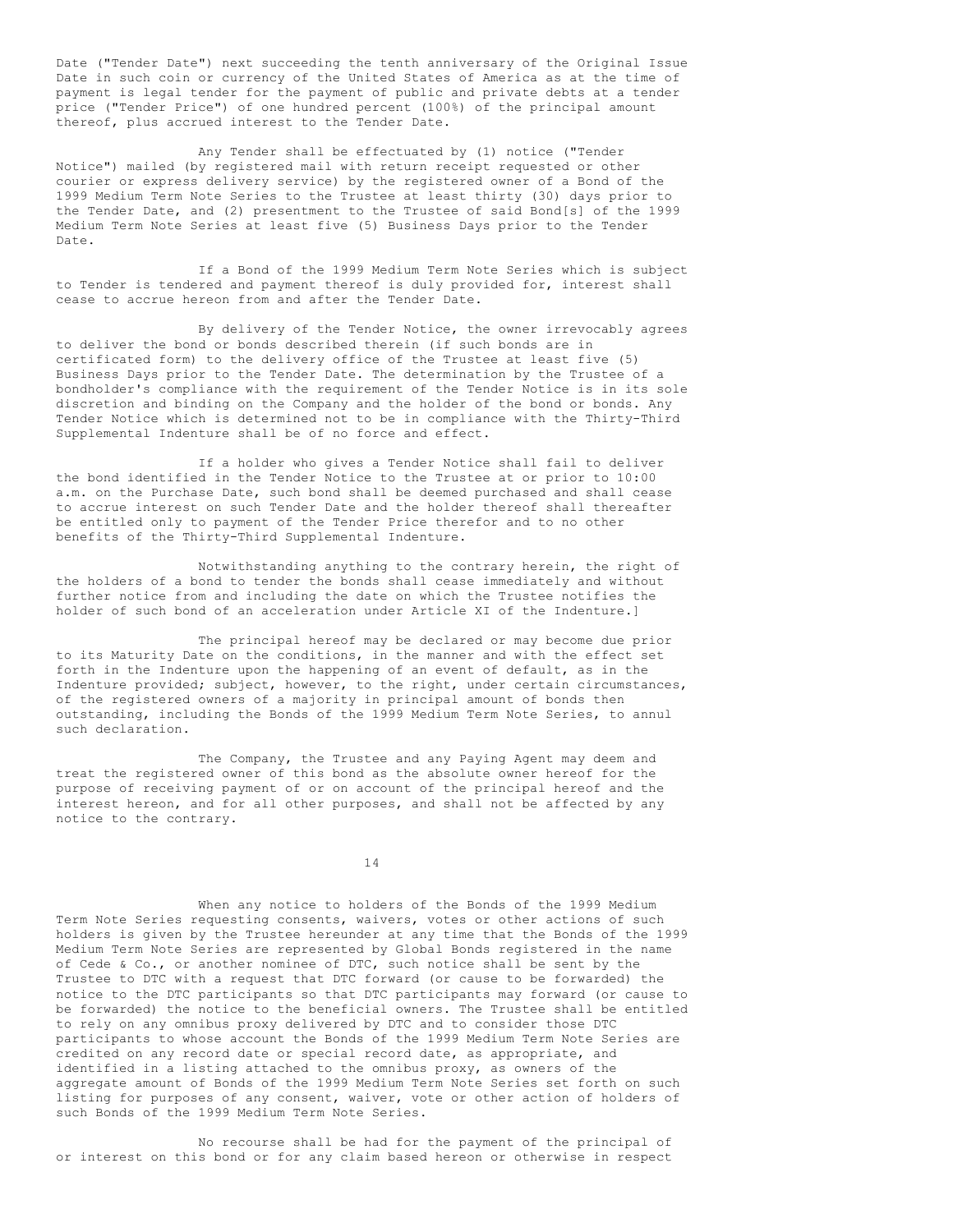Date ("Tender Date") next succeeding the tenth anniversary of the Original Issue Date in such coin or currency of the United States of America as at the time of payment is legal tender for the payment of public and private debts at a tender price ("Tender Price") of one hundred percent (100%) of the principal amount thereof, plus accrued interest to the Tender Date.

Any Tender shall be effectuated by (1) notice ("Tender Notice") mailed (by registered mail with return receipt requested or other courier or express delivery service) by the registered owner of a Bond of the 1999 Medium Term Note Series to the Trustee at least thirty (30) days prior to the Tender Date, and (2) presentment to the Trustee of said Bond[s] of the 1999 Medium Term Note Series at least five (5) Business Days prior to the Tender Date.

If a Bond of the 1999 Medium Term Note Series which is subject to Tender is tendered and payment thereof is duly provided for, interest shall cease to accrue hereon from and after the Tender Date.

By delivery of the Tender Notice, the owner irrevocably agrees to deliver the bond or bonds described therein (if such bonds are in certificated form) to the delivery office of the Trustee at least five (5) Business Days prior to the Tender Date. The determination by the Trustee of a bondholder's compliance with the requirement of the Tender Notice is in its sole discretion and binding on the Company and the holder of the bond or bonds. Any Tender Notice which is determined not to be in compliance with the Thirty-Third Supplemental Indenture shall be of no force and effect.

If a holder who gives a Tender Notice shall fail to deliver the bond identified in the Tender Notice to the Trustee at or prior to 10:00 a.m. on the Purchase Date, such bond shall be deemed purchased and shall cease to accrue interest on such Tender Date and the holder thereof shall thereafter be entitled only to payment of the Tender Price therefor and to no other benefits of the Thirty-Third Supplemental Indenture.

Notwithstanding anything to the contrary herein, the right of the holders of a bond to tender the bonds shall cease immediately and without further notice from and including the date on which the Trustee notifies the holder of such bond of an acceleration under Article XI of the Indenture.]

The principal hereof may be declared or may become due prior to its Maturity Date on the conditions, in the manner and with the effect set forth in the Indenture upon the happening of an event of default, as in the Indenture provided; subject, however, to the right, under certain circumstances, of the registered owners of a majority in principal amount of bonds then outstanding, including the Bonds of the 1999 Medium Term Note Series, to annul such declaration.

The Company, the Trustee and any Paying Agent may deem and treat the registered owner of this bond as the absolute owner hereof for the purpose of receiving payment of or on account of the principal hereof and the interest hereon, and for all other purposes, and shall not be affected by any notice to the contrary.

14

When any notice to holders of the Bonds of the 1999 Medium Term Note Series requesting consents, waivers, votes or other actions of such holders is given by the Trustee hereunder at any time that the Bonds of the 1999 Medium Term Note Series are represented by Global Bonds registered in the name of Cede & Co., or another nominee of DTC, such notice shall be sent by the Trustee to DTC with a request that DTC forward (or cause to be forwarded) the notice to the DTC participants so that DTC participants may forward (or cause to be forwarded) the notice to the beneficial owners. The Trustee shall be entitled to rely on any omnibus proxy delivered by DTC and to consider those DTC participants to whose account the Bonds of the 1999 Medium Term Note Series are credited on any record date or special record date, as appropriate, and identified in a listing attached to the omnibus proxy, as owners of the aggregate amount of Bonds of the 1999 Medium Term Note Series set forth on such listing for purposes of any consent, waiver, vote or other action of holders of such Bonds of the 1999 Medium Term Note Series.

No recourse shall be had for the payment of the principal of or interest on this bond or for any claim based hereon or otherwise in respect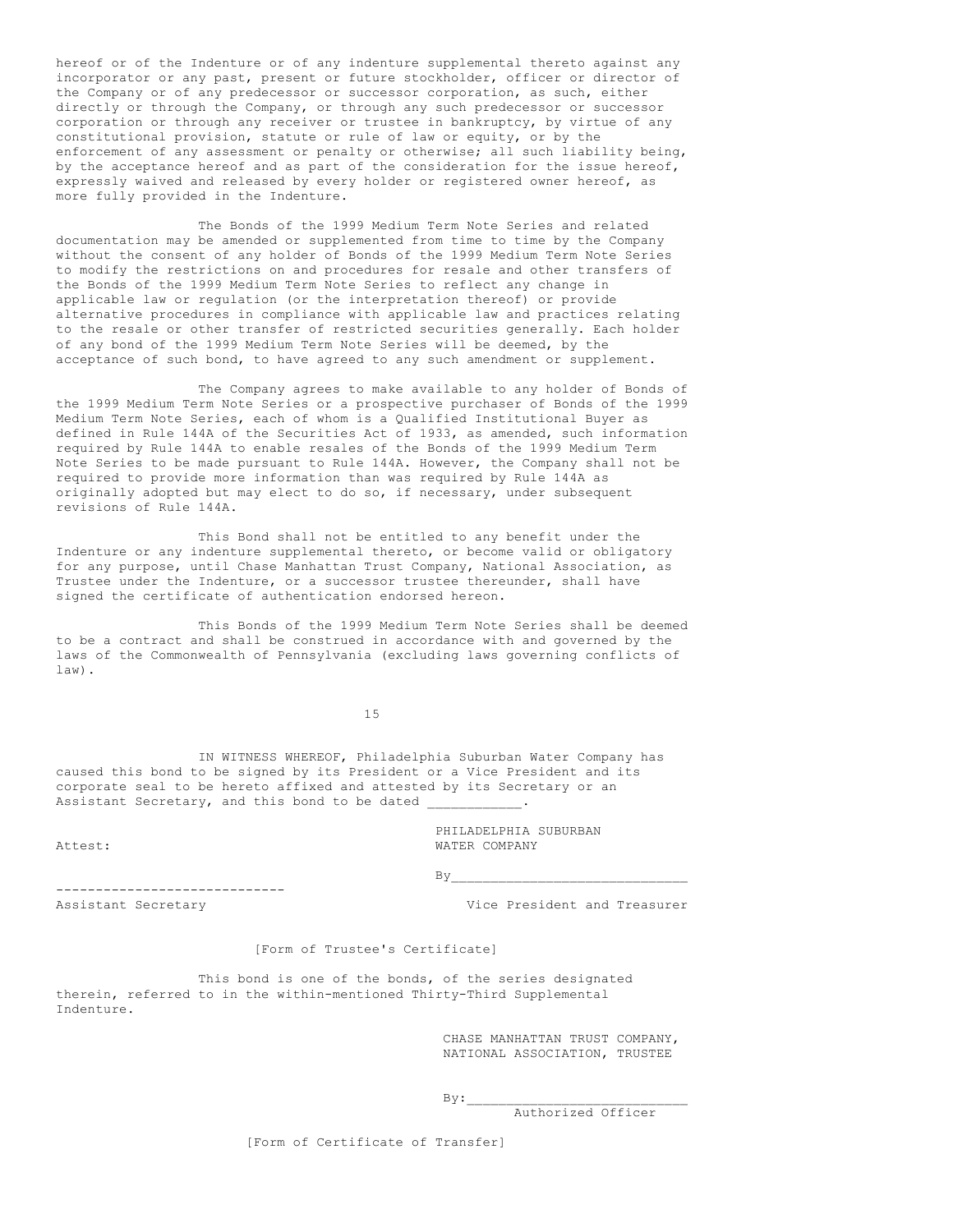hereof or of the Indenture or of any indenture supplemental thereto against any incorporator or any past, present or future stockholder, officer or director of the Company or of any predecessor or successor corporation, as such, either directly or through the Company, or through any such predecessor or successor corporation or through any receiver or trustee in bankruptcy, by virtue of any constitutional provision, statute or rule of law or equity, or by the enforcement of any assessment or penalty or otherwise; all such liability being, by the acceptance hereof and as part of the consideration for the issue hereof, expressly waived and released by every holder or registered owner hereof, as more fully provided in the Indenture.

The Bonds of the 1999 Medium Term Note Series and related documentation may be amended or supplemented from time to time by the Company without the consent of any holder of Bonds of the 1999 Medium Term Note Series to modify the restrictions on and procedures for resale and other transfers of the Bonds of the 1999 Medium Term Note Series to reflect any change in applicable law or regulation (or the interpretation thereof) or provide alternative procedures in compliance with applicable law and practices relating to the resale or other transfer of restricted securities generally. Each holder of any bond of the 1999 Medium Term Note Series will be deemed, by the acceptance of such bond, to have agreed to any such amendment or supplement.

The Company agrees to make available to any holder of Bonds of the 1999 Medium Term Note Series or a prospective purchaser of Bonds of the 1999 Medium Term Note Series, each of whom is a Qualified Institutional Buyer as defined in Rule 144A of the Securities Act of 1933, as amended, such information required by Rule 144A to enable resales of the Bonds of the 1999 Medium Term Note Series to be made pursuant to Rule 144A. However, the Company shall not be required to provide more information than was required by Rule 144A as originally adopted but may elect to do so, if necessary, under subsequent revisions of Rule 144A.

This Bond shall not be entitled to any benefit under the Indenture or any indenture supplemental thereto, or become valid or obligatory for any purpose, until Chase Manhattan Trust Company, National Association, as Trustee under the Indenture, or a successor trustee thereunder, shall have signed the certificate of authentication endorsed hereon.

This Bonds of the 1999 Medium Term Note Series shall be deemed to be a contract and shall be construed in accordance with and governed by the laws of the Commonwealth of Pennsylvania (excluding laws governing conflicts of law).

15

IN WITNESS WHEREOF, Philadelphia Suburban Water Company has caused this bond to be signed by its President or a Vice President and its corporate seal to be hereto affixed and attested by its Secretary or an Assistant Secretary, and this bond to be dated

PHILADELPHIA SUBURBAN Attest: WATER COMPANY

------------------------------<br>Assistant Secretary

Vice President and Treasurer

## [Form of Trustee's Certificate]

This bond is one of the bonds, of the series designated therein, referred to in the within-mentioned Thirty-Third Supplemental Indenture.

> CHASE MANHATTAN TRUST COMPANY, NATIONAL ASSOCIATION, TRUSTEE

 $By:$ 

 $By$ 

Authorized Officer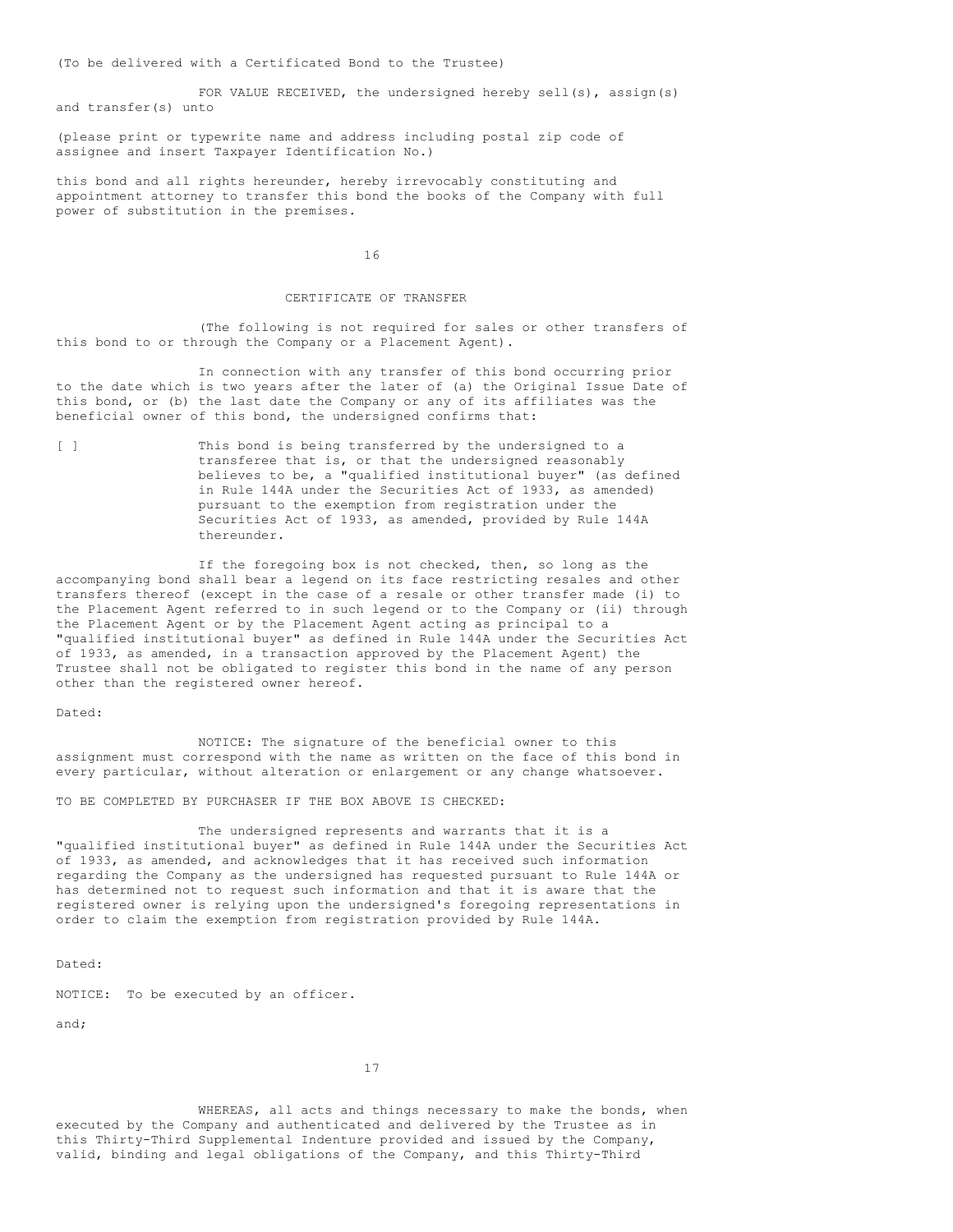(To be delivered with a Certificated Bond to the Trustee)

FOR VALUE RECEIVED, the undersigned hereby sell(s), assign(s) and transfer(s) unto

(please print or typewrite name and address including postal zip code of assignee and insert Taxpayer Identification No.)

this bond and all rights hereunder, hereby irrevocably constituting and appointment attorney to transfer this bond the books of the Company with full power of substitution in the premises.

16

# CERTIFICATE OF TRANSFER

(The following is not required for sales or other transfers of this bond to or through the Company or a Placement Agent).

In connection with any transfer of this bond occurring prior to the date which is two years after the later of (a) the Original Issue Date of this bond, or (b) the last date the Company or any of its affiliates was the beneficial owner of this bond, the undersigned confirms that:

[ ] This bond is being transferred by the undersigned to a transferee that is, or that the undersigned reasonably believes to be, a "qualified institutional buyer" (as defined in Rule 144A under the Securities Act of 1933, as amended) pursuant to the exemption from registration under the Securities Act of 1933, as amended, provided by Rule 144A thereunder.

If the foregoing box is not checked, then, so long as the accompanying bond shall bear a legend on its face restricting resales and other transfers thereof (except in the case of a resale or other transfer made (i) to the Placement Agent referred to in such legend or to the Company or (ii) through the Placement Agent or by the Placement Agent acting as principal to a "qualified institutional buyer" as defined in Rule 144A under the Securities Act of 1933, as amended, in a transaction approved by the Placement Agent) the Trustee shall not be obligated to register this bond in the name of any person other than the registered owner hereof.

## Dated:

NOTICE: The signature of the beneficial owner to this assignment must correspond with the name as written on the face of this bond in every particular, without alteration or enlargement or any change whatsoever.

TO BE COMPLETED BY PURCHASER IF THE BOX ABOVE IS CHECKED:

The undersigned represents and warrants that it is a "qualified institutional buyer" as defined in Rule 144A under the Securities Act of 1933, as amended, and acknowledges that it has received such information regarding the Company as the undersigned has requested pursuant to Rule 144A or has determined not to request such information and that it is aware that the registered owner is relying upon the undersigned's foregoing representations in order to claim the exemption from registration provided by Rule 144A.

Dated:

NOTICE: To be executed by an officer.

and;

WHEREAS, all acts and things necessary to make the bonds, when executed by the Company and authenticated and delivered by the Trustee as in this Thirty-Third Supplemental Indenture provided and issued by the Company, valid, binding and legal obligations of the Company, and this Thirty-Third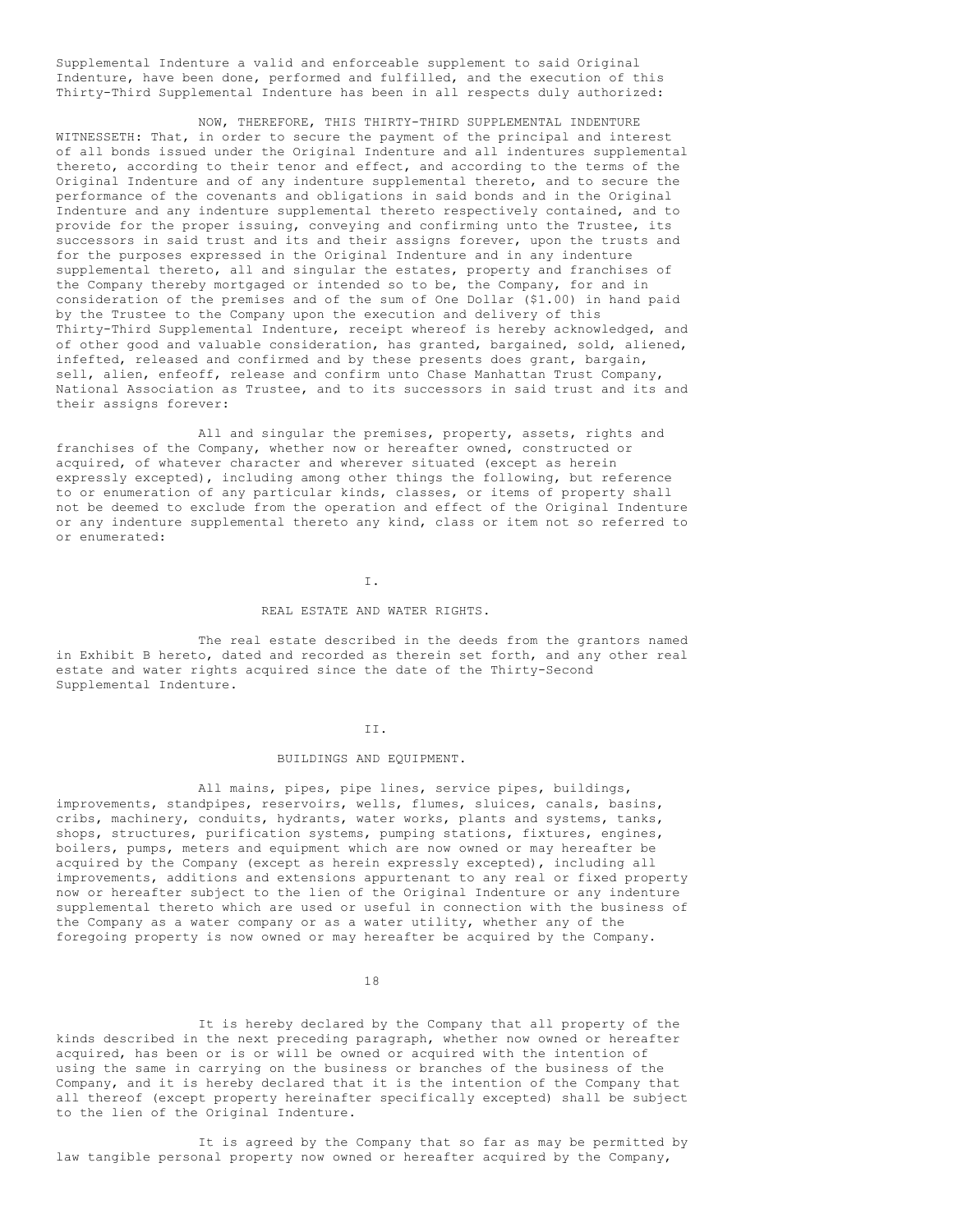Supplemental Indenture a valid and enforceable supplement to said Original Indenture, have been done, performed and fulfilled, and the execution of this Thirty-Third Supplemental Indenture has been in all respects duly authorized:

NOW, THEREFORE, THIS THIRTY-THIRD SUPPLEMENTAL INDENTURE WITNESSETH: That, in order to secure the payment of the principal and interest of all bonds issued under the Original Indenture and all indentures supplemental thereto, according to their tenor and effect, and according to the terms of the Original Indenture and of any indenture supplemental thereto, and to secure the performance of the covenants and obligations in said bonds and in the Original Indenture and any indenture supplemental thereto respectively contained, and to provide for the proper issuing, conveying and confirming unto the Trustee, its successors in said trust and its and their assigns forever, upon the trusts and for the purposes expressed in the Original Indenture and in any indenture supplemental thereto, all and singular the estates, property and franchises of the Company thereby mortgaged or intended so to be, the Company, for and in consideration of the premises and of the sum of One Dollar (\$1.00) in hand paid by the Trustee to the Company upon the execution and delivery of this Thirty-Third Supplemental Indenture, receipt whereof is hereby acknowledged, and of other good and valuable consideration, has granted, bargained, sold, aliened, infefted, released and confirmed and by these presents does grant, bargain, sell, alien, enfeoff, release and confirm unto Chase Manhattan Trust Company, National Association as Trustee, and to its successors in said trust and its and their assigns forever:

All and singular the premises, property, assets, rights and franchises of the Company, whether now or hereafter owned, constructed or acquired, of whatever character and wherever situated (except as herein expressly excepted), including among other things the following, but reference to or enumeration of any particular kinds, classes, or items of property shall not be deemed to exclude from the operation and effect of the Original Indenture or any indenture supplemental thereto any kind, class or item not so referred to or enumerated:

I.

## REAL ESTATE AND WATER RIGHTS.

The real estate described in the deeds from the grantors named in Exhibit B hereto, dated and recorded as therein set forth, and any other real estate and water rights acquired since the date of the Thirty-Second Supplemental Indenture.

## II.

## BUILDINGS AND EQUIPMENT.

All mains, pipes, pipe lines, service pipes, buildings, improvements, standpipes, reservoirs, wells, flumes, sluices, canals, basins, cribs, machinery, conduits, hydrants, water works, plants and systems, tanks, shops, structures, purification systems, pumping stations, fixtures, engines, boilers, pumps, meters and equipment which are now owned or may hereafter be acquired by the Company (except as herein expressly excepted), including all improvements, additions and extensions appurtenant to any real or fixed property now or hereafter subject to the lien of the Original Indenture or any indenture supplemental thereto which are used or useful in connection with the business of the Company as a water company or as a water utility, whether any of the foregoing property is now owned or may hereafter be acquired by the Company.

18

It is hereby declared by the Company that all property of the kinds described in the next preceding paragraph, whether now owned or hereafter acquired, has been or is or will be owned or acquired with the intention of using the same in carrying on the business or branches of the business of the Company, and it is hereby declared that it is the intention of the Company that all thereof (except property hereinafter specifically excepted) shall be subject to the lien of the Original Indenture.

It is agreed by the Company that so far as may be permitted by law tangible personal property now owned or hereafter acquired by the Company,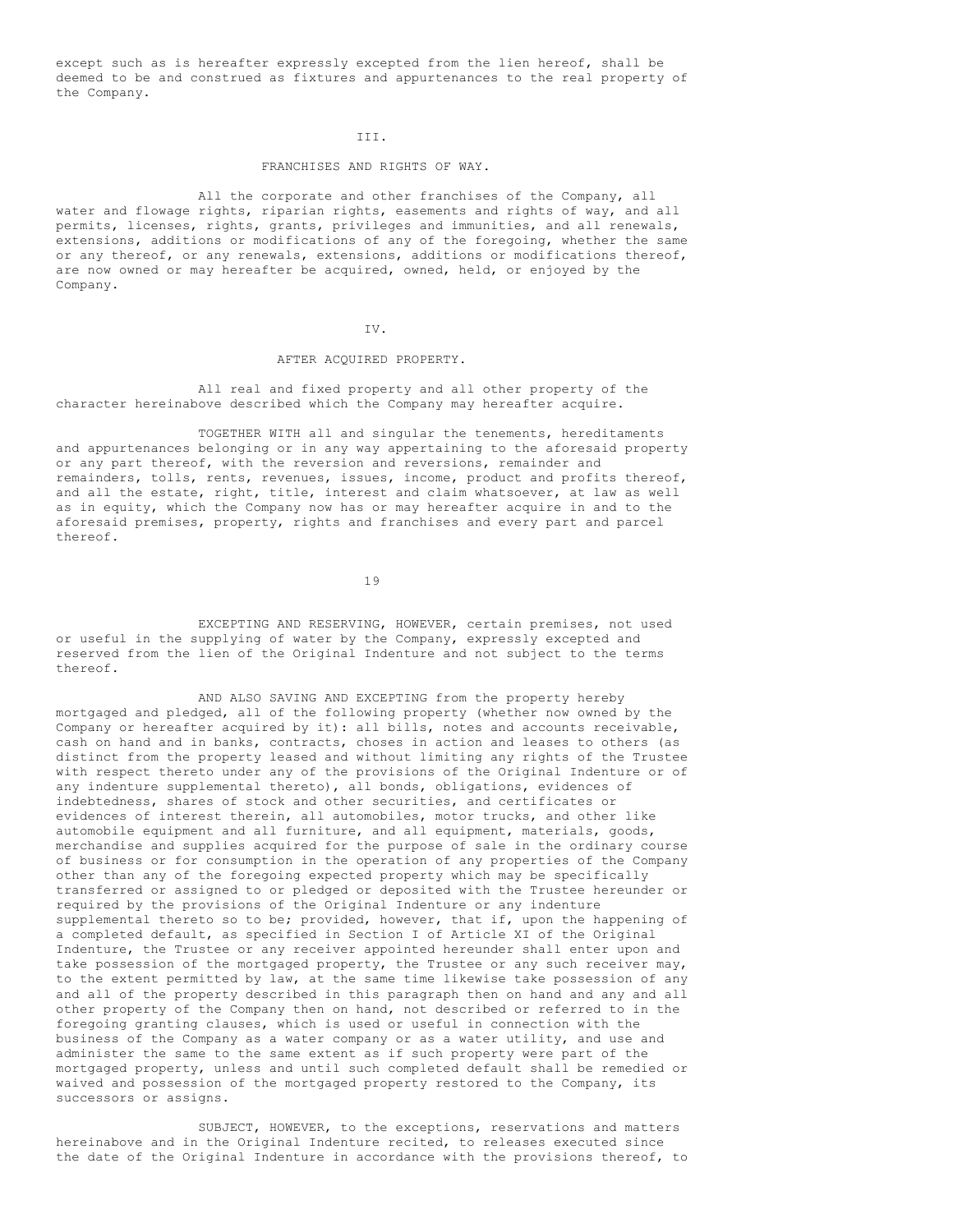except such as is hereafter expressly excepted from the lien hereof, shall be deemed to be and construed as fixtures and appurtenances to the real property of the Company.

## III.

## FRANCHISES AND RIGHTS OF WAY.

All the corporate and other franchises of the Company, all water and flowage rights, riparian rights, easements and rights of way, and all permits, licenses, rights, grants, privileges and immunities, and all renewals, extensions, additions or modifications of any of the foregoing, whether the same or any thereof, or any renewals, extensions, additions or modifications thereof, are now owned or may hereafter be acquired, owned, held, or enjoyed by the Company.

## IV.

# AFTER ACQUIRED PROPERTY.

All real and fixed property and all other property of the character hereinabove described which the Company may hereafter acquire.

TOGETHER WITH all and singular the tenements, hereditaments and appurtenances belonging or in any way appertaining to the aforesaid property or any part thereof, with the reversion and reversions, remainder and remainders, tolls, rents, revenues, issues, income, product and profits thereof, and all the estate, right, title, interest and claim whatsoever, at law as well as in equity, which the Company now has or may hereafter acquire in and to the aforesaid premises, property, rights and franchises and every part and parcel thereof.

19

EXCEPTING AND RESERVING, HOWEVER, certain premises, not used or useful in the supplying of water by the Company, expressly excepted and reserved from the lien of the Original Indenture and not subject to the terms thereof.

AND ALSO SAVING AND EXCEPTING from the property hereby mortgaged and pledged, all of the following property (whether now owned by the Company or hereafter acquired by it): all bills, notes and accounts receivable, cash on hand and in banks, contracts, choses in action and leases to others (as distinct from the property leased and without limiting any rights of the Trustee with respect thereto under any of the provisions of the Original Indenture or of any indenture supplemental thereto), all bonds, obligations, evidences of indebtedness, shares of stock and other securities, and certificates or evidences of interest therein, all automobiles, motor trucks, and other like automobile equipment and all furniture, and all equipment, materials, goods, merchandise and supplies acquired for the purpose of sale in the ordinary course of business or for consumption in the operation of any properties of the Company other than any of the foregoing expected property which may be specifically transferred or assigned to or pledged or deposited with the Trustee hereunder or required by the provisions of the Original Indenture or any indenture supplemental thereto so to be; provided, however, that if, upon the happening of a completed default, as specified in Section I of Article XI of the Original Indenture, the Trustee or any receiver appointed hereunder shall enter upon and take possession of the mortgaged property, the Trustee or any such receiver may, to the extent permitted by law, at the same time likewise take possession of any and all of the property described in this paragraph then on hand and any and all other property of the Company then on hand, not described or referred to in the foregoing granting clauses, which is used or useful in connection with the business of the Company as a water company or as a water utility, and use and administer the same to the same extent as if such property were part of the mortgaged property, unless and until such completed default shall be remedied or waived and possession of the mortgaged property restored to the Company, its successors or assigns.

SUBJECT, HOWEVER, to the exceptions, reservations and matters hereinabove and in the Original Indenture recited, to releases executed since the date of the Original Indenture in accordance with the provisions thereof, to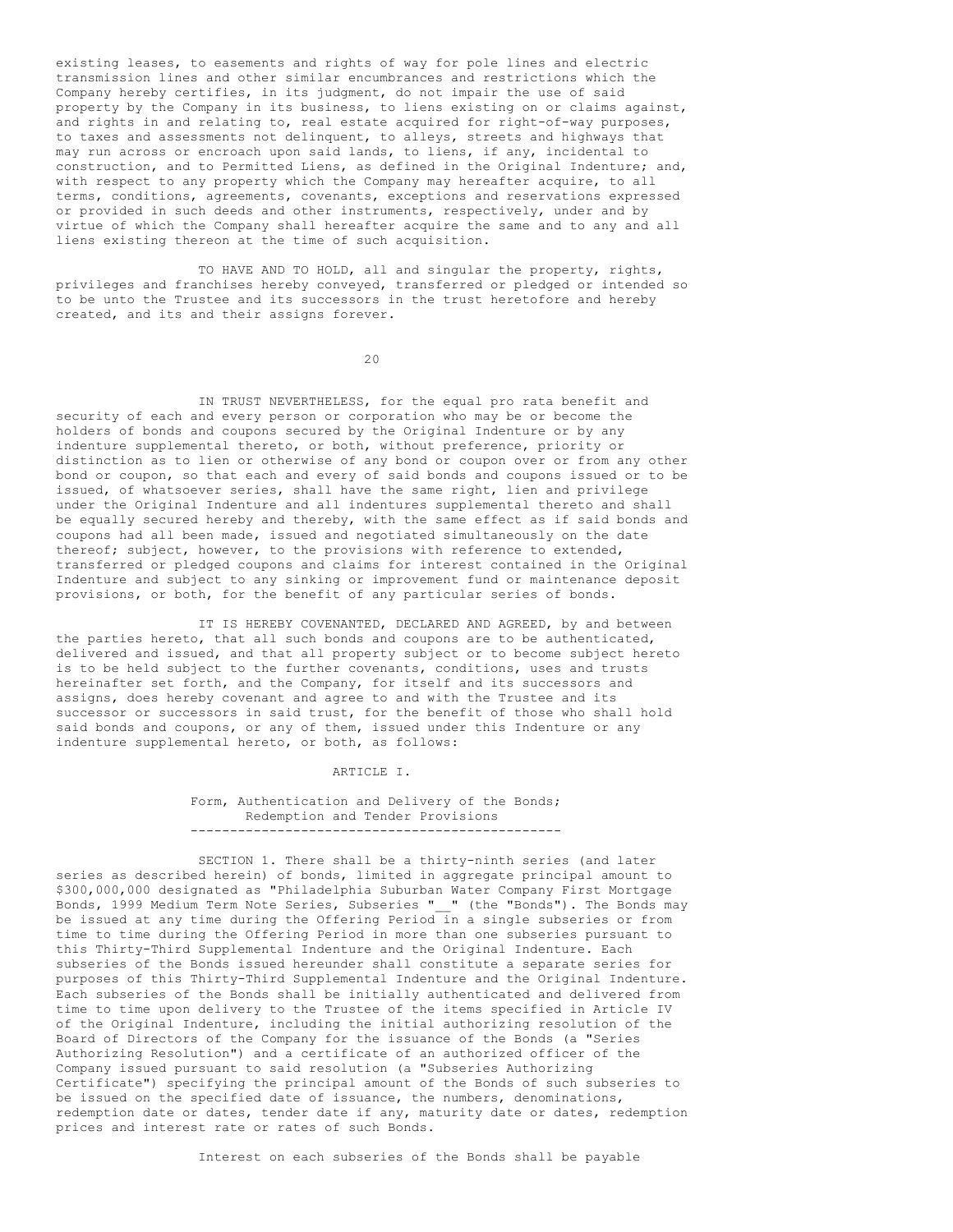existing leases, to easements and rights of way for pole lines and electric transmission lines and other similar encumbrances and restrictions which the Company hereby certifies, in its judgment, do not impair the use of said property by the Company in its business, to liens existing on or claims against, and rights in and relating to, real estate acquired for right-of-way purposes, to taxes and assessments not delinquent, to alleys, streets and highways that may run across or encroach upon said lands, to liens, if any, incidental to construction, and to Permitted Liens, as defined in the Original Indenture; and, with respect to any property which the Company may hereafter acquire, to all terms, conditions, agreements, covenants, exceptions and reservations expressed or provided in such deeds and other instruments, respectively, under and by virtue of which the Company shall hereafter acquire the same and to any and all liens existing thereon at the time of such acquisition.

TO HAVE AND TO HOLD, all and singular the property, rights, privileges and franchises hereby conveyed, transferred or pledged or intended so to be unto the Trustee and its successors in the trust heretofore and hereby created, and its and their assigns forever.

 $20$ 

IN TRUST NEVERTHELESS, for the equal pro rata benefit and security of each and every person or corporation who may be or become the holders of bonds and coupons secured by the Original Indenture or by any indenture supplemental thereto, or both, without preference, priority or distinction as to lien or otherwise of any bond or coupon over or from any other bond or coupon, so that each and every of said bonds and coupons issued or to be issued, of whatsoever series, shall have the same right, lien and privilege under the Original Indenture and all indentures supplemental thereto and shall be equally secured hereby and thereby, with the same effect as if said bonds and coupons had all been made, issued and negotiated simultaneously on the date thereof; subject, however, to the provisions with reference to extended, transferred or pledged coupons and claims for interest contained in the Original Indenture and subject to any sinking or improvement fund or maintenance deposit provisions, or both, for the benefit of any particular series of bonds.

IT IS HEREBY COVENANTED, DECLARED AND AGREED, by and between the parties hereto, that all such bonds and coupons are to be authenticated, delivered and issued, and that all property subject or to become subject hereto is to be held subject to the further covenants, conditions, uses and trusts hereinafter set forth, and the Company, for itself and its successors and assigns, does hereby covenant and agree to and with the Trustee and its successor or successors in said trust, for the benefit of those who shall hold said bonds and coupons, or any of them, issued under this Indenture or any indenture supplemental hereto, or both, as follows:

ARTICLE I.

Form, Authentication and Delivery of the Bonds; Redemption and Tender Provisions -----------------------------------------------

SECTION 1. There shall be a thirty-ninth series (and later series as described herein) of bonds, limited in aggregate principal amount to \$300,000,000 designated as "Philadelphia Suburban Water Company First Mortgage Bonds, 1999 Medium Term Note Series, Subseries "\_\_" (the "Bonds"). The Bonds may be issued at any time during the Offering Period in a single subseries or from time to time during the Offering Period in more than one subseries pursuant to this Thirty-Third Supplemental Indenture and the Original Indenture. Each subseries of the Bonds issued hereunder shall constitute a separate series for purposes of this Thirty-Third Supplemental Indenture and the Original Indenture. Each subseries of the Bonds shall be initially authenticated and delivered from time to time upon delivery to the Trustee of the items specified in Article IV of the Original Indenture, including the initial authorizing resolution of the Board of Directors of the Company for the issuance of the Bonds (a "Series Authorizing Resolution") and a certificate of an authorized officer of the Company issued pursuant to said resolution (a "Subseries Authorizing Certificate") specifying the principal amount of the Bonds of such subseries to be issued on the specified date of issuance, the numbers, denominations, redemption date or dates, tender date if any, maturity date or dates, redemption prices and interest rate or rates of such Bonds.

Interest on each subseries of the Bonds shall be payable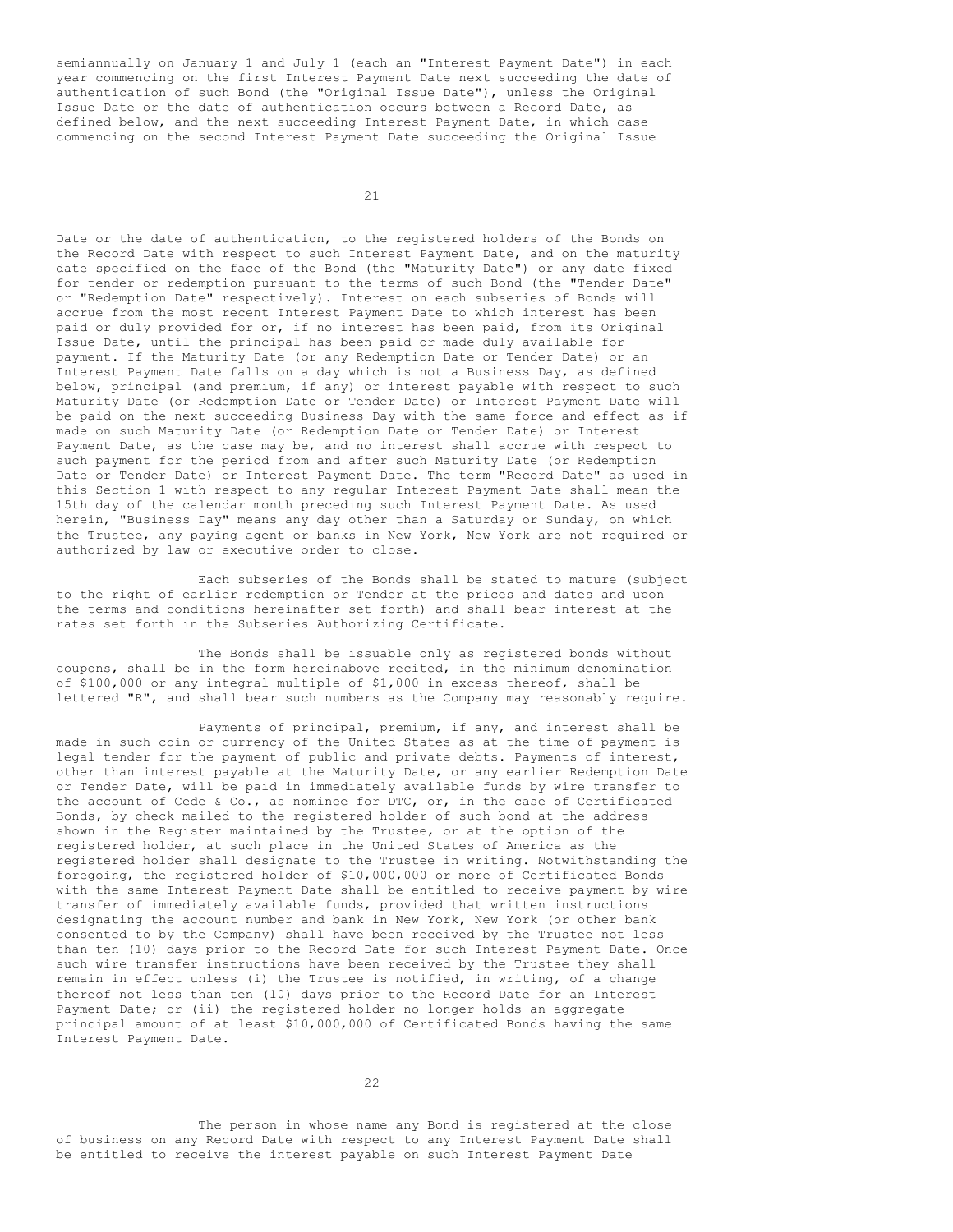semiannually on January 1 and July 1 (each an "Interest Payment Date") in each year commencing on the first Interest Payment Date next succeeding the date of authentication of such Bond (the "Original Issue Date"), unless the Original Issue Date or the date of authentication occurs between a Record Date, as defined below, and the next succeeding Interest Payment Date, in which case commencing on the second Interest Payment Date succeeding the Original Issue

21

Date or the date of authentication, to the registered holders of the Bonds on the Record Date with respect to such Interest Payment Date, and on the maturity date specified on the face of the Bond (the "Maturity Date") or any date fixed for tender or redemption pursuant to the terms of such Bond (the "Tender Date" or "Redemption Date" respectively). Interest on each subseries of Bonds will accrue from the most recent Interest Payment Date to which interest has been paid or duly provided for or, if no interest has been paid, from its Original Issue Date, until the principal has been paid or made duly available for payment. If the Maturity Date (or any Redemption Date or Tender Date) or an Interest Payment Date falls on a day which is not a Business Day, as defined below, principal (and premium, if any) or interest payable with respect to such Maturity Date (or Redemption Date or Tender Date) or Interest Payment Date will be paid on the next succeeding Business Day with the same force and effect as if made on such Maturity Date (or Redemption Date or Tender Date) or Interest Payment Date, as the case may be, and no interest shall accrue with respect to such payment for the period from and after such Maturity Date (or Redemption Date or Tender Date) or Interest Payment Date. The term "Record Date" as used in this Section 1 with respect to any regular Interest Payment Date shall mean the 15th day of the calendar month preceding such Interest Payment Date. As used herein, "Business Day" means any day other than a Saturday or Sunday, on which the Trustee, any paying agent or banks in New York, New York are not required or authorized by law or executive order to close.

Each subseries of the Bonds shall be stated to mature (subject to the right of earlier redemption or Tender at the prices and dates and upon the terms and conditions hereinafter set forth) and shall bear interest at the rates set forth in the Subseries Authorizing Certificate.

The Bonds shall be issuable only as registered bonds without coupons, shall be in the form hereinabove recited, in the minimum denomination of \$100,000 or any integral multiple of \$1,000 in excess thereof, shall be lettered "R", and shall bear such numbers as the Company may reasonably require.

Payments of principal, premium, if any, and interest shall be made in such coin or currency of the United States as at the time of payment is legal tender for the payment of public and private debts. Payments of interest, other than interest payable at the Maturity Date, or any earlier Redemption Date or Tender Date, will be paid in immediately available funds by wire transfer to the account of Cede & Co., as nominee for DTC, or, in the case of Certificated Bonds, by check mailed to the registered holder of such bond at the address shown in the Register maintained by the Trustee, or at the option of the registered holder, at such place in the United States of America as the registered holder shall designate to the Trustee in writing. Notwithstanding the foregoing, the registered holder of \$10,000,000 or more of Certificated Bonds with the same Interest Payment Date shall be entitled to receive payment by wire transfer of immediately available funds, provided that written instructions designating the account number and bank in New York, New York (or other bank consented to by the Company) shall have been received by the Trustee not less than ten (10) days prior to the Record Date for such Interest Payment Date. Once such wire transfer instructions have been received by the Trustee they shall remain in effect unless (i) the Trustee is notified, in writing, of a change thereof not less than ten (10) days prior to the Record Date for an Interest Payment Date; or (ii) the registered holder no longer holds an aggregate principal amount of at least \$10,000,000 of Certificated Bonds having the same Interest Payment Date.

The person in whose name any Bond is registered at the close of business on any Record Date with respect to any Interest Payment Date shall be entitled to receive the interest payable on such Interest Payment Date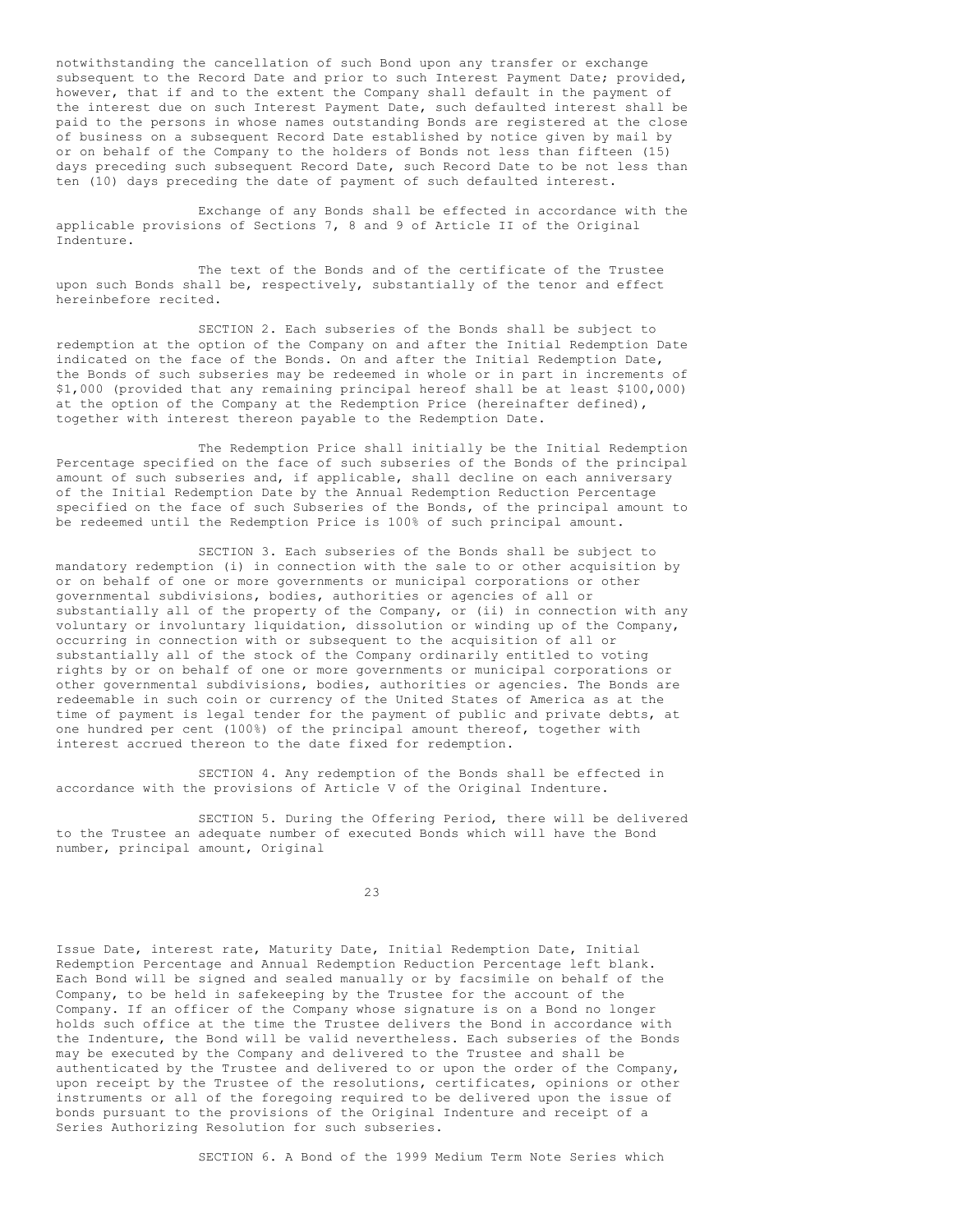notwithstanding the cancellation of such Bond upon any transfer or exchange subsequent to the Record Date and prior to such Interest Payment Date; provided, however, that if and to the extent the Company shall default in the payment of the interest due on such Interest Payment Date, such defaulted interest shall be paid to the persons in whose names outstanding Bonds are registered at the close of business on a subsequent Record Date established by notice given by mail by or on behalf of the Company to the holders of Bonds not less than fifteen (15) days preceding such subsequent Record Date, such Record Date to be not less than ten (10) days preceding the date of payment of such defaulted interest.

Exchange of any Bonds shall be effected in accordance with the applicable provisions of Sections 7, 8 and 9 of Article II of the Original Indenture.

The text of the Bonds and of the certificate of the Trustee upon such Bonds shall be, respectively, substantially of the tenor and effect hereinbefore recited.

SECTION 2. Each subseries of the Bonds shall be subject to redemption at the option of the Company on and after the Initial Redemption Date indicated on the face of the Bonds. On and after the Initial Redemption Date, the Bonds of such subseries may be redeemed in whole or in part in increments of \$1,000 (provided that any remaining principal hereof shall be at least \$100,000) at the option of the Company at the Redemption Price (hereinafter defined), together with interest thereon payable to the Redemption Date.

The Redemption Price shall initially be the Initial Redemption Percentage specified on the face of such subseries of the Bonds of the principal amount of such subseries and, if applicable, shall decline on each anniversary of the Initial Redemption Date by the Annual Redemption Reduction Percentage specified on the face of such Subseries of the Bonds, of the principal amount to be redeemed until the Redemption Price is 100% of such principal amount.

SECTION 3. Each subseries of the Bonds shall be subject to mandatory redemption (i) in connection with the sale to or other acquisition by or on behalf of one or more governments or municipal corporations or other governmental subdivisions, bodies, authorities or agencies of all or substantially all of the property of the Company, or (ii) in connection with any voluntary or involuntary liquidation, dissolution or winding up of the Company, occurring in connection with or subsequent to the acquisition of all or substantially all of the stock of the Company ordinarily entitled to voting rights by or on behalf of one or more governments or municipal corporations or other governmental subdivisions, bodies, authorities or agencies. The Bonds are redeemable in such coin or currency of the United States of America as at the time of payment is legal tender for the payment of public and private debts, at one hundred per cent (100%) of the principal amount thereof, together with interest accrued thereon to the date fixed for redemption.

SECTION 4. Any redemption of the Bonds shall be effected in accordance with the provisions of Article V of the Original Indenture.

SECTION 5. During the Offering Period, there will be delivered to the Trustee an adequate number of executed Bonds which will have the Bond number, principal amount, Original

23

Issue Date, interest rate, Maturity Date, Initial Redemption Date, Initial Redemption Percentage and Annual Redemption Reduction Percentage left blank. Each Bond will be signed and sealed manually or by facsimile on behalf of the Company, to be held in safekeeping by the Trustee for the account of the Company. If an officer of the Company whose signature is on a Bond no longer holds such office at the time the Trustee delivers the Bond in accordance with the Indenture, the Bond will be valid nevertheless. Each subseries of the Bonds may be executed by the Company and delivered to the Trustee and shall be authenticated by the Trustee and delivered to or upon the order of the Company, upon receipt by the Trustee of the resolutions, certificates, opinions or other instruments or all of the foregoing required to be delivered upon the issue of bonds pursuant to the provisions of the Original Indenture and receipt of a Series Authorizing Resolution for such subseries.

SECTION 6. A Bond of the 1999 Medium Term Note Series which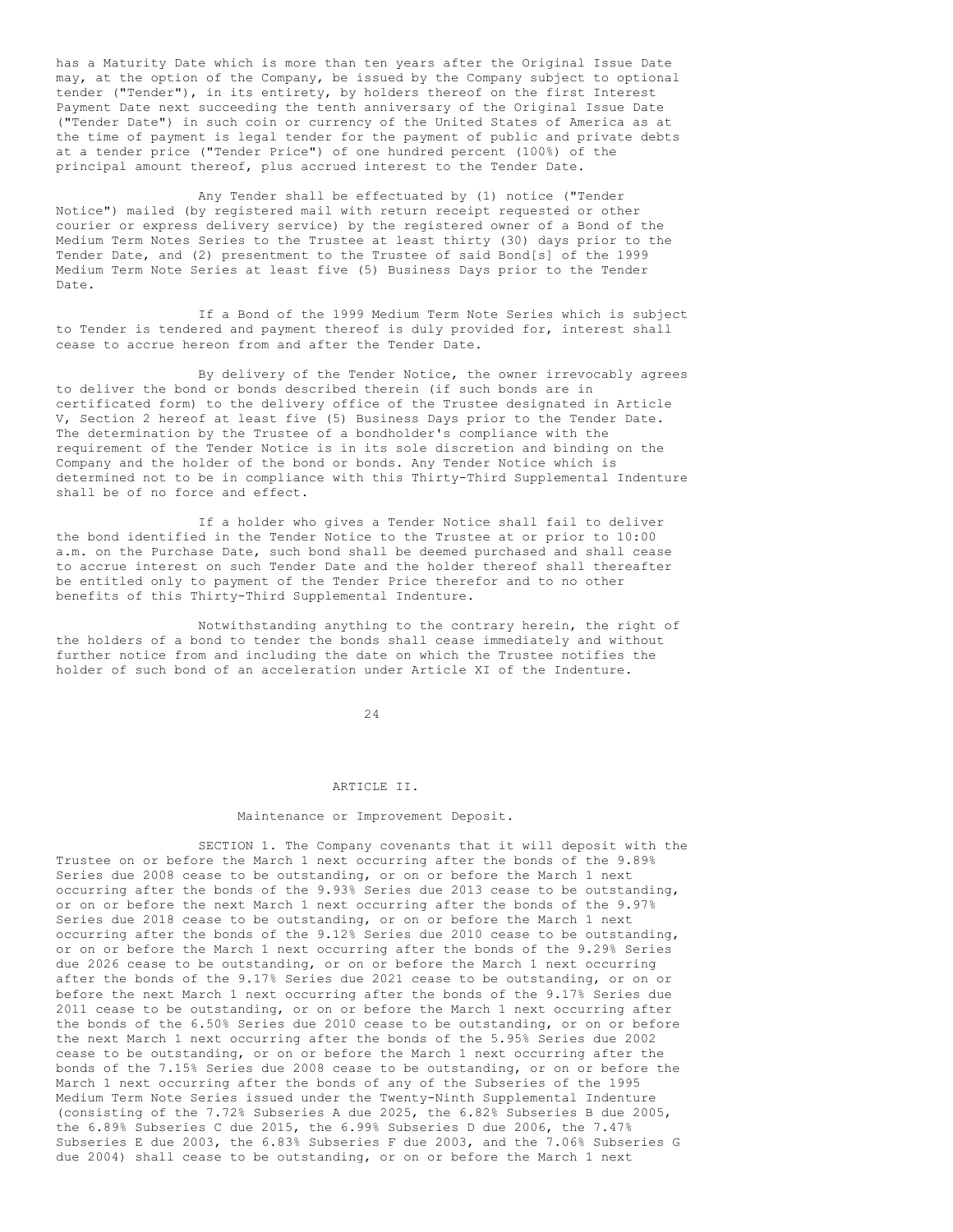has a Maturity Date which is more than ten years after the Original Issue Date may, at the option of the Company, be issued by the Company subject to optional tender ("Tender"), in its entirety, by holders thereof on the first Interest Payment Date next succeeding the tenth anniversary of the Original Issue Date ("Tender Date") in such coin or currency of the United States of America as at the time of payment is legal tender for the payment of public and private debts at a tender price ("Tender Price") of one hundred percent (100%) of the principal amount thereof, plus accrued interest to the Tender Date.

Any Tender shall be effectuated by (1) notice ("Tender Notice") mailed (by registered mail with return receipt requested or other courier or express delivery service) by the registered owner of a Bond of the Medium Term Notes Series to the Trustee at least thirty (30) days prior to the Tender Date, and (2) presentment to the Trustee of said Bond[s] of the 1999 Medium Term Note Series at least five (5) Business Days prior to the Tender Date.

If a Bond of the 1999 Medium Term Note Series which is subject to Tender is tendered and payment thereof is duly provided for, interest shall cease to accrue hereon from and after the Tender Date.

By delivery of the Tender Notice, the owner irrevocably agrees to deliver the bond or bonds described therein (if such bonds are in certificated form) to the delivery office of the Trustee designated in Article V, Section 2 hereof at least five (5) Business Days prior to the Tender Date. The determination by the Trustee of a bondholder's compliance with the requirement of the Tender Notice is in its sole discretion and binding on the Company and the holder of the bond or bonds. Any Tender Notice which is determined not to be in compliance with this Thirty-Third Supplemental Indenture shall be of no force and effect.

If a holder who gives a Tender Notice shall fail to deliver the bond identified in the Tender Notice to the Trustee at or prior to 10:00 a.m. on the Purchase Date, such bond shall be deemed purchased and shall cease to accrue interest on such Tender Date and the holder thereof shall thereafter be entitled only to payment of the Tender Price therefor and to no other benefits of this Thirty-Third Supplemental Indenture.

Notwithstanding anything to the contrary herein, the right of the holders of a bond to tender the bonds shall cease immediately and without further notice from and including the date on which the Trustee notifies the holder of such bond of an acceleration under Article XI of the Indenture.

24

### ARTICLE II.

#### Maintenance or Improvement Deposit.

SECTION 1. The Company covenants that it will deposit with the Trustee on or before the March 1 next occurring after the bonds of the 9.89% Series due 2008 cease to be outstanding, or on or before the March 1 next occurring after the bonds of the 9.93% Series due 2013 cease to be outstanding, or on or before the next March 1 next occurring after the bonds of the 9.97% Series due 2018 cease to be outstanding, or on or before the March 1 next occurring after the bonds of the 9.12% Series due 2010 cease to be outstanding, or on or before the March 1 next occurring after the bonds of the 9.29% Series due 2026 cease to be outstanding, or on or before the March 1 next occurring after the bonds of the 9.17% Series due 2021 cease to be outstanding, or on or before the next March 1 next occurring after the bonds of the 9.17% Series due 2011 cease to be outstanding, or on or before the March 1 next occurring after the bonds of the 6.50% Series due 2010 cease to be outstanding, or on or before the next March 1 next occurring after the bonds of the 5.95% Series due 2002 cease to be outstanding, or on or before the March 1 next occurring after the bonds of the 7.15% Series due 2008 cease to be outstanding, or on or before the March 1 next occurring after the bonds of any of the Subseries of the 1995 Medium Term Note Series issued under the Twenty-Ninth Supplemental Indenture (consisting of the 7.72% Subseries A due 2025, the 6.82% Subseries B due 2005, the 6.89% Subseries C due 2015, the 6.99% Subseries D due 2006, the 7.47% Subseries E due 2003, the 6.83% Subseries F due 2003, and the 7.06% Subseries G due 2004) shall cease to be outstanding, or on or before the March 1 next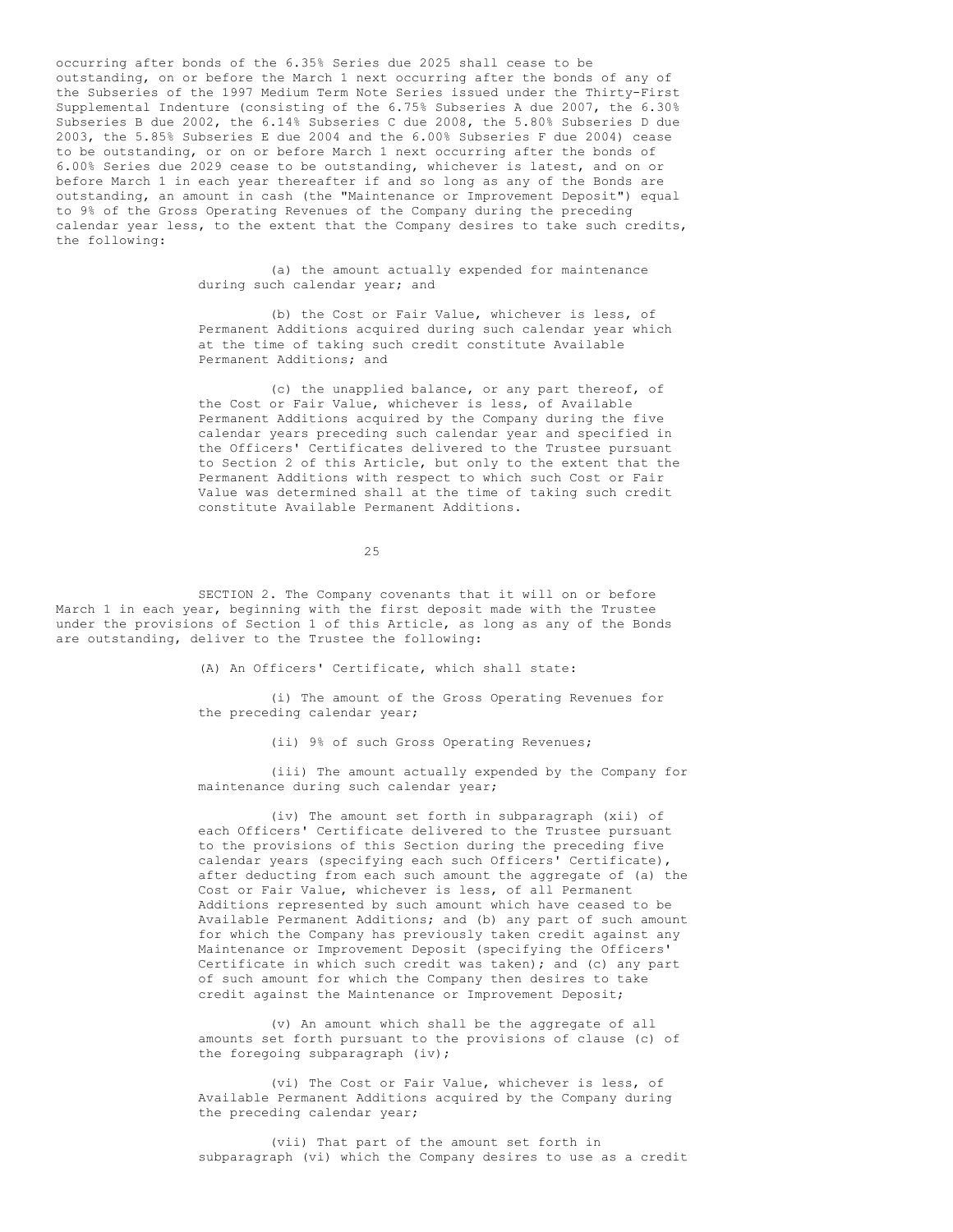occurring after bonds of the 6.35% Series due 2025 shall cease to be outstanding, on or before the March 1 next occurring after the bonds of any of the Subseries of the 1997 Medium Term Note Series issued under the Thirty-First Supplemental Indenture (consisting of the 6.75% Subseries A due 2007, the 6.30% Subseries B due 2002, the 6.14% Subseries C due 2008, the 5.80% Subseries D due 2003, the 5.85% Subseries E due 2004 and the 6.00% Subseries F due 2004) cease to be outstanding, or on or before March 1 next occurring after the bonds of 6.00% Series due 2029 cease to be outstanding, whichever is latest, and on or before March 1 in each year thereafter if and so long as any of the Bonds are outstanding, an amount in cash (the "Maintenance or Improvement Deposit") equal to 9% of the Gross Operating Revenues of the Company during the preceding calendar year less, to the extent that the Company desires to take such credits, the following:

> (a) the amount actually expended for maintenance during such calendar year; and

(b) the Cost or Fair Value, whichever is less, of Permanent Additions acquired during such calendar year which at the time of taking such credit constitute Available Permanent Additions; and

(c) the unapplied balance, or any part thereof, of the Cost or Fair Value, whichever is less, of Available Permanent Additions acquired by the Company during the five calendar years preceding such calendar year and specified in the Officers' Certificates delivered to the Trustee pursuant to Section 2 of this Article, but only to the extent that the Permanent Additions with respect to which such Cost or Fair Value was determined shall at the time of taking such credit constitute Available Permanent Additions.

25

SECTION 2. The Company covenants that it will on or before March 1 in each year, beginning with the first deposit made with the Trustee under the provisions of Section 1 of this Article, as long as any of the Bonds are outstanding, deliver to the Trustee the following:

(A) An Officers' Certificate, which shall state:

(i) The amount of the Gross Operating Revenues for the preceding calendar year;

(ii) 9% of such Gross Operating Revenues;

(iii) The amount actually expended by the Company for maintenance during such calendar year;

(iv) The amount set forth in subparagraph (xii) of each Officers' Certificate delivered to the Trustee pursuant to the provisions of this Section during the preceding five calendar years (specifying each such Officers' Certificate), after deducting from each such amount the aggregate of (a) the Cost or Fair Value, whichever is less, of all Permanent Additions represented by such amount which have ceased to be Available Permanent Additions; and (b) any part of such amount for which the Company has previously taken credit against any Maintenance or Improvement Deposit (specifying the Officers' Certificate in which such credit was taken); and (c) any part of such amount for which the Company then desires to take credit against the Maintenance or Improvement Deposit;

(v) An amount which shall be the aggregate of all amounts set forth pursuant to the provisions of clause (c) of the foregoing subparagraph (iv);

(vi) The Cost or Fair Value, whichever is less, of Available Permanent Additions acquired by the Company during the preceding calendar year;

(vii) That part of the amount set forth in subparagraph (vi) which the Company desires to use as a credit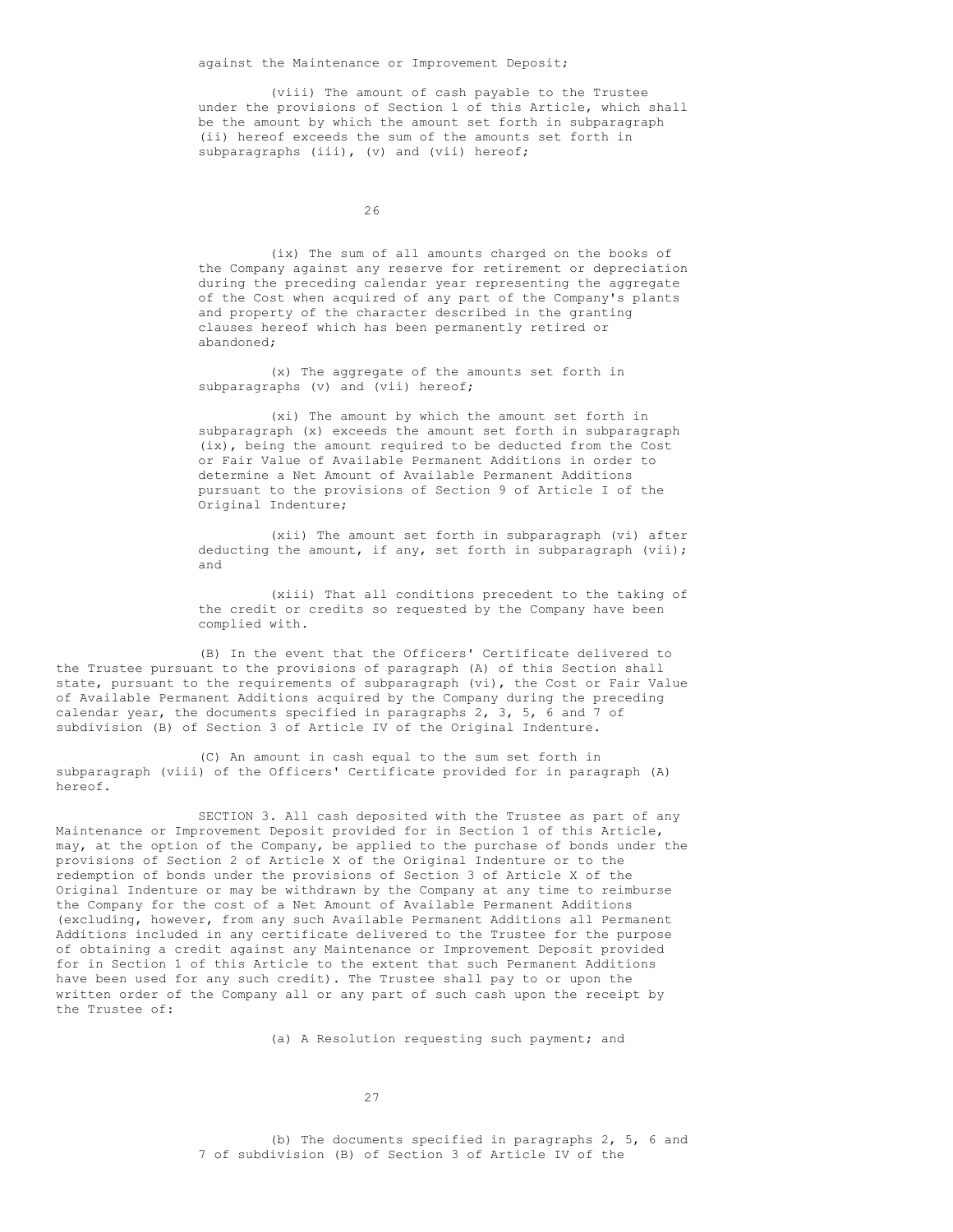against the Maintenance or Improvement Deposit;

(viii) The amount of cash payable to the Trustee under the provisions of Section 1 of this Article, which shall be the amount by which the amount set forth in subparagraph (ii) hereof exceeds the sum of the amounts set forth in subparagraphs (iii), (v) and (vii) hereof;

26

(ix) The sum of all amounts charged on the books of the Company against any reserve for retirement or depreciation during the preceding calendar year representing the aggregate of the Cost when acquired of any part of the Company's plants and property of the character described in the granting clauses hereof which has been permanently retired or abandoned;

(x) The aggregate of the amounts set forth in subparagraphs (v) and (vii) hereof;

(xi) The amount by which the amount set forth in subparagraph (x) exceeds the amount set forth in subparagraph (ix), being the amount required to be deducted from the Cost or Fair Value of Available Permanent Additions in order to determine a Net Amount of Available Permanent Additions pursuant to the provisions of Section 9 of Article I of the Original Indenture;

(xii) The amount set forth in subparagraph (vi) after deducting the amount, if any, set forth in subparagraph (vii); and

(xiii) That all conditions precedent to the taking of the credit or credits so requested by the Company have been complied with.

(B) In the event that the Officers' Certificate delivered to the Trustee pursuant to the provisions of paragraph (A) of this Section shall state, pursuant to the requirements of subparagraph (vi), the Cost or Fair Value of Available Permanent Additions acquired by the Company during the preceding calendar year, the documents specified in paragraphs 2, 3, 5, 6 and 7 of subdivision (B) of Section 3 of Article IV of the Original Indenture.

(C) An amount in cash equal to the sum set forth in subparagraph (viii) of the Officers' Certificate provided for in paragraph (A) hereof.

SECTION 3. All cash deposited with the Trustee as part of any Maintenance or Improvement Deposit provided for in Section 1 of this Article, may, at the option of the Company, be applied to the purchase of bonds under the provisions of Section 2 of Article X of the Original Indenture or to the redemption of bonds under the provisions of Section 3 of Article X of the Original Indenture or may be withdrawn by the Company at any time to reimburse the Company for the cost of a Net Amount of Available Permanent Additions (excluding, however, from any such Available Permanent Additions all Permanent Additions included in any certificate delivered to the Trustee for the purpose of obtaining a credit against any Maintenance or Improvement Deposit provided for in Section 1 of this Article to the extent that such Permanent Additions have been used for any such credit). The Trustee shall pay to or upon the written order of the Company all or any part of such cash upon the receipt by the Trustee of:

(a) A Resolution requesting such payment; and

(b) The documents specified in paragraphs 2, 5, 6 and 7 of subdivision (B) of Section 3 of Article IV of the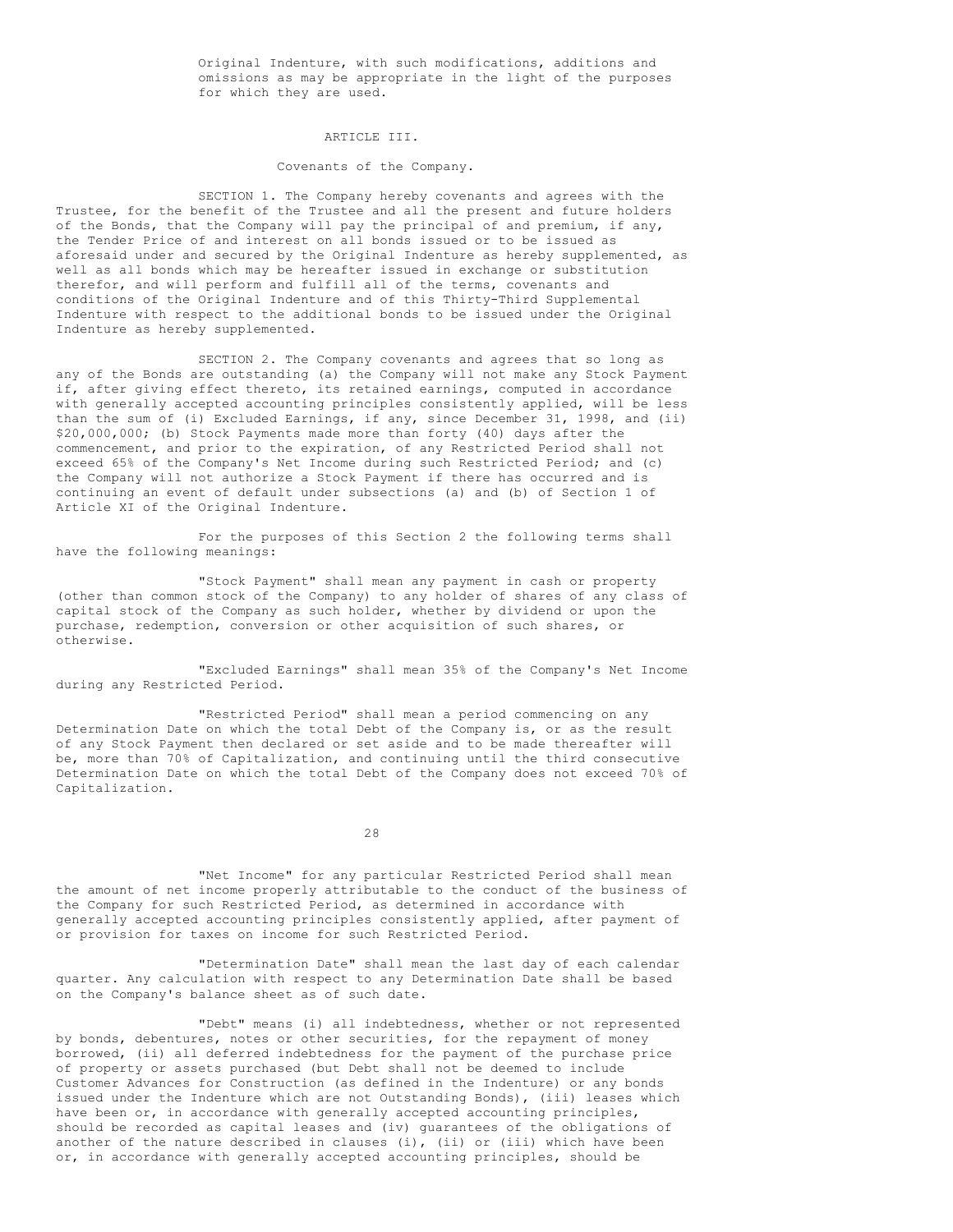Original Indenture, with such modifications, additions and omissions as may be appropriate in the light of the purposes for which they are used.

### ARTICLE III.

#### Covenants of the Company.

SECTION 1. The Company hereby covenants and agrees with the Trustee, for the benefit of the Trustee and all the present and future holders of the Bonds, that the Company will pay the principal of and premium, if any, the Tender Price of and interest on all bonds issued or to be issued as aforesaid under and secured by the Original Indenture as hereby supplemented, as well as all bonds which may be hereafter issued in exchange or substitution therefor, and will perform and fulfill all of the terms, covenants and conditions of the Original Indenture and of this Thirty-Third Supplemental Indenture with respect to the additional bonds to be issued under the Original Indenture as hereby supplemented.

SECTION 2. The Company covenants and agrees that so long as any of the Bonds are outstanding (a) the Company will not make any Stock Payment if, after giving effect thereto, its retained earnings, computed in accordance with generally accepted accounting principles consistently applied, will be less than the sum of (i) Excluded Earnings, if any, since December 31, 1998, and (ii) \$20,000,000; (b) Stock Payments made more than forty (40) days after the commencement, and prior to the expiration, of any Restricted Period shall not exceed 65% of the Company's Net Income during such Restricted Period; and (c) the Company will not authorize a Stock Payment if there has occurred and is continuing an event of default under subsections (a) and (b) of Section 1 of Article XI of the Original Indenture.

For the purposes of this Section 2 the following terms shall have the following meanings:

"Stock Payment" shall mean any payment in cash or property (other than common stock of the Company) to any holder of shares of any class of capital stock of the Company as such holder, whether by dividend or upon the purchase, redemption, conversion or other acquisition of such shares, or otherwise.

"Excluded Earnings" shall mean 35% of the Company's Net Income during any Restricted Period.

"Restricted Period" shall mean a period commencing on any Determination Date on which the total Debt of the Company is, or as the result of any Stock Payment then declared or set aside and to be made thereafter will be, more than 70% of Capitalization, and continuing until the third consecutive Determination Date on which the total Debt of the Company does not exceed 70% of Capitalization.

28

"Net Income" for any particular Restricted Period shall mean the amount of net income properly attributable to the conduct of the business of the Company for such Restricted Period, as determined in accordance with generally accepted accounting principles consistently applied, after payment of or provision for taxes on income for such Restricted Period.

"Determination Date" shall mean the last day of each calendar quarter. Any calculation with respect to any Determination Date shall be based on the Company's balance sheet as of such date.

"Debt" means (i) all indebtedness, whether or not represented by bonds, debentures, notes or other securities, for the repayment of money borrowed, (ii) all deferred indebtedness for the payment of the purchase price of property or assets purchased (but Debt shall not be deemed to include Customer Advances for Construction (as defined in the Indenture) or any bonds issued under the Indenture which are not Outstanding Bonds), (iii) leases which have been or, in accordance with generally accepted accounting principles, should be recorded as capital leases and (iv) guarantees of the obligations of another of the nature described in clauses (i), (ii) or (iii) which have been or, in accordance with generally accepted accounting principles, should be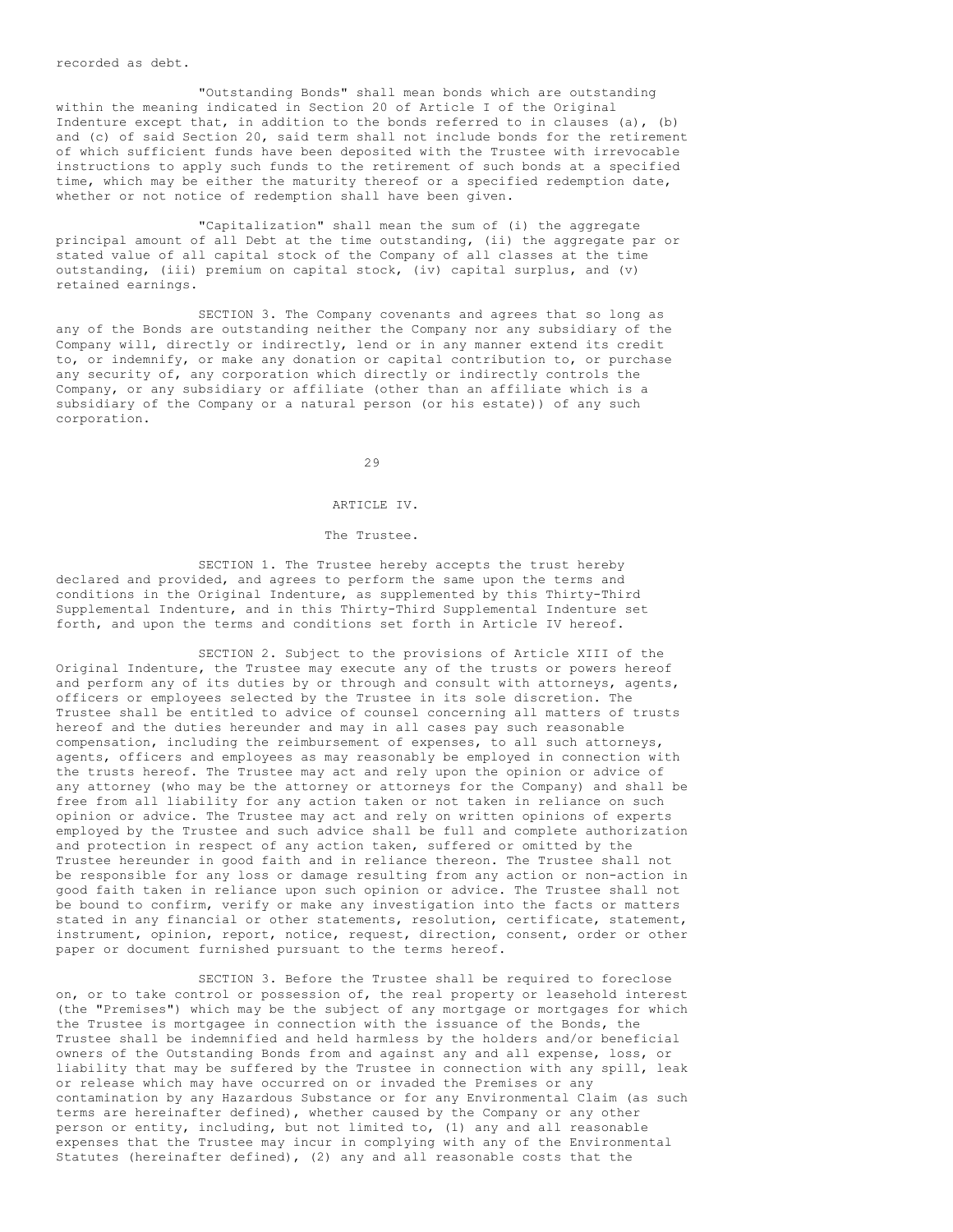recorded as debt.

"Outstanding Bonds" shall mean bonds which are outstanding within the meaning indicated in Section 20 of Article I of the Original Indenture except that, in addition to the bonds referred to in clauses (a), (b) and (c) of said Section 20, said term shall not include bonds for the retirement of which sufficient funds have been deposited with the Trustee with irrevocable instructions to apply such funds to the retirement of such bonds at a specified time, which may be either the maturity thereof or a specified redemption date, whether or not notice of redemption shall have been given.

"Capitalization" shall mean the sum of (i) the aggregate principal amount of all Debt at the time outstanding, (ii) the aggregate par or stated value of all capital stock of the Company of all classes at the time outstanding, (iii) premium on capital stock, (iv) capital surplus, and (v) retained earnings.

SECTION 3. The Company covenants and agrees that so long as any of the Bonds are outstanding neither the Company nor any subsidiary of the Company will, directly or indirectly, lend or in any manner extend its credit to, or indemnify, or make any donation or capital contribution to, or purchase any security of, any corporation which directly or indirectly controls the Company, or any subsidiary or affiliate (other than an affiliate which is a subsidiary of the Company or a natural person (or his estate)) of any such corporation.

29

### ARTICLE IV.

### The Trustee.

SECTION 1. The Trustee hereby accepts the trust hereby declared and provided, and agrees to perform the same upon the terms and conditions in the Original Indenture, as supplemented by this Thirty-Third Supplemental Indenture, and in this Thirty-Third Supplemental Indenture set forth, and upon the terms and conditions set forth in Article IV hereof.

SECTION 2. Subject to the provisions of Article XIII of the Original Indenture, the Trustee may execute any of the trusts or powers hereof and perform any of its duties by or through and consult with attorneys, agents, officers or employees selected by the Trustee in its sole discretion. The Trustee shall be entitled to advice of counsel concerning all matters of trusts hereof and the duties hereunder and may in all cases pay such reasonable compensation, including the reimbursement of expenses, to all such attorneys, agents, officers and employees as may reasonably be employed in connection with the trusts hereof. The Trustee may act and rely upon the opinion or advice of any attorney (who may be the attorney or attorneys for the Company) and shall be free from all liability for any action taken or not taken in reliance on such opinion or advice. The Trustee may act and rely on written opinions of experts employed by the Trustee and such advice shall be full and complete authorization and protection in respect of any action taken, suffered or omitted by the Trustee hereunder in good faith and in reliance thereon. The Trustee shall not be responsible for any loss or damage resulting from any action or non-action in good faith taken in reliance upon such opinion or advice. The Trustee shall not be bound to confirm, verify or make any investigation into the facts or matters stated in any financial or other statements, resolution, certificate, statement, instrument, opinion, report, notice, request, direction, consent, order or other paper or document furnished pursuant to the terms hereof.

SECTION 3. Before the Trustee shall be required to foreclose on, or to take control or possession of, the real property or leasehold interest (the "Premises") which may be the subject of any mortgage or mortgages for which the Trustee is mortgagee in connection with the issuance of the Bonds, the Trustee shall be indemnified and held harmless by the holders and/or beneficial owners of the Outstanding Bonds from and against any and all expense, loss, or liability that may be suffered by the Trustee in connection with any spill, leak or release which may have occurred on or invaded the Premises or any contamination by any Hazardous Substance or for any Environmental Claim (as such terms are hereinafter defined), whether caused by the Company or any other person or entity, including, but not limited to, (1) any and all reasonable expenses that the Trustee may incur in complying with any of the Environmental Statutes (hereinafter defined), (2) any and all reasonable costs that the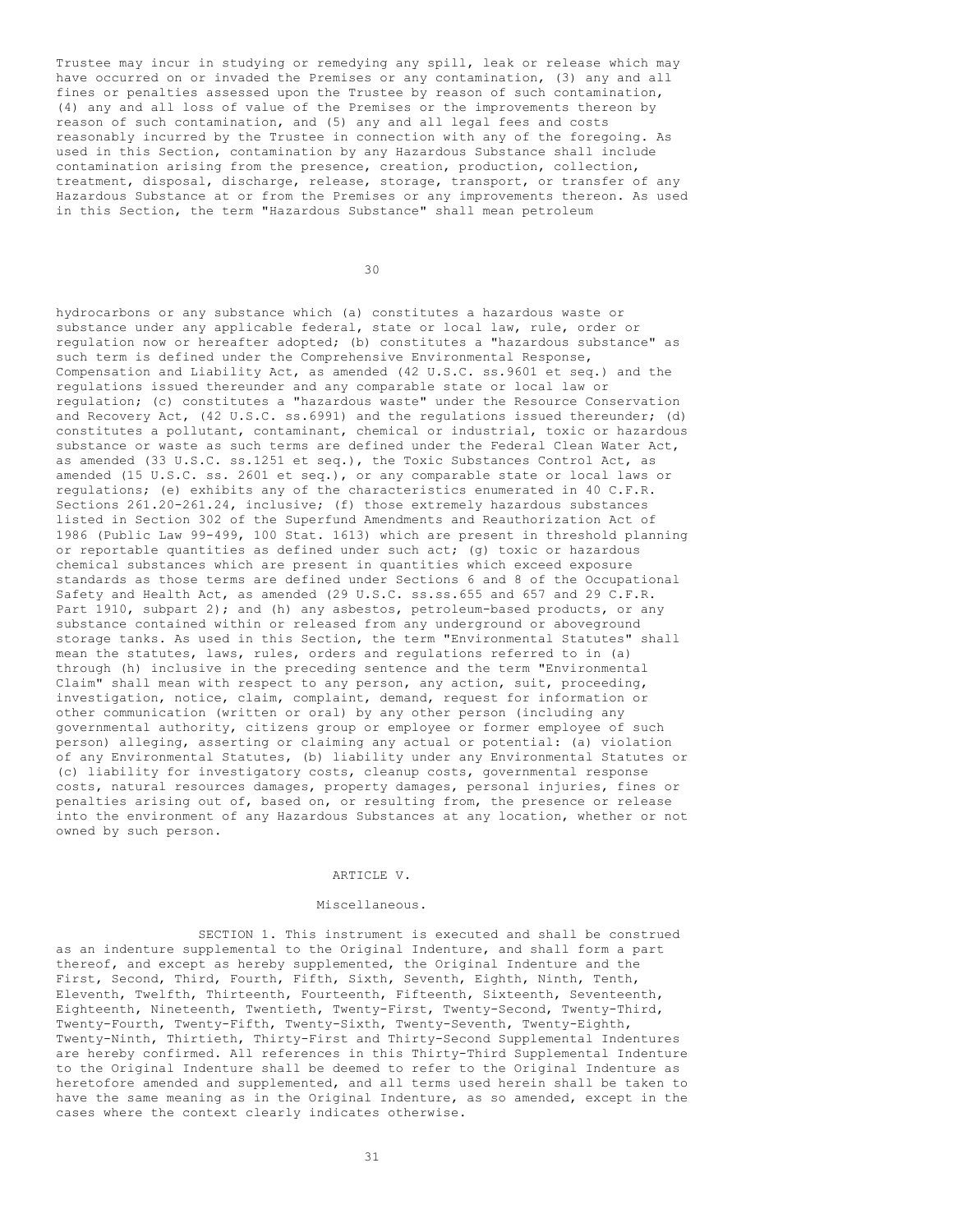Trustee may incur in studying or remedying any spill, leak or release which may have occurred on or invaded the Premises or any contamination, (3) any and all fines or penalties assessed upon the Trustee by reason of such contamination, (4) any and all loss of value of the Premises or the improvements thereon by reason of such contamination, and (5) any and all legal fees and costs reasonably incurred by the Trustee in connection with any of the foregoing. As used in this Section, contamination by any Hazardous Substance shall include contamination arising from the presence, creation, production, collection, treatment, disposal, discharge, release, storage, transport, or transfer of any Hazardous Substance at or from the Premises or any improvements thereon. As used in this Section, the term "Hazardous Substance" shall mean petroleum

30

hydrocarbons or any substance which (a) constitutes a hazardous waste or substance under any applicable federal, state or local law, rule, order or regulation now or hereafter adopted; (b) constitutes a "hazardous substance" as such term is defined under the Comprehensive Environmental Response, Compensation and Liability Act, as amended (42 U.S.C. ss.9601 et seq.) and the regulations issued thereunder and any comparable state or local law or regulation; (c) constitutes a "hazardous waste" under the Resource Conservation and Recovery Act, (42 U.S.C. ss.6991) and the regulations issued thereunder; (d) constitutes a pollutant, contaminant, chemical or industrial, toxic or hazardous substance or waste as such terms are defined under the Federal Clean Water Act, as amended (33 U.S.C. ss.1251 et seq.), the Toxic Substances Control Act, as amended (15 U.S.C. ss. 2601 et seq.), or any comparable state or local laws or regulations; (e) exhibits any of the characteristics enumerated in 40 C.F.R. Sections 261.20-261.24, inclusive; (f) those extremely hazardous substances listed in Section 302 of the Superfund Amendments and Reauthorization Act of 1986 (Public Law 99-499, 100 Stat. 1613) which are present in threshold planning or reportable quantities as defined under such act; (g) toxic or hazardous chemical substances which are present in quantities which exceed exposure standards as those terms are defined under Sections 6 and 8 of the Occupational Safety and Health Act, as amended (29 U.S.C. ss.ss.655 and 657 and 29 C.F.R. Part 1910, subpart 2); and (h) any asbestos, petroleum-based products, or any substance contained within or released from any underground or aboveground storage tanks. As used in this Section, the term "Environmental Statutes" shall mean the statutes, laws, rules, orders and regulations referred to in (a) through (h) inclusive in the preceding sentence and the term "Environmental Claim" shall mean with respect to any person, any action, suit, proceeding, investigation, notice, claim, complaint, demand, request for information or other communication (written or oral) by any other person (including any governmental authority, citizens group or employee or former employee of such person) alleging, asserting or claiming any actual or potential: (a) violation of any Environmental Statutes, (b) liability under any Environmental Statutes or (c) liability for investigatory costs, cleanup costs, governmental response costs, natural resources damages, property damages, personal injuries, fines or penalties arising out of, based on, or resulting from, the presence or release into the environment of any Hazardous Substances at any location, whether or not owned by such person.

### ARTICLE V.

## Miscellaneous.

SECTION 1. This instrument is executed and shall be construed as an indenture supplemental to the Original Indenture, and shall form a part thereof, and except as hereby supplemented, the Original Indenture and the First, Second, Third, Fourth, Fifth, Sixth, Seventh, Eighth, Ninth, Tenth, Eleventh, Twelfth, Thirteenth, Fourteenth, Fifteenth, Sixteenth, Seventeenth, Eighteenth, Nineteenth, Twentieth, Twenty-First, Twenty-Second, Twenty-Third, Twenty-Fourth, Twenty-Fifth, Twenty-Sixth, Twenty-Seventh, Twenty-Eighth, Twenty-Ninth, Thirtieth, Thirty-First and Thirty-Second Supplemental Indentures are hereby confirmed. All references in this Thirty-Third Supplemental Indenture to the Original Indenture shall be deemed to refer to the Original Indenture as heretofore amended and supplemented, and all terms used herein shall be taken to have the same meaning as in the Original Indenture, as so amended, except in the cases where the context clearly indicates otherwise.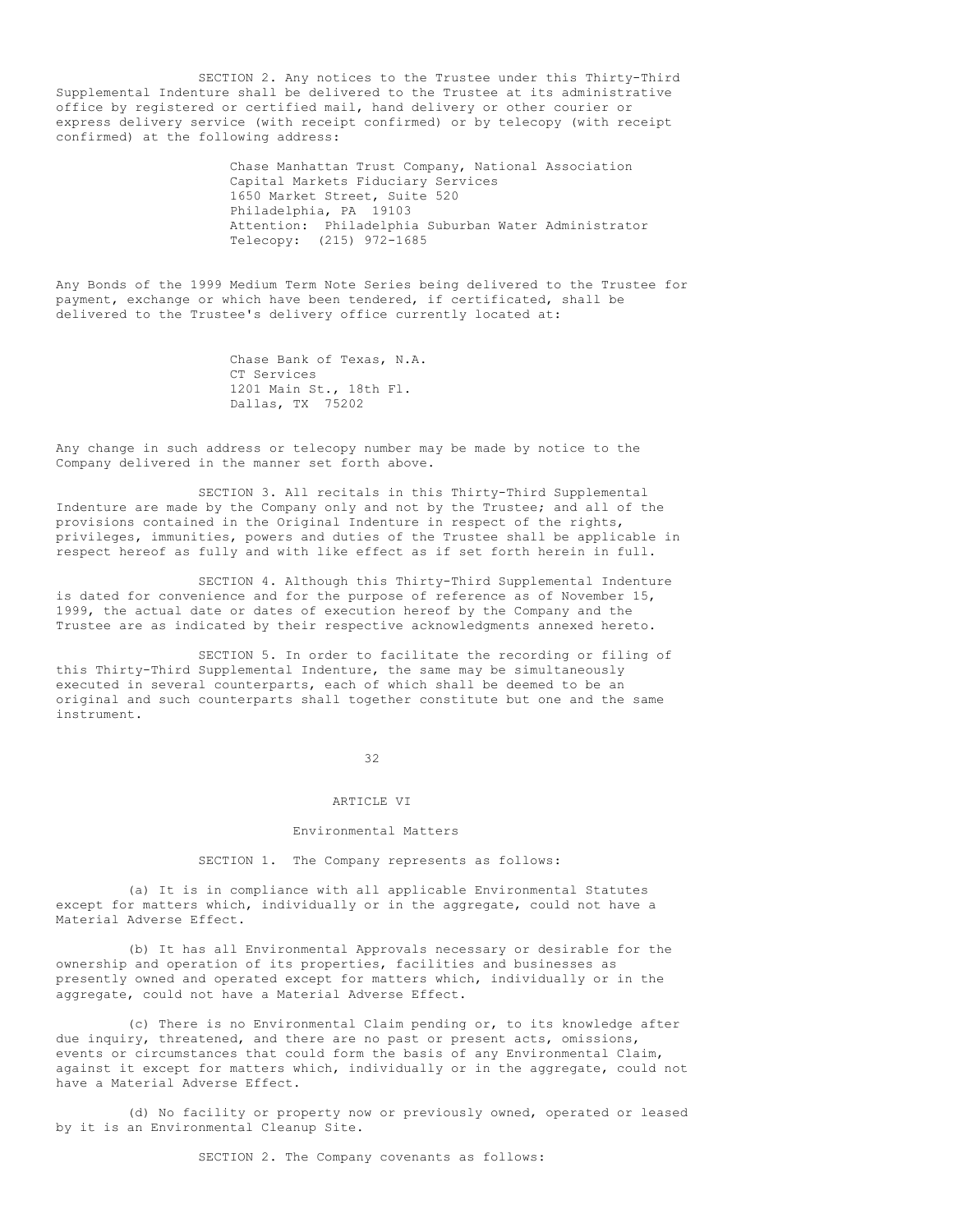SECTION 2. Any notices to the Trustee under this Thirty-Third Supplemental Indenture shall be delivered to the Trustee at its administrative office by registered or certified mail, hand delivery or other courier or express delivery service (with receipt confirmed) or by telecopy (with receipt confirmed) at the following address:

> Chase Manhattan Trust Company, National Association Capital Markets Fiduciary Services 1650 Market Street, Suite 520 Philadelphia, PA 19103 Attention: Philadelphia Suburban Water Administrator Telecopy: (215) 972-1685

Any Bonds of the 1999 Medium Term Note Series being delivered to the Trustee for payment, exchange or which have been tendered, if certificated, shall be delivered to the Trustee's delivery office currently located at:

> Chase Bank of Texas, N.A. CT Services 1201 Main St., 18th Fl. Dallas, TX 75202

Any change in such address or telecopy number may be made by notice to the Company delivered in the manner set forth above.

SECTION 3. All recitals in this Thirty-Third Supplemental Indenture are made by the Company only and not by the Trustee; and all of the provisions contained in the Original Indenture in respect of the rights, privileges, immunities, powers and duties of the Trustee shall be applicable in respect hereof as fully and with like effect as if set forth herein in full.

SECTION 4. Although this Thirty-Third Supplemental Indenture is dated for convenience and for the purpose of reference as of November 15, 1999, the actual date or dates of execution hereof by the Company and the Trustee are as indicated by their respective acknowledgments annexed hereto.

SECTION 5. In order to facilitate the recording or filing of this Thirty-Third Supplemental Indenture, the same may be simultaneously executed in several counterparts, each of which shall be deemed to be an original and such counterparts shall together constitute but one and the same instrument.

32

### ARTICLE VI

### Environmental Matters

# SECTION 1. The Company represents as follows:

(a) It is in compliance with all applicable Environmental Statutes except for matters which, individually or in the aggregate, could not have a Material Adverse Effect.

(b) It has all Environmental Approvals necessary or desirable for the ownership and operation of its properties, facilities and businesses as presently owned and operated except for matters which, individually or in the aggregate, could not have a Material Adverse Effect.

(c) There is no Environmental Claim pending or, to its knowledge after due inquiry, threatened, and there are no past or present acts, omissions, events or circumstances that could form the basis of any Environmental Claim, against it except for matters which, individually or in the aggregate, could not have a Material Adverse Effect.

(d) No facility or property now or previously owned, operated or leased by it is an Environmental Cleanup Site.

SECTION 2. The Company covenants as follows: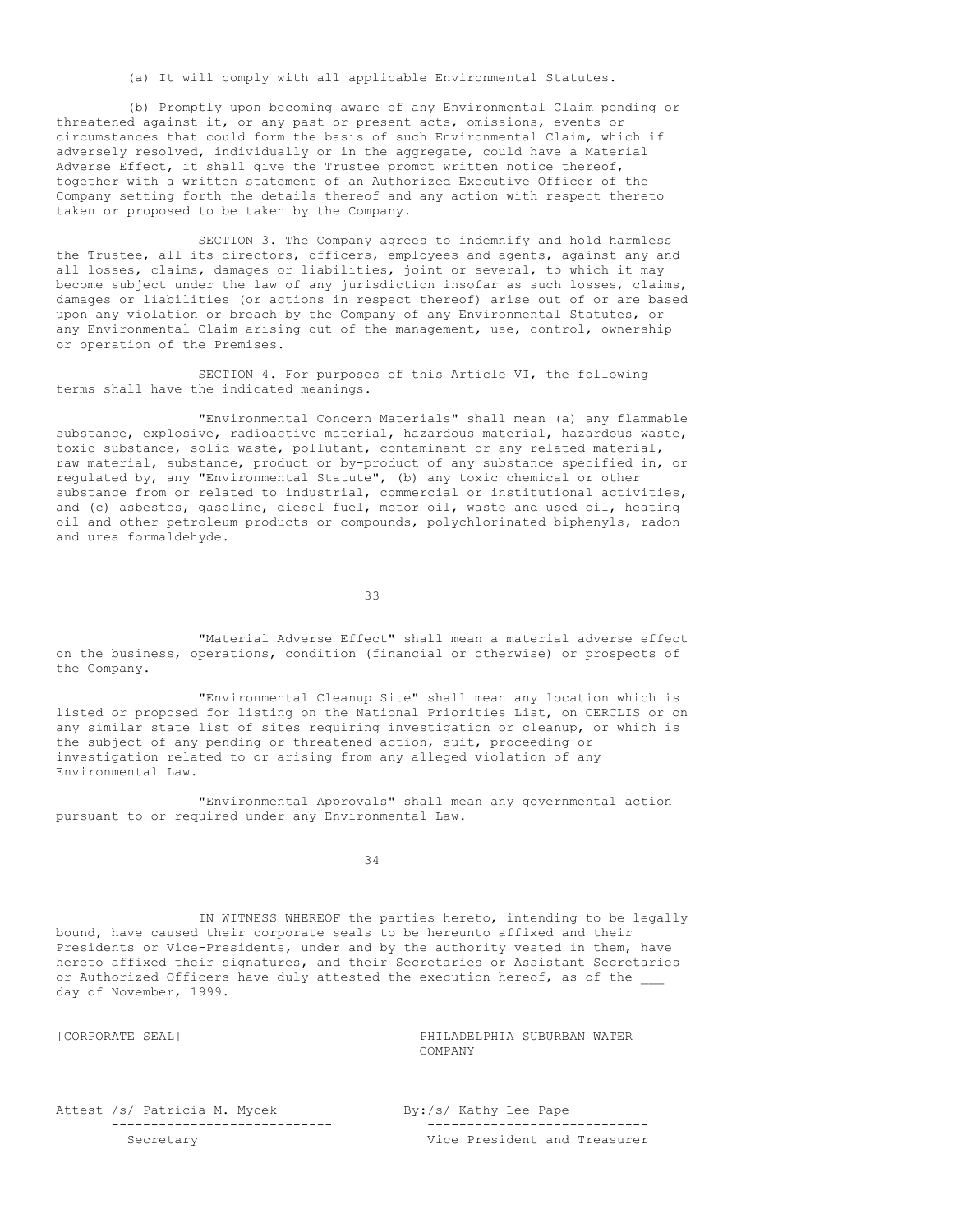(a) It will comply with all applicable Environmental Statutes.

(b) Promptly upon becoming aware of any Environmental Claim pending or threatened against it, or any past or present acts, omissions, events or circumstances that could form the basis of such Environmental Claim, which if adversely resolved, individually or in the aggregate, could have a Material Adverse Effect, it shall give the Trustee prompt written notice thereof, together with a written statement of an Authorized Executive Officer of the Company setting forth the details thereof and any action with respect thereto taken or proposed to be taken by the Company.

SECTION 3. The Company agrees to indemnify and hold harmless the Trustee, all its directors, officers, employees and agents, against any and all losses, claims, damages or liabilities, joint or several, to which it may become subject under the law of any jurisdiction insofar as such losses, claims, damages or liabilities (or actions in respect thereof) arise out of or are based upon any violation or breach by the Company of any Environmental Statutes, or any Environmental Claim arising out of the management, use, control, ownership or operation of the Premises.

SECTION 4. For purposes of this Article VI, the following terms shall have the indicated meanings.

"Environmental Concern Materials" shall mean (a) any flammable substance, explosive, radioactive material, hazardous material, hazardous waste, toxic substance, solid waste, pollutant, contaminant or any related material, raw material, substance, product or by-product of any substance specified in, or regulated by, any "Environmental Statute", (b) any toxic chemical or other substance from or related to industrial, commercial or institutional activities, and (c) asbestos, gasoline, diesel fuel, motor oil, waste and used oil, heating oil and other petroleum products or compounds, polychlorinated biphenyls, radon and urea formaldehyde.

33

"Material Adverse Effect" shall mean a material adverse effect on the business, operations, condition (financial or otherwise) or prospects of the Company.

"Environmental Cleanup Site" shall mean any location which is listed or proposed for listing on the National Priorities List, on CERCLIS or on any similar state list of sites requiring investigation or cleanup, or which is the subject of any pending or threatened action, suit, proceeding or investigation related to or arising from any alleged violation of any Environmental Law.

"Environmental Approvals" shall mean any governmental action pursuant to or required under any Environmental Law.

34

IN WITNESS WHEREOF the parties hereto, intending to be legally bound, have caused their corporate seals to be hereunto affixed and their Presidents or Vice-Presidents, under and by the authority vested in them, have hereto affixed their signatures, and their Secretaries or Assistant Secretaries or Authorized Officers have duly attested the execution hereof, as of the day of November, 1999.

[CORPORATE SEAL] PHILADELPHIA SUBURBAN WATER COMPANY

Attest /s/ Patricia M. Mycek By:/s/ Kathy Lee Pape

---------------------------- ---------------------------- Secretary **Vice President and Treasurer** Vice President and Treasurer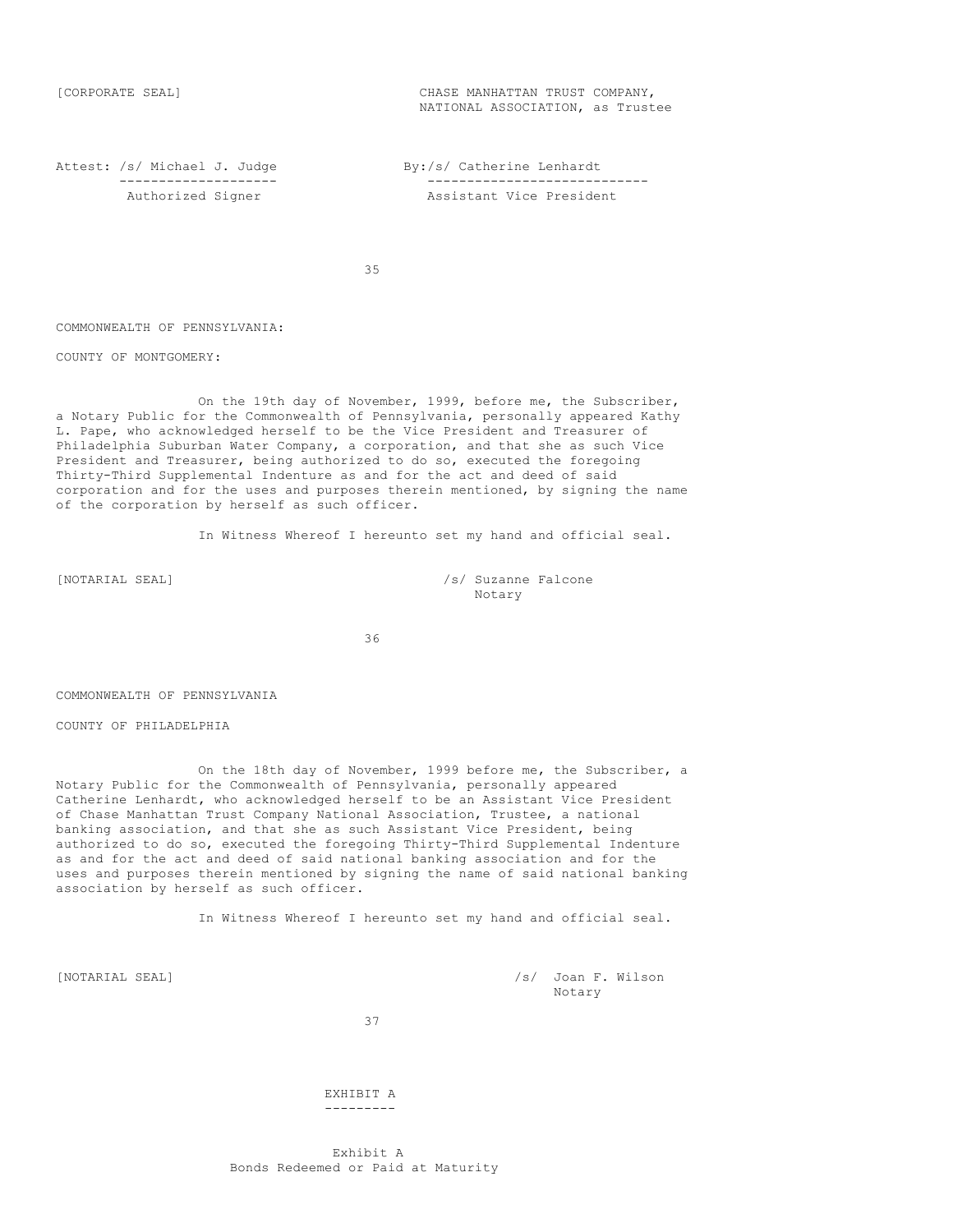| Attest: /s/ Michael J. Judge |  |
|------------------------------|--|
|                              |  |
| Authorized Signer            |  |

/s/ Michael J. Judge By:/s/ Catherine Lenhardt -------------------- ---------------------------- Assistant Vice President

35

### COMMONWEALTH OF PENNSYLVANIA:

COUNTY OF MONTGOMERY:

On the 19th day of November, 1999, before me, the Subscriber, a Notary Public for the Commonwealth of Pennsylvania, personally appeared Kathy L. Pape, who acknowledged herself to be the Vice President and Treasurer of Philadelphia Suburban Water Company, a corporation, and that she as such Vice President and Treasurer, being authorized to do so, executed the foregoing Thirty-Third Supplemental Indenture as and for the act and deed of said corporation and for the uses and purposes therein mentioned, by signing the name of the corporation by herself as such officer.

In Witness Whereof I hereunto set my hand and official seal.

[NOTARIAL SEAL] /s/ Suzanne Falcone Notary

36

## COMMONWEALTH OF PENNSYLVANIA

COUNTY OF PHILADELPHIA

On the 18th day of November, 1999 before me, the Subscriber, a Notary Public for the Commonwealth of Pennsylvania, personally appeared Catherine Lenhardt, who acknowledged herself to be an Assistant Vice President of Chase Manhattan Trust Company National Association, Trustee, a national banking association, and that she as such Assistant Vice President, being authorized to do so, executed the foregoing Thirty-Third Supplemental Indenture as and for the act and deed of said national banking association and for the uses and purposes therein mentioned by signing the name of said national banking association by herself as such officer.

In Witness Whereof I hereunto set my hand and official seal.

[NOTARIAL SEAL] /s/ Joan F. Wilson Notary

37

EXHIBIT A ---------

Exhibit A Bonds Redeemed or Paid at Maturity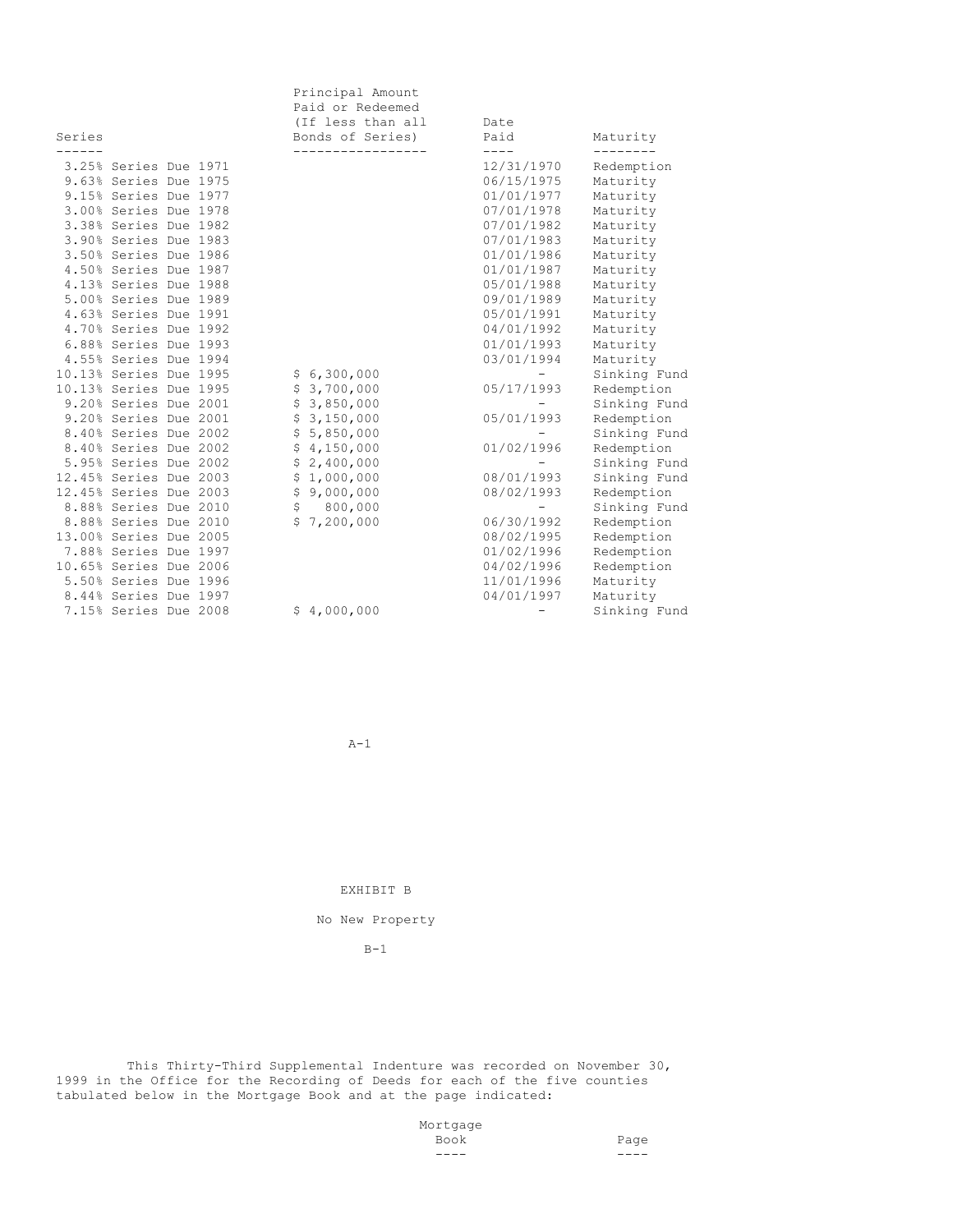| Series |                        |  | Principal Amount<br>Paid or Redeemed<br>(If less than all<br>Bonds of Series)<br>----------- | Date<br>Paid<br>$- - - -$ | Maturity<br>-------- |
|--------|------------------------|--|----------------------------------------------------------------------------------------------|---------------------------|----------------------|
|        | 3.25% Series Due 1971  |  |                                                                                              | 12/31/1970                | Redemption           |
|        | 9.63% Series Due 1975  |  |                                                                                              | 06/15/1975                | Maturity             |
|        | 9.15% Series Due 1977  |  |                                                                                              | 01/01/1977                | Maturity             |
|        | 3.00% Series Due 1978  |  |                                                                                              | 07/01/1978                | Maturity             |
|        | 3.38% Series Due 1982  |  |                                                                                              | 07/01/1982                | Maturity             |
|        | 3.90% Series Due 1983  |  |                                                                                              | 07/01/1983                | Maturity             |
|        | 3.50% Series Due 1986  |  |                                                                                              | 01/01/1986                | Maturity             |
|        | 4.50% Series Due 1987  |  |                                                                                              | 01/01/1987                | Maturity             |
|        | 4.13% Series Due 1988  |  |                                                                                              | 05/01/1988                | Maturity             |
|        | 5.00% Series Due 1989  |  |                                                                                              | 09/01/1989                | Maturity             |
|        | 4.63% Series Due 1991  |  |                                                                                              | 05/01/1991                | Maturity             |
|        | 4.70% Series Due 1992  |  |                                                                                              | 04/01/1992                | Maturity             |
|        | 6.88% Series Due 1993  |  |                                                                                              | 01/01/1993                | Maturity             |
|        | 4.55% Series Due 1994  |  |                                                                                              | 03/01/1994                | Maturity             |
|        | 10.13% Series Due 1995 |  | \$6,300,000                                                                                  |                           | Sinking Fund         |
|        | 10.13% Series Due 1995 |  | \$3,700,000                                                                                  | 05/17/1993                | Redemption           |
|        | 9.20% Series Due 2001  |  | \$3,850,000                                                                                  |                           | Sinking Fund         |
|        | 9.20% Series Due 2001  |  | \$3,150,000                                                                                  | 05/01/1993                | Redemption           |
|        | 8.40% Series Due 2002  |  | \$5,850,000                                                                                  |                           | Sinking Fund         |
|        | 8.40% Series Due 2002  |  | \$4,150,000                                                                                  | 01/02/1996                | Redemption           |
|        | 5.95% Series Due 2002  |  | \$2,400,000                                                                                  |                           | Sinking Fund         |
|        | 12.45% Series Due 2003 |  | \$1,000,000                                                                                  | 08/01/1993                | Sinking Fund         |
|        | 12.45% Series Due 2003 |  | \$9,000,000                                                                                  | 08/02/1993                | Redemption           |
|        | 8.88% Series Due 2010  |  | \$800,000                                                                                    |                           | Sinking Fund         |
|        | 8.88% Series Due 2010  |  | \$7,200,000                                                                                  | 06/30/1992                | Redemption           |
|        | 13.00% Series Due 2005 |  |                                                                                              | 08/02/1995                | Redemption           |
|        | 7.88% Series Due 1997  |  |                                                                                              | 01/02/1996                | Redemption           |
|        | 10.65% Series Due 2006 |  |                                                                                              | 04/02/1996                | Redemption           |
|        | 5.50% Series Due 1996  |  |                                                                                              | 11/01/1996                | Maturity             |
|        | 8.44% Series Due 1997  |  |                                                                                              | 04/01/1997                | Maturity             |
|        | 7.15% Series Due 2008  |  | \$4,000,000                                                                                  |                           | Sinking Fund         |

A-1

EXHIBIT B

No New Property

 $B-1$ 

This Thirty-Third Supplemental Indenture was recorded on November 30, 1999 in the Office for the Recording of Deeds for each of the five counties tabulated below in the Mortgage Book and at the page indicated:

| Mortgage |      |
|----------|------|
| Book     | Page |
|          |      |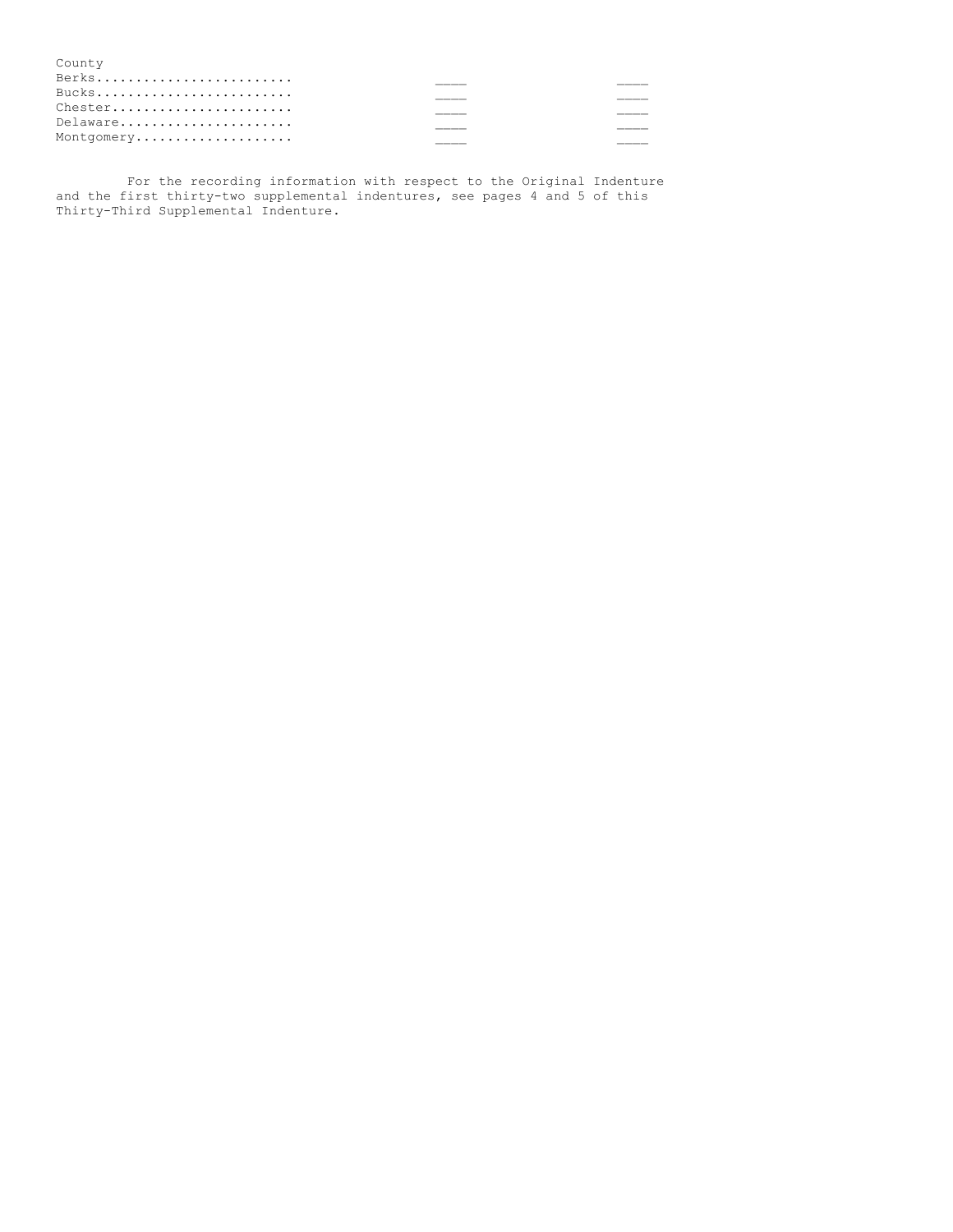| County<br>Berks  |  |
|------------------|--|
|                  |  |
| Bucks<br>Chester |  |
|                  |  |
| Delaware         |  |
| Montgomery       |  |

For the recording information with respect to the Original Indenture and the first thirty-two supplemental indentures, see pages 4 and 5 of this Thirty-Third Supplemental Indenture.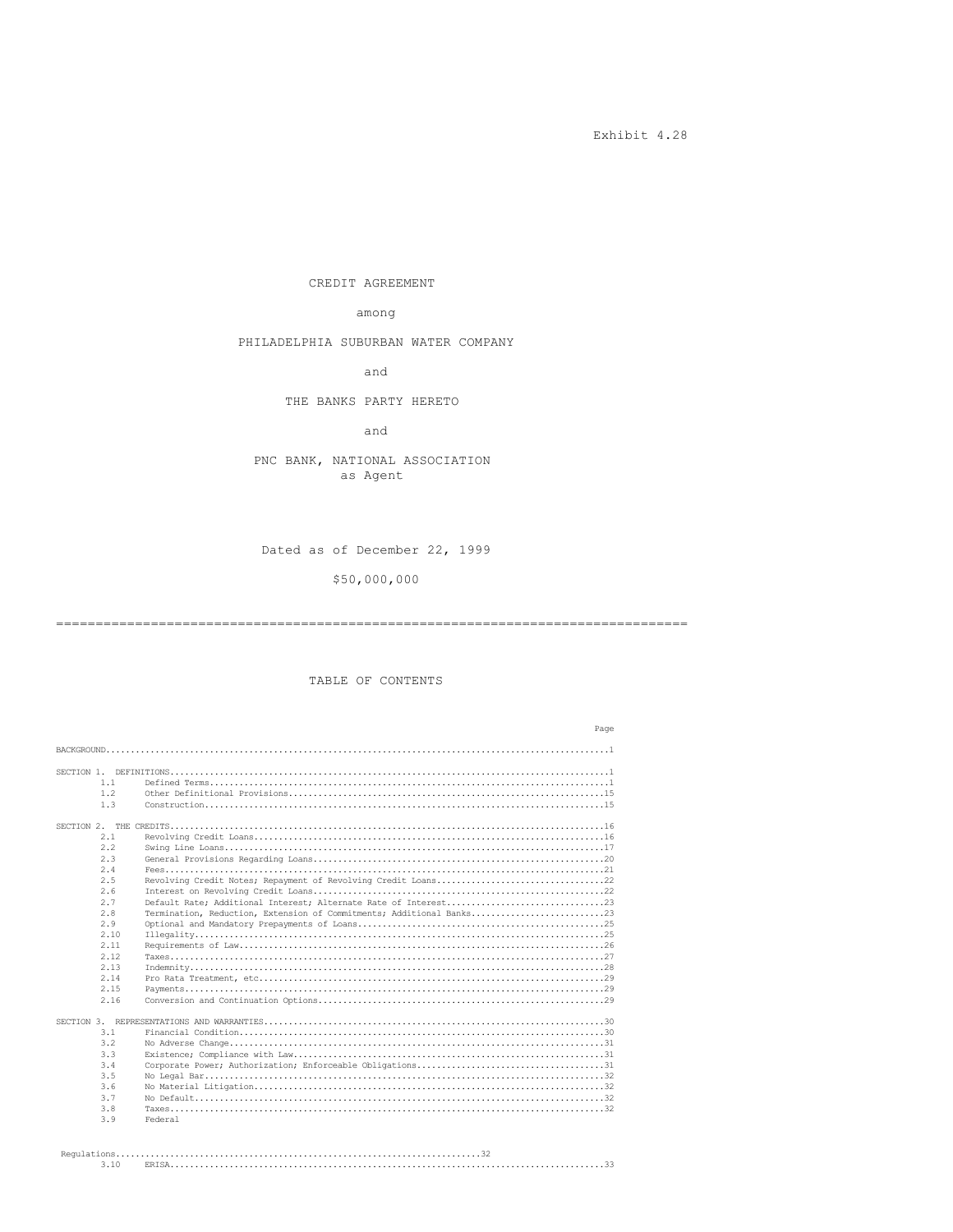Exhibit 4.28

# CREDIT AGREEMENT

among

# PHILADELPHIA SUBURBAN WATER COMPANY

and

# THE BANKS PARTY HERETO

and

## PNC BANK, NATIONAL ASSOCIATION as Agent

Dated as of December 22, 1999

## \$50,000,000

# TABLE OF CONTENTS

|            | Page                                                                 |
|------------|----------------------------------------------------------------------|
|            |                                                                      |
| SECTION 1. |                                                                      |
| 1.1        |                                                                      |
| 1.2        |                                                                      |
| 1.3        |                                                                      |
|            |                                                                      |
| 2.1        |                                                                      |
| 2.2        |                                                                      |
| 2.3        |                                                                      |
| 2.4        |                                                                      |
| 2.5        | Revolving Credit Notes; Repayment of Revolving Credit Loans22        |
| 2.6        |                                                                      |
| 2.7        |                                                                      |
| 2.8        | Termination, Reduction, Extension of Commitments; Additional Banks23 |
| 2.9        |                                                                      |
| 2.10       |                                                                      |
| 2.11       |                                                                      |
| 2.12       |                                                                      |
| 2.13       |                                                                      |
| 2.14       |                                                                      |
| 2.15       |                                                                      |
| 2.16       |                                                                      |
|            |                                                                      |
| 3.1        |                                                                      |
| 3.2        |                                                                      |
| 3.3        |                                                                      |
| 3.4        |                                                                      |
| 3.5        |                                                                      |
| 3.6        |                                                                      |
| 3.7        |                                                                      |
| 3.8        |                                                                      |
| 3.9        | Federal                                                              |
|            |                                                                      |
|            |                                                                      |
| 3.10       |                                                                      |
|            |                                                                      |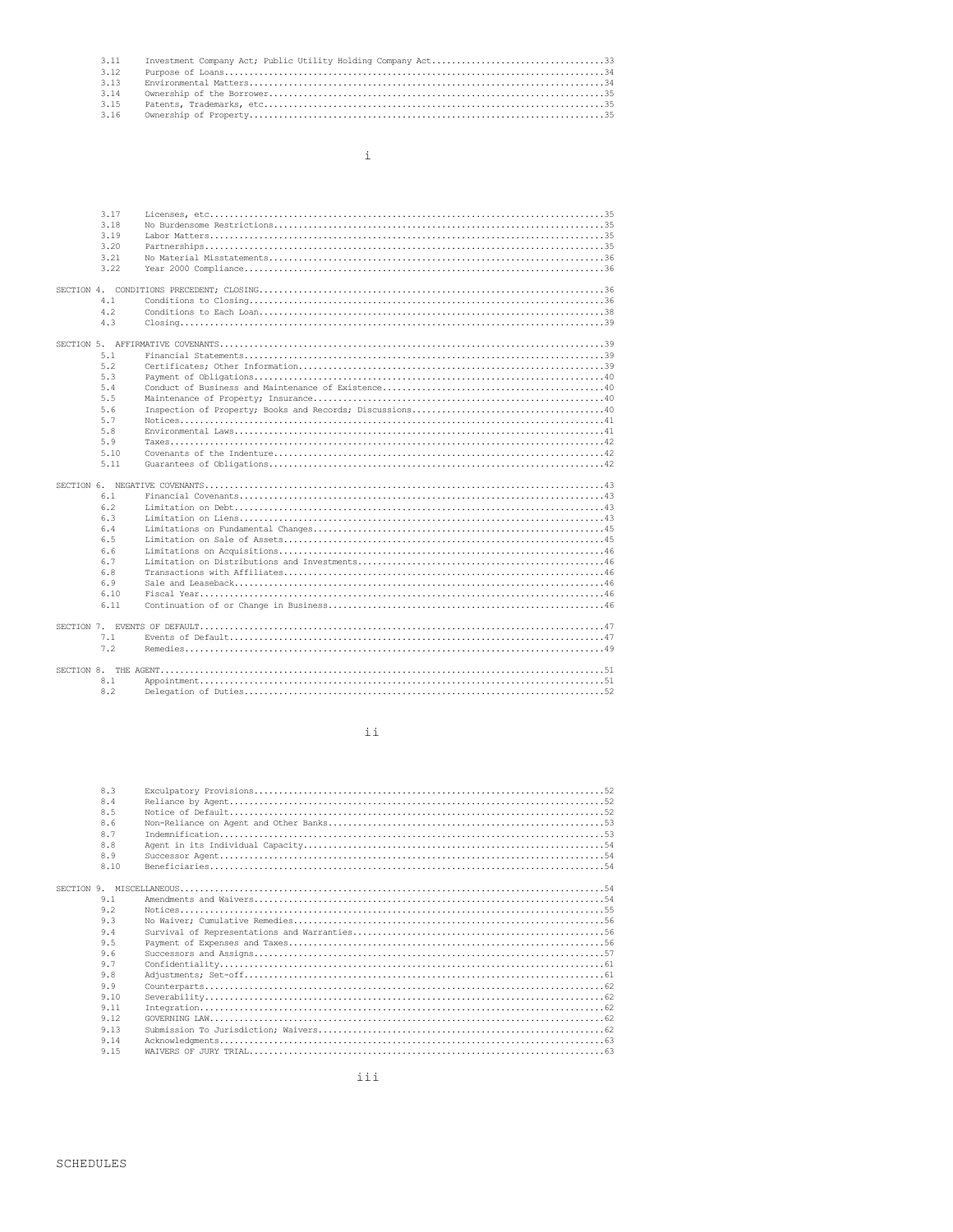|          | 3.11 Investment Company Act; Public Utility Holding Company Act33 |  |
|----------|-------------------------------------------------------------------|--|
| 3.12     |                                                                   |  |
| 3.13     |                                                                   |  |
| 3.14     |                                                                   |  |
| $3.15 -$ |                                                                   |  |
|          |                                                                   |  |

 $\dot{1}$ 

| 3.17           |                         |
|----------------|-------------------------|
| 3.18           |                         |
| 3.19           |                         |
| 3.20           |                         |
| 3.21           |                         |
| 3.22           |                         |
|                |                         |
|                |                         |
| 4.1            |                         |
| 42             |                         |
| 4.3            | $\frac{2}{3}$           |
|                |                         |
|                |                         |
| 5.1            |                         |
| 5.2            |                         |
| 5.3            |                         |
| 5.4            |                         |
| 5.5            |                         |
| 5.6            |                         |
| 5.7            |                         |
| 5.8            |                         |
| 5.9            |                         |
| 5.10           |                         |
| 5.11           |                         |
|                |                         |
| 6.1            |                         |
| 6.2            |                         |
| 6.3            |                         |
| 6.4            |                         |
| 6.5            |                         |
| 6.6            |                         |
| 6.7            |                         |
| 6.8            |                         |
| 6.9            |                         |
| 6.10           |                         |
|                |                         |
| 6.11           |                         |
|                |                         |
| 7.1            |                         |
| 7.2            |                         |
|                |                         |
|                |                         |
| 8.1            |                         |
| R <sub>2</sub> | Delegation of Duties 52 |

# $\mathtt{ii}$

| 8.3  |  |
|------|--|
| 8.4  |  |
| 8.5  |  |
| 8.6  |  |
| 8.7  |  |
| 8.8  |  |
| 8.9  |  |
| 8.10 |  |
|      |  |
|      |  |
| 9.1  |  |
| 9.2  |  |
| 9.3  |  |
| 9.4  |  |
| 9.5  |  |
| 9.6  |  |
| 9.7  |  |
| 9.8  |  |
| 9.9  |  |
| 9.10 |  |
| 9.11 |  |
| 9.12 |  |
| 9.13 |  |
| 9.14 |  |
| 9.15 |  |
|      |  |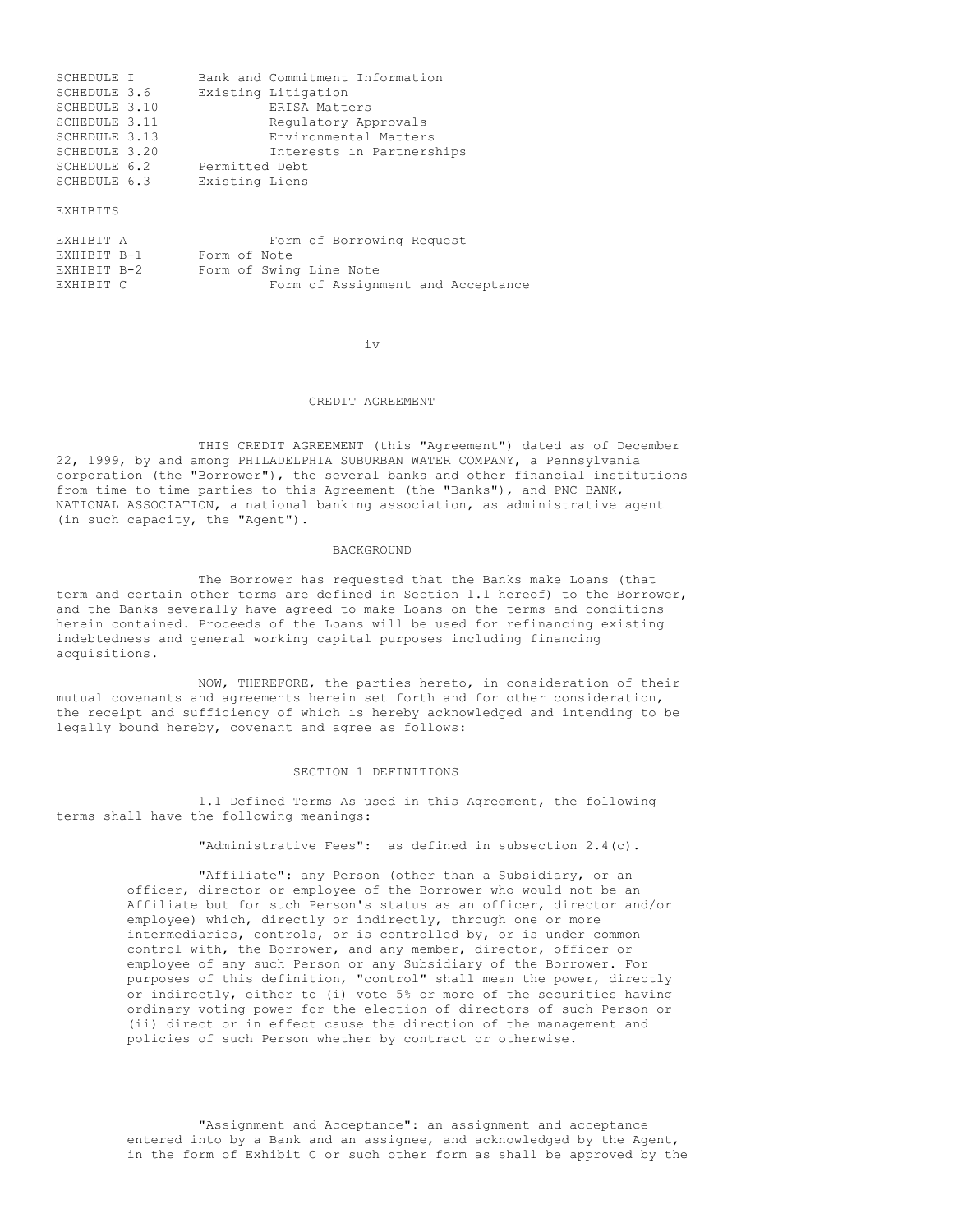| SCHEDULE I    |                |                      | Bank and Commitment Information |
|---------------|----------------|----------------------|---------------------------------|
| SCHEDULE 3.6  |                | Existing Litigation  |                                 |
| SCHEDULE 3.10 |                | ERISA Matters        |                                 |
| SCHEDULE 3.11 |                | Requlatory Approvals |                                 |
| SCHEDULE 3.13 |                |                      | Environmental Matters           |
| SCHEDULE 3.20 |                |                      | Interests in Partnerships       |
| SCHEDULE 6.2  | Permitted Debt |                      |                                 |
| SCHEDULE 6.3  | Existing Liens |                      |                                 |

### **EXHIBITS**

| EXHIBIT A   |              |  | Form of Borrowing Request         |
|-------------|--------------|--|-----------------------------------|
| EXHIBIT B-1 | Form of Note |  |                                   |
| EXHIBIT B-2 |              |  | Form of Swing Line Note           |
| EXHIBIT C   |              |  | Form of Assignment and Acceptance |

### iv

### CREDIT AGREEMENT

THIS CREDIT AGREEMENT (this "Agreement") dated as of December 22, 1999, by and among PHILADELPHIA SUBURBAN WATER COMPANY, a Pennsylvania corporation (the "Borrower"), the several banks and other financial institutions from time to time parties to this Agreement (the "Banks"), and PNC BANK, NATIONAL ASSOCIATION, a national banking association, as administrative agent (in such capacity, the "Agent").

#### BACKGROUND

The Borrower has requested that the Banks make Loans (that term and certain other terms are defined in Section 1.1 hereof) to the Borrower, and the Banks severally have agreed to make Loans on the terms and conditions herein contained. Proceeds of the Loans will be used for refinancing existing indebtedness and general working capital purposes including financing acquisitions.

NOW, THEREFORE, the parties hereto, in consideration of their mutual covenants and agreements herein set forth and for other consideration, the receipt and sufficiency of which is hereby acknowledged and intending to be legally bound hereby, covenant and agree as follows:

#### SECTION 1 DEFINITIONS

1.1 Defined Terms As used in this Agreement, the following terms shall have the following meanings:

"Administrative Fees": as defined in subsection 2.4(c).

"Affiliate": any Person (other than a Subsidiary, or an officer, director or employee of the Borrower who would not be an Affiliate but for such Person's status as an officer, director and/or employee) which, directly or indirectly, through one or more intermediaries, controls, or is controlled by, or is under common control with, the Borrower, and any member, director, officer or employee of any such Person or any Subsidiary of the Borrower. For purposes of this definition, "control" shall mean the power, directly or indirectly, either to (i) vote 5% or more of the securities having ordinary voting power for the election of directors of such Person or (ii) direct or in effect cause the direction of the management and policies of such Person whether by contract or otherwise.

"Assignment and Acceptance": an assignment and acceptance entered into by a Bank and an assignee, and acknowledged by the Agent, in the form of Exhibit C or such other form as shall be approved by the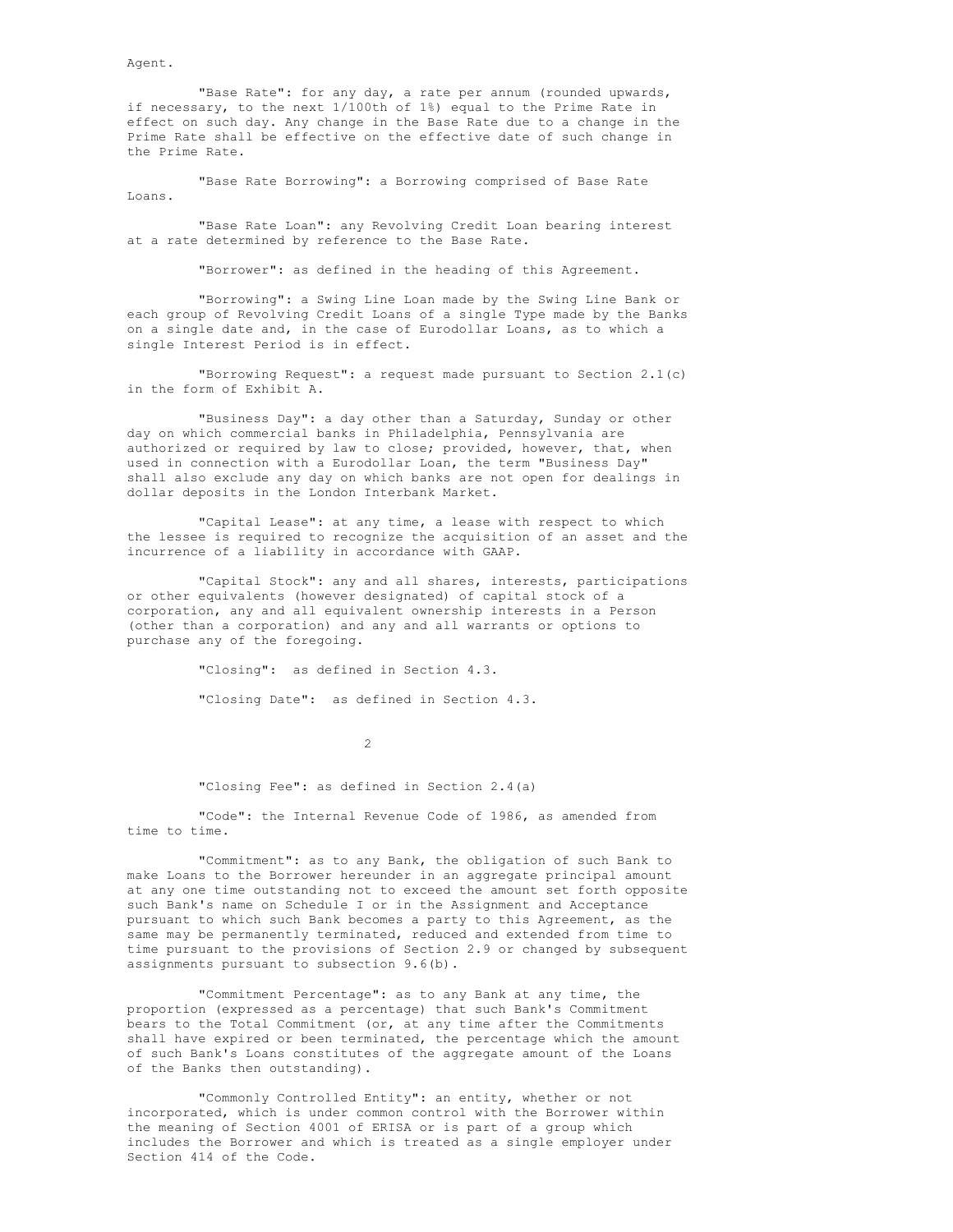Agent.

"Base Rate": for any day, a rate per annum (rounded upwards, if necessary, to the next 1/100th of 1%) equal to the Prime Rate in effect on such day. Any change in the Base Rate due to a change in the Prime Rate shall be effective on the effective date of such change in the Prime Rate.

"Base Rate Borrowing": a Borrowing comprised of Base Rate Loans.

"Base Rate Loan": any Revolving Credit Loan bearing interest at a rate determined by reference to the Base Rate.

"Borrower": as defined in the heading of this Agreement.

"Borrowing": a Swing Line Loan made by the Swing Line Bank or each group of Revolving Credit Loans of a single Type made by the Banks on a single date and, in the case of Eurodollar Loans, as to which a single Interest Period is in effect.

"Borrowing Request": a request made pursuant to Section 2.1(c) in the form of Exhibit A.

"Business Day": a day other than a Saturday, Sunday or other day on which commercial banks in Philadelphia, Pennsylvania are authorized or required by law to close; provided, however, that, when used in connection with a Eurodollar Loan, the term "Business Day" shall also exclude any day on which banks are not open for dealings in dollar deposits in the London Interbank Market.

"Capital Lease": at any time, a lease with respect to which the lessee is required to recognize the acquisition of an asset and the incurrence of a liability in accordance with GAAP.

"Capital Stock": any and all shares, interests, participations or other equivalents (however designated) of capital stock of a corporation, any and all equivalent ownership interests in a Person (other than a corporation) and any and all warrants or options to purchase any of the foregoing.

"Closing": as defined in Section 4.3.

"Closing Date": as defined in Section 4.3.

 $\mathfrak{D}$ 

"Closing Fee": as defined in Section 2.4(a)

"Code": the Internal Revenue Code of 1986, as amended from time to time.

"Commitment": as to any Bank, the obligation of such Bank to make Loans to the Borrower hereunder in an aggregate principal amount at any one time outstanding not to exceed the amount set forth opposite such Bank's name on Schedule I or in the Assignment and Acceptance pursuant to which such Bank becomes a party to this Agreement, as the same may be permanently terminated, reduced and extended from time to time pursuant to the provisions of Section 2.9 or changed by subsequent assignments pursuant to subsection 9.6(b).

"Commitment Percentage": as to any Bank at any time, the proportion (expressed as a percentage) that such Bank's Commitment bears to the Total Commitment (or, at any time after the Commitments shall have expired or been terminated, the percentage which the amount of such Bank's Loans constitutes of the aggregate amount of the Loans of the Banks then outstanding).

"Commonly Controlled Entity": an entity, whether or not incorporated, which is under common control with the Borrower within the meaning of Section 4001 of ERISA or is part of a group which includes the Borrower and which is treated as a single employer under Section 414 of the Code.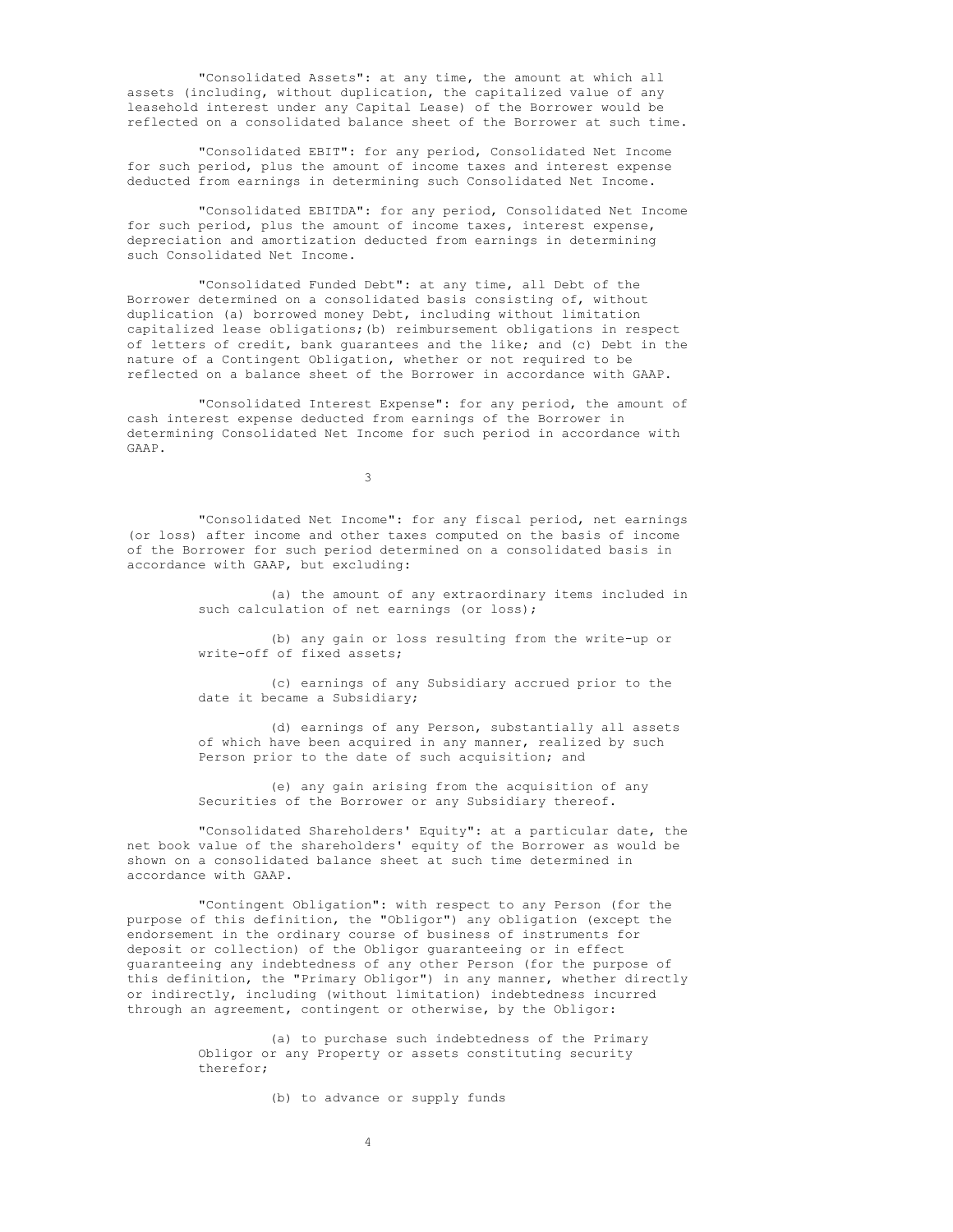"Consolidated Assets": at any time, the amount at which all assets (including, without duplication, the capitalized value of any leasehold interest under any Capital Lease) of the Borrower would be reflected on a consolidated balance sheet of the Borrower at such time.

"Consolidated EBIT": for any period, Consolidated Net Income for such period, plus the amount of income taxes and interest expense deducted from earnings in determining such Consolidated Net Income.

"Consolidated EBITDA": for any period, Consolidated Net Income for such period, plus the amount of income taxes, interest expense, depreciation and amortization deducted from earnings in determining such Consolidated Net Income.

"Consolidated Funded Debt": at any time, all Debt of the Borrower determined on a consolidated basis consisting of, without duplication (a) borrowed money Debt, including without limitation capitalized lease obligations;(b) reimbursement obligations in respect of letters of credit, bank guarantees and the like; and (c) Debt in the nature of a Contingent Obligation, whether or not required to be reflected on a balance sheet of the Borrower in accordance with GAAP.

"Consolidated Interest Expense": for any period, the amount of cash interest expense deducted from earnings of the Borrower in determining Consolidated Net Income for such period in accordance with GAAP.

3

"Consolidated Net Income": for any fiscal period, net earnings (or loss) after income and other taxes computed on the basis of income of the Borrower for such period determined on a consolidated basis in accordance with GAAP, but excluding:

> (a) the amount of any extraordinary items included in such calculation of net earnings (or loss);

(b) any gain or loss resulting from the write-up or write-off of fixed assets;

(c) earnings of any Subsidiary accrued prior to the date it became a Subsidiary;

(d) earnings of any Person, substantially all assets of which have been acquired in any manner, realized by such Person prior to the date of such acquisition; and

(e) any gain arising from the acquisition of any Securities of the Borrower or any Subsidiary thereof.

"Consolidated Shareholders' Equity": at a particular date, the net book value of the shareholders' equity of the Borrower as would be shown on a consolidated balance sheet at such time determined in accordance with GAAP.

"Contingent Obligation": with respect to any Person (for the purpose of this definition, the "Obligor") any obligation (except the endorsement in the ordinary course of business of instruments for deposit or collection) of the Obligor guaranteeing or in effect guaranteeing any indebtedness of any other Person (for the purpose of this definition, the "Primary Obligor") in any manner, whether directly or indirectly, including (without limitation) indebtedness incurred through an agreement, contingent or otherwise, by the Obligor:

> (a) to purchase such indebtedness of the Primary Obligor or any Property or assets constituting security therefor;

> > (b) to advance or supply funds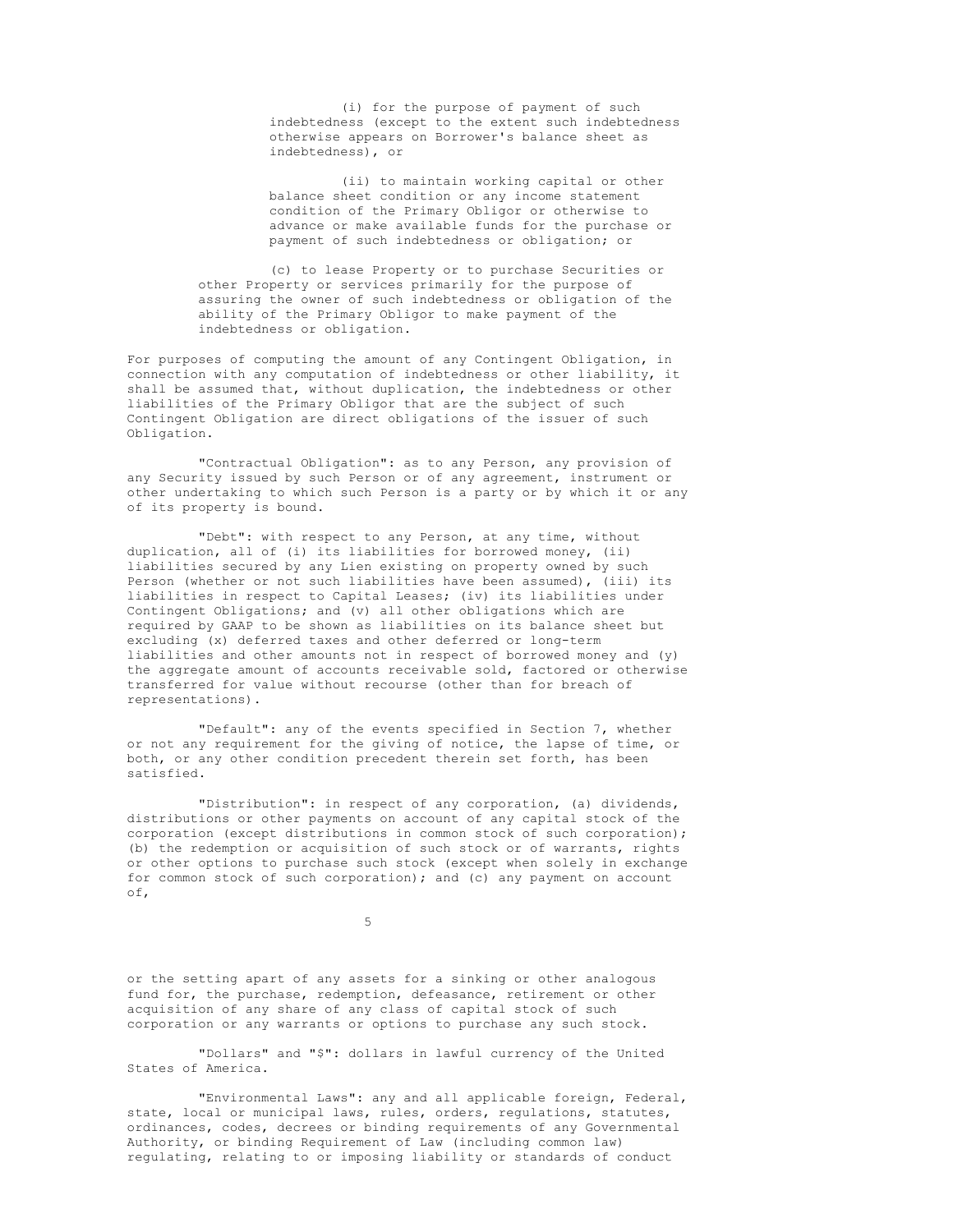(i) for the purpose of payment of such indebtedness (except to the extent such indebtedness otherwise appears on Borrower's balance sheet as indebtedness), or

(ii) to maintain working capital or other balance sheet condition or any income statement condition of the Primary Obligor or otherwise to advance or make available funds for the purchase or payment of such indebtedness or obligation; or

(c) to lease Property or to purchase Securities or other Property or services primarily for the purpose of assuring the owner of such indebtedness or obligation of the ability of the Primary Obligor to make payment of the indebtedness or obligation.

For purposes of computing the amount of any Contingent Obligation, in connection with any computation of indebtedness or other liability, it shall be assumed that, without duplication, the indebtedness or other liabilities of the Primary Obligor that are the subject of such Contingent Obligation are direct obligations of the issuer of such Obligation.

"Contractual Obligation": as to any Person, any provision of any Security issued by such Person or of any agreement, instrument or other undertaking to which such Person is a party or by which it or any of its property is bound.

"Debt": with respect to any Person, at any time, without duplication, all of (i) its liabilities for borrowed money, (ii) liabilities secured by any Lien existing on property owned by such Person (whether or not such liabilities have been assumed), (iii) its liabilities in respect to Capital Leases; (iv) its liabilities under Contingent Obligations; and (v) all other obligations which are required by GAAP to be shown as liabilities on its balance sheet but excluding (x) deferred taxes and other deferred or long-term liabilities and other amounts not in respect of borrowed money and (y) the aggregate amount of accounts receivable sold, factored or otherwise transferred for value without recourse (other than for breach of representations).

"Default": any of the events specified in Section 7, whether or not any requirement for the giving of notice, the lapse of time, or both, or any other condition precedent therein set forth, has been satisfied.

"Distribution": in respect of any corporation, (a) dividends, distributions or other payments on account of any capital stock of the corporation (except distributions in common stock of such corporation); (b) the redemption or acquisition of such stock or of warrants, rights or other options to purchase such stock (except when solely in exchange for common stock of such corporation); and (c) any payment on account of,

5

or the setting apart of any assets for a sinking or other analogous fund for, the purchase, redemption, defeasance, retirement or other acquisition of any share of any class of capital stock of such corporation or any warrants or options to purchase any such stock.

"Dollars" and "\$": dollars in lawful currency of the United States of America.

"Environmental Laws": any and all applicable foreign, Federal, state, local or municipal laws, rules, orders, regulations, statutes, ordinances, codes, decrees or binding requirements of any Governmental Authority, or binding Requirement of Law (including common law) regulating, relating to or imposing liability or standards of conduct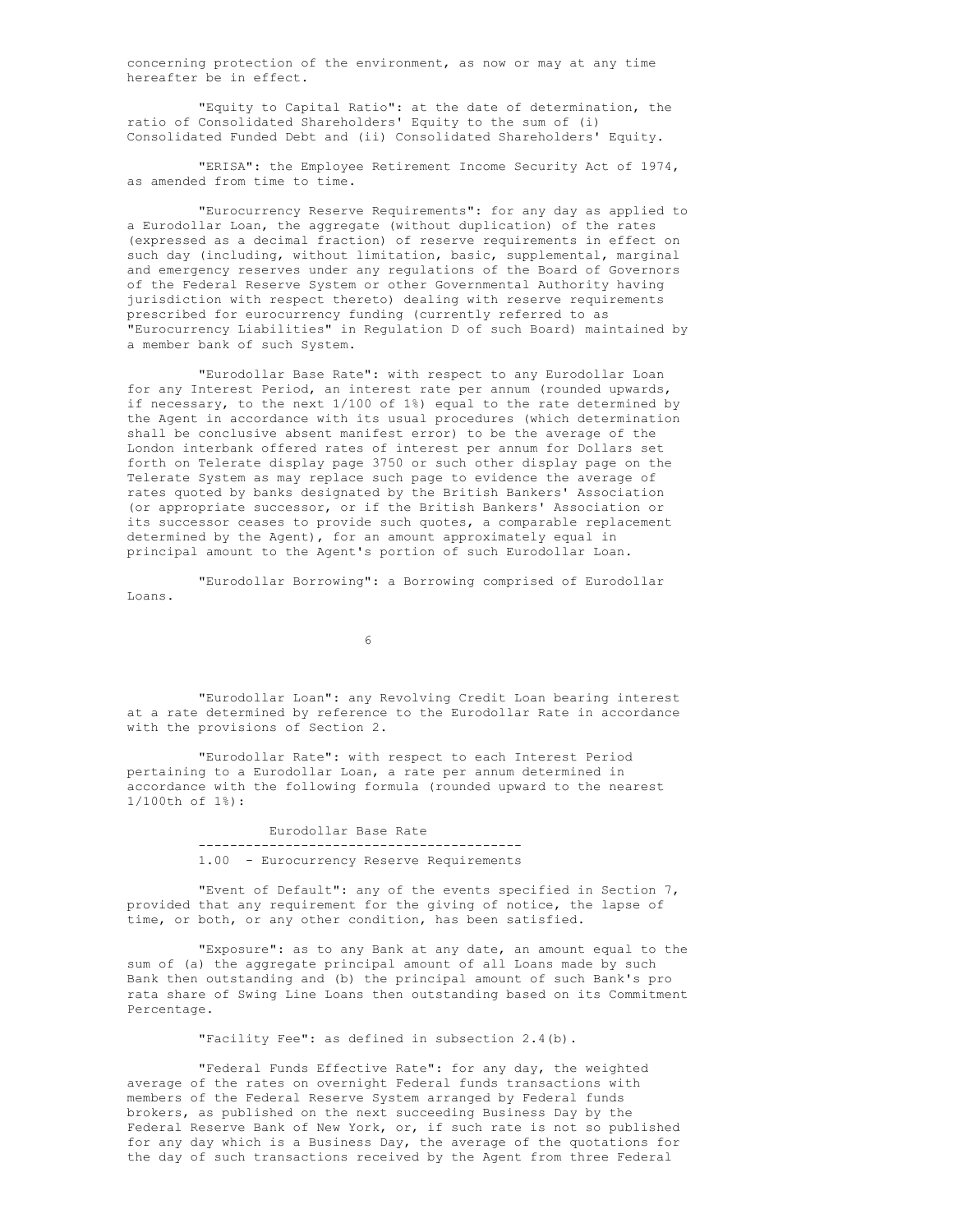concerning protection of the environment, as now or may at any time hereafter be in effect.

"Equity to Capital Ratio": at the date of determination, the ratio of Consolidated Shareholders' Equity to the sum of (i) Consolidated Funded Debt and (ii) Consolidated Shareholders' Equity.

"ERISA": the Employee Retirement Income Security Act of 1974, as amended from time to time.

"Eurocurrency Reserve Requirements": for any day as applied to a Eurodollar Loan, the aggregate (without duplication) of the rates (expressed as a decimal fraction) of reserve requirements in effect on such day (including, without limitation, basic, supplemental, marginal and emergency reserves under any regulations of the Board of Governors of the Federal Reserve System or other Governmental Authority having jurisdiction with respect thereto) dealing with reserve requirements prescribed for eurocurrency funding (currently referred to as "Eurocurrency Liabilities" in Regulation D of such Board) maintained by a member bank of such System.

"Eurodollar Base Rate": with respect to any Eurodollar Loan for any Interest Period, an interest rate per annum (rounded upwards, if necessary, to the next 1/100 of 1%) equal to the rate determined by the Agent in accordance with its usual procedures (which determination shall be conclusive absent manifest error) to be the average of the London interbank offered rates of interest per annum for Dollars set forth on Telerate display page 3750 or such other display page on the Telerate System as may replace such page to evidence the average of rates quoted by banks designated by the British Bankers' Association (or appropriate successor, or if the British Bankers' Association or its successor ceases to provide such quotes, a comparable replacement determined by the Agent), for an amount approximately equal in principal amount to the Agent's portion of such Eurodollar Loan.

"Eurodollar Borrowing": a Borrowing comprised of Eurodollar Loans.

6

"Eurodollar Loan": any Revolving Credit Loan bearing interest at a rate determined by reference to the Eurodollar Rate in accordance with the provisions of Section 2.

"Eurodollar Rate": with respect to each Interest Period pertaining to a Eurodollar Loan, a rate per annum determined in accordance with the following formula (rounded upward to the nearest 1/100th of 1%):

> Eurodollar Base Rate ----------------------------------------- 1.00 - Eurocurrency Reserve Requirements

"Event of Default": any of the events specified in Section 7, provided that any requirement for the giving of notice, the lapse of time, or both, or any other condition, has been satisfied.

"Exposure": as to any Bank at any date, an amount equal to the sum of (a) the aggregate principal amount of all Loans made by such Bank then outstanding and (b) the principal amount of such Bank's pro rata share of Swing Line Loans then outstanding based on its Commitment Percentage.

"Facility Fee": as defined in subsection 2.4(b).

"Federal Funds Effective Rate": for any day, the weighted average of the rates on overnight Federal funds transactions with members of the Federal Reserve System arranged by Federal funds brokers, as published on the next succeeding Business Day by the Federal Reserve Bank of New York, or, if such rate is not so published for any day which is a Business Day, the average of the quotations for the day of such transactions received by the Agent from three Federal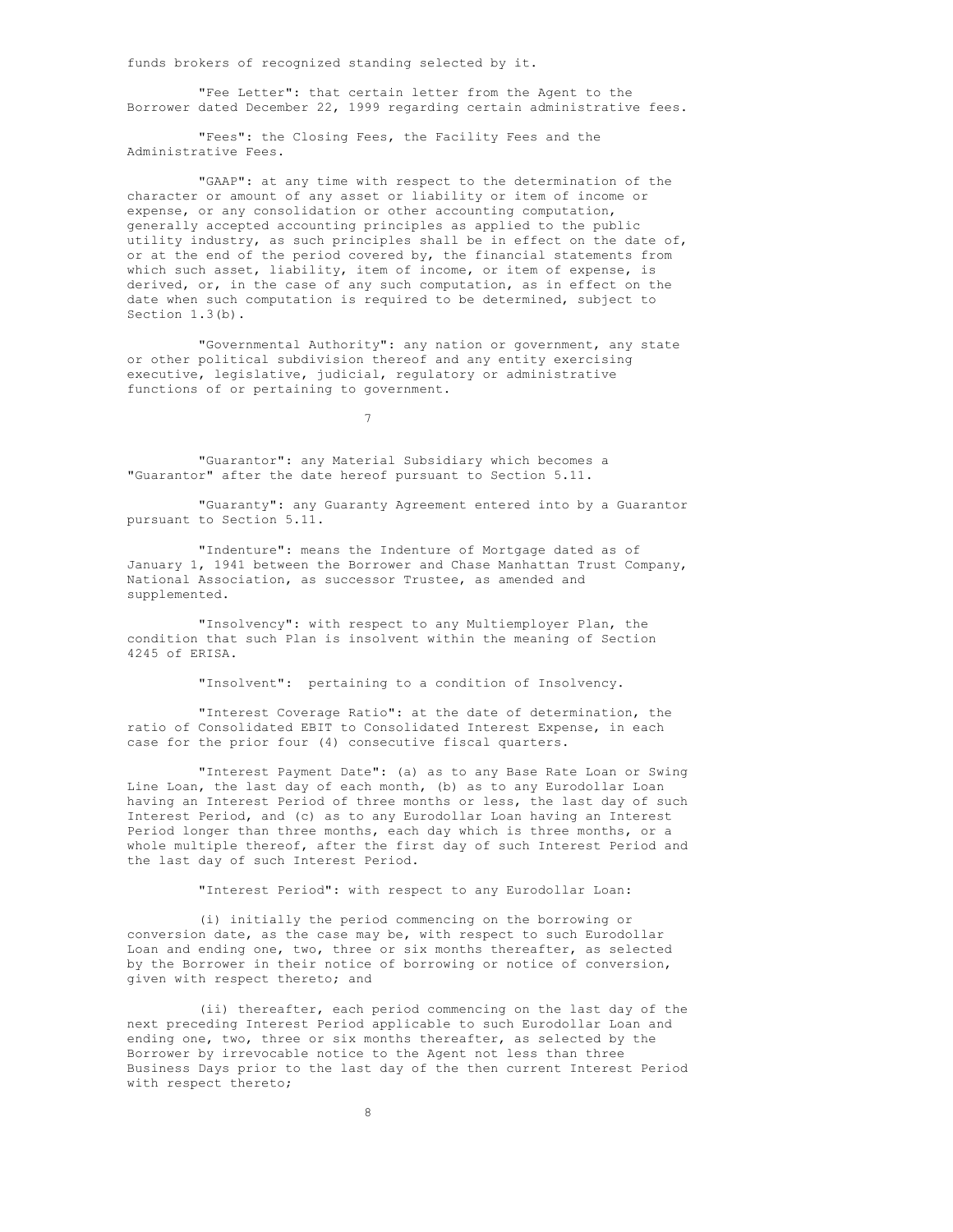funds brokers of recognized standing selected by it.

"Fee Letter": that certain letter from the Agent to the Borrower dated December 22, 1999 regarding certain administrative fees.

"Fees": the Closing Fees, the Facility Fees and the Administrative Fees.

"GAAP": at any time with respect to the determination of the character or amount of any asset or liability or item of income or expense, or any consolidation or other accounting computation, generally accepted accounting principles as applied to the public utility industry, as such principles shall be in effect on the date of, or at the end of the period covered by, the financial statements from which such asset, liability, item of income, or item of expense, is derived, or, in the case of any such computation, as in effect on the date when such computation is required to be determined, subject to Section 1.3(b).

"Governmental Authority": any nation or government, any state or other political subdivision thereof and any entity exercising executive, legislative, judicial, regulatory or administrative functions of or pertaining to government.

 $\mathcal{L}$ 

"Guarantor": any Material Subsidiary which becomes a "Guarantor" after the date hereof pursuant to Section 5.11.

"Guaranty": any Guaranty Agreement entered into by a Guarantor pursuant to Section 5.11.

"Indenture": means the Indenture of Mortgage dated as of January 1, 1941 between the Borrower and Chase Manhattan Trust Company, National Association, as successor Trustee, as amended and supplemented.

"Insolvency": with respect to any Multiemployer Plan, the condition that such Plan is insolvent within the meaning of Section 4245 of ERISA.

"Insolvent": pertaining to a condition of Insolvency.

"Interest Coverage Ratio": at the date of determination, the ratio of Consolidated EBIT to Consolidated Interest Expense, in each case for the prior four (4) consecutive fiscal quarters.

"Interest Payment Date": (a) as to any Base Rate Loan or Swing Line Loan, the last day of each month, (b) as to any Eurodollar Loan having an Interest Period of three months or less, the last day of such Interest Period, and (c) as to any Eurodollar Loan having an Interest Period longer than three months, each day which is three months, or a whole multiple thereof, after the first day of such Interest Period and the last day of such Interest Period.

"Interest Period": with respect to any Eurodollar Loan:

(i) initially the period commencing on the borrowing or conversion date, as the case may be, with respect to such Eurodollar Loan and ending one, two, three or six months thereafter, as selected by the Borrower in their notice of borrowing or notice of conversion, given with respect thereto; and

(ii) thereafter, each period commencing on the last day of the next preceding Interest Period applicable to such Eurodollar Loan and ending one, two, three or six months thereafter, as selected by the Borrower by irrevocable notice to the Agent not less than three Business Days prior to the last day of the then current Interest Period with respect thereto;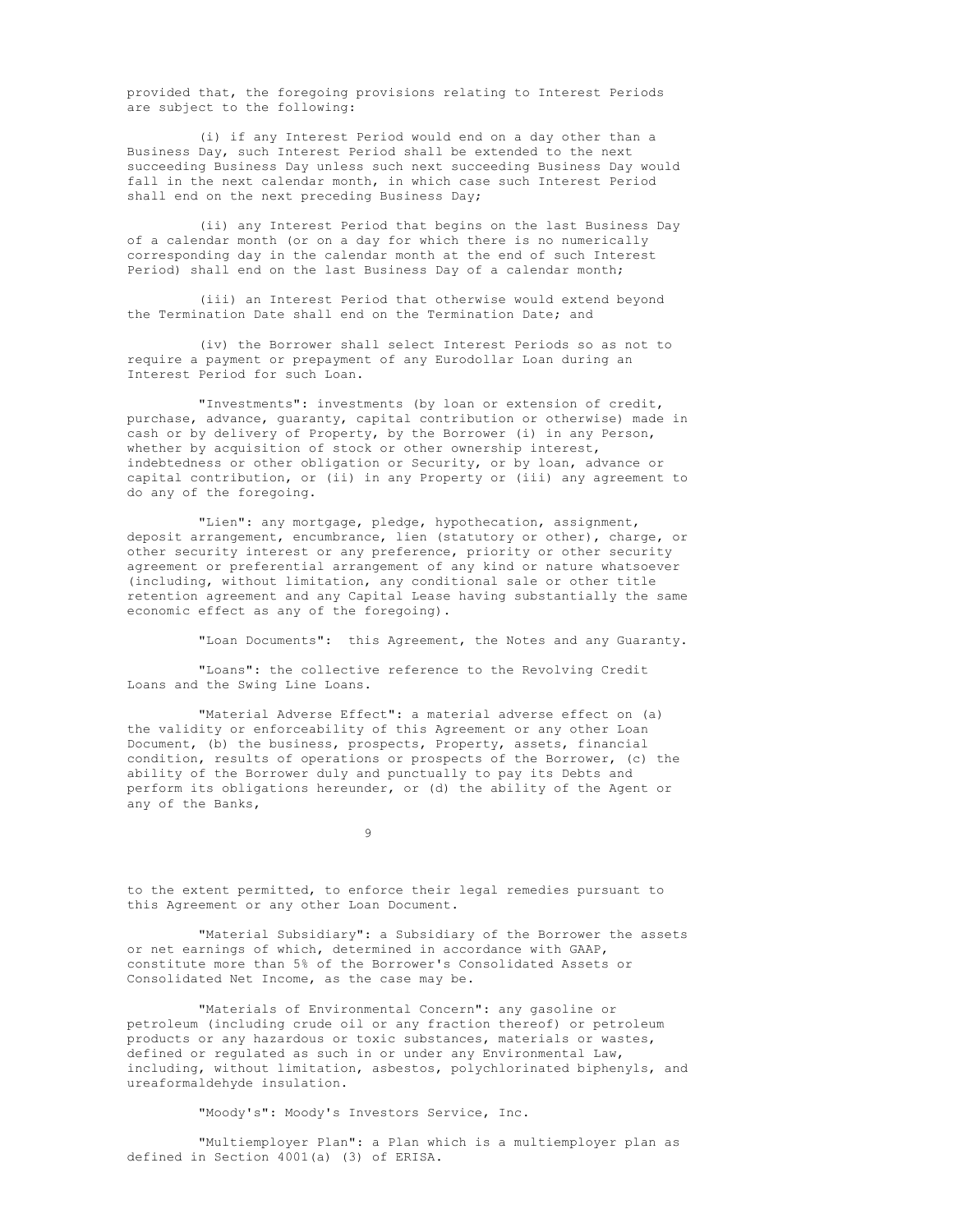provided that, the foregoing provisions relating to Interest Periods are subject to the following:

(i) if any Interest Period would end on a day other than a Business Day, such Interest Period shall be extended to the next succeeding Business Day unless such next succeeding Business Day would fall in the next calendar month, in which case such Interest Period shall end on the next preceding Business Day;

(ii) any Interest Period that begins on the last Business Day of a calendar month (or on a day for which there is no numerically corresponding day in the calendar month at the end of such Interest Period) shall end on the last Business Day of a calendar month;

(iii) an Interest Period that otherwise would extend beyond the Termination Date shall end on the Termination Date; and

(iv) the Borrower shall select Interest Periods so as not to require a payment or prepayment of any Eurodollar Loan during an Interest Period for such Loan.

"Investments": investments (by loan or extension of credit, purchase, advance, guaranty, capital contribution or otherwise) made in cash or by delivery of Property, by the Borrower (i) in any Person, whether by acquisition of stock or other ownership interest, indebtedness or other obligation or Security, or by loan, advance or capital contribution, or (ii) in any Property or (iii) any agreement to do any of the foregoing.

"Lien": any mortgage, pledge, hypothecation, assignment, deposit arrangement, encumbrance, lien (statutory or other), charge, or other security interest or any preference, priority or other security agreement or preferential arrangement of any kind or nature whatsoever (including, without limitation, any conditional sale or other title retention agreement and any Capital Lease having substantially the same economic effect as any of the foregoing).

"Loan Documents": this Agreement, the Notes and any Guaranty.

"Loans": the collective reference to the Revolving Credit Loans and the Swing Line Loans.

"Material Adverse Effect": a material adverse effect on (a) the validity or enforceability of this Agreement or any other Loan Document, (b) the business, prospects, Property, assets, financial condition, results of operations or prospects of the Borrower, (c) the ability of the Borrower duly and punctually to pay its Debts and perform its obligations hereunder, or (d) the ability of the Agent or any of the Banks,

 $\alpha$ 

to the extent permitted, to enforce their legal remedies pursuant to this Agreement or any other Loan Document.

"Material Subsidiary": a Subsidiary of the Borrower the assets or net earnings of which, determined in accordance with GAAP, constitute more than 5% of the Borrower's Consolidated Assets or Consolidated Net Income, as the case may be.

"Materials of Environmental Concern": any gasoline or petroleum (including crude oil or any fraction thereof) or petroleum products or any hazardous or toxic substances, materials or wastes, defined or regulated as such in or under any Environmental Law, including, without limitation, asbestos, polychlorinated biphenyls, and ureaformaldehyde insulation.

"Moody's": Moody's Investors Service, Inc.

"Multiemployer Plan": a Plan which is a multiemployer plan as defined in Section 4001(a) (3) of ERISA.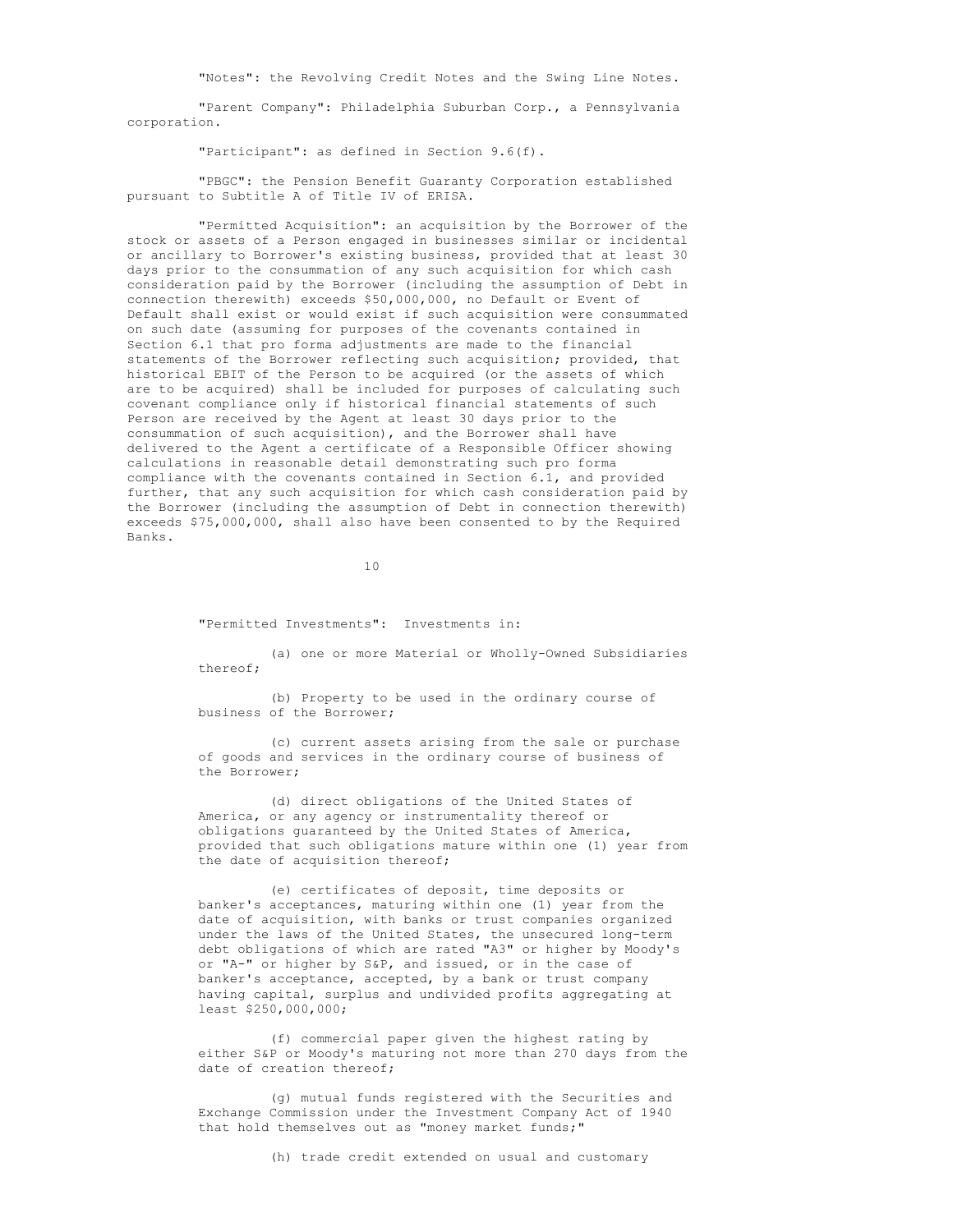"Notes": the Revolving Credit Notes and the Swing Line Notes.

"Parent Company": Philadelphia Suburban Corp., a Pennsylvania corporation.

"Participant": as defined in Section 9.6(f).

"PBGC": the Pension Benefit Guaranty Corporation established pursuant to Subtitle A of Title IV of ERISA.

"Permitted Acquisition": an acquisition by the Borrower of the stock or assets of a Person engaged in businesses similar or incidental or ancillary to Borrower's existing business, provided that at least 30 days prior to the consummation of any such acquisition for which cash consideration paid by the Borrower (including the assumption of Debt in connection therewith) exceeds \$50,000,000, no Default or Event of Default shall exist or would exist if such acquisition were consummated on such date (assuming for purposes of the covenants contained in Section 6.1 that pro forma adjustments are made to the financial statements of the Borrower reflecting such acquisition; provided, that historical EBIT of the Person to be acquired (or the assets of which are to be acquired) shall be included for purposes of calculating such covenant compliance only if historical financial statements of such Person are received by the Agent at least 30 days prior to the consummation of such acquisition), and the Borrower shall have delivered to the Agent a certificate of a Responsible Officer showing calculations in reasonable detail demonstrating such pro forma compliance with the covenants contained in Section 6.1, and provided further, that any such acquisition for which cash consideration paid by the Borrower (including the assumption of Debt in connection therewith) exceeds \$75,000,000, shall also have been consented to by the Required Banks.

10

"Permitted Investments": Investments in:

(a) one or more Material or Wholly-Owned Subsidiaries thereof;

(b) Property to be used in the ordinary course of business of the Borrower;

(c) current assets arising from the sale or purchase of goods and services in the ordinary course of business of the Borrower;

(d) direct obligations of the United States of America, or any agency or instrumentality thereof or obligations guaranteed by the United States of America, provided that such obligations mature within one (1) year from the date of acquisition thereof;

(e) certificates of deposit, time deposits or banker's acceptances, maturing within one (1) year from the date of acquisition, with banks or trust companies organized under the laws of the United States, the unsecured long-term debt obligations of which are rated "A3" or higher by Moody's or "A-" or higher by S&P, and issued, or in the case of banker's acceptance, accepted, by a bank or trust company having capital, surplus and undivided profits aggregating at least \$250,000,000;

(f) commercial paper given the highest rating by either S&P or Moody's maturing not more than 270 days from the date of creation thereof;

(g) mutual funds registered with the Securities and Exchange Commission under the Investment Company Act of 1940 that hold themselves out as "money market funds;"

(h) trade credit extended on usual and customary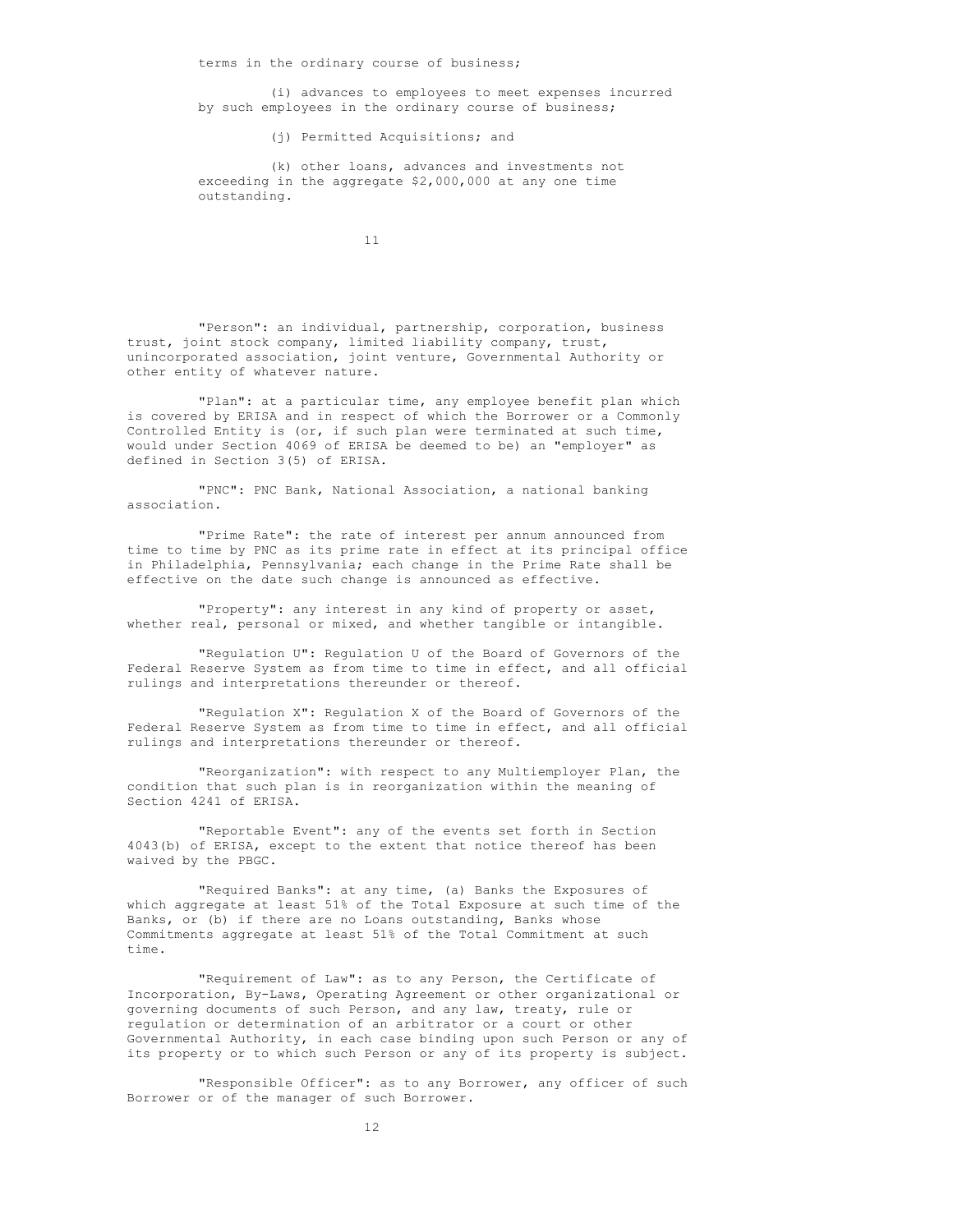terms in the ordinary course of business;

(i) advances to employees to meet expenses incurred by such employees in the ordinary course of business;

(j) Permitted Acquisitions; and

(k) other loans, advances and investments not exceeding in the aggregate \$2,000,000 at any one time outstanding.

11

"Person": an individual, partnership, corporation, business trust, joint stock company, limited liability company, trust, unincorporated association, joint venture, Governmental Authority or other entity of whatever nature.

"Plan": at a particular time, any employee benefit plan which is covered by ERISA and in respect of which the Borrower or a Commonly Controlled Entity is (or, if such plan were terminated at such time, would under Section 4069 of ERISA be deemed to be) an "employer" as defined in Section 3(5) of ERISA.

"PNC": PNC Bank, National Association, a national banking association.

"Prime Rate": the rate of interest per annum announced from time to time by PNC as its prime rate in effect at its principal office in Philadelphia, Pennsylvania; each change in the Prime Rate shall be effective on the date such change is announced as effective.

"Property": any interest in any kind of property or asset, whether real, personal or mixed, and whether tangible or intangible.

"Regulation U": Regulation U of the Board of Governors of the Federal Reserve System as from time to time in effect, and all official rulings and interpretations thereunder or thereof.

"Regulation X": Regulation X of the Board of Governors of the Federal Reserve System as from time to time in effect, and all official rulings and interpretations thereunder or thereof.

"Reorganization": with respect to any Multiemployer Plan, the condition that such plan is in reorganization within the meaning of Section 4241 of ERISA.

"Reportable Event": any of the events set forth in Section 4043(b) of ERISA, except to the extent that notice thereof has been waived by the PBGC.

"Required Banks": at any time, (a) Banks the Exposures of which aggregate at least 51% of the Total Exposure at such time of the Banks, or (b) if there are no Loans outstanding, Banks whose Commitments aggregate at least 51% of the Total Commitment at such time.

"Requirement of Law": as to any Person, the Certificate of Incorporation, By-Laws, Operating Agreement or other organizational or governing documents of such Person, and any law, treaty, rule or regulation or determination of an arbitrator or a court or other Governmental Authority, in each case binding upon such Person or any of its property or to which such Person or any of its property is subject.

"Responsible Officer": as to any Borrower, any officer of such Borrower or of the manager of such Borrower.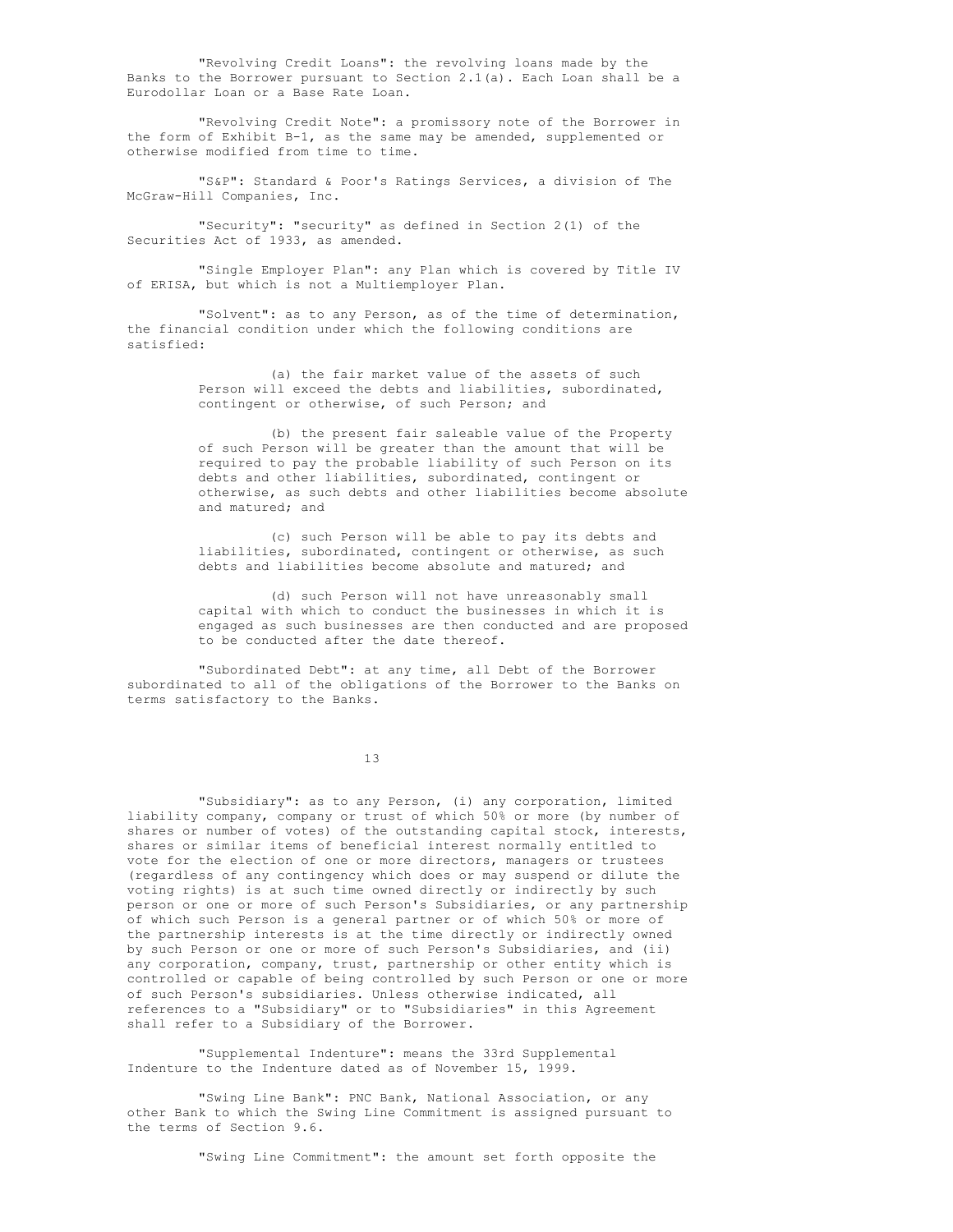"Revolving Credit Loans": the revolving loans made by the Banks to the Borrower pursuant to Section 2.1(a). Each Loan shall be a Eurodollar Loan or a Base Rate Loan.

"Revolving Credit Note": a promissory note of the Borrower in the form of Exhibit B-1, as the same may be amended, supplemented or otherwise modified from time to time.

"S&P": Standard & Poor's Ratings Services, a division of The McGraw-Hill Companies, Inc.

"Security": "security" as defined in Section 2(1) of the Securities Act of 1933, as amended.

"Single Employer Plan": any Plan which is covered by Title IV of ERISA, but which is not a Multiemployer Plan.

"Solvent": as to any Person, as of the time of determination, the financial condition under which the following conditions are satisfied:

> (a) the fair market value of the assets of such Person will exceed the debts and liabilities, subordinated, contingent or otherwise, of such Person; and

(b) the present fair saleable value of the Property of such Person will be greater than the amount that will be required to pay the probable liability of such Person on its debts and other liabilities, subordinated, contingent or otherwise, as such debts and other liabilities become absolute and matured; and

(c) such Person will be able to pay its debts and liabilities, subordinated, contingent or otherwise, as such debts and liabilities become absolute and matured; and

(d) such Person will not have unreasonably small capital with which to conduct the businesses in which it is engaged as such businesses are then conducted and are proposed to be conducted after the date thereof.

"Subordinated Debt": at any time, all Debt of the Borrower subordinated to all of the obligations of the Borrower to the Banks on terms satisfactory to the Banks.

13

"Subsidiary": as to any Person, (i) any corporation, limited liability company, company or trust of which 50% or more (by number of shares or number of votes) of the outstanding capital stock, interests, shares or similar items of beneficial interest normally entitled to vote for the election of one or more directors, managers or trustees (regardless of any contingency which does or may suspend or dilute the voting rights) is at such time owned directly or indirectly by such person or one or more of such Person's Subsidiaries, or any partnership of which such Person is a general partner or of which 50% or more of the partnership interests is at the time directly or indirectly owned by such Person or one or more of such Person's Subsidiaries, and (ii) any corporation, company, trust, partnership or other entity which is controlled or capable of being controlled by such Person or one or more of such Person's subsidiaries. Unless otherwise indicated, all references to a "Subsidiary" or to "Subsidiaries" in this Agreement shall refer to a Subsidiary of the Borrower.

"Supplemental Indenture": means the 33rd Supplemental Indenture to the Indenture dated as of November 15, 1999.

"Swing Line Bank": PNC Bank, National Association, or any other Bank to which the Swing Line Commitment is assigned pursuant to the terms of Section 9.6.

"Swing Line Commitment": the amount set forth opposite the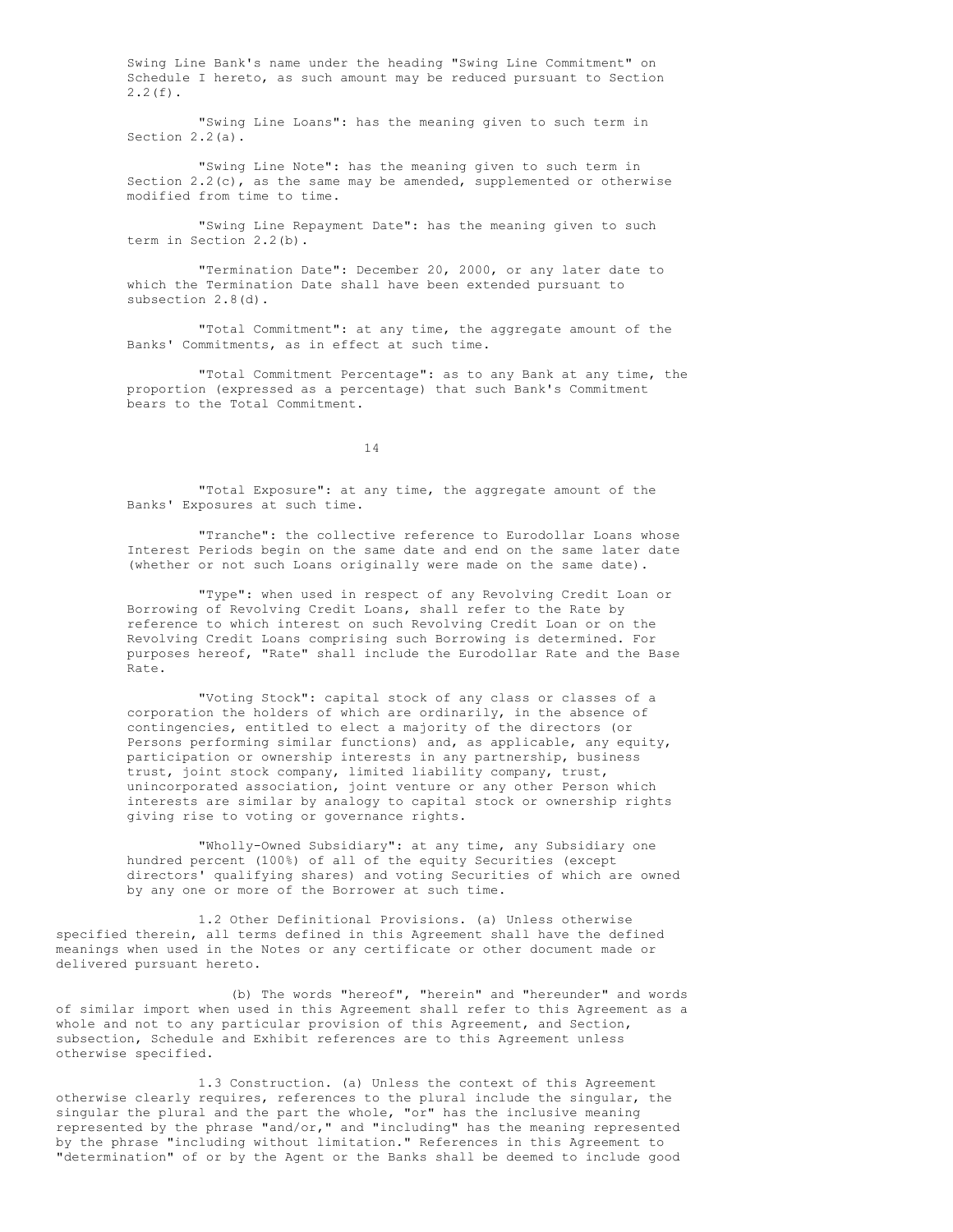Swing Line Bank's name under the heading "Swing Line Commitment" on Schedule I hereto, as such amount may be reduced pursuant to Section  $2.2(f)$ .

"Swing Line Loans": has the meaning given to such term in Section 2.2(a).

"Swing Line Note": has the meaning given to such term in Section  $2.2(c)$ , as the same may be amended, supplemented or otherwise modified from time to time.

"Swing Line Repayment Date": has the meaning given to such term in Section 2.2(b).

"Termination Date": December 20, 2000, or any later date to which the Termination Date shall have been extended pursuant to subsection 2.8(d).

"Total Commitment": at any time, the aggregate amount of the Banks' Commitments, as in effect at such time.

"Total Commitment Percentage": as to any Bank at any time, the proportion (expressed as a percentage) that such Bank's Commitment bears to the Total Commitment.

14

"Total Exposure": at any time, the aggregate amount of the Banks' Exposures at such time.

"Tranche": the collective reference to Eurodollar Loans whose Interest Periods begin on the same date and end on the same later date (whether or not such Loans originally were made on the same date).

"Type": when used in respect of any Revolving Credit Loan or Borrowing of Revolving Credit Loans, shall refer to the Rate by reference to which interest on such Revolving Credit Loan or on the Revolving Credit Loans comprising such Borrowing is determined. For purposes hereof, "Rate" shall include the Eurodollar Rate and the Base Rate.

"Voting Stock": capital stock of any class or classes of a corporation the holders of which are ordinarily, in the absence of contingencies, entitled to elect a majority of the directors (or Persons performing similar functions) and, as applicable, any equity, participation or ownership interests in any partnership, business trust, joint stock company, limited liability company, trust, unincorporated association, joint venture or any other Person which interests are similar by analogy to capital stock or ownership rights giving rise to voting or governance rights.

"Wholly-Owned Subsidiary": at any time, any Subsidiary one hundred percent (100%) of all of the equity Securities (except directors' qualifying shares) and voting Securities of which are owned by any one or more of the Borrower at such time.

1.2 Other Definitional Provisions. (a) Unless otherwise specified therein, all terms defined in this Agreement shall have the defined meanings when used in the Notes or any certificate or other document made or delivered pursuant hereto.

(b) The words "hereof", "herein" and "hereunder" and words of similar import when used in this Agreement shall refer to this Agreement as a whole and not to any particular provision of this Agreement, and Section, subsection, Schedule and Exhibit references are to this Agreement unless otherwise specified.

1.3 Construction. (a) Unless the context of this Agreement otherwise clearly requires, references to the plural include the singular, the singular the plural and the part the whole, "or" has the inclusive meaning represented by the phrase "and/or," and "including" has the meaning represented by the phrase "including without limitation." References in this Agreement to "determination" of or by the Agent or the Banks shall be deemed to include good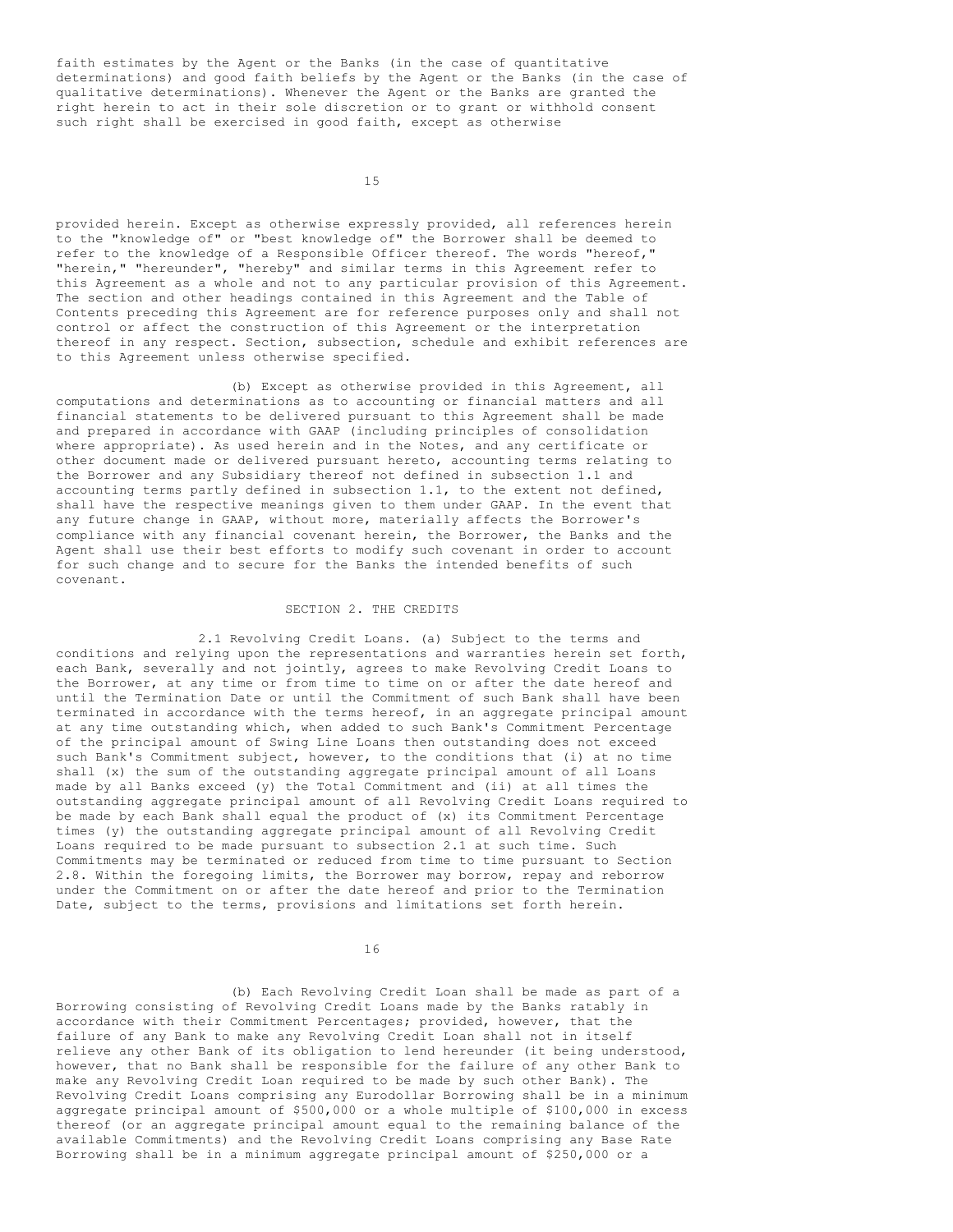faith estimates by the Agent or the Banks (in the case of quantitative determinations) and good faith beliefs by the Agent or the Banks (in the case of qualitative determinations). Whenever the Agent or the Banks are granted the right herein to act in their sole discretion or to grant or withhold consent such right shall be exercised in good faith, except as otherwise

15

provided herein. Except as otherwise expressly provided, all references herein to the "knowledge of" or "best knowledge of" the Borrower shall be deemed to refer to the knowledge of a Responsible Officer thereof. The words "hereof," "herein," "hereunder", "hereby" and similar terms in this Agreement refer to this Agreement as a whole and not to any particular provision of this Agreement. The section and other headings contained in this Agreement and the Table of Contents preceding this Agreement are for reference purposes only and shall not control or affect the construction of this Agreement or the interpretation thereof in any respect. Section, subsection, schedule and exhibit references are to this Agreement unless otherwise specified.

(b) Except as otherwise provided in this Agreement, all computations and determinations as to accounting or financial matters and all financial statements to be delivered pursuant to this Agreement shall be made and prepared in accordance with GAAP (including principles of consolidation where appropriate). As used herein and in the Notes, and any certificate or other document made or delivered pursuant hereto, accounting terms relating to the Borrower and any Subsidiary thereof not defined in subsection 1.1 and accounting terms partly defined in subsection 1.1, to the extent not defined, shall have the respective meanings given to them under GAAP. In the event that any future change in GAAP, without more, materially affects the Borrower's compliance with any financial covenant herein, the Borrower, the Banks and the Agent shall use their best efforts to modify such covenant in order to account for such change and to secure for the Banks the intended benefits of such covenant.

## SECTION 2. THE CREDITS

2.1 Revolving Credit Loans. (a) Subject to the terms and conditions and relying upon the representations and warranties herein set forth, each Bank, severally and not jointly, agrees to make Revolving Credit Loans to the Borrower, at any time or from time to time on or after the date hereof and until the Termination Date or until the Commitment of such Bank shall have been terminated in accordance with the terms hereof, in an aggregate principal amount at any time outstanding which, when added to such Bank's Commitment Percentage of the principal amount of Swing Line Loans then outstanding does not exceed such Bank's Commitment subject, however, to the conditions that (i) at no time shall (x) the sum of the outstanding aggregate principal amount of all Loans made by all Banks exceed (y) the Total Commitment and (ii) at all times the outstanding aggregate principal amount of all Revolving Credit Loans required to be made by each Bank shall equal the product of (x) its Commitment Percentage times (y) the outstanding aggregate principal amount of all Revolving Credit Loans required to be made pursuant to subsection 2.1 at such time. Such Commitments may be terminated or reduced from time to time pursuant to Section 2.8. Within the foregoing limits, the Borrower may borrow, repay and reborrow under the Commitment on or after the date hereof and prior to the Termination Date, subject to the terms, provisions and limitations set forth herein.

16

(b) Each Revolving Credit Loan shall be made as part of a Borrowing consisting of Revolving Credit Loans made by the Banks ratably in accordance with their Commitment Percentages; provided, however, that the failure of any Bank to make any Revolving Credit Loan shall not in itself relieve any other Bank of its obligation to lend hereunder (it being understood, however, that no Bank shall be responsible for the failure of any other Bank to make any Revolving Credit Loan required to be made by such other Bank). The Revolving Credit Loans comprising any Eurodollar Borrowing shall be in a minimum aggregate principal amount of \$500,000 or a whole multiple of \$100,000 in excess thereof (or an aggregate principal amount equal to the remaining balance of the available Commitments) and the Revolving Credit Loans comprising any Base Rate Borrowing shall be in a minimum aggregate principal amount of \$250,000 or a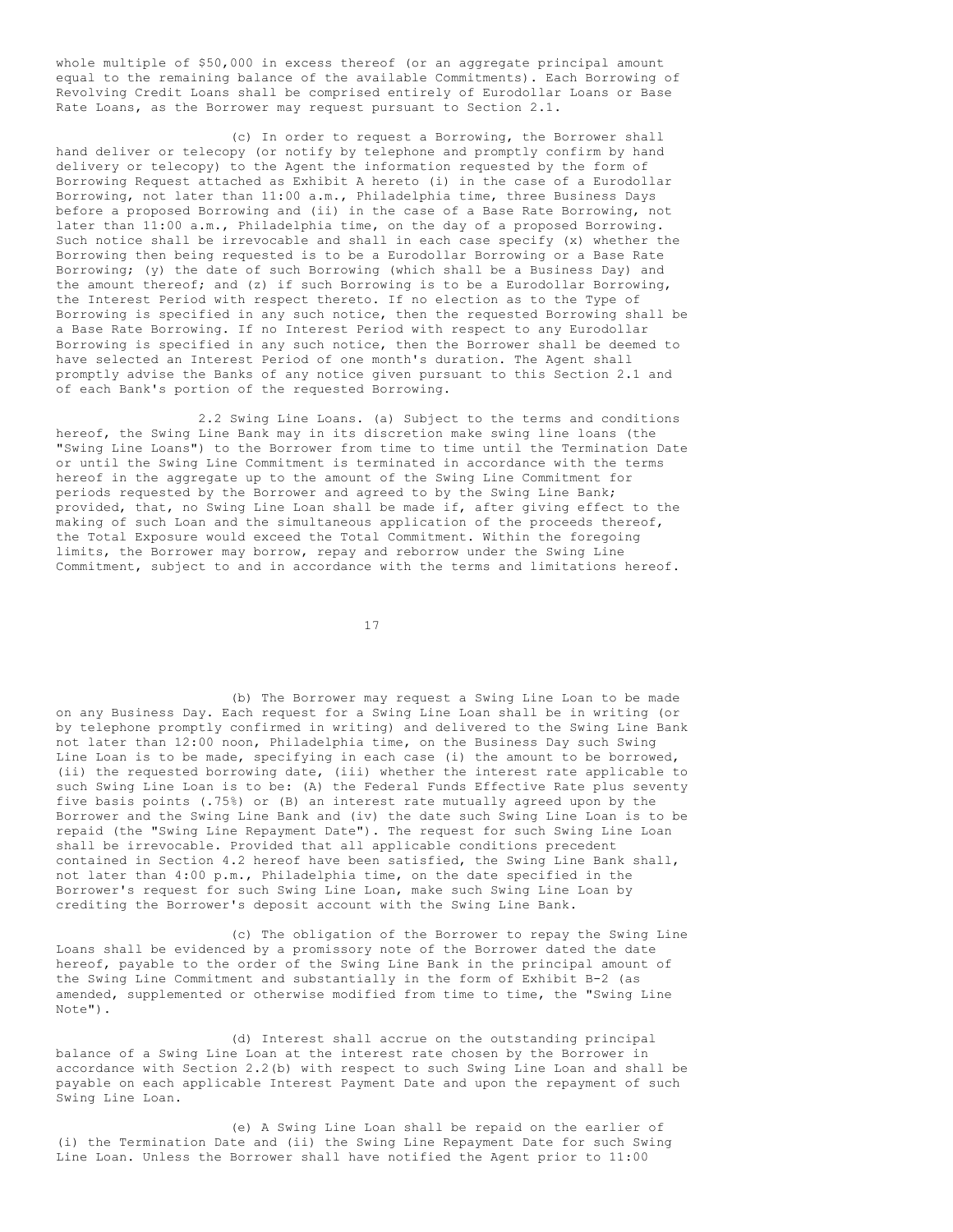whole multiple of \$50,000 in excess thereof (or an aggregate principal amount equal to the remaining balance of the available Commitments). Each Borrowing of Revolving Credit Loans shall be comprised entirely of Eurodollar Loans or Base Rate Loans, as the Borrower may request pursuant to Section 2.1.

(c) In order to request a Borrowing, the Borrower shall hand deliver or telecopy (or notify by telephone and promptly confirm by hand delivery or telecopy) to the Agent the information requested by the form of Borrowing Request attached as Exhibit A hereto (i) in the case of a Eurodollar Borrowing, not later than 11:00 a.m., Philadelphia time, three Business Days before a proposed Borrowing and (ii) in the case of a Base Rate Borrowing, not later than  $11:00$  a.m., Philadelphia time, on the day of a proposed Borrowing. Such notice shall be irrevocable and shall in each case specify (x) whether the Borrowing then being requested is to be a Eurodollar Borrowing or a Base Rate Borrowing; (y) the date of such Borrowing (which shall be a Business Day) and the amount thereof; and (z) if such Borrowing is to be a Eurodollar Borrowing, the Interest Period with respect thereto. If no election as to the Type of Borrowing is specified in any such notice, then the requested Borrowing shall be a Base Rate Borrowing. If no Interest Period with respect to any Eurodollar Borrowing is specified in any such notice, then the Borrower shall be deemed to have selected an Interest Period of one month's duration. The Agent shall promptly advise the Banks of any notice given pursuant to this Section 2.1 and of each Bank's portion of the requested Borrowing.

2.2 Swing Line Loans. (a) Subject to the terms and conditions hereof, the Swing Line Bank may in its discretion make swing line loans (the "Swing Line Loans") to the Borrower from time to time until the Termination Date or until the Swing Line Commitment is terminated in accordance with the terms hereof in the aggregate up to the amount of the Swing Line Commitment for periods requested by the Borrower and agreed to by the Swing Line Bank; provided, that, no Swing Line Loan shall be made if, after giving effect to the making of such Loan and the simultaneous application of the proceeds thereof, the Total Exposure would exceed the Total Commitment. Within the foregoing limits, the Borrower may borrow, repay and reborrow under the Swing Line Commitment, subject to and in accordance with the terms and limitations hereof.

17

(b) The Borrower may request a Swing Line Loan to be made on any Business Day. Each request for a Swing Line Loan shall be in writing (or by telephone promptly confirmed in writing) and delivered to the Swing Line Bank not later than 12:00 noon, Philadelphia time, on the Business Day such Swing Line Loan is to be made, specifying in each case (i) the amount to be borrowed, (ii) the requested borrowing date, (iii) whether the interest rate applicable to such Swing Line Loan is to be: (A) the Federal Funds Effective Rate plus seventy five basis points (.75%) or (B) an interest rate mutually agreed upon by the Borrower and the Swing Line Bank and (iv) the date such Swing Line Loan is to be repaid (the "Swing Line Repayment Date"). The request for such Swing Line Loan shall be irrevocable. Provided that all applicable conditions precedent contained in Section 4.2 hereof have been satisfied, the Swing Line Bank shall, not later than 4:00 p.m., Philadelphia time, on the date specified in the Borrower's request for such Swing Line Loan, make such Swing Line Loan by crediting the Borrower's deposit account with the Swing Line Bank.

(c) The obligation of the Borrower to repay the Swing Line Loans shall be evidenced by a promissory note of the Borrower dated the date hereof, payable to the order of the Swing Line Bank in the principal amount of the Swing Line Commitment and substantially in the form of Exhibit B-2 (as amended, supplemented or otherwise modified from time to time, the "Swing Line Note").

(d) Interest shall accrue on the outstanding principal balance of a Swing Line Loan at the interest rate chosen by the Borrower in accordance with Section 2.2(b) with respect to such Swing Line Loan and shall be payable on each applicable Interest Payment Date and upon the repayment of such Swing Line Loan.

(e) A Swing Line Loan shall be repaid on the earlier of (i) the Termination Date and (ii) the Swing Line Repayment Date for such Swing Line Loan. Unless the Borrower shall have notified the Agent prior to 11:00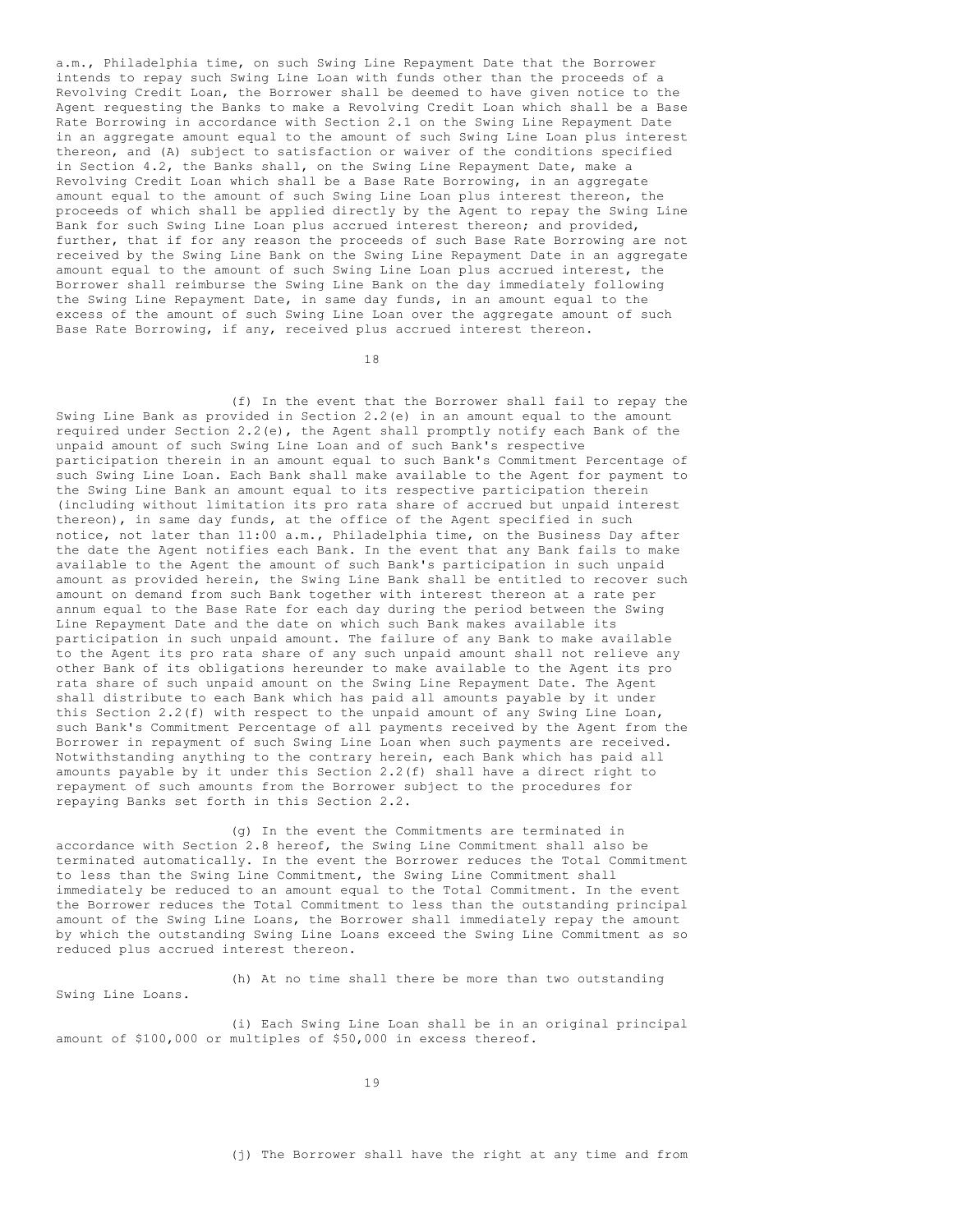a.m., Philadelphia time, on such Swing Line Repayment Date that the Borrower intends to repay such Swing Line Loan with funds other than the proceeds of a Revolving Credit Loan, the Borrower shall be deemed to have given notice to the Agent requesting the Banks to make a Revolving Credit Loan which shall be a Base Rate Borrowing in accordance with Section 2.1 on the Swing Line Repayment Date in an aggregate amount equal to the amount of such Swing Line Loan plus interest thereon, and (A) subject to satisfaction or waiver of the conditions specified in Section 4.2, the Banks shall, on the Swing Line Repayment Date, make a Revolving Credit Loan which shall be a Base Rate Borrowing, in an aggregate amount equal to the amount of such Swing Line Loan plus interest thereon, the proceeds of which shall be applied directly by the Agent to repay the Swing Line Bank for such Swing Line Loan plus accrued interest thereon; and provided, further, that if for any reason the proceeds of such Base Rate Borrowing are not received by the Swing Line Bank on the Swing Line Repayment Date in an aggregate amount equal to the amount of such Swing Line Loan plus accrued interest, the Borrower shall reimburse the Swing Line Bank on the day immediately following the Swing Line Repayment Date, in same day funds, in an amount equal to the excess of the amount of such Swing Line Loan over the aggregate amount of such Base Rate Borrowing, if any, received plus accrued interest thereon.

18

(f) In the event that the Borrower shall fail to repay the Swing Line Bank as provided in Section 2.2(e) in an amount equal to the amount required under Section  $2.2(e)$ , the Agent shall promptly notify each Bank of the unpaid amount of such Swing Line Loan and of such Bank's respective participation therein in an amount equal to such Bank's Commitment Percentage of such Swing Line Loan. Each Bank shall make available to the Agent for payment to the Swing Line Bank an amount equal to its respective participation therein (including without limitation its pro rata share of accrued but unpaid interest thereon), in same day funds, at the office of the Agent specified in such notice, not later than 11:00 a.m., Philadelphia time, on the Business Day after the date the Agent notifies each Bank. In the event that any Bank fails to make available to the Agent the amount of such Bank's participation in such unpaid amount as provided herein, the Swing Line Bank shall be entitled to recover such amount on demand from such Bank together with interest thereon at a rate per annum equal to the Base Rate for each day during the period between the Swing Line Repayment Date and the date on which such Bank makes available its participation in such unpaid amount. The failure of any Bank to make available to the Agent its pro rata share of any such unpaid amount shall not relieve any other Bank of its obligations hereunder to make available to the Agent its pro rata share of such unpaid amount on the Swing Line Repayment Date. The Agent shall distribute to each Bank which has paid all amounts payable by it under this Section 2.2(f) with respect to the unpaid amount of any Swing Line Loan, such Bank's Commitment Percentage of all payments received by the Agent from the Borrower in repayment of such Swing Line Loan when such payments are received. Notwithstanding anything to the contrary herein, each Bank which has paid all amounts payable by it under this Section 2.2(f) shall have a direct right to repayment of such amounts from the Borrower subject to the procedures for repaying Banks set forth in this Section 2.2.

(g) In the event the Commitments are terminated in accordance with Section 2.8 hereof, the Swing Line Commitment shall also be terminated automatically. In the event the Borrower reduces the Total Commitment to less than the Swing Line Commitment, the Swing Line Commitment shall immediately be reduced to an amount equal to the Total Commitment. In the event the Borrower reduces the Total Commitment to less than the outstanding principal amount of the Swing Line Loans, the Borrower shall immediately repay the amount by which the outstanding Swing Line Loans exceed the Swing Line Commitment as so reduced plus accrued interest thereon.

(h) At no time shall there be more than two outstanding

Swing Line Loans.

(i) Each Swing Line Loan shall be in an original principal amount of \$100,000 or multiples of \$50,000 in excess thereof.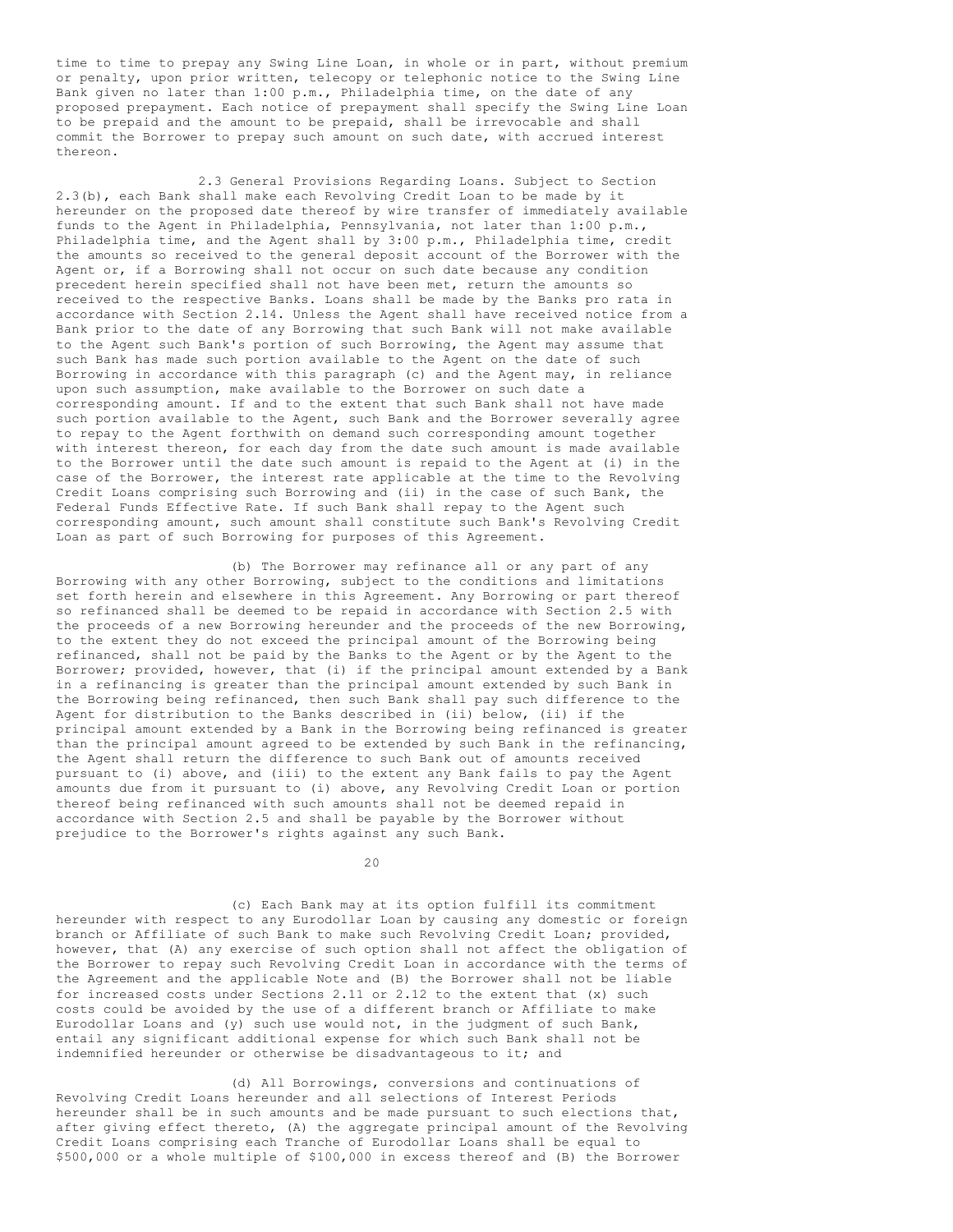time to time to prepay any Swing Line Loan, in whole or in part, without premium or penalty, upon prior written, telecopy or telephonic notice to the Swing Line Bank given no later than 1:00 p.m., Philadelphia time, on the date of any proposed prepayment. Each notice of prepayment shall specify the Swing Line Loan to be prepaid and the amount to be prepaid, shall be irrevocable and shall commit the Borrower to prepay such amount on such date, with accrued interest thereon.

2.3 General Provisions Regarding Loans. Subject to Section 2.3(b), each Bank shall make each Revolving Credit Loan to be made by it hereunder on the proposed date thereof by wire transfer of immediately available funds to the Agent in Philadelphia, Pennsylvania, not later than 1:00 p.m., Philadelphia time, and the Agent shall by 3:00 p.m., Philadelphia time, credit the amounts so received to the general deposit account of the Borrower with the Agent or, if a Borrowing shall not occur on such date because any condition precedent herein specified shall not have been met, return the amounts so received to the respective Banks. Loans shall be made by the Banks pro rata in accordance with Section 2.14. Unless the Agent shall have received notice from a Bank prior to the date of any Borrowing that such Bank will not make available to the Agent such Bank's portion of such Borrowing, the Agent may assume that such Bank has made such portion available to the Agent on the date of such Borrowing in accordance with this paragraph (c) and the Agent may, in reliance upon such assumption, make available to the Borrower on such date a corresponding amount. If and to the extent that such Bank shall not have made such portion available to the Agent, such Bank and the Borrower severally agree to repay to the Agent forthwith on demand such corresponding amount together with interest thereon, for each day from the date such amount is made available to the Borrower until the date such amount is repaid to the Agent at (i) in the case of the Borrower, the interest rate applicable at the time to the Revolving Credit Loans comprising such Borrowing and (ii) in the case of such Bank, the Federal Funds Effective Rate. If such Bank shall repay to the Agent such corresponding amount, such amount shall constitute such Bank's Revolving Credit Loan as part of such Borrowing for purposes of this Agreement.

(b) The Borrower may refinance all or any part of any Borrowing with any other Borrowing, subject to the conditions and limitations set forth herein and elsewhere in this Agreement. Any Borrowing or part thereof so refinanced shall be deemed to be repaid in accordance with Section 2.5 with the proceeds of a new Borrowing hereunder and the proceeds of the new Borrowing, to the extent they do not exceed the principal amount of the Borrowing being refinanced, shall not be paid by the Banks to the Agent or by the Agent to the Borrower; provided, however, that (i) if the principal amount extended by a Bank in a refinancing is greater than the principal amount extended by such Bank in the Borrowing being refinanced, then such Bank shall pay such difference to the Agent for distribution to the Banks described in (ii) below, (ii) if the principal amount extended by a Bank in the Borrowing being refinanced is greater than the principal amount agreed to be extended by such Bank in the refinancing, the Agent shall return the difference to such Bank out of amounts received pursuant to (i) above, and (iii) to the extent any Bank fails to pay the Agent amounts due from it pursuant to (i) above, any Revolving Credit Loan or portion thereof being refinanced with such amounts shall not be deemed repaid in accordance with Section 2.5 and shall be payable by the Borrower without prejudice to the Borrower's rights against any such Bank.

20

(c) Each Bank may at its option fulfill its commitment hereunder with respect to any Eurodollar Loan by causing any domestic or foreign branch or Affiliate of such Bank to make such Revolving Credit Loan; provided, however, that (A) any exercise of such option shall not affect the obligation of the Borrower to repay such Revolving Credit Loan in accordance with the terms of the Agreement and the applicable Note and (B) the Borrower shall not be liable for increased costs under Sections 2.11 or 2.12 to the extent that (x) such costs could be avoided by the use of a different branch or Affiliate to make Eurodollar Loans and (y) such use would not, in the judgment of such Bank, entail any significant additional expense for which such Bank shall not be indemnified hereunder or otherwise be disadvantageous to it; and

(d) All Borrowings, conversions and continuations of Revolving Credit Loans hereunder and all selections of Interest Periods hereunder shall be in such amounts and be made pursuant to such elections that, after giving effect thereto, (A) the aggregate principal amount of the Revolving Credit Loans comprising each Tranche of Eurodollar Loans shall be equal to \$500,000 or a whole multiple of \$100,000 in excess thereof and (B) the Borrower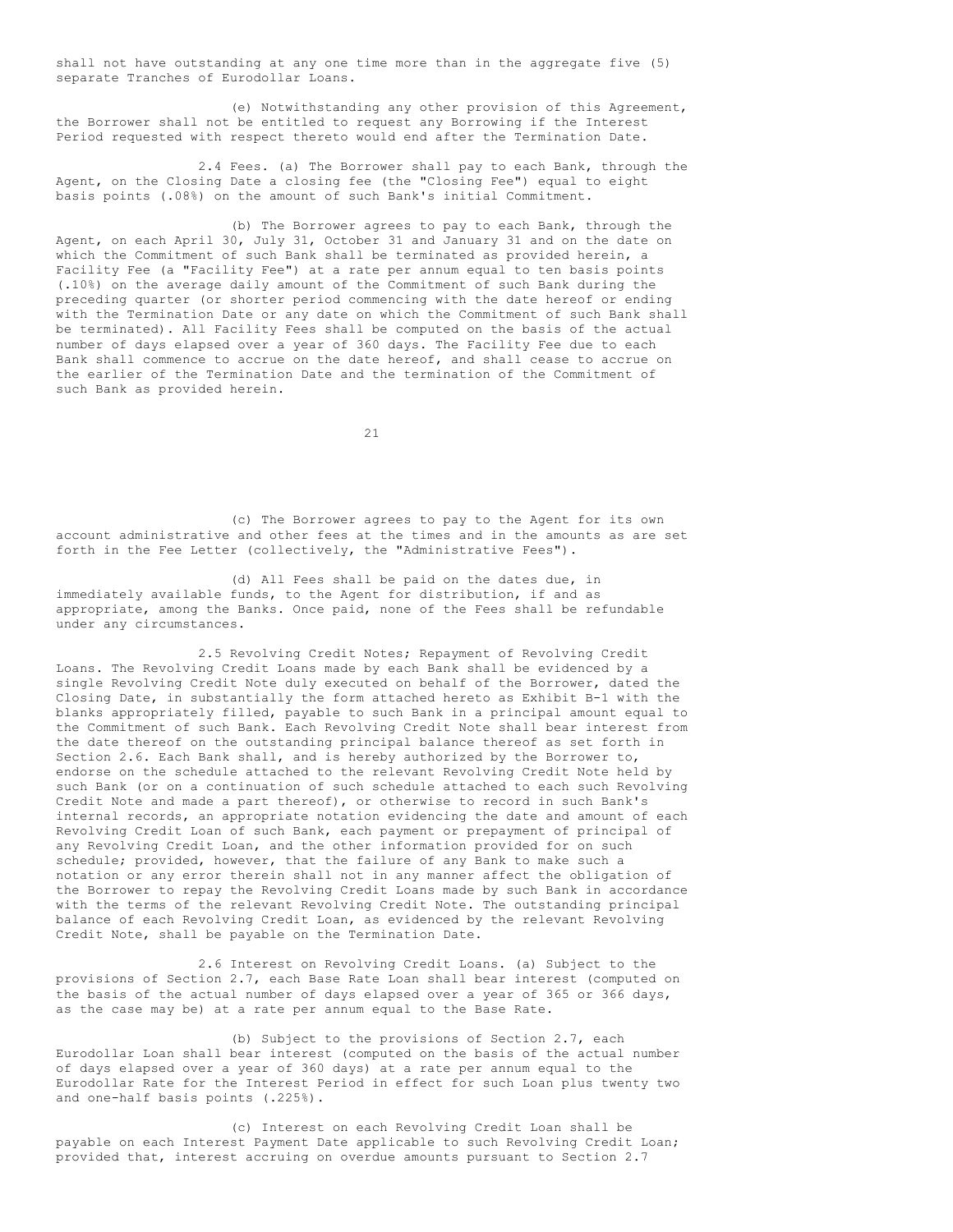shall not have outstanding at any one time more than in the aggregate five (5) separate Tranches of Eurodollar Loans.

(e) Notwithstanding any other provision of this Agreement, the Borrower shall not be entitled to request any Borrowing if the Interest Period requested with respect thereto would end after the Termination Date.

2.4 Fees. (a) The Borrower shall pay to each Bank, through the Agent, on the Closing Date a closing fee (the "Closing Fee") equal to eight basis points (.08%) on the amount of such Bank's initial Commitment.

(b) The Borrower agrees to pay to each Bank, through the Agent, on each April 30, July 31, October 31 and January 31 and on the date on which the Commitment of such Bank shall be terminated as provided herein, a Facility Fee (a "Facility Fee") at a rate per annum equal to ten basis points (.10%) on the average daily amount of the Commitment of such Bank during the preceding quarter (or shorter period commencing with the date hereof or ending with the Termination Date or any date on which the Commitment of such Bank shall be terminated). All Facility Fees shall be computed on the basis of the actual number of days elapsed over a year of 360 days. The Facility Fee due to each Bank shall commence to accrue on the date hereof, and shall cease to accrue on the earlier of the Termination Date and the termination of the Commitment of such Bank as provided herein.

21

(c) The Borrower agrees to pay to the Agent for its own account administrative and other fees at the times and in the amounts as are set forth in the Fee Letter (collectively, the "Administrative Fees").

(d) All Fees shall be paid on the dates due, in immediately available funds, to the Agent for distribution, if and as appropriate, among the Banks. Once paid, none of the Fees shall be refundable under any circumstances.

2.5 Revolving Credit Notes; Repayment of Revolving Credit Loans. The Revolving Credit Loans made by each Bank shall be evidenced by a single Revolving Credit Note duly executed on behalf of the Borrower, dated the Closing Date, in substantially the form attached hereto as Exhibit B-1 with the blanks appropriately filled, payable to such Bank in a principal amount equal to the Commitment of such Bank. Each Revolving Credit Note shall bear interest from the date thereof on the outstanding principal balance thereof as set forth in Section 2.6. Each Bank shall, and is hereby authorized by the Borrower to, endorse on the schedule attached to the relevant Revolving Credit Note held by such Bank (or on a continuation of such schedule attached to each such Revolving Credit Note and made a part thereof), or otherwise to record in such Bank's internal records, an appropriate notation evidencing the date and amount of each Revolving Credit Loan of such Bank, each payment or prepayment of principal of any Revolving Credit Loan, and the other information provided for on such schedule; provided, however, that the failure of any Bank to make such a notation or any error therein shall not in any manner affect the obligation of the Borrower to repay the Revolving Credit Loans made by such Bank in accordance with the terms of the relevant Revolving Credit Note. The outstanding principal balance of each Revolving Credit Loan, as evidenced by the relevant Revolving Credit Note, shall be payable on the Termination Date.

2.6 Interest on Revolving Credit Loans. (a) Subject to the provisions of Section 2.7, each Base Rate Loan shall bear interest (computed on the basis of the actual number of days elapsed over a year of 365 or 366 days, as the case may be) at a rate per annum equal to the Base Rate.

(b) Subject to the provisions of Section 2.7, each Eurodollar Loan shall bear interest (computed on the basis of the actual number of days elapsed over a year of 360 days) at a rate per annum equal to the Eurodollar Rate for the Interest Period in effect for such Loan plus twenty two and one-half basis points (.225%).

(c) Interest on each Revolving Credit Loan shall be payable on each Interest Payment Date applicable to such Revolving Credit Loan; provided that, interest accruing on overdue amounts pursuant to Section 2.7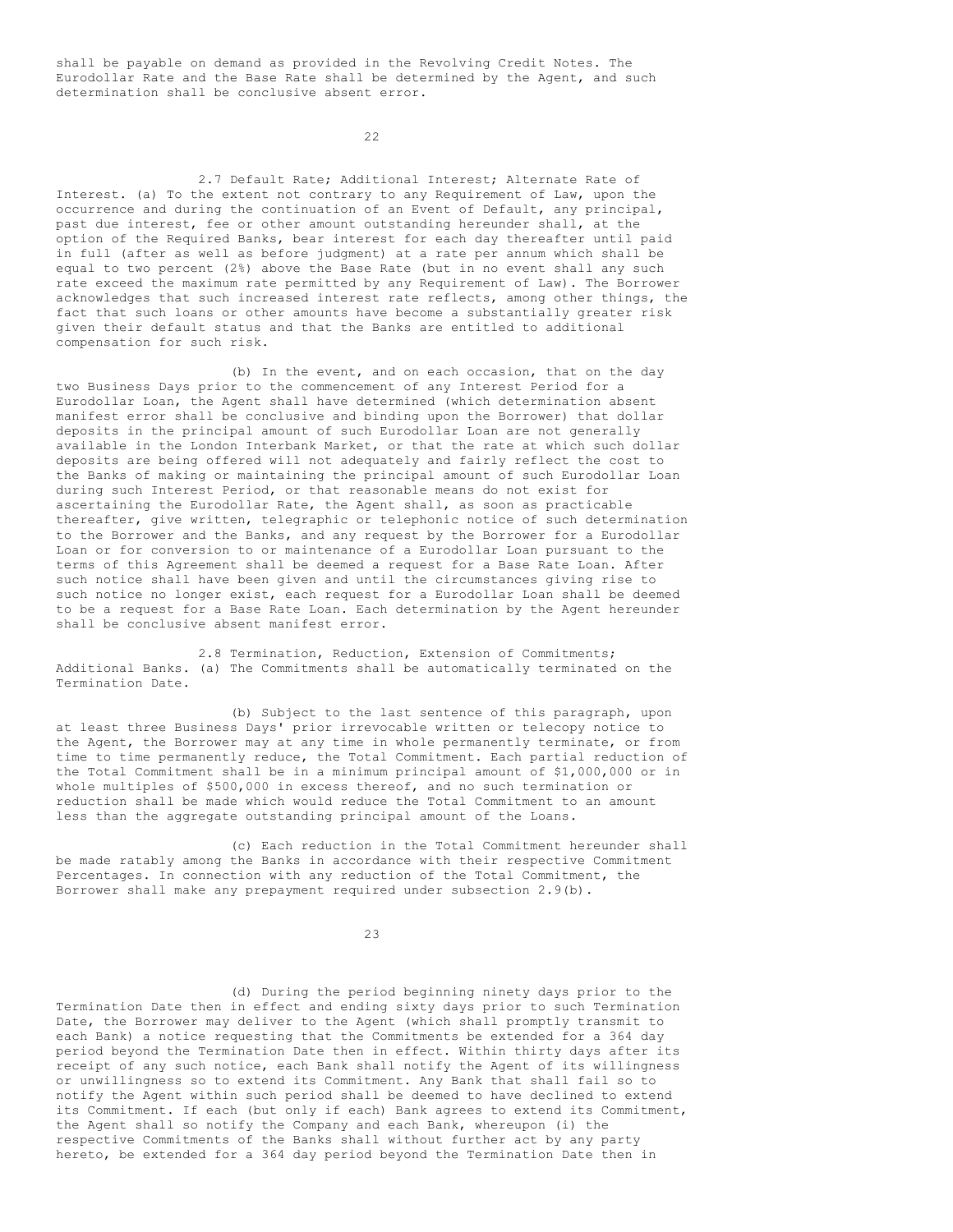shall be payable on demand as provided in the Revolving Credit Notes. The Eurodollar Rate and the Base Rate shall be determined by the Agent, and such determination shall be conclusive absent error.

22

2.7 Default Rate; Additional Interest; Alternate Rate of Interest. (a) To the extent not contrary to any Requirement of Law, upon the occurrence and during the continuation of an Event of Default, any principal, past due interest, fee or other amount outstanding hereunder shall, at the option of the Required Banks, bear interest for each day thereafter until paid in full (after as well as before judgment) at a rate per annum which shall be equal to two percent (2%) above the Base Rate (but in no event shall any such rate exceed the maximum rate permitted by any Requirement of Law). The Borrower acknowledges that such increased interest rate reflects, among other things, the fact that such loans or other amounts have become a substantially greater risk given their default status and that the Banks are entitled to additional compensation for such risk.

(b) In the event, and on each occasion, that on the day two Business Days prior to the commencement of any Interest Period for a Eurodollar Loan, the Agent shall have determined (which determination absent manifest error shall be conclusive and binding upon the Borrower) that dollar deposits in the principal amount of such Eurodollar Loan are not generally available in the London Interbank Market, or that the rate at which such dollar deposits are being offered will not adequately and fairly reflect the cost to the Banks of making or maintaining the principal amount of such Eurodollar Loan during such Interest Period, or that reasonable means do not exist for ascertaining the Eurodollar Rate, the Agent shall, as soon as practicable thereafter, give written, telegraphic or telephonic notice of such determination to the Borrower and the Banks, and any request by the Borrower for a Eurodollar Loan or for conversion to or maintenance of a Eurodollar Loan pursuant to the terms of this Agreement shall be deemed a request for a Base Rate Loan. After such notice shall have been given and until the circumstances giving rise to such notice no longer exist, each request for a Eurodollar Loan shall be deemed to be a request for a Base Rate Loan. Each determination by the Agent hereunder shall be conclusive absent manifest error.

2.8 Termination, Reduction, Extension of Commitments; Additional Banks. (a) The Commitments shall be automatically terminated on the Termination Date.

(b) Subject to the last sentence of this paragraph, upon at least three Business Days' prior irrevocable written or telecopy notice to the Agent, the Borrower may at any time in whole permanently terminate, or from time to time permanently reduce, the Total Commitment. Each partial reduction of the Total Commitment shall be in a minimum principal amount of \$1,000,000 or in whole multiples of \$500,000 in excess thereof, and no such termination or reduction shall be made which would reduce the Total Commitment to an amount less than the aggregate outstanding principal amount of the Loans.

(c) Each reduction in the Total Commitment hereunder shall be made ratably among the Banks in accordance with their respective Commitment Percentages. In connection with any reduction of the Total Commitment, the Borrower shall make any prepayment required under subsection 2.9(b).

23

(d) During the period beginning ninety days prior to the Termination Date then in effect and ending sixty days prior to such Termination Date, the Borrower may deliver to the Agent (which shall promptly transmit to each Bank) a notice requesting that the Commitments be extended for a 364 day period beyond the Termination Date then in effect. Within thirty days after its receipt of any such notice, each Bank shall notify the Agent of its willingness or unwillingness so to extend its Commitment. Any Bank that shall fail so to notify the Agent within such period shall be deemed to have declined to extend its Commitment. If each (but only if each) Bank agrees to extend its Commitment, the Agent shall so notify the Company and each Bank, whereupon (i) the respective Commitments of the Banks shall without further act by any party hereto, be extended for a 364 day period beyond the Termination Date then in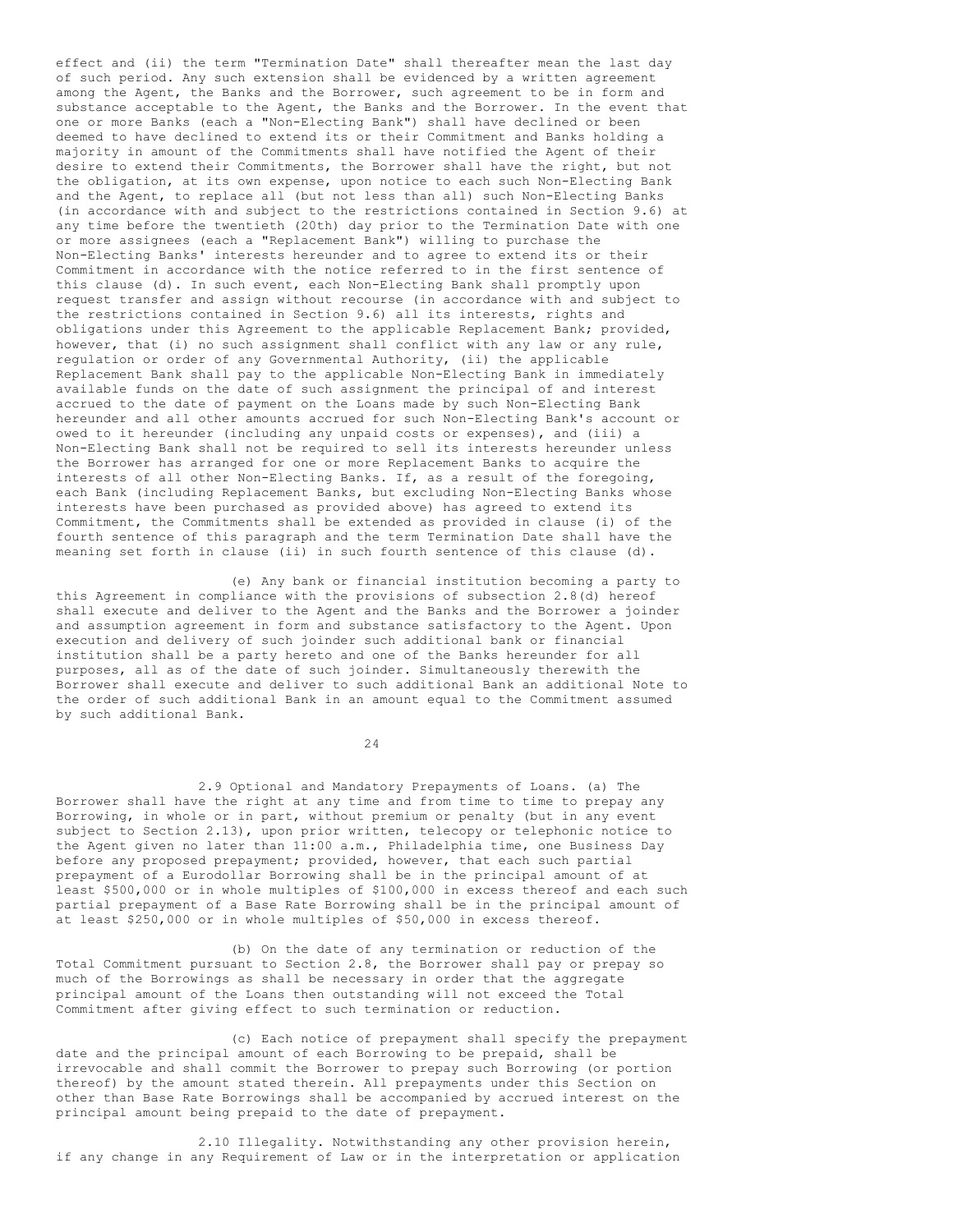effect and (ii) the term "Termination Date" shall thereafter mean the last day of such period. Any such extension shall be evidenced by a written agreement among the Agent, the Banks and the Borrower, such agreement to be in form and substance acceptable to the Agent, the Banks and the Borrower. In the event that one or more Banks (each a "Non-Electing Bank") shall have declined or been deemed to have declined to extend its or their Commitment and Banks holding a majority in amount of the Commitments shall have notified the Agent of their desire to extend their Commitments, the Borrower shall have the right, but not the obligation, at its own expense, upon notice to each such Non-Electing Bank and the Agent, to replace all (but not less than all) such Non-Electing Banks (in accordance with and subject to the restrictions contained in Section 9.6) at any time before the twentieth (20th) day prior to the Termination Date with one or more assignees (each a "Replacement Bank") willing to purchase the Non-Electing Banks' interests hereunder and to agree to extend its or their Commitment in accordance with the notice referred to in the first sentence of this clause (d). In such event, each Non-Electing Bank shall promptly upon request transfer and assign without recourse (in accordance with and subject to the restrictions contained in Section 9.6) all its interests, rights and obligations under this Agreement to the applicable Replacement Bank; provided, however, that (i) no such assignment shall conflict with any law or any rule, regulation or order of any Governmental Authority, (ii) the applicable Replacement Bank shall pay to the applicable Non-Electing Bank in immediately available funds on the date of such assignment the principal of and interest accrued to the date of payment on the Loans made by such Non-Electing Bank hereunder and all other amounts accrued for such Non-Electing Bank's account or owed to it hereunder (including any unpaid costs or expenses), and (iii) a Non-Electing Bank shall not be required to sell its interests hereunder unless the Borrower has arranged for one or more Replacement Banks to acquire the interests of all other Non-Electing Banks. If, as a result of the foregoing, each Bank (including Replacement Banks, but excluding Non-Electing Banks whose interests have been purchased as provided above) has agreed to extend its Commitment, the Commitments shall be extended as provided in clause (i) of the fourth sentence of this paragraph and the term Termination Date shall have the meaning set forth in clause (ii) in such fourth sentence of this clause (d).

(e) Any bank or financial institution becoming a party to this Agreement in compliance with the provisions of subsection 2.8(d) hereof shall execute and deliver to the Agent and the Banks and the Borrower a joinder and assumption agreement in form and substance satisfactory to the Agent. Upon execution and delivery of such joinder such additional bank or financial institution shall be a party hereto and one of the Banks hereunder for all purposes, all as of the date of such joinder. Simultaneously therewith the Borrower shall execute and deliver to such additional Bank an additional Note to the order of such additional Bank in an amount equal to the Commitment assumed by such additional Bank.

 $24$ 

2.9 Optional and Mandatory Prepayments of Loans. (a) The Borrower shall have the right at any time and from time to time to prepay any Borrowing, in whole or in part, without premium or penalty (but in any event subject to Section 2.13), upon prior written, telecopy or telephonic notice to the Agent given no later than 11:00 a.m., Philadelphia time, one Business Day before any proposed prepayment; provided, however, that each such partial prepayment of a Eurodollar Borrowing shall be in the principal amount of at least \$500,000 or in whole multiples of \$100,000 in excess thereof and each such partial prepayment of a Base Rate Borrowing shall be in the principal amount of at least \$250,000 or in whole multiples of \$50,000 in excess thereof.

(b) On the date of any termination or reduction of the Total Commitment pursuant to Section 2.8, the Borrower shall pay or prepay so much of the Borrowings as shall be necessary in order that the aggregate principal amount of the Loans then outstanding will not exceed the Total Commitment after giving effect to such termination or reduction.

(c) Each notice of prepayment shall specify the prepayment date and the principal amount of each Borrowing to be prepaid, shall be irrevocable and shall commit the Borrower to prepay such Borrowing (or portion thereof) by the amount stated therein. All prepayments under this Section on other than Base Rate Borrowings shall be accompanied by accrued interest on the principal amount being prepaid to the date of prepayment.

2.10 Illegality. Notwithstanding any other provision herein, if any change in any Requirement of Law or in the interpretation or application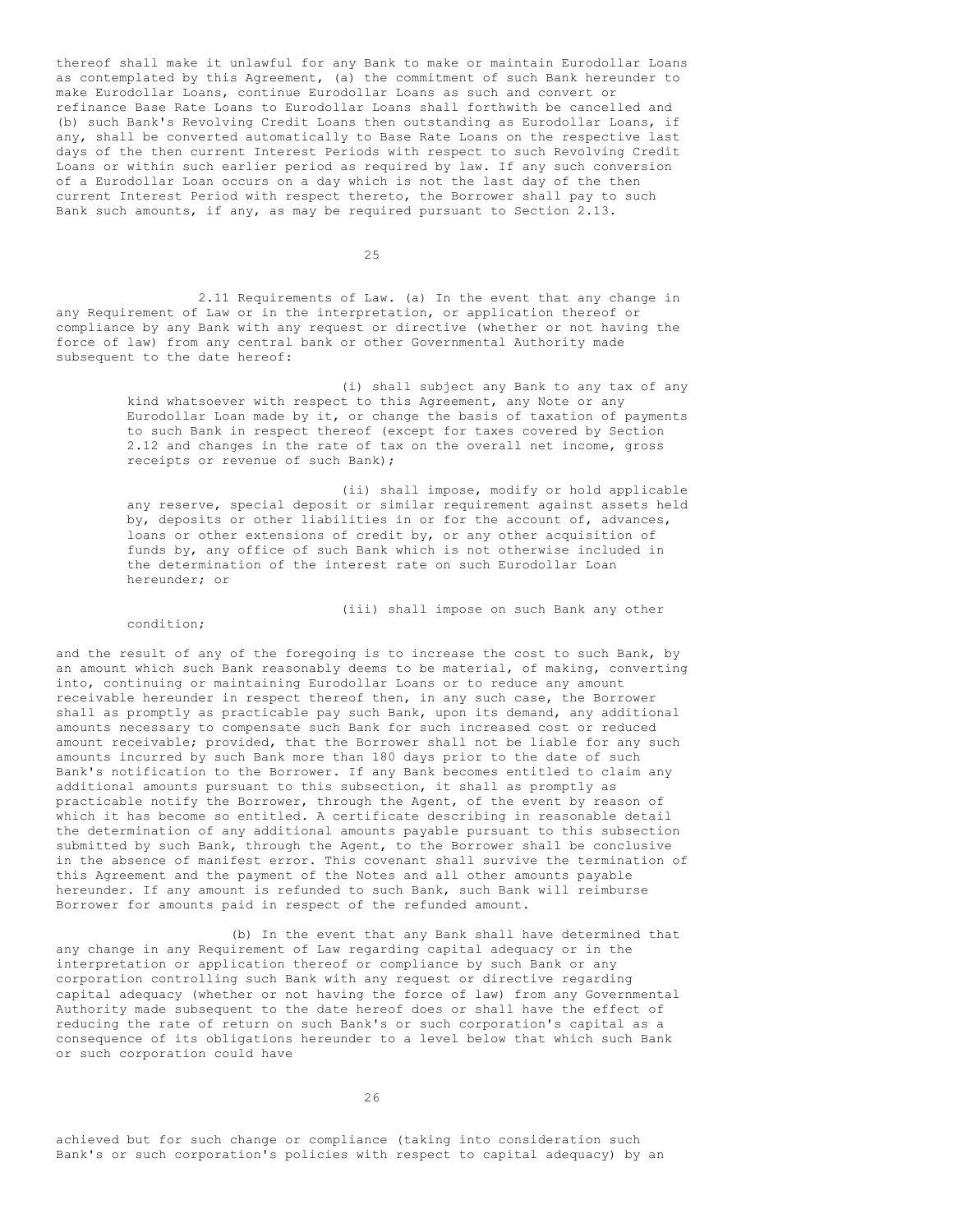thereof shall make it unlawful for any Bank to make or maintain Eurodollar Loans as contemplated by this Agreement, (a) the commitment of such Bank hereunder to make Eurodollar Loans, continue Eurodollar Loans as such and convert or refinance Base Rate Loans to Eurodollar Loans shall forthwith be cancelled and (b) such Bank's Revolving Credit Loans then outstanding as Eurodollar Loans, if any, shall be converted automatically to Base Rate Loans on the respective last days of the then current Interest Periods with respect to such Revolving Credit Loans or within such earlier period as required by law. If any such conversion of a Eurodollar Loan occurs on a day which is not the last day of the then current Interest Period with respect thereto, the Borrower shall pay to such Bank such amounts, if any, as may be required pursuant to Section 2.13.

 $25$ 

2.11 Requirements of Law. (a) In the event that any change in any Requirement of Law or in the interpretation, or application thereof or compliance by any Bank with any request or directive (whether or not having the force of law) from any central bank or other Governmental Authority made subsequent to the date hereof:

> (i) shall subject any Bank to any tax of any kind whatsoever with respect to this Agreement, any Note or any Eurodollar Loan made by it, or change the basis of taxation of payments to such Bank in respect thereof (except for taxes covered by Section 2.12 and changes in the rate of tax on the overall net income, gross receipts or revenue of such Bank);

> (ii) shall impose, modify or hold applicable any reserve, special deposit or similar requirement against assets held by, deposits or other liabilities in or for the account of, advances, loans or other extensions of credit by, or any other acquisition of funds by, any office of such Bank which is not otherwise included in the determination of the interest rate on such Eurodollar Loan hereunder; or

> > (iii) shall impose on such Bank any other

condition;

and the result of any of the foregoing is to increase the cost to such Bank, by an amount which such Bank reasonably deems to be material, of making, converting into, continuing or maintaining Eurodollar Loans or to reduce any amount receivable hereunder in respect thereof then, in any such case, the Borrower shall as promptly as practicable pay such Bank, upon its demand, any additional amounts necessary to compensate such Bank for such increased cost or reduced amount receivable; provided, that the Borrower shall not be liable for any such amounts incurred by such Bank more than 180 days prior to the date of such Bank's notification to the Borrower. If any Bank becomes entitled to claim any additional amounts pursuant to this subsection, it shall as promptly as practicable notify the Borrower, through the Agent, of the event by reason of which it has become so entitled. A certificate describing in reasonable detail the determination of any additional amounts payable pursuant to this subsection submitted by such Bank, through the Agent, to the Borrower shall be conclusive in the absence of manifest error. This covenant shall survive the termination of this Agreement and the payment of the Notes and all other amounts payable hereunder. If any amount is refunded to such Bank, such Bank will reimburse Borrower for amounts paid in respect of the refunded amount.

(b) In the event that any Bank shall have determined that any change in any Requirement of Law regarding capital adequacy or in the interpretation or application thereof or compliance by such Bank or any corporation controlling such Bank with any request or directive regarding capital adequacy (whether or not having the force of law) from any Governmental Authority made subsequent to the date hereof does or shall have the effect of reducing the rate of return on such Bank's or such corporation's capital as a consequence of its obligations hereunder to a level below that which such Bank or such corporation could have

achieved but for such change or compliance (taking into consideration such Bank's or such corporation's policies with respect to capital adequacy) by an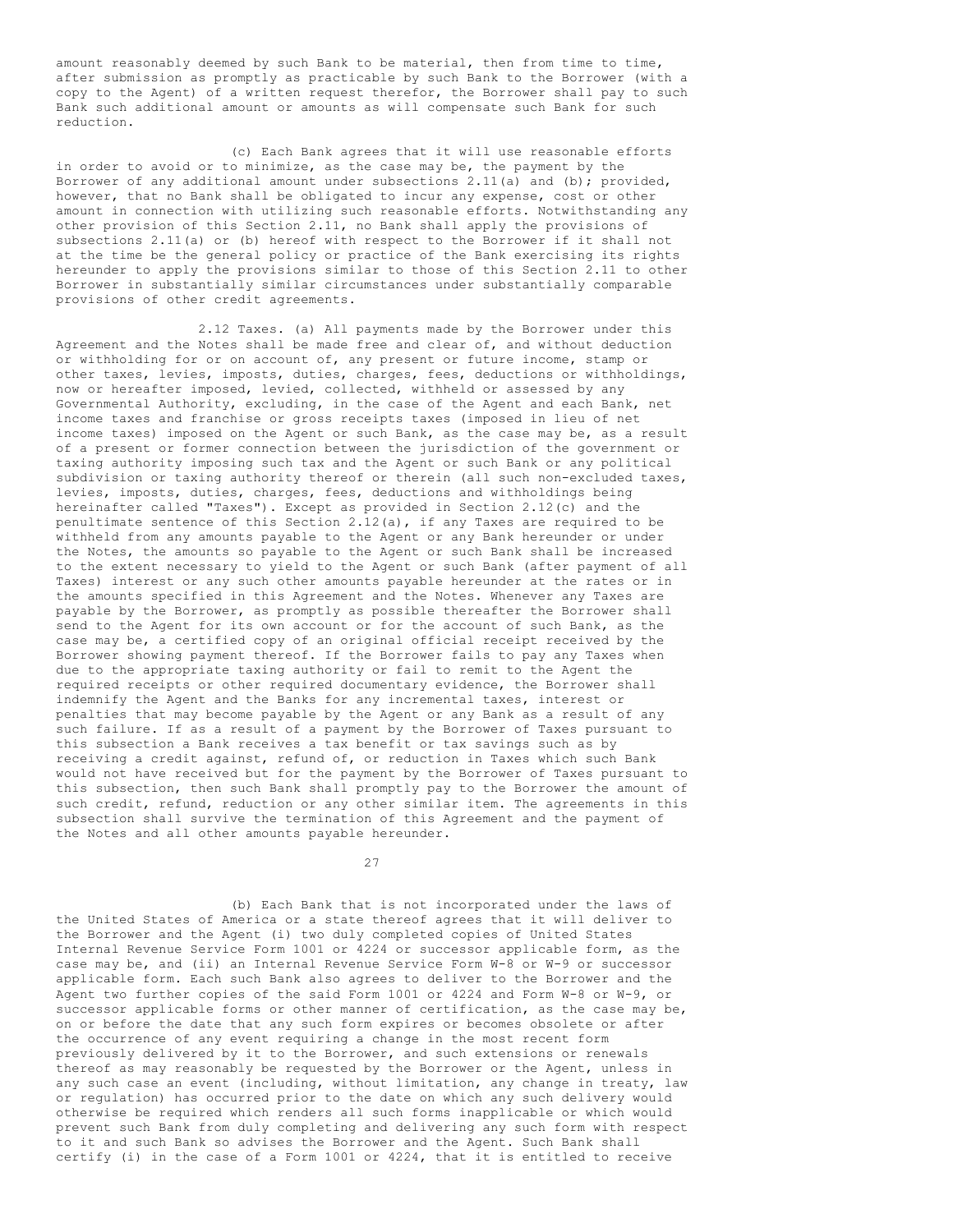amount reasonably deemed by such Bank to be material, then from time to time, after submission as promptly as practicable by such Bank to the Borrower (with a copy to the Agent) of a written request therefor, the Borrower shall pay to such Bank such additional amount or amounts as will compensate such Bank for such reduction.

(c) Each Bank agrees that it will use reasonable efforts in order to avoid or to minimize, as the case may be, the payment by the Borrower of any additional amount under subsections 2.11(a) and (b); provided, however, that no Bank shall be obligated to incur any expense, cost or other amount in connection with utilizing such reasonable efforts. Notwithstanding any other provision of this Section 2.11, no Bank shall apply the provisions of subsections 2.11(a) or (b) hereof with respect to the Borrower if it shall not at the time be the general policy or practice of the Bank exercising its rights hereunder to apply the provisions similar to those of this Section 2.11 to other Borrower in substantially similar circumstances under substantially comparable provisions of other credit agreements.

2.12 Taxes. (a) All payments made by the Borrower under this Agreement and the Notes shall be made free and clear of, and without deduction or withholding for or on account of, any present or future income, stamp or other taxes, levies, imposts, duties, charges, fees, deductions or withholdings, now or hereafter imposed, levied, collected, withheld or assessed by any Governmental Authority, excluding, in the case of the Agent and each Bank, net income taxes and franchise or gross receipts taxes (imposed in lieu of net income taxes) imposed on the Agent or such Bank, as the case may be, as a result of a present or former connection between the jurisdiction of the government or taxing authority imposing such tax and the Agent or such Bank or any political subdivision or taxing authority thereof or therein (all such non-excluded taxes, levies, imposts, duties, charges, fees, deductions and withholdings being hereinafter called "Taxes"). Except as provided in Section 2.12(c) and the penultimate sentence of this Section 2.12(a), if any Taxes are required to be withheld from any amounts payable to the Agent or any Bank hereunder or under the Notes, the amounts so payable to the Agent or such Bank shall be increased to the extent necessary to yield to the Agent or such Bank (after payment of all Taxes) interest or any such other amounts payable hereunder at the rates or in the amounts specified in this Agreement and the Notes. Whenever any Taxes are payable by the Borrower, as promptly as possible thereafter the Borrower shall send to the Agent for its own account or for the account of such Bank, as the case may be, a certified copy of an original official receipt received by the Borrower showing payment thereof. If the Borrower fails to pay any Taxes when due to the appropriate taxing authority or fail to remit to the Agent the required receipts or other required documentary evidence, the Borrower shall indemnify the Agent and the Banks for any incremental taxes, interest or penalties that may become payable by the Agent or any Bank as a result of any such failure. If as a result of a payment by the Borrower of Taxes pursuant to this subsection a Bank receives a tax benefit or tax savings such as by receiving a credit against, refund of, or reduction in Taxes which such Bank would not have received but for the payment by the Borrower of Taxes pursuant to this subsection, then such Bank shall promptly pay to the Borrower the amount of such credit, refund, reduction or any other similar item. The agreements in this subsection shall survive the termination of this Agreement and the payment of the Notes and all other amounts payable hereunder.

27

(b) Each Bank that is not incorporated under the laws of the United States of America or a state thereof agrees that it will deliver to the Borrower and the Agent (i) two duly completed copies of United States Internal Revenue Service Form 1001 or 4224 or successor applicable form, as the case may be, and (ii) an Internal Revenue Service Form W-8 or W-9 or successor applicable form. Each such Bank also agrees to deliver to the Borrower and the Agent two further copies of the said Form 1001 or 4224 and Form W-8 or W-9, or successor applicable forms or other manner of certification, as the case may be, on or before the date that any such form expires or becomes obsolete or after the occurrence of any event requiring a change in the most recent form previously delivered by it to the Borrower, and such extensions or renewals thereof as may reasonably be requested by the Borrower or the Agent, unless in any such case an event (including, without limitation, any change in treaty, law or regulation) has occurred prior to the date on which any such delivery would otherwise be required which renders all such forms inapplicable or which would prevent such Bank from duly completing and delivering any such form with respect to it and such Bank so advises the Borrower and the Agent. Such Bank shall certify (i) in the case of a Form 1001 or 4224, that it is entitled to receive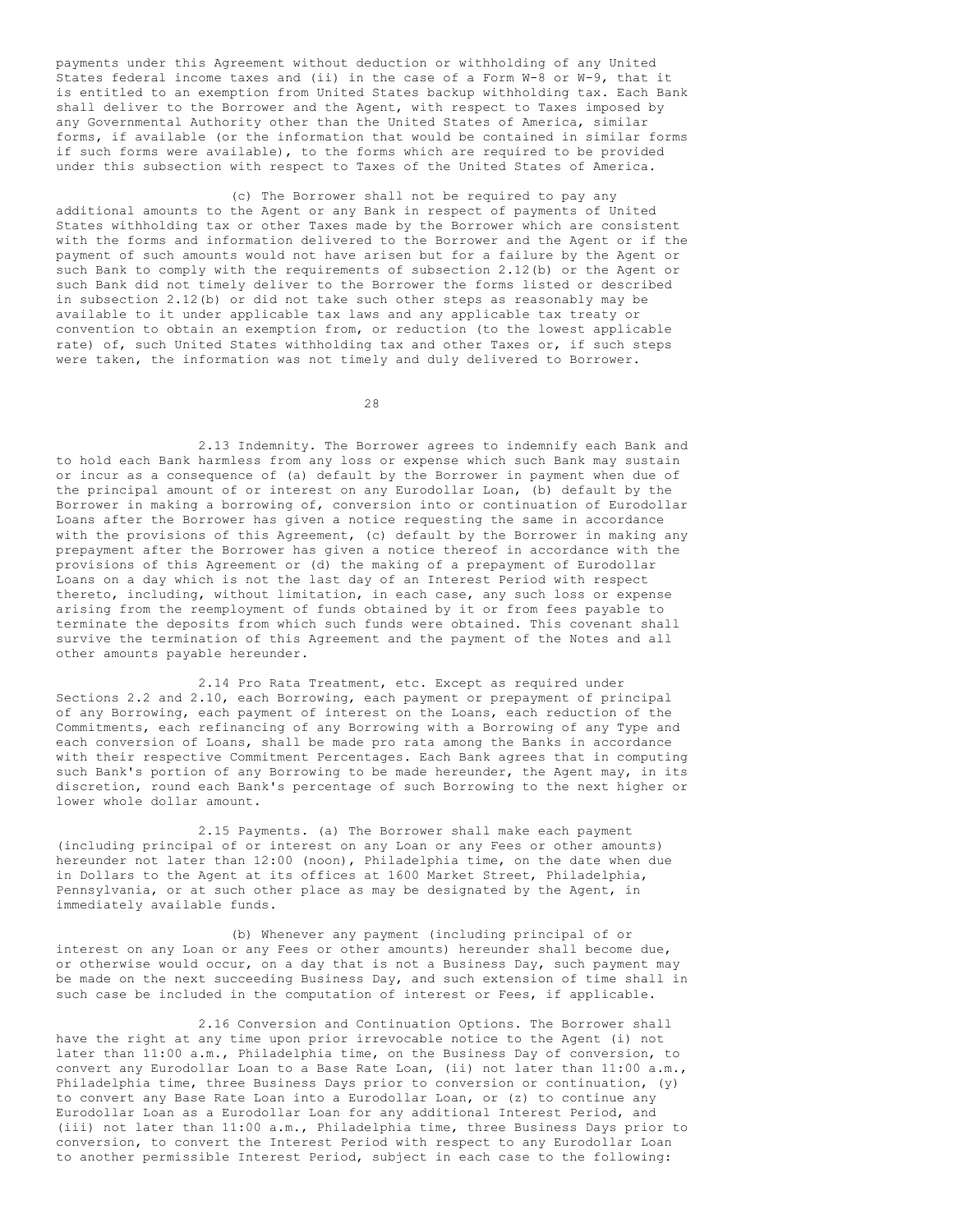payments under this Agreement without deduction or withholding of any United States federal income taxes and (ii) in the case of a Form W-8 or W-9, that it is entitled to an exemption from United States backup withholding tax. Each Bank shall deliver to the Borrower and the Agent, with respect to Taxes imposed by any Governmental Authority other than the United States of America, similar forms, if available (or the information that would be contained in similar forms if such forms were available), to the forms which are required to be provided under this subsection with respect to Taxes of the United States of America.

(c) The Borrower shall not be required to pay any additional amounts to the Agent or any Bank in respect of payments of United States withholding tax or other Taxes made by the Borrower which are consistent with the forms and information delivered to the Borrower and the Agent or if the payment of such amounts would not have arisen but for a failure by the Agent or such Bank to comply with the requirements of subsection 2.12(b) or the Agent or such Bank did not timely deliver to the Borrower the forms listed or described in subsection 2.12(b) or did not take such other steps as reasonably may be available to it under applicable tax laws and any applicable tax treaty or convention to obtain an exemption from, or reduction (to the lowest applicable rate) of, such United States withholding tax and other Taxes or, if such steps were taken, the information was not timely and duly delivered to Borrower.

28

2.13 Indemnity. The Borrower agrees to indemnify each Bank and to hold each Bank harmless from any loss or expense which such Bank may sustain or incur as a consequence of (a) default by the Borrower in payment when due of the principal amount of or interest on any Eurodollar Loan, (b) default by the Borrower in making a borrowing of, conversion into or continuation of Eurodollar Loans after the Borrower has given a notice requesting the same in accordance with the provisions of this Agreement, (c) default by the Borrower in making any prepayment after the Borrower has given a notice thereof in accordance with the provisions of this Agreement or (d) the making of a prepayment of Eurodollar Loans on a day which is not the last day of an Interest Period with respect thereto, including, without limitation, in each case, any such loss or expense arising from the reemployment of funds obtained by it or from fees payable to terminate the deposits from which such funds were obtained. This covenant shall survive the termination of this Agreement and the payment of the Notes and all other amounts payable hereunder.

2.14 Pro Rata Treatment, etc. Except as required under Sections 2.2 and 2.10, each Borrowing, each payment or prepayment of principal of any Borrowing, each payment of interest on the Loans, each reduction of the Commitments, each refinancing of any Borrowing with a Borrowing of any Type and each conversion of Loans, shall be made pro rata among the Banks in accordance with their respective Commitment Percentages. Each Bank agrees that in computing such Bank's portion of any Borrowing to be made hereunder, the Agent may, in its discretion, round each Bank's percentage of such Borrowing to the next higher or lower whole dollar amount.

2.15 Payments. (a) The Borrower shall make each payment (including principal of or interest on any Loan or any Fees or other amounts) hereunder not later than 12:00 (noon), Philadelphia time, on the date when due in Dollars to the Agent at its offices at 1600 Market Street, Philadelphia, Pennsylvania, or at such other place as may be designated by the Agent, in immediately available funds.

(b) Whenever any payment (including principal of or interest on any Loan or any Fees or other amounts) hereunder shall become due, or otherwise would occur, on a day that is not a Business Day, such payment may be made on the next succeeding Business Day, and such extension of time shall in such case be included in the computation of interest or Fees, if applicable.

2.16 Conversion and Continuation Options. The Borrower shall have the right at any time upon prior irrevocable notice to the Agent (i) not later than 11:00 a.m., Philadelphia time, on the Business Day of conversion, to convert any Eurodollar Loan to a Base Rate Loan, (ii) not later than 11:00 a.m., Philadelphia time, three Business Days prior to conversion or continuation, (y) to convert any Base Rate Loan into a Eurodollar Loan, or (z) to continue any Eurodollar Loan as a Eurodollar Loan for any additional Interest Period, and (iii) not later than 11:00 a.m., Philadelphia time, three Business Days prior to conversion, to convert the Interest Period with respect to any Eurodollar Loan to another permissible Interest Period, subject in each case to the following: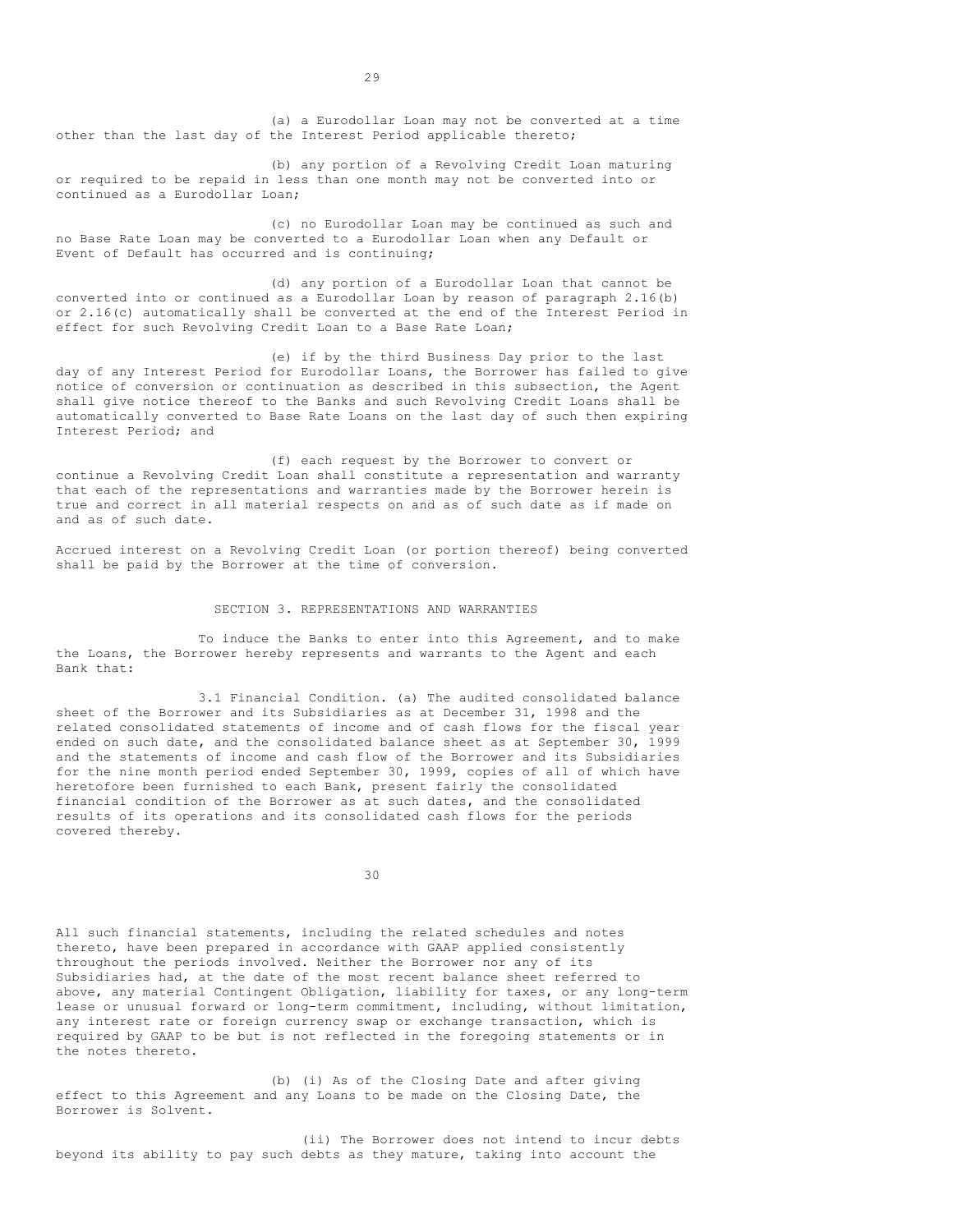(a) a Eurodollar Loan may not be converted at a time other than the last day of the Interest Period applicable thereto;

(b) any portion of a Revolving Credit Loan maturing or required to be repaid in less than one month may not be converted into or continued as a Eurodollar Loan;

(c) no Eurodollar Loan may be continued as such and no Base Rate Loan may be converted to a Eurodollar Loan when any Default or Event of Default has occurred and is continuing;

(d) any portion of a Eurodollar Loan that cannot be converted into or continued as a Eurodollar Loan by reason of paragraph 2.16(b) or 2.16(c) automatically shall be converted at the end of the Interest Period in effect for such Revolving Credit Loan to a Base Rate Loan;

(e) if by the third Business Day prior to the last day of any Interest Period for Eurodollar Loans, the Borrower has failed to give notice of conversion or continuation as described in this subsection, the Agent shall give notice thereof to the Banks and such Revolving Credit Loans shall be automatically converted to Base Rate Loans on the last day of such then expiring Interest Period; and

(f) each request by the Borrower to convert or continue a Revolving Credit Loan shall constitute a representation and warranty that each of the representations and warranties made by the Borrower herein is true and correct in all material respects on and as of such date as if made on and as of such date.

Accrued interest on a Revolving Credit Loan (or portion thereof) being converted shall be paid by the Borrower at the time of conversion.

## SECTION 3. REPRESENTATIONS AND WARRANTIES

To induce the Banks to enter into this Agreement, and to make the Loans, the Borrower hereby represents and warrants to the Agent and each Bank that:

3.1 Financial Condition. (a) The audited consolidated balance sheet of the Borrower and its Subsidiaries as at December 31, 1998 and the related consolidated statements of income and of cash flows for the fiscal year ended on such date, and the consolidated balance sheet as at September 30, 1999 and the statements of income and cash flow of the Borrower and its Subsidiaries for the nine month period ended September 30, 1999, copies of all of which have heretofore been furnished to each Bank, present fairly the consolidated financial condition of the Borrower as at such dates, and the consolidated results of its operations and its consolidated cash flows for the periods covered thereby.

30

All such financial statements, including the related schedules and notes thereto, have been prepared in accordance with GAAP applied consistently throughout the periods involved. Neither the Borrower nor any of its Subsidiaries had, at the date of the most recent balance sheet referred to above, any material Contingent Obligation, liability for taxes, or any long-term lease or unusual forward or long-term commitment, including, without limitation, any interest rate or foreign currency swap or exchange transaction, which is required by GAAP to be but is not reflected in the foregoing statements or in the notes thereto.

(b) (i) As of the Closing Date and after giving effect to this Agreement and any Loans to be made on the Closing Date, the Borrower is Solvent.

(ii) The Borrower does not intend to incur debts beyond its ability to pay such debts as they mature, taking into account the

29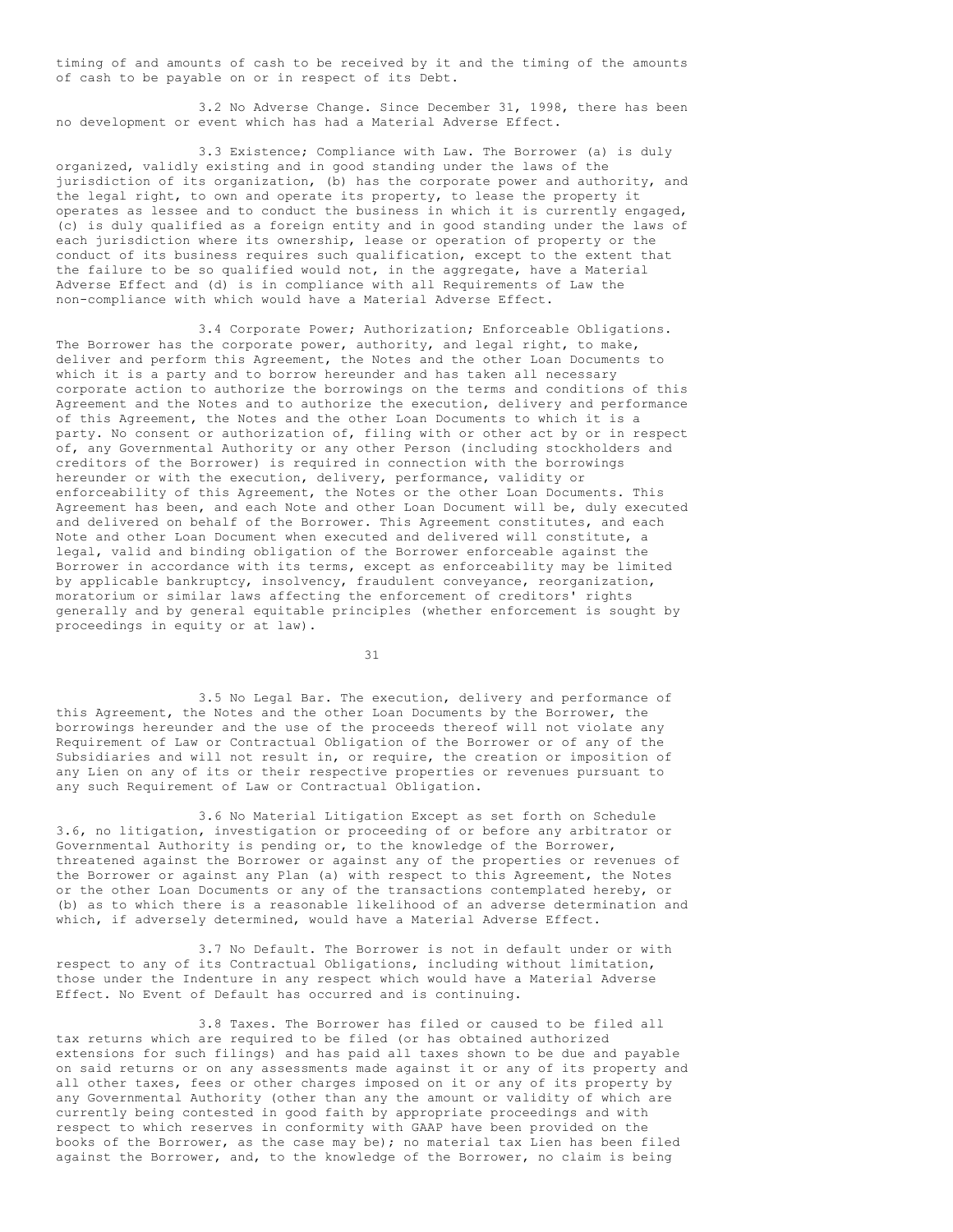timing of and amounts of cash to be received by it and the timing of the amounts of cash to be payable on or in respect of its Debt.

3.2 No Adverse Change. Since December 31, 1998, there has been no development or event which has had a Material Adverse Effect.

3.3 Existence; Compliance with Law. The Borrower (a) is duly organized, validly existing and in good standing under the laws of the jurisdiction of its organization, (b) has the corporate power and authority, and the legal right, to own and operate its property, to lease the property it operates as lessee and to conduct the business in which it is currently engaged, (c) is duly qualified as a foreign entity and in good standing under the laws of each jurisdiction where its ownership, lease or operation of property or the conduct of its business requires such qualification, except to the extent that the failure to be so qualified would not, in the aggregate, have a Material Adverse Effect and (d) is in compliance with all Requirements of Law the non-compliance with which would have a Material Adverse Effect.

3.4 Corporate Power; Authorization; Enforceable Obligations. The Borrower has the corporate power, authority, and legal right, to make, deliver and perform this Agreement, the Notes and the other Loan Documents to which it is a party and to borrow hereunder and has taken all necessary corporate action to authorize the borrowings on the terms and conditions of this Agreement and the Notes and to authorize the execution, delivery and performance of this Agreement, the Notes and the other Loan Documents to which it is a party. No consent or authorization of, filing with or other act by or in respect of, any Governmental Authority or any other Person (including stockholders and creditors of the Borrower) is required in connection with the borrowings hereunder or with the execution, delivery, performance, validity or enforceability of this Agreement, the Notes or the other Loan Documents. This Agreement has been, and each Note and other Loan Document will be, duly executed and delivered on behalf of the Borrower. This Agreement constitutes, and each Note and other Loan Document when executed and delivered will constitute, a legal, valid and binding obligation of the Borrower enforceable against the Borrower in accordance with its terms, except as enforceability may be limited by applicable bankruptcy, insolvency, fraudulent conveyance, reorganization, moratorium or similar laws affecting the enforcement of creditors' rights generally and by general equitable principles (whether enforcement is sought by proceedings in equity or at law).

31

3.5 No Legal Bar. The execution, delivery and performance of this Agreement, the Notes and the other Loan Documents by the Borrower, the borrowings hereunder and the use of the proceeds thereof will not violate any Requirement of Law or Contractual Obligation of the Borrower or of any of the Subsidiaries and will not result in, or require, the creation or imposition of any Lien on any of its or their respective properties or revenues pursuant to any such Requirement of Law or Contractual Obligation.

3.6 No Material Litigation Except as set forth on Schedule 3.6, no litigation, investigation or proceeding of or before any arbitrator or Governmental Authority is pending or, to the knowledge of the Borrower, threatened against the Borrower or against any of the properties or revenues of the Borrower or against any Plan (a) with respect to this Agreement, the Notes or the other Loan Documents or any of the transactions contemplated hereby, or (b) as to which there is a reasonable likelihood of an adverse determination and which, if adversely determined, would have a Material Adverse Effect.

3.7 No Default. The Borrower is not in default under or with respect to any of its Contractual Obligations, including without limitation, those under the Indenture in any respect which would have a Material Adverse Effect. No Event of Default has occurred and is continuing.

3.8 Taxes. The Borrower has filed or caused to be filed all tax returns which are required to be filed (or has obtained authorized extensions for such filings) and has paid all taxes shown to be due and payable on said returns or on any assessments made against it or any of its property and all other taxes, fees or other charges imposed on it or any of its property by any Governmental Authority (other than any the amount or validity of which are currently being contested in good faith by appropriate proceedings and with respect to which reserves in conformity with GAAP have been provided on the books of the Borrower, as the case may be); no material tax Lien has been filed against the Borrower, and, to the knowledge of the Borrower, no claim is being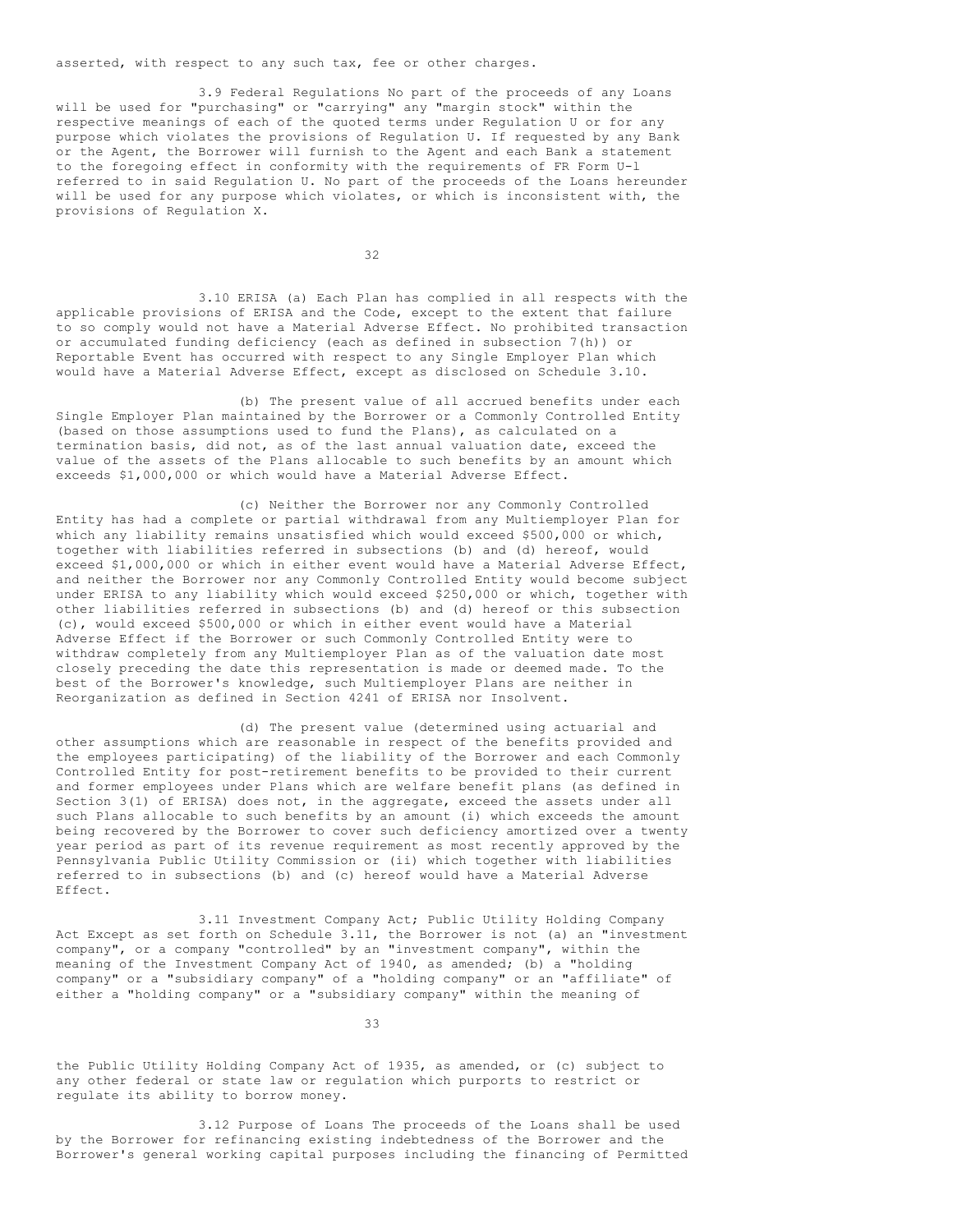asserted, with respect to any such tax, fee or other charges.

3.9 Federal Regulations No part of the proceeds of any Loans will be used for "purchasing" or "carrying" any "margin stock" within the respective meanings of each of the quoted terms under Regulation U or for any purpose which violates the provisions of Regulation U. If requested by any Bank or the Agent, the Borrower will furnish to the Agent and each Bank a statement to the foregoing effect in conformity with the requirements of FR Form U-l referred to in said Regulation U. No part of the proceeds of the Loans hereunder will be used for any purpose which violates, or which is inconsistent with, the provisions of Regulation X.

32

3.10 ERISA (a) Each Plan has complied in all respects with the applicable provisions of ERISA and the Code, except to the extent that failure to so comply would not have a Material Adverse Effect. No prohibited transaction or accumulated funding deficiency (each as defined in subsection 7(h)) or Reportable Event has occurred with respect to any Single Employer Plan which would have a Material Adverse Effect, except as disclosed on Schedule 3.10.

(b) The present value of all accrued benefits under each Single Employer Plan maintained by the Borrower or a Commonly Controlled Entity (based on those assumptions used to fund the Plans), as calculated on a termination basis, did not, as of the last annual valuation date, exceed the value of the assets of the Plans allocable to such benefits by an amount which exceeds \$1,000,000 or which would have a Material Adverse Effect.

(c) Neither the Borrower nor any Commonly Controlled Entity has had a complete or partial withdrawal from any Multiemployer Plan for which any liability remains unsatisfied which would exceed \$500,000 or which, together with liabilities referred in subsections (b) and (d) hereof, would exceed \$1,000,000 or which in either event would have a Material Adverse Effect, and neither the Borrower nor any Commonly Controlled Entity would become subject under ERISA to any liability which would exceed \$250,000 or which, together with other liabilities referred in subsections (b) and (d) hereof or this subsection (c), would exceed \$500,000 or which in either event would have a Material Adverse Effect if the Borrower or such Commonly Controlled Entity were to withdraw completely from any Multiemployer Plan as of the valuation date most closely preceding the date this representation is made or deemed made. To the best of the Borrower's knowledge, such Multiemployer Plans are neither in Reorganization as defined in Section 4241 of ERISA nor Insolvent.

(d) The present value (determined using actuarial and other assumptions which are reasonable in respect of the benefits provided and the employees participating) of the liability of the Borrower and each Commonly Controlled Entity for post-retirement benefits to be provided to their current and former employees under Plans which are welfare benefit plans (as defined in Section 3(1) of ERISA) does not, in the aggregate, exceed the assets under all such Plans allocable to such benefits by an amount (i) which exceeds the amount being recovered by the Borrower to cover such deficiency amortized over a twenty year period as part of its revenue requirement as most recently approved by the Pennsylvania Public Utility Commission or (ii) which together with liabilities referred to in subsections (b) and (c) hereof would have a Material Adverse Effect.

3.11 Investment Company Act; Public Utility Holding Company Act Except as set forth on Schedule 3.11, the Borrower is not (a) an "investment company", or a company "controlled" by an "investment company", within the meaning of the Investment Company Act of 1940, as amended; (b) a "holding company" or a "subsidiary company" of a "holding company" or an "affiliate" of either a "holding company" or a "subsidiary company" within the meaning of

33

the Public Utility Holding Company Act of 1935, as amended, or (c) subject to any other federal or state law or regulation which purports to restrict or regulate its ability to borrow money.

3.12 Purpose of Loans The proceeds of the Loans shall be used by the Borrower for refinancing existing indebtedness of the Borrower and the Borrower's general working capital purposes including the financing of Permitted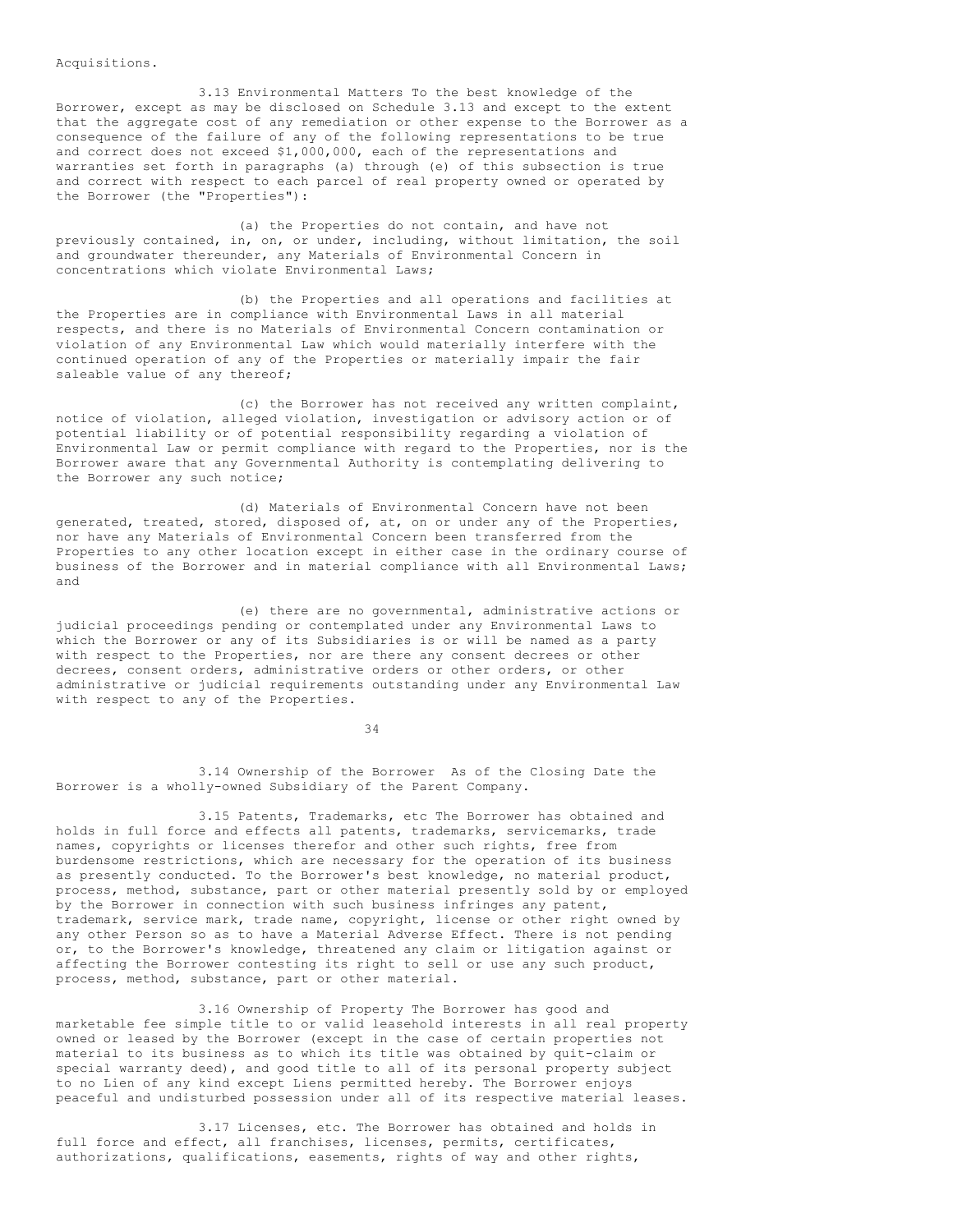Acquisitions.

3.13 Environmental Matters To the best knowledge of the Borrower, except as may be disclosed on Schedule 3.13 and except to the extent that the aggregate cost of any remediation or other expense to the Borrower as a consequence of the failure of any of the following representations to be true and correct does not exceed \$1,000,000, each of the representations and warranties set forth in paragraphs (a) through (e) of this subsection is true and correct with respect to each parcel of real property owned or operated by the Borrower (the "Properties"):

(a) the Properties do not contain, and have not previously contained, in, on, or under, including, without limitation, the soil and groundwater thereunder, any Materials of Environmental Concern in concentrations which violate Environmental Laws;

(b) the Properties and all operations and facilities at the Properties are in compliance with Environmental Laws in all material respects, and there is no Materials of Environmental Concern contamination or violation of any Environmental Law which would materially interfere with the continued operation of any of the Properties or materially impair the fair saleable value of any thereof;

(c) the Borrower has not received any written complaint, notice of violation, alleged violation, investigation or advisory action or of potential liability or of potential responsibility regarding a violation of Environmental Law or permit compliance with regard to the Properties, nor is the Borrower aware that any Governmental Authority is contemplating delivering to the Borrower any such notice;

(d) Materials of Environmental Concern have not been generated, treated, stored, disposed of, at, on or under any of the Properties, nor have any Materials of Environmental Concern been transferred from the Properties to any other location except in either case in the ordinary course of business of the Borrower and in material compliance with all Environmental Laws; and

(e) there are no governmental, administrative actions or judicial proceedings pending or contemplated under any Environmental Laws to which the Borrower or any of its Subsidiaries is or will be named as a party with respect to the Properties, nor are there any consent decrees or other decrees, consent orders, administrative orders or other orders, or other administrative or judicial requirements outstanding under any Environmental Law with respect to any of the Properties.

34

3.14 Ownership of the Borrower As of the Closing Date the Borrower is a wholly-owned Subsidiary of the Parent Company.

3.15 Patents, Trademarks, etc The Borrower has obtained and holds in full force and effects all patents, trademarks, servicemarks, trade names, copyrights or licenses therefor and other such rights, free from burdensome restrictions, which are necessary for the operation of its business as presently conducted. To the Borrower's best knowledge, no material product, process, method, substance, part or other material presently sold by or employed by the Borrower in connection with such business infringes any patent, trademark, service mark, trade name, copyright, license or other right owned by any other Person so as to have a Material Adverse Effect. There is not pending or, to the Borrower's knowledge, threatened any claim or litigation against or affecting the Borrower contesting its right to sell or use any such product, process, method, substance, part or other material.

3.16 Ownership of Property The Borrower has good and marketable fee simple title to or valid leasehold interests in all real property owned or leased by the Borrower (except in the case of certain properties not material to its business as to which its title was obtained by quit-claim or special warranty deed), and good title to all of its personal property subject to no Lien of any kind except Liens permitted hereby. The Borrower enjoys peaceful and undisturbed possession under all of its respective material leases.

3.17 Licenses, etc. The Borrower has obtained and holds in full force and effect, all franchises, licenses, permits, certificates, authorizations, qualifications, easements, rights of way and other rights,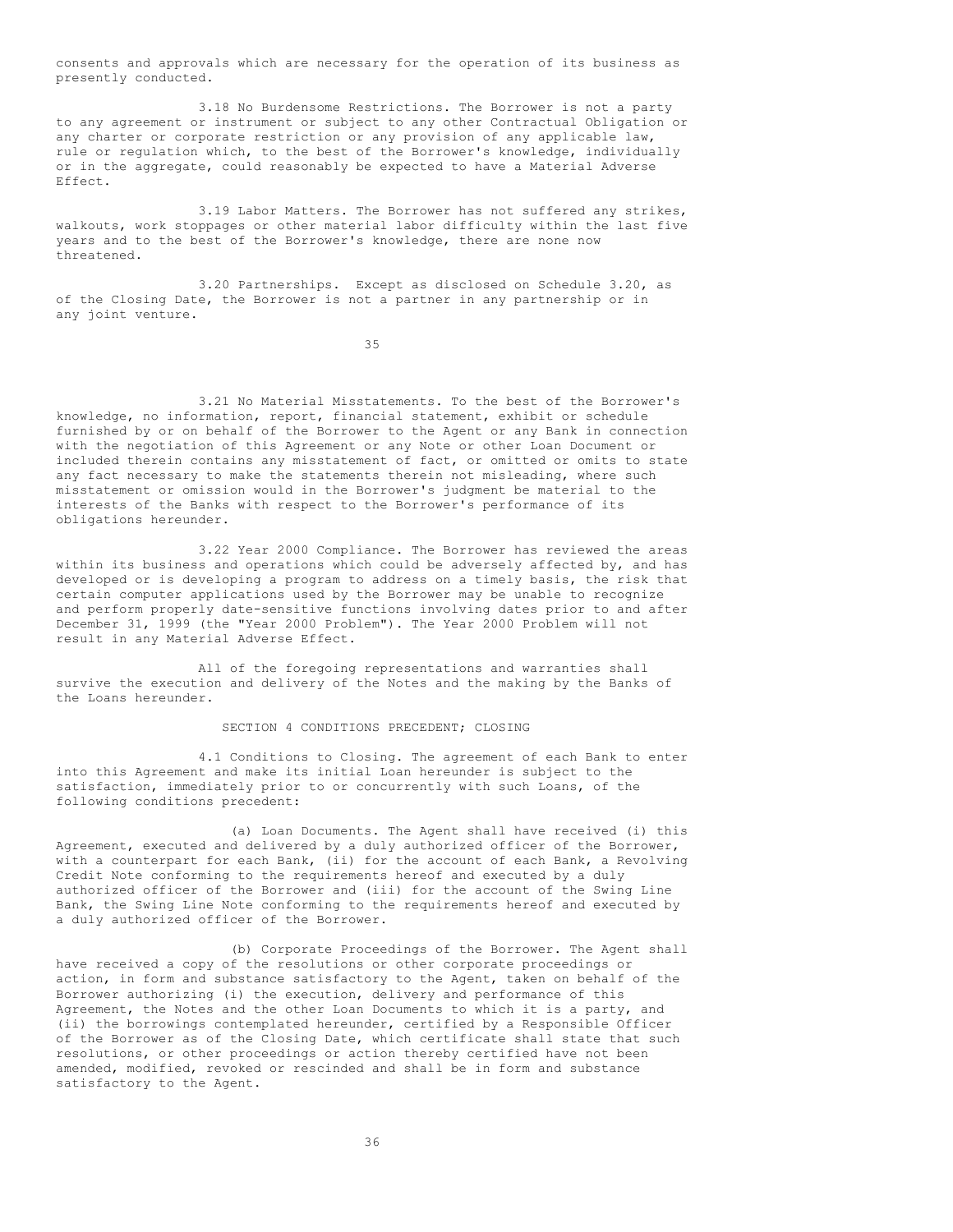consents and approvals which are necessary for the operation of its business as presently conducted.

3.18 No Burdensome Restrictions. The Borrower is not a party to any agreement or instrument or subject to any other Contractual Obligation or any charter or corporate restriction or any provision of any applicable law, rule or regulation which, to the best of the Borrower's knowledge, individually or in the aggregate, could reasonably be expected to have a Material Adverse Effect.

3.19 Labor Matters. The Borrower has not suffered any strikes, walkouts, work stoppages or other material labor difficulty within the last five years and to the best of the Borrower's knowledge, there are none now threatened.

3.20 Partnerships. Except as disclosed on Schedule 3.20, as of the Closing Date, the Borrower is not a partner in any partnership or in any joint venture.

35

3.21 No Material Misstatements. To the best of the Borrower's knowledge, no information, report, financial statement, exhibit or schedule furnished by or on behalf of the Borrower to the Agent or any Bank in connection with the negotiation of this Agreement or any Note or other Loan Document or included therein contains any misstatement of fact, or omitted or omits to state any fact necessary to make the statements therein not misleading, where such misstatement or omission would in the Borrower's judgment be material to the interests of the Banks with respect to the Borrower's performance of its obligations hereunder.

3.22 Year 2000 Compliance. The Borrower has reviewed the areas within its business and operations which could be adversely affected by, and has developed or is developing a program to address on a timely basis, the risk that certain computer applications used by the Borrower may be unable to recognize and perform properly date-sensitive functions involving dates prior to and after December 31, 1999 (the "Year 2000 Problem"). The Year 2000 Problem will not result in any Material Adverse Effect.

All of the foregoing representations and warranties shall survive the execution and delivery of the Notes and the making by the Banks of the Loans hereunder.

SECTION 4 CONDITIONS PRECEDENT; CLOSING

4.1 Conditions to Closing. The agreement of each Bank to enter into this Agreement and make its initial Loan hereunder is subject to the satisfaction, immediately prior to or concurrently with such Loans, of the following conditions precedent:

(a) Loan Documents. The Agent shall have received (i) this Agreement, executed and delivered by a duly authorized officer of the Borrower, with a counterpart for each Bank, (ii) for the account of each Bank, a Revolving Credit Note conforming to the requirements hereof and executed by a duly authorized officer of the Borrower and (iii) for the account of the Swing Line Bank, the Swing Line Note conforming to the requirements hereof and executed by a duly authorized officer of the Borrower.

(b) Corporate Proceedings of the Borrower. The Agent shall have received a copy of the resolutions or other corporate proceedings or action, in form and substance satisfactory to the Agent, taken on behalf of the Borrower authorizing (i) the execution, delivery and performance of this Agreement, the Notes and the other Loan Documents to which it is a party, and (ii) the borrowings contemplated hereunder, certified by a Responsible Officer of the Borrower as of the Closing Date, which certificate shall state that such resolutions, or other proceedings or action thereby certified have not been amended, modified, revoked or rescinded and shall be in form and substance satisfactory to the Agent.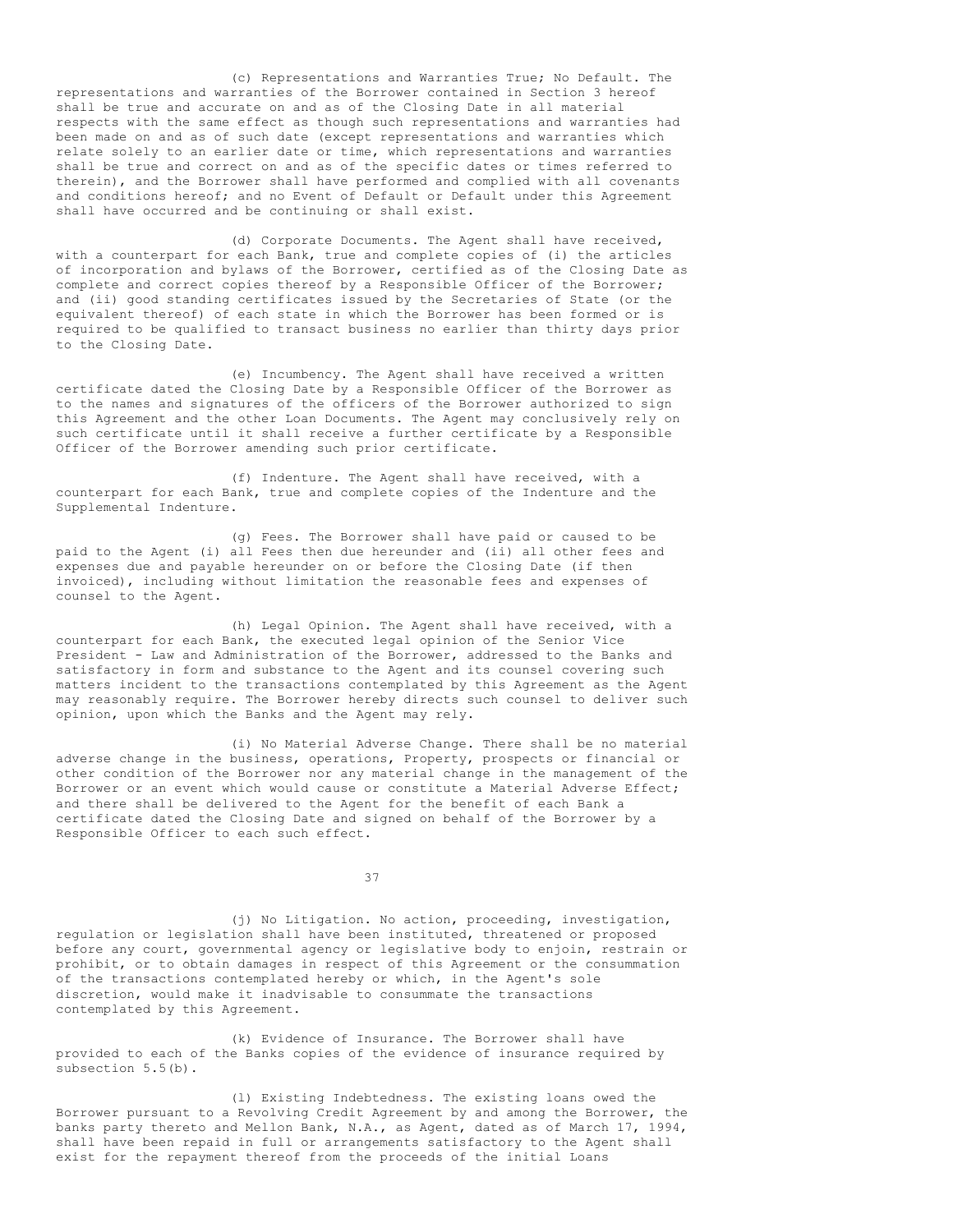(c) Representations and Warranties True; No Default. The representations and warranties of the Borrower contained in Section 3 hereof shall be true and accurate on and as of the Closing Date in all material respects with the same effect as though such representations and warranties had been made on and as of such date (except representations and warranties which relate solely to an earlier date or time, which representations and warranties shall be true and correct on and as of the specific dates or times referred to therein), and the Borrower shall have performed and complied with all covenants and conditions hereof; and no Event of Default or Default under this Agreement shall have occurred and be continuing or shall exist.

(d) Corporate Documents. The Agent shall have received, with a counterpart for each Bank, true and complete copies of (i) the articles of incorporation and bylaws of the Borrower, certified as of the Closing Date as complete and correct copies thereof by a Responsible Officer of the Borrower; and (ii) good standing certificates issued by the Secretaries of State (or the equivalent thereof) of each state in which the Borrower has been formed or is required to be qualified to transact business no earlier than thirty days prior to the Closing Date.

(e) Incumbency. The Agent shall have received a written certificate dated the Closing Date by a Responsible Officer of the Borrower as to the names and signatures of the officers of the Borrower authorized to sign this Agreement and the other Loan Documents. The Agent may conclusively rely on such certificate until it shall receive a further certificate by a Responsible Officer of the Borrower amending such prior certificate.

(f) Indenture. The Agent shall have received, with a counterpart for each Bank, true and complete copies of the Indenture and the Supplemental Indenture.

(g) Fees. The Borrower shall have paid or caused to be paid to the Agent (i) all Fees then due hereunder and (ii) all other fees and expenses due and payable hereunder on or before the Closing Date (if then invoiced), including without limitation the reasonable fees and expenses of counsel to the Agent.

(h) Legal Opinion. The Agent shall have received, with a counterpart for each Bank, the executed legal opinion of the Senior Vice President - Law and Administration of the Borrower, addressed to the Banks and satisfactory in form and substance to the Agent and its counsel covering such matters incident to the transactions contemplated by this Agreement as the Agent may reasonably require. The Borrower hereby directs such counsel to deliver such opinion, upon which the Banks and the Agent may rely.

(i) No Material Adverse Change. There shall be no material adverse change in the business, operations, Property, prospects or financial or other condition of the Borrower nor any material change in the management of the Borrower or an event which would cause or constitute a Material Adverse Effect; and there shall be delivered to the Agent for the benefit of each Bank a certificate dated the Closing Date and signed on behalf of the Borrower by a Responsible Officer to each such effect.

37

(j) No Litigation. No action, proceeding, investigation, regulation or legislation shall have been instituted, threatened or proposed before any court, governmental agency or legislative body to enjoin, restrain or prohibit, or to obtain damages in respect of this Agreement or the consummation of the transactions contemplated hereby or which, in the Agent's sole discretion, would make it inadvisable to consummate the transactions contemplated by this Agreement.

(k) Evidence of Insurance. The Borrower shall have provided to each of the Banks copies of the evidence of insurance required by subsection 5.5(b).

(l) Existing Indebtedness. The existing loans owed the Borrower pursuant to a Revolving Credit Agreement by and among the Borrower, the banks party thereto and Mellon Bank, N.A., as Agent, dated as of March 17, 1994, shall have been repaid in full or arrangements satisfactory to the Agent shall exist for the repayment thereof from the proceeds of the initial Loans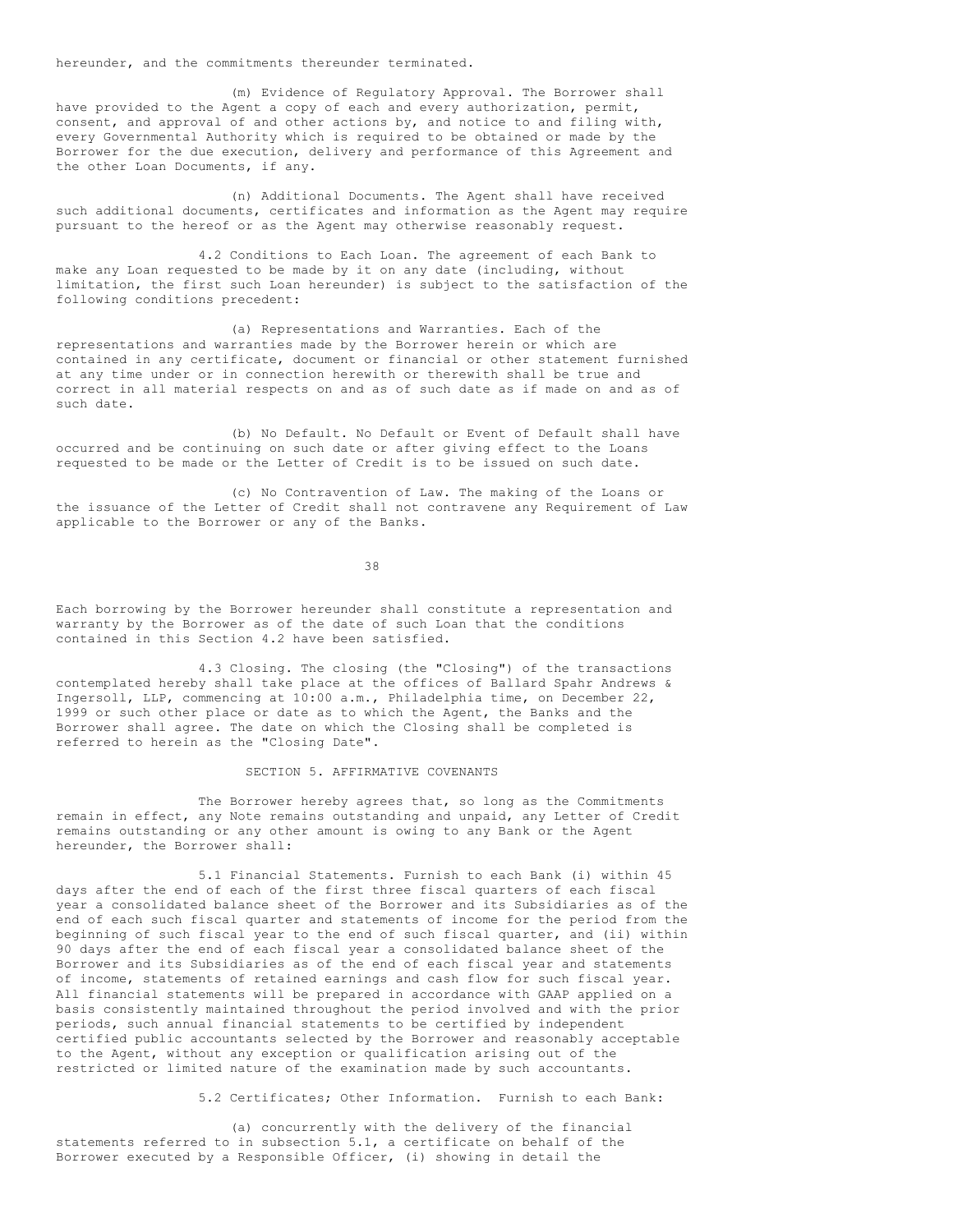hereunder, and the commitments thereunder terminated.

(m) Evidence of Regulatory Approval. The Borrower shall have provided to the Agent a copy of each and every authorization, permit, consent, and approval of and other actions by, and notice to and filing with, every Governmental Authority which is required to be obtained or made by the Borrower for the due execution, delivery and performance of this Agreement and the other Loan Documents, if any.

(n) Additional Documents. The Agent shall have received such additional documents, certificates and information as the Agent may require pursuant to the hereof or as the Agent may otherwise reasonably request.

4.2 Conditions to Each Loan. The agreement of each Bank to make any Loan requested to be made by it on any date (including, without limitation, the first such Loan hereunder) is subject to the satisfaction of the following conditions precedent:

(a) Representations and Warranties. Each of the representations and warranties made by the Borrower herein or which are contained in any certificate, document or financial or other statement furnished at any time under or in connection herewith or therewith shall be true and correct in all material respects on and as of such date as if made on and as of such date.

(b) No Default. No Default or Event of Default shall have occurred and be continuing on such date or after giving effect to the Loans requested to be made or the Letter of Credit is to be issued on such date.

(c) No Contravention of Law. The making of the Loans or the issuance of the Letter of Credit shall not contravene any Requirement of Law applicable to the Borrower or any of the Banks.

38

Each borrowing by the Borrower hereunder shall constitute a representation and warranty by the Borrower as of the date of such Loan that the conditions contained in this Section 4.2 have been satisfied.

4.3 Closing. The closing (the "Closing") of the transactions contemplated hereby shall take place at the offices of Ballard Spahr Andrews & Ingersoll, LLP, commencing at 10:00 a.m., Philadelphia time, on December 22, 1999 or such other place or date as to which the Agent, the Banks and the Borrower shall agree. The date on which the Closing shall be completed is referred to herein as the "Closing Date".

SECTION 5. AFFIRMATIVE COVENANTS

The Borrower hereby agrees that, so long as the Commitments remain in effect, any Note remains outstanding and unpaid, any Letter of Credit remains outstanding or any other amount is owing to any Bank or the Agent hereunder, the Borrower shall:

5.1 Financial Statements. Furnish to each Bank (i) within 45 days after the end of each of the first three fiscal quarters of each fiscal year a consolidated balance sheet of the Borrower and its Subsidiaries as of the end of each such fiscal quarter and statements of income for the period from the beginning of such fiscal year to the end of such fiscal quarter, and (ii) within 90 days after the end of each fiscal year a consolidated balance sheet of the Borrower and its Subsidiaries as of the end of each fiscal year and statements of income, statements of retained earnings and cash flow for such fiscal year. All financial statements will be prepared in accordance with GAAP applied on a basis consistently maintained throughout the period involved and with the prior periods, such annual financial statements to be certified by independent certified public accountants selected by the Borrower and reasonably acceptable to the Agent, without any exception or qualification arising out of the restricted or limited nature of the examination made by such accountants.

5.2 Certificates; Other Information. Furnish to each Bank:

(a) concurrently with the delivery of the financial statements referred to in subsection 5.1, a certificate on behalf of the Borrower executed by a Responsible Officer, (i) showing in detail the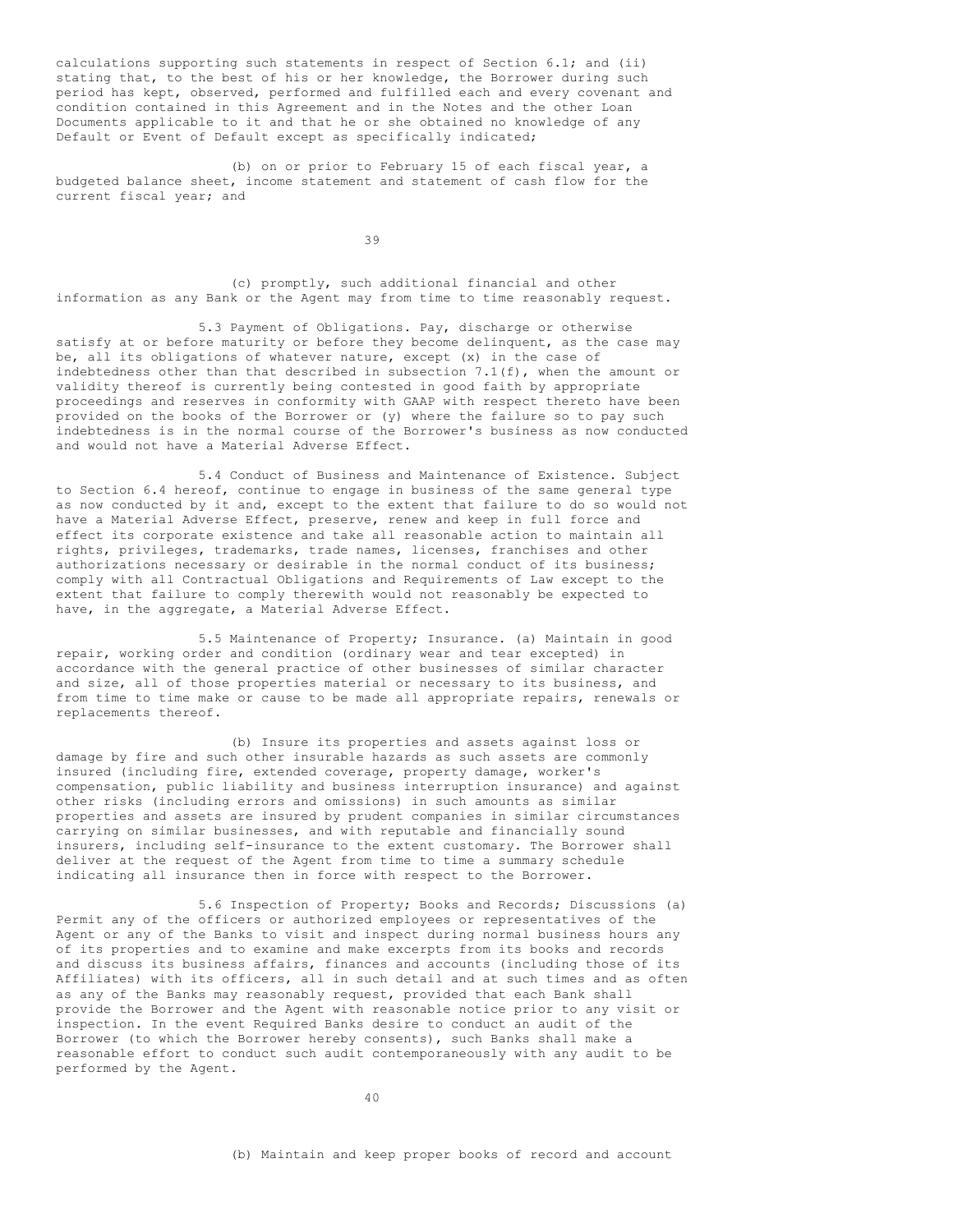calculations supporting such statements in respect of Section 6.1; and (ii) stating that, to the best of his or her knowledge, the Borrower during such period has kept, observed, performed and fulfilled each and every covenant and condition contained in this Agreement and in the Notes and the other Loan Documents applicable to it and that he or she obtained no knowledge of any Default or Event of Default except as specifically indicated;

(b) on or prior to February 15 of each fiscal year, a budgeted balance sheet, income statement and statement of cash flow for the current fiscal year; and

39

(c) promptly, such additional financial and other information as any Bank or the Agent may from time to time reasonably request.

5.3 Payment of Obligations. Pay, discharge or otherwise satisfy at or before maturity or before they become delinquent, as the case may be, all its obligations of whatever nature, except (x) in the case of indebtedness other than that described in subsection 7.1(f), when the amount or validity thereof is currently being contested in good faith by appropriate proceedings and reserves in conformity with GAAP with respect thereto have been provided on the books of the Borrower or (y) where the failure so to pay such indebtedness is in the normal course of the Borrower's business as now conducted and would not have a Material Adverse Effect.

5.4 Conduct of Business and Maintenance of Existence. Subject to Section 6.4 hereof, continue to engage in business of the same general type as now conducted by it and, except to the extent that failure to do so would not have a Material Adverse Effect, preserve, renew and keep in full force and effect its corporate existence and take all reasonable action to maintain all rights, privileges, trademarks, trade names, licenses, franchises and other authorizations necessary or desirable in the normal conduct of its business; comply with all Contractual Obligations and Requirements of Law except to the extent that failure to comply therewith would not reasonably be expected to have, in the aggregate, a Material Adverse Effect.

5.5 Maintenance of Property; Insurance. (a) Maintain in good repair, working order and condition (ordinary wear and tear excepted) in accordance with the general practice of other businesses of similar character and size, all of those properties material or necessary to its business, and from time to time make or cause to be made all appropriate repairs, renewals or replacements thereof.

(b) Insure its properties and assets against loss or damage by fire and such other insurable hazards as such assets are commonly insured (including fire, extended coverage, property damage, worker's compensation, public liability and business interruption insurance) and against other risks (including errors and omissions) in such amounts as similar properties and assets are insured by prudent companies in similar circumstances carrying on similar businesses, and with reputable and financially sound insurers, including self-insurance to the extent customary. The Borrower shall deliver at the request of the Agent from time to time a summary schedule indicating all insurance then in force with respect to the Borrower.

5.6 Inspection of Property; Books and Records; Discussions (a) Permit any of the officers or authorized employees or representatives of the Agent or any of the Banks to visit and inspect during normal business hours any of its properties and to examine and make excerpts from its books and records and discuss its business affairs, finances and accounts (including those of its Affiliates) with its officers, all in such detail and at such times and as often as any of the Banks may reasonably request, provided that each Bank shall provide the Borrower and the Agent with reasonable notice prior to any visit or inspection. In the event Required Banks desire to conduct an audit of the Borrower (to which the Borrower hereby consents), such Banks shall make a reasonable effort to conduct such audit contemporaneously with any audit to be performed by the Agent.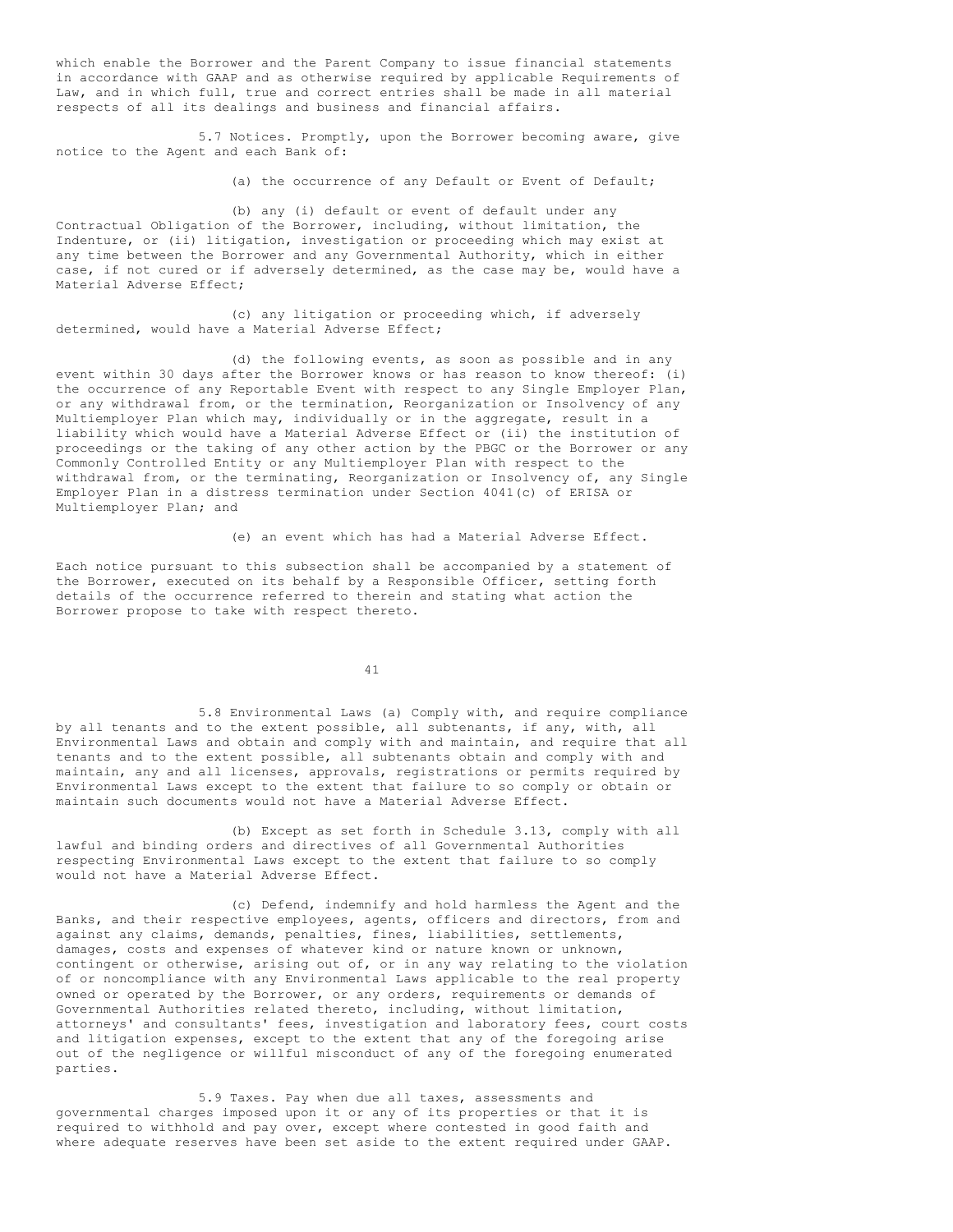which enable the Borrower and the Parent Company to issue financial statements in accordance with GAAP and as otherwise required by applicable Requirements of Law, and in which full, true and correct entries shall be made in all material respects of all its dealings and business and financial affairs.

5.7 Notices. Promptly, upon the Borrower becoming aware, give notice to the Agent and each Bank of:

(a) the occurrence of any Default or Event of Default;

(b) any (i) default or event of default under any Contractual Obligation of the Borrower, including, without limitation, the Indenture, or (ii) litigation, investigation or proceeding which may exist at any time between the Borrower and any Governmental Authority, which in either case, if not cured or if adversely determined, as the case may be, would have a Material Adverse Effect;

(c) any litigation or proceeding which, if adversely determined, would have a Material Adverse Effect;

(d) the following events, as soon as possible and in any event within 30 days after the Borrower knows or has reason to know thereof: (i) the occurrence of any Reportable Event with respect to any Single Employer Plan, or any withdrawal from, or the termination, Reorganization or Insolvency of any Multiemployer Plan which may, individually or in the aggregate, result in a liability which would have a Material Adverse Effect or (ii) the institution of proceedings or the taking of any other action by the PBGC or the Borrower or any Commonly Controlled Entity or any Multiemployer Plan with respect to the withdrawal from, or the terminating, Reorganization or Insolvency of, any Single Employer Plan in a distress termination under Section 4041(c) of ERISA or Multiemployer Plan; and

(e) an event which has had a Material Adverse Effect.

Each notice pursuant to this subsection shall be accompanied by a statement of the Borrower, executed on its behalf by a Responsible Officer, setting forth details of the occurrence referred to therein and stating what action the Borrower propose to take with respect thereto.

41

5.8 Environmental Laws (a) Comply with, and require compliance by all tenants and to the extent possible, all subtenants, if any, with, all Environmental Laws and obtain and comply with and maintain, and require that all tenants and to the extent possible, all subtenants obtain and comply with and maintain, any and all licenses, approvals, registrations or permits required by Environmental Laws except to the extent that failure to so comply or obtain or maintain such documents would not have a Material Adverse Effect.

(b) Except as set forth in Schedule 3.13, comply with all lawful and binding orders and directives of all Governmental Authorities respecting Environmental Laws except to the extent that failure to so comply would not have a Material Adverse Effect.

(c) Defend, indemnify and hold harmless the Agent and the Banks, and their respective employees, agents, officers and directors, from and against any claims, demands, penalties, fines, liabilities, settlements, damages, costs and expenses of whatever kind or nature known or unknown, contingent or otherwise, arising out of, or in any way relating to the violation of or noncompliance with any Environmental Laws applicable to the real property owned or operated by the Borrower, or any orders, requirements or demands of Governmental Authorities related thereto, including, without limitation, attorneys' and consultants' fees, investigation and laboratory fees, court costs and litigation expenses, except to the extent that any of the foregoing arise out of the negligence or willful misconduct of any of the foregoing enumerated parties.

5.9 Taxes. Pay when due all taxes, assessments and governmental charges imposed upon it or any of its properties or that it is required to withhold and pay over, except where contested in good faith and where adequate reserves have been set aside to the extent required under GAAP.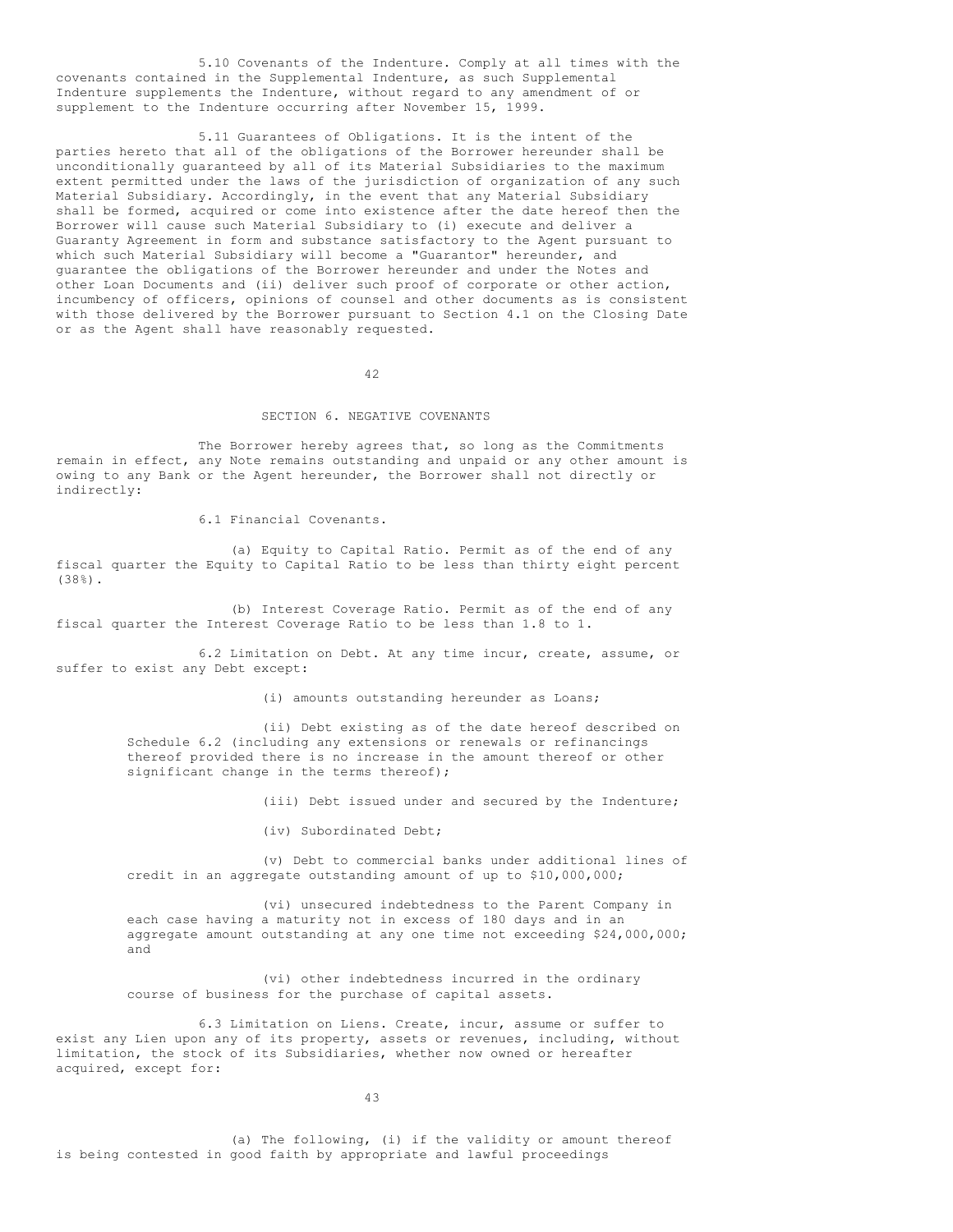5.10 Covenants of the Indenture. Comply at all times with the covenants contained in the Supplemental Indenture, as such Supplemental Indenture supplements the Indenture, without regard to any amendment of or supplement to the Indenture occurring after November 15, 1999.

5.11 Guarantees of Obligations. It is the intent of the parties hereto that all of the obligations of the Borrower hereunder shall be unconditionally guaranteed by all of its Material Subsidiaries to the maximum extent permitted under the laws of the jurisdiction of organization of any such Material Subsidiary. Accordingly, in the event that any Material Subsidiary shall be formed, acquired or come into existence after the date hereof then the Borrower will cause such Material Subsidiary to (i) execute and deliver a Guaranty Agreement in form and substance satisfactory to the Agent pursuant to which such Material Subsidiary will become a "Guarantor" hereunder, and guarantee the obligations of the Borrower hereunder and under the Notes and other Loan Documents and (ii) deliver such proof of corporate or other action, incumbency of officers, opinions of counsel and other documents as is consistent with those delivered by the Borrower pursuant to Section 4.1 on the Closing Date or as the Agent shall have reasonably requested.

42

## SECTION 6. NEGATIVE COVENANTS

The Borrower hereby agrees that, so long as the Commitments remain in effect, any Note remains outstanding and unpaid or any other amount is owing to any Bank or the Agent hereunder, the Borrower shall not directly or indirectly:

6.1 Financial Covenants.

(a) Equity to Capital Ratio. Permit as of the end of any fiscal quarter the Equity to Capital Ratio to be less than thirty eight percent (38%).

(b) Interest Coverage Ratio. Permit as of the end of any fiscal quarter the Interest Coverage Ratio to be less than 1.8 to 1.

6.2 Limitation on Debt. At any time incur, create, assume, or suffer to exist any Debt except:

(i) amounts outstanding hereunder as Loans;

(ii) Debt existing as of the date hereof described on Schedule 6.2 (including any extensions or renewals or refinancings thereof provided there is no increase in the amount thereof or other significant change in the terms thereof);

(iii) Debt issued under and secured by the Indenture;

(iv) Subordinated Debt;

(v) Debt to commercial banks under additional lines of credit in an aggregate outstanding amount of up to  $$10,000,000;$ 

(vi) unsecured indebtedness to the Parent Company in each case having a maturity not in excess of 180 days and in an aggregate amount outstanding at any one time not exceeding \$24,000,000; and

(vi) other indebtedness incurred in the ordinary course of business for the purchase of capital assets.

6.3 Limitation on Liens. Create, incur, assume or suffer to exist any Lien upon any of its property, assets or revenues, including, without limitation, the stock of its Subsidiaries, whether now owned or hereafter acquired, except for:

(a) The following, (i) if the validity or amount thereof is being contested in good faith by appropriate and lawful proceedings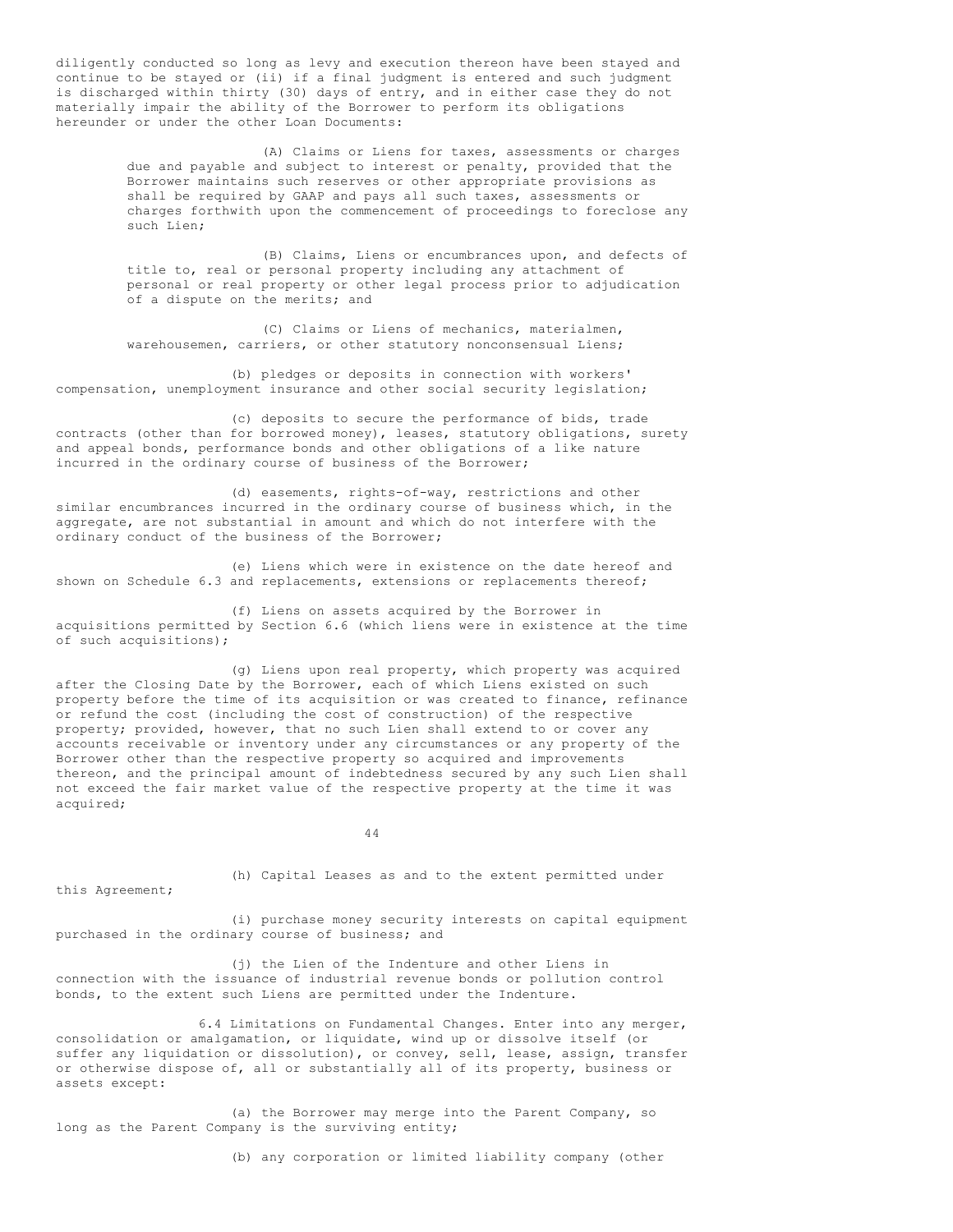diligently conducted so long as levy and execution thereon have been stayed and continue to be stayed or (ii) if a final judgment is entered and such judgment is discharged within thirty (30) days of entry, and in either case they do not materially impair the ability of the Borrower to perform its obligations hereunder or under the other Loan Documents:

> (A) Claims or Liens for taxes, assessments or charges due and payable and subject to interest or penalty, provided that the Borrower maintains such reserves or other appropriate provisions as shall be required by GAAP and pays all such taxes, assessments or charges forthwith upon the commencement of proceedings to foreclose any such Lien;

> (B) Claims, Liens or encumbrances upon, and defects of title to, real or personal property including any attachment of personal or real property or other legal process prior to adjudication of a dispute on the merits; and

(C) Claims or Liens of mechanics, materialmen, warehousemen, carriers, or other statutory nonconsensual Liens;

(b) pledges or deposits in connection with workers' compensation, unemployment insurance and other social security legislation;

(c) deposits to secure the performance of bids, trade contracts (other than for borrowed money), leases, statutory obligations, surety and appeal bonds, performance bonds and other obligations of a like nature incurred in the ordinary course of business of the Borrower;

(d) easements, rights-of-way, restrictions and other similar encumbrances incurred in the ordinary course of business which, in the aggregate, are not substantial in amount and which do not interfere with the ordinary conduct of the business of the Borrower;

(e) Liens which were in existence on the date hereof and shown on Schedule 6.3 and replacements, extensions or replacements thereof;

(f) Liens on assets acquired by the Borrower in acquisitions permitted by Section 6.6 (which liens were in existence at the time of such acquisitions);

(g) Liens upon real property, which property was acquired after the Closing Date by the Borrower, each of which Liens existed on such property before the time of its acquisition or was created to finance, refinance or refund the cost (including the cost of construction) of the respective property; provided, however, that no such Lien shall extend to or cover any accounts receivable or inventory under any circumstances or any property of the Borrower other than the respective property so acquired and improvements thereon, and the principal amount of indebtedness secured by any such Lien shall not exceed the fair market value of the respective property at the time it was acquired;

44

this Agreement;

(h) Capital Leases as and to the extent permitted under

(i) purchase money security interests on capital equipment purchased in the ordinary course of business; and

(j) the Lien of the Indenture and other Liens in connection with the issuance of industrial revenue bonds or pollution control bonds, to the extent such Liens are permitted under the Indenture.

6.4 Limitations on Fundamental Changes. Enter into any merger, consolidation or amalgamation, or liquidate, wind up or dissolve itself (or suffer any liquidation or dissolution), or convey, sell, lease, assign, transfer or otherwise dispose of, all or substantially all of its property, business or assets except:

(a) the Borrower may merge into the Parent Company, so long as the Parent Company is the surviving entity;

(b) any corporation or limited liability company (other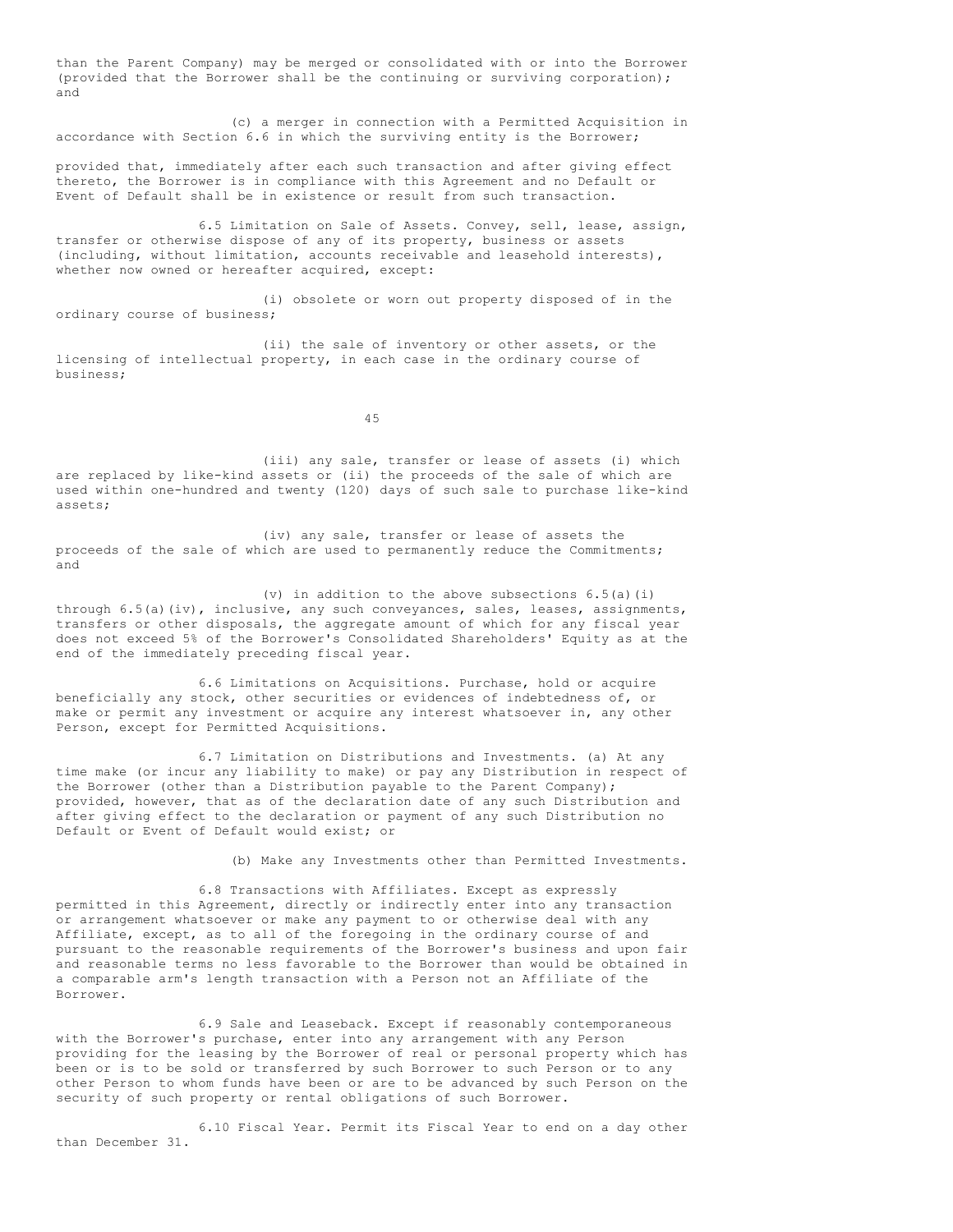than the Parent Company) may be merged or consolidated with or into the Borrower (provided that the Borrower shall be the continuing or surviving corporation); and

(c) a merger in connection with a Permitted Acquisition in accordance with Section 6.6 in which the surviving entity is the Borrower;

provided that, immediately after each such transaction and after giving effect thereto, the Borrower is in compliance with this Agreement and no Default or Event of Default shall be in existence or result from such transaction.

6.5 Limitation on Sale of Assets. Convey, sell, lease, assign, transfer or otherwise dispose of any of its property, business or assets (including, without limitation, accounts receivable and leasehold interests), whether now owned or hereafter acquired, except:

(i) obsolete or worn out property disposed of in the ordinary course of business;

(ii) the sale of inventory or other assets, or the licensing of intellectual property, in each case in the ordinary course of business;

45

(iii) any sale, transfer or lease of assets (i) which are replaced by like-kind assets or (ii) the proceeds of the sale of which are used within one-hundred and twenty (120) days of such sale to purchase like-kind assets;

(iv) any sale, transfer or lease of assets the proceeds of the sale of which are used to permanently reduce the Commitments; and

(v) in addition to the above subsections  $6.5(a)(i)$ through 6.5(a)(iv), inclusive, any such conveyances, sales, leases, assignments, transfers or other disposals, the aggregate amount of which for any fiscal year does not exceed 5% of the Borrower's Consolidated Shareholders' Equity as at the end of the immediately preceding fiscal year.

6.6 Limitations on Acquisitions. Purchase, hold or acquire beneficially any stock, other securities or evidences of indebtedness of, or make or permit any investment or acquire any interest whatsoever in, any other Person, except for Permitted Acquisitions.

6.7 Limitation on Distributions and Investments. (a) At any time make (or incur any liability to make) or pay any Distribution in respect of the Borrower (other than a Distribution payable to the Parent Company); provided, however, that as of the declaration date of any such Distribution and after giving effect to the declaration or payment of any such Distribution no Default or Event of Default would exist; or

(b) Make any Investments other than Permitted Investments.

6.8 Transactions with Affiliates. Except as expressly permitted in this Agreement, directly or indirectly enter into any transaction or arrangement whatsoever or make any payment to or otherwise deal with any Affiliate, except, as to all of the foregoing in the ordinary course of and pursuant to the reasonable requirements of the Borrower's business and upon fair and reasonable terms no less favorable to the Borrower than would be obtained in a comparable arm's length transaction with a Person not an Affiliate of the Borrower.

6.9 Sale and Leaseback. Except if reasonably contemporaneous with the Borrower's purchase, enter into any arrangement with any Person providing for the leasing by the Borrower of real or personal property which has been or is to be sold or transferred by such Borrower to such Person or to any other Person to whom funds have been or are to be advanced by such Person on the security of such property or rental obligations of such Borrower.

6.10 Fiscal Year. Permit its Fiscal Year to end on a day other than December 31.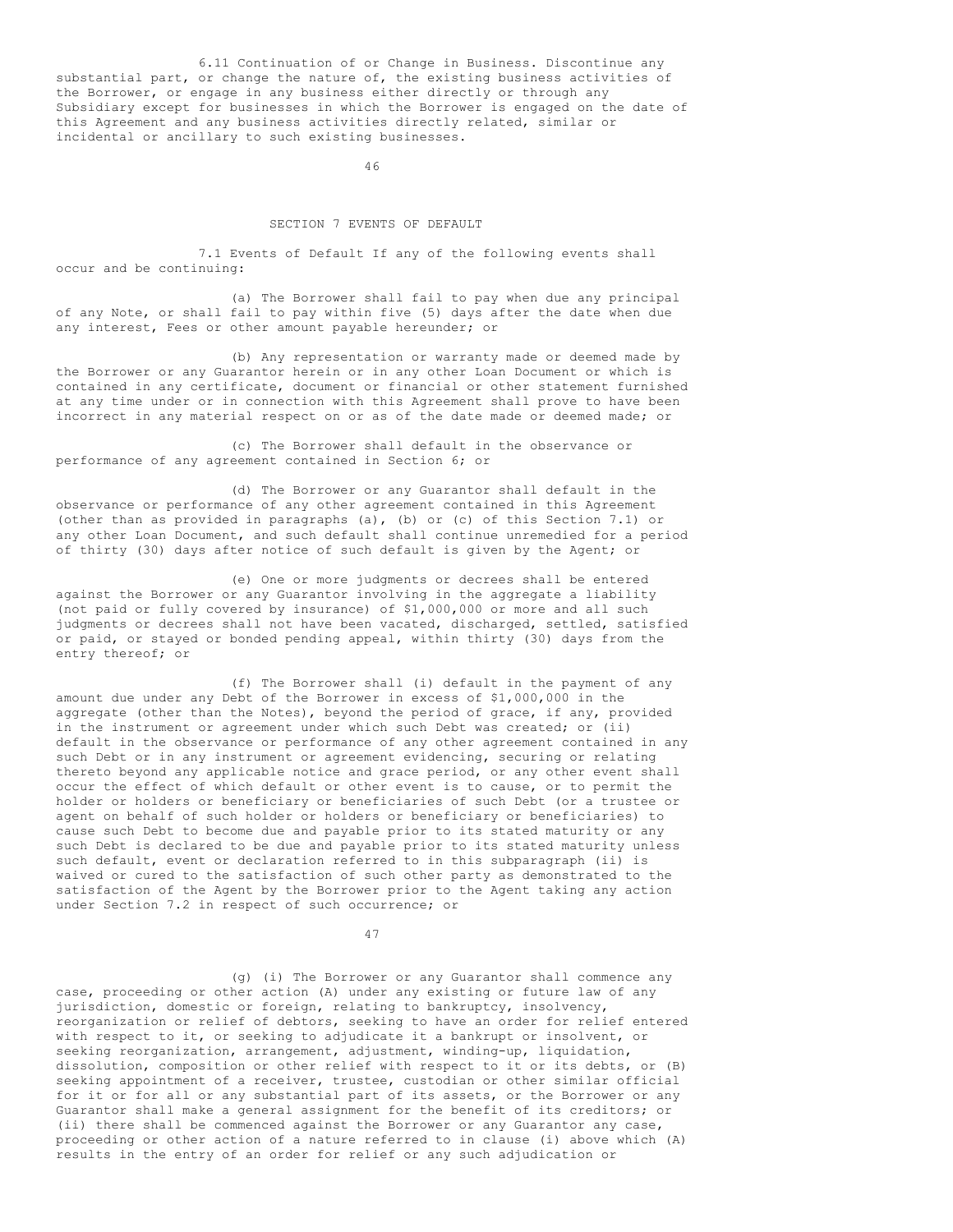6.11 Continuation of or Change in Business. Discontinue any substantial part, or change the nature of, the existing business activities of the Borrower, or engage in any business either directly or through any Subsidiary except for businesses in which the Borrower is engaged on the date of this Agreement and any business activities directly related, similar or incidental or ancillary to such existing businesses.

46

# SECTION 7 EVENTS OF DEFAULT

7.1 Events of Default If any of the following events shall occur and be continuing:

(a) The Borrower shall fail to pay when due any principal of any Note, or shall fail to pay within five (5) days after the date when due any interest, Fees or other amount payable hereunder; or

(b) Any representation or warranty made or deemed made by the Borrower or any Guarantor herein or in any other Loan Document or which is contained in any certificate, document or financial or other statement furnished at any time under or in connection with this Agreement shall prove to have been incorrect in any material respect on or as of the date made or deemed made; or

(c) The Borrower shall default in the observance or performance of any agreement contained in Section 6; or

(d) The Borrower or any Guarantor shall default in the observance or performance of any other agreement contained in this Agreement (other than as provided in paragraphs (a), (b) or (c) of this Section 7.1) or any other Loan Document, and such default shall continue unremedied for a period of thirty (30) days after notice of such default is given by the Agent; or

(e) One or more judgments or decrees shall be entered against the Borrower or any Guarantor involving in the aggregate a liability (not paid or fully covered by insurance) of \$1,000,000 or more and all such judgments or decrees shall not have been vacated, discharged, settled, satisfied or paid, or stayed or bonded pending appeal, within thirty (30) days from the entry thereof; or

(f) The Borrower shall (i) default in the payment of any amount due under any Debt of the Borrower in excess of \$1,000,000 in the aggregate (other than the Notes), beyond the period of grace, if any, provided in the instrument or agreement under which such Debt was created; or (ii) default in the observance or performance of any other agreement contained in any such Debt or in any instrument or agreement evidencing, securing or relating thereto beyond any applicable notice and grace period, or any other event shall occur the effect of which default or other event is to cause, or to permit the holder or holders or beneficiary or beneficiaries of such Debt (or a trustee or agent on behalf of such holder or holders or beneficiary or beneficiaries) to cause such Debt to become due and payable prior to its stated maturity or any such Debt is declared to be due and payable prior to its stated maturity unless such default, event or declaration referred to in this subparagraph (ii) is waived or cured to the satisfaction of such other party as demonstrated to the satisfaction of the Agent by the Borrower prior to the Agent taking any action under Section 7.2 in respect of such occurrence; or

47

(g) (i) The Borrower or any Guarantor shall commence any case, proceeding or other action (A) under any existing or future law of any jurisdiction, domestic or foreign, relating to bankruptcy, insolvency, reorganization or relief of debtors, seeking to have an order for relief entered with respect to it, or seeking to adjudicate it a bankrupt or insolvent, or seeking reorganization, arrangement, adjustment, winding-up, liquidation, dissolution, composition or other relief with respect to it or its debts, or (B) seeking appointment of a receiver, trustee, custodian or other similar official for it or for all or any substantial part of its assets, or the Borrower or any Guarantor shall make a general assignment for the benefit of its creditors; or (ii) there shall be commenced against the Borrower or any Guarantor any case, proceeding or other action of a nature referred to in clause (i) above which (A) results in the entry of an order for relief or any such adjudication or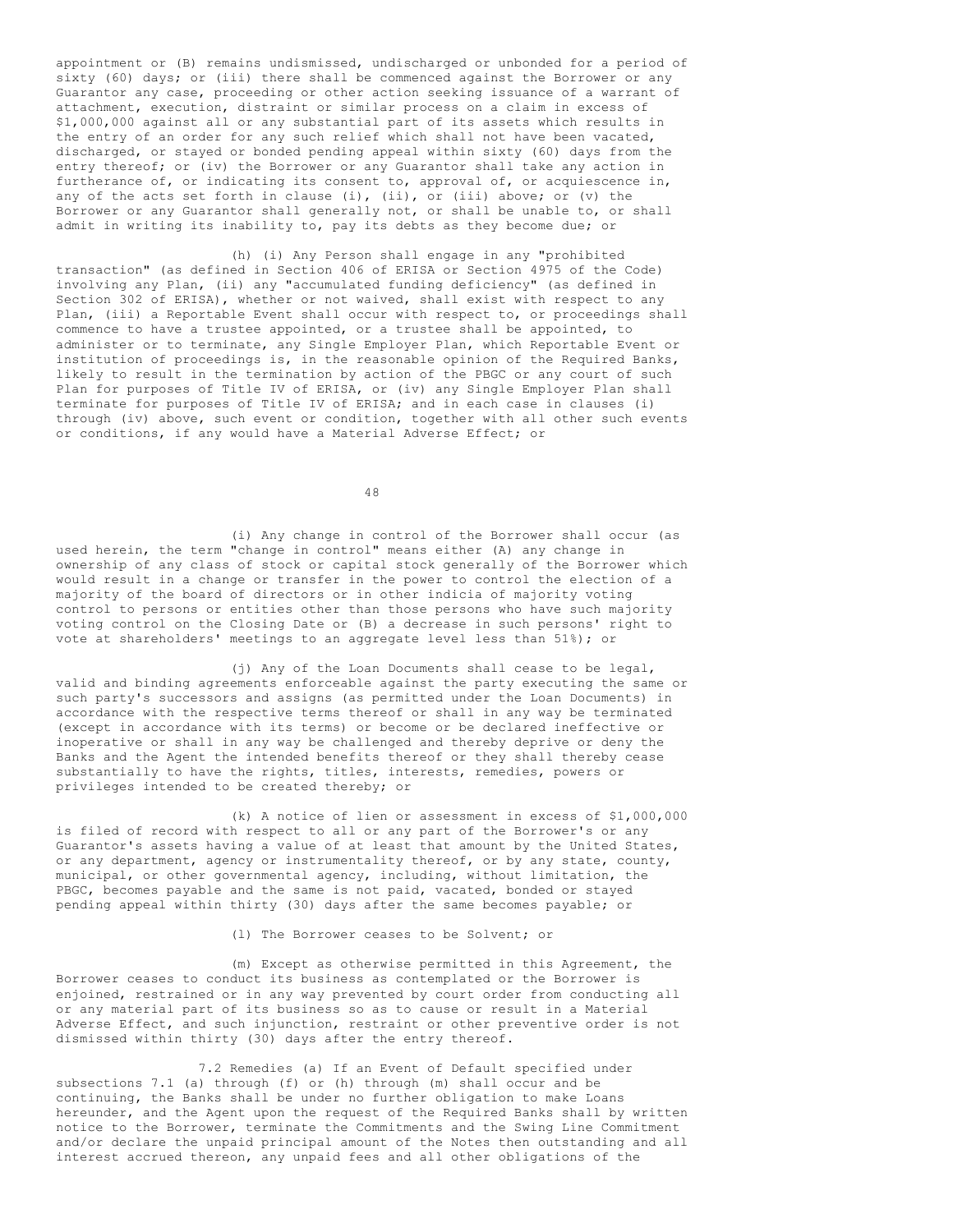appointment or (B) remains undismissed, undischarged or unbonded for a period of sixty (60) days; or (iii) there shall be commenced against the Borrower or any Guarantor any case, proceeding or other action seeking issuance of a warrant of attachment, execution, distraint or similar process on a claim in excess of \$1,000,000 against all or any substantial part of its assets which results in the entry of an order for any such relief which shall not have been vacated, discharged, or stayed or bonded pending appeal within sixty (60) days from the entry thereof; or (iv) the Borrower or any Guarantor shall take any action in furtherance of, or indicating its consent to, approval of, or acquiescence in, any of the acts set forth in clause (i), (ii), or (iii) above; or (v) the Borrower or any Guarantor shall generally not, or shall be unable to, or shall admit in writing its inability to, pay its debts as they become due; or

(h) (i) Any Person shall engage in any "prohibited transaction" (as defined in Section 406 of ERISA or Section 4975 of the Code) involving any Plan, (ii) any "accumulated funding deficiency" (as defined in Section 302 of ERISA), whether or not waived, shall exist with respect to any Plan, (iii) a Reportable Event shall occur with respect to, or proceedings shall commence to have a trustee appointed, or a trustee shall be appointed, to administer or to terminate, any Single Employer Plan, which Reportable Event or institution of proceedings is, in the reasonable opinion of the Required Banks, likely to result in the termination by action of the PBGC or any court of such Plan for purposes of Title IV of ERISA, or (iv) any Single Employer Plan shall terminate for purposes of Title IV of ERISA; and in each case in clauses (i) through (iv) above, such event or condition, together with all other such events or conditions, if any would have a Material Adverse Effect; or

48

(i) Any change in control of the Borrower shall occur (as used herein, the term "change in control" means either (A) any change in ownership of any class of stock or capital stock generally of the Borrower which would result in a change or transfer in the power to control the election of a majority of the board of directors or in other indicia of majority voting control to persons or entities other than those persons who have such majority voting control on the Closing Date or (B) a decrease in such persons' right to vote at shareholders' meetings to an aggregate level less than 51%); or

(j) Any of the Loan Documents shall cease to be legal, valid and binding agreements enforceable against the party executing the same or such party's successors and assigns (as permitted under the Loan Documents) in accordance with the respective terms thereof or shall in any way be terminated (except in accordance with its terms) or become or be declared ineffective or inoperative or shall in any way be challenged and thereby deprive or deny the Banks and the Agent the intended benefits thereof or they shall thereby cease substantially to have the rights, titles, interests, remedies, powers or privileges intended to be created thereby; or

(k) A notice of lien or assessment in excess of \$1,000,000 is filed of record with respect to all or any part of the Borrower's or any Guarantor's assets having a value of at least that amount by the United States, or any department, agency or instrumentality thereof, or by any state, county, municipal, or other governmental agency, including, without limitation, the PBGC, becomes payable and the same is not paid, vacated, bonded or stayed pending appeal within thirty (30) days after the same becomes payable; or

(l) The Borrower ceases to be Solvent; or

(m) Except as otherwise permitted in this Agreement, the Borrower ceases to conduct its business as contemplated or the Borrower is enjoined, restrained or in any way prevented by court order from conducting all or any material part of its business so as to cause or result in a Material Adverse Effect, and such injunction, restraint or other preventive order is not dismissed within thirty (30) days after the entry thereof.

7.2 Remedies (a) If an Event of Default specified under subsections 7.1 (a) through (f) or (h) through (m) shall occur and be continuing, the Banks shall be under no further obligation to make Loans hereunder, and the Agent upon the request of the Required Banks shall by written notice to the Borrower, terminate the Commitments and the Swing Line Commitment and/or declare the unpaid principal amount of the Notes then outstanding and all interest accrued thereon, any unpaid fees and all other obligations of the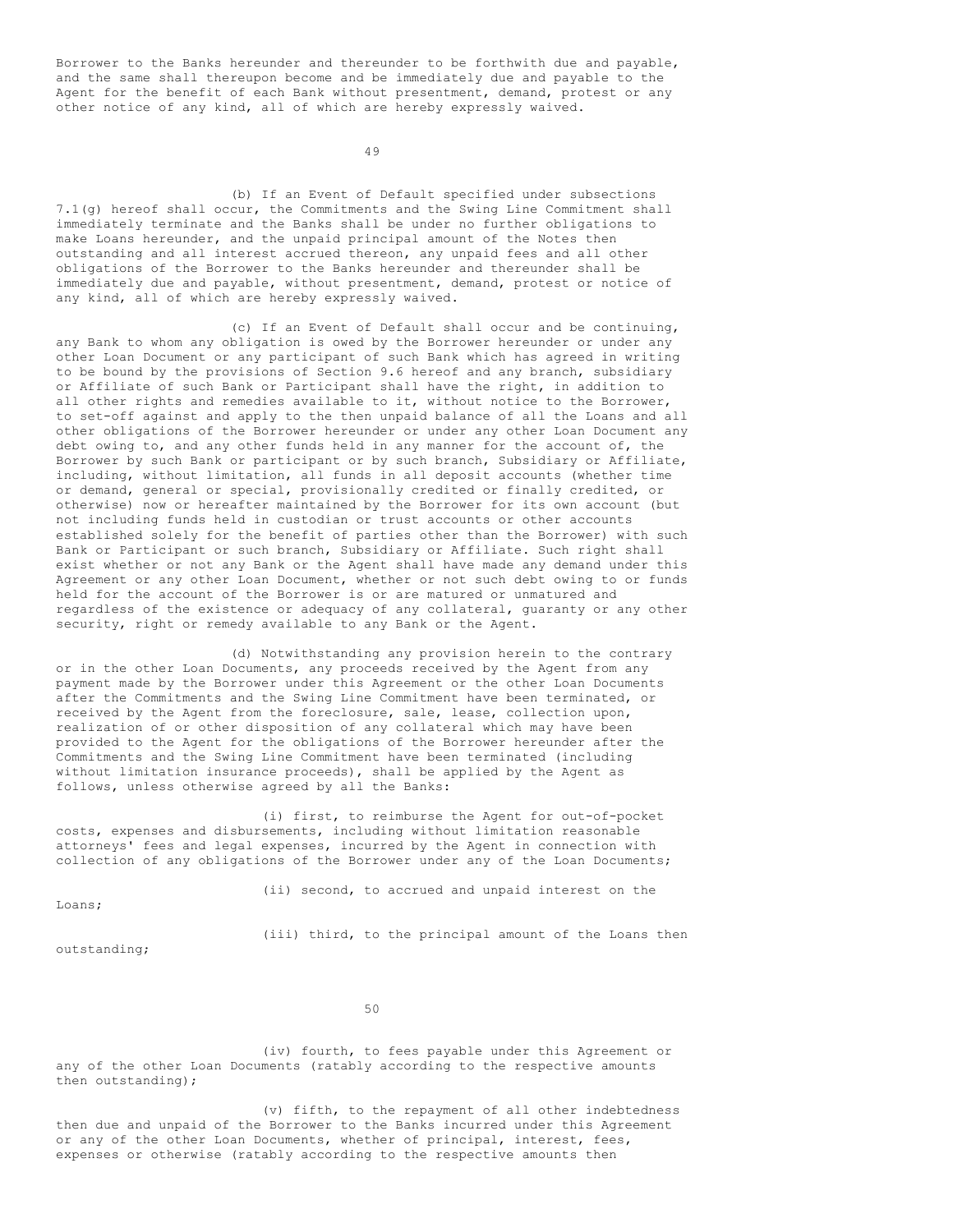Borrower to the Banks hereunder and thereunder to be forthwith due and payable, and the same shall thereupon become and be immediately due and payable to the Agent for the benefit of each Bank without presentment, demand, protest or any other notice of any kind, all of which are hereby expressly waived.

49

(b) If an Event of Default specified under subsections 7.1(g) hereof shall occur, the Commitments and the Swing Line Commitment shall immediately terminate and the Banks shall be under no further obligations to make Loans hereunder, and the unpaid principal amount of the Notes then outstanding and all interest accrued thereon, any unpaid fees and all other obligations of the Borrower to the Banks hereunder and thereunder shall be immediately due and payable, without presentment, demand, protest or notice of any kind, all of which are hereby expressly waived.

(c) If an Event of Default shall occur and be continuing, any Bank to whom any obligation is owed by the Borrower hereunder or under any other Loan Document or any participant of such Bank which has agreed in writing to be bound by the provisions of Section 9.6 hereof and any branch, subsidiary or Affiliate of such Bank or Participant shall have the right, in addition to all other rights and remedies available to it, without notice to the Borrower, to set-off against and apply to the then unpaid balance of all the Loans and all other obligations of the Borrower hereunder or under any other Loan Document any debt owing to, and any other funds held in any manner for the account of, the Borrower by such Bank or participant or by such branch, Subsidiary or Affiliate, including, without limitation, all funds in all deposit accounts (whether time or demand, general or special, provisionally credited or finally credited, or otherwise) now or hereafter maintained by the Borrower for its own account (but not including funds held in custodian or trust accounts or other accounts established solely for the benefit of parties other than the Borrower) with such Bank or Participant or such branch, Subsidiary or Affiliate. Such right shall exist whether or not any Bank or the Agent shall have made any demand under this Agreement or any other Loan Document, whether or not such debt owing to or funds held for the account of the Borrower is or are matured or unmatured and regardless of the existence or adequacy of any collateral, guaranty or any other security, right or remedy available to any Bank or the Agent.

(d) Notwithstanding any provision herein to the contrary or in the other Loan Documents, any proceeds received by the Agent from any payment made by the Borrower under this Agreement or the other Loan Documents after the Commitments and the Swing Line Commitment have been terminated, or received by the Agent from the foreclosure, sale, lease, collection upon, realization of or other disposition of any collateral which may have been provided to the Agent for the obligations of the Borrower hereunder after the Commitments and the Swing Line Commitment have been terminated (including without limitation insurance proceeds), shall be applied by the Agent as follows, unless otherwise agreed by all the Banks:

(i) first, to reimburse the Agent for out-of-pocket costs, expenses and disbursements, including without limitation reasonable attorneys' fees and legal expenses, incurred by the Agent in connection with collection of any obligations of the Borrower under any of the Loan Documents;

Loans;

(ii) second, to accrued and unpaid interest on the

outstanding;

(iii) third, to the principal amount of the Loans then

50

(iv) fourth, to fees payable under this Agreement or any of the other Loan Documents (ratably according to the respective amounts then outstanding);

(v) fifth, to the repayment of all other indebtedness then due and unpaid of the Borrower to the Banks incurred under this Agreement or any of the other Loan Documents, whether of principal, interest, fees, expenses or otherwise (ratably according to the respective amounts then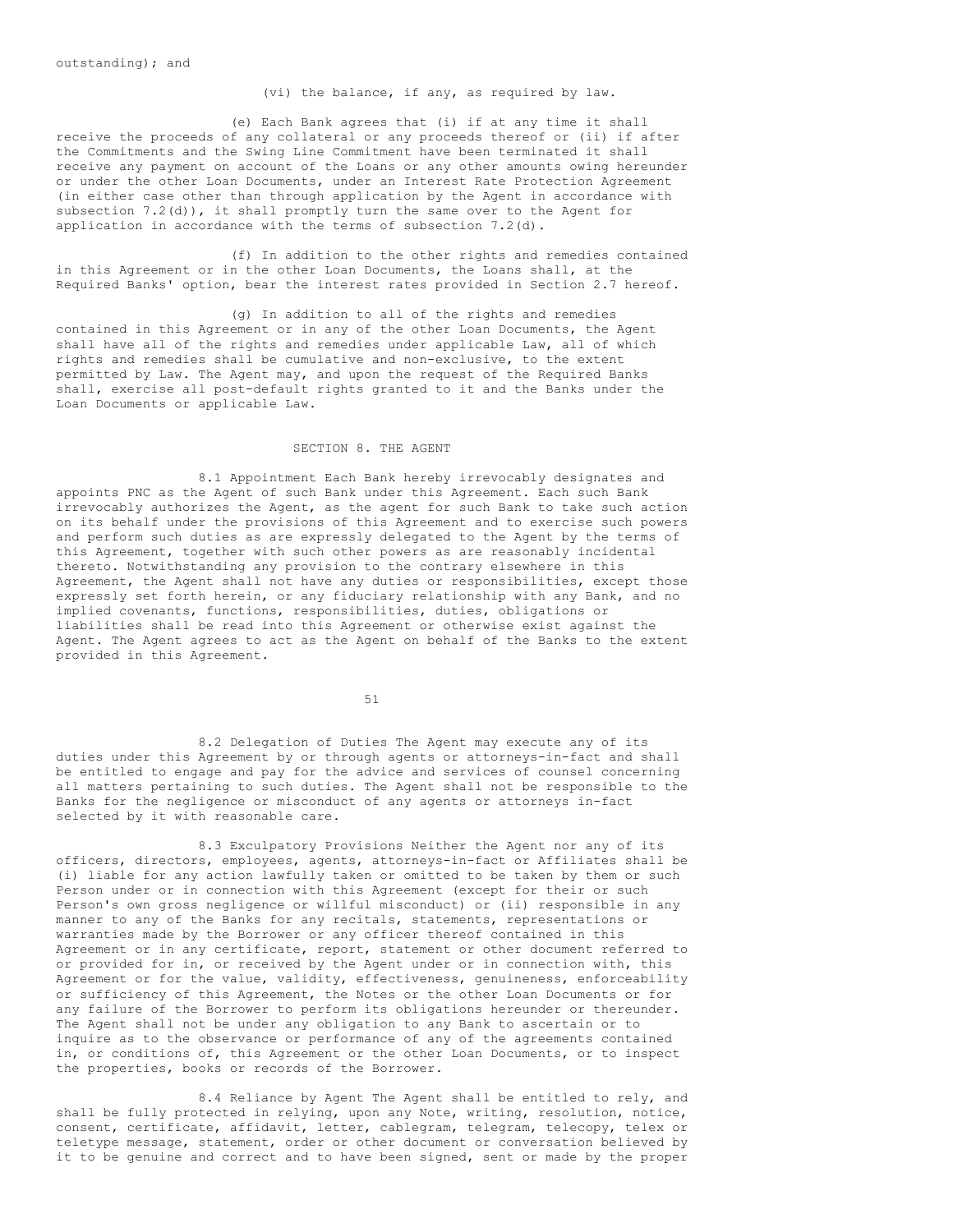(vi) the balance, if any, as required by law.

(e) Each Bank agrees that (i) if at any time it shall receive the proceeds of any collateral or any proceeds thereof or (ii) if after the Commitments and the Swing Line Commitment have been terminated it shall receive any payment on account of the Loans or any other amounts owing hereunder or under the other Loan Documents, under an Interest Rate Protection Agreement (in either case other than through application by the Agent in accordance with subsection 7.2(d)), it shall promptly turn the same over to the Agent for application in accordance with the terms of subsection 7.2(d).

(f) In addition to the other rights and remedies contained in this Agreement or in the other Loan Documents, the Loans shall, at the Required Banks' option, bear the interest rates provided in Section 2.7 hereof.

(g) In addition to all of the rights and remedies contained in this Agreement or in any of the other Loan Documents, the Agent shall have all of the rights and remedies under applicable Law, all of which rights and remedies shall be cumulative and non-exclusive, to the extent permitted by Law. The Agent may, and upon the request of the Required Banks shall, exercise all post-default rights granted to it and the Banks under the Loan Documents or applicable Law.

### SECTION 8. THE AGENT

8.1 Appointment Each Bank hereby irrevocably designates and appoints PNC as the Agent of such Bank under this Agreement. Each such Bank irrevocably authorizes the Agent, as the agent for such Bank to take such action on its behalf under the provisions of this Agreement and to exercise such powers and perform such duties as are expressly delegated to the Agent by the terms of this Agreement, together with such other powers as are reasonably incidental thereto. Notwithstanding any provision to the contrary elsewhere in this Agreement, the Agent shall not have any duties or responsibilities, except those expressly set forth herein, or any fiduciary relationship with any Bank, and no implied covenants, functions, responsibilities, duties, obligations or liabilities shall be read into this Agreement or otherwise exist against the Agent. The Agent agrees to act as the Agent on behalf of the Banks to the extent provided in this Agreement.

51

8.2 Delegation of Duties The Agent may execute any of its duties under this Agreement by or through agents or attorneys-in-fact and shall be entitled to engage and pay for the advice and services of counsel concerning all matters pertaining to such duties. The Agent shall not be responsible to the Banks for the negligence or misconduct of any agents or attorneys in-fact selected by it with reasonable care.

8.3 Exculpatory Provisions Neither the Agent nor any of its officers, directors, employees, agents, attorneys-in-fact or Affiliates shall be (i) liable for any action lawfully taken or omitted to be taken by them or such Person under or in connection with this Agreement (except for their or such Person's own gross negligence or willful misconduct) or (ii) responsible in any manner to any of the Banks for any recitals, statements, representations or warranties made by the Borrower or any officer thereof contained in this Agreement or in any certificate, report, statement or other document referred to or provided for in, or received by the Agent under or in connection with, this Agreement or for the value, validity, effectiveness, genuineness, enforceability or sufficiency of this Agreement, the Notes or the other Loan Documents or for any failure of the Borrower to perform its obligations hereunder or thereunder. The Agent shall not be under any obligation to any Bank to ascertain or to inquire as to the observance or performance of any of the agreements contained in, or conditions of, this Agreement or the other Loan Documents, or to inspect the properties, books or records of the Borrower.

8.4 Reliance by Agent The Agent shall be entitled to rely, and shall be fully protected in relying, upon any Note, writing, resolution, notice, consent, certificate, affidavit, letter, cablegram, telegram, telecopy, telex or teletype message, statement, order or other document or conversation believed by it to be genuine and correct and to have been signed, sent or made by the proper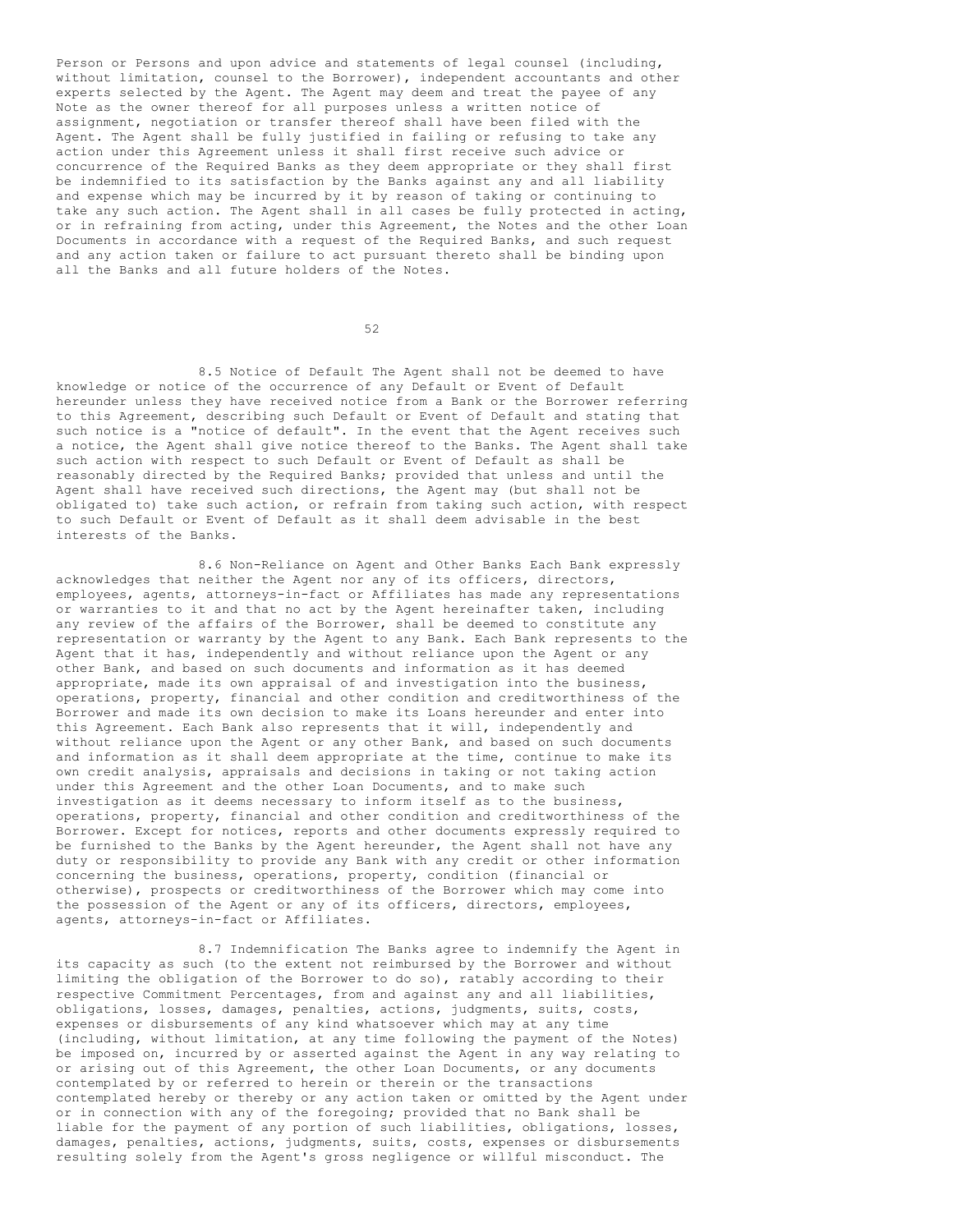Person or Persons and upon advice and statements of legal counsel (including, without limitation, counsel to the Borrower), independent accountants and other experts selected by the Agent. The Agent may deem and treat the payee of any Note as the owner thereof for all purposes unless a written notice of assignment, negotiation or transfer thereof shall have been filed with the Agent. The Agent shall be fully justified in failing or refusing to take any action under this Agreement unless it shall first receive such advice or concurrence of the Required Banks as they deem appropriate or they shall first be indemnified to its satisfaction by the Banks against any and all liability and expense which may be incurred by it by reason of taking or continuing to take any such action. The Agent shall in all cases be fully protected in acting, or in refraining from acting, under this Agreement, the Notes and the other Loan Documents in accordance with a request of the Required Banks, and such request and any action taken or failure to act pursuant thereto shall be binding upon all the Banks and all future holders of the Notes.

52

8.5 Notice of Default The Agent shall not be deemed to have knowledge or notice of the occurrence of any Default or Event of Default hereunder unless they have received notice from a Bank or the Borrower referring to this Agreement, describing such Default or Event of Default and stating that such notice is a "notice of default". In the event that the Agent receives such a notice, the Agent shall give notice thereof to the Banks. The Agent shall take such action with respect to such Default or Event of Default as shall be reasonably directed by the Required Banks; provided that unless and until the Agent shall have received such directions, the Agent may (but shall not be obligated to) take such action, or refrain from taking such action, with respect to such Default or Event of Default as it shall deem advisable in the best interests of the Banks.

8.6 Non-Reliance on Agent and Other Banks Each Bank expressly acknowledges that neither the Agent nor any of its officers, directors, employees, agents, attorneys-in-fact or Affiliates has made any representations or warranties to it and that no act by the Agent hereinafter taken, including any review of the affairs of the Borrower, shall be deemed to constitute any representation or warranty by the Agent to any Bank. Each Bank represents to the Agent that it has, independently and without reliance upon the Agent or any other Bank, and based on such documents and information as it has deemed appropriate, made its own appraisal of and investigation into the business, operations, property, financial and other condition and creditworthiness of the Borrower and made its own decision to make its Loans hereunder and enter into this Agreement. Each Bank also represents that it will, independently and without reliance upon the Agent or any other Bank, and based on such documents and information as it shall deem appropriate at the time, continue to make its own credit analysis, appraisals and decisions in taking or not taking action under this Agreement and the other Loan Documents, and to make such investigation as it deems necessary to inform itself as to the business, operations, property, financial and other condition and creditworthiness of the Borrower. Except for notices, reports and other documents expressly required to be furnished to the Banks by the Agent hereunder, the Agent shall not have any duty or responsibility to provide any Bank with any credit or other information concerning the business, operations, property, condition (financial or otherwise), prospects or creditworthiness of the Borrower which may come into the possession of the Agent or any of its officers, directors, employees, agents, attorneys-in-fact or Affiliates.

8.7 Indemnification The Banks agree to indemnify the Agent in its capacity as such (to the extent not reimbursed by the Borrower and without limiting the obligation of the Borrower to do so), ratably according to their respective Commitment Percentages, from and against any and all liabilities, obligations, losses, damages, penalties, actions, judgments, suits, costs, expenses or disbursements of any kind whatsoever which may at any time (including, without limitation, at any time following the payment of the Notes) be imposed on, incurred by or asserted against the Agent in any way relating to or arising out of this Agreement, the other Loan Documents, or any documents contemplated by or referred to herein or therein or the transactions contemplated hereby or thereby or any action taken or omitted by the Agent under or in connection with any of the foregoing; provided that no Bank shall be liable for the payment of any portion of such liabilities, obligations, losses, damages, penalties, actions, judgments, suits, costs, expenses or disbursements resulting solely from the Agent's gross negligence or willful misconduct. The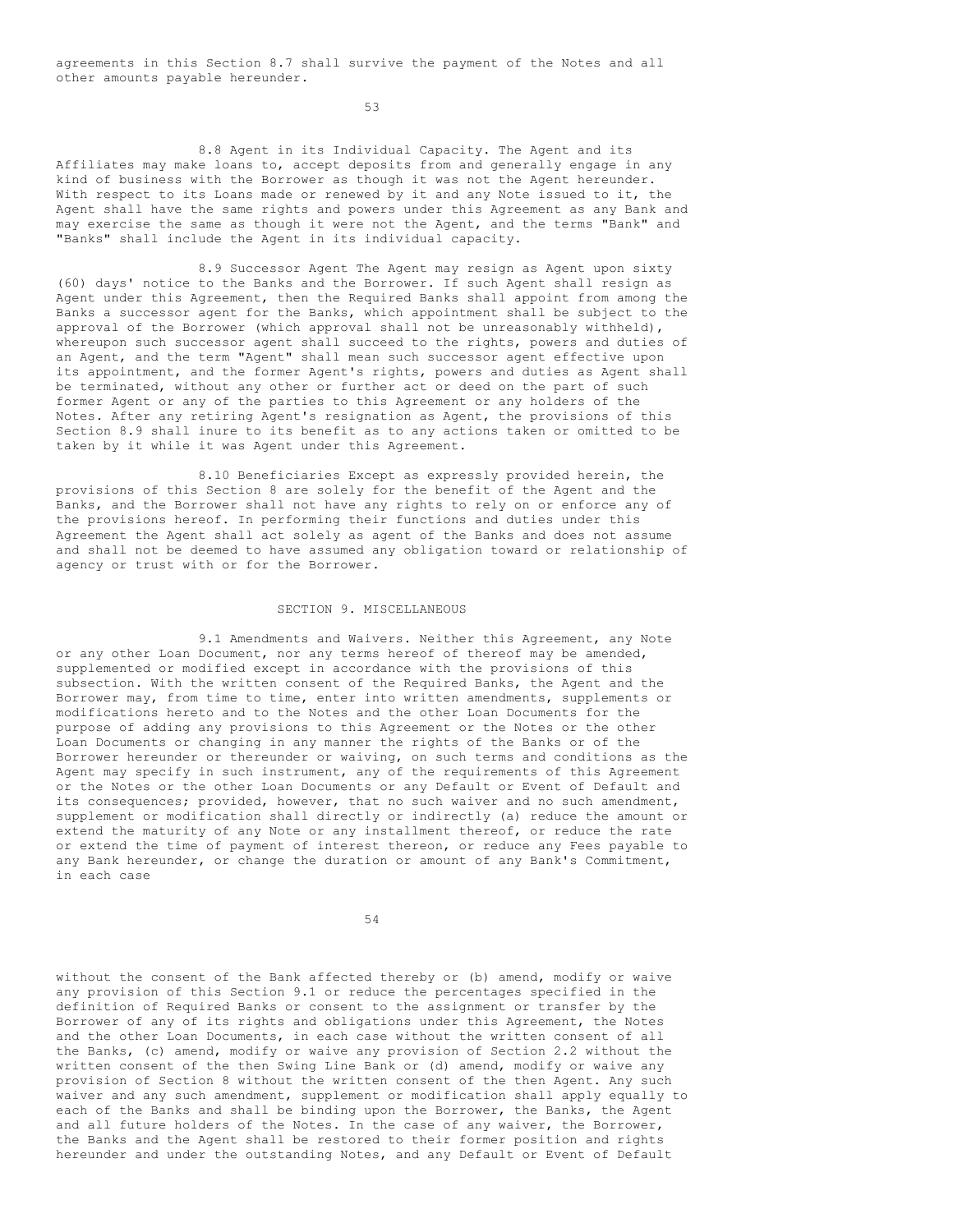agreements in this Section 8.7 shall survive the payment of the Notes and all other amounts payable hereunder.

53

8.8 Agent in its Individual Capacity. The Agent and its Affiliates may make loans to, accept deposits from and generally engage in any kind of business with the Borrower as though it was not the Agent hereunder. With respect to its Loans made or renewed by it and any Note issued to it, the Agent shall have the same rights and powers under this Agreement as any Bank and may exercise the same as though it were not the Agent, and the terms "Bank" and "Banks" shall include the Agent in its individual capacity.

8.9 Successor Agent The Agent may resign as Agent upon sixty (60) days' notice to the Banks and the Borrower. If such Agent shall resign as Agent under this Agreement, then the Required Banks shall appoint from among the Banks a successor agent for the Banks, which appointment shall be subject to the approval of the Borrower (which approval shall not be unreasonably withheld), whereupon such successor agent shall succeed to the rights, powers and duties of an Agent, and the term "Agent" shall mean such successor agent effective upon its appointment, and the former Agent's rights, powers and duties as Agent shall be terminated, without any other or further act or deed on the part of such former Agent or any of the parties to this Agreement or any holders of the Notes. After any retiring Agent's resignation as Agent, the provisions of this Section 8.9 shall inure to its benefit as to any actions taken or omitted to be taken by it while it was Agent under this Agreement.

8.10 Beneficiaries Except as expressly provided herein, the provisions of this Section 8 are solely for the benefit of the Agent and the Banks, and the Borrower shall not have any rights to rely on or enforce any of the provisions hereof. In performing their functions and duties under this Agreement the Agent shall act solely as agent of the Banks and does not assume and shall not be deemed to have assumed any obligation toward or relationship of agency or trust with or for the Borrower.

# SECTION 9. MISCELLANEOUS

9.1 Amendments and Waivers. Neither this Agreement, any Note or any other Loan Document, nor any terms hereof of thereof may be amended, supplemented or modified except in accordance with the provisions of this subsection. With the written consent of the Required Banks, the Agent and the Borrower may, from time to time, enter into written amendments, supplements or modifications hereto and to the Notes and the other Loan Documents for the purpose of adding any provisions to this Agreement or the Notes or the other Loan Documents or changing in any manner the rights of the Banks or of the Borrower hereunder or thereunder or waiving, on such terms and conditions as the Agent may specify in such instrument, any of the requirements of this Agreement or the Notes or the other Loan Documents or any Default or Event of Default and its consequences; provided, however, that no such waiver and no such amendment, supplement or modification shall directly or indirectly (a) reduce the amount or extend the maturity of any Note or any installment thereof, or reduce the rate or extend the time of payment of interest thereon, or reduce any Fees payable to any Bank hereunder, or change the duration or amount of any Bank's Commitment, in each case

54

without the consent of the Bank affected thereby or (b) amend, modify or waive any provision of this Section 9.1 or reduce the percentages specified in the definition of Required Banks or consent to the assignment or transfer by the Borrower of any of its rights and obligations under this Agreement, the Notes and the other Loan Documents, in each case without the written consent of all the Banks, (c) amend, modify or waive any provision of Section 2.2 without the written consent of the then Swing Line Bank or (d) amend, modify or waive any provision of Section 8 without the written consent of the then Agent. Any such waiver and any such amendment, supplement or modification shall apply equally to each of the Banks and shall be binding upon the Borrower, the Banks, the Agent and all future holders of the Notes. In the case of any waiver, the Borrower, the Banks and the Agent shall be restored to their former position and rights hereunder and under the outstanding Notes, and any Default or Event of Default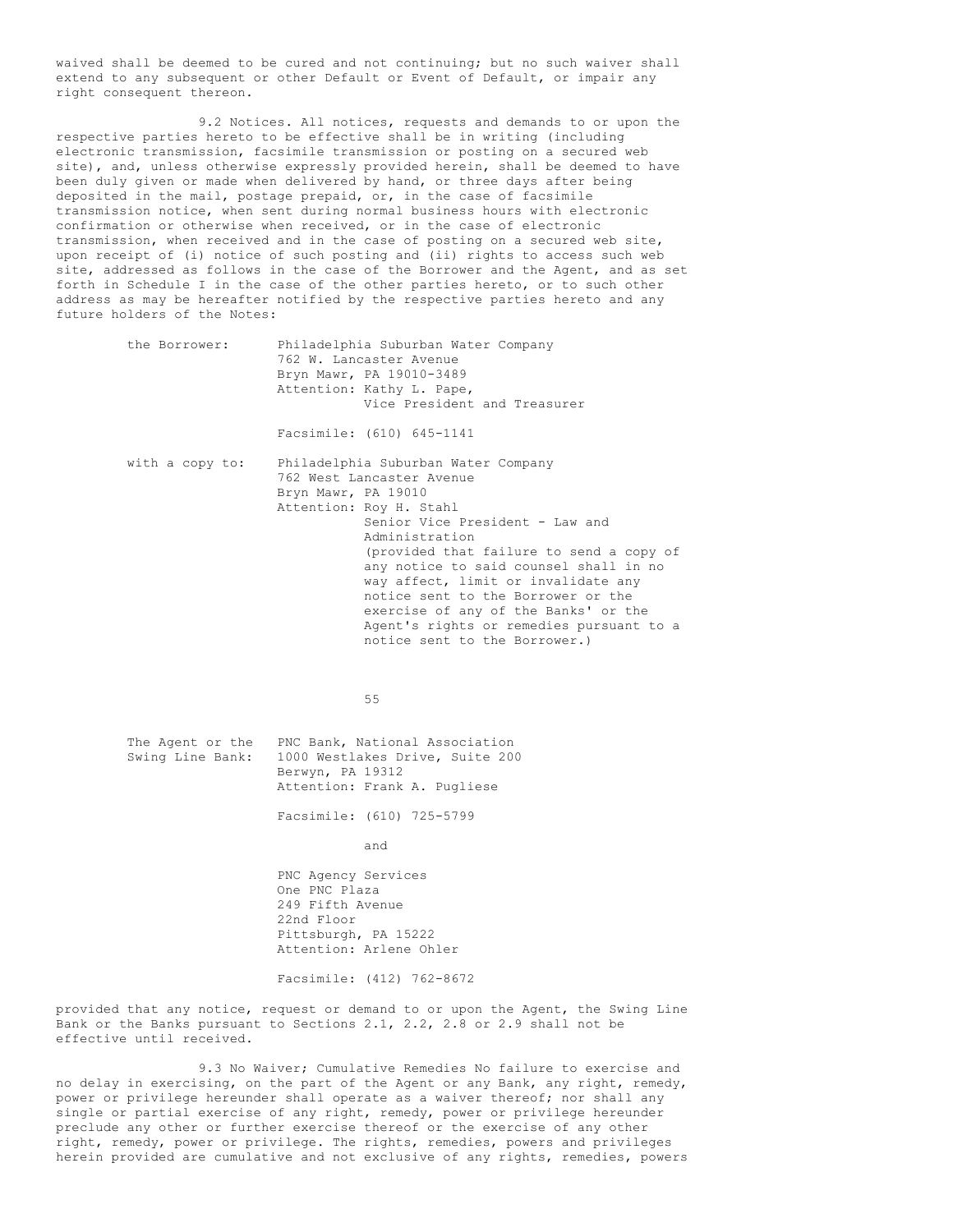waived shall be deemed to be cured and not continuing; but no such waiver shall extend to any subsequent or other Default or Event of Default, or impair any right consequent thereon.

9.2 Notices. All notices, requests and demands to or upon the respective parties hereto to be effective shall be in writing (including electronic transmission, facsimile transmission or posting on a secured web site), and, unless otherwise expressly provided herein, shall be deemed to have been duly given or made when delivered by hand, or three days after being deposited in the mail, postage prepaid, or, in the case of facsimile transmission notice, when sent during normal business hours with electronic confirmation or otherwise when received, or in the case of electronic transmission, when received and in the case of posting on a secured web site, upon receipt of (i) notice of such posting and (ii) rights to access such web site, addressed as follows in the case of the Borrower and the Agent, and as set forth in Schedule I in the case of the other parties hereto, or to such other address as may be hereafter notified by the respective parties hereto and any future holders of the Notes:

| the Borrower:   | Philadelphia Suburban Water Company<br>762 W. Lancaster Avenue<br>Bryn Mawr, PA 19010-3489<br>Attention: Kathy L. Pape,<br>Vice President and Treasurer                                                                                                                                                                                                                                                                                                         |
|-----------------|-----------------------------------------------------------------------------------------------------------------------------------------------------------------------------------------------------------------------------------------------------------------------------------------------------------------------------------------------------------------------------------------------------------------------------------------------------------------|
|                 | Facsimile: (610) 645-1141                                                                                                                                                                                                                                                                                                                                                                                                                                       |
| with a copy to: | Philadelphia Suburban Water Company<br>762 West Lancaster Avenue<br>Bryn Mawr, PA 19010<br>Attention: Roy H. Stahl<br>Senior Vice President - Law and<br>Administration<br>(provided that failure to send a copy of<br>any notice to said counsel shall in no<br>way affect, limit or invalidate any<br>notice sent to the Borrower or the<br>exercise of any of the Banks' or the<br>Agent's rights or remedies pursuant to a<br>notice sent to the Borrower.) |

55

| The Agent or the | PNC Bank, National Association  |
|------------------|---------------------------------|
| Swing Line Bank: | 1000 Westlakes Drive, Suite 200 |
|                  | Berwyn, PA 19312                |
|                  | Attention: Frank A. Pugliese    |
|                  |                                 |

Facsimile: (610) 725-5799

and

PNC Agency Services One PNC Plaza 249 Fifth Avenue 22nd Floor Pittsburgh, PA 15222 Attention: Arlene Ohler

Facsimile: (412) 762-8672

provided that any notice, request or demand to or upon the Agent, the Swing Line Bank or the Banks pursuant to Sections 2.1, 2.2, 2.8 or 2.9 shall not be effective until received.

9.3 No Waiver; Cumulative Remedies No failure to exercise and no delay in exercising, on the part of the Agent or any Bank, any right, remedy, power or privilege hereunder shall operate as a waiver thereof; nor shall any single or partial exercise of any right, remedy, power or privilege hereunder preclude any other or further exercise thereof or the exercise of any other right, remedy, power or privilege. The rights, remedies, powers and privileges herein provided are cumulative and not exclusive of any rights, remedies, powers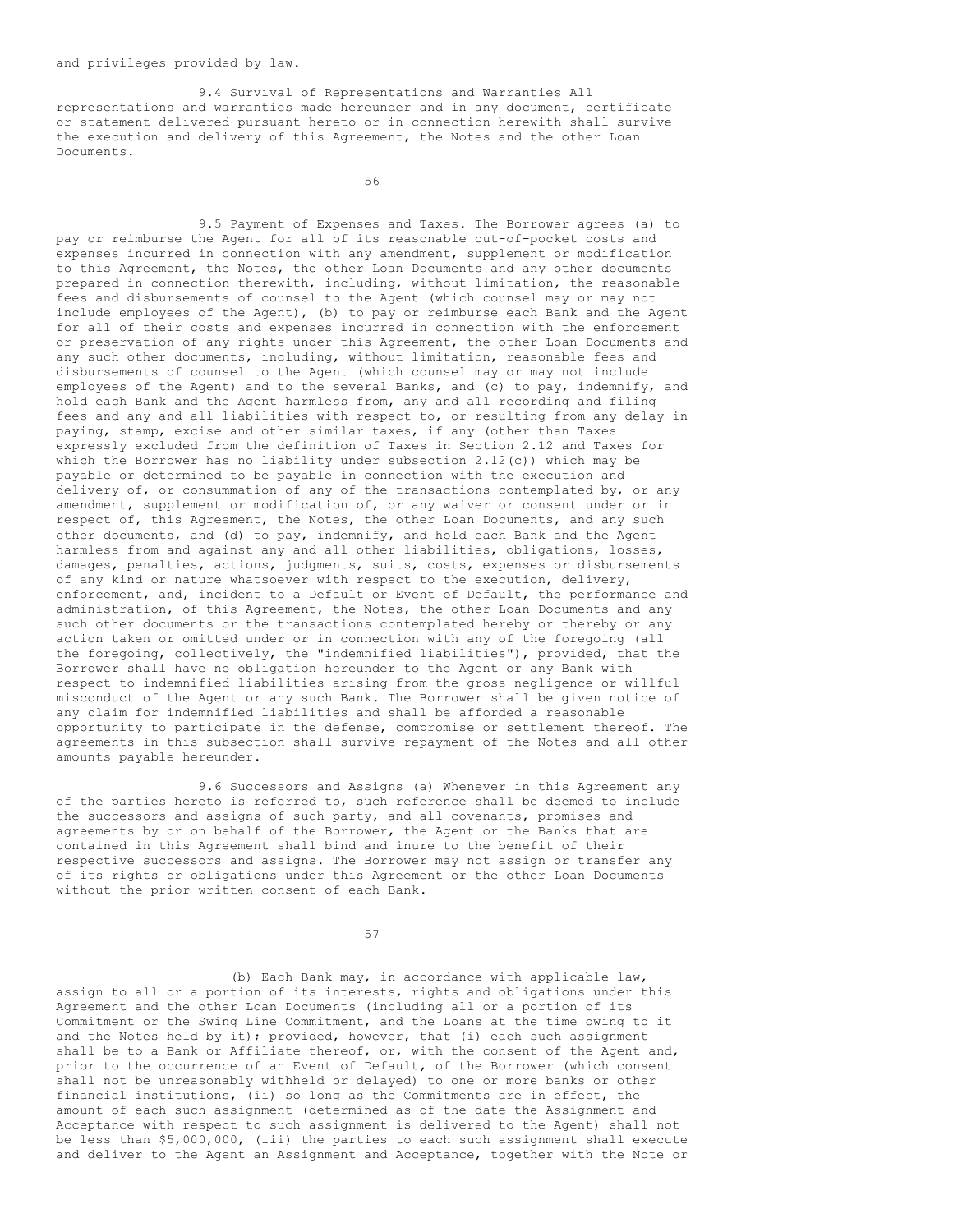9.4 Survival of Representations and Warranties All representations and warranties made hereunder and in any document, certificate or statement delivered pursuant hereto or in connection herewith shall survive the execution and delivery of this Agreement, the Notes and the other Loan Documents.

56

9.5 Payment of Expenses and Taxes. The Borrower agrees (a) to pay or reimburse the Agent for all of its reasonable out-of-pocket costs and expenses incurred in connection with any amendment, supplement or modification to this Agreement, the Notes, the other Loan Documents and any other documents prepared in connection therewith, including, without limitation, the reasonable fees and disbursements of counsel to the Agent (which counsel may or may not include employees of the Agent), (b) to pay or reimburse each Bank and the Agent for all of their costs and expenses incurred in connection with the enforcement or preservation of any rights under this Agreement, the other Loan Documents and any such other documents, including, without limitation, reasonable fees and disbursements of counsel to the Agent (which counsel may or may not include employees of the Agent) and to the several Banks, and (c) to pay, indemnify, and hold each Bank and the Agent harmless from, any and all recording and filing fees and any and all liabilities with respect to, or resulting from any delay in paying, stamp, excise and other similar taxes, if any (other than Taxes expressly excluded from the definition of Taxes in Section 2.12 and Taxes for which the Borrower has no liability under subsection 2.12(c)) which may be payable or determined to be payable in connection with the execution and delivery of, or consummation of any of the transactions contemplated by, or any amendment, supplement or modification of, or any waiver or consent under or in respect of, this Agreement, the Notes, the other Loan Documents, and any such other documents, and (d) to pay, indemnify, and hold each Bank and the Agent harmless from and against any and all other liabilities, obligations, losses, damages, penalties, actions, judgments, suits, costs, expenses or disbursements of any kind or nature whatsoever with respect to the execution, delivery, enforcement, and, incident to a Default or Event of Default, the performance and administration, of this Agreement, the Notes, the other Loan Documents and any such other documents or the transactions contemplated hereby or thereby or any action taken or omitted under or in connection with any of the foregoing (all the foregoing, collectively, the "indemnified liabilities"), provided, that the Borrower shall have no obligation hereunder to the Agent or any Bank with respect to indemnified liabilities arising from the gross negligence or willful misconduct of the Agent or any such Bank. The Borrower shall be given notice of any claim for indemnified liabilities and shall be afforded a reasonable opportunity to participate in the defense, compromise or settlement thereof. The agreements in this subsection shall survive repayment of the Notes and all other amounts payable hereunder.

9.6 Successors and Assigns (a) Whenever in this Agreement any of the parties hereto is referred to, such reference shall be deemed to include the successors and assigns of such party, and all covenants, promises and agreements by or on behalf of the Borrower, the Agent or the Banks that are contained in this Agreement shall bind and inure to the benefit of their respective successors and assigns. The Borrower may not assign or transfer any of its rights or obligations under this Agreement or the other Loan Documents without the prior written consent of each Bank.

57

(b) Each Bank may, in accordance with applicable law, assign to all or a portion of its interests, rights and obligations under this Agreement and the other Loan Documents (including all or a portion of its Commitment or the Swing Line Commitment, and the Loans at the time owing to it and the Notes held by it); provided, however, that (i) each such assignment shall be to a Bank or Affiliate thereof, or, with the consent of the Agent and, prior to the occurrence of an Event of Default, of the Borrower (which consent shall not be unreasonably withheld or delayed) to one or more banks or other financial institutions, (ii) so long as the Commitments are in effect, the amount of each such assignment (determined as of the date the Assignment and Acceptance with respect to such assignment is delivered to the Agent) shall not be less than \$5,000,000, (iii) the parties to each such assignment shall execute and deliver to the Agent an Assignment and Acceptance, together with the Note or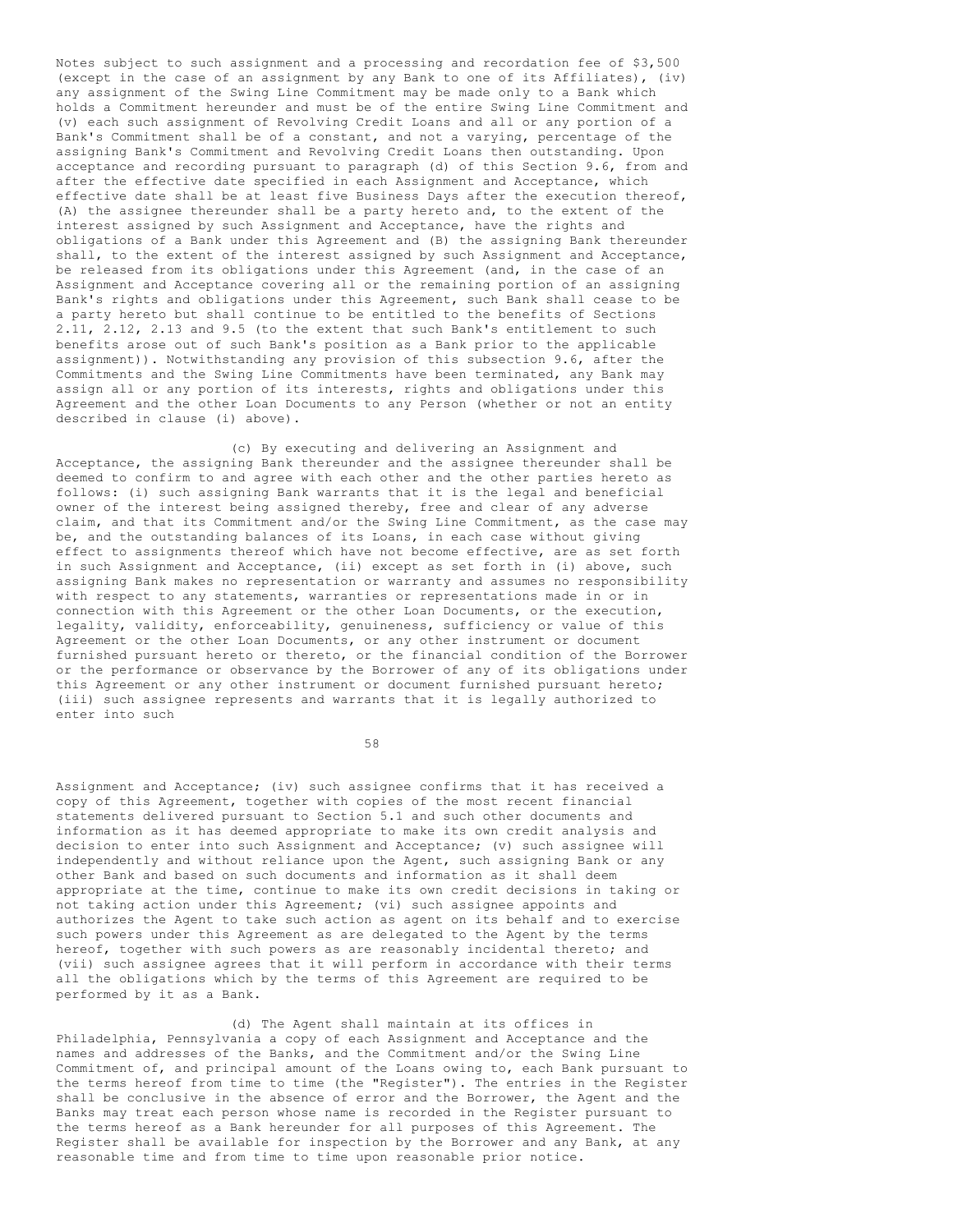Notes subject to such assignment and a processing and recordation fee of \$3,500 (except in the case of an assignment by any Bank to one of its Affiliates), (iv) any assignment of the Swing Line Commitment may be made only to a Bank which holds a Commitment hereunder and must be of the entire Swing Line Commitment and (v) each such assignment of Revolving Credit Loans and all or any portion of a Bank's Commitment shall be of a constant, and not a varying, percentage of the assigning Bank's Commitment and Revolving Credit Loans then outstanding. Upon acceptance and recording pursuant to paragraph (d) of this Section 9.6, from and after the effective date specified in each Assignment and Acceptance, which effective date shall be at least five Business Days after the execution thereof, (A) the assignee thereunder shall be a party hereto and, to the extent of the interest assigned by such Assignment and Acceptance, have the rights and obligations of a Bank under this Agreement and (B) the assigning Bank thereunder shall, to the extent of the interest assigned by such Assignment and Acceptance, be released from its obligations under this Agreement (and, in the case of an Assignment and Acceptance covering all or the remaining portion of an assigning Bank's rights and obligations under this Agreement, such Bank shall cease to be a party hereto but shall continue to be entitled to the benefits of Sections 2.11, 2.12, 2.13 and 9.5 (to the extent that such Bank's entitlement to such benefits arose out of such Bank's position as a Bank prior to the applicable assignment)). Notwithstanding any provision of this subsection 9.6, after the Commitments and the Swing Line Commitments have been terminated, any Bank may assign all or any portion of its interests, rights and obligations under this Agreement and the other Loan Documents to any Person (whether or not an entity described in clause (i) above).

(c) By executing and delivering an Assignment and Acceptance, the assigning Bank thereunder and the assignee thereunder shall be deemed to confirm to and agree with each other and the other parties hereto as follows: (i) such assigning Bank warrants that it is the legal and beneficial owner of the interest being assigned thereby, free and clear of any adverse claim, and that its Commitment and/or the Swing Line Commitment, as the case may be, and the outstanding balances of its Loans, in each case without giving effect to assignments thereof which have not become effective, are as set forth in such Assignment and Acceptance, (ii) except as set forth in (i) above, such assigning Bank makes no representation or warranty and assumes no responsibility with respect to any statements, warranties or representations made in or in connection with this Agreement or the other Loan Documents, or the execution, legality, validity, enforceability, genuineness, sufficiency or value of this Agreement or the other Loan Documents, or any other instrument or document furnished pursuant hereto or thereto, or the financial condition of the Borrower or the performance or observance by the Borrower of any of its obligations under this Agreement or any other instrument or document furnished pursuant hereto; (iii) such assignee represents and warrants that it is legally authorized to enter into such

58

Assignment and Acceptance; (iv) such assignee confirms that it has received a copy of this Agreement, together with copies of the most recent financial statements delivered pursuant to Section 5.1 and such other documents and information as it has deemed appropriate to make its own credit analysis and decision to enter into such Assignment and Acceptance; (v) such assignee will independently and without reliance upon the Agent, such assigning Bank or any other Bank and based on such documents and information as it shall deem appropriate at the time, continue to make its own credit decisions in taking or not taking action under this Agreement; (vi) such assignee appoints and authorizes the Agent to take such action as agent on its behalf and to exercise such powers under this Agreement as are delegated to the Agent by the terms hereof, together with such powers as are reasonably incidental thereto; and (vii) such assignee agrees that it will perform in accordance with their terms all the obligations which by the terms of this Agreement are required to be performed by it as a Bank.

(d) The Agent shall maintain at its offices in Philadelphia, Pennsylvania a copy of each Assignment and Acceptance and the names and addresses of the Banks, and the Commitment and/or the Swing Line Commitment of, and principal amount of the Loans owing to, each Bank pursuant to the terms hereof from time to time (the "Register"). The entries in the Register shall be conclusive in the absence of error and the Borrower, the Agent and the Banks may treat each person whose name is recorded in the Register pursuant to the terms hereof as a Bank hereunder for all purposes of this Agreement. The Register shall be available for inspection by the Borrower and any Bank, at any reasonable time and from time to time upon reasonable prior notice.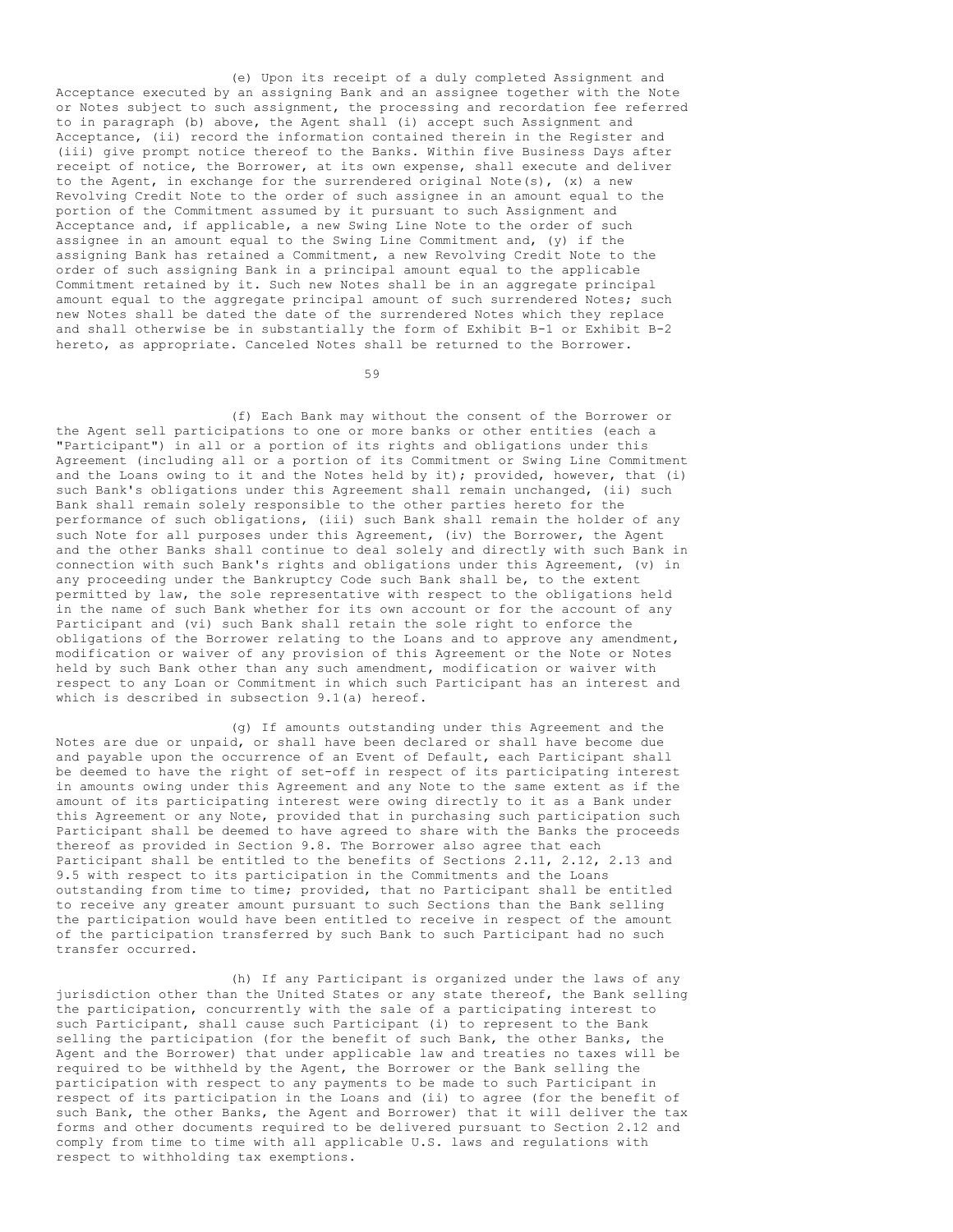(e) Upon its receipt of a duly completed Assignment and Acceptance executed by an assigning Bank and an assignee together with the Note or Notes subject to such assignment, the processing and recordation fee referred to in paragraph (b) above, the Agent shall (i) accept such Assignment and Acceptance, (ii) record the information contained therein in the Register and (iii) give prompt notice thereof to the Banks. Within five Business Days after receipt of notice, the Borrower, at its own expense, shall execute and deliver to the Agent, in exchange for the surrendered original Note(s),  $(x)$  a new Revolving Credit Note to the order of such assignee in an amount equal to the portion of the Commitment assumed by it pursuant to such Assignment and Acceptance and, if applicable, a new Swing Line Note to the order of such assignee in an amount equal to the Swing Line Commitment and, (y) if the assigning Bank has retained a Commitment, a new Revolving Credit Note to the order of such assigning Bank in a principal amount equal to the applicable Commitment retained by it. Such new Notes shall be in an aggregate principal amount equal to the aggregate principal amount of such surrendered Notes; such new Notes shall be dated the date of the surrendered Notes which they replace and shall otherwise be in substantially the form of Exhibit B-1 or Exhibit B-2 hereto, as appropriate. Canceled Notes shall be returned to the Borrower.

59

(f) Each Bank may without the consent of the Borrower or the Agent sell participations to one or more banks or other entities (each a "Participant") in all or a portion of its rights and obligations under this Agreement (including all or a portion of its Commitment or Swing Line Commitment and the Loans owing to it and the Notes held by it); provided, however, that (i) such Bank's obligations under this Agreement shall remain unchanged, (ii) such Bank shall remain solely responsible to the other parties hereto for the performance of such obligations, (iii) such Bank shall remain the holder of any such Note for all purposes under this Agreement, (iv) the Borrower, the Agent and the other Banks shall continue to deal solely and directly with such Bank in connection with such Bank's rights and obligations under this Agreement, (v) in any proceeding under the Bankruptcy Code such Bank shall be, to the extent permitted by law, the sole representative with respect to the obligations held in the name of such Bank whether for its own account or for the account of any Participant and (vi) such Bank shall retain the sole right to enforce the obligations of the Borrower relating to the Loans and to approve any amendment, modification or waiver of any provision of this Agreement or the Note or Notes held by such Bank other than any such amendment, modification or waiver with respect to any Loan or Commitment in which such Participant has an interest and which is described in subsection 9.1(a) hereof.

(g) If amounts outstanding under this Agreement and the Notes are due or unpaid, or shall have been declared or shall have become due and payable upon the occurrence of an Event of Default, each Participant shall be deemed to have the right of set-off in respect of its participating interest in amounts owing under this Agreement and any Note to the same extent as if the amount of its participating interest were owing directly to it as a Bank under this Agreement or any Note, provided that in purchasing such participation such Participant shall be deemed to have agreed to share with the Banks the proceeds thereof as provided in Section 9.8. The Borrower also agree that each Participant shall be entitled to the benefits of Sections 2.11, 2.12, 2.13 and 9.5 with respect to its participation in the Commitments and the Loans outstanding from time to time; provided, that no Participant shall be entitled to receive any greater amount pursuant to such Sections than the Bank selling the participation would have been entitled to receive in respect of the amount of the participation transferred by such Bank to such Participant had no such transfer occurred.

(h) If any Participant is organized under the laws of any jurisdiction other than the United States or any state thereof, the Bank selling the participation, concurrently with the sale of a participating interest to such Participant, shall cause such Participant (i) to represent to the Bank selling the participation (for the benefit of such Bank, the other Banks, the Agent and the Borrower) that under applicable law and treaties no taxes will be required to be withheld by the Agent, the Borrower or the Bank selling the participation with respect to any payments to be made to such Participant in respect of its participation in the Loans and (ii) to agree (for the benefit of such Bank, the other Banks, the Agent and Borrower) that it will deliver the tax forms and other documents required to be delivered pursuant to Section 2.12 and comply from time to time with all applicable U.S. laws and regulations with respect to withholding tax exemptions.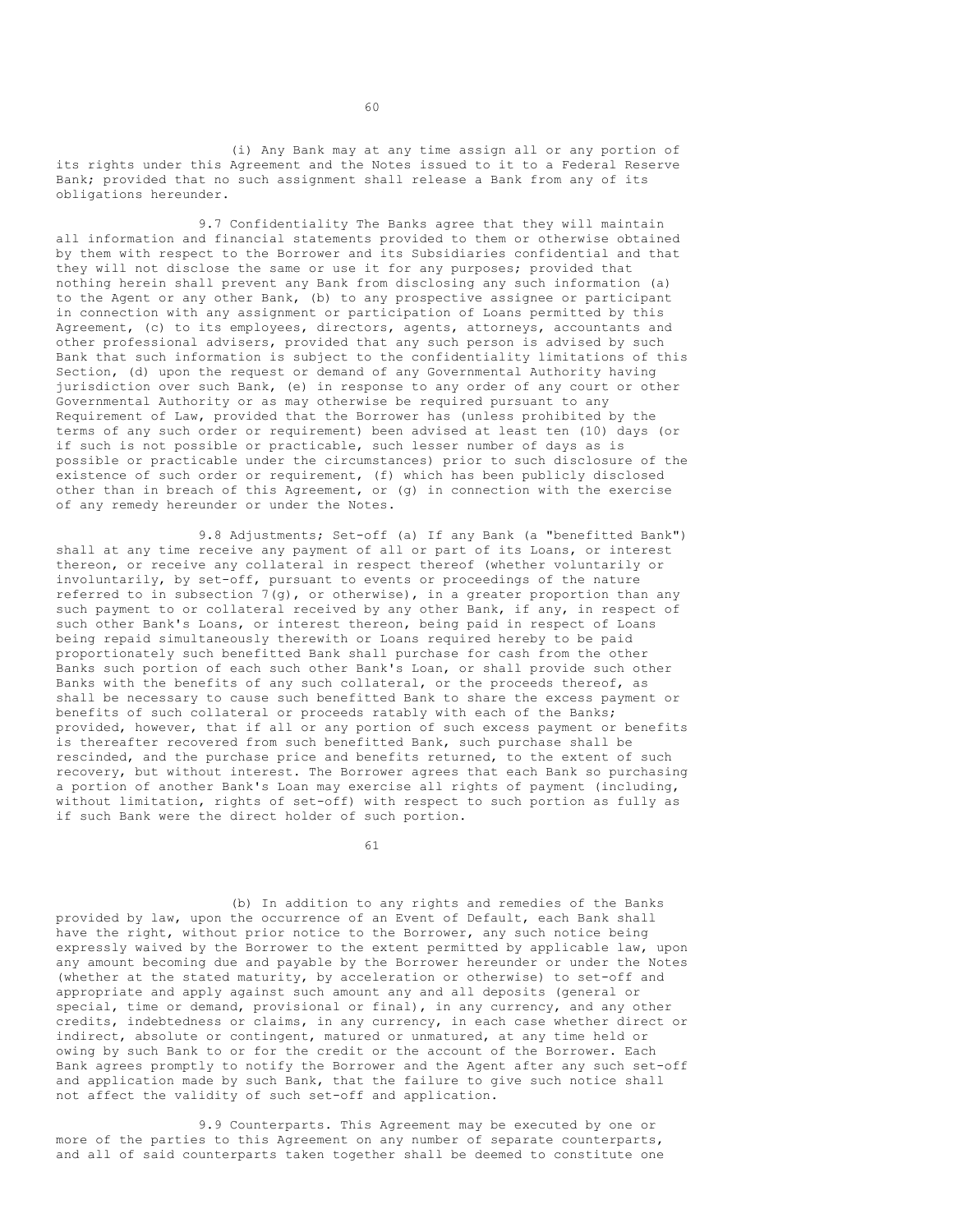(i) Any Bank may at any time assign all or any portion of its rights under this Agreement and the Notes issued to it to a Federal Reserve Bank; provided that no such assignment shall release a Bank from any of its obligations hereunder.

9.7 Confidentiality The Banks agree that they will maintain all information and financial statements provided to them or otherwise obtained by them with respect to the Borrower and its Subsidiaries confidential and that they will not disclose the same or use it for any purposes; provided that nothing herein shall prevent any Bank from disclosing any such information (a) to the Agent or any other Bank, (b) to any prospective assignee or participant in connection with any assignment or participation of Loans permitted by this Agreement, (c) to its employees, directors, agents, attorneys, accountants and other professional advisers, provided that any such person is advised by such Bank that such information is subject to the confidentiality limitations of this Section, (d) upon the request or demand of any Governmental Authority having jurisdiction over such Bank, (e) in response to any order of any court or other Governmental Authority or as may otherwise be required pursuant to any Requirement of Law, provided that the Borrower has (unless prohibited by the terms of any such order or requirement) been advised at least ten (10) days (or if such is not possible or practicable, such lesser number of days as is possible or practicable under the circumstances) prior to such disclosure of the existence of such order or requirement, (f) which has been publicly disclosed other than in breach of this Agreement, or (g) in connection with the exercise of any remedy hereunder or under the Notes.

9.8 Adjustments; Set-off (a) If any Bank (a "benefitted Bank") shall at any time receive any payment of all or part of its Loans, or interest thereon, or receive any collateral in respect thereof (whether voluntarily or involuntarily, by set-off, pursuant to events or proceedings of the nature referred to in subsection  $7(g)$ , or otherwise), in a greater proportion than any such payment to or collateral received by any other Bank, if any, in respect of such other Bank's Loans, or interest thereon, being paid in respect of Loans being repaid simultaneously therewith or Loans required hereby to be paid proportionately such benefitted Bank shall purchase for cash from the other Banks such portion of each such other Bank's Loan, or shall provide such other Banks with the benefits of any such collateral, or the proceeds thereof, as shall be necessary to cause such benefitted Bank to share the excess payment or benefits of such collateral or proceeds ratably with each of the Banks; provided, however, that if all or any portion of such excess payment or benefits is thereafter recovered from such benefitted Bank, such purchase shall be rescinded, and the purchase price and benefits returned, to the extent of such recovery, but without interest. The Borrower agrees that each Bank so purchasing a portion of another Bank's Loan may exercise all rights of payment (including, without limitation, rights of set-off) with respect to such portion as fully as if such Bank were the direct holder of such portion.

61

(b) In addition to any rights and remedies of the Banks provided by law, upon the occurrence of an Event of Default, each Bank shall have the right, without prior notice to the Borrower, any such notice being expressly waived by the Borrower to the extent permitted by applicable law, upon any amount becoming due and payable by the Borrower hereunder or under the Notes (whether at the stated maturity, by acceleration or otherwise) to set-off and appropriate and apply against such amount any and all deposits (general or special, time or demand, provisional or final), in any currency, and any other credits, indebtedness or claims, in any currency, in each case whether direct or indirect, absolute or contingent, matured or unmatured, at any time held or owing by such Bank to or for the credit or the account of the Borrower. Each Bank agrees promptly to notify the Borrower and the Agent after any such set-off and application made by such Bank, that the failure to give such notice shall not affect the validity of such set-off and application.

9.9 Counterparts. This Agreement may be executed by one or more of the parties to this Agreement on any number of separate counterparts, and all of said counterparts taken together shall be deemed to constitute one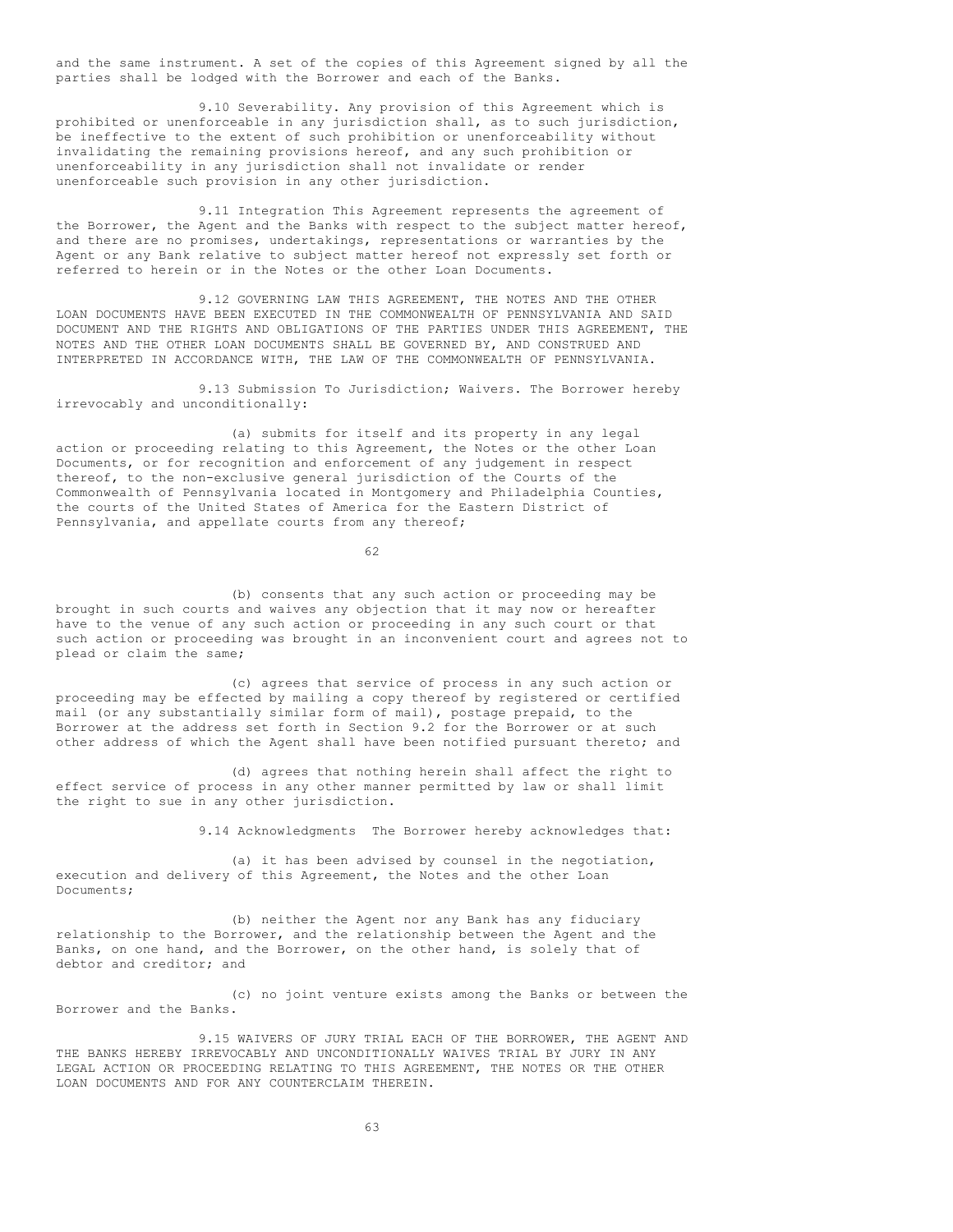and the same instrument. A set of the copies of this Agreement signed by all the parties shall be lodged with the Borrower and each of the Banks.

9.10 Severability. Any provision of this Agreement which is prohibited or unenforceable in any jurisdiction shall, as to such jurisdiction, be ineffective to the extent of such prohibition or unenforceability without invalidating the remaining provisions hereof, and any such prohibition or unenforceability in any jurisdiction shall not invalidate or render unenforceable such provision in any other jurisdiction.

9.11 Integration This Agreement represents the agreement of the Borrower, the Agent and the Banks with respect to the subject matter hereof, and there are no promises, undertakings, representations or warranties by the Agent or any Bank relative to subject matter hereof not expressly set forth or referred to herein or in the Notes or the other Loan Documents.

9.12 GOVERNING LAW THIS AGREEMENT, THE NOTES AND THE OTHER LOAN DOCUMENTS HAVE BEEN EXECUTED IN THE COMMONWEALTH OF PENNSYLVANIA AND SAID DOCUMENT AND THE RIGHTS AND OBLIGATIONS OF THE PARTIES UNDER THIS AGREEMENT, THE NOTES AND THE OTHER LOAN DOCUMENTS SHALL BE GOVERNED BY, AND CONSTRUED AND INTERPRETED IN ACCORDANCE WITH, THE LAW OF THE COMMONWEALTH OF PENNSYLVANIA.

9.13 Submission To Jurisdiction; Waivers. The Borrower hereby irrevocably and unconditionally:

(a) submits for itself and its property in any legal action or proceeding relating to this Agreement, the Notes or the other Loan Documents, or for recognition and enforcement of any judgement in respect thereof, to the non-exclusive general jurisdiction of the Courts of the Commonwealth of Pennsylvania located in Montgomery and Philadelphia Counties, the courts of the United States of America for the Eastern District of Pennsylvania, and appellate courts from any thereof;

62

(b) consents that any such action or proceeding may be brought in such courts and waives any objection that it may now or hereafter have to the venue of any such action or proceeding in any such court or that such action or proceeding was brought in an inconvenient court and agrees not to plead or claim the same;

(c) agrees that service of process in any such action or proceeding may be effected by mailing a copy thereof by registered or certified mail (or any substantially similar form of mail), postage prepaid, to the Borrower at the address set forth in Section 9.2 for the Borrower or at such other address of which the Agent shall have been notified pursuant thereto; and

(d) agrees that nothing herein shall affect the right to effect service of process in any other manner permitted by law or shall limit the right to sue in any other jurisdiction.

9.14 Acknowledgments The Borrower hereby acknowledges that:

(a) it has been advised by counsel in the negotiation, execution and delivery of this Agreement, the Notes and the other Loan Documents;

(b) neither the Agent nor any Bank has any fiduciary relationship to the Borrower, and the relationship between the Agent and the Banks, on one hand, and the Borrower, on the other hand, is solely that of debtor and creditor; and

(c) no joint venture exists among the Banks or between the Borrower and the Banks.

9.15 WAIVERS OF JURY TRIAL EACH OF THE BORROWER, THE AGENT AND THE BANKS HEREBY IRREVOCABLY AND UNCONDITIONALLY WAIVES TRIAL BY JURY IN ANY LEGAL ACTION OR PROCEEDING RELATING TO THIS AGREEMENT, THE NOTES OR THE OTHER LOAN DOCUMENTS AND FOR ANY COUNTERCLAIM THEREIN.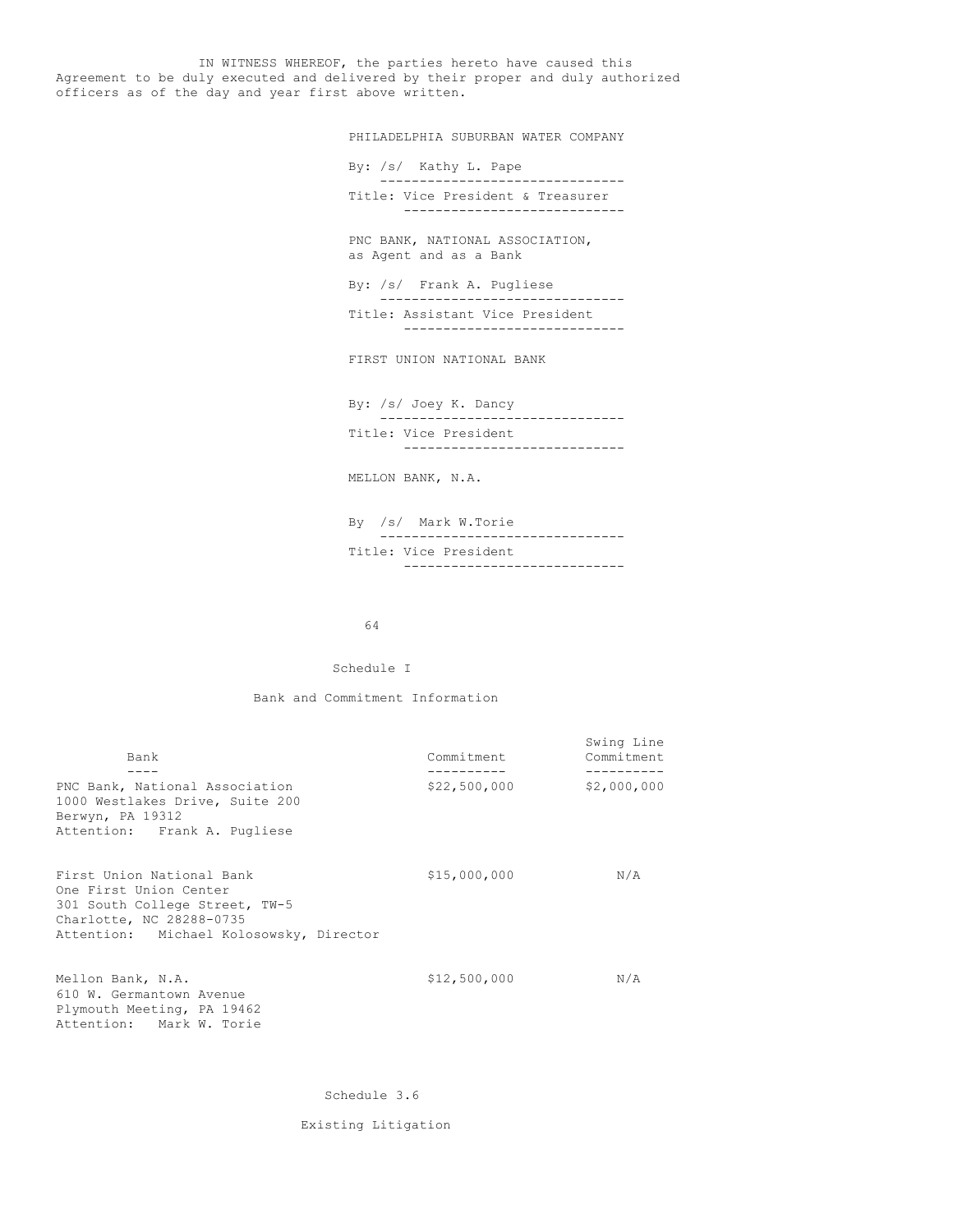IN WITNESS WHEREOF, the parties hereto have caused this Agreement to be duly executed and delivered by their proper and duly authorized officers as of the day and year first above written.

> PHILADELPHIA SUBURBAN WATER COMPANY By: /s/ Kathy L. Pape ------------------------------- Title: Vice President & Treasurer ---------------------------- PNC BANK, NATIONAL ASSOCIATION, as Agent and as a Bank By: /s/ Frank A. Pugliese ------------------------------- Title: Assistant Vice President ---------------------------- FIRST UNION NATIONAL BANK By: /s/ Joey K. Dancy ------------------------------- Title: Vice President ---------------------------- MELLON BANK, N.A. By /s/ Mark W.Torie ------------------------------- Title: Vice President

> > ----------------------------

## 64

## Schedule I

Bank and Commitment Information

| Bank                                                                                                                                                         | Commitment   | Swing Line<br>Commitment |
|--------------------------------------------------------------------------------------------------------------------------------------------------------------|--------------|--------------------------|
| PNC Bank, National Association<br>1000 Westlakes Drive, Suite 200<br>Berwyn, PA 19312<br>Attention: Frank A. Pugliese                                        | \$22,500,000 | \$2,000,000              |
| First Union National Bank<br>One First Union Center<br>301 South College Street, TW-5<br>Charlotte, NC 28288-0735<br>Attention: Michael Kolosowsky, Director | \$15,000,000 | N/A                      |
| Mellon Bank, N.A.<br>610 W. Germantown Avenue<br>Plymouth Meeting, PA 19462<br>Attention: Mark W. Torie                                                      | \$12,500,000 | N/A                      |

## Schedule 3.6

### Existing Litigation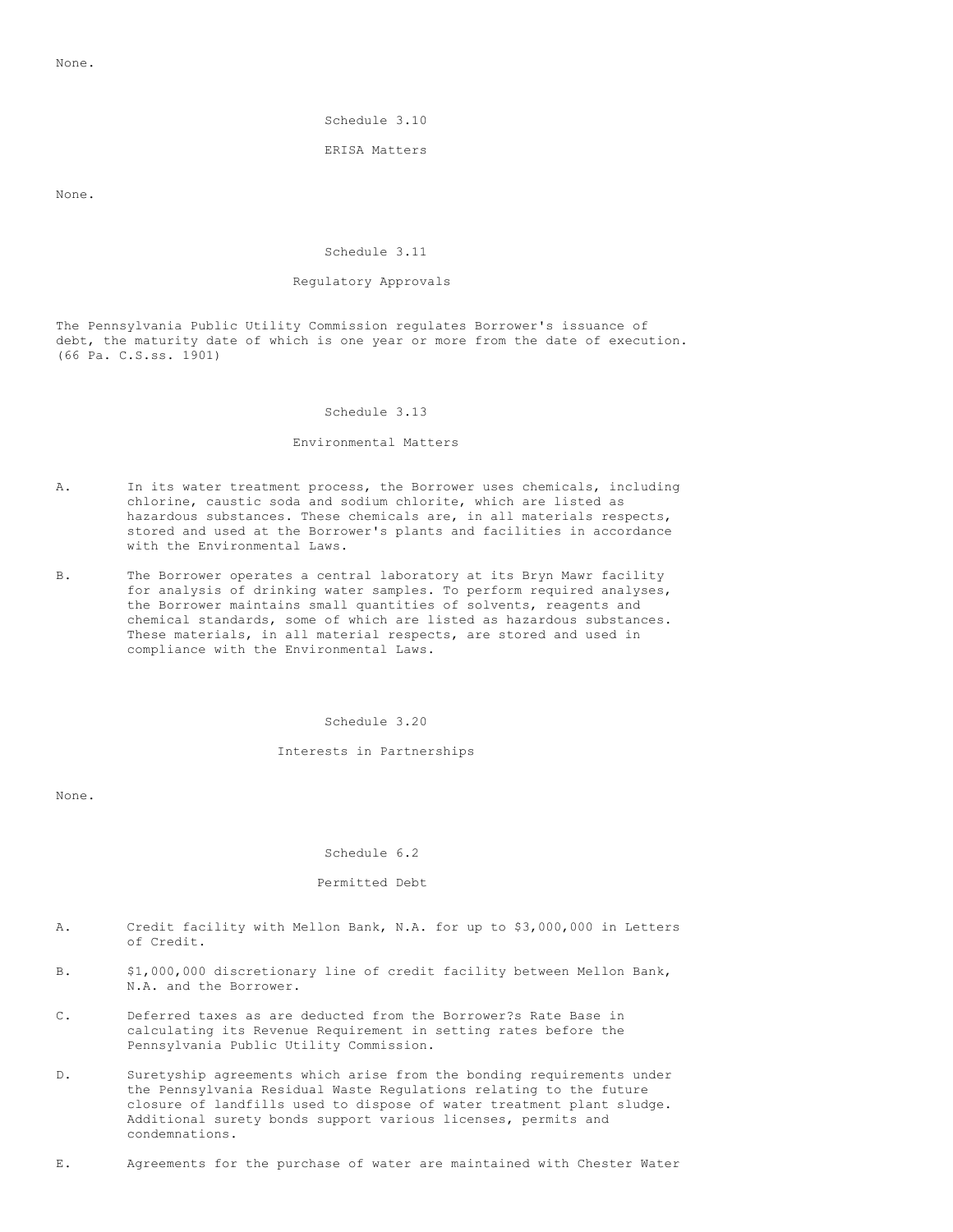None.

Schedule 3.10

ERISA Matters

None.

### Schedule 3.11

## Regulatory Approvals

The Pennsylvania Public Utility Commission regulates Borrower's issuance of debt, the maturity date of which is one year or more from the date of execution. (66 Pa. C.S.ss. 1901)

# Schedule 3.13

### Environmental Matters

- A. In its water treatment process, the Borrower uses chemicals, including chlorine, caustic soda and sodium chlorite, which are listed as hazardous substances. These chemicals are, in all materials respects, stored and used at the Borrower's plants and facilities in accordance with the Environmental Laws.
- B. The Borrower operates a central laboratory at its Bryn Mawr facility for analysis of drinking water samples. To perform required analyses, the Borrower maintains small quantities of solvents, reagents and chemical standards, some of which are listed as hazardous substances. These materials, in all material respects, are stored and used in compliance with the Environmental Laws.

## Schedule 3.20

Interests in Partnerships

None.

Schedule 6.2

## Permitted Debt

- A. Credit facility with Mellon Bank, N.A. for up to \$3,000,000 in Letters of Credit.
- B. \$1,000,000 discretionary line of credit facility between Mellon Bank, N.A. and the Borrower.
- C. Deferred taxes as are deducted from the Borrower?s Rate Base in calculating its Revenue Requirement in setting rates before the Pennsylvania Public Utility Commission.
- D. Suretyship agreements which arise from the bonding requirements under the Pennsylvania Residual Waste Regulations relating to the future closure of landfills used to dispose of water treatment plant sludge. Additional surety bonds support various licenses, permits and condemnations.
- E. Agreements for the purchase of water are maintained with Chester Water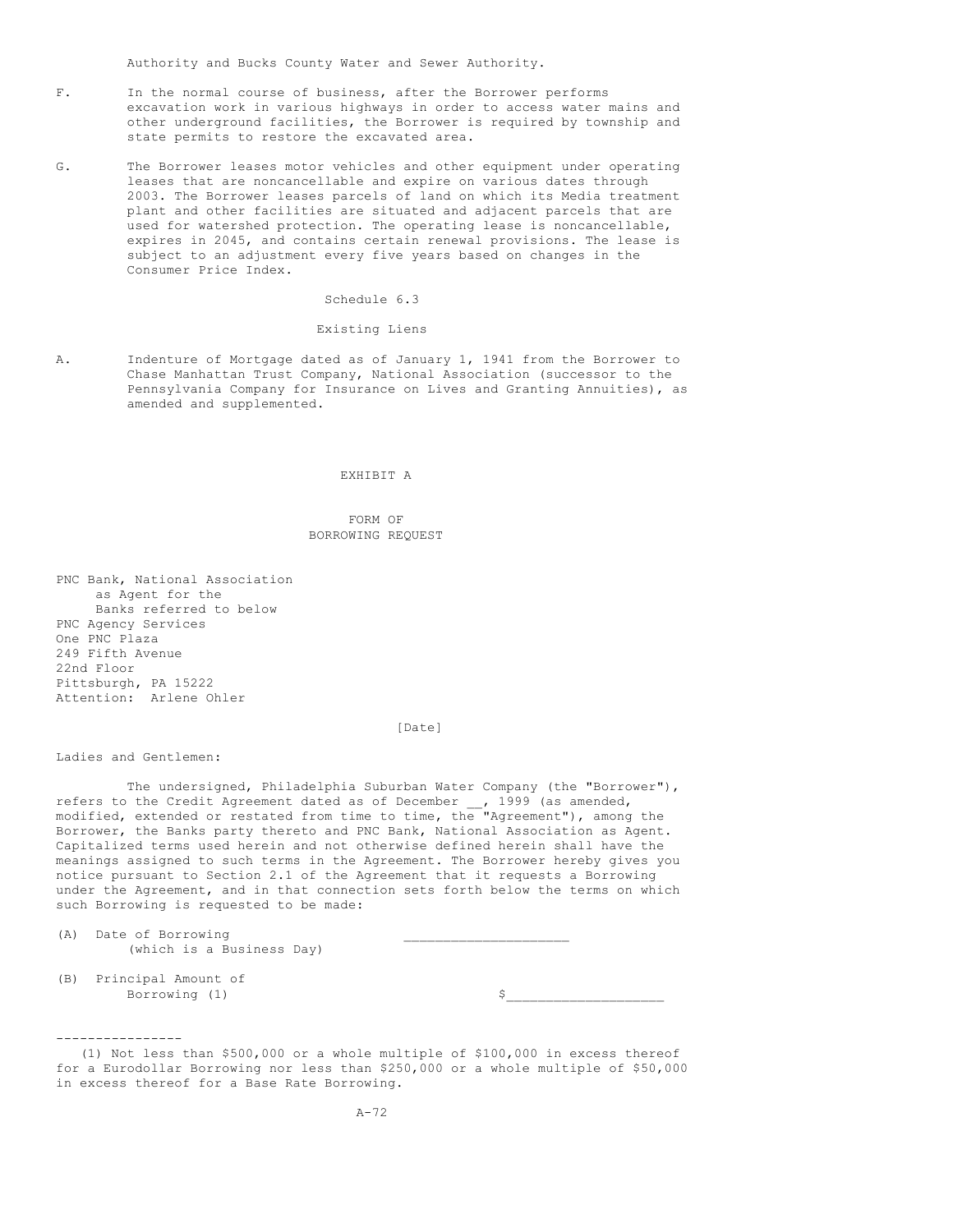Authority and Bucks County Water and Sewer Authority.

- F. In the normal course of business, after the Borrower performs excavation work in various highways in order to access water mains and other underground facilities, the Borrower is required by township and state permits to restore the excavated area.
- G. The Borrower leases motor vehicles and other equipment under operating leases that are noncancellable and expire on various dates through 2003. The Borrower leases parcels of land on which its Media treatment plant and other facilities are situated and adjacent parcels that are used for watershed protection. The operating lease is noncancellable, expires in 2045, and contains certain renewal provisions. The lease is subject to an adjustment every five years based on changes in the Consumer Price Index.

### Schedule 6.3

### Existing Liens

A. Indenture of Mortgage dated as of January 1, 1941 from the Borrower to Chase Manhattan Trust Company, National Association (successor to the Pennsylvania Company for Insurance on Lives and Granting Annuities), as amended and supplemented.

#### EXHIBIT A

FORM OF BORROWING REQUEST

PNC Bank, National Association as Agent for the Banks referred to below PNC Agency Services One PNC Plaza 249 Fifth Avenue 22nd Floor Pittsburgh, PA 15222 Attention: Arlene Ohler

# [Date]

Ladies and Gentlemen:

----------------

The undersigned, Philadelphia Suburban Water Company (the "Borrower"), refers to the Credit Agreement dated as of December \_\_, 1999 (as amended, modified, extended or restated from time to time, the "Agreement"), among the Borrower, the Banks party thereto and PNC Bank, National Association as Agent. Capitalized terms used herein and not otherwise defined herein shall have the meanings assigned to such terms in the Agreement. The Borrower hereby gives you notice pursuant to Section 2.1 of the Agreement that it requests a Borrowing under the Agreement, and in that connection sets forth below the terms on which such Borrowing is requested to be made:

| (A) | Date of Borrowing         |  |
|-----|---------------------------|--|
|     | (which is a Business Day) |  |
|     |                           |  |
| (B) | Principal Amount of       |  |
|     | Borrowing (1)             |  |
|     |                           |  |

(1) Not less than \$500,000 or a whole multiple of \$100,000 in excess thereof for a Eurodollar Borrowing nor less than \$250,000 or a whole multiple of \$50,000 in excess thereof for a Base Rate Borrowing.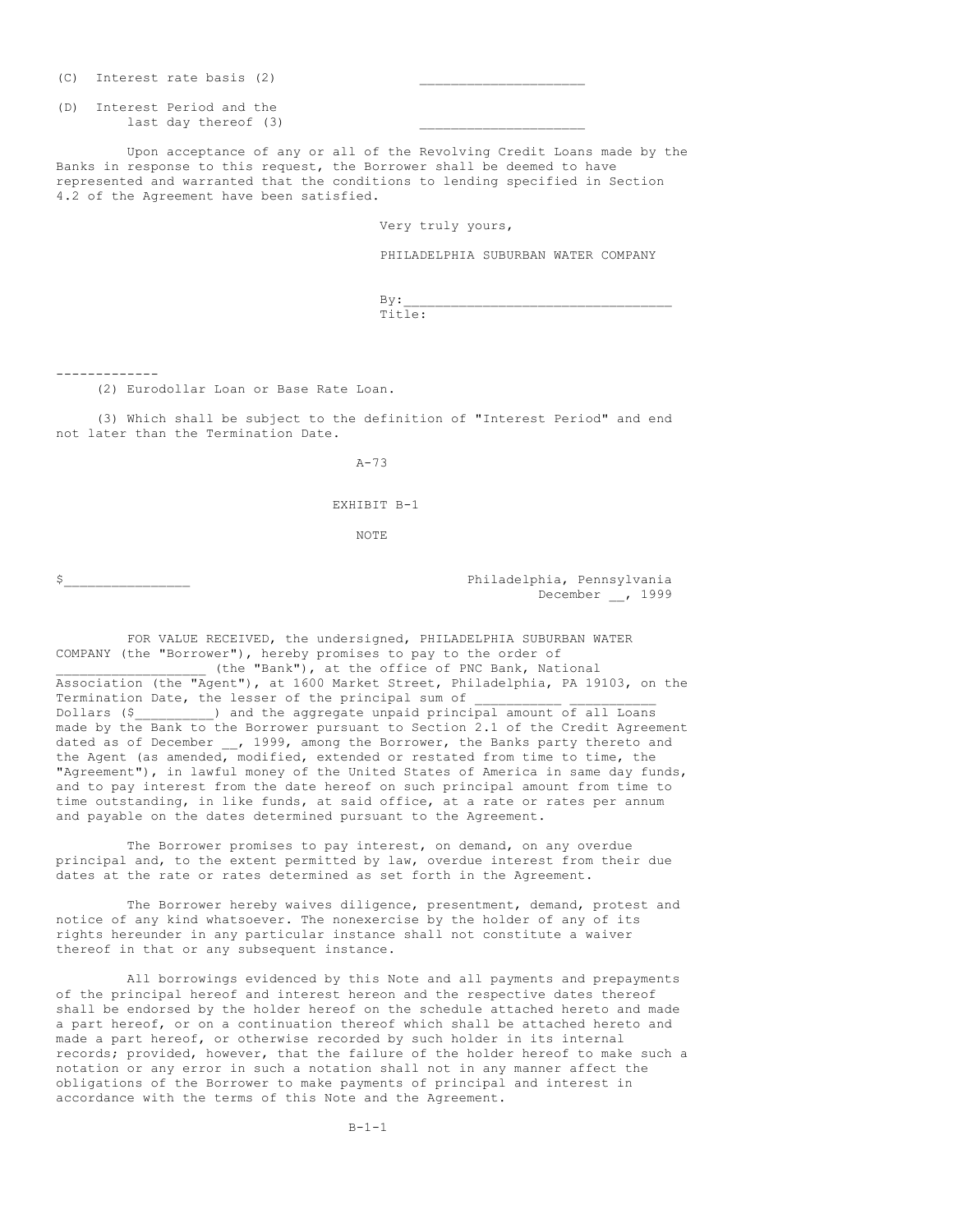(C) Interest rate basis  $(2)$ 

(D) Interest Period and the last day thereof (3)

Upon acceptance of any or all of the Revolving Credit Loans made by the Banks in response to this request, the Borrower shall be deemed to have represented and warranted that the conditions to lending specified in Section 4.2 of the Agreement have been satisfied.

Very truly yours,

PHILADELPHIA SUBURBAN WATER COMPANY

 $By:$ Title:

-------------

(2) Eurodollar Loan or Base Rate Loan.

(3) Which shall be subject to the definition of "Interest Period" and end not later than the Termination Date.

 $A-73$ 

## EXHIBIT B-1

NOTE

\$\_\_\_\_\_\_\_\_\_\_\_\_\_\_\_\_ Philadelphia, Pennsylvania December , 1999

FOR VALUE RECEIVED, the undersigned, PHILADELPHIA SUBURBAN WATER COMPANY (the "Borrower"), hereby promises to pay to the order of \_\_\_\_\_\_\_\_\_\_\_\_\_\_\_\_\_\_\_ (the "Bank"), at the office of PNC Bank, National Association (the "Agent"), at 1600 Market Street, Philadelphia, PA 19103, on the Termination Date, the lesser of the principal sum of Dollars (\$ ) and the aggregate unpaid principal amount of all Loans made by the Bank to the Borrower pursuant to Section 2.1 of the Credit Agreement dated as of December \_\_, 1999, among the Borrower, the Banks party thereto and the Agent (as amended, modified, extended or restated from time to time, the "Agreement"), in lawful money of the United States of America in same day funds, and to pay interest from the date hereof on such principal amount from time to time outstanding, in like funds, at said office, at a rate or rates per annum and payable on the dates determined pursuant to the Agreement.

The Borrower promises to pay interest, on demand, on any overdue principal and, to the extent permitted by law, overdue interest from their due dates at the rate or rates determined as set forth in the Agreement.

The Borrower hereby waives diligence, presentment, demand, protest and notice of any kind whatsoever. The nonexercise by the holder of any of its rights hereunder in any particular instance shall not constitute a waiver thereof in that or any subsequent instance.

All borrowings evidenced by this Note and all payments and prepayments of the principal hereof and interest hereon and the respective dates thereof shall be endorsed by the holder hereof on the schedule attached hereto and made a part hereof, or on a continuation thereof which shall be attached hereto and made a part hereof, or otherwise recorded by such holder in its internal records; provided, however, that the failure of the holder hereof to make such a notation or any error in such a notation shall not in any manner affect the obligations of the Borrower to make payments of principal and interest in accordance with the terms of this Note and the Agreement.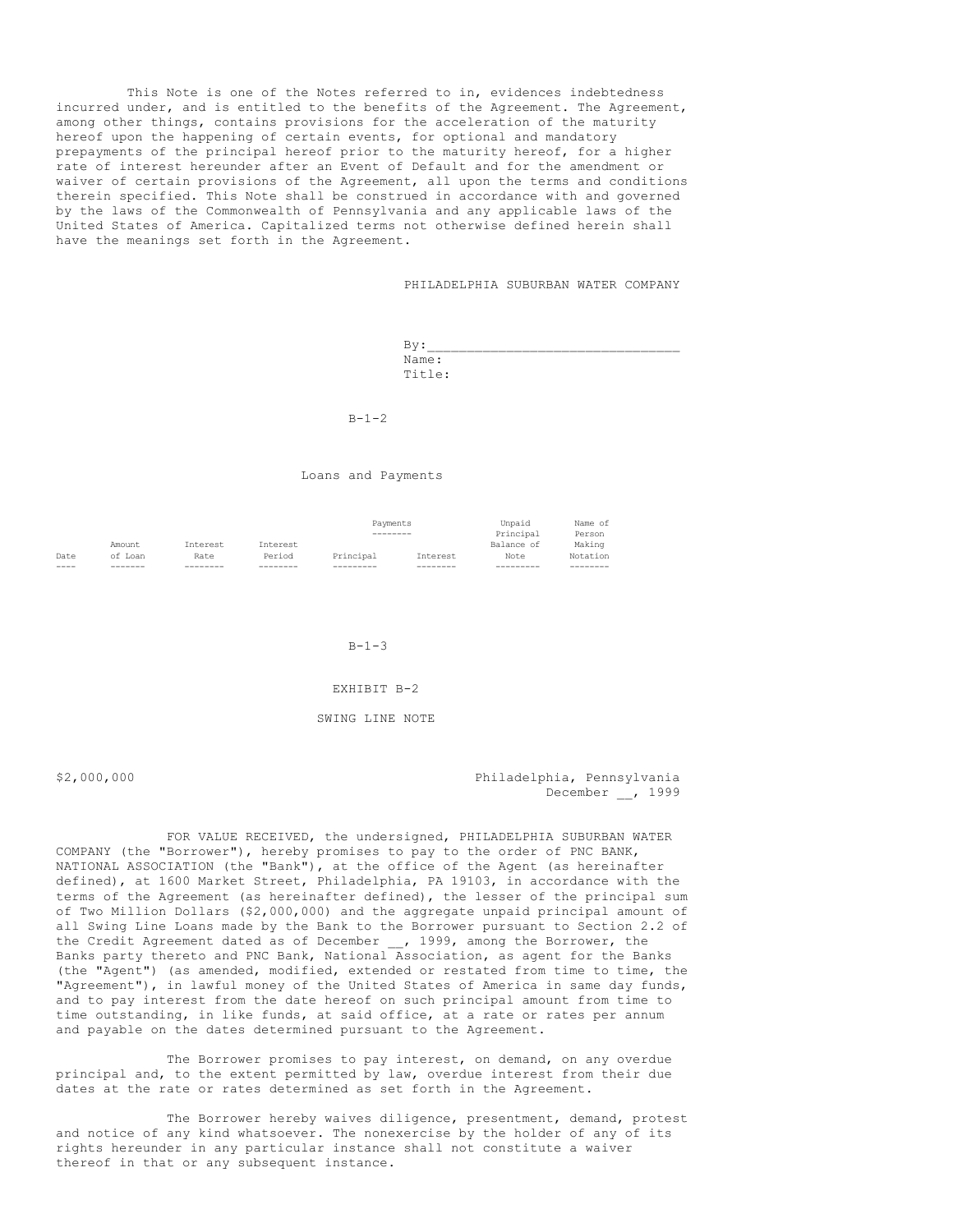This Note is one of the Notes referred to in, evidences indebtedness incurred under, and is entitled to the benefits of the Agreement. The Agreement, among other things, contains provisions for the acceleration of the maturity hereof upon the happening of certain events, for optional and mandatory prepayments of the principal hereof prior to the maturity hereof, for a higher rate of interest hereunder after an Event of Default and for the amendment or waiver of certain provisions of the Agreement, all upon the terms and conditions therein specified. This Note shall be construed in accordance with and governed by the laws of the Commonwealth of Pennsylvania and any applicable laws of the United States of America. Capitalized terms not otherwise defined herein shall have the meanings set forth in the Agreement.

PHILADELPHIA SUBURBAN WATER COMPANY

 $By:$ Name: Title:

 $B - 1 - 2$ 

#### Loans and Payments

|              |                    |          | Payments<br>-------- |                      | Unpaid<br>Principal | Name of<br>Person |          |
|--------------|--------------------|----------|----------------------|----------------------|---------------------|-------------------|----------|
|              | Amount             | Interest | Interest             |                      |                     | Balance of        | Making   |
| Date<br>____ | of Loan<br>------- | Rate     | Period<br>------     | Principal<br>------- | Interest            | Note<br>------    | Notation |

 $B - 1 - 3$ 

#### EXHIBIT B-2

### SWING LINE NOTE

\$2,000,000 Philadelphia, Pennsylvania December , 1999

FOR VALUE RECEIVED, the undersigned, PHILADELPHIA SUBURBAN WATER COMPANY (the "Borrower"), hereby promises to pay to the order of PNC BANK, NATIONAL ASSOCIATION (the "Bank"), at the office of the Agent (as hereinafter defined), at 1600 Market Street, Philadelphia, PA 19103, in accordance with the terms of the Agreement (as hereinafter defined), the lesser of the principal sum of Two Million Dollars (\$2,000,000) and the aggregate unpaid principal amount of all Swing Line Loans made by the Bank to the Borrower pursuant to Section 2.2 of the Credit Agreement dated as of December \_\_, 1999, among the Borrower, the Banks party thereto and PNC Bank, National Association, as agent for the Banks (the "Agent") (as amended, modified, extended or restated from time to time, the "Agreement"), in lawful money of the United States of America in same day funds, and to pay interest from the date hereof on such principal amount from time to time outstanding, in like funds, at said office, at a rate or rates per annum and payable on the dates determined pursuant to the Agreement.

The Borrower promises to pay interest, on demand, on any overdue principal and, to the extent permitted by law, overdue interest from their due dates at the rate or rates determined as set forth in the Agreement.

The Borrower hereby waives diligence, presentment, demand, protest and notice of any kind whatsoever. The nonexercise by the holder of any of its rights hereunder in any particular instance shall not constitute a waiver thereof in that or any subsequent instance.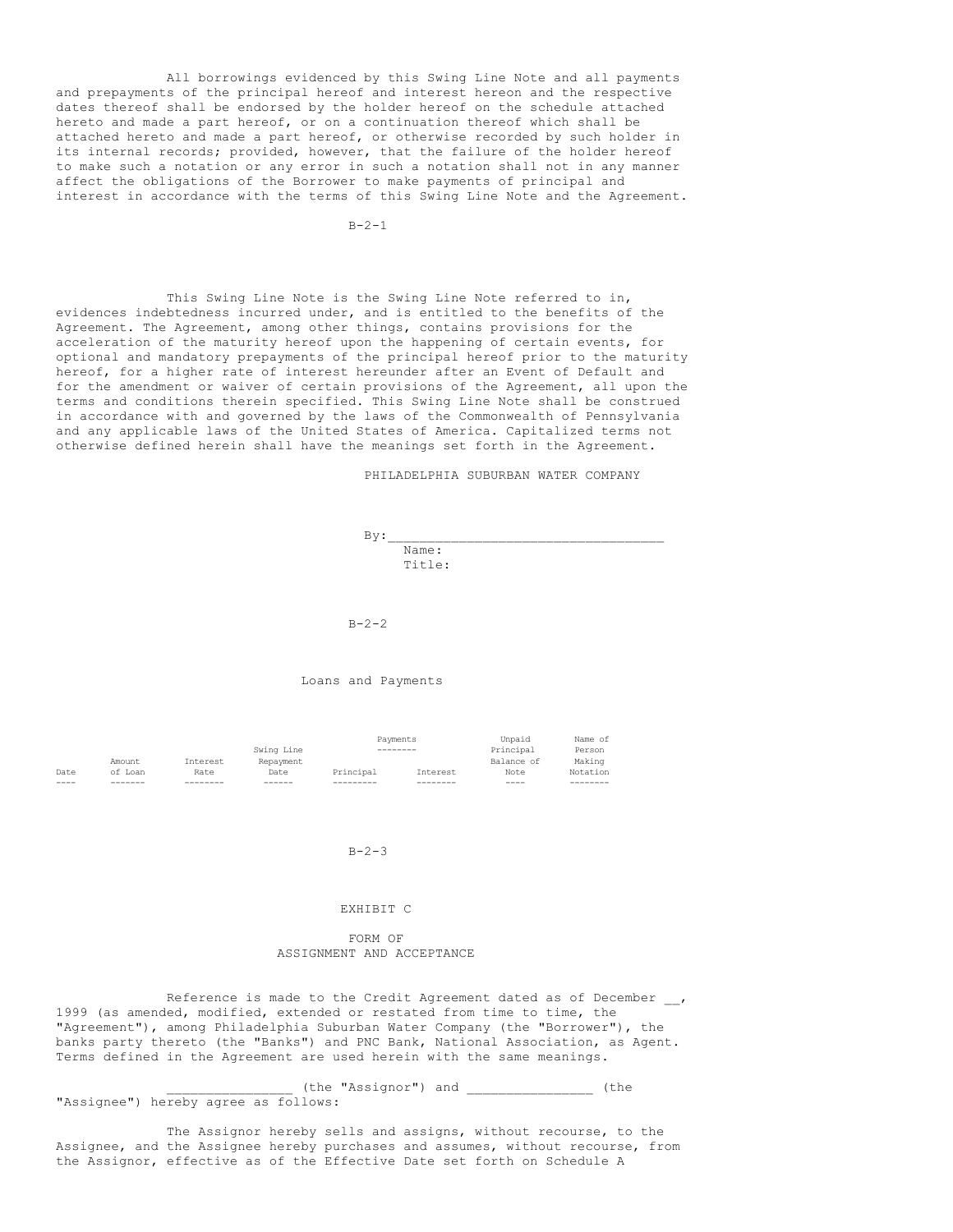All borrowings evidenced by this Swing Line Note and all payments and prepayments of the principal hereof and interest hereon and the respective dates thereof shall be endorsed by the holder hereof on the schedule attached hereto and made a part hereof, or on a continuation thereof which shall be attached hereto and made a part hereof, or otherwise recorded by such holder in its internal records; provided, however, that the failure of the holder hereof to make such a notation or any error in such a notation shall not in any manner affect the obligations of the Borrower to make payments of principal and interest in accordance with the terms of this Swing Line Note and the Agreement.

B-2-1

This Swing Line Note is the Swing Line Note referred to in, evidences indebtedness incurred under, and is entitled to the benefits of the Agreement. The Agreement, among other things, contains provisions for the acceleration of the maturity hereof upon the happening of certain events, for optional and mandatory prepayments of the principal hereof prior to the maturity hereof, for a higher rate of interest hereunder after an Event of Default and for the amendment or waiver of certain provisions of the Agreement, all upon the terms and conditions therein specified. This Swing Line Note shall be construed in accordance with and governed by the laws of the Commonwealth of Pennsylvania and any applicable laws of the United States of America. Capitalized terms not otherwise defined herein shall have the meanings set forth in the Agreement.

PHILADELPHIA SUBURBAN WATER COMPANY



### $B - 2 - 2$

#### Loans and Payments

|      |         |          |            |           | Payments | Unpaid     | Name of  |
|------|---------|----------|------------|-----------|----------|------------|----------|
|      |         |          | Swing Line | --------  |          | Principal  | Person   |
|      | Amount  | Interest | Repayment  |           |          | Balance of | Making   |
| Date | of Loan | Rate     | Date       | Principal | Interest | Note       | Notation |
| ---- | ------- |          | ------     |           |          | ----       |          |

## $B - 2 - 3$

#### EXHIBIT C

## FORM OF ASSIGNMENT AND ACCEPTANCE

Reference is made to the Credit Agreement dated as of December \_\_ , 1999 (as amended, modified, extended or restated from time to time, the "Agreement"), among Philadelphia Suburban Water Company (the "Borrower"), the banks party thereto (the "Banks") and PNC Bank, National Association, as Agent. Terms defined in the Agreement are used herein with the same meanings.

(the "Assignor") and (the "Assignee") hereby agree as follows:

The Assignor hereby sells and assigns, without recourse, to the Assignee, and the Assignee hereby purchases and assumes, without recourse, from the Assignor, effective as of the Effective Date set forth on Schedule A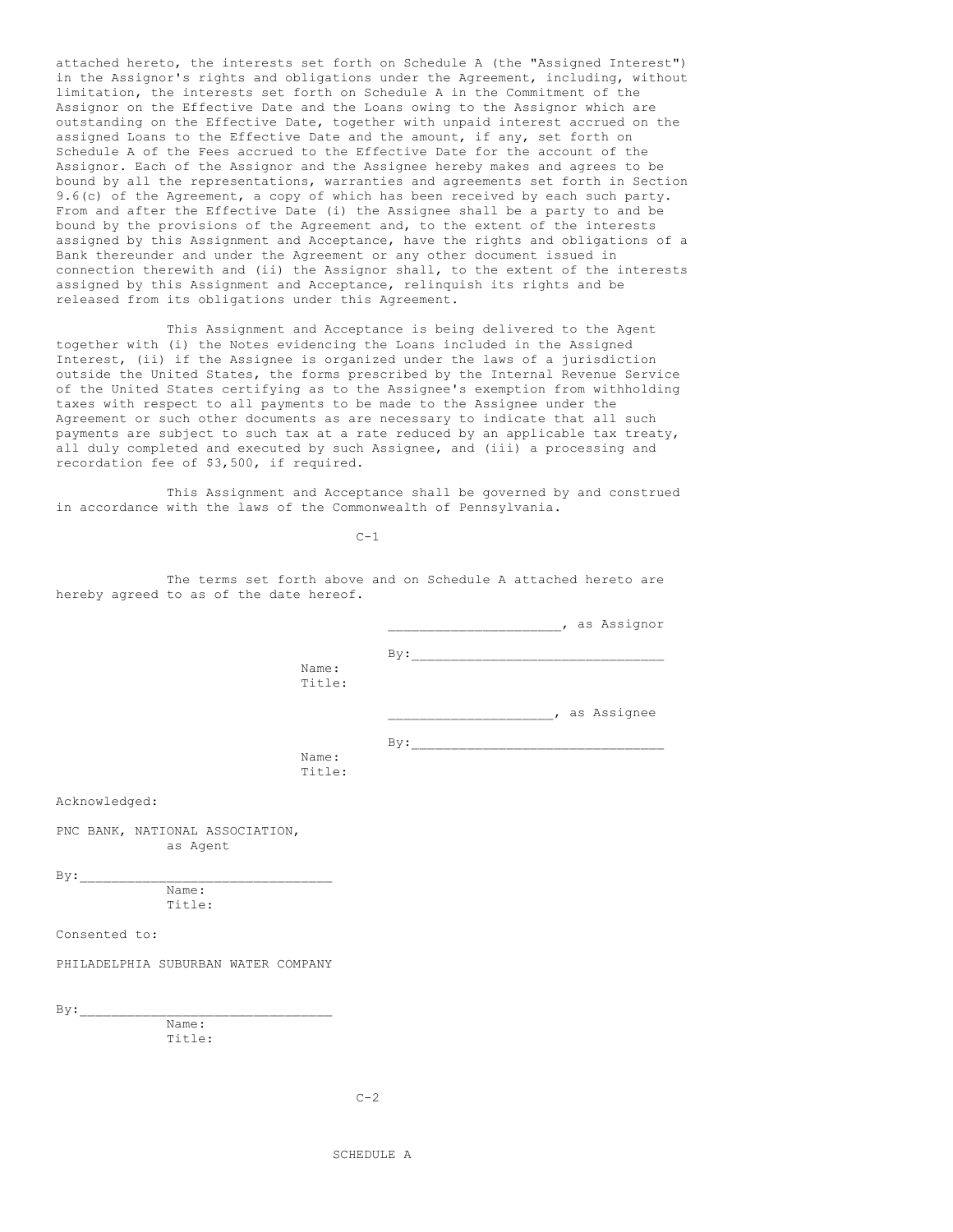attached hereto, the interests set forth on Schedule A (the "Assigned Interest") in the Assignor's rights and obligations under the Agreement, including, without limitation, the interests set forth on Schedule A in the Commitment of the Assignor on the Effective Date and the Loans owing to the Assignor which are outstanding on the Effective Date, together with unpaid interest accrued on the assigned Loans to the Effective Date and the amount, if any, set forth on Schedule A of the Fees accrued to the Effective Date for the account of the Assignor. Each of the Assignor and the Assignee hereby makes and agrees to be bound by all the representations, warranties and agreements set forth in Section 9.6(c) of the Agreement, a copy of which has been received by each such party. From and after the Effective Date (i) the Assignee shall be a party to and be bound by the provisions of the Agreement and, to the extent of the interests assigned by this Assignment and Acceptance, have the rights and obligations of a Bank thereunder and under the Agreement or any other document issued in connection therewith and (ii) the Assignor shall, to the extent of the interests assigned by this Assignment and Acceptance, relinquish its rights and be released from its obligations under this Agreement.

This Assignment and Acceptance is being delivered to the Agent together with (i) the Notes evidencing the Loans included in the Assigned Interest, (ii) if the Assignee is organized under the laws of a jurisdiction outside the United States, the forms prescribed by the Internal Revenue Service of the United States certifying as to the Assignee's exemption from withholding taxes with respect to all payments to be made to the Assignee under the Agreement or such other documents as are necessary to indicate that all such payments are subject to such tax at a rate reduced by an applicable tax treaty, all duly completed and executed by such Assignee, and (iii) a processing and recordation fee of \$3,500, if required.

This Assignment and Acceptance shall be governed by and construed in accordance with the laws of the Commonwealth of Pennsylvania.

 $C-1$ 

 $By:$ 

The terms set forth above and on Schedule A attached hereto are hereby agreed to as of the date hereof.

|                 |     |  | $\mathbf{r}$ | as Assignor            |
|-----------------|-----|--|--------------|------------------------|
|                 | Bv: |  |              |                        |
| Name:<br>Title: |     |  |              |                        |
|                 |     |  |              | and The administration |

\_\_\_\_\_\_\_\_\_\_\_\_\_\_\_, as Assignee

Name: Title:

Acknowledged:

PNC BANK, NATIONAL ASSOCIATION, as Agent

 $\mathbf{By:}$ 

Name: Title:

Consented to:

PHILADELPHIA SUBURBAN WATER COMPANY

 $By:$ 

Name:  $T_i + 1 \approx 1$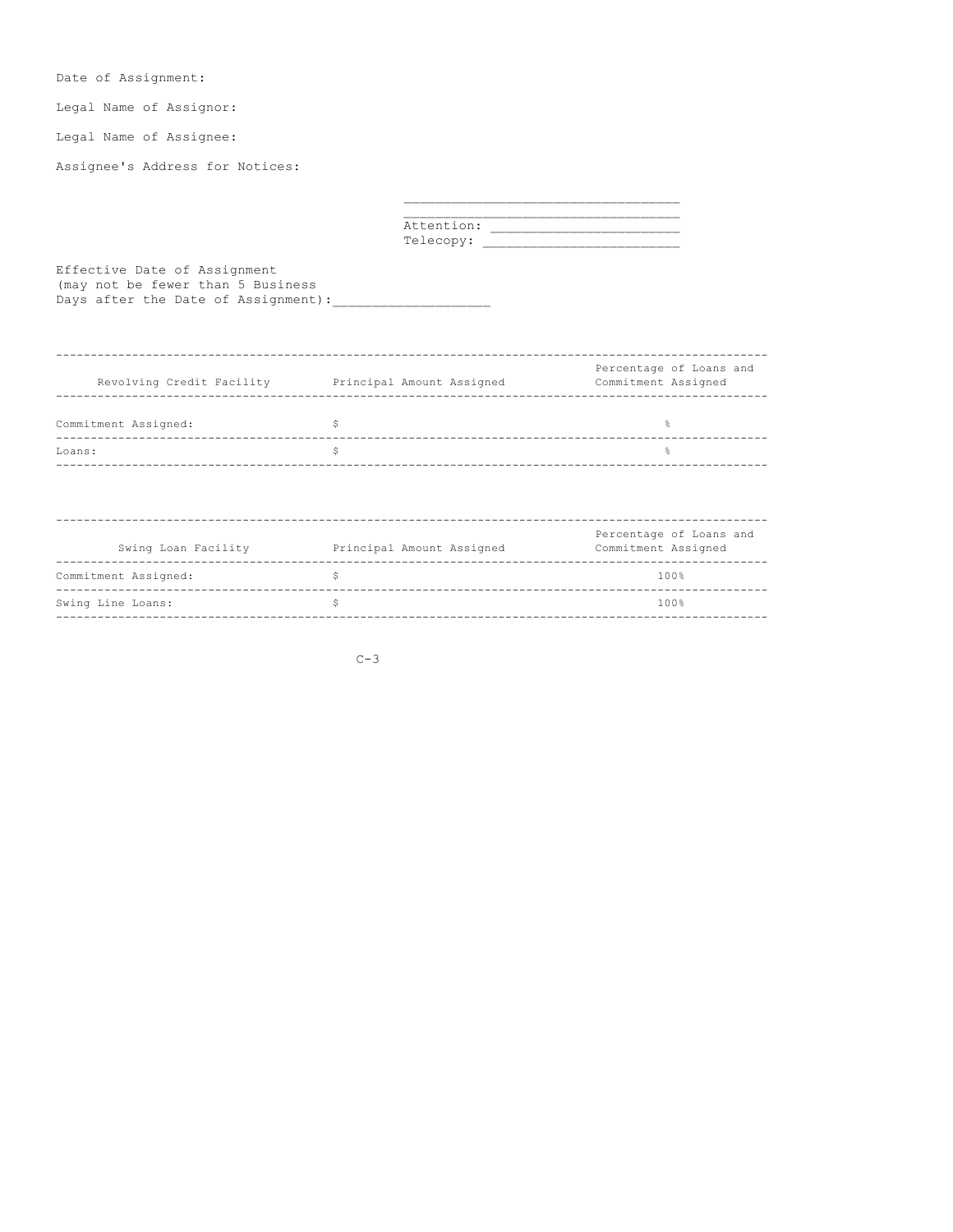Date of Assignment:

Legal Name of Assignor:

Legal Name of Assignee:

Assignee's Address for Notices:

| Attention: |  |
|------------|--|
| Telecopy:  |  |

Effective Date of Assignment (may not be fewer than 5 Business Days after the Date of Assignment) :\_\_\_\_\_

| Revolving Credit Facility | Principal Amount Assigned | Percentage of Loans and<br>Commitment Assigned |
|---------------------------|---------------------------|------------------------------------------------|
| Commitment Assigned:      |                           | 头                                              |
| Loans:                    |                           |                                                |
|                           |                           |                                                |

| Swing Loan Facility  | Principal Amount Assigned | Percentage of Loans and<br>Commitment Assigned |
|----------------------|---------------------------|------------------------------------------------|
| Commitment Assigned: |                           | 100%                                           |
| Swing Line Loans:    |                           | 100%                                           |

 $C-3$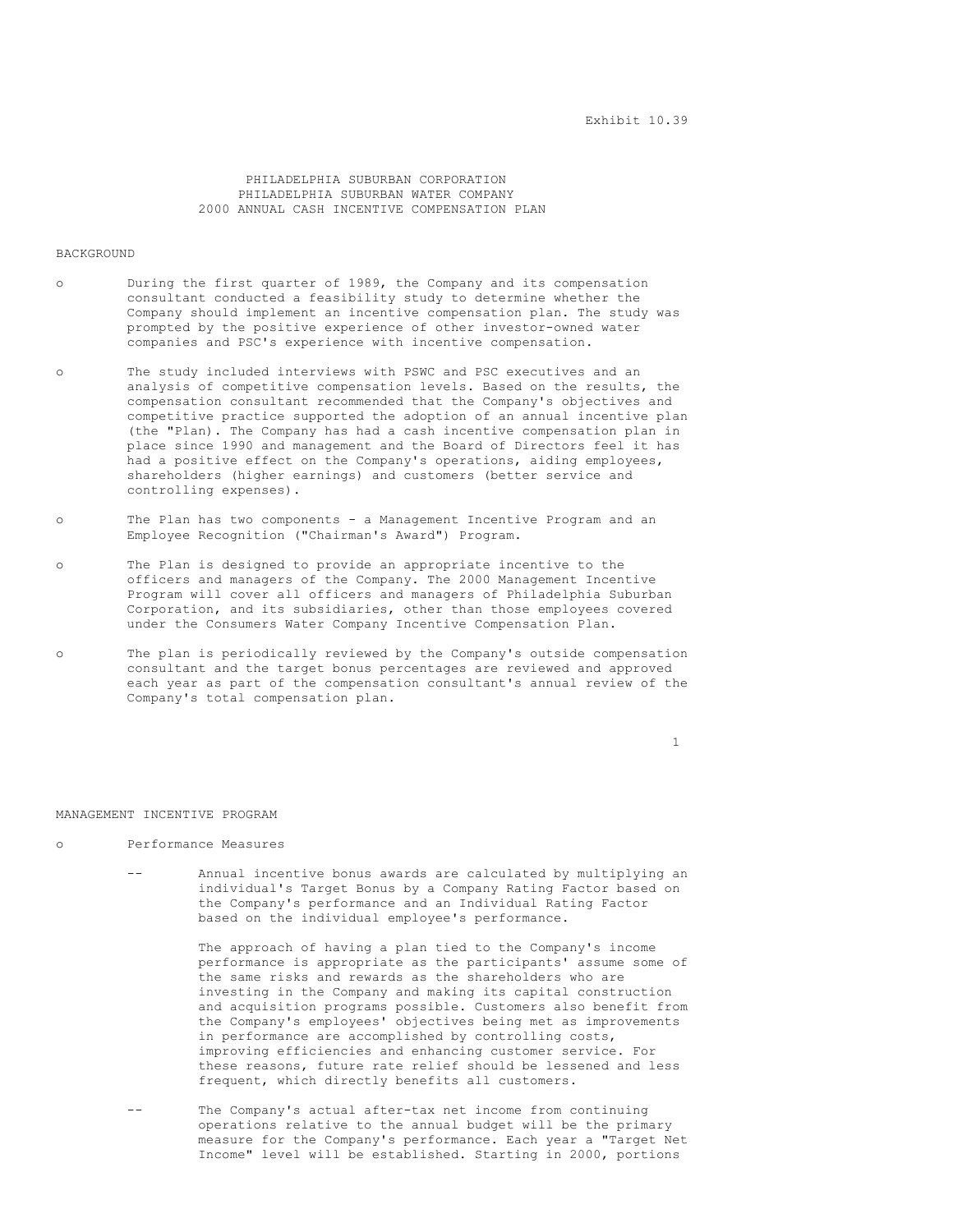## PHILADELPHIA SUBURBAN CORPORATION PHILADELPHIA SUBURBAN WATER COMPANY 2000 ANNUAL CASH INCENTIVE COMPENSATION PLAN

### BACKGROUND

- o During the first quarter of 1989, the Company and its compensation consultant conducted a feasibility study to determine whether the Company should implement an incentive compensation plan. The study was prompted by the positive experience of other investor-owned water companies and PSC's experience with incentive compensation.
- o The study included interviews with PSWC and PSC executives and an analysis of competitive compensation levels. Based on the results, the compensation consultant recommended that the Company's objectives and competitive practice supported the adoption of an annual incentive plan (the "Plan). The Company has had a cash incentive compensation plan in place since 1990 and management and the Board of Directors feel it has .<br>had a positive effect on the Company's operations, aiding employees, shareholders (higher earnings) and customers (better service and controlling expenses).
- o The Plan has two components a Management Incentive Program and an Employee Recognition ("Chairman's Award") Program.
- o The Plan is designed to provide an appropriate incentive to the officers and managers of the Company. The 2000 Management Incentive Program will cover all officers and managers of Philadelphia Suburban Corporation, and its subsidiaries, other than those employees covered under the Consumers Water Company Incentive Compensation Plan.
- o The plan is periodically reviewed by the Company's outside compensation consultant and the target bonus percentages are reviewed and approved each year as part of the compensation consultant's annual review of the Company's total compensation plan.

1

# MANAGEMENT INCENTIVE PROGRAM

### o Performance Measures

Annual incentive bonus awards are calculated by multiplying an individual's Target Bonus by a Company Rating Factor based on the Company's performance and an Individual Rating Factor based on the individual employee's performance.

> The approach of having a plan tied to the Company's income performance is appropriate as the participants' assume some of the same risks and rewards as the shareholders who are investing in the Company and making its capital construction and acquisition programs possible. Customers also benefit from the Company's employees' objectives being met as improvements in performance are accomplished by controlling costs, improving efficiencies and enhancing customer service. For these reasons, future rate relief should be lessened and less frequent, which directly benefits all customers.

-- The Company's actual after-tax net income from continuing operations relative to the annual budget will be the primary measure for the Company's performance. Each year a "Target Net Income" level will be established. Starting in 2000, portions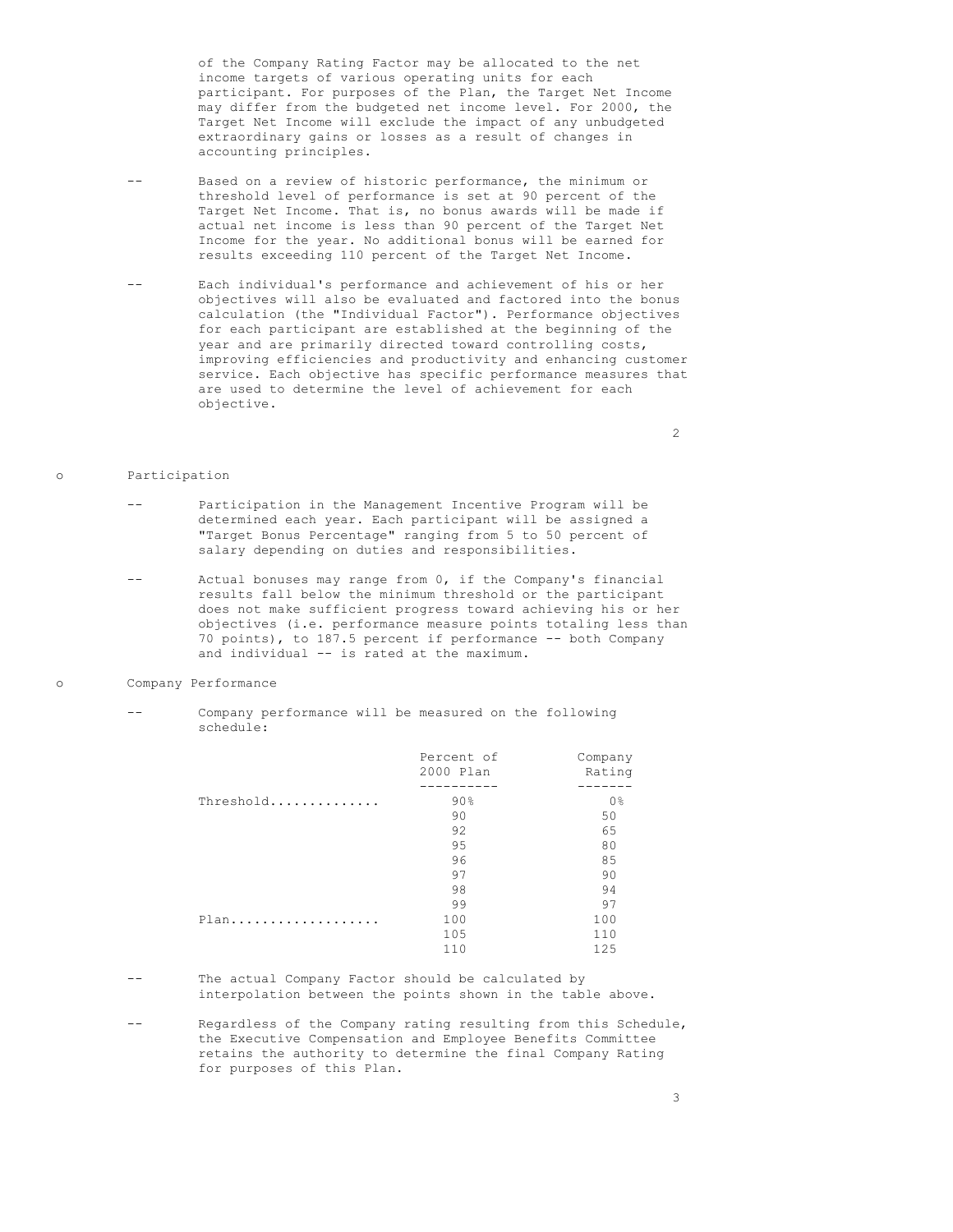of the Company Rating Factor may be allocated to the net income targets of various operating units for each participant. For purposes of the Plan, the Target Net Income may differ from the budgeted net income level. For 2000, the Target Net Income will exclude the impact of any unbudgeted extraordinary gains or losses as a result of changes in accounting principles.

- Based on a review of historic performance, the minimum or threshold level of performance is set at 90 percent of the Target Net Income. That is, no bonus awards will be made if actual net income is less than 90 percent of the Target Net Income for the year. No additional bonus will be earned for results exceeding 110 percent of the Target Net Income.
- -- Each individual's performance and achievement of his or her objectives will also be evaluated and factored into the bonus calculation (the "Individual Factor"). Performance objectives for each participant are established at the beginning of the year and are primarily directed toward controlling costs, improving efficiencies and productivity and enhancing customer service. Each objective has specific performance measures that are used to determine the level of achievement for each objective.

2

## o Participation

- -- Participation in the Management Incentive Program will be determined each year. Each participant will be assigned a "Target Bonus Percentage" ranging from 5 to 50 percent of salary depending on duties and responsibilities.
- -- Actual bonuses may range from 0, if the Company's financial results fall below the minimum threshold or the participant does not make sufficient progress toward achieving his or her objectives (i.e. performance measure points totaling less than 70 points), to 187.5 percent if performance -- both Company and individual -- is rated at the maximum.
- o Company Performance
	-
- Company performance will be measured on the following schedule:

|           | Percent of<br>2000 Plan | Company<br>Rating |
|-----------|-------------------------|-------------------|
|           |                         |                   |
| Threshold | $90\%$                  | 0 <sup>°</sup>    |
|           | 90                      | 50                |
|           | 92                      | 65                |
|           | 95                      | 80                |
|           | 96                      | 85                |
|           | 97                      | 90                |
|           | 98                      | 94                |
|           | 99                      | 97                |
| $Plan$    | 100                     | 100               |
|           | 105                     | 110               |
|           | 110                     | 125               |

- -- The actual Company Factor should be calculated by interpolation between the points shown in the table above.
- Regardless of the Company rating resulting from this Schedule, the Executive Compensation and Employee Benefits Committee retains the authority to determine the final Company Rating for purposes of this Plan.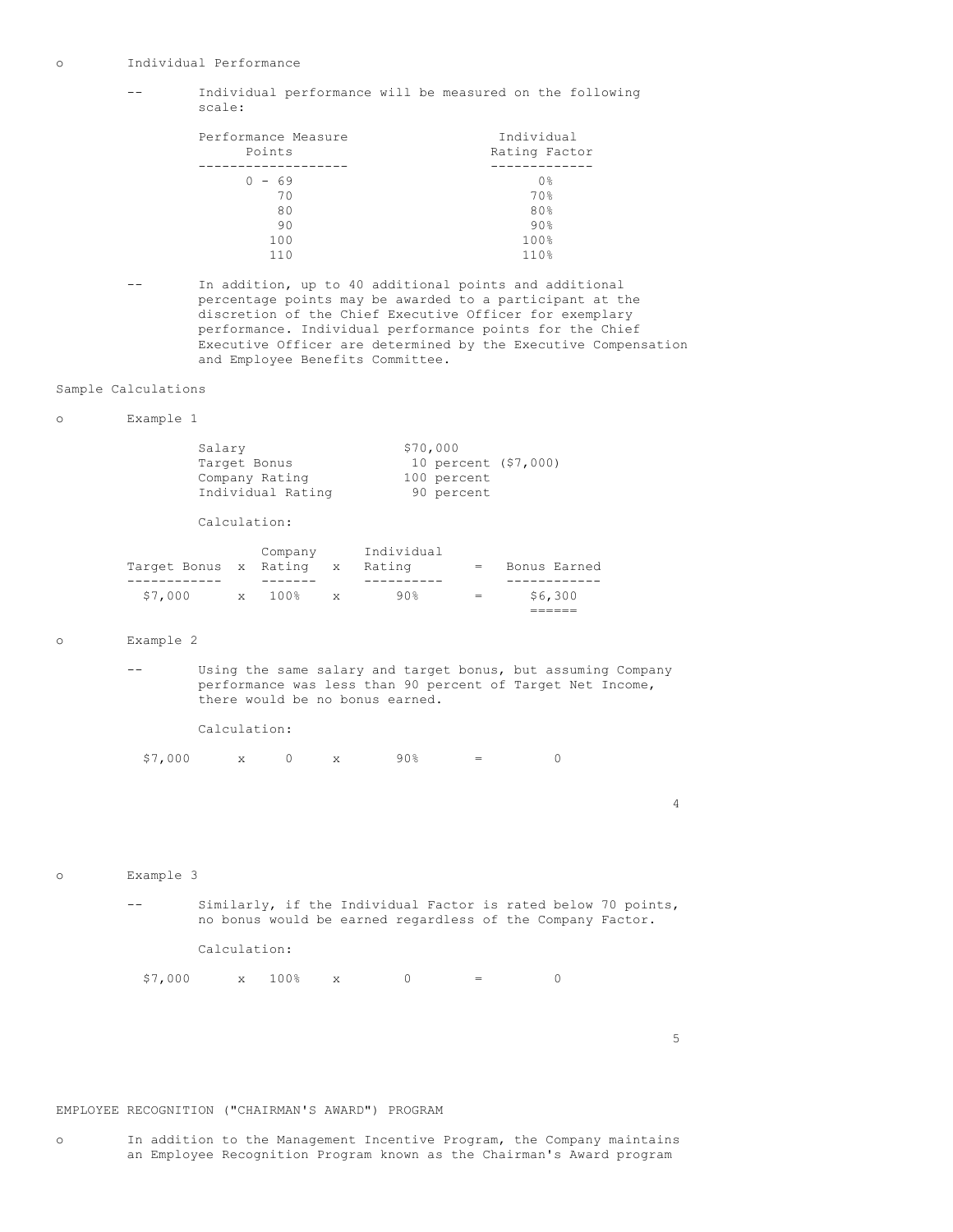## o Individual Performance

-- Individual performance will be measured on the following scale:

| Performance Measure<br>Points | Individual<br>Rating Factor |  |  |
|-------------------------------|-----------------------------|--|--|
|                               |                             |  |  |
| - 69                          | 0 <sup>°</sup>              |  |  |
| 70                            | 70%                         |  |  |
| 80                            | 80%                         |  |  |
| 90                            | 90%                         |  |  |
| 100                           | 100%                        |  |  |
| 110                           | 110%                        |  |  |

-- In addition, up to 40 additional points and additional percentage points may be awarded to a participant at the discretion of the Chief Executive Officer for exemplary performance. Individual performance points for the Chief Executive Officer are determined by the Executive Compensation and Employee Benefits Committee.

## Sample Calculations

o Example 1

| Salary            | \$70,000             |  |  |
|-------------------|----------------------|--|--|
| Target Bonus      | 10 percent (\$7,000) |  |  |
| Company Rating    | 100 percent          |  |  |
| Individual Rating | 90 percent           |  |  |

Calculation:

| Target Bonus x Rating | Company | $\mathbf{x}$ | Individual<br>Rating | $=$     | Bonus Earned |
|-----------------------|---------|--------------|----------------------|---------|--------------|
| \$7,000               | x 100%  | $\mathbf{x}$ | 90%                  | $=$ $-$ | \$6,300      |

# o Example 2

-- Using the same salary and target bonus, but assuming Company performance was less than 90 percent of Target Net Income, there would be no bonus earned.

Calculation:

 $$7,000$  x 0 x 90% = 0

4

# o Example 3

-- Similarly, if the Individual Factor is rated below 70 points, no bonus would be earned regardless of the Company Factor.

Calculation:

 $$7,000$  x 100% x 0 = 0

5

# EMPLOYEE RECOGNITION ("CHAIRMAN'S AWARD") PROGRAM

o In addition to the Management Incentive Program, the Company maintains an Employee Recognition Program known as the Chairman's Award program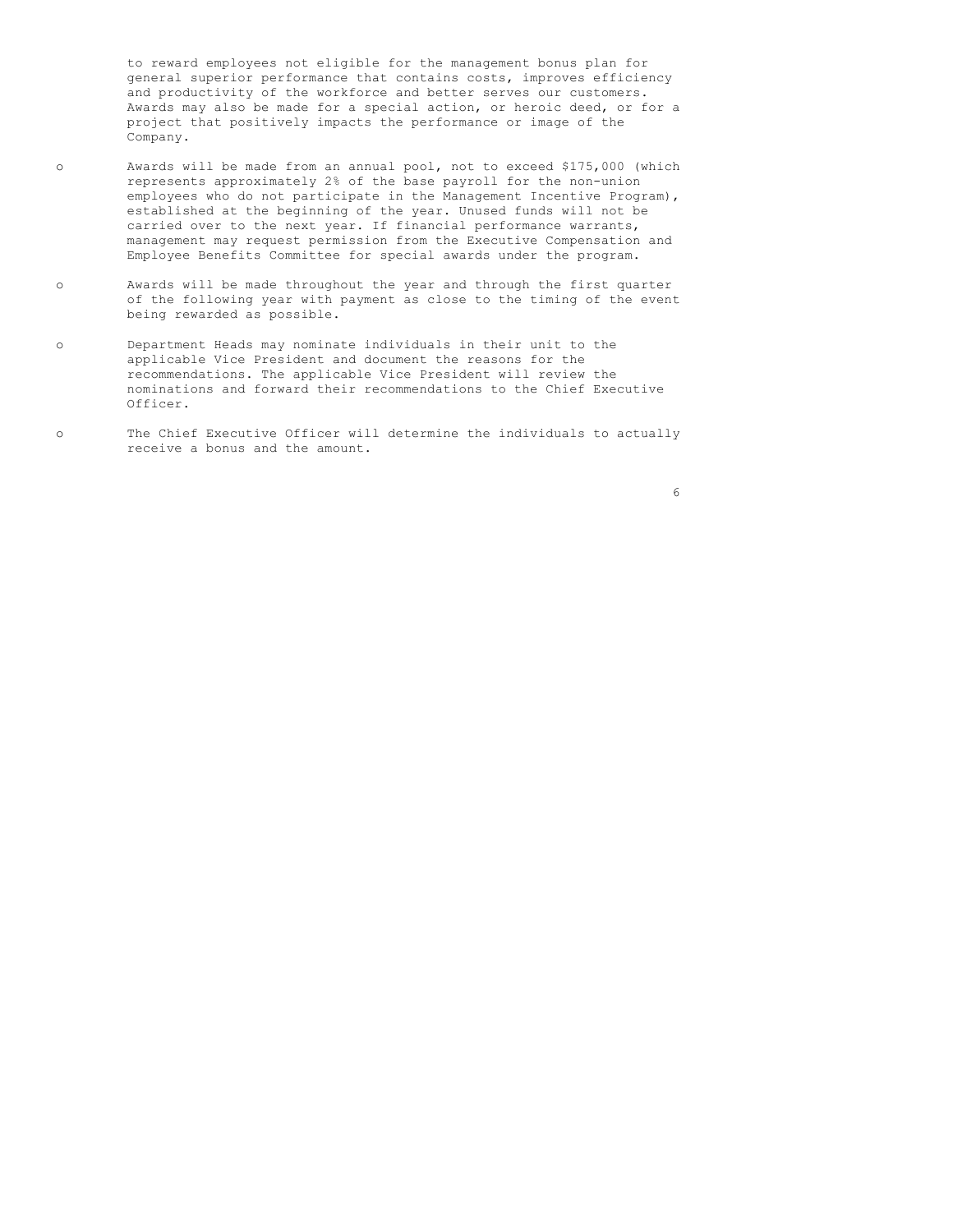to reward employees not eligible for the management bonus plan for general superior performance that contains costs, improves efficiency and productivity of the workforce and better serves our customers. Awards may also be made for a special action, or heroic deed, or for a project that positively impacts the performance or image of the Company.

- o Awards will be made from an annual pool, not to exceed \$175,000 (which represents approximately 2% of the base payroll for the non-union employees who do not participate in the Management Incentive Program), established at the beginning of the year. Unused funds will not be carried over to the next year. If financial performance warrants, management may request permission from the Executive Compensation and Employee Benefits Committee for special awards under the program.
- o Awards will be made throughout the year and through the first quarter of the following year with payment as close to the timing of the event being rewarded as possible.
- o Department Heads may nominate individuals in their unit to the applicable Vice President and document the reasons for the recommendations. The applicable Vice President will review the nominations and forward their recommendations to the Chief Executive Officer.
- o The Chief Executive Officer will determine the individuals to actually receive a bonus and the amount.

6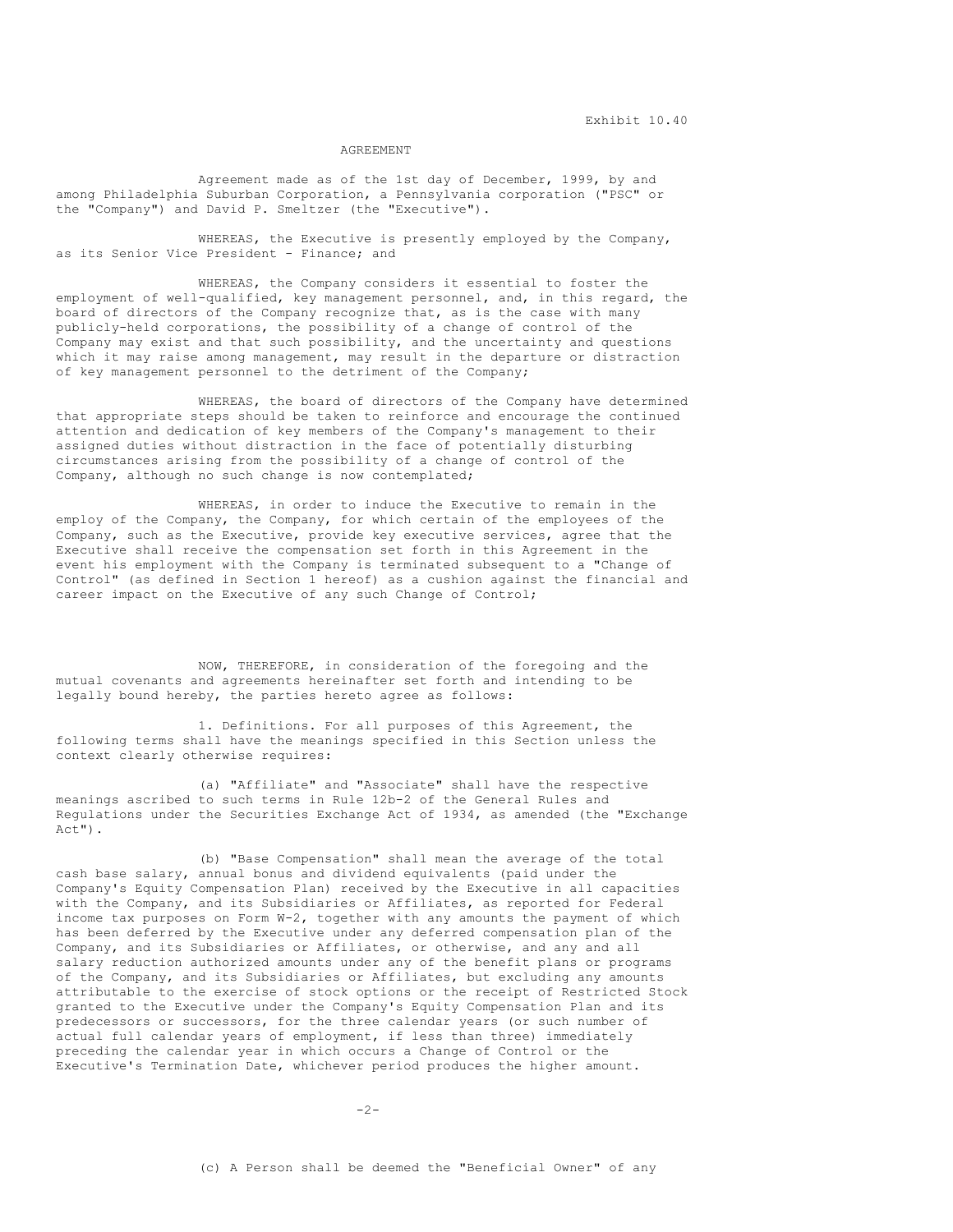#### AGREEMENT

Agreement made as of the 1st day of December, 1999, by and among Philadelphia Suburban Corporation, a Pennsylvania corporation ("PSC" or the "Company") and David P. Smeltzer (the "Executive").

WHEREAS, the Executive is presently employed by the Company, as its Senior Vice President - Finance; and

WHEREAS, the Company considers it essential to foster the employment of well-qualified, key management personnel, and, in this regard, the board of directors of the Company recognize that, as is the case with many publicly-held corporations, the possibility of a change of control of the Company may exist and that such possibility, and the uncertainty and questions which it may raise among management, may result in the departure or distraction of key management personnel to the detriment of the Company;

WHEREAS, the board of directors of the Company have determined that appropriate steps should be taken to reinforce and encourage the continued attention and dedication of key members of the Company's management to their assigned duties without distraction in the face of potentially disturbing circumstances arising from the possibility of a change of control of the Company, although no such change is now contemplated;

WHEREAS, in order to induce the Executive to remain in the employ of the Company, the Company, for which certain of the employees of the Company, such as the Executive, provide key executive services, agree that the Executive shall receive the compensation set forth in this Agreement in the event his employment with the Company is terminated subsequent to a "Change of Control" (as defined in Section 1 hereof) as a cushion against the financial and career impact on the Executive of any such Change of Control;

NOW, THEREFORE, in consideration of the foregoing and the mutual covenants and agreements hereinafter set forth and intending to be legally bound hereby, the parties hereto agree as follows:

1. Definitions. For all purposes of this Agreement, the following terms shall have the meanings specified in this Section unless the context clearly otherwise requires:

(a) "Affiliate" and "Associate" shall have the respective meanings ascribed to such terms in Rule 12b-2 of the General Rules and Regulations under the Securities Exchange Act of 1934, as amended (the "Exchange Act").

(b) "Base Compensation" shall mean the average of the total cash base salary, annual bonus and dividend equivalents (paid under the Company's Equity Compensation Plan) received by the Executive in all capacities with the Company, and its Subsidiaries or Affiliates, as reported for Federal income tax purposes on Form W-2, together with any amounts the payment of which has been deferred by the Executive under any deferred compensation plan of the Company, and its Subsidiaries or Affiliates, or otherwise, and any and all salary reduction authorized amounts under any of the benefit plans or programs of the Company, and its Subsidiaries or Affiliates, but excluding any amounts attributable to the exercise of stock options or the receipt of Restricted Stock granted to the Executive under the Company's Equity Compensation Plan and its predecessors or successors, for the three calendar years (or such number of actual full calendar years of employment, if less than three) immediately preceding the calendar year in which occurs a Change of Control or the Executive's Termination Date, whichever period produces the higher amount.

 $-2-$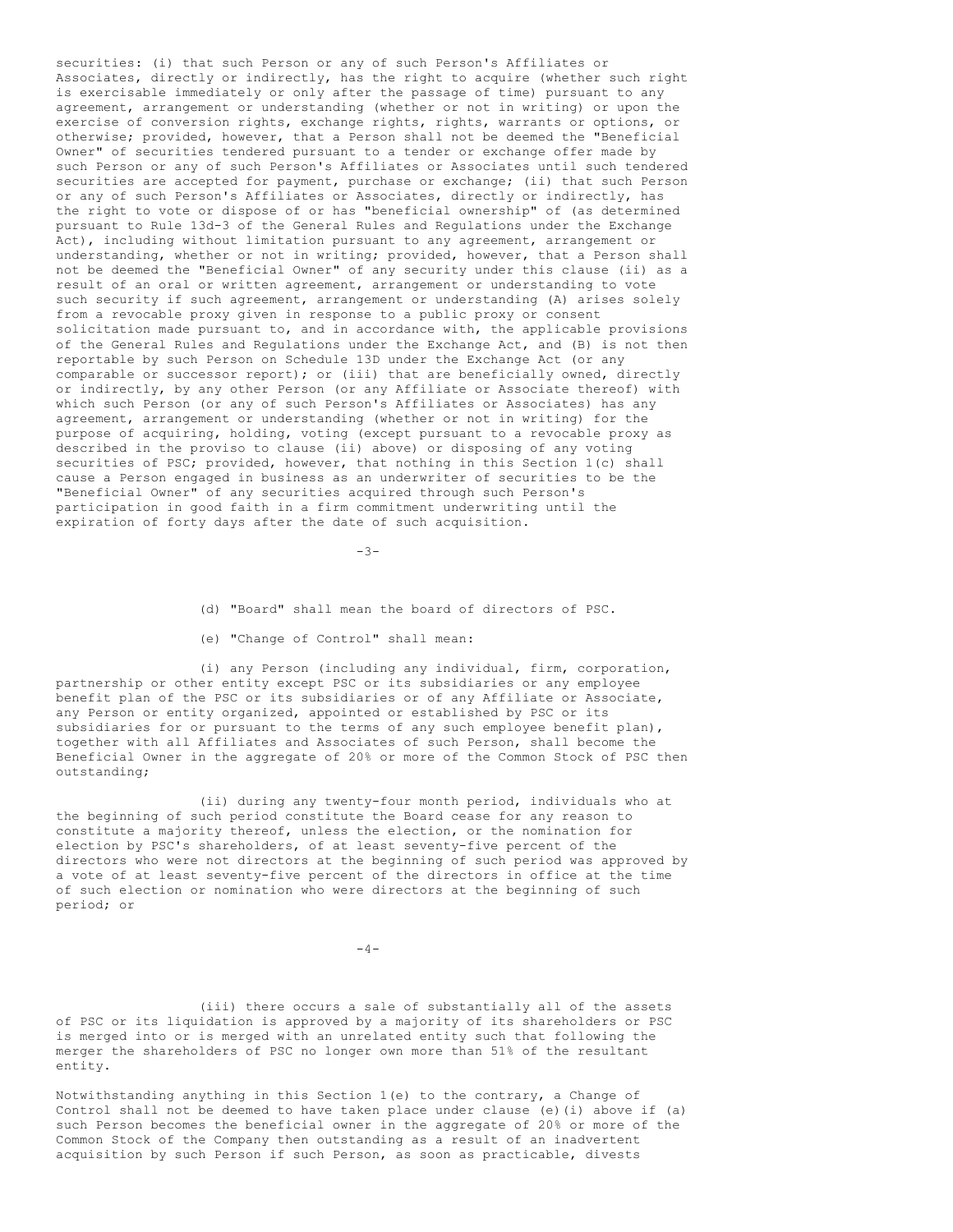securities: (i) that such Person or any of such Person's Affiliates or Associates, directly or indirectly, has the right to acquire (whether such right is exercisable immediately or only after the passage of time) pursuant to any agreement, arrangement or understanding (whether or not in writing) or upon the exercise of conversion rights, exchange rights, rights, warrants or options, or otherwise; provided, however, that a Person shall not be deemed the "Beneficial Owner" of securities tendered pursuant to a tender or exchange offer made by such Person or any of such Person's Affiliates or Associates until such tendered securities are accepted for payment, purchase or exchange; (ii) that such Person or any of such Person's Affiliates or Associates, directly or indirectly, has the right to vote or dispose of or has "beneficial ownership" of (as determined pursuant to Rule 13d-3 of the General Rules and Regulations under the Exchange Act), including without limitation pursuant to any agreement, arrangement or understanding, whether or not in writing; provided, however, that a Person shall not be deemed the "Beneficial Owner" of any security under this clause (ii) as a result of an oral or written agreement, arrangement or understanding to vote such security if such agreement, arrangement or understanding (A) arises solely from a revocable proxy given in response to a public proxy or consent solicitation made pursuant to, and in accordance with, the applicable provisions of the General Rules and Regulations under the Exchange Act, and (B) is not then reportable by such Person on Schedule 13D under the Exchange Act (or any comparable or successor report); or (iii) that are beneficially owned, directly or indirectly, by any other Person (or any Affiliate or Associate thereof) with which such Person (or any of such Person's Affiliates or Associates) has any agreement, arrangement or understanding (whether or not in writing) for the purpose of acquiring, holding, voting (except pursuant to a revocable proxy as described in the proviso to clause (ii) above) or disposing of any voting securities of PSC; provided, however, that nothing in this Section 1(c) shall cause a Person engaged in business as an underwriter of securities to be the "Beneficial Owner" of any securities acquired through such Person's participation in good faith in a firm commitment underwriting until the expiration of forty days after the date of such acquisition.

-3-

(d) "Board" shall mean the board of directors of PSC.

(e) "Change of Control" shall mean:

(i) any Person (including any individual, firm, corporation, partnership or other entity except PSC or its subsidiaries or any employee benefit plan of the PSC or its subsidiaries or of any Affiliate or Associate, any Person or entity organized, appointed or established by PSC or its subsidiaries for or pursuant to the terms of any such employee benefit plan), together with all Affiliates and Associates of such Person, shall become the Beneficial Owner in the aggregate of 20% or more of the Common Stock of PSC then outstanding;

(ii) during any twenty-four month period, individuals who at the beginning of such period constitute the Board cease for any reason to constitute a majority thereof, unless the election, or the nomination for election by PSC's shareholders, of at least seventy-five percent of the directors who were not directors at the beginning of such period was approved by a vote of at least seventy-five percent of the directors in office at the time of such election or nomination who were directors at the beginning of such period; or

 $-4-$ 

(iii) there occurs a sale of substantially all of the assets of PSC or its liquidation is approved by a majority of its shareholders or PSC is merged into or is merged with an unrelated entity such that following the merger the shareholders of PSC no longer own more than 51% of the resultant entity.

Notwithstanding anything in this Section 1(e) to the contrary, a Change of Control shall not be deemed to have taken place under clause (e)(i) above if (a) such Person becomes the beneficial owner in the aggregate of 20% or more of the Common Stock of the Company then outstanding as a result of an inadvertent acquisition by such Person if such Person, as soon as practicable, divests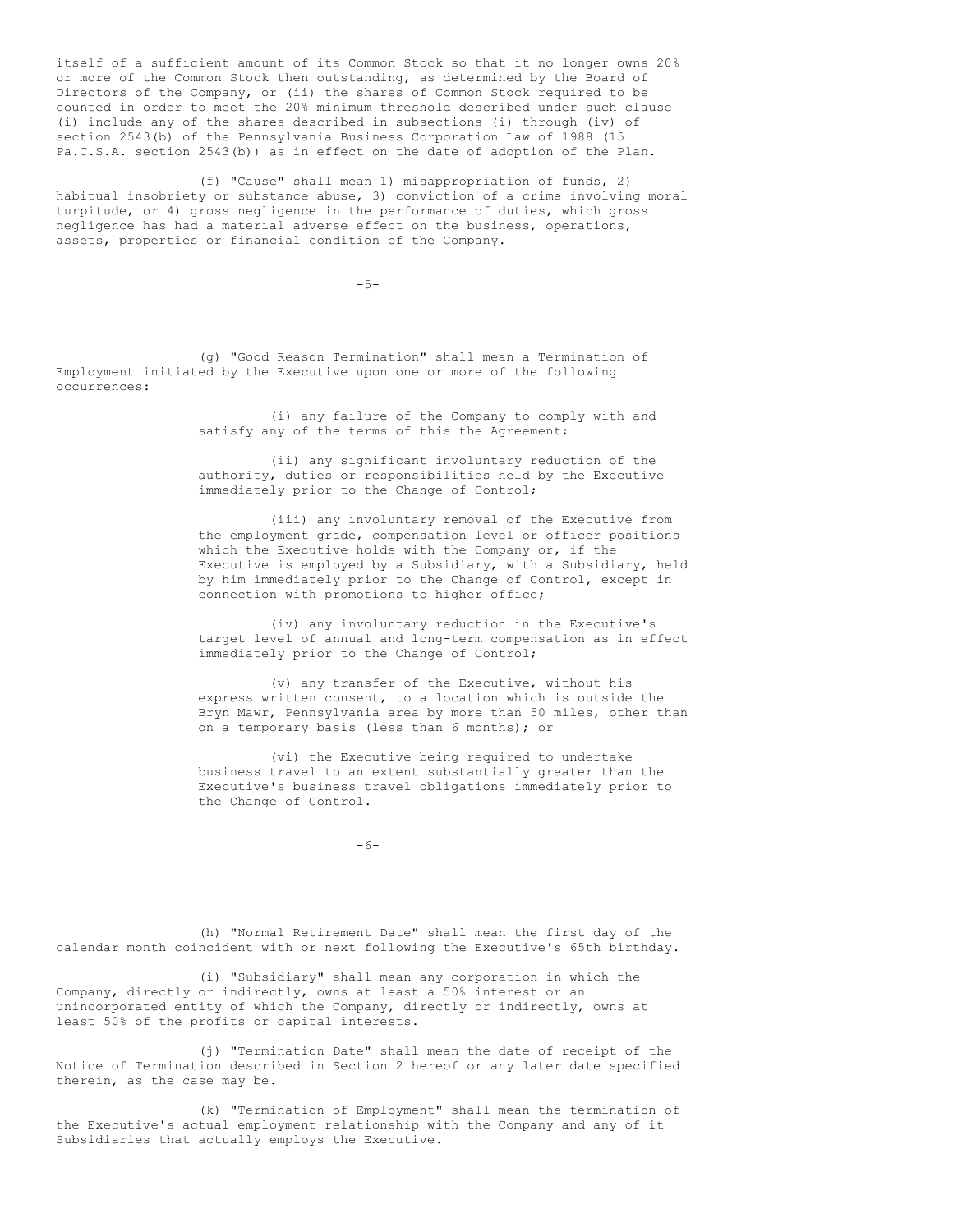itself of a sufficient amount of its Common Stock so that it no longer owns 20% or more of the Common Stock then outstanding, as determined by the Board of Directors of the Company, or (ii) the shares of Common Stock required to be counted in order to meet the 20% minimum threshold described under such clause (i) include any of the shares described in subsections (i) through (iv) of section 2543(b) of the Pennsylvania Business Corporation Law of 1988 (15 Pa.C.S.A. section 2543(b)) as in effect on the date of adoption of the Plan.

(f) "Cause" shall mean 1) misappropriation of funds, 2) habitual insobriety or substance abuse, 3) conviction of a crime involving moral turpitude, or 4) gross negligence in the performance of duties, which gross negligence has had a material adverse effect on the business, operations, assets, properties or financial condition of the Company.

-5-

(g) "Good Reason Termination" shall mean a Termination of Employment initiated by the Executive upon one or more of the following occurrences:

> (i) any failure of the Company to comply with and satisfy any of the terms of this the Agreement;

(ii) any significant involuntary reduction of the authority, duties or responsibilities held by the Executive immediately prior to the Change of Control;

(iii) any involuntary removal of the Executive from the employment grade, compensation level or officer positions which the Executive holds with the Company or, if the Executive is employed by a Subsidiary, with a Subsidiary, held by him immediately prior to the Change of Control, except in connection with promotions to higher office;

(iv) any involuntary reduction in the Executive's target level of annual and long-term compensation as in effect immediately prior to the Change of Control;

(v) any transfer of the Executive, without his express written consent, to a location which is outside the Bryn Mawr, Pennsylvania area by more than 50 miles, other than on a temporary basis (less than 6 months); or

(vi) the Executive being required to undertake business travel to an extent substantially greater than the Executive's business travel obligations immediately prior to the Change of Control.

 $-6-$ 

(h) "Normal Retirement Date" shall mean the first day of the calendar month coincident with or next following the Executive's 65th birthday.

(i) "Subsidiary" shall mean any corporation in which the Company, directly or indirectly, owns at least a 50% interest or an unincorporated entity of which the Company, directly or indirectly, owns at least 50% of the profits or capital interests.

(j) "Termination Date" shall mean the date of receipt of the Notice of Termination described in Section 2 hereof or any later date specified therein, as the case may be.

(k) "Termination of Employment" shall mean the termination of the Executive's actual employment relationship with the Company and any of it Subsidiaries that actually employs the Executive.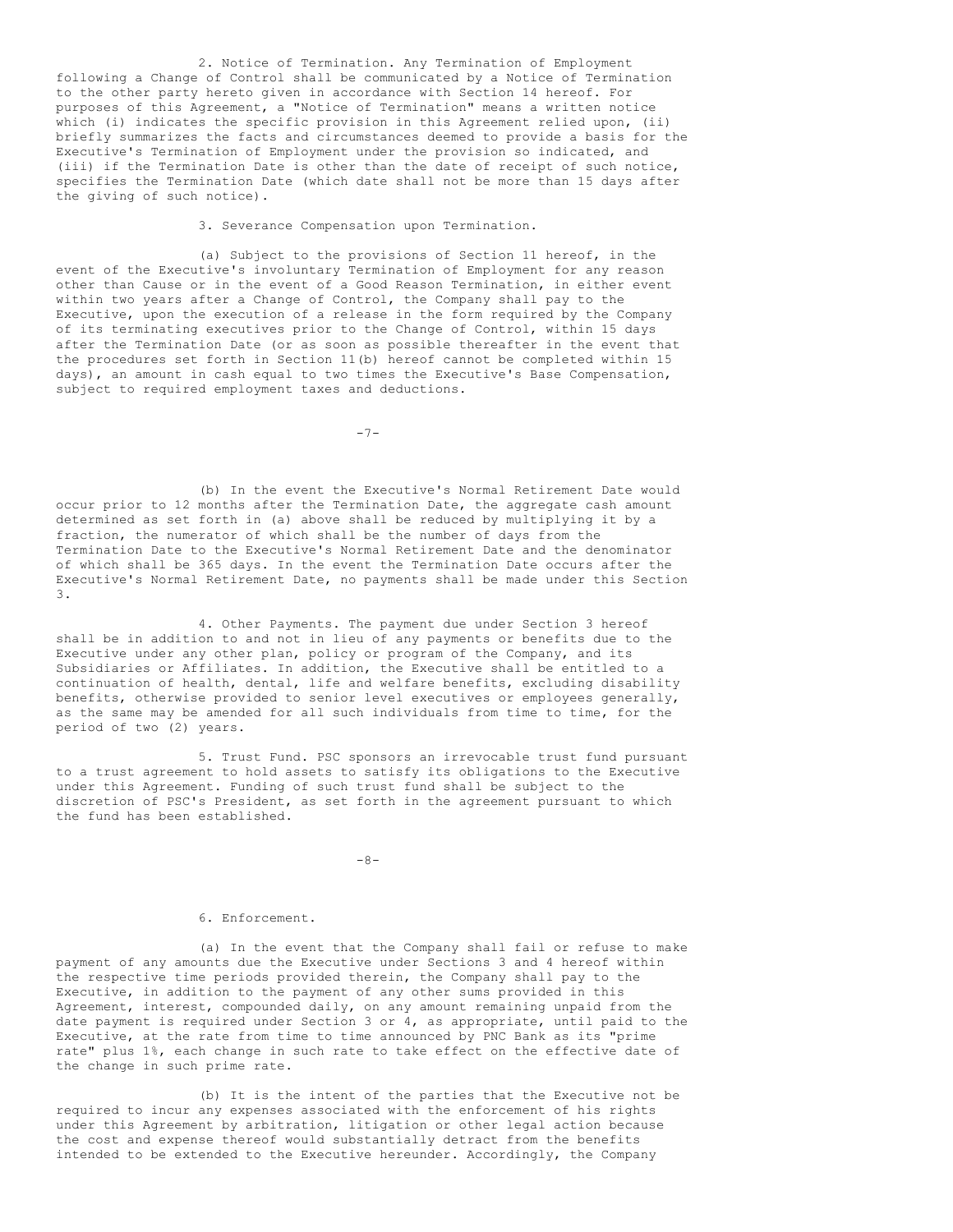2. Notice of Termination. Any Termination of Employment following a Change of Control shall be communicated by a Notice of Termination to the other party hereto given in accordance with Section 14 hereof. For purposes of this Agreement, a "Notice of Termination" means a written notice which (i) indicates the specific provision in this Agreement relied upon, (ii) briefly summarizes the facts and circumstances deemed to provide a basis for the Executive's Termination of Employment under the provision so indicated, and (iii) if the Termination Date is other than the date of receipt of such notice, specifies the Termination Date (which date shall not be more than 15 days after the giving of such notice).

3. Severance Compensation upon Termination.

(a) Subject to the provisions of Section 11 hereof, in the event of the Executive's involuntary Termination of Employment for any reason other than Cause or in the event of a Good Reason Termination, in either event within two years after a Change of Control, the Company shall pay to the Executive, upon the execution of a release in the form required by the Company of its terminating executives prior to the Change of Control, within 15 days after the Termination Date (or as soon as possible thereafter in the event that the procedures set forth in Section 11(b) hereof cannot be completed within 15 days), an amount in cash equal to two times the Executive's Base Compensation, subject to required employment taxes and deductions.

 $-7-$ 

(b) In the event the Executive's Normal Retirement Date would occur prior to 12 months after the Termination Date, the aggregate cash amount determined as set forth in (a) above shall be reduced by multiplying it by a fraction, the numerator of which shall be the number of days from the Termination Date to the Executive's Normal Retirement Date and the denominator of which shall be 365 days. In the event the Termination Date occurs after the Executive's Normal Retirement Date, no payments shall be made under this Section 3.

4. Other Payments. The payment due under Section 3 hereof shall be in addition to and not in lieu of any payments or benefits due to the Executive under any other plan, policy or program of the Company, and its Subsidiaries or Affiliates. In addition, the Executive shall be entitled to a continuation of health, dental, life and welfare benefits, excluding disability benefits, otherwise provided to senior level executives or employees generally, as the same may be amended for all such individuals from time to time, for the period of two (2) years.

5. Trust Fund. PSC sponsors an irrevocable trust fund pursuant to a trust agreement to hold assets to satisfy its obligations to the Executive under this Agreement. Funding of such trust fund shall be subject to the discretion of PSC's President, as set forth in the agreement pursuant to which the fund has been established.

 $-8-$ 

## 6. Enforcement.

(a) In the event that the Company shall fail or refuse to make payment of any amounts due the Executive under Sections 3 and 4 hereof within the respective time periods provided therein, the Company shall pay to the Executive, in addition to the payment of any other sums provided in this Agreement, interest, compounded daily, on any amount remaining unpaid from the date payment is required under Section 3 or 4, as appropriate, until paid to the Executive, at the rate from time to time announced by PNC Bank as its "prime rate" plus 1%, each change in such rate to take effect on the effective date of the change in such prime rate.

(b) It is the intent of the parties that the Executive not be required to incur any expenses associated with the enforcement of his rights under this Agreement by arbitration, litigation or other legal action because the cost and expense thereof would substantially detract from the benefits intended to be extended to the Executive hereunder. Accordingly, the Company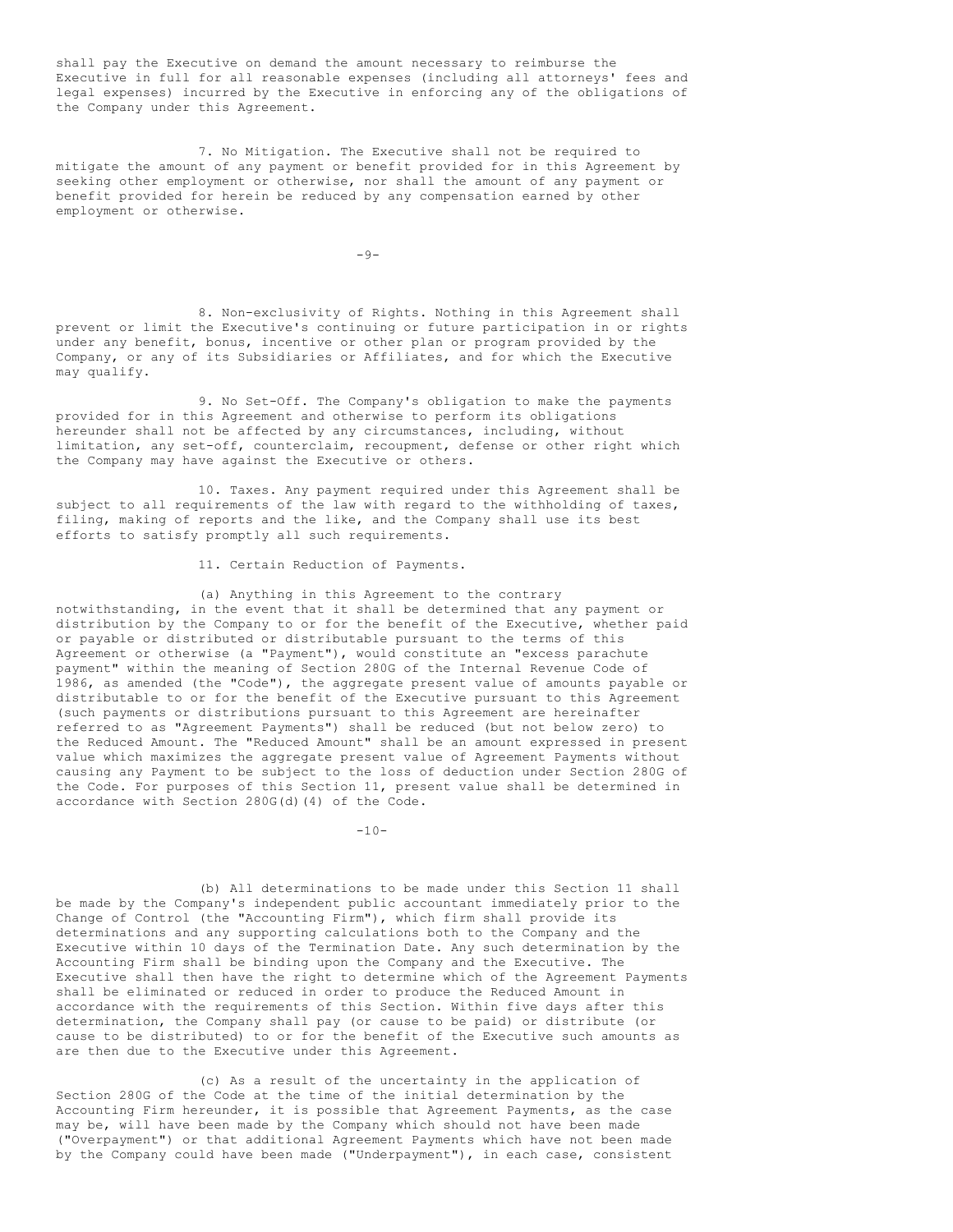shall pay the Executive on demand the amount necessary to reimburse the Executive in full for all reasonable expenses (including all attorneys' fees and legal expenses) incurred by the Executive in enforcing any of the obligations of the Company under this Agreement.

7. No Mitigation. The Executive shall not be required to mitigate the amount of any payment or benefit provided for in this Agreement by seeking other employment or otherwise, nor shall the amount of any payment or benefit provided for herein be reduced by any compensation earned by other employment or otherwise.

 $-9-$ 

8. Non-exclusivity of Rights. Nothing in this Agreement shall prevent or limit the Executive's continuing or future participation in or rights under any benefit, bonus, incentive or other plan or program provided by the Company, or any of its Subsidiaries or Affiliates, and for which the Executive may qualify.

9. No Set-Off. The Company's obligation to make the payments provided for in this Agreement and otherwise to perform its obligations hereunder shall not be affected by any circumstances, including, without limitation, any set-off, counterclaim, recoupment, defense or other right which the Company may have against the Executive or others.

10. Taxes. Any payment required under this Agreement shall be subject to all requirements of the law with regard to the withholding of taxes, filing, making of reports and the like, and the Company shall use its best efforts to satisfy promptly all such requirements.

11. Certain Reduction of Payments.

(a) Anything in this Agreement to the contrary notwithstanding, in the event that it shall be determined that any payment or distribution by the Company to or for the benefit of the Executive, whether paid or payable or distributed or distributable pursuant to the terms of this Agreement or otherwise (a "Payment"), would constitute an "excess parachute payment" within the meaning of Section 280G of the Internal Revenue Code of 1986, as amended (the "Code"), the aggregate present value of amounts payable or distributable to or for the benefit of the Executive pursuant to this Agreement (such payments or distributions pursuant to this Agreement are hereinafter referred to as "Agreement Payments") shall be reduced (but not below zero) to the Reduced Amount. The "Reduced Amount" shall be an amount expressed in present value which maximizes the aggregate present value of Agreement Payments without causing any Payment to be subject to the loss of deduction under Section 280G of the Code. For purposes of this Section 11, present value shall be determined in accordance with Section 280G(d)(4) of the Code.

 $-10-$ 

(b) All determinations to be made under this Section 11 shall be made by the Company's independent public accountant immediately prior to the Change of Control (the "Accounting Firm"), which firm shall provide its determinations and any supporting calculations both to the Company and the Executive within 10 days of the Termination Date. Any such determination by the Accounting Firm shall be binding upon the Company and the Executive. The Executive shall then have the right to determine which of the Agreement Payments shall be eliminated or reduced in order to produce the Reduced Amount in accordance with the requirements of this Section. Within five days after this determination, the Company shall pay (or cause to be paid) or distribute (or cause to be distributed) to or for the benefit of the Executive such amounts as are then due to the Executive under this Agreement.

(c) As a result of the uncertainty in the application of Section 280G of the Code at the time of the initial determination by the Accounting Firm hereunder, it is possible that Agreement Payments, as the case may be, will have been made by the Company which should not have been made ("Overpayment") or that additional Agreement Payments which have not been made by the Company could have been made ("Underpayment"), in each case, consistent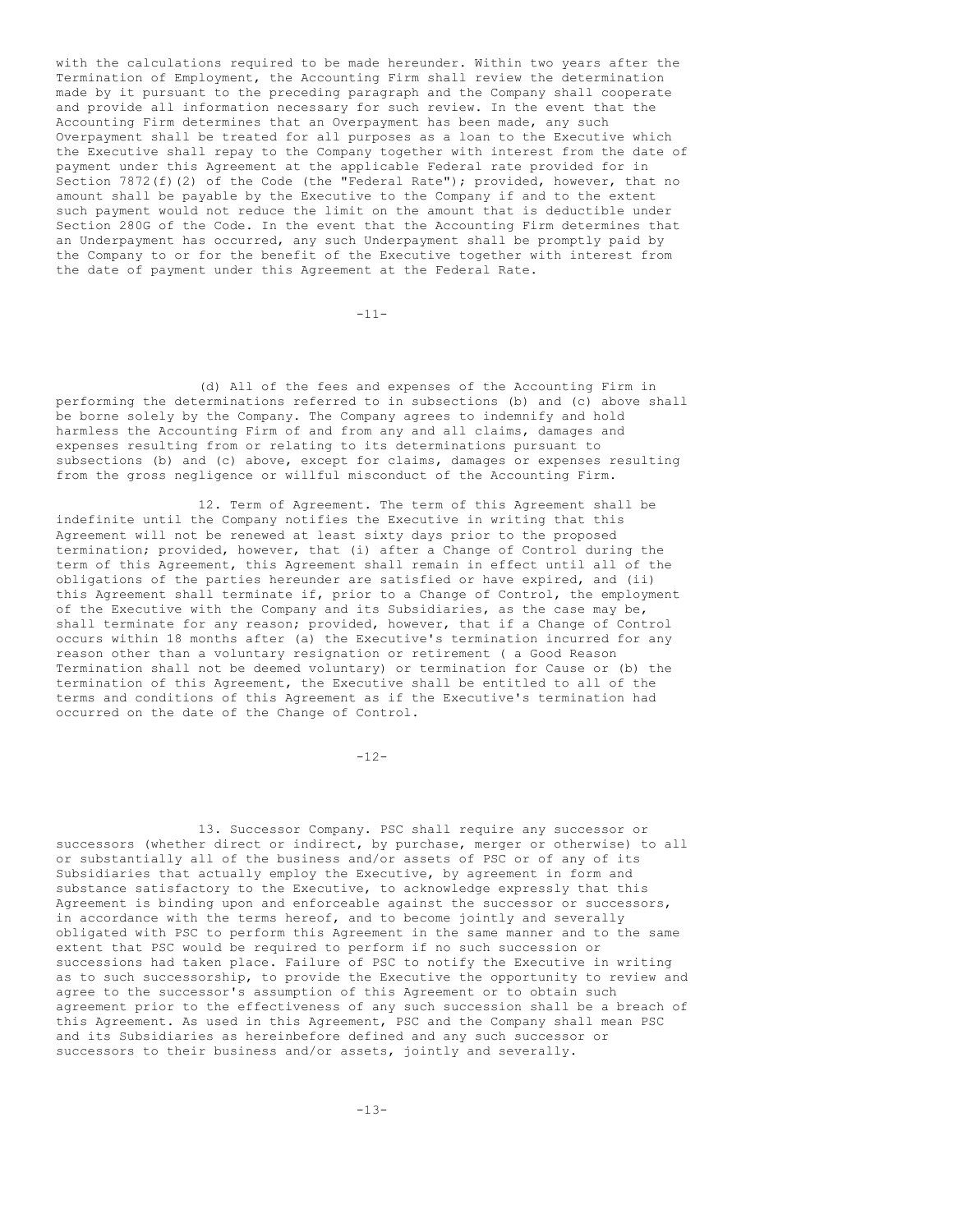with the calculations required to be made hereunder. Within two years after the Termination of Employment, the Accounting Firm shall review the determination made by it pursuant to the preceding paragraph and the Company shall cooperate and provide all information necessary for such review. In the event that the Accounting Firm determines that an Overpayment has been made, any such Overpayment shall be treated for all purposes as a loan to the Executive which the Executive shall repay to the Company together with interest from the date of payment under this Agreement at the applicable Federal rate provided for in Section 7872(f)(2) of the Code (the "Federal Rate"); provided, however, that no amount shall be payable by the Executive to the Company if and to the extent such payment would not reduce the limit on the amount that is deductible under Section 280G of the Code. In the event that the Accounting Firm determines that an Underpayment has occurred, any such Underpayment shall be promptly paid by the Company to or for the benefit of the Executive together with interest from the date of payment under this Agreement at the Federal Rate.

 $-11-$ 

(d) All of the fees and expenses of the Accounting Firm in performing the determinations referred to in subsections (b) and (c) above shall be borne solely by the Company. The Company agrees to indemnify and hold harmless the Accounting Firm of and from any and all claims, damages and expenses resulting from or relating to its determinations pursuant to subsections (b) and (c) above, except for claims, damages or expenses resulting from the gross negligence or willful misconduct of the Accounting Firm.

12. Term of Agreement. The term of this Agreement shall be indefinite until the Company notifies the Executive in writing that this Agreement will not be renewed at least sixty days prior to the proposed termination; provided, however, that (i) after a Change of Control during the term of this Agreement, this Agreement shall remain in effect until all of the obligations of the parties hereunder are satisfied or have expired, and (ii) this Agreement shall terminate if, prior to a Change of Control, the employment of the Executive with the Company and its Subsidiaries, as the case may be, shall terminate for any reason; provided, however, that if a Change of Control occurs within 18 months after (a) the Executive's termination incurred for any reason other than a voluntary resignation or retirement ( a Good Reason Termination shall not be deemed voluntary) or termination for Cause or (b) the termination of this Agreement, the Executive shall be entitled to all of the terms and conditions of this Agreement as if the Executive's termination had occurred on the date of the Change of Control.

 $-12-$ 

13. Successor Company. PSC shall require any successor or successors (whether direct or indirect, by purchase, merger or otherwise) to all or substantially all of the business and/or assets of PSC or of any of its Subsidiaries that actually employ the Executive, by agreement in form and substance satisfactory to the Executive, to acknowledge expressly that this Agreement is binding upon and enforceable against the successor or successors, in accordance with the terms hereof, and to become jointly and severally obligated with PSC to perform this Agreement in the same manner and to the same extent that PSC would be required to perform if no such succession or successions had taken place. Failure of PSC to notify the Executive in writing as to such successorship, to provide the Executive the opportunity to review and agree to the successor's assumption of this Agreement or to obtain such agreement prior to the effectiveness of any such succession shall be a breach of this Agreement. As used in this Agreement, PSC and the Company shall mean PSC and its Subsidiaries as hereinbefore defined and any such successor or successors to their business and/or assets, jointly and severally.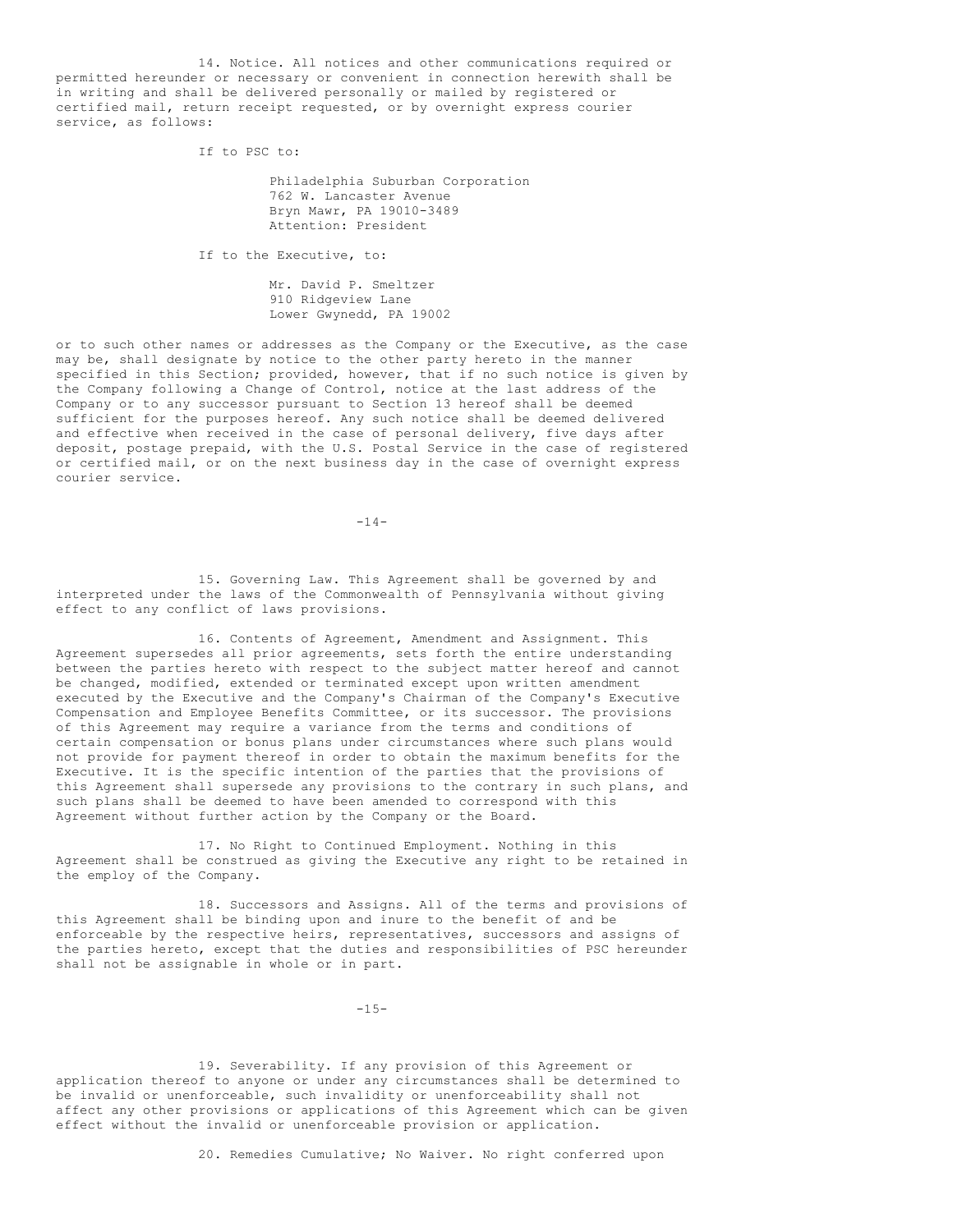14. Notice. All notices and other communications required or permitted hereunder or necessary or convenient in connection herewith shall be in writing and shall be delivered personally or mailed by registered or certified mail, return receipt requested, or by overnight express courier service, as follows:

If to PSC to:

Philadelphia Suburban Corporation 762 W. Lancaster Avenue Bryn Mawr, PA 19010-3489 Attention: President

If to the Executive, to:

Mr. David P. Smeltzer 910 Ridgeview Lane Lower Gwynedd, PA 19002

or to such other names or addresses as the Company or the Executive, as the case may be, shall designate by notice to the other party hereto in the manner specified in this Section; provided, however, that if no such notice is given by the Company following a Change of Control, notice at the last address of the Company or to any successor pursuant to Section 13 hereof shall be deemed sufficient for the purposes hereof. Any such notice shall be deemed delivered and effective when received in the case of personal delivery, five days after deposit, postage prepaid, with the U.S. Postal Service in the case of registered or certified mail, or on the next business day in the case of overnight express courier service.

 $-14-$ 

15. Governing Law. This Agreement shall be governed by and interpreted under the laws of the Commonwealth of Pennsylvania without giving effect to any conflict of laws provisions.

16. Contents of Agreement, Amendment and Assignment. This Agreement supersedes all prior agreements, sets forth the entire understanding between the parties hereto with respect to the subject matter hereof and cannot be changed, modified, extended or terminated except upon written amendment executed by the Executive and the Company's Chairman of the Company's Executive Compensation and Employee Benefits Committee, or its successor. The provisions of this Agreement may require a variance from the terms and conditions of certain compensation or bonus plans under circumstances where such plans would not provide for payment thereof in order to obtain the maximum benefits for the Executive. It is the specific intention of the parties that the provisions of this Agreement shall supersede any provisions to the contrary in such plans, and such plans shall be deemed to have been amended to correspond with this Agreement without further action by the Company or the Board.

17. No Right to Continued Employment. Nothing in this Agreement shall be construed as giving the Executive any right to be retained in the employ of the Company.

18. Successors and Assigns. All of the terms and provisions of this Agreement shall be binding upon and inure to the benefit of and be enforceable by the respective heirs, representatives, successors and assigns of the parties hereto, except that the duties and responsibilities of PSC hereunder shall not be assignable in whole or in part.

 $-15-$ 

19. Severability. If any provision of this Agreement or application thereof to anyone or under any circumstances shall be determined to be invalid or unenforceable, such invalidity or unenforceability shall not affect any other provisions or applications of this Agreement which can be given effect without the invalid or unenforceable provision or application.

20. Remedies Cumulative; No Waiver. No right conferred upon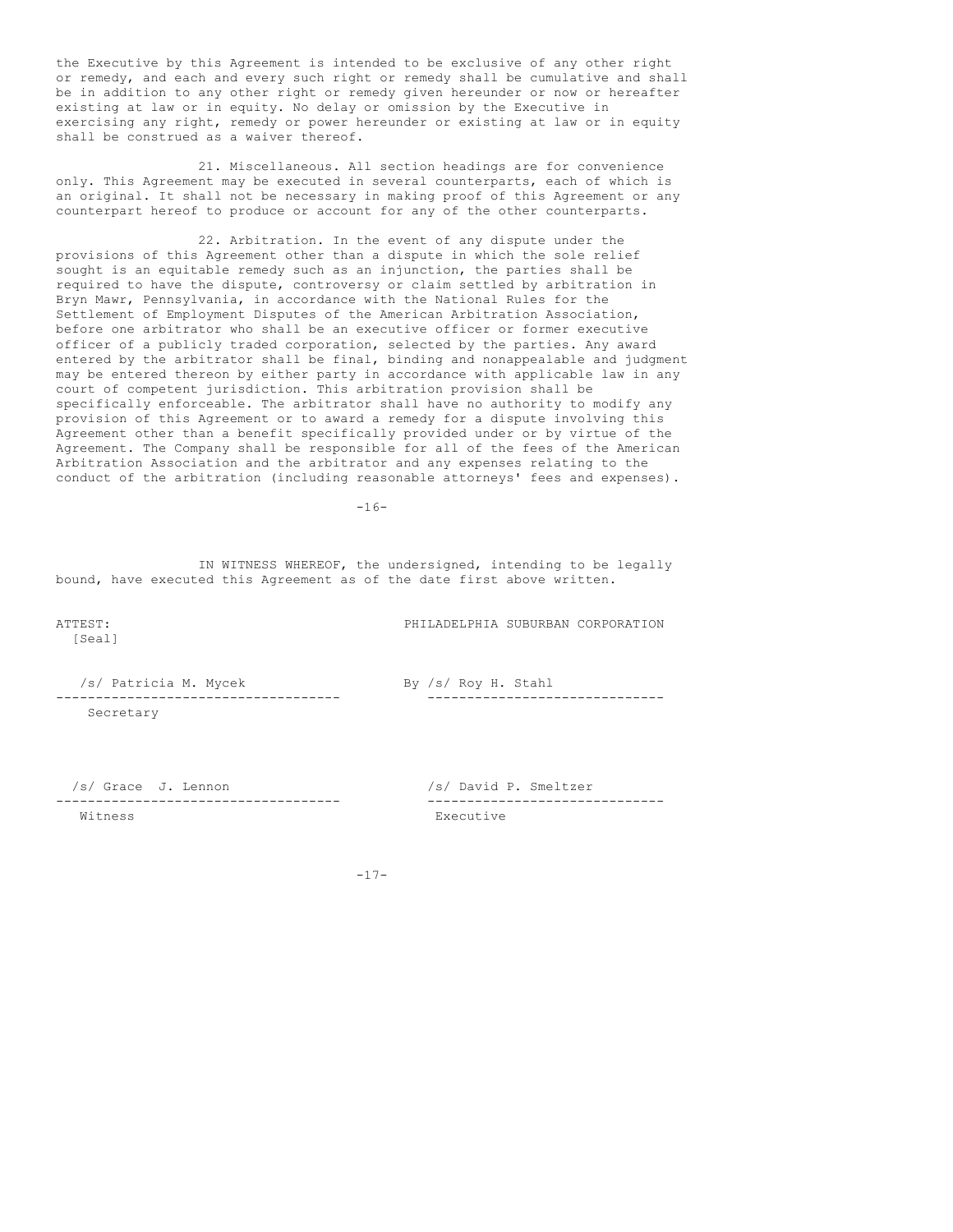the Executive by this Agreement is intended to be exclusive of any other right or remedy, and each and every such right or remedy shall be cumulative and shall be in addition to any other right or remedy given hereunder or now or hereafter existing at law or in equity. No delay or omission by the Executive in exercising any right, remedy or power hereunder or existing at law or in equity shall be construed as a waiver thereof.

21. Miscellaneous. All section headings are for convenience only. This Agreement may be executed in several counterparts, each of which is an original. It shall not be necessary in making proof of this Agreement or any counterpart hereof to produce or account for any of the other counterparts.

22. Arbitration. In the event of any dispute under the provisions of this Agreement other than a dispute in which the sole relief sought is an equitable remedy such as an injunction, the parties shall be required to have the dispute, controversy or claim settled by arbitration in Bryn Mawr, Pennsylvania, in accordance with the National Rules for the Settlement of Employment Disputes of the American Arbitration Association, before one arbitrator who shall be an executive officer or former executive officer of a publicly traded corporation, selected by the parties. Any award entered by the arbitrator shall be final, binding and nonappealable and judgment may be entered thereon by either party in accordance with applicable law in any court of competent jurisdiction. This arbitration provision shall be specifically enforceable. The arbitrator shall have no authority to modify any provision of this Agreement or to award a remedy for a dispute involving this Agreement other than a benefit specifically provided under or by virtue of the Agreement. The Company shall be responsible for all of the fees of the American Arbitration Association and the arbitrator and any expenses relating to the conduct of the arbitration (including reasonable attorneys' fees and expenses).

 $-16-$ 

IN WITNESS WHEREOF, the undersigned, intending to be legally bound, have executed this Agreement as of the date first above written.

[Seal]

ATTEST: PHILADELPHIA SUBURBAN CORPORATION

/s/ Patricia M. Mycek By /s/ Roy H. Stahl ------------------------------------ ------------------------------ Secretary

/s/ Grace J. Lennon /s/ David P. Smeltzer

------------------------------------ ------------------------------ Witness **Executive** Executive

-17-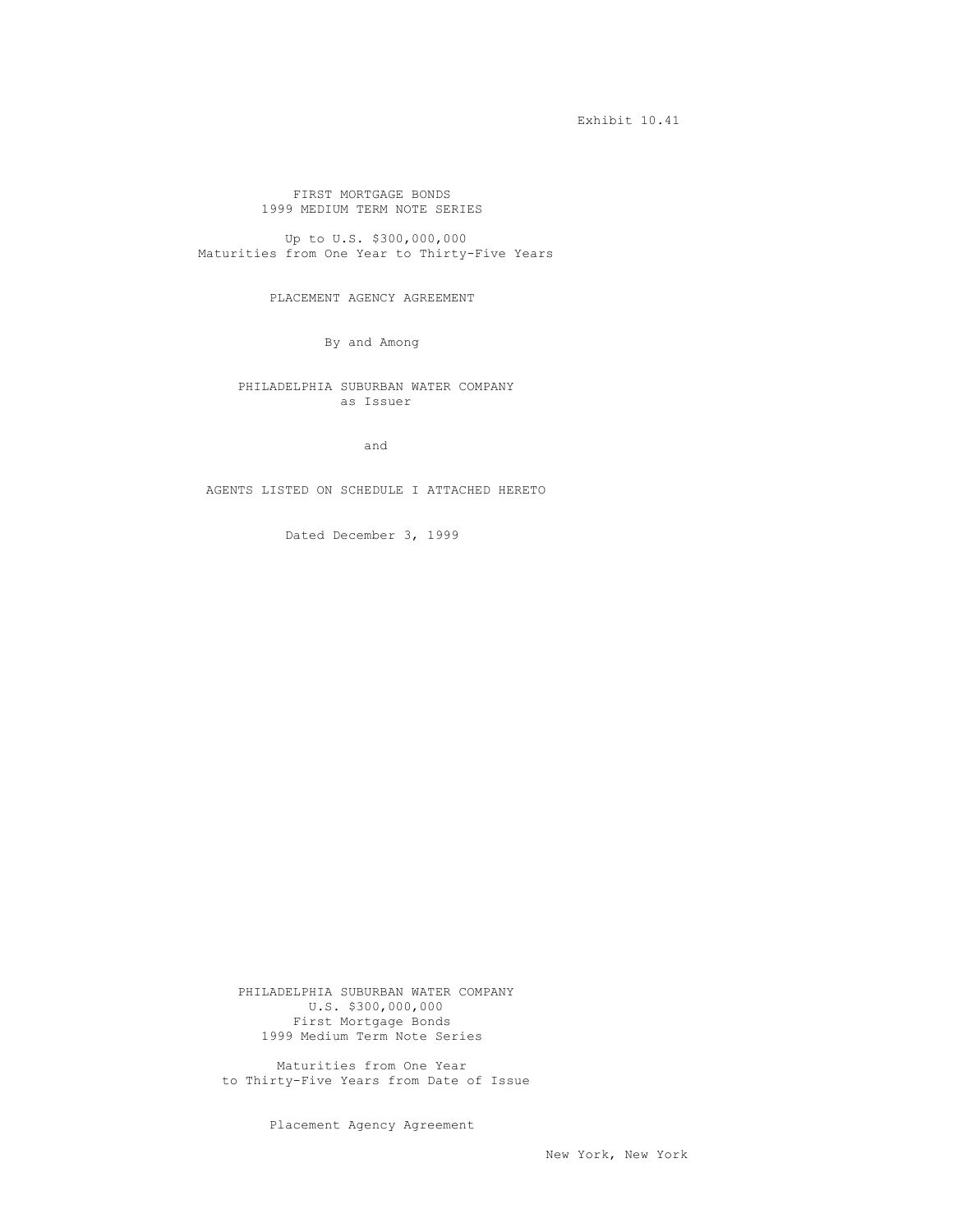FIRST MORTGAGE BONDS 1999 MEDIUM TERM NOTE SERIES

Up to U.S. \$300,000,000 Maturities from One Year to Thirty-Five Years

PLACEMENT AGENCY AGREEMENT

By and Among

PHILADELPHIA SUBURBAN WATER COMPANY as Issuer

and

AGENTS LISTED ON SCHEDULE I ATTACHED HERETO

Dated December 3, 1999

PHILADELPHIA SUBURBAN WATER COMPANY U.S. \$300,000,000 First Mortgage Bonds 1999 Medium Term Note Series

Maturities from One Year to Thirty-Five Years from Date of Issue

Placement Agency Agreement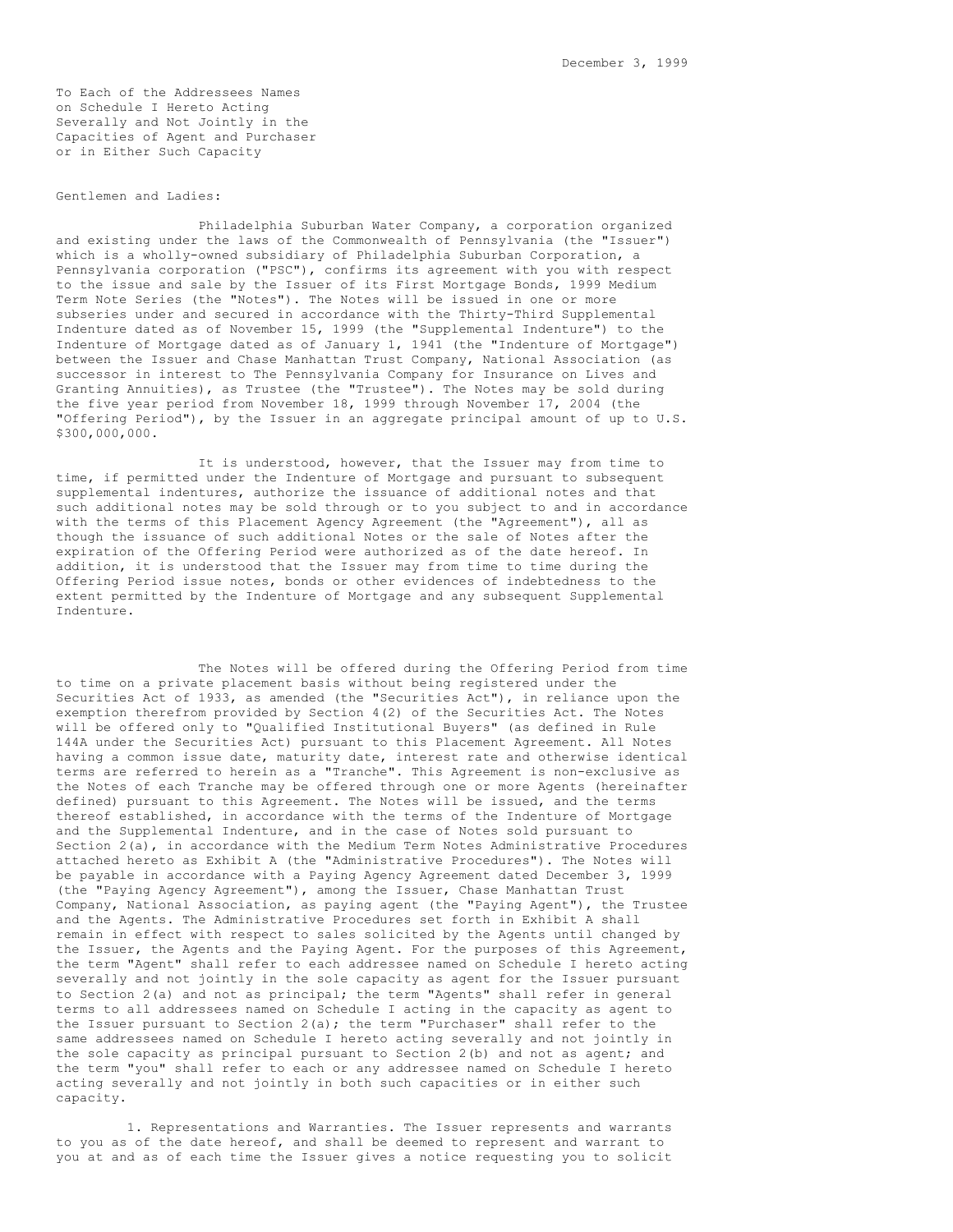To Each of the Addressees Names on Schedule I Hereto Acting Severally and Not Jointly in the Capacities of Agent and Purchaser or in Either Such Capacity

#### Gentlemen and Ladies:

Philadelphia Suburban Water Company, a corporation organized and existing under the laws of the Commonwealth of Pennsylvania (the "Issuer") which is a wholly-owned subsidiary of Philadelphia Suburban Corporation, a Pennsylvania corporation ("PSC"), confirms its agreement with you with respect to the issue and sale by the Issuer of its First Mortgage Bonds, 1999 Medium Term Note Series (the "Notes"). The Notes will be issued in one or more subseries under and secured in accordance with the Thirty-Third Supplemental Indenture dated as of November 15, 1999 (the "Supplemental Indenture") to the Indenture of Mortgage dated as of January 1, 1941 (the "Indenture of Mortgage") between the Issuer and Chase Manhattan Trust Company, National Association (as successor in interest to The Pennsylvania Company for Insurance on Lives and Granting Annuities), as Trustee (the "Trustee"). The Notes may be sold during the five year period from November 18, 1999 through November 17, 2004 (the "Offering Period"), by the Issuer in an aggregate principal amount of up to U.S. \$300,000,000.

It is understood, however, that the Issuer may from time to time, if permitted under the Indenture of Mortgage and pursuant to subsequent supplemental indentures, authorize the issuance of additional notes and that such additional notes may be sold through or to you subject to and in accordance with the terms of this Placement Agency Agreement (the "Agreement"), all as though the issuance of such additional Notes or the sale of Notes after the expiration of the Offering Period were authorized as of the date hereof. In addition, it is understood that the Issuer may from time to time during the Offering Period issue notes, bonds or other evidences of indebtedness to the extent permitted by the Indenture of Mortgage and any subsequent Supplemental Indenture.

The Notes will be offered during the Offering Period from time to time on a private placement basis without being registered under the Securities Act of 1933, as amended (the "Securities Act"), in reliance upon the exemption therefrom provided by Section 4(2) of the Securities Act. The Notes will be offered only to "Qualified Institutional Buyers" (as defined in Rule 144A under the Securities Act) pursuant to this Placement Agreement. All Notes having a common issue date, maturity date, interest rate and otherwise identical terms are referred to herein as a "Tranche". This Agreement is non-exclusive as the Notes of each Tranche may be offered through one or more Agents (hereinafter defined) pursuant to this Agreement. The Notes will be issued, and the terms thereof established, in accordance with the terms of the Indenture of Mortgage and the Supplemental Indenture, and in the case of Notes sold pursuant to Section 2(a), in accordance with the Medium Term Notes Administrative Procedures attached hereto as Exhibit A (the "Administrative Procedures"). The Notes will be payable in accordance with a Paying Agency Agreement dated December 3, 1999 (the "Paying Agency Agreement"), among the Issuer, Chase Manhattan Trust Company, National Association, as paying agent (the "Paying Agent"), the Trustee and the Agents. The Administrative Procedures set forth in Exhibit A shall remain in effect with respect to sales solicited by the Agents until changed by the Issuer, the Agents and the Paying Agent. For the purposes of this Agreement, the term "Agent" shall refer to each addressee named on Schedule I hereto acting severally and not jointly in the sole capacity as agent for the Issuer pursuant to Section 2(a) and not as principal; the term "Agents" shall refer in general terms to all addressees named on Schedule I acting in the capacity as agent to the Issuer pursuant to Section  $2(a)$ ; the term "Purchaser" shall refer to the same addressees named on Schedule I hereto acting severally and not jointly in the sole capacity as principal pursuant to Section 2(b) and not as agent; and the term "you" shall refer to each or any addressee named on Schedule I hereto acting severally and not jointly in both such capacities or in either such capacity.

1. Representations and Warranties. The Issuer represents and warrants to you as of the date hereof, and shall be deemed to represent and warrant to you at and as of each time the Issuer gives a notice requesting you to solicit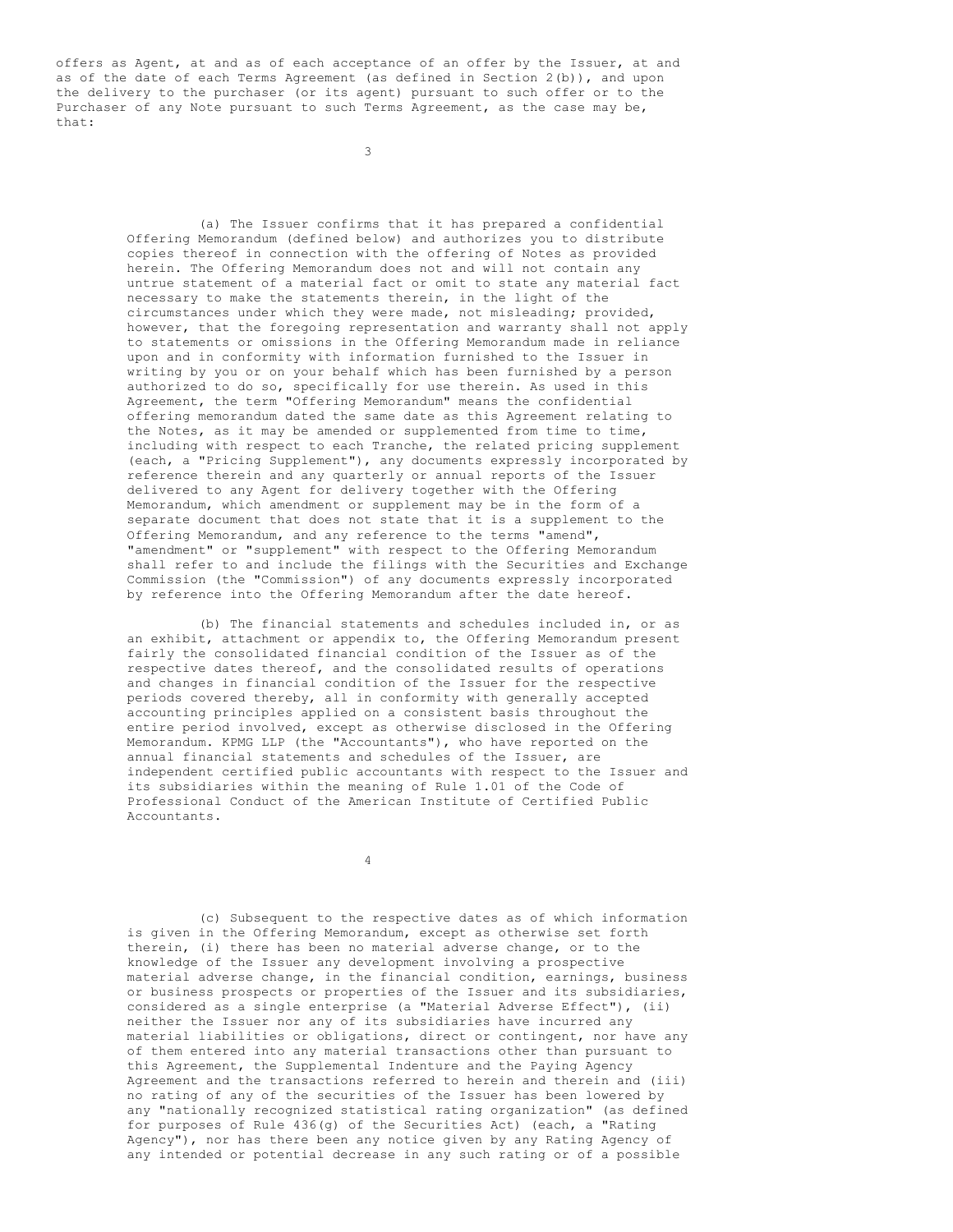offers as Agent, at and as of each acceptance of an offer by the Issuer, at and as of the date of each Terms Agreement (as defined in Section 2(b)), and upon the delivery to the purchaser (or its agent) pursuant to such offer or to the Purchaser of any Note pursuant to such Terms Agreement, as the case may be, that:

3

(a) The Issuer confirms that it has prepared a confidential Offering Memorandum (defined below) and authorizes you to distribute copies thereof in connection with the offering of Notes as provided herein. The Offering Memorandum does not and will not contain any untrue statement of a material fact or omit to state any material fact necessary to make the statements therein, in the light of the circumstances under which they were made, not misleading; provided, however, that the foregoing representation and warranty shall not apply to statements or omissions in the Offering Memorandum made in reliance upon and in conformity with information furnished to the Issuer in writing by you or on your behalf which has been furnished by a person authorized to do so, specifically for use therein. As used in this Agreement, the term "Offering Memorandum" means the confidential offering memorandum dated the same date as this Agreement relating to the Notes, as it may be amended or supplemented from time to time, including with respect to each Tranche, the related pricing supplement (each, a "Pricing Supplement"), any documents expressly incorporated by reference therein and any quarterly or annual reports of the Issuer delivered to any Agent for delivery together with the Offering Memorandum, which amendment or supplement may be in the form of a separate document that does not state that it is a supplement to the Offering Memorandum, and any reference to the terms "amend", "amendment" or "supplement" with respect to the Offering Memorandum shall refer to and include the filings with the Securities and Exchange Commission (the "Commission") of any documents expressly incorporated by reference into the Offering Memorandum after the date hereof.

(b) The financial statements and schedules included in, or as an exhibit, attachment or appendix to, the Offering Memorandum present fairly the consolidated financial condition of the Issuer as of the respective dates thereof, and the consolidated results of operations and changes in financial condition of the Issuer for the respective periods covered thereby, all in conformity with generally accepted accounting principles applied on a consistent basis throughout the entire period involved, except as otherwise disclosed in the Offering Memorandum. KPMG LLP (the "Accountants"), who have reported on the annual financial statements and schedules of the Issuer, are independent certified public accountants with respect to the Issuer and its subsidiaries within the meaning of Rule 1.01 of the Code of Professional Conduct of the American Institute of Certified Public Accountants.

4

(c) Subsequent to the respective dates as of which information is given in the Offering Memorandum, except as otherwise set forth therein, (i) there has been no material adverse change, or to the knowledge of the Issuer any development involving a prospective material adverse change, in the financial condition, earnings, business or business prospects or properties of the Issuer and its subsidiaries, considered as a single enterprise (a "Material Adverse Effect"), (ii) neither the Issuer nor any of its subsidiaries have incurred any material liabilities or obligations, direct or contingent, nor have any of them entered into any material transactions other than pursuant to this Agreement, the Supplemental Indenture and the Paying Agency Agreement and the transactions referred to herein and therein and (iii) no rating of any of the securities of the Issuer has been lowered by any "nationally recognized statistical rating organization" (as defined for purposes of Rule  $436(q)$  of the Securities Act) (each, a "Rating Agency"), nor has there been any notice given by any Rating Agency of any intended or potential decrease in any such rating or of a possible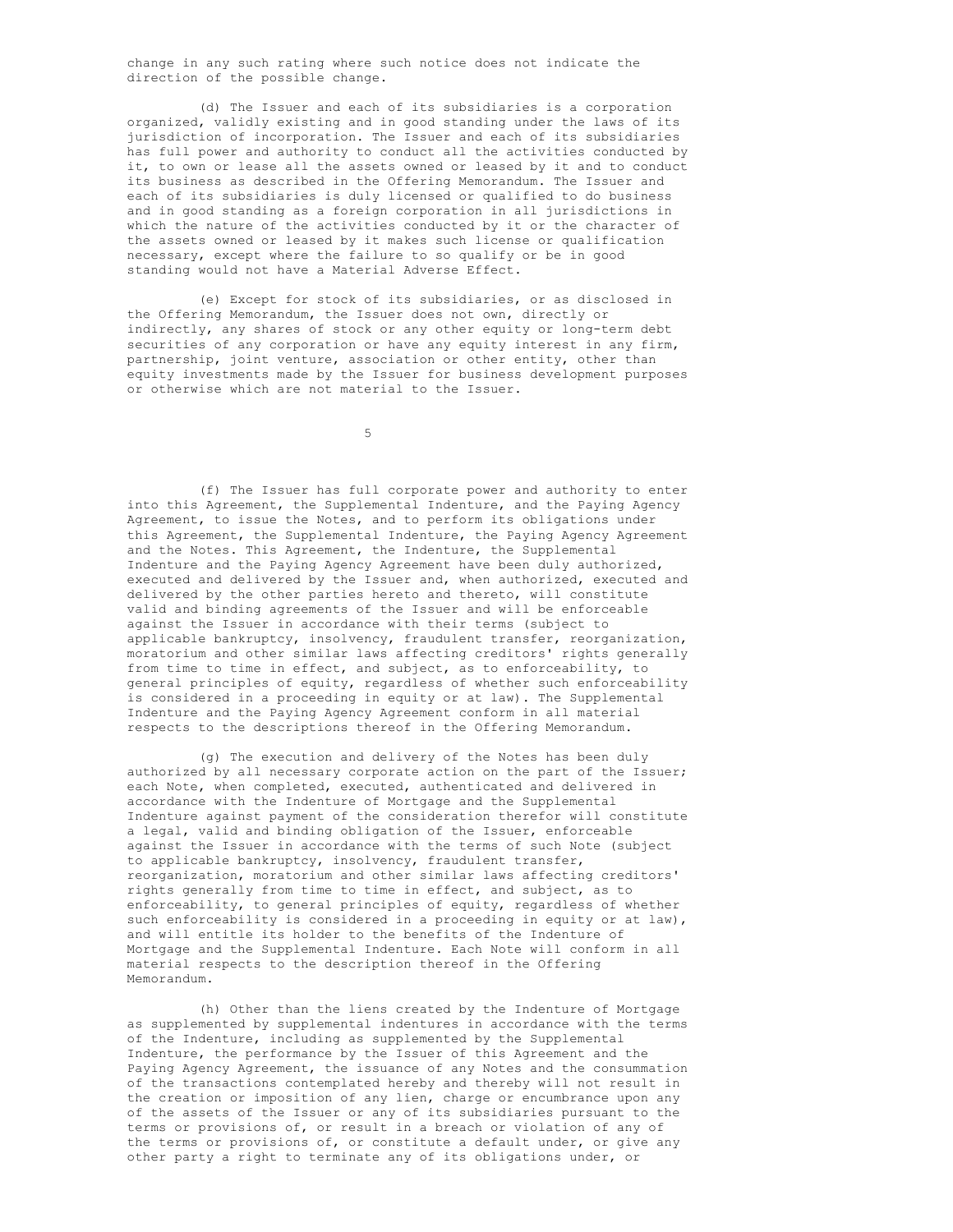change in any such rating where such notice does not indicate the direction of the possible change.

(d) The Issuer and each of its subsidiaries is a corporation organized, validly existing and in good standing under the laws of its jurisdiction of incorporation. The Issuer and each of its subsidiaries has full power and authority to conduct all the activities conducted by it, to own or lease all the assets owned or leased by it and to conduct its business as described in the Offering Memorandum. The Issuer and each of its subsidiaries is duly licensed or qualified to do business and in good standing as a foreign corporation in all jurisdictions in which the nature of the activities conducted by it or the character of the assets owned or leased by it makes such license or qualification necessary, except where the failure to so qualify or be in good standing would not have a Material Adverse Effect.

(e) Except for stock of its subsidiaries, or as disclosed in the Offering Memorandum, the Issuer does not own, directly or indirectly, any shares of stock or any other equity or long-term debt securities of any corporation or have any equity interest in any firm, partnership, joint venture, association or other entity, other than equity investments made by the Issuer for business development purposes or otherwise which are not material to the Issuer.

5

(f) The Issuer has full corporate power and authority to enter into this Agreement, the Supplemental Indenture, and the Paying Agency Agreement, to issue the Notes, and to perform its obligations under this Agreement, the Supplemental Indenture, the Paying Agency Agreement and the Notes. This Agreement, the Indenture, the Supplemental Indenture and the Paying Agency Agreement have been duly authorized, executed and delivered by the Issuer and, when authorized, executed and delivered by the other parties hereto and thereto, will constitute valid and binding agreements of the Issuer and will be enforceable against the Issuer in accordance with their terms (subject to applicable bankruptcy, insolvency, fraudulent transfer, reorganization, moratorium and other similar laws affecting creditors' rights generally from time to time in effect, and subject, as to enforceability, to general principles of equity, regardless of whether such enforceability is considered in a proceeding in equity or at law). The Supplemental Indenture and the Paying Agency Agreement conform in all material respects to the descriptions thereof in the Offering Memorandum.

(g) The execution and delivery of the Notes has been duly authorized by all necessary corporate action on the part of the Issuer; each Note, when completed, executed, authenticated and delivered in accordance with the Indenture of Mortgage and the Supplemental Indenture against payment of the consideration therefor will constitute a legal, valid and binding obligation of the Issuer, enforceable against the Issuer in accordance with the terms of such Note (subject to applicable bankruptcy, insolvency, fraudulent transfer, reorganization, moratorium and other similar laws affecting creditors' rights generally from time to time in effect, and subject, as to enforceability, to general principles of equity, regardless of whether such enforceability is considered in a proceeding in equity or at law), and will entitle its holder to the benefits of the Indenture of Mortgage and the Supplemental Indenture. Each Note will conform in all material respects to the description thereof in the Offering Memorandum.

(h) Other than the liens created by the Indenture of Mortgage as supplemented by supplemental indentures in accordance with the terms of the Indenture, including as supplemented by the Supplemental Indenture, the performance by the Issuer of this Agreement and the Paying Agency Agreement, the issuance of any Notes and the consummation of the transactions contemplated hereby and thereby will not result in the creation or imposition of any lien, charge or encumbrance upon any of the assets of the Issuer or any of its subsidiaries pursuant to the terms or provisions of, or result in a breach or violation of any of the terms or provisions of, or constitute a default under, or give any other party a right to terminate any of its obligations under, or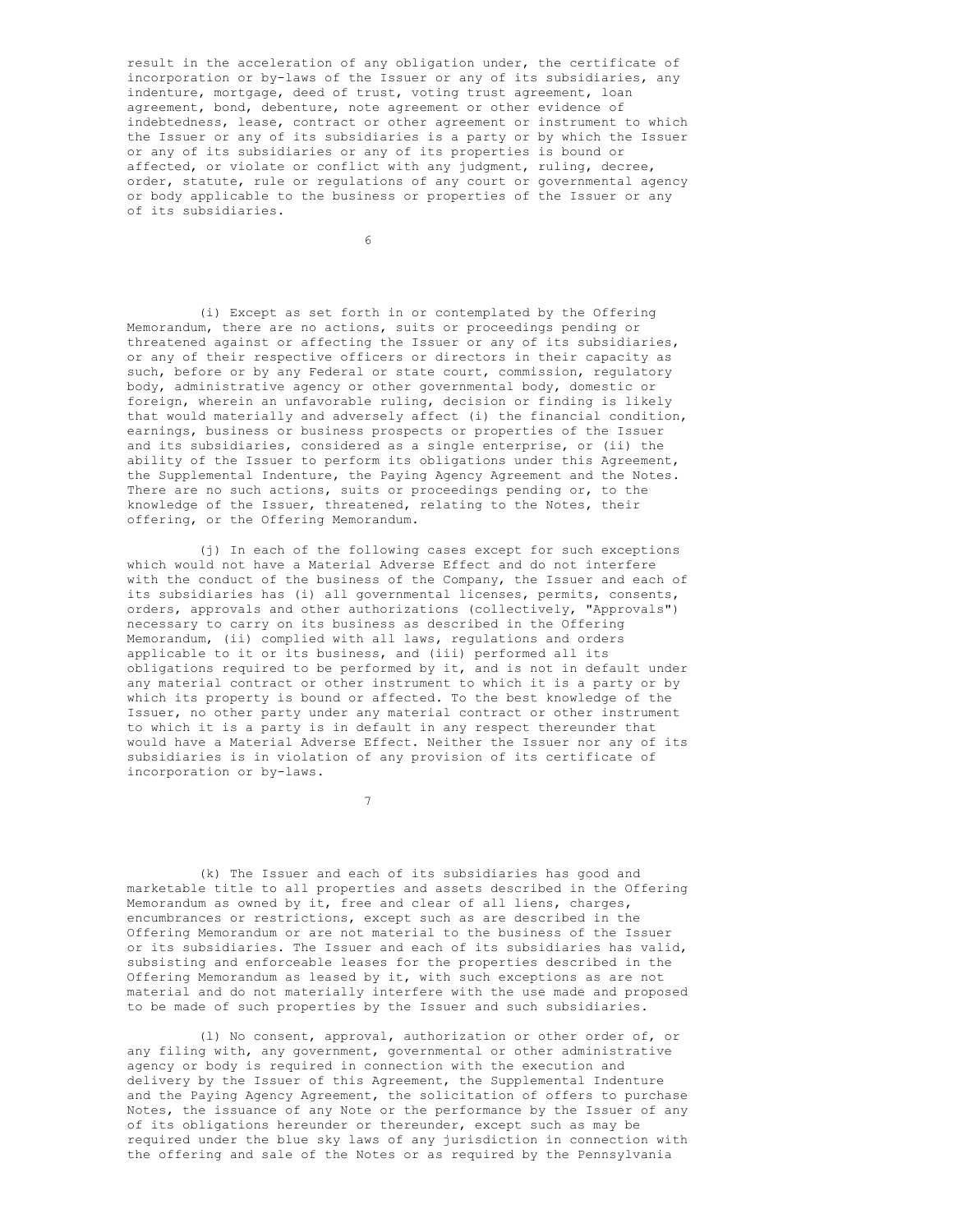result in the acceleration of any obligation under, the certificate of incorporation or by-laws of the Issuer or any of its subsidiaries, any indenture, mortgage, deed of trust, voting trust agreement, loan agreement, bond, debenture, note agreement or other evidence of indebtedness, lease, contract or other agreement or instrument to which the Issuer or any of its subsidiaries is a party or by which the Issuer or any of its subsidiaries or any of its properties is bound or affected, or violate or conflict with any judgment, ruling, decree, order, statute, rule or regulations of any court or governmental agency or body applicable to the business or properties of the Issuer or any of its subsidiaries.

6

(i) Except as set forth in or contemplated by the Offering Memorandum, there are no actions, suits or proceedings pending or threatened against or affecting the Issuer or any of its subsidiaries, or any of their respective officers or directors in their capacity as such, before or by any Federal or state court, commission, regulatory body, administrative agency or other governmental body, domestic or foreign, wherein an unfavorable ruling, decision or finding is likely that would materially and adversely affect (i) the financial condition, earnings, business or business prospects or properties of the Issuer and its subsidiaries, considered as a single enterprise, or (ii) the ability of the Issuer to perform its obligations under this Agreement, the Supplemental Indenture, the Paying Agency Agreement and the Notes. There are no such actions, suits or proceedings pending or, to the knowledge of the Issuer, threatened, relating to the Notes, their offering, or the Offering Memorandum.

(j) In each of the following cases except for such exceptions which would not have a Material Adverse Effect and do not interfere with the conduct of the business of the Company, the Issuer and each of its subsidiaries has (i) all governmental licenses, permits, consents, orders, approvals and other authorizations (collectively, "Approvals") necessary to carry on its business as described in the Offering Memorandum, (ii) complied with all laws, regulations and orders applicable to it or its business, and (iii) performed all its obligations required to be performed by it, and is not in default under any material contract or other instrument to which it is a party or by which its property is bound or affected. To the best knowledge of the Issuer, no other party under any material contract or other instrument to which it is a party is in default in any respect thereunder that would have a Material Adverse Effect. Neither the Issuer nor any of its subsidiaries is in violation of any provision of its certificate of incorporation or by-laws.

7

(k) The Issuer and each of its subsidiaries has good and marketable title to all properties and assets described in the Offering Memorandum as owned by it, free and clear of all liens, charges, encumbrances or restrictions, except such as are described in the Offering Memorandum or are not material to the business of the Issuer or its subsidiaries. The Issuer and each of its subsidiaries has valid, subsisting and enforceable leases for the properties described in the Offering Memorandum as leased by it, with such exceptions as are not material and do not materially interfere with the use made and proposed to be made of such properties by the Issuer and such subsidiaries.

(l) No consent, approval, authorization or other order of, or any filing with, any government, governmental or other administrative agency or body is required in connection with the execution and delivery by the Issuer of this Agreement, the Supplemental Indenture and the Paying Agency Agreement, the solicitation of offers to purchase Notes, the issuance of any Note or the performance by the Issuer of any of its obligations hereunder or thereunder, except such as may be required under the blue sky laws of any jurisdiction in connection with the offering and sale of the Notes or as required by the Pennsylvania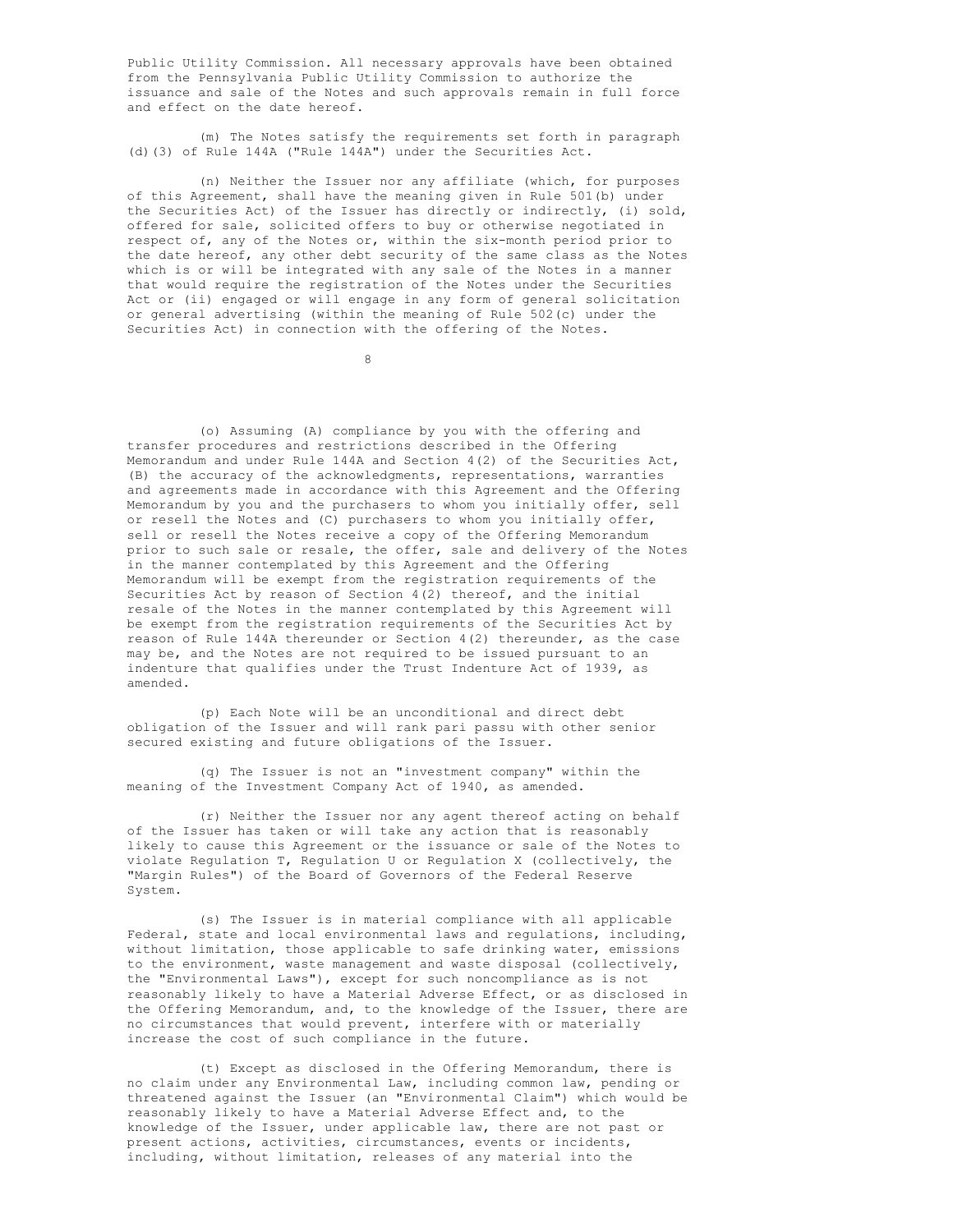Public Utility Commission. All necessary approvals have been obtained from the Pennsylvania Public Utility Commission to authorize the issuance and sale of the Notes and such approvals remain in full force and effect on the date hereof.

(m) The Notes satisfy the requirements set forth in paragraph (d)(3) of Rule 144A ("Rule 144A") under the Securities Act.

(n) Neither the Issuer nor any affiliate (which, for purposes of this Agreement, shall have the meaning given in Rule 501(b) under the Securities Act) of the Issuer has directly or indirectly, (i) sold, offered for sale, solicited offers to buy or otherwise negotiated in respect of, any of the Notes or, within the six-month period prior to the date hereof, any other debt security of the same class as the Notes which is or will be integrated with any sale of the Notes in a manner that would require the registration of the Notes under the Securities Act or (ii) engaged or will engage in any form of general solicitation or general advertising (within the meaning of Rule 502(c) under the Securities Act) in connection with the offering of the Notes.

8

(o) Assuming (A) compliance by you with the offering and transfer procedures and restrictions described in the Offering Memorandum and under Rule 144A and Section 4(2) of the Securities Act, (B) the accuracy of the acknowledgments, representations, warranties and agreements made in accordance with this Agreement and the Offering Memorandum by you and the purchasers to whom you initially offer, sell or resell the Notes and (C) purchasers to whom you initially offer, sell or resell the Notes receive a copy of the Offering Memorandum prior to such sale or resale, the offer, sale and delivery of the Notes in the manner contemplated by this Agreement and the Offering Memorandum will be exempt from the registration requirements of the Securities Act by reason of Section 4(2) thereof, and the initial resale of the Notes in the manner contemplated by this Agreement will be exempt from the registration requirements of the Securities Act by reason of Rule 144A thereunder or Section 4(2) thereunder, as the case may be, and the Notes are not required to be issued pursuant to an indenture that qualifies under the Trust Indenture Act of 1939, as amended.

(p) Each Note will be an unconditional and direct debt obligation of the Issuer and will rank pari passu with other senior secured existing and future obligations of the Issuer.

(q) The Issuer is not an "investment company" within the meaning of the Investment Company Act of 1940, as amended.

(r) Neither the Issuer nor any agent thereof acting on behalf of the Issuer has taken or will take any action that is reasonably likely to cause this Agreement or the issuance or sale of the Notes to violate Regulation T, Regulation U or Regulation X (collectively, the "Margin Rules") of the Board of Governors of the Federal Reserve System.

(s) The Issuer is in material compliance with all applicable Federal, state and local environmental laws and regulations, including, without limitation, those applicable to safe drinking water, emissions to the environment, waste management and waste disposal (collectively, the "Environmental Laws"), except for such noncompliance as is not reasonably likely to have a Material Adverse Effect, or as disclosed in the Offering Memorandum, and, to the knowledge of the Issuer, there are no circumstances that would prevent, interfere with or materially increase the cost of such compliance in the future.

(t) Except as disclosed in the Offering Memorandum, there is no claim under any Environmental Law, including common law, pending or threatened against the Issuer (an "Environmental Claim") which would be reasonably likely to have a Material Adverse Effect and, to the knowledge of the Issuer, under applicable law, there are not past or present actions, activities, circumstances, events or incidents, including, without limitation, releases of any material into the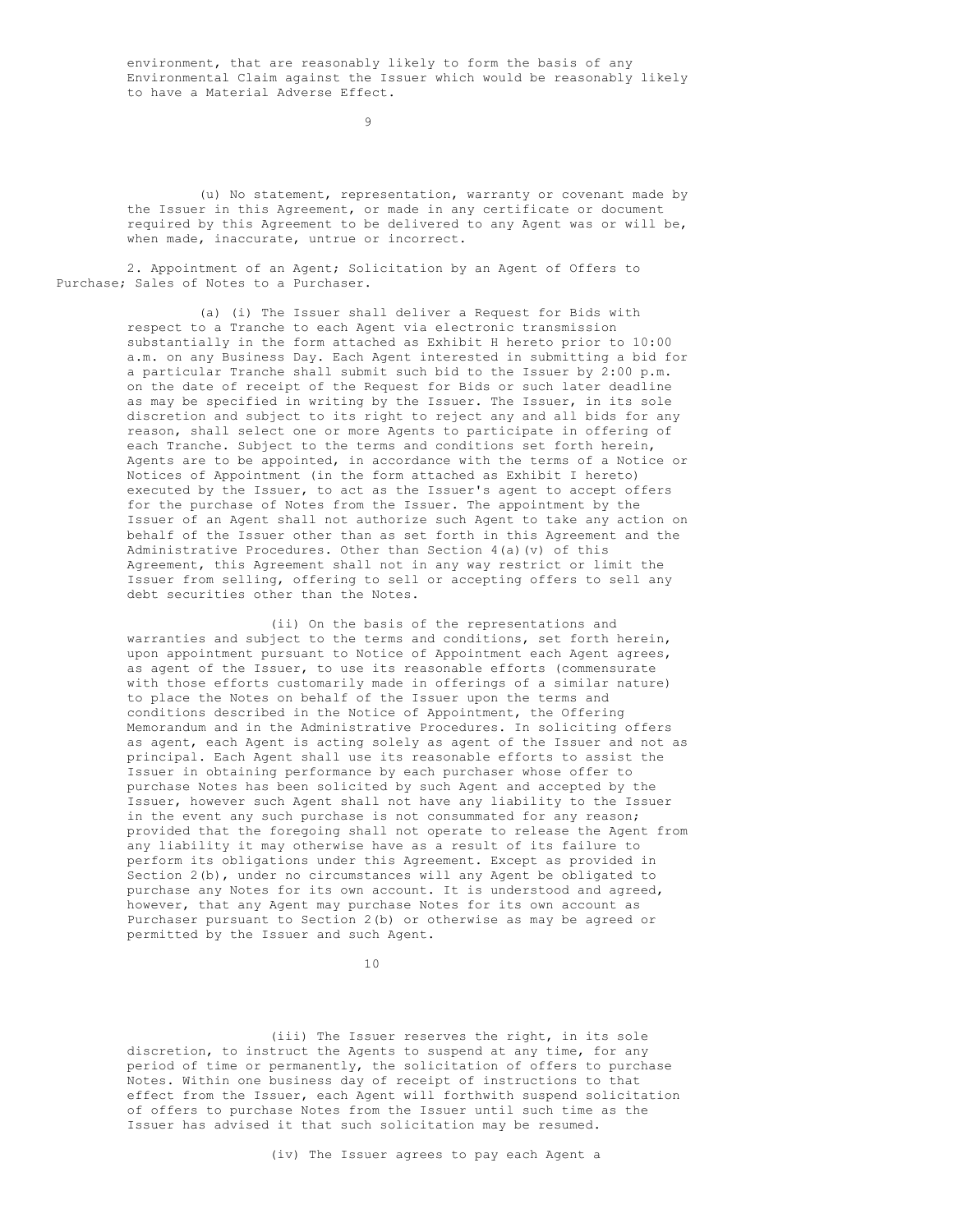environment, that are reasonably likely to form the basis of any Environmental Claim against the Issuer which would be reasonably likely to have a Material Adverse Effect.

9

(u) No statement, representation, warranty or covenant made by the Issuer in this Agreement, or made in any certificate or document required by this Agreement to be delivered to any Agent was or will be, when made, inaccurate, untrue or incorrect.

2. Appointment of an Agent; Solicitation by an Agent of Offers to Purchase; Sales of Notes to a Purchaser.

> (a) (i) The Issuer shall deliver a Request for Bids with respect to a Tranche to each Agent via electronic transmission substantially in the form attached as Exhibit H hereto prior to 10:00 a.m. on any Business Day. Each Agent interested in submitting a bid for a particular Tranche shall submit such bid to the Issuer by 2:00 p.m. on the date of receipt of the Request for Bids or such later deadline as may be specified in writing by the Issuer. The Issuer, in its sole discretion and subject to its right to reject any and all bids for any reason, shall select one or more Agents to participate in offering of each Tranche. Subject to the terms and conditions set forth herein, Agents are to be appointed, in accordance with the terms of a Notice or Notices of Appointment (in the form attached as Exhibit I hereto) executed by the Issuer, to act as the Issuer's agent to accept offers for the purchase of Notes from the Issuer. The appointment by the Issuer of an Agent shall not authorize such Agent to take any action on behalf of the Issuer other than as set forth in this Agreement and the Administrative Procedures. Other than Section 4(a)(v) of this Agreement, this Agreement shall not in any way restrict or limit the Issuer from selling, offering to sell or accepting offers to sell any debt securities other than the Notes.

> (ii) On the basis of the representations and warranties and subject to the terms and conditions, set forth herein, upon appointment pursuant to Notice of Appointment each Agent agrees, as agent of the Issuer, to use its reasonable efforts (commensurate with those efforts customarily made in offerings of a similar nature) to place the Notes on behalf of the Issuer upon the terms and conditions described in the Notice of Appointment, the Offering Memorandum and in the Administrative Procedures. In soliciting offers as agent, each Agent is acting solely as agent of the Issuer and not as principal. Each Agent shall use its reasonable efforts to assist the Issuer in obtaining performance by each purchaser whose offer to purchase Notes has been solicited by such Agent and accepted by the Issuer, however such Agent shall not have any liability to the Issuer in the event any such purchase is not consummated for any reason; provided that the foregoing shall not operate to release the Agent from any liability it may otherwise have as a result of its failure to perform its obligations under this Agreement. Except as provided in Section 2(b), under no circumstances will any Agent be obligated to purchase any Notes for its own account. It is understood and agreed, however, that any Agent may purchase Notes for its own account as Purchaser pursuant to Section 2(b) or otherwise as may be agreed or permitted by the Issuer and such Agent.

> > 10

(iii) The Issuer reserves the right, in its sole discretion, to instruct the Agents to suspend at any time, for any period of time or permanently, the solicitation of offers to purchase Notes. Within one business day of receipt of instructions to that effect from the Issuer, each Agent will forthwith suspend solicitation of offers to purchase Notes from the Issuer until such time as the Issuer has advised it that such solicitation may be resumed.

(iv) The Issuer agrees to pay each Agent a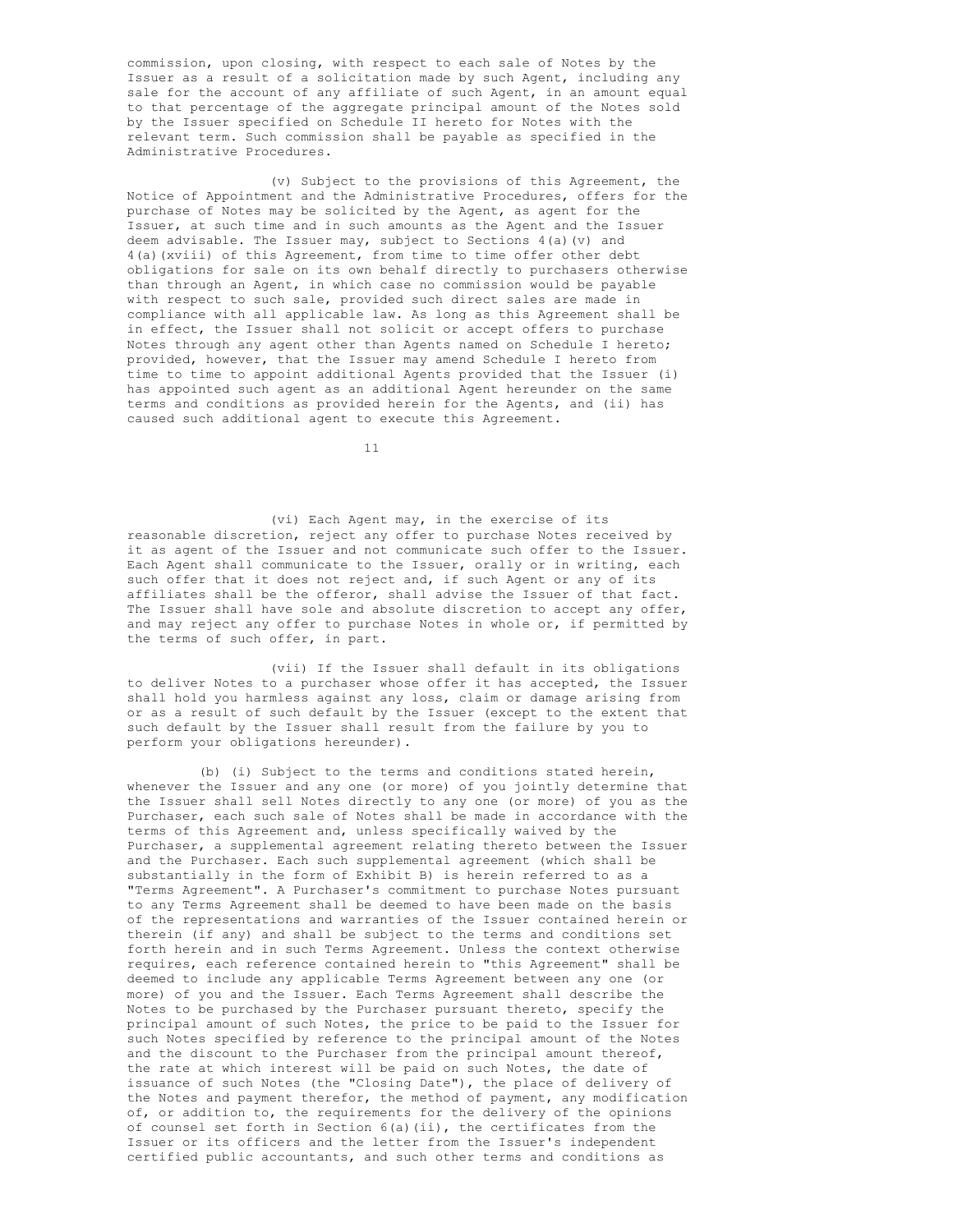commission, upon closing, with respect to each sale of Notes by the Issuer as a result of a solicitation made by such Agent, including any sale for the account of any affiliate of such Agent, in an amount equal to that percentage of the aggregate principal amount of the Notes sold by the Issuer specified on Schedule II hereto for Notes with the relevant term. Such commission shall be payable as specified in the Administrative Procedures.

(v) Subject to the provisions of this Agreement, the Notice of Appointment and the Administrative Procedures, offers for the purchase of Notes may be solicited by the Agent, as agent for the Issuer, at such time and in such amounts as the Agent and the Issuer deem advisable. The Issuer may, subject to Sections 4(a)(v) and 4(a)(xviii) of this Agreement, from time to time offer other debt obligations for sale on its own behalf directly to purchasers otherwise than through an Agent, in which case no commission would be payable with respect to such sale, provided such direct sales are made in compliance with all applicable law. As long as this Agreement shall be in effect, the Issuer shall not solicit or accept offers to purchase Notes through any agent other than Agents named on Schedule I hereto; provided, however, that the Issuer may amend Schedule I hereto from time to time to appoint additional Agents provided that the Issuer (i) has appointed such agent as an additional Agent hereunder on the same terms and conditions as provided herein for the Agents, and (ii) has caused such additional agent to execute this Agreement.

11

(vi) Each Agent may, in the exercise of its reasonable discretion, reject any offer to purchase Notes received by it as agent of the Issuer and not communicate such offer to the Issuer. Each Agent shall communicate to the Issuer, orally or in writing, each such offer that it does not reject and, if such Agent or any of its affiliates shall be the offeror, shall advise the Issuer of that fact. The Issuer shall have sole and absolute discretion to accept any offer, and may reject any offer to purchase Notes in whole or, if permitted by the terms of such offer, in part.

(vii) If the Issuer shall default in its obligations to deliver Notes to a purchaser whose offer it has accepted, the Issuer shall hold you harmless against any loss, claim or damage arising from or as a result of such default by the Issuer (except to the extent that such default by the Issuer shall result from the failure by you to perform your obligations hereunder).

(b) (i) Subject to the terms and conditions stated herein, whenever the Issuer and any one (or more) of you jointly determine that the Issuer shall sell Notes directly to any one (or more) of you as the Purchaser, each such sale of Notes shall be made in accordance with the terms of this Agreement and, unless specifically waived by the Purchaser, a supplemental agreement relating thereto between the Issuer and the Purchaser. Each such supplemental agreement (which shall be substantially in the form of Exhibit B) is herein referred to as a "Terms Agreement". A Purchaser's commitment to purchase Notes pursuant to any Terms Agreement shall be deemed to have been made on the basis of the representations and warranties of the Issuer contained herein or therein (if any) and shall be subject to the terms and conditions set forth herein and in such Terms Agreement. Unless the context otherwise requires, each reference contained herein to "this Agreement" shall be deemed to include any applicable Terms Agreement between any one (or more) of you and the Issuer. Each Terms Agreement shall describe the Notes to be purchased by the Purchaser pursuant thereto, specify the principal amount of such Notes, the price to be paid to the Issuer for such Notes specified by reference to the principal amount of the Notes and the discount to the Purchaser from the principal amount thereof, the rate at which interest will be paid on such Notes, the date of issuance of such Notes (the "Closing Date"), the place of delivery of the Notes and payment therefor, the method of payment, any modification of, or addition to, the requirements for the delivery of the opinions of counsel set forth in Section 6(a)(ii), the certificates from the Issuer or its officers and the letter from the Issuer's independent certified public accountants, and such other terms and conditions as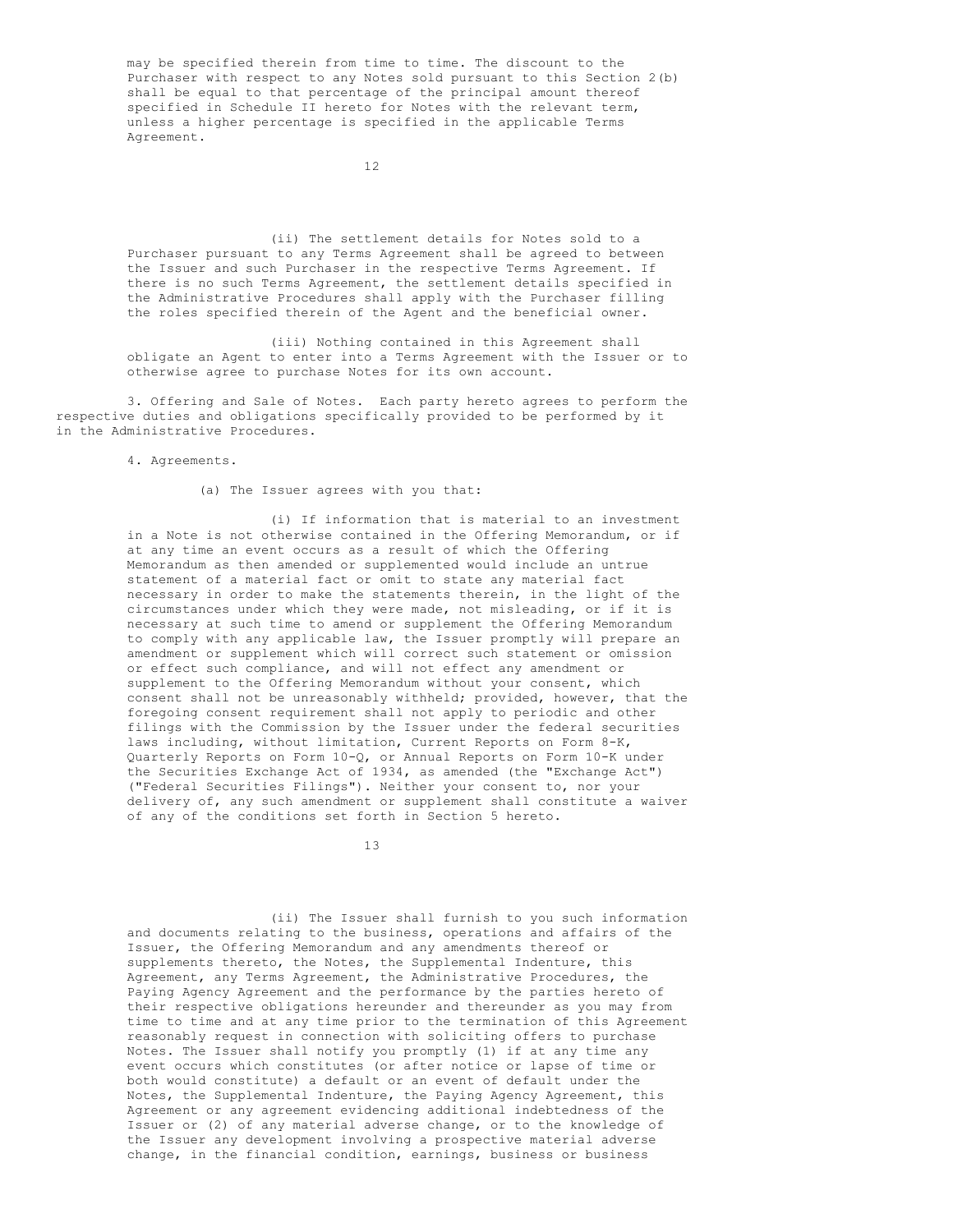may be specified therein from time to time. The discount to the Purchaser with respect to any Notes sold pursuant to this Section 2(b) shall be equal to that percentage of the principal amount thereof specified in Schedule II hereto for Notes with the relevant term, unless a higher percentage is specified in the applicable Terms Agreement.

12

(ii) The settlement details for Notes sold to a Purchaser pursuant to any Terms Agreement shall be agreed to between the Issuer and such Purchaser in the respective Terms Agreement. If there is no such Terms Agreement, the settlement details specified in the Administrative Procedures shall apply with the Purchaser filling the roles specified therein of the Agent and the beneficial owner.

(iii) Nothing contained in this Agreement shall obligate an Agent to enter into a Terms Agreement with the Issuer or to otherwise agree to purchase Notes for its own account.

3. Offering and Sale of Notes. Each party hereto agrees to perform the respective duties and obligations specifically provided to be performed by it in the Administrative Procedures.

4. Agreements.

(a) The Issuer agrees with you that:

(i) If information that is material to an investment in a Note is not otherwise contained in the Offering Memorandum, or if at any time an event occurs as a result of which the Offering Memorandum as then amended or supplemented would include an untrue statement of a material fact or omit to state any material fact necessary in order to make the statements therein, in the light of the circumstances under which they were made, not misleading, or if it is necessary at such time to amend or supplement the Offering Memorandum to comply with any applicable law, the Issuer promptly will prepare an amendment or supplement which will correct such statement or omission or effect such compliance, and will not effect any amendment or supplement to the Offering Memorandum without your consent, which consent shall not be unreasonably withheld; provided, however, that the foregoing consent requirement shall not apply to periodic and other filings with the Commission by the Issuer under the federal securities laws including, without limitation, Current Reports on Form 8-K, Quarterly Reports on Form 10-Q, or Annual Reports on Form 10-K under the Securities Exchange Act of 1934, as amended (the "Exchange Act") ("Federal Securities Filings"). Neither your consent to, nor your delivery of, any such amendment or supplement shall constitute a waiver of any of the conditions set forth in Section 5 hereto.

13

(ii) The Issuer shall furnish to you such information and documents relating to the business, operations and affairs of the Issuer, the Offering Memorandum and any amendments thereof or supplements thereto, the Notes, the Supplemental Indenture, this Agreement, any Terms Agreement, the Administrative Procedures, the Paying Agency Agreement and the performance by the parties hereto of their respective obligations hereunder and thereunder as you may from time to time and at any time prior to the termination of this Agreement reasonably request in connection with soliciting offers to purchase Notes. The Issuer shall notify you promptly (1) if at any time any event occurs which constitutes (or after notice or lapse of time or both would constitute) a default or an event of default under the Notes, the Supplemental Indenture, the Paying Agency Agreement, this Agreement or any agreement evidencing additional indebtedness of the Issuer or (2) of any material adverse change, or to the knowledge of the Issuer any development involving a prospective material adverse change, in the financial condition, earnings, business or business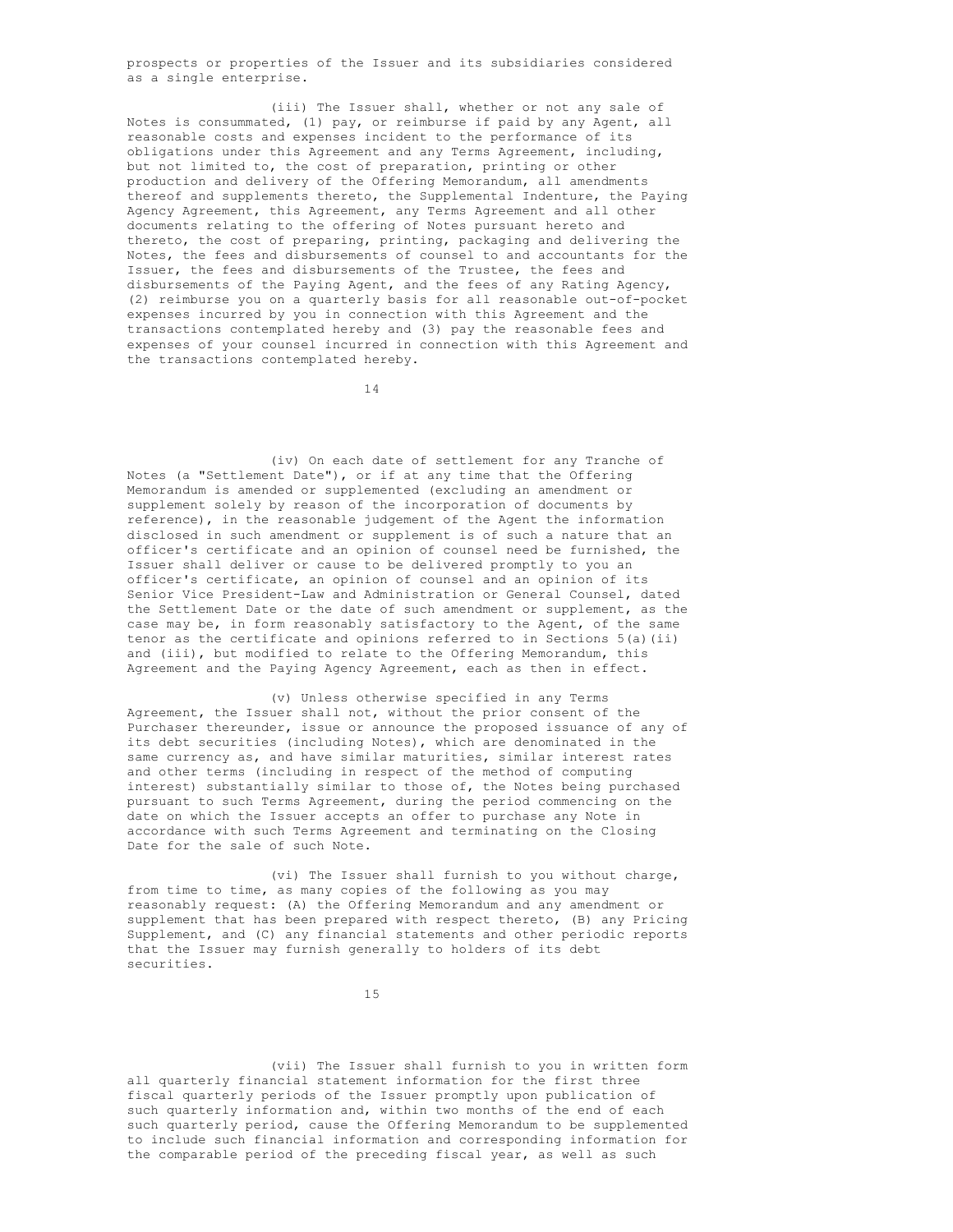prospects or properties of the Issuer and its subsidiaries considered as a single enterprise.

(iii) The Issuer shall, whether or not any sale of Notes is consummated, (1) pay, or reimburse if paid by any Agent, all reasonable costs and expenses incident to the performance of its obligations under this Agreement and any Terms Agreement, including, but not limited to, the cost of preparation, printing or other production and delivery of the Offering Memorandum, all amendments thereof and supplements thereto, the Supplemental Indenture, the Paying Agency Agreement, this Agreement, any Terms Agreement and all other documents relating to the offering of Notes pursuant hereto and thereto, the cost of preparing, printing, packaging and delivering the Notes, the fees and disbursements of counsel to and accountants for the Issuer, the fees and disbursements of the Trustee, the fees and disbursements of the Paying Agent, and the fees of any Rating Agency, (2) reimburse you on a quarterly basis for all reasonable out-of-pocket expenses incurred by you in connection with this Agreement and the transactions contemplated hereby and (3) pay the reasonable fees and expenses of your counsel incurred in connection with this Agreement and the transactions contemplated hereby.

14

(iv) On each date of settlement for any Tranche of Notes (a "Settlement Date"), or if at any time that the Offering Memorandum is amended or supplemented (excluding an amendment or supplement solely by reason of the incorporation of documents by reference), in the reasonable judgement of the Agent the information disclosed in such amendment or supplement is of such a nature that an officer's certificate and an opinion of counsel need be furnished, the Issuer shall deliver or cause to be delivered promptly to you an officer's certificate, an opinion of counsel and an opinion of its Senior Vice President-Law and Administration or General Counsel, dated the Settlement Date or the date of such amendment or supplement, as the case may be, in form reasonably satisfactory to the Agent, of the same tenor as the certificate and opinions referred to in Sections 5(a)(ii) and (iii), but modified to relate to the Offering Memorandum, this Agreement and the Paying Agency Agreement, each as then in effect.

(v) Unless otherwise specified in any Terms Agreement, the Issuer shall not, without the prior consent of the Purchaser thereunder, issue or announce the proposed issuance of any of its debt securities (including Notes), which are denominated in the same currency as, and have similar maturities, similar interest rates and other terms (including in respect of the method of computing interest) substantially similar to those of, the Notes being purchased pursuant to such Terms Agreement, during the period commencing on the date on which the Issuer accepts an offer to purchase any Note in accordance with such Terms Agreement and terminating on the Closing Date for the sale of such Note.

(vi) The Issuer shall furnish to you without charge, from time to time, as many copies of the following as you may reasonably request: (A) the Offering Memorandum and any amendment or supplement that has been prepared with respect thereto, (B) any Pricing Supplement, and (C) any financial statements and other periodic reports that the Issuer may furnish generally to holders of its debt securities.

15

(vii) The Issuer shall furnish to you in written form all quarterly financial statement information for the first three fiscal quarterly periods of the Issuer promptly upon publication of such quarterly information and, within two months of the end of each such quarterly period, cause the Offering Memorandum to be supplemented to include such financial information and corresponding information for the comparable period of the preceding fiscal year, as well as such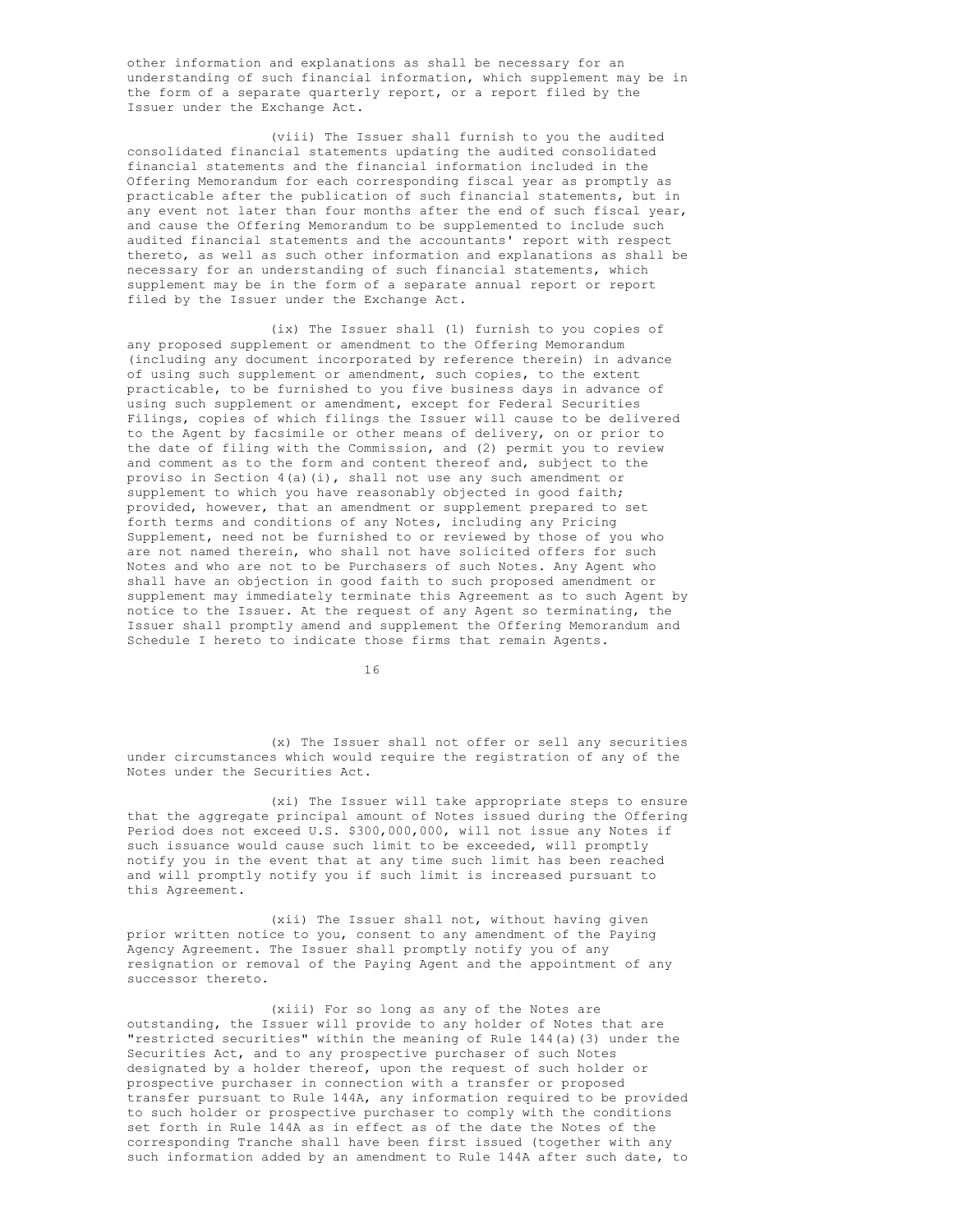other information and explanations as shall be necessary for an understanding of such financial information, which supplement may be in the form of a separate quarterly report, or a report filed by the Issuer under the Exchange Act.

(viii) The Issuer shall furnish to you the audited consolidated financial statements updating the audited consolidated financial statements and the financial information included in the Offering Memorandum for each corresponding fiscal year as promptly as practicable after the publication of such financial statements, but in any event not later than four months after the end of such fiscal year, and cause the Offering Memorandum to be supplemented to include such audited financial statements and the accountants' report with respect thereto, as well as such other information and explanations as shall be necessary for an understanding of such financial statements, which supplement may be in the form of a separate annual report or report filed by the Issuer under the Exchange Act.

(ix) The Issuer shall (1) furnish to you copies of any proposed supplement or amendment to the Offering Memorandum (including any document incorporated by reference therein) in advance of using such supplement or amendment, such copies, to the extent practicable, to be furnished to you five business days in advance of using such supplement or amendment, except for Federal Securities Filings, copies of which filings the Issuer will cause to be delivered to the Agent by facsimile or other means of delivery, on or prior to the date of filing with the Commission, and (2) permit you to review and comment as to the form and content thereof and, subject to the proviso in Section 4(a)(i), shall not use any such amendment or supplement to which you have reasonably objected in good faith; provided, however, that an amendment or supplement prepared to set forth terms and conditions of any Notes, including any Pricing Supplement, need not be furnished to or reviewed by those of you who are not named therein, who shall not have solicited offers for such Notes and who are not to be Purchasers of such Notes. Any Agent who shall have an objection in good faith to such proposed amendment or supplement may immediately terminate this Agreement as to such Agent by notice to the Issuer. At the request of any Agent so terminating, the Issuer shall promptly amend and supplement the Offering Memorandum and Schedule I hereto to indicate those firms that remain Agents.

16

(x) The Issuer shall not offer or sell any securities under circumstances which would require the registration of any of the Notes under the Securities Act.

(xi) The Issuer will take appropriate steps to ensure that the aggregate principal amount of Notes issued during the Offering Period does not exceed U.S. \$300,000,000, will not issue any Notes if such issuance would cause such limit to be exceeded, will promptly notify you in the event that at any time such limit has been reached and will promptly notify you if such limit is increased pursuant to this Agreement.

(xii) The Issuer shall not, without having given prior written notice to you, consent to any amendment of the Paying Agency Agreement. The Issuer shall promptly notify you of any resignation or removal of the Paying Agent and the appointment of any successor thereto.

(xiii) For so long as any of the Notes are outstanding, the Issuer will provide to any holder of Notes that are "restricted securities" within the meaning of Rule 144(a)(3) under the Securities Act, and to any prospective purchaser of such Notes designated by a holder thereof, upon the request of such holder or prospective purchaser in connection with a transfer or proposed transfer pursuant to Rule 144A, any information required to be provided to such holder or prospective purchaser to comply with the conditions set forth in Rule 144A as in effect as of the date the Notes of the corresponding Tranche shall have been first issued (together with any such information added by an amendment to Rule 144A after such date, to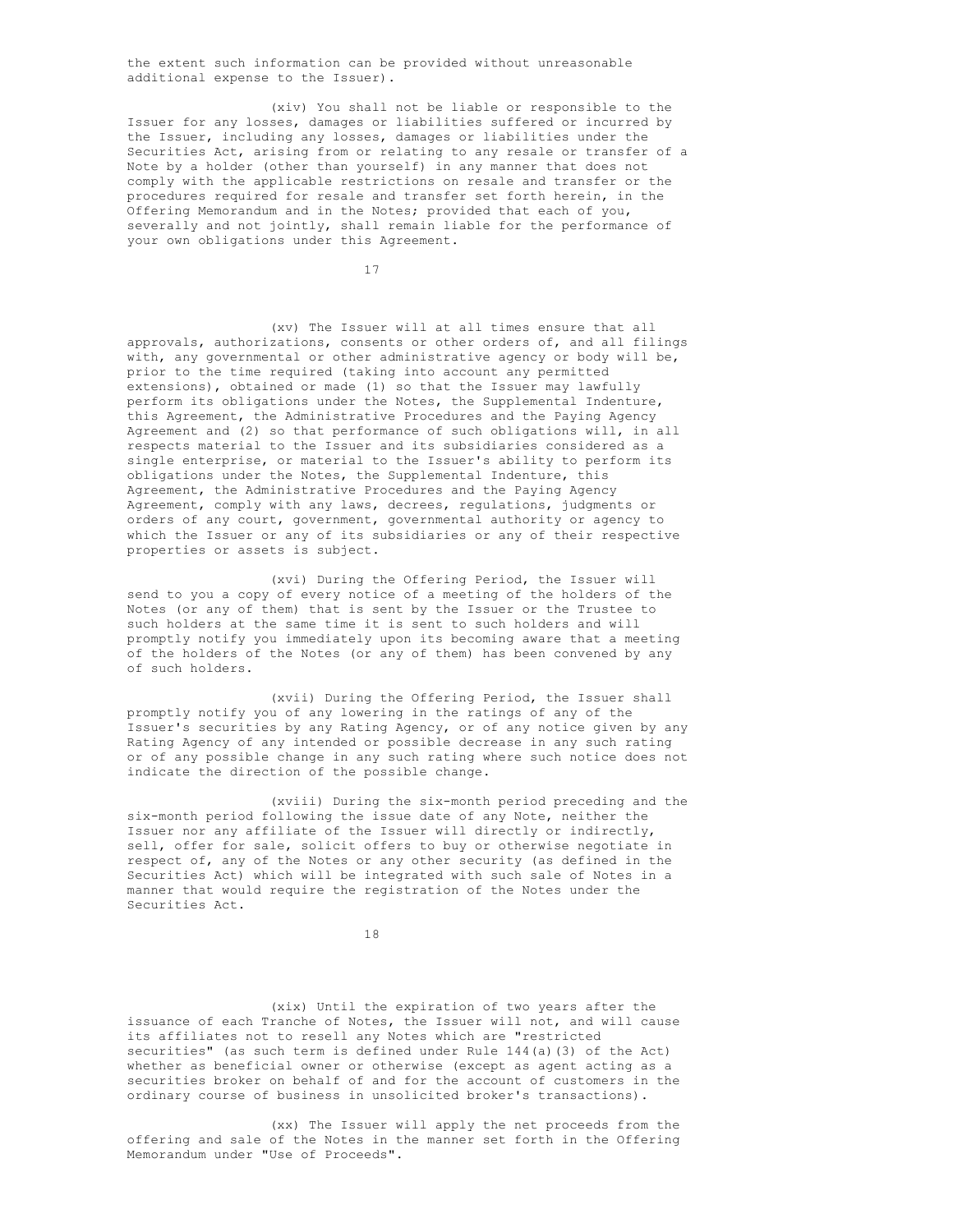the extent such information can be provided without unreasonable additional expense to the Issuer).

(xiv) You shall not be liable or responsible to the Issuer for any losses, damages or liabilities suffered or incurred by the Issuer, including any losses, damages or liabilities under the Securities Act, arising from or relating to any resale or transfer of a Note by a holder (other than yourself) in any manner that does not comply with the applicable restrictions on resale and transfer or the procedures required for resale and transfer set forth herein, in the Offering Memorandum and in the Notes; provided that each of you, severally and not jointly, shall remain liable for the performance of your own obligations under this Agreement.

17

(xv) The Issuer will at all times ensure that all approvals, authorizations, consents or other orders of, and all filings with, any governmental or other administrative agency or body will be, prior to the time required (taking into account any permitted extensions), obtained or made (1) so that the Issuer may lawfully perform its obligations under the Notes, the Supplemental Indenture, this Agreement, the Administrative Procedures and the Paying Agency Agreement and (2) so that performance of such obligations will, in all respects material to the Issuer and its subsidiaries considered as a single enterprise, or material to the Issuer's ability to perform its obligations under the Notes, the Supplemental Indenture, this Agreement, the Administrative Procedures and the Paying Agency Agreement, comply with any laws, decrees, regulations, judgments or orders of any court, government, governmental authority or agency to which the Issuer or any of its subsidiaries or any of their respective properties or assets is subject.

(xvi) During the Offering Period, the Issuer will send to you a copy of every notice of a meeting of the holders of the Notes (or any of them) that is sent by the Issuer or the Trustee to such holders at the same time it is sent to such holders and will promptly notify you immediately upon its becoming aware that a meeting of the holders of the Notes (or any of them) has been convened by any of such holders.

(xvii) During the Offering Period, the Issuer shall promptly notify you of any lowering in the ratings of any of the Issuer's securities by any Rating Agency, or of any notice given by any Rating Agency of any intended or possible decrease in any such rating or of any possible change in any such rating where such notice does not indicate the direction of the possible change.

(xviii) During the six-month period preceding and the six-month period following the issue date of any Note, neither the Issuer nor any affiliate of the Issuer will directly or indirectly, sell, offer for sale, solicit offers to buy or otherwise negotiate in respect of, any of the Notes or any other security (as defined in the Securities Act) which will be integrated with such sale of Notes in a manner that would require the registration of the Notes under the Securities Act.

18

(xix) Until the expiration of two years after the issuance of each Tranche of Notes, the Issuer will not, and will cause its affiliates not to resell any Notes which are "restricted securities" (as such term is defined under Rule 144(a)(3) of the Act) whether as beneficial owner or otherwise (except as agent acting as a securities broker on behalf of and for the account of customers in the ordinary course of business in unsolicited broker's transactions).

(xx) The Issuer will apply the net proceeds from the offering and sale of the Notes in the manner set forth in the Offering Memorandum under "Use of Proceeds".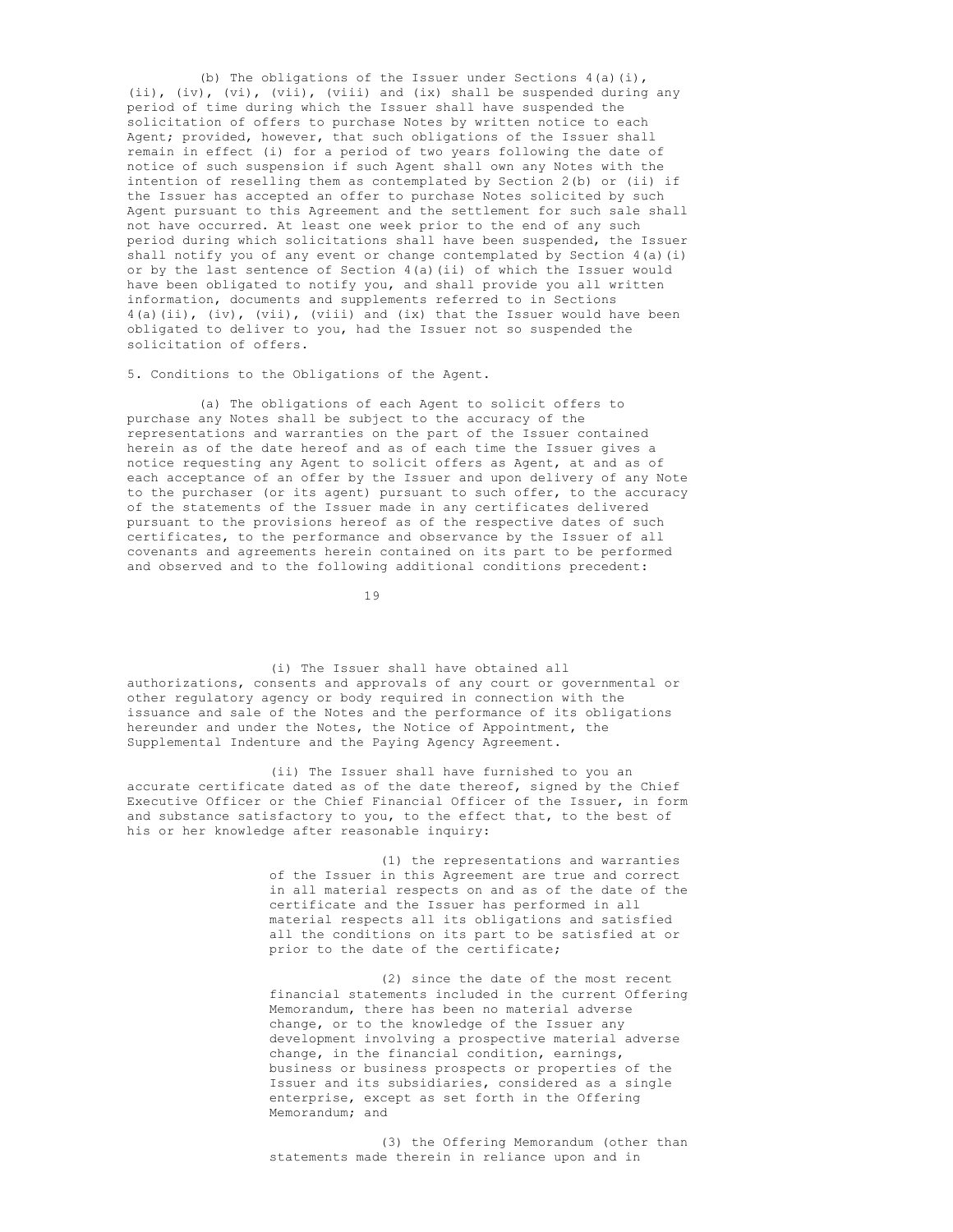(b) The obligations of the Issuer under Sections  $4(a)(i)$ , (ii), (iv), (vi), (vii), (viii) and (ix) shall be suspended during any period of time during which the Issuer shall have suspended the solicitation of offers to purchase Notes by written notice to each Agent; provided, however, that such obligations of the Issuer shall remain in effect (i) for a period of two years following the date of notice of such suspension if such Agent shall own any Notes with the intention of reselling them as contemplated by Section 2(b) or (ii) if the Issuer has accepted an offer to purchase Notes solicited by such Agent pursuant to this Agreement and the settlement for such sale shall not have occurred. At least one week prior to the end of any such period during which solicitations shall have been suspended, the Issuer shall notify you of any event or change contemplated by Section 4(a)(i) or by the last sentence of Section 4(a)(ii) of which the Issuer would have been obligated to notify you, and shall provide you all written information, documents and supplements referred to in Sections  $4(a)(ii)$ ,  $(iv)$ ,  $(vii)$ ,  $(viii)$  and  $(ix)$  that the Issuer would have been obligated to deliver to you, had the Issuer not so suspended the solicitation of offers.

5. Conditions to the Obligations of the Agent.

(a) The obligations of each Agent to solicit offers to purchase any Notes shall be subject to the accuracy of the representations and warranties on the part of the Issuer contained herein as of the date hereof and as of each time the Issuer gives a notice requesting any Agent to solicit offers as Agent, at and as of each acceptance of an offer by the Issuer and upon delivery of any Note to the purchaser (or its agent) pursuant to such offer, to the accuracy of the statements of the Issuer made in any certificates delivered pursuant to the provisions hereof as of the respective dates of such certificates, to the performance and observance by the Issuer of all covenants and agreements herein contained on its part to be performed and observed and to the following additional conditions precedent:

19

(i) The Issuer shall have obtained all authorizations, consents and approvals of any court or governmental or other regulatory agency or body required in connection with the issuance and sale of the Notes and the performance of its obligations hereunder and under the Notes, the Notice of Appointment, the Supplemental Indenture and the Paying Agency Agreement.

(ii) The Issuer shall have furnished to you an accurate certificate dated as of the date thereof, signed by the Chief Executive Officer or the Chief Financial Officer of the Issuer, in form and substance satisfactory to you, to the effect that, to the best of his or her knowledge after reasonable inquiry:

> (1) the representations and warranties of the Issuer in this Agreement are true and correct in all material respects on and as of the date of the certificate and the Issuer has performed in all material respects all its obligations and satisfied all the conditions on its part to be satisfied at or prior to the date of the certificate;

> (2) since the date of the most recent financial statements included in the current Offering Memorandum, there has been no material adverse change, or to the knowledge of the Issuer any development involving a prospective material adverse change, in the financial condition, earnings, business or business prospects or properties of the Issuer and its subsidiaries, considered as a single enterprise, except as set forth in the Offering Memorandum; and

> (3) the Offering Memorandum (other than statements made therein in reliance upon and in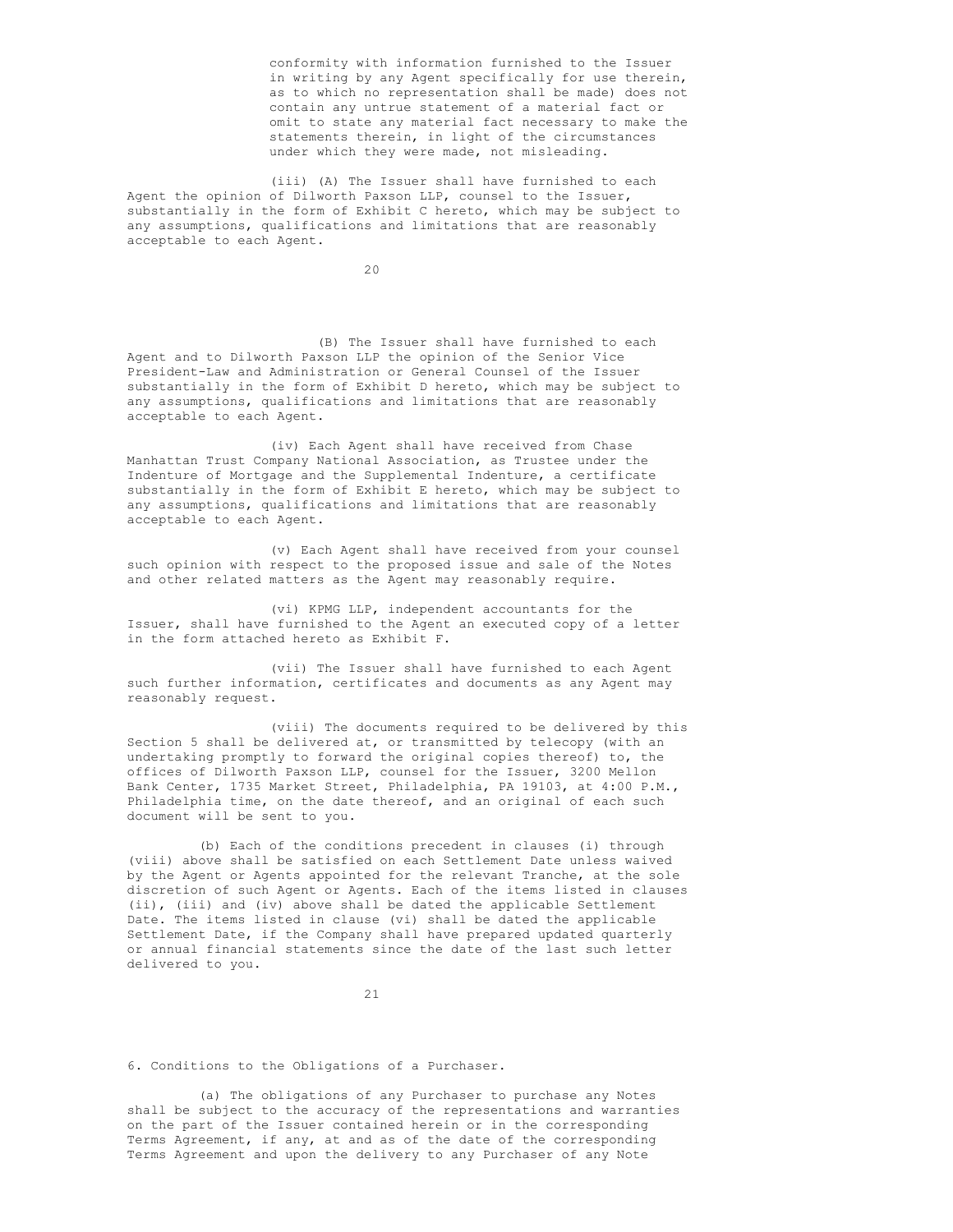conformity with information furnished to the Issuer in writing by any Agent specifically for use therein, as to which no representation shall be made) does not contain any untrue statement of a material fact or omit to state any material fact necessary to make the statements therein, in light of the circumstances under which they were made, not misleading.

(iii) (A) The Issuer shall have furnished to each Agent the opinion of Dilworth Paxson LLP, counsel to the Issuer, substantially in the form of Exhibit C hereto, which may be subject to any assumptions, qualifications and limitations that are reasonably acceptable to each Agent.

20

(B) The Issuer shall have furnished to each Agent and to Dilworth Paxson LLP the opinion of the Senior Vice President-Law and Administration or General Counsel of the Issuer substantially in the form of Exhibit D hereto, which may be subject to any assumptions, qualifications and limitations that are reasonably acceptable to each Agent.

(iv) Each Agent shall have received from Chase Manhattan Trust Company National Association, as Trustee under the Indenture of Mortgage and the Supplemental Indenture, a certificate substantially in the form of Exhibit E hereto, which may be subject to any assumptions, qualifications and limitations that are reasonably acceptable to each Agent.

(v) Each Agent shall have received from your counsel such opinion with respect to the proposed issue and sale of the Notes and other related matters as the Agent may reasonably require.

(vi) KPMG LLP, independent accountants for the Issuer, shall have furnished to the Agent an executed copy of a letter in the form attached hereto as Exhibit F.

(vii) The Issuer shall have furnished to each Agent such further information, certificates and documents as any Agent may reasonably request.

(viii) The documents required to be delivered by this Section 5 shall be delivered at, or transmitted by telecopy (with an undertaking promptly to forward the original copies thereof) to, the offices of Dilworth Paxson LLP, counsel for the Issuer, 3200 Mellon Bank Center, 1735 Market Street, Philadelphia, PA 19103, at 4:00 P.M., Philadelphia time, on the date thereof, and an original of each such document will be sent to you.

(b) Each of the conditions precedent in clauses (i) through (viii) above shall be satisfied on each Settlement Date unless waived by the Agent or Agents appointed for the relevant Tranche, at the sole discretion of such Agent or Agents. Each of the items listed in clauses (ii), (iii) and (iv) above shall be dated the applicable Settlement Date. The items listed in clause (vi) shall be dated the applicable Settlement Date, if the Company shall have prepared updated quarterly or annual financial statements since the date of the last such letter delivered to you.

21

6. Conditions to the Obligations of a Purchaser.

(a) The obligations of any Purchaser to purchase any Notes shall be subject to the accuracy of the representations and warranties on the part of the Issuer contained herein or in the corresponding Terms Agreement, if any, at and as of the date of the corresponding Terms Agreement and upon the delivery to any Purchaser of any Note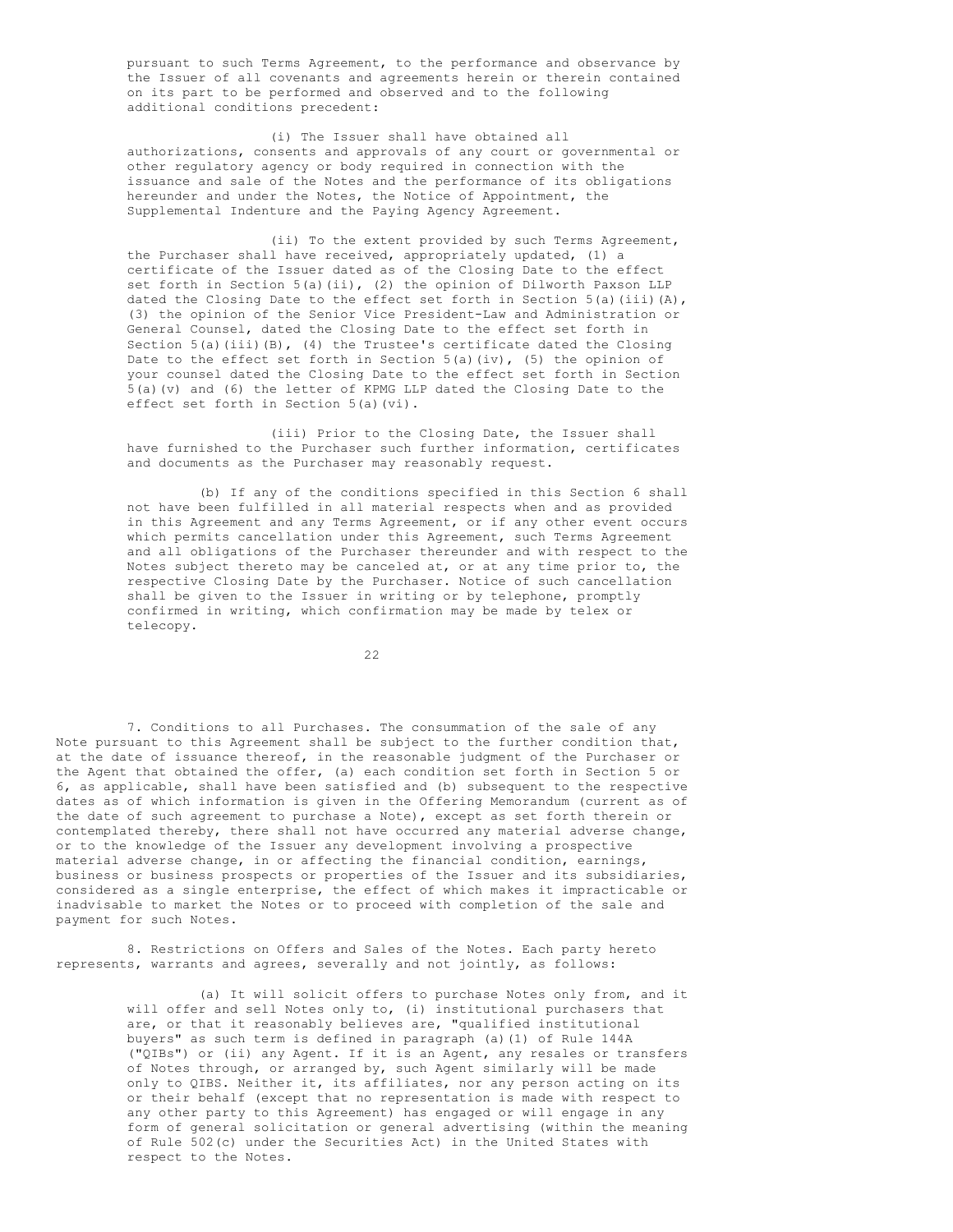pursuant to such Terms Agreement, to the performance and observance by the Issuer of all covenants and agreements herein or therein contained on its part to be performed and observed and to the following additional conditions precedent:

(i) The Issuer shall have obtained all authorizations, consents and approvals of any court or governmental or other regulatory agency or body required in connection with the issuance and sale of the Notes and the performance of its obligations hereunder and under the Notes, the Notice of Appointment, the Supplemental Indenture and the Paying Agency Agreement.

(ii) To the extent provided by such Terms Agreement, the Purchaser shall have received, appropriately updated, (1) a certificate of the Issuer dated as of the Closing Date to the effect set forth in Section 5(a)(ii), (2) the opinion of Dilworth Paxson LLP dated the Closing Date to the effect set forth in Section 5(a)(iii)(A), (3) the opinion of the Senior Vice President-Law and Administration or General Counsel, dated the Closing Date to the effect set forth in Section  $5(a)$ (iii)(B), (4) the Trustee's certificate dated the Closing Date to the effect set forth in Section 5(a)(iv), (5) the opinion of your counsel dated the Closing Date to the effect set forth in Section 5(a)(v) and (6) the letter of KPMG LLP dated the Closing Date to the effect set forth in Section 5(a)(vi).

(iii) Prior to the Closing Date, the Issuer shall have furnished to the Purchaser such further information, certificates and documents as the Purchaser may reasonably request.

(b) If any of the conditions specified in this Section 6 shall not have been fulfilled in all material respects when and as provided in this Agreement and any Terms Agreement, or if any other event occurs which permits cancellation under this Agreement, such Terms Agreement and all obligations of the Purchaser thereunder and with respect to the Notes subject thereto may be canceled at, or at any time prior to, the respective Closing Date by the Purchaser. Notice of such cancellation shall be given to the Issuer in writing or by telephone, promptly confirmed in writing, which confirmation may be made by telex or telecopy.

22

7. Conditions to all Purchases. The consummation of the sale of any Note pursuant to this Agreement shall be subject to the further condition that, at the date of issuance thereof, in the reasonable judgment of the Purchaser or the Agent that obtained the offer, (a) each condition set forth in Section 5 or 6, as applicable, shall have been satisfied and (b) subsequent to the respective dates as of which information is given in the Offering Memorandum (current as of the date of such agreement to purchase a Note), except as set forth therein or contemplated thereby, there shall not have occurred any material adverse change, or to the knowledge of the Issuer any development involving a prospective material adverse change, in or affecting the financial condition, earnings, business or business prospects or properties of the Issuer and its subsidiaries, considered as a single enterprise, the effect of which makes it impracticable or inadvisable to market the Notes or to proceed with completion of the sale and payment for such Notes.

8. Restrictions on Offers and Sales of the Notes. Each party hereto represents, warrants and agrees, severally and not jointly, as follows:

> (a) It will solicit offers to purchase Notes only from, and it will offer and sell Notes only to, (i) institutional purchasers that are, or that it reasonably believes are, "qualified institutional buyers" as such term is defined in paragraph (a)(1) of Rule 144A ("QIBs") or (ii) any Agent. If it is an Agent, any resales or transfers of Notes through, or arranged by, such Agent similarly will be made only to QIBS. Neither it, its affiliates, nor any person acting on its or their behalf (except that no representation is made with respect to any other party to this Agreement) has engaged or will engage in any form of general solicitation or general advertising (within the meaning of Rule 502(c) under the Securities Act) in the United States with respect to the Notes.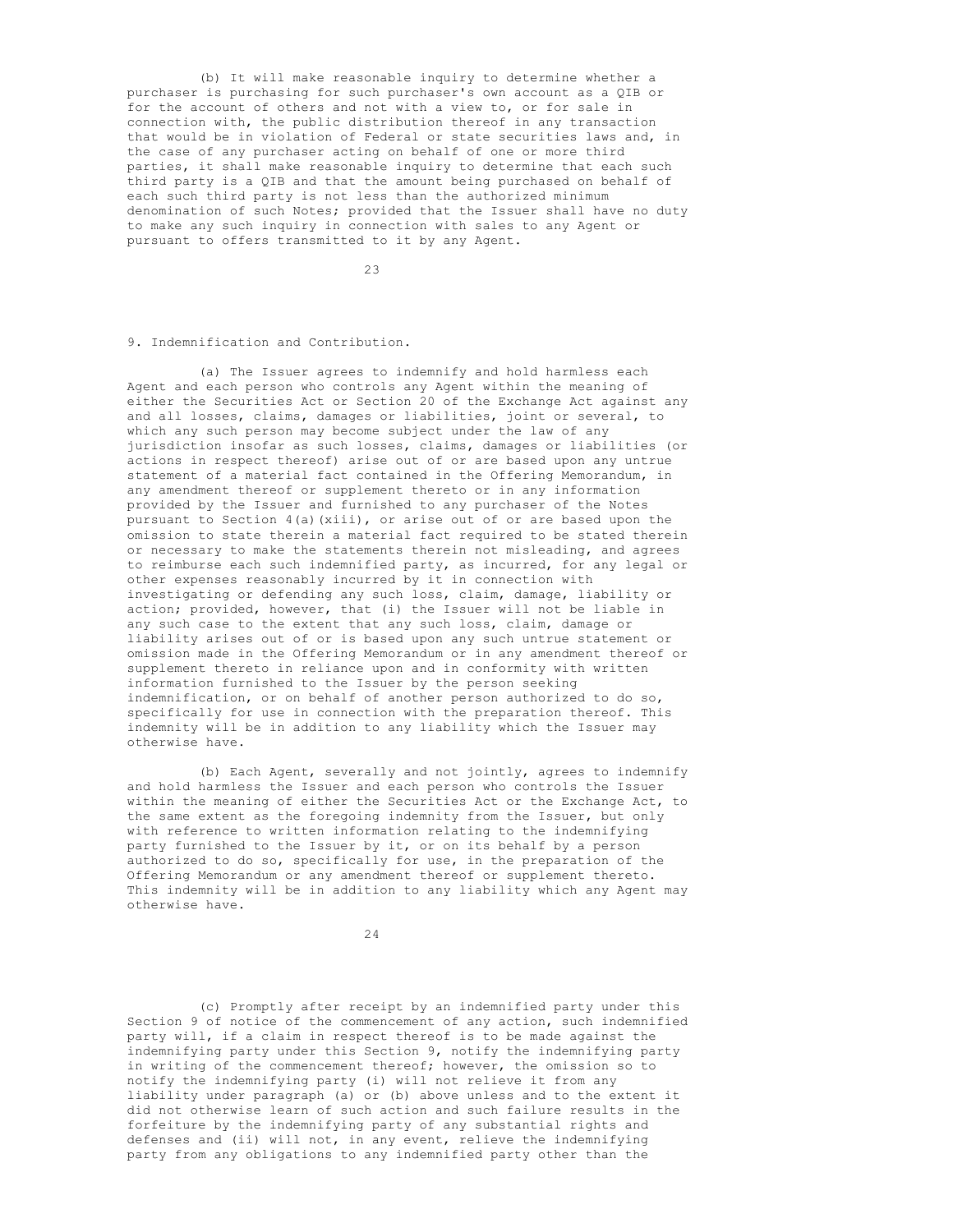(b) It will make reasonable inquiry to determine whether a purchaser is purchasing for such purchaser's own account as a QIB or for the account of others and not with a view to, or for sale in connection with, the public distribution thereof in any transaction that would be in violation of Federal or state securities laws and, in the case of any purchaser acting on behalf of one or more third parties, it shall make reasonable inquiry to determine that each such third party is a QIB and that the amount being purchased on behalf of each such third party is not less than the authorized minimum denomination of such Notes; provided that the Issuer shall have no duty to make any such inquiry in connection with sales to any Agent or pursuant to offers transmitted to it by any Agent.

23

#### 9. Indemnification and Contribution.

(a) The Issuer agrees to indemnify and hold harmless each Agent and each person who controls any Agent within the meaning of either the Securities Act or Section 20 of the Exchange Act against any and all losses, claims, damages or liabilities, joint or several, to which any such person may become subject under the law of any jurisdiction insofar as such losses, claims, damages or liabilities (or actions in respect thereof) arise out of or are based upon any untrue statement of a material fact contained in the Offering Memorandum, in any amendment thereof or supplement thereto or in any information provided by the Issuer and furnished to any purchaser of the Notes pursuant to Section 4(a)(xiii), or arise out of or are based upon the omission to state therein a material fact required to be stated therein or necessary to make the statements therein not misleading, and agrees to reimburse each such indemnified party, as incurred, for any legal or other expenses reasonably incurred by it in connection with investigating or defending any such loss, claim, damage, liability or action; provided, however, that (i) the Issuer will not be liable in any such case to the extent that any such loss, claim, damage or liability arises out of or is based upon any such untrue statement or omission made in the Offering Memorandum or in any amendment thereof or supplement thereto in reliance upon and in conformity with written information furnished to the Issuer by the person seeking indemnification, or on behalf of another person authorized to do so, specifically for use in connection with the preparation thereof. This indemnity will be in addition to any liability which the Issuer may otherwise have.

(b) Each Agent, severally and not jointly, agrees to indemnify and hold harmless the Issuer and each person who controls the Issuer within the meaning of either the Securities Act or the Exchange Act, to the same extent as the foregoing indemnity from the Issuer, but only with reference to written information relating to the indemnifying party furnished to the Issuer by it, or on its behalf by a person authorized to do so, specifically for use, in the preparation of the Offering Memorandum or any amendment thereof or supplement thereto. This indemnity will be in addition to any liability which any Agent may otherwise have.

24

(c) Promptly after receipt by an indemnified party under this Section 9 of notice of the commencement of any action, such indemnified party will, if a claim in respect thereof is to be made against the indemnifying party under this Section 9, notify the indemnifying party in writing of the commencement thereof; however, the omission so to notify the indemnifying party (i) will not relieve it from any liability under paragraph (a) or (b) above unless and to the extent it did not otherwise learn of such action and such failure results in the forfeiture by the indemnifying party of any substantial rights and defenses and (ii) will not, in any event, relieve the indemnifying party from any obligations to any indemnified party other than the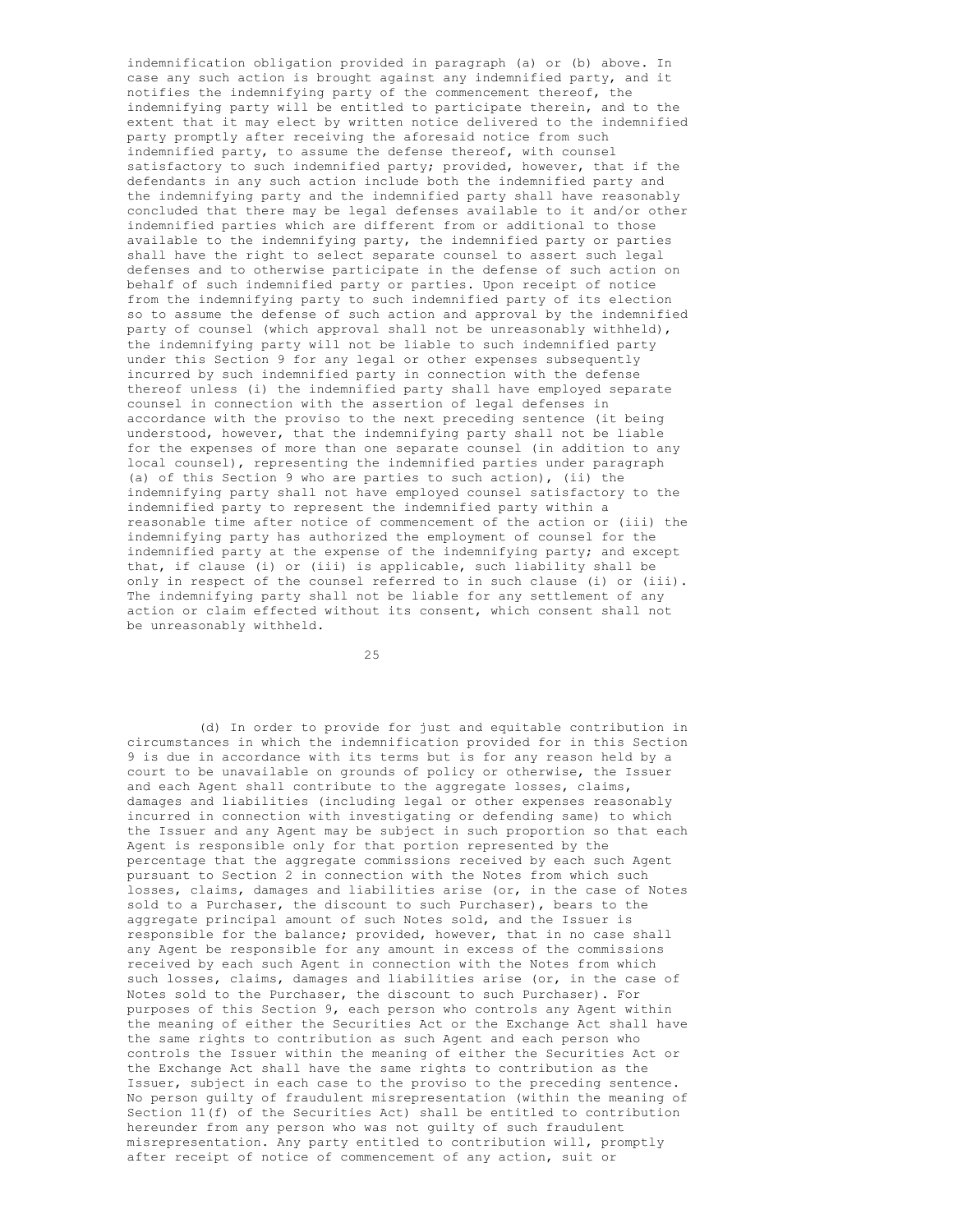indemnification obligation provided in paragraph (a) or (b) above. In case any such action is brought against any indemnified party, and it notifies the indemnifying party of the commencement thereof, the indemnifying party will be entitled to participate therein, and to the extent that it may elect by written notice delivered to the indemnified party promptly after receiving the aforesaid notice from such indemnified party, to assume the defense thereof, with counsel satisfactory to such indemnified party; provided, however, that if the defendants in any such action include both the indemnified party and the indemnifying party and the indemnified party shall have reasonably concluded that there may be legal defenses available to it and/or other indemnified parties which are different from or additional to those available to the indemnifying party, the indemnified party or parties shall have the right to select separate counsel to assert such legal defenses and to otherwise participate in the defense of such action on behalf of such indemnified party or parties. Upon receipt of notice from the indemnifying party to such indemnified party of its election so to assume the defense of such action and approval by the indemnified party of counsel (which approval shall not be unreasonably withheld), the indemnifying party will not be liable to such indemnified party under this Section 9 for any legal or other expenses subsequently incurred by such indemnified party in connection with the defense thereof unless (i) the indemnified party shall have employed separate counsel in connection with the assertion of legal defenses in accordance with the proviso to the next preceding sentence (it being understood, however, that the indemnifying party shall not be liable for the expenses of more than one separate counsel (in addition to any local counsel), representing the indemnified parties under paragraph (a) of this Section 9 who are parties to such action), (ii) the indemnifying party shall not have employed counsel satisfactory to the indemnified party to represent the indemnified party within a reasonable time after notice of commencement of the action or (iii) the indemnifying party has authorized the employment of counsel for the indemnified party at the expense of the indemnifying party; and except that, if clause (i) or (iii) is applicable, such liability shall be only in respect of the counsel referred to in such clause (i) or (iii). The indemnifying party shall not be liable for any settlement of any action or claim effected without its consent, which consent shall not be unreasonably withheld.

25

(d) In order to provide for just and equitable contribution in circumstances in which the indemnification provided for in this Section 9 is due in accordance with its terms but is for any reason held by a court to be unavailable on grounds of policy or otherwise, the Issuer and each Agent shall contribute to the aggregate losses, claims, damages and liabilities (including legal or other expenses reasonably incurred in connection with investigating or defending same) to which the Issuer and any Agent may be subject in such proportion so that each Agent is responsible only for that portion represented by the percentage that the aggregate commissions received by each such Agent pursuant to Section 2 in connection with the Notes from which such losses, claims, damages and liabilities arise (or, in the case of Notes sold to a Purchaser, the discount to such Purchaser), bears to the aggregate principal amount of such Notes sold, and the Issuer is responsible for the balance; provided, however, that in no case shall any Agent be responsible for any amount in excess of the commissions received by each such Agent in connection with the Notes from which such losses, claims, damages and liabilities arise (or, in the case of Notes sold to the Purchaser, the discount to such Purchaser). For purposes of this Section 9, each person who controls any Agent within the meaning of either the Securities Act or the Exchange Act shall have the same rights to contribution as such Agent and each person who controls the Issuer within the meaning of either the Securities Act or the Exchange Act shall have the same rights to contribution as the Issuer, subject in each case to the proviso to the preceding sentence. No person guilty of fraudulent misrepresentation (within the meaning of Section 11(f) of the Securities Act) shall be entitled to contribution hereunder from any person who was not guilty of such fraudulent misrepresentation. Any party entitled to contribution will, promptly after receipt of notice of commencement of any action, suit or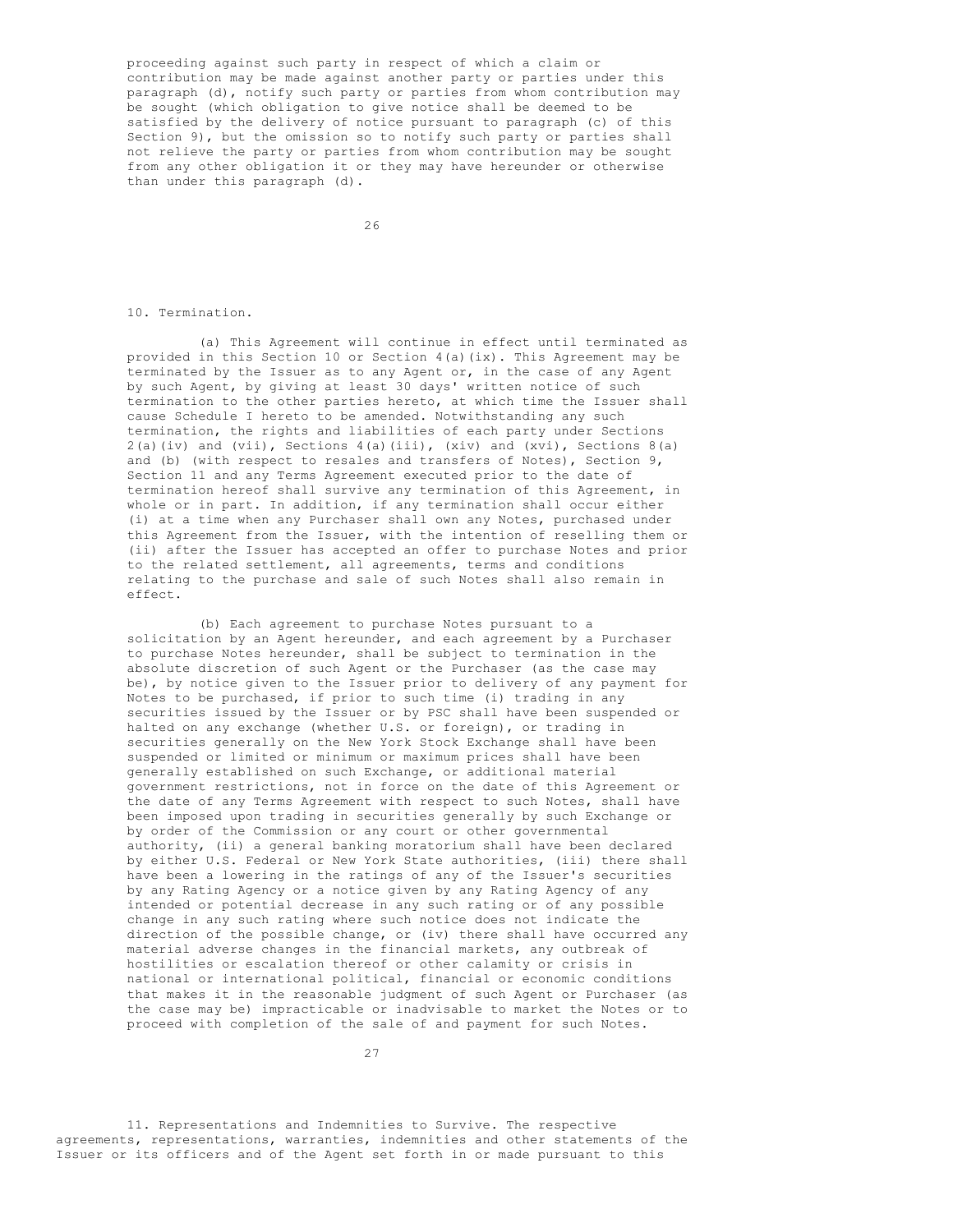proceeding against such party in respect of which a claim or contribution may be made against another party or parties under this paragraph (d), notify such party or parties from whom contribution may be sought (which obligation to give notice shall be deemed to be satisfied by the delivery of notice pursuant to paragraph (c) of this Section 9), but the omission so to notify such party or parties shall not relieve the party or parties from whom contribution may be sought from any other obligation it or they may have hereunder or otherwise than under this paragraph (d).

26

10. Termination.

(a) This Agreement will continue in effect until terminated as provided in this Section 10 or Section 4(a)(ix). This Agreement may be terminated by the Issuer as to any Agent or, in the case of any Agent by such Agent, by giving at least 30 days' written notice of such termination to the other parties hereto, at which time the Issuer shall cause Schedule I hereto to be amended. Notwithstanding any such termination, the rights and liabilities of each party under Sections  $2(a)(iv)$  and (vii), Sections  $4(a)(iii)$ , (xiv) and (xvi), Sections  $8(a)$ and (b) (with respect to resales and transfers of Notes), Section 9, Section 11 and any Terms Agreement executed prior to the date of termination hereof shall survive any termination of this Agreement, in whole or in part. In addition, if any termination shall occur either (i) at a time when any Purchaser shall own any Notes, purchased under this Agreement from the Issuer, with the intention of reselling them or (ii) after the Issuer has accepted an offer to purchase Notes and prior to the related settlement, all agreements, terms and conditions relating to the purchase and sale of such Notes shall also remain in effect.

(b) Each agreement to purchase Notes pursuant to a solicitation by an Agent hereunder, and each agreement by a Purchaser to purchase Notes hereunder, shall be subject to termination in the absolute discretion of such Agent or the Purchaser (as the case may be), by notice given to the Issuer prior to delivery of any payment for Notes to be purchased, if prior to such time (i) trading in any securities issued by the Issuer or by PSC shall have been suspended or halted on any exchange (whether U.S. or foreign), or trading in securities generally on the New York Stock Exchange shall have been suspended or limited or minimum or maximum prices shall have been generally established on such Exchange, or additional material government restrictions, not in force on the date of this Agreement or the date of any Terms Agreement with respect to such Notes, shall have been imposed upon trading in securities generally by such Exchange or by order of the Commission or any court or other governmental authority, (ii) a general banking moratorium shall have been declared by either U.S. Federal or New York State authorities, (iii) there shall have been a lowering in the ratings of any of the Issuer's securities by any Rating Agency or a notice given by any Rating Agency of any intended or potential decrease in any such rating or of any possible change in any such rating where such notice does not indicate the direction of the possible change, or (iv) there shall have occurred any material adverse changes in the financial markets, any outbreak of hostilities or escalation thereof or other calamity or crisis in national or international political, financial or economic conditions that makes it in the reasonable judgment of such Agent or Purchaser (as the case may be) impracticable or inadvisable to market the Notes or to proceed with completion of the sale of and payment for such Notes.

11. Representations and Indemnities to Survive. The respective agreements, representations, warranties, indemnities and other statements of the Issuer or its officers and of the Agent set forth in or made pursuant to this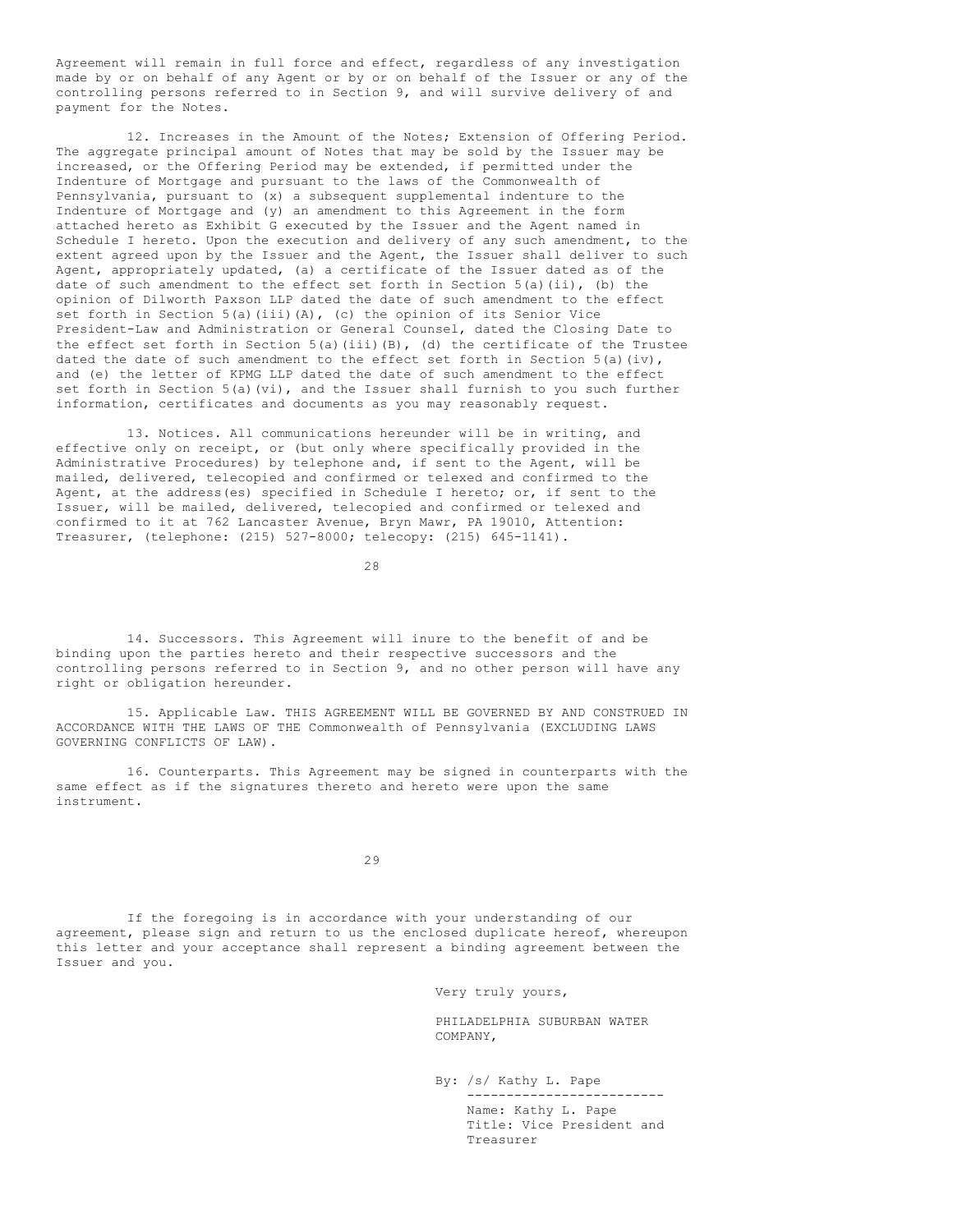Agreement will remain in full force and effect, regardless of any investigation made by or on behalf of any Agent or by or on behalf of the Issuer or any of the controlling persons referred to in Section 9, and will survive delivery of and payment for the Notes.

12. Increases in the Amount of the Notes; Extension of Offering Period. The aggregate principal amount of Notes that may be sold by the Issuer may be increased, or the Offering Period may be extended, if permitted under the Indenture of Mortgage and pursuant to the laws of the Commonwealth of Pennsylvania, pursuant to (x) a subsequent supplemental indenture to the Indenture of Mortgage and (y) an amendment to this Agreement in the form attached hereto as Exhibit G executed by the Issuer and the Agent named in Schedule I hereto. Upon the execution and delivery of any such amendment, to the extent agreed upon by the Issuer and the Agent, the Issuer shall deliver to such Agent, appropriately updated, (a) a certificate of the Issuer dated as of the date of such amendment to the effect set forth in Section 5(a)(ii), (b) the opinion of Dilworth Paxson LLP dated the date of such amendment to the effect set forth in Section 5(a)(iii)(A), (c) the opinion of its Senior Vice President-Law and Administration or General Counsel, dated the Closing Date to the effect set forth in Section 5(a)(iii)(B), (d) the certificate of the Trustee dated the date of such amendment to the effect set forth in Section 5(a)(iv), and (e) the letter of KPMG LLP dated the date of such amendment to the effect set forth in Section 5(a)(vi), and the Issuer shall furnish to you such further information, certificates and documents as you may reasonably request.

13. Notices. All communications hereunder will be in writing, and effective only on receipt, or (but only where specifically provided in the Administrative Procedures) by telephone and, if sent to the Agent, will be mailed, delivered, telecopied and confirmed or telexed and confirmed to the Agent, at the address(es) specified in Schedule I hereto; or, if sent to the Issuer, will be mailed, delivered, telecopied and confirmed or telexed and confirmed to it at 762 Lancaster Avenue, Bryn Mawr, PA 19010, Attention: Treasurer, (telephone: (215) 527-8000; telecopy: (215) 645-1141).

28

14. Successors. This Agreement will inure to the benefit of and be binding upon the parties hereto and their respective successors and the controlling persons referred to in Section 9, and no other person will have any right or obligation hereunder.

15. Applicable Law. THIS AGREEMENT WILL BE GOVERNED BY AND CONSTRUED IN ACCORDANCE WITH THE LAWS OF THE Commonwealth of Pennsylvania (EXCLUDING LAWS GOVERNING CONFLICTS OF LAW).

16. Counterparts. This Agreement may be signed in counterparts with the same effect as if the signatures thereto and hereto were upon the same instrument.

29

If the foregoing is in accordance with your understanding of our agreement, please sign and return to us the enclosed duplicate hereof, whereupon this letter and your acceptance shall represent a binding agreement between the Issuer and you.

Very truly yours,

PHILADELPHIA SUBURBAN WATER COMPANY,

By: /s/ Kathy L. Pape

------------------------- Name: Kathy L. Pape Title: Vice President and Treasurer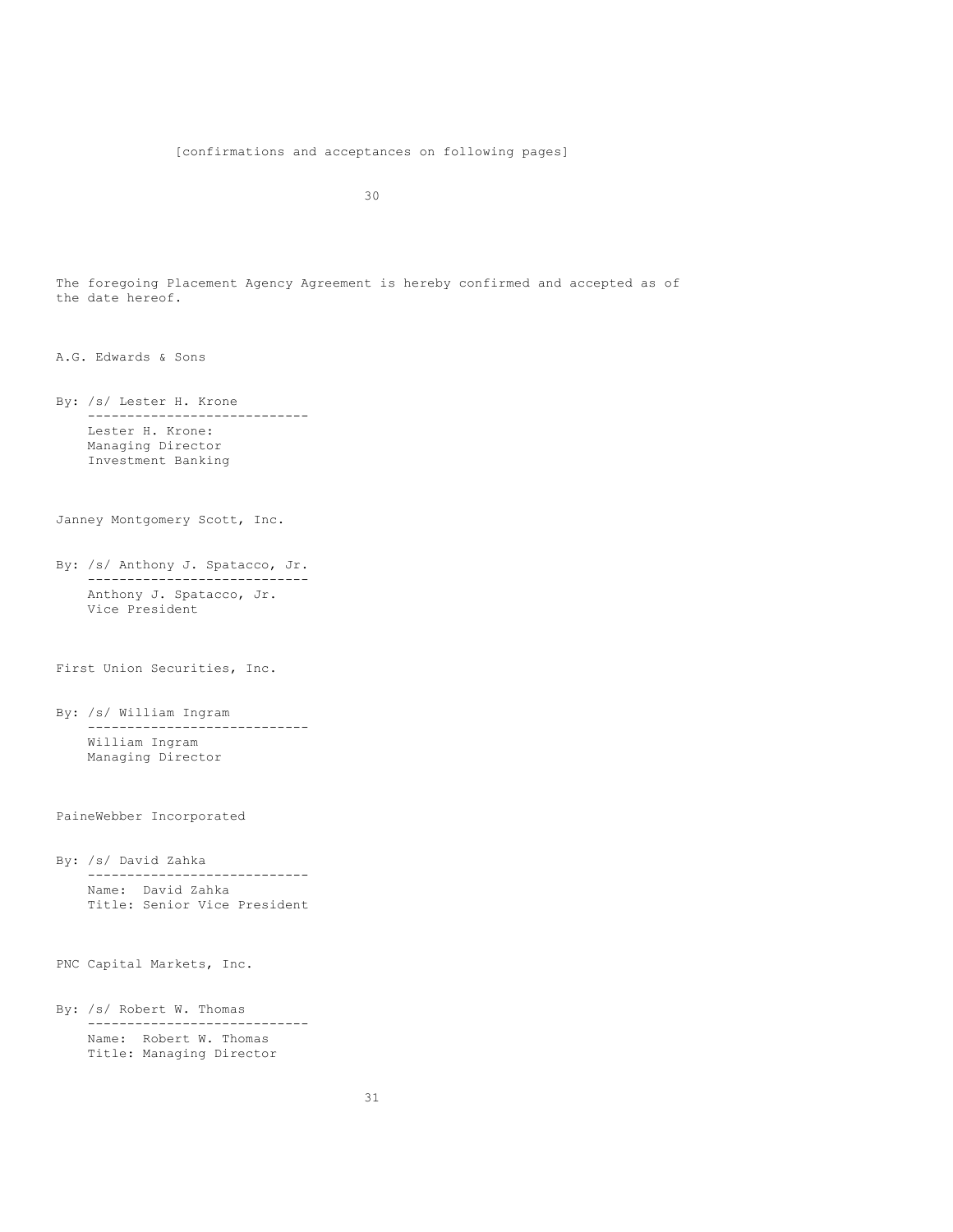[confirmations and acceptances on following pages]

30

The foregoing Placement Agency Agreement is hereby confirmed and accepted as of the date hereof.

A.G. Edwards & Sons

By: /s/ Lester H. Krone ---------------------------- Lester H. Krone: Managing Director Investment Banking

Janney Montgomery Scott, Inc.

By: /s/ Anthony J. Spatacco, Jr. ---------------------------- Anthony J. Spatacco, Jr. Vice President

First Union Securities, Inc.

By: /s/ William Ingram ---------------------------- William Ingram Managing Director

PaineWebber Incorporated

By: /s/ David Zahka ---------------------------- Name: David Zahka Title: Senior Vice President

PNC Capital Markets, Inc.

By: /s/ Robert W. Thomas ---------------------------- Name: Robert W. Thomas Title: Managing Director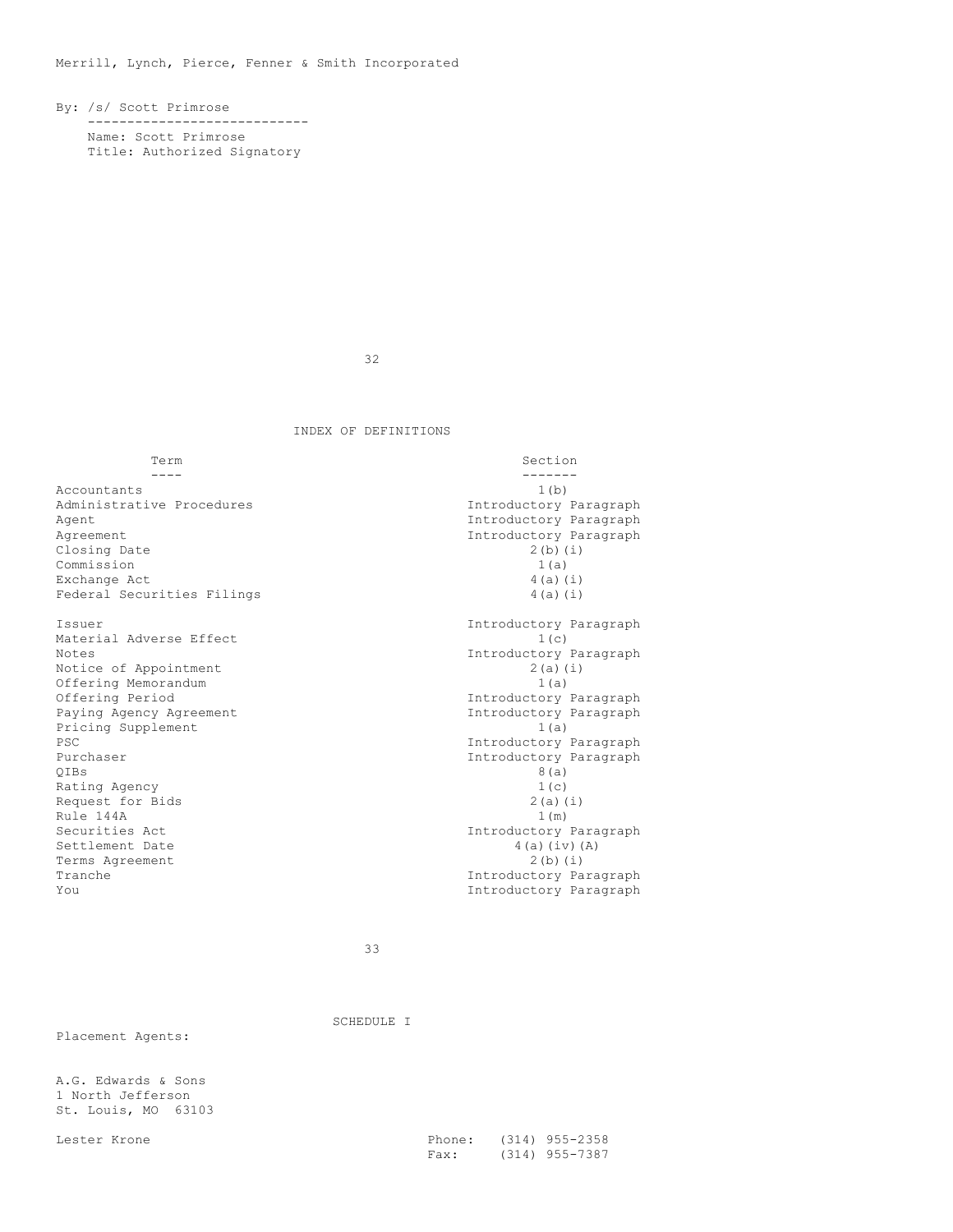Merrill, Lynch, Pierce, Fenner & Smith Incorporated

By: /s/ Scott Primrose ---------------------------- Name: Scott Primrose Title: Authorized Signatory

32

INDEX OF DEFINITIONS

| Term                       | Section                |  |  |
|----------------------------|------------------------|--|--|
|                            |                        |  |  |
| Accountants                | 1(b)                   |  |  |
| Administrative Procedures  | Introductory Paragraph |  |  |
| Agent                      | Introductory Paragraph |  |  |
| Agreement                  | Introductory Paragraph |  |  |
| Closing Date               | 2(b) (i)               |  |  |
| Commission                 | 1(a)                   |  |  |
| Exchange Act               | 4(a)(i)                |  |  |
| Federal Securities Filings | 4(a)(i)                |  |  |
| Issuer                     | Introductory Paragraph |  |  |
| Material Adverse Effect    | 1(c)                   |  |  |
| Notes                      | Introductory Paragraph |  |  |
| Notice of Appointment      | 2(a)(i)                |  |  |
| Offering Memorandum        | 1(a)                   |  |  |
| Offering Period            | Introductory Paragraph |  |  |
| Paying Agency Agreement    | Introductory Paragraph |  |  |
| Pricing Supplement         | 1(a)                   |  |  |
| <b>PSC</b>                 | Introductory Paragraph |  |  |
| Purchaser                  | Introductory Paragraph |  |  |
| OIBs                       | 8(a)                   |  |  |
| Rating Agency              | 1(c)                   |  |  |
| Request for Bids           | 2(a)(i)                |  |  |
| Rulleq 144A                | 1(m)                   |  |  |
| Securities Act             | Introductory Paragraph |  |  |
| Settlement Date            | $4(a)$ (iv) (A)        |  |  |
| Terms Agreement            | 2(b) (i)               |  |  |
| Tranche                    | Introductory Paragraph |  |  |
| You                        | Introductory Paragraph |  |  |

33

SCHEDULE I

Placement Agents:

A.G. Edwards & Sons 1 North Jefferson St. Louis, MO 63103

| Phone: | $(314)$ 955-2358 |
|--------|------------------|
| Fax:   | $(314)$ 955-7387 |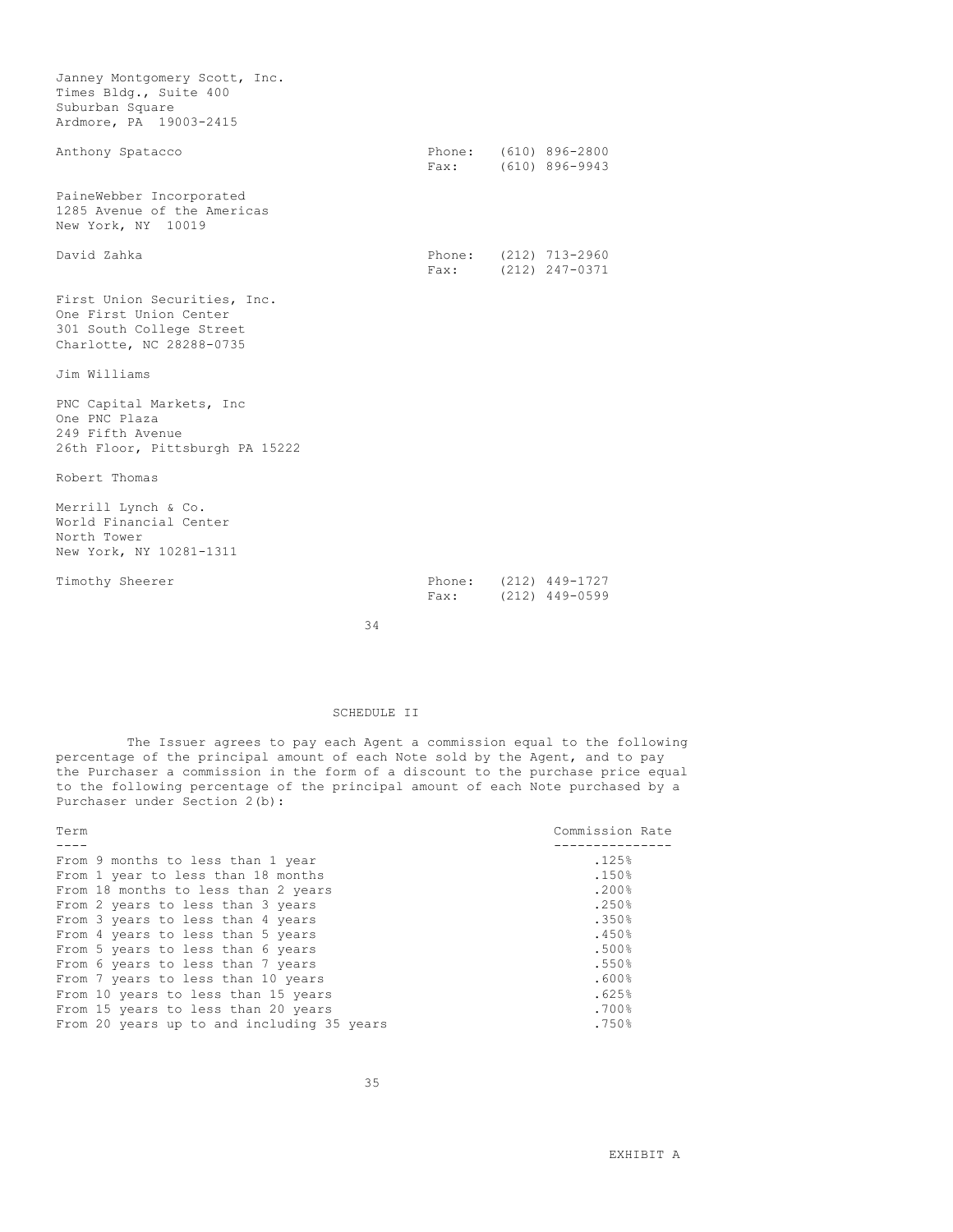| Janney Montgomery Scott, Inc.<br>Times Bldg., Suite 400<br>Suburban Square<br>Ardmore, PA 19003-2415           |                                              |                  |
|----------------------------------------------------------------------------------------------------------------|----------------------------------------------|------------------|
| Anthony Spatacco                                                                                               | Phone: (610) 896-2800<br>Fax: (610) 896-9943 |                  |
| PaineWebber Incorporated<br>1285 Avenue of the Americas<br>New York, NY 10019                                  |                                              |                  |
| David Zahka                                                                                                    | Phone: (212) 713-2960<br>Fax: (212) 247-0371 |                  |
| First Union Securities, Inc.<br>One First Union Center<br>301 South College Street<br>Charlotte, NC 28288-0735 |                                              |                  |
| Jim Williams                                                                                                   |                                              |                  |
| PNC Capital Markets, Inc<br>One PNC Plaza<br>249 Fifth Avenue<br>26th Floor, Pittsburgh PA 15222               |                                              |                  |
| Robert Thomas                                                                                                  |                                              |                  |
| Merrill Lynch & Co.<br>World Financial Center<br>North Tower<br>New York, NY 10281-1311                        |                                              |                  |
| Timothy Sheerer                                                                                                | Phone: (212) 449-1727<br>Fax:                | $(212)$ 449-0599 |

34

# SCHEDULE II

The Issuer agrees to pay each Agent a commission equal to the following percentage of the principal amount of each Note sold by the Agent, and to pay the Purchaser a commission in the form of a discount to the purchase price equal to the following percentage of the principal amount of each Note purchased by a Purchaser under Section 2(b):

| Term                                       | Commission Rate |
|--------------------------------------------|-----------------|
|                                            |                 |
| From 9 months to less than 1 year          | .125%           |
| From 1 year to less than 18 months         | .150%           |
| From 18 months to less than 2 years        | .200%           |
| From 2 years to less than 3 years          | .250%           |
| From 3 years to less than 4 years          | .350%           |
| From 4 years to less than 5 years          | .450%           |
| From 5 years to less than 6 years          | .500%           |
| From 6 years to less than 7 years          | .550%           |
| From 7 years to less than 10 years         | .600%           |
| From 10 years to less than 15 years        | .625%           |
| From 15 years to less than 20 years        | .700%           |
| From 20 years up to and including 35 years | .750%           |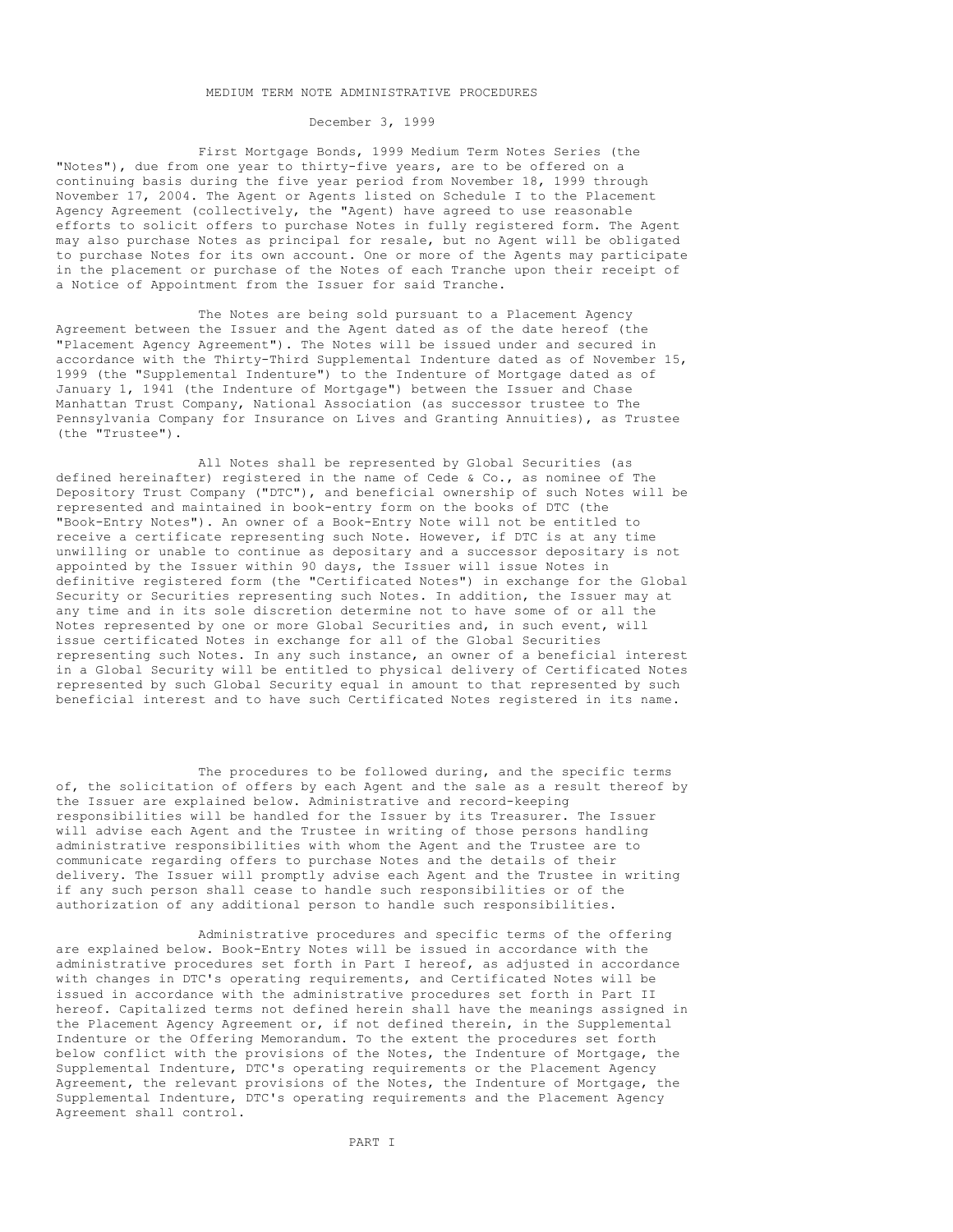## MEDIUM TERM NOTE ADMINISTRATIVE PROCEDURES

December 3, 1999

First Mortgage Bonds, 1999 Medium Term Notes Series (the "Notes"), due from one year to thirty-five years, are to be offered on a continuing basis during the five year period from November 18, 1999 through November 17, 2004. The Agent or Agents listed on Schedule I to the Placement Agency Agreement (collectively, the "Agent) have agreed to use reasonable efforts to solicit offers to purchase Notes in fully registered form. The Agent may also purchase Notes as principal for resale, but no Agent will be obligated to purchase Notes for its own account. One or more of the Agents may participate in the placement or purchase of the Notes of each Tranche upon their receipt of a Notice of Appointment from the Issuer for said Tranche.

The Notes are being sold pursuant to a Placement Agency Agreement between the Issuer and the Agent dated as of the date hereof (the "Placement Agency Agreement"). The Notes will be issued under and secured in accordance with the Thirty-Third Supplemental Indenture dated as of November 15, 1999 (the "Supplemental Indenture") to the Indenture of Mortgage dated as of January 1, 1941 (the Indenture of Mortgage") between the Issuer and Chase Manhattan Trust Company, National Association (as successor trustee to The Pennsylvania Company for Insurance on Lives and Granting Annuities), as Trustee (the "Trustee").

All Notes shall be represented by Global Securities (as defined hereinafter) registered in the name of Cede & Co., as nominee of The Depository Trust Company ("DTC"), and beneficial ownership of such Notes will be represented and maintained in book-entry form on the books of DTC (the "Book-Entry Notes"). An owner of a Book-Entry Note will not be entitled to receive a certificate representing such Note. However, if DTC is at any time unwilling or unable to continue as depositary and a successor depositary is not appointed by the Issuer within 90 days, the Issuer will issue Notes in definitive registered form (the "Certificated Notes") in exchange for the Global Security or Securities representing such Notes. In addition, the Issuer may at any time and in its sole discretion determine not to have some of or all the Notes represented by one or more Global Securities and, in such event, will issue certificated Notes in exchange for all of the Global Securities representing such Notes. In any such instance, an owner of a beneficial interest in a Global Security will be entitled to physical delivery of Certificated Notes represented by such Global Security equal in amount to that represented by such beneficial interest and to have such Certificated Notes registered in its name.

The procedures to be followed during, and the specific terms of, the solicitation of offers by each Agent and the sale as a result thereof by the Issuer are explained below. Administrative and record-keeping responsibilities will be handled for the Issuer by its Treasurer. The Issuer will advise each Agent and the Trustee in writing of those persons handling administrative responsibilities with whom the Agent and the Trustee are to communicate regarding offers to purchase Notes and the details of their delivery. The Issuer will promptly advise each Agent and the Trustee in writing if any such person shall cease to handle such responsibilities or of the authorization of any additional person to handle such responsibilities.

Administrative procedures and specific terms of the offering are explained below. Book-Entry Notes will be issued in accordance with the administrative procedures set forth in Part I hereof, as adjusted in accordance with changes in DTC's operating requirements, and Certificated Notes will be issued in accordance with the administrative procedures set forth in Part II hereof. Capitalized terms not defined herein shall have the meanings assigned in the Placement Agency Agreement or, if not defined therein, in the Supplemental Indenture or the Offering Memorandum. To the extent the procedures set forth below conflict with the provisions of the Notes, the Indenture of Mortgage, the Supplemental Indenture, DTC's operating requirements or the Placement Agency Agreement, the relevant provisions of the Notes, the Indenture of Mortgage, the Supplemental Indenture, DTC's operating requirements and the Placement Agency Agreement shall control.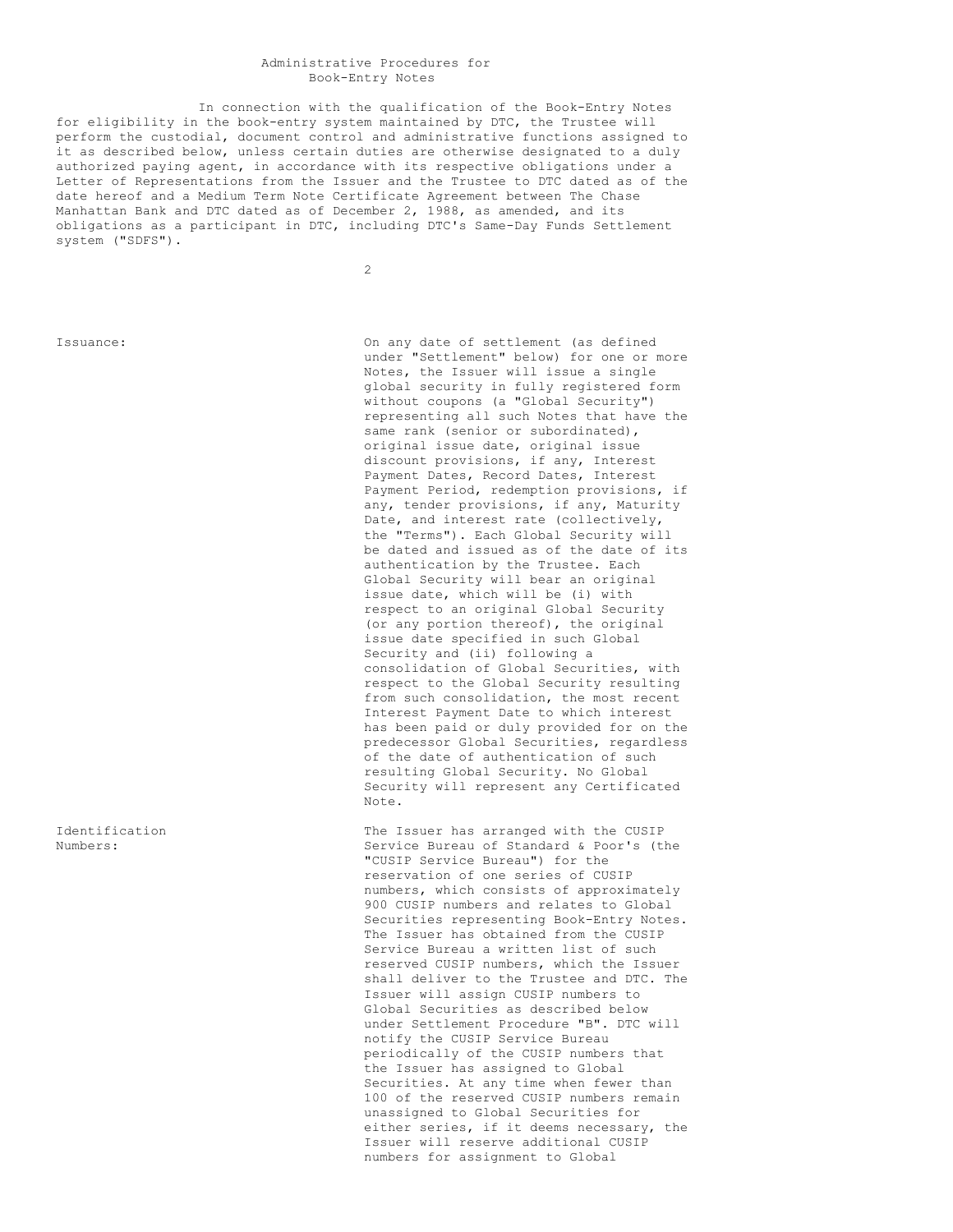### Administrative Procedures for Book-Entry Notes

In connection with the qualification of the Book-Entry Notes for eligibility in the book-entry system maintained by DTC, the Trustee will perform the custodial, document control and administrative functions assigned to it as described below, unless certain duties are otherwise designated to a duly authorized paying agent, in accordance with its respective obligations under a Letter of Representations from the Issuer and the Trustee to DTC dated as of the date hereof and a Medium Term Note Certificate Agreement between The Chase Manhattan Bank and DTC dated as of December 2, 1988, as amended, and its obligations as a participant in DTC, including DTC's Same-Day Funds Settlement system ("SDFS").

 $\mathfrak{D}$ 

Issuance: On any date of settlement (as defined under "Settlement" below) for one or more Notes, the Issuer will issue a single global security in fully registered form without coupons (a "Global Security") representing all such Notes that have the same rank (senior or subordinated), original issue date, original issue discount provisions, if any, Interest Payment Dates, Record Dates, Interest Payment Period, redemption provisions, if any, tender provisions, if any, Maturity Date, and interest rate (collectively, the "Terms"). Each Global Security will be dated and issued as of the date of its authentication by the Trustee. Each Global Security will bear an original issue date, which will be (i) with respect to an original Global Security (or any portion thereof), the original issue date specified in such Global Security and (ii) following a consolidation of Global Securities, with respect to the Global Security resulting from such consolidation, the most recent Interest Payment Date to which interest has been paid or duly provided for on the predecessor Global Securities, regardless of the date of authentication of such resulting Global Security. No Global Security will represent any Certificated Note.

Identification The Issuer has arranged with the CUSIP<br>Numbers: Service Bureau of Standard & Poor's (f) Service Bureau of Standard & Poor's (the "CUSIP Service Bureau") for the reservation of one series of CUSIP numbers, which consists of approximately 900 CUSIP numbers and relates to Global Securities representing Book-Entry Notes. The Issuer has obtained from the CUSIP Service Bureau a written list of such reserved CUSIP numbers, which the Issuer shall deliver to the Trustee and DTC. The Issuer will assign CUSIP numbers to Global Securities as described below under Settlement Procedure "B". DTC will notify the CUSIP Service Bureau periodically of the CUSIP numbers that the Issuer has assigned to Global Securities. At any time when fewer than 100 of the reserved CUSIP numbers remain unassigned to Global Securities for either series, if it deems necessary, the Issuer will reserve additional CUSIP numbers for assignment to Global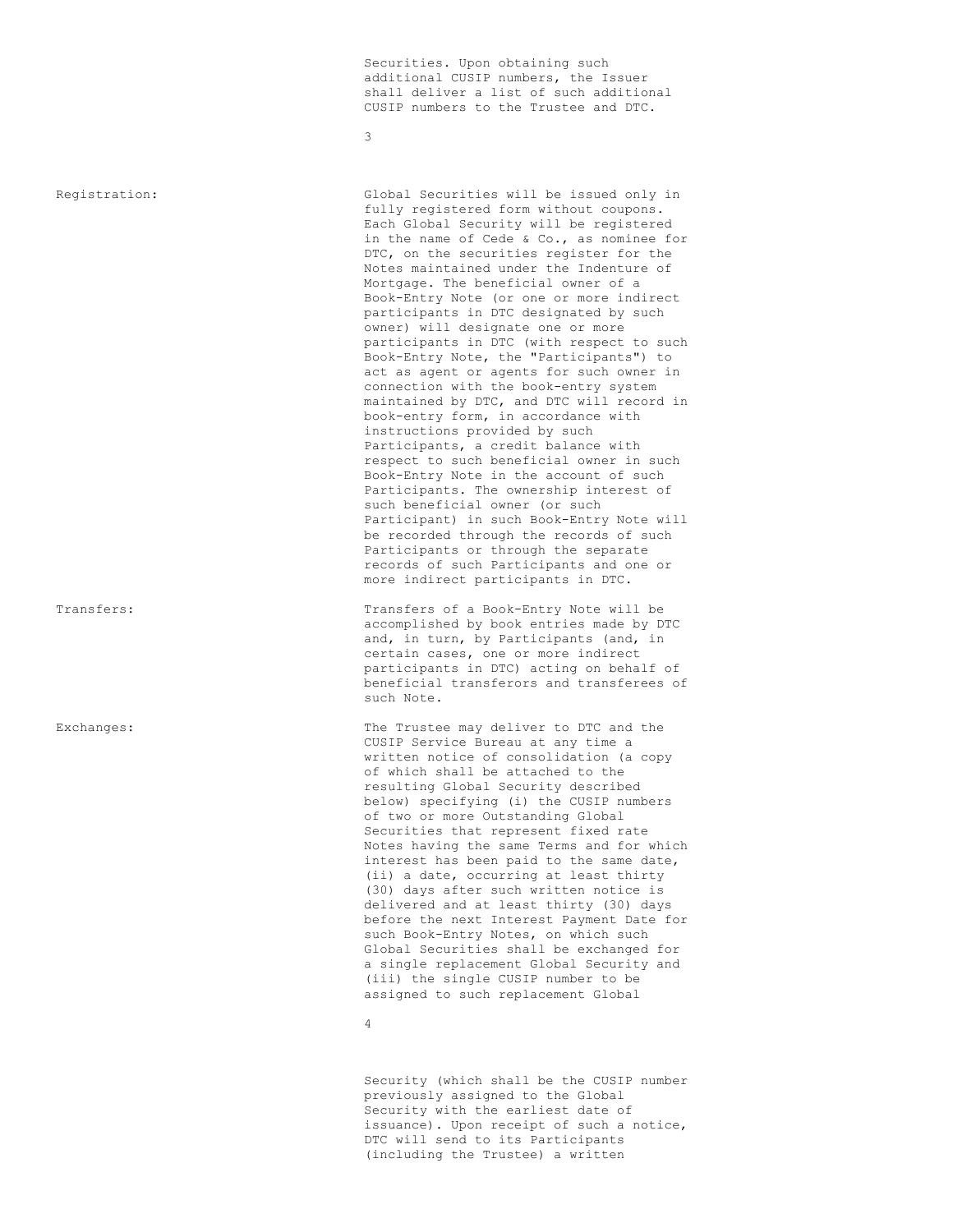Securities. Upon obtaining such additional CUSIP numbers, the Issuer shall deliver a list of such additional CUSIP numbers to the Trustee and DTC.

3

Registration: Global Securities will be issued only in fully registered form without coupons. Each Global Security will be registered in the name of Cede & Co., as nominee for DTC, on the securities register for the Notes maintained under the Indenture of Mortgage. The beneficial owner of a Book-Entry Note (or one or more indirect participants in DTC designated by such owner) will designate one or more participants in DTC (with respect to such Book-Entry Note, the "Participants") to act as agent or agents for such owner in connection with the book-entry system maintained by DTC, and DTC will record in book-entry form, in accordance with instructions provided by such Participants, a credit balance with respect to such beneficial owner in such Book-Entry Note in the account of such Participants. The ownership interest of such beneficial owner (or such Participant) in such Book-Entry Note will be recorded through the records of such Participants or through the separate records of such Participants and one or more indirect participants in DTC.

Transfers: Transfers of a Book-Entry Note will be accomplished by book entries made by DTC and, in turn, by Participants (and, in certain cases, one or more indirect participants in DTC) acting on behalf of beneficial transferors and transferees of such Note.

Exchanges: The Trustee may deliver to DTC and the CUSIP Service Bureau at any time a written notice of consolidation (a copy of which shall be attached to the resulting Global Security described below) specifying (i) the CUSIP numbers of two or more Outstanding Global Securities that represent fixed rate Notes having the same Terms and for which interest has been paid to the same date, (ii) a date, occurring at least thirty (30) days after such written notice is delivered and at least thirty (30) days before the next Interest Payment Date for such Book-Entry Notes, on which such Global Securities shall be exchanged for a single replacement Global Security and (iii) the single CUSIP number to be assigned to such replacement Global

4

Security (which shall be the CUSIP number previously assigned to the Global Security with the earliest date of issuance). Upon receipt of such a notice, DTC will send to its Participants (including the Trustee) a written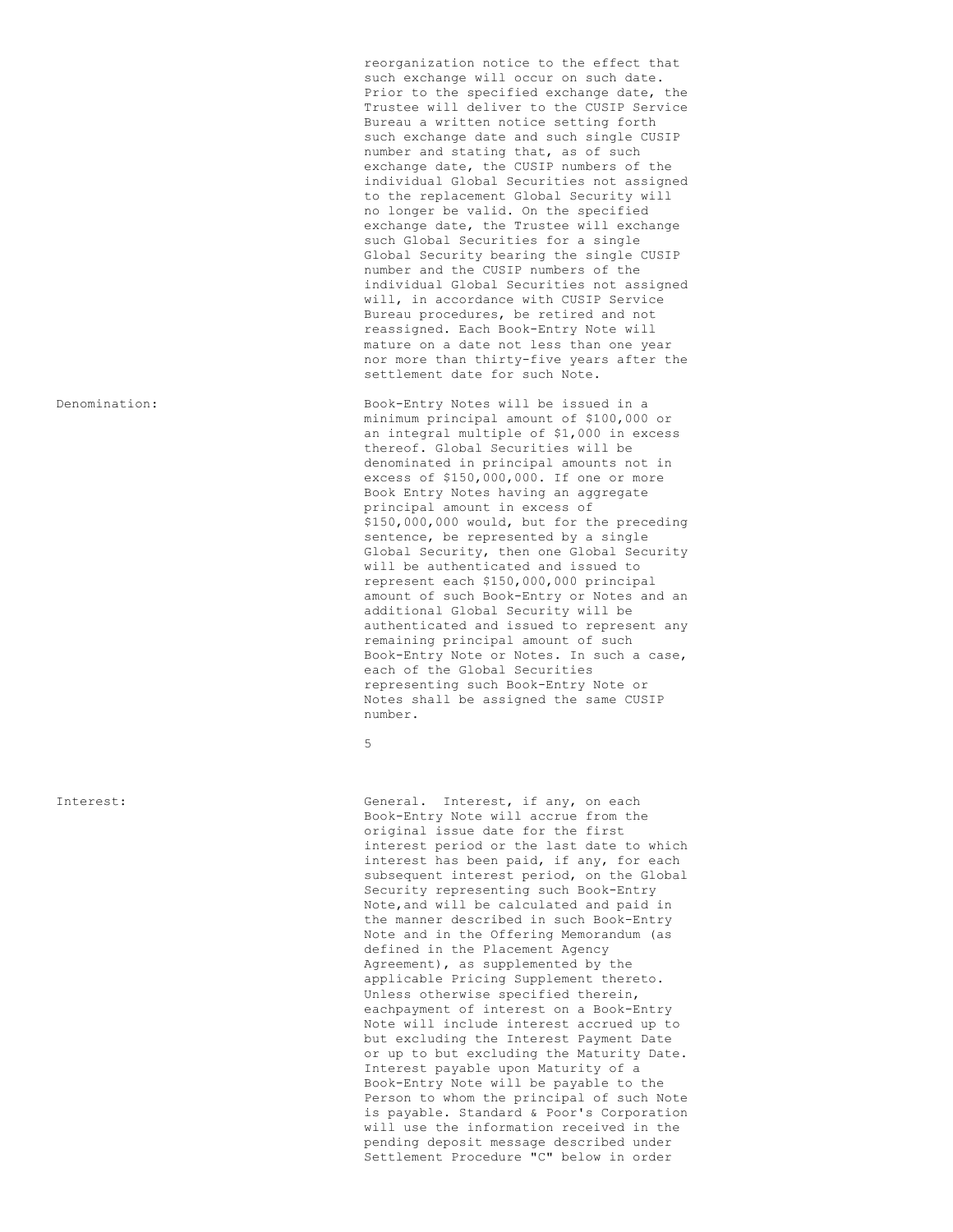reorganization notice to the effect that such exchange will occur on such date. Prior to the specified exchange date, the Trustee will deliver to the CUSIP Service Bureau a written notice setting forth such exchange date and such single CUSIP number and stating that, as of such exchange date, the CUSIP numbers of the individual Global Securities not assigned to the replacement Global Security will no longer be valid. On the specified exchange date, the Trustee will exchange such Global Securities for a single Global Security bearing the single CUSIP number and the CUSIP numbers of the individual Global Securities not assigned will, in accordance with CUSIP Service Bureau procedures, be retired and not reassigned. Each Book-Entry Note will mature on a date not less than one year nor more than thirty-five years after the settlement date for such Note.

Denomination: Book-Entry Notes will be issued in a minimum principal amount of \$100,000 or an integral multiple of \$1,000 in excess thereof. Global Securities will be denominated in principal amounts not in excess of \$150,000,000. If one or more Book Entry Notes having an aggregate principal amount in excess of \$150,000,000 would, but for the preceding sentence, be represented by a single Global Security, then one Global Security will be authenticated and issued to represent each \$150,000,000 principal amount of such Book-Entry or Notes and an additional Global Security will be authenticated and issued to represent any remaining principal amount of such Book-Entry Note or Notes. In such a case, each of the Global Securities representing such Book-Entry Note or Notes shall be assigned the same CUSIP number.

5

Interest: General. Interest, if any, on each Book-Entry Note will accrue from the original issue date for the first interest period or the last date to which interest has been paid, if any, for each subsequent interest period, on the Global Security representing such Book-Entry Note,and will be calculated and paid in the manner described in such Book-Entry Note and in the Offering Memorandum (as defined in the Placement Agency Agreement), as supplemented by the applicable Pricing Supplement thereto. Unless otherwise specified therein, eachpayment of interest on a Book-Entry Note will include interest accrued up to but excluding the Interest Payment Date or up to but excluding the Maturity Date. Interest payable upon Maturity of a Book-Entry Note will be payable to the Person to whom the principal of such Note is payable. Standard & Poor's Corporation will use the information received in the pending deposit message described under Settlement Procedure "C" below in order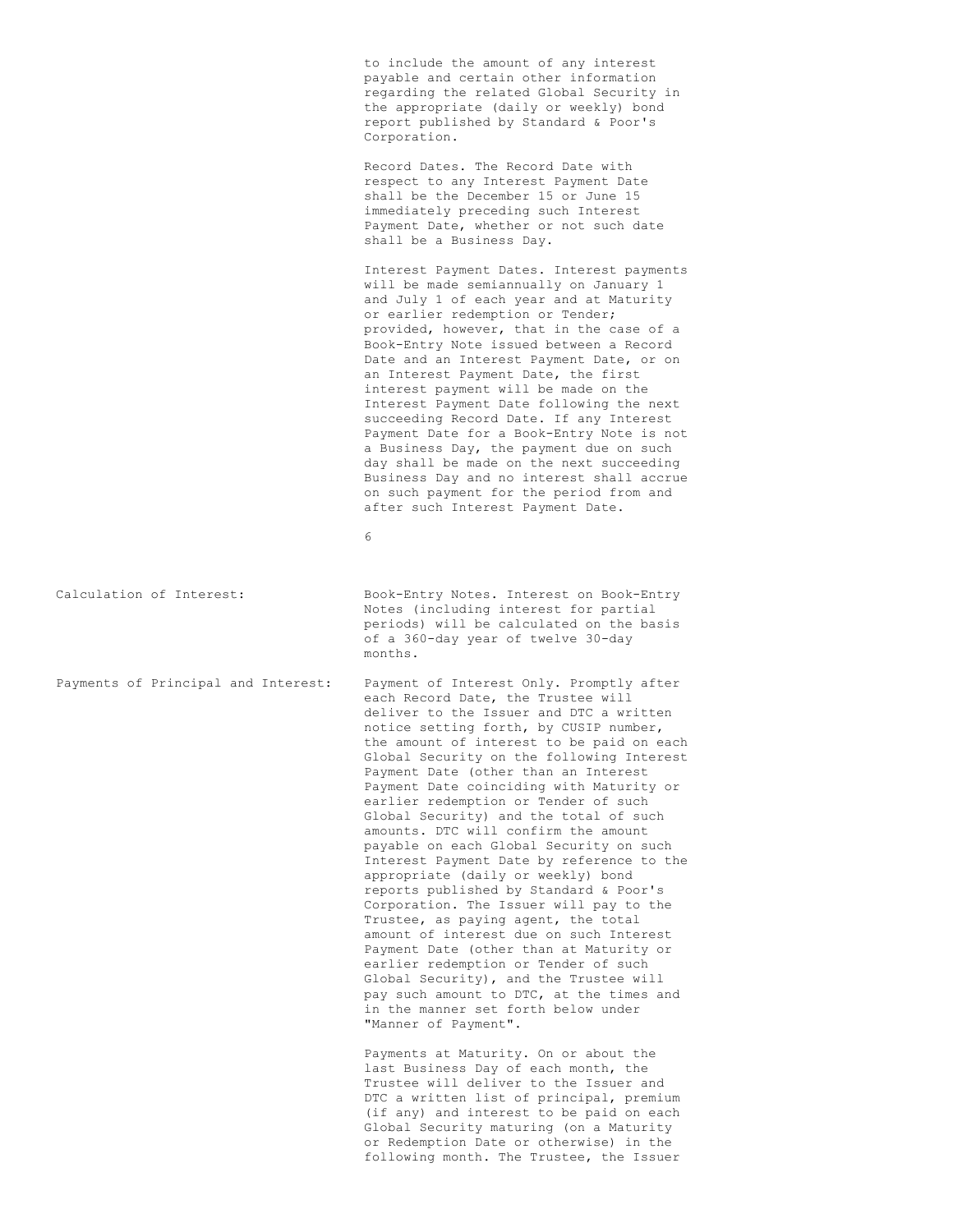to include the amount of any interest payable and certain other information regarding the related Global Security in the appropriate (daily or weekly) bond report published by Standard & Poor's Corporation.

Record Dates. The Record Date with respect to any Interest Payment Date shall be the December 15 or June 15 immediately preceding such Interest Payment Date, whether or not such date shall be a Business Day.

Interest Payment Dates. Interest payments will be made semiannually on January 1 and July 1 of each year and at Maturity or earlier redemption or Tender; provided, however, that in the case of a Book-Entry Note issued between a Record Date and an Interest Payment Date, or on an Interest Payment Date, the first interest payment will be made on the Interest Payment Date following the next succeeding Record Date. If any Interest Payment Date for a Book-Entry Note is not a Business Day, the payment due on such day shall be made on the next succeeding Business Day and no interest shall accrue on such payment for the period from and after such Interest Payment Date.

6

Calculation of Interest: Book-Entry Notes. Interest on Book-Entry Notes (including interest for partial periods) will be calculated on the basis of a 360-day year of twelve 30-day months.

Payments of Principal and Interest: Payment of Interest Only. Promptly after each Record Date, the Trustee will deliver to the Issuer and DTC a written notice setting forth, by CUSIP number, the amount of interest to be paid on each Global Security on the following Interest Payment Date (other than an Interest Payment Date coinciding with Maturity or earlier redemption or Tender of such Global Security) and the total of such amounts. DTC will confirm the amount payable on each Global Security on such Interest Payment Date by reference to the appropriate (daily or weekly) bond reports published by Standard & Poor's Corporation. The Issuer will pay to the Trustee, as paying agent, the total amount of interest due on such Interest Payment Date (other than at Maturity or earlier redemption or Tender of such Global Security), and the Trustee will pay such amount to DTC, at the times and in the manner set forth below under "Manner of Payment".

> Payments at Maturity. On or about the last Business Day of each month, the Trustee will deliver to the Issuer and DTC a written list of principal, premium (if any) and interest to be paid on each Global Security maturing (on a Maturity or Redemption Date or otherwise) in the following month. The Trustee, the Issuer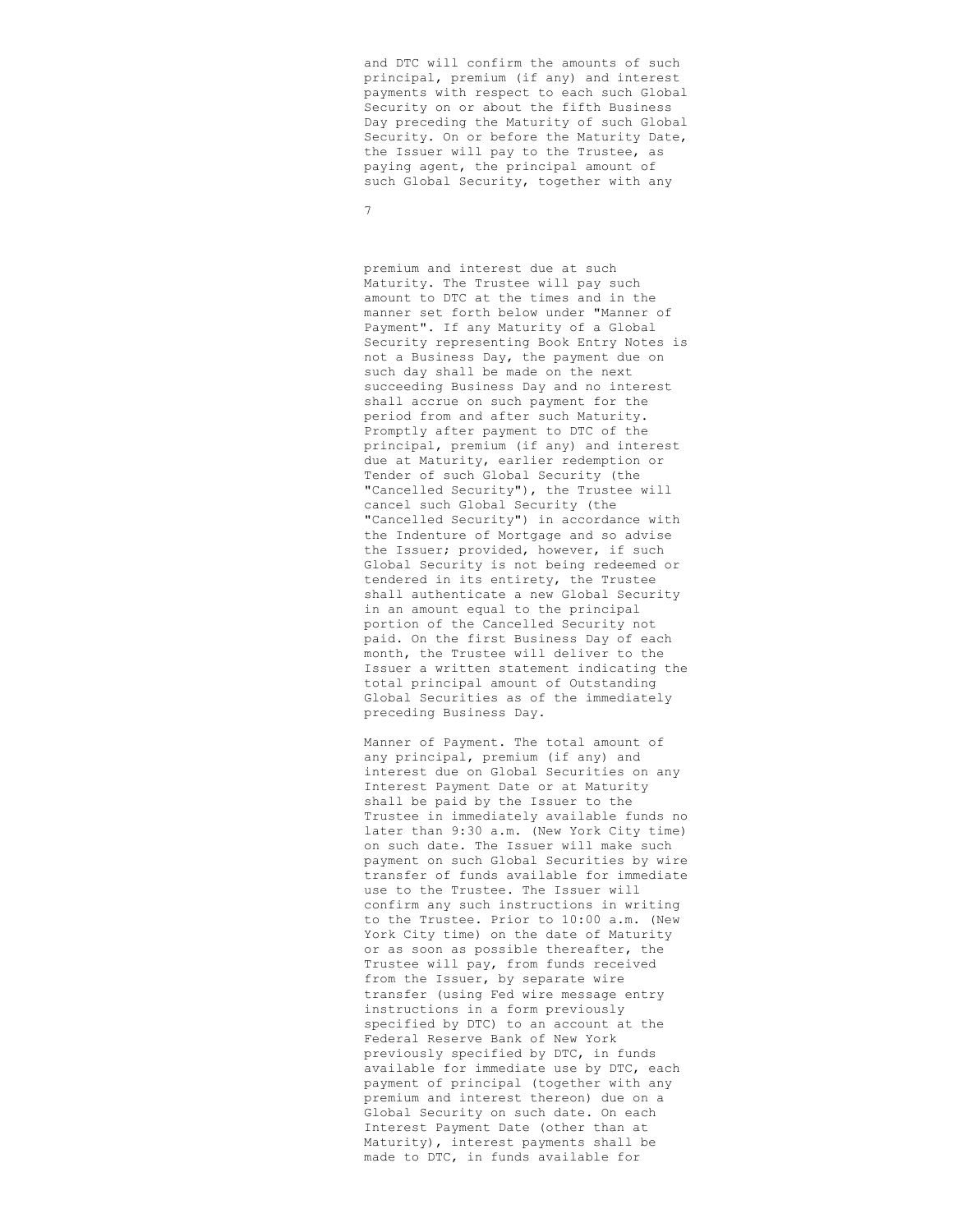and DTC will confirm the amounts of such principal, premium (if any) and interest payments with respect to each such Global Security on or about the fifth Business Day preceding the Maturity of such Global Security. On or before the Maturity Date, the Issuer will pay to the Trustee, as paying agent, the principal amount of such Global Security, together with any

7

premium and interest due at such Maturity. The Trustee will pay such amount to DTC at the times and in the manner set forth below under "Manner of Payment". If any Maturity of a Global Security representing Book Entry Notes is not a Business Day, the payment due on such day shall be made on the next succeeding Business Day and no interest shall accrue on such payment for the period from and after such Maturity. Promptly after payment to DTC of the principal, premium (if any) and interest due at Maturity, earlier redemption or Tender of such Global Security (the "Cancelled Security"), the Trustee will cancel such Global Security (the "Cancelled Security") in accordance with the Indenture of Mortgage and so advise the Issuer; provided, however, if such Global Security is not being redeemed or tendered in its entirety, the Trustee shall authenticate a new Global Security in an amount equal to the principal portion of the Cancelled Security not paid. On the first Business Day of each month, the Trustee will deliver to the Issuer a written statement indicating the total principal amount of Outstanding Global Securities as of the immediately preceding Business Day.

Manner of Payment. The total amount of any principal, premium (if any) and interest due on Global Securities on any Interest Payment Date or at Maturity shall be paid by the Issuer to the Trustee in immediately available funds no later than 9:30 a.m. (New York City time) on such date. The Issuer will make such payment on such Global Securities by wire transfer of funds available for immediate use to the Trustee. The Issuer will confirm any such instructions in writing to the Trustee. Prior to 10:00 a.m. (New York City time) on the date of Maturity or as soon as possible thereafter, the Trustee will pay, from funds received from the Issuer, by separate wire transfer (using Fed wire message entry instructions in a form previously specified by DTC) to an account at the Federal Reserve Bank of New York previously specified by DTC, in funds available for immediate use by DTC, each payment of principal (together with any premium and interest thereon) due on a Global Security on such date. On each Interest Payment Date (other than at Maturity), interest payments shall be made to DTC, in funds available for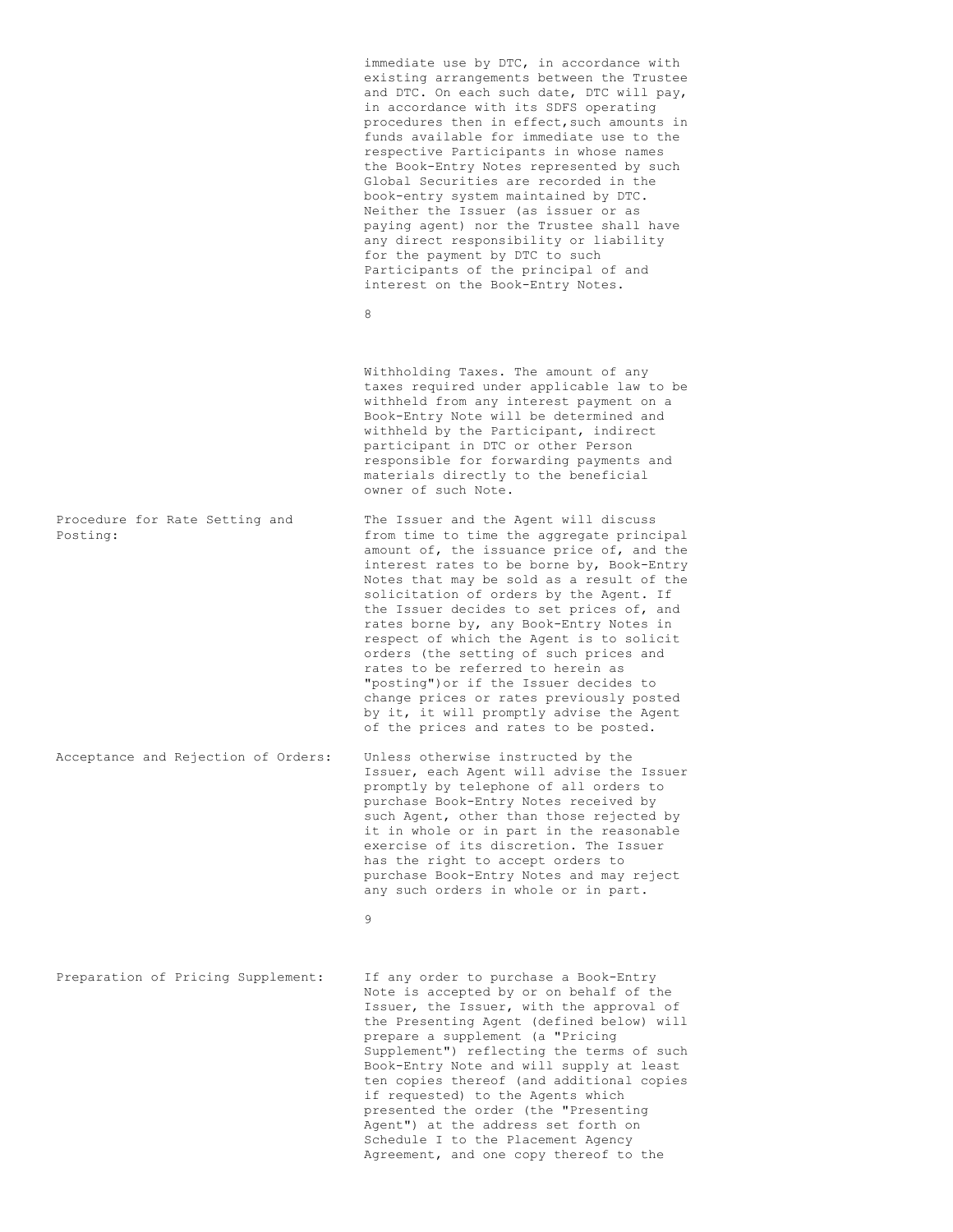and DTC. On each such date, DTC will pay, in accordance with its SDFS operating procedures then in effect, such amounts in funds available for immediate use to the respective Participants in whose names the Book-Entry Notes represented by such Global Securities are recorded in the book-entry system maintained by DTC. Neither the Issuer (as issuer or as paying agent) nor the Trustee shall have any direct responsibility or liability for the payment by DTC to such Participants of the principal of and interest on the Book-Entry Notes. 8 Withholding Taxes. The amount of any taxes required under applicable law to be withheld from any interest payment on a Book-Entry Note will be determined and withheld by the Participant, indirect participant in DTC or other Person responsible for forwarding payments and materials directly to the beneficial owner of such Note. Procedure for Rate Setting and The Issuer and the Agent will discuss<br>Posting: from time to time the aggregate princ. from time to time the aggregate principal amount of, the issuance price of, and the interest rates to be borne by, Book-Entry Notes that may be sold as a result of the solicitation of orders by the Agent. If the Issuer decides to set prices of, and rates borne by, any Book-Entry Notes in respect of which the Agent is to solicit orders (the setting of such prices and rates to be referred to herein as "posting")or if the Issuer decides to change prices or rates previously posted by it, it will promptly advise the Agent of the prices and rates to be posted. Acceptance and Rejection of Orders: Unless otherwise instructed by the Issuer, each Agent will advise the Issuer promptly by telephone of all orders to purchase Book-Entry Notes received by such Agent, other than those rejected by it in whole or in part in the reasonable exercise of its discretion. The Issuer has the right to accept orders to purchase Book-Entry Notes and may reject any such orders in whole or in part. 9 Preparation of Pricing Supplement: If any order to purchase a Book-Entry Note is accepted by or on behalf of the Issuer, the Issuer, with the approval of the Presenting Agent (defined below) will prepare a supplement (a "Pricing Supplement") reflecting the terms of such Book-Entry Note and will supply at least ten copies thereof (and additional copies if requested) to the Agents which presented the order (the "Presenting Agent") at the address set forth on Schedule I to the Placement Agency Agreement, and one copy thereof to the

immediate use by DTC, in accordance with existing arrangements between the Trustee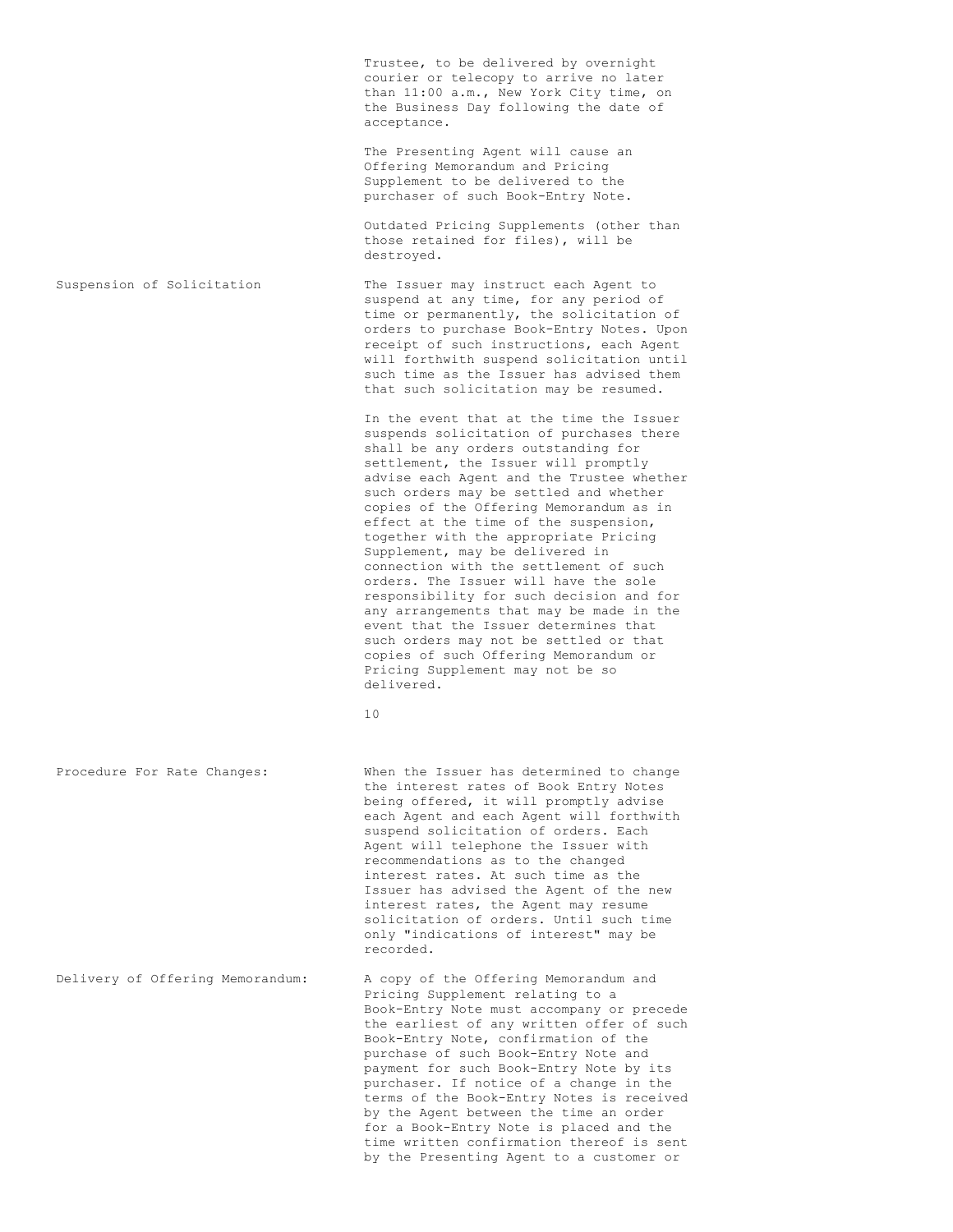courier or telecopy to arrive no later than 11:00 a.m., New York City time, on the Business Day following the date of acceptance. The Presenting Agent will cause an Offering Memorandum and Pricing Supplement to be delivered to the purchaser of such Book-Entry Note. Outdated Pricing Supplements (other than those retained for files), will be destroyed. Suspension of Solicitation The Issuer may instruct each Agent to suspend at any time, for any period of time or permanently, the solicitation of orders to purchase Book-Entry Notes. Upon receipt of such instructions, each Agent will forthwith suspend solicitation until such time as the Issuer has advised them that such solicitation may be resumed. In the event that at the time the Issuer suspends solicitation of purchases there shall be any orders outstanding for settlement, the Issuer will promptly advise each Agent and the Trustee whether such orders may be settled and whether copies of the Offering Memorandum as in effect at the time of the suspension, together with the appropriate Pricing Supplement, may be delivered in connection with the settlement of such orders. The Issuer will have the sole responsibility for such decision and for any arrangements that may be made in the event that the Issuer determines that such orders may not be settled or that copies of such Offering Memorandum or Pricing Supplement may not be so delivered. 10 Procedure For Rate Changes: When the Issuer has determined to change the interest rates of Book Entry Notes being offered, it will promptly advise each Agent and each Agent will forthwith suspend solicitation of orders. Each Agent will telephone the Issuer with recommendations as to the changed interest rates. At such time as the Issuer has advised the Agent of the new interest rates, the Agent may resume solicitation of orders. Until such time only "indications of interest" may be recorded. Delivery of Offering Memorandum: A copy of the Offering Memorandum and Pricing Supplement relating to a Book-Entry Note must accompany or precede the earliest of any written offer of such Book-Entry Note, confirmation of the purchase of such Book-Entry Note and payment for such Book-Entry Note by its purchaser. If notice of a change in the terms of the Book-Entry Notes is received by the Agent between the time an order for a Book-Entry Note is placed and the time written confirmation thereof is sent

Trustee, to be delivered by overnight

by the Presenting Agent to a customer or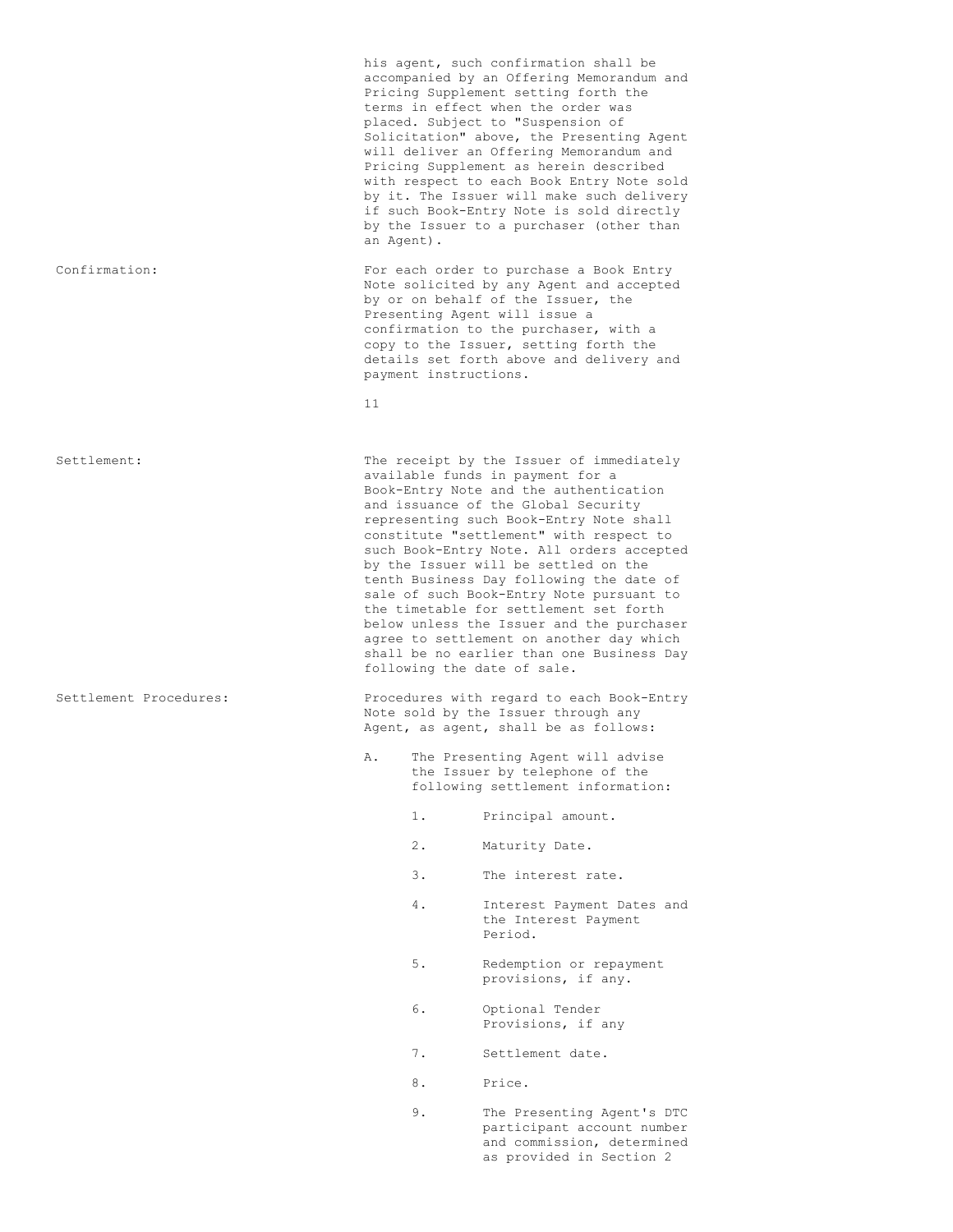his agent, such confirmation shall be accompanied by an Offering Memorandum and Pricing Supplement setting forth the terms in effect when the order was placed. Subject to "Suspension of Solicitation" above, the Presenting Agent will deliver an Offering Memorandum and Pricing Supplement as herein described with respect to each Book Entry Note sold by it. The Issuer will make such delivery if such Book-Entry Note is sold directly by the Issuer to a purchaser (other than an Agent).

Confirmation: For each order to purchase a Book Entry Note solicited by any Agent and accepted by or on behalf of the Issuer, the Presenting Agent will issue a confirmation to the purchaser, with a copy to the Issuer, setting forth the details set forth above and delivery and payment instructions.

11

available funds in payment for a Book-Entry Note and the authentication and issuance of the Global Security representing such Book-Entry Note shall constitute "settlement" with respect to such Book-Entry Note. All orders accepted by the Issuer will be settled on the tenth Business Day following the date of sale of such Book-Entry Note pursuant to the timetable for settlement set forth below unless the Issuer and the purchaser agree to settlement on another day which shall be no earlier than one Business Day following the date of sale.

Settlement Procedures: Procedures with regard to each Book-Entry Note sold by the Issuer through any Agent, as agent, shall be as follows:

- A. The Presenting Agent will advise the Issuer by telephone of the following settlement information:
	- 1. Principal amount.
	- 2. Maturity Date.
	- 3. The interest rate.
	- 4. Interest Payment Dates and the Interest Payment Period.
	- 5. Redemption or repayment provisions, if any.
	- 6. Optional Tender Provisions, if any
	- 7. Settlement date.
	- 8. Price.
	- 9. The Presenting Agent's DTC participant account number and commission, determined as provided in Section 2

Settlement: The receipt by the Issuer of immediately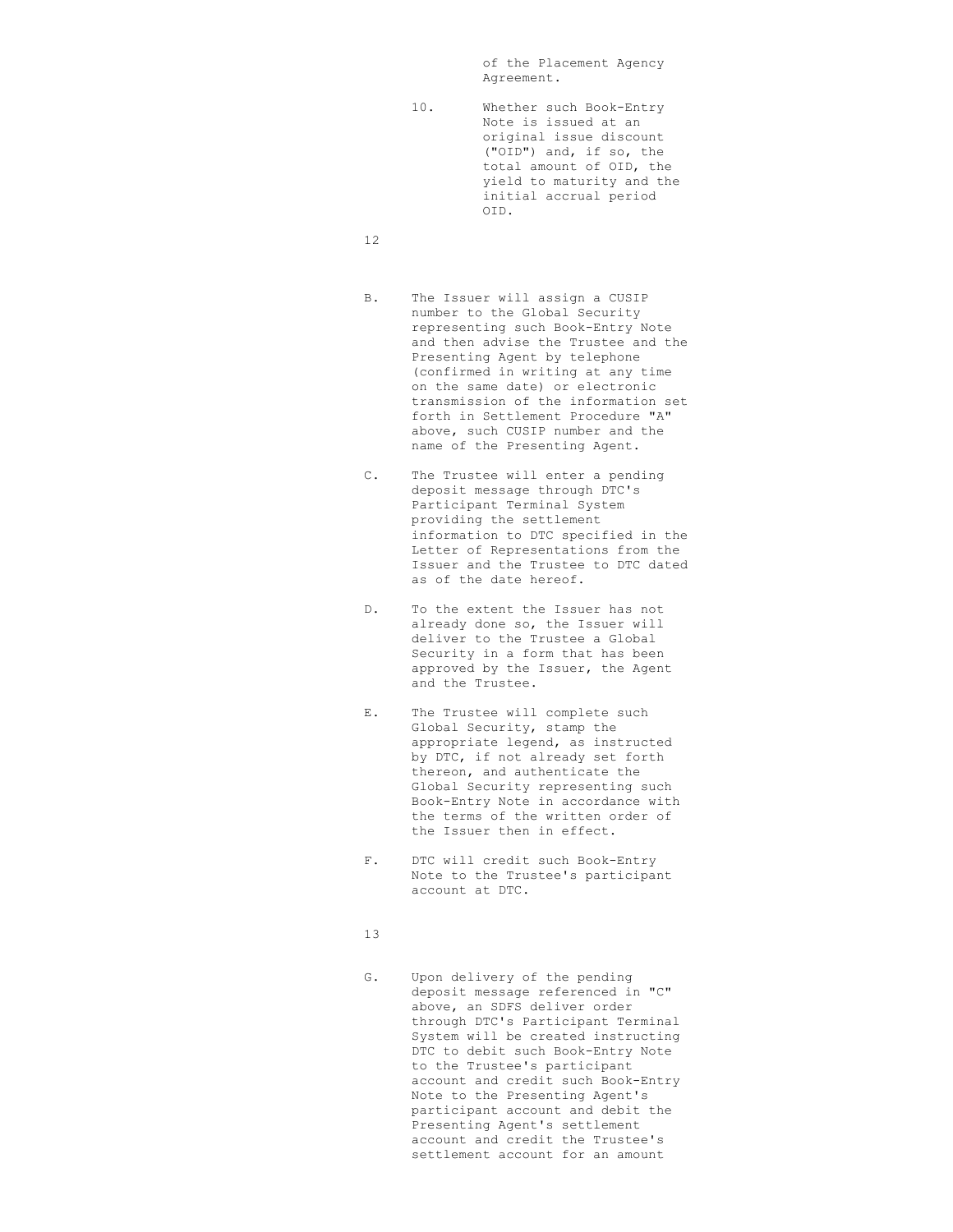of the Placement Agency Agreement.

- 10. Whether such Book-Entry Note is issued at an original issue discount ("OID") and, if so, the total amount of OID, the yield to maturity and the initial accrual period OID.
- 12
- B. The Issuer will assign a CUSIP number to the Global Security representing such Book-Entry Note and then advise the Trustee and the Presenting Agent by telephone (confirmed in writing at any time on the same date) or electronic transmission of the information set forth in Settlement Procedure "A" above, such CUSIP number and the name of the Presenting Agent.
- C. The Trustee will enter a pending deposit message through DTC's Participant Terminal System providing the settlement information to DTC specified in the Letter of Representations from the Issuer and the Trustee to DTC dated as of the date hereof.
- D. To the extent the Issuer has not already done so, the Issuer will deliver to the Trustee a Global Security in a form that has been approved by the Issuer, the Agent and the Trustee.
- E. The Trustee will complete such Global Security, stamp the appropriate legend, as instructed by DTC, if not already set forth thereon, and authenticate the Global Security representing such Book-Entry Note in accordance with the terms of the written order of the Issuer then in effect.
- F. DTC will credit such Book-Entry Note to the Trustee's participant account at DTC.
- 13
- G. Upon delivery of the pending deposit message referenced in "C" above, an SDFS deliver order through DTC's Participant Terminal System will be created instructing DTC to debit such Book-Entry Note to the Trustee's participant account and credit such Book-Entry Note to the Presenting Agent's participant account and debit the Presenting Agent's settlement account and credit the Trustee's settlement account for an amount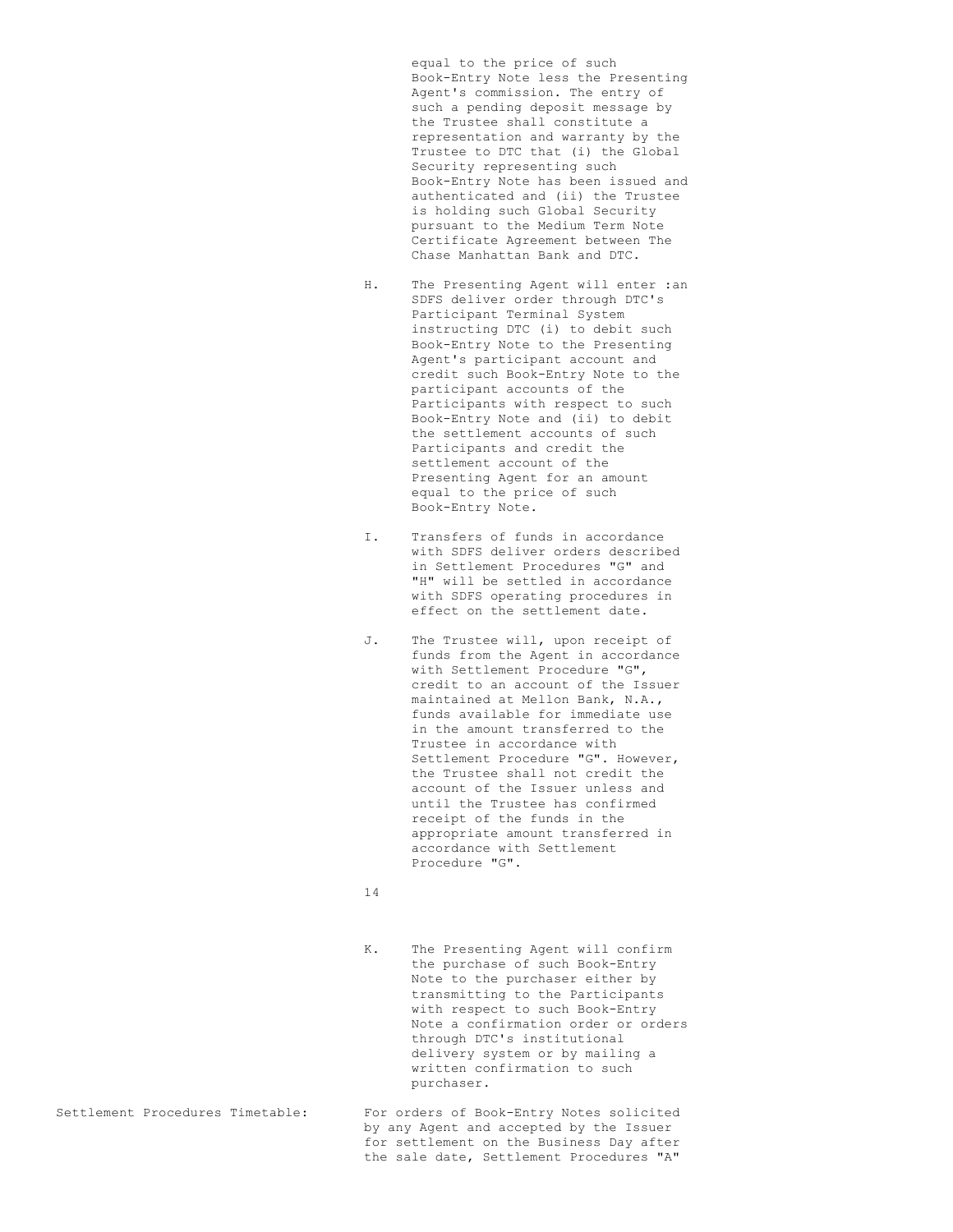equal to the price of such Book-Entry Note less the Presenting Agent's commission. The entry of such a pending deposit message by the Trustee shall constitute a representation and warranty by the Trustee to DTC that (i) the Global Security representing such Book-Entry Note has been issued and authenticated and (ii) the Trustee is holding such Global Security pursuant to the Medium Term Note Certificate Agreement between The Chase Manhattan Bank and DTC.

- H. The Presenting Agent will enter :an SDFS deliver order through DTC's Participant Terminal System instructing DTC (i) to debit such Book-Entry Note to the Presenting Agent's participant account and credit such Book-Entry Note to the participant accounts of the Participants with respect to such Book-Entry Note and (ii) to debit the settlement accounts of such Participants and credit the settlement account of the Presenting Agent for an amount equal to the price of such Book-Entry Note.
- I. Transfers of funds in accordance with SDFS deliver orders described in Settlement Procedures "G" and "H" will be settled in accordance with SDFS operating procedures in effect on the settlement date.
- J. The Trustee will, upon receipt of funds from the Agent in accordance with Settlement Procedure "G", credit to an account of the Issuer maintained at Mellon Bank, N.A., funds available for immediate use in the amount transferred to the Trustee in accordance with Settlement Procedure "G". However, the Trustee shall not credit the account of the Issuer unless and until the Trustee has confirmed receipt of the funds in the appropriate amount transferred in accordance with Settlement Procedure "G".
- 14
- K. The Presenting Agent will confirm the purchase of such Book-Entry Note to the purchaser either by transmitting to the Participants with respect to such Book-Entry Note a confirmation order or orders through DTC's institutional delivery system or by mailing a written confirmation to such purchaser.

Settlement Procedures Timetable: For orders of Book-Entry Notes solicited by any Agent and accepted by the Issuer for settlement on the Business Day after the sale date, Settlement Procedures "A"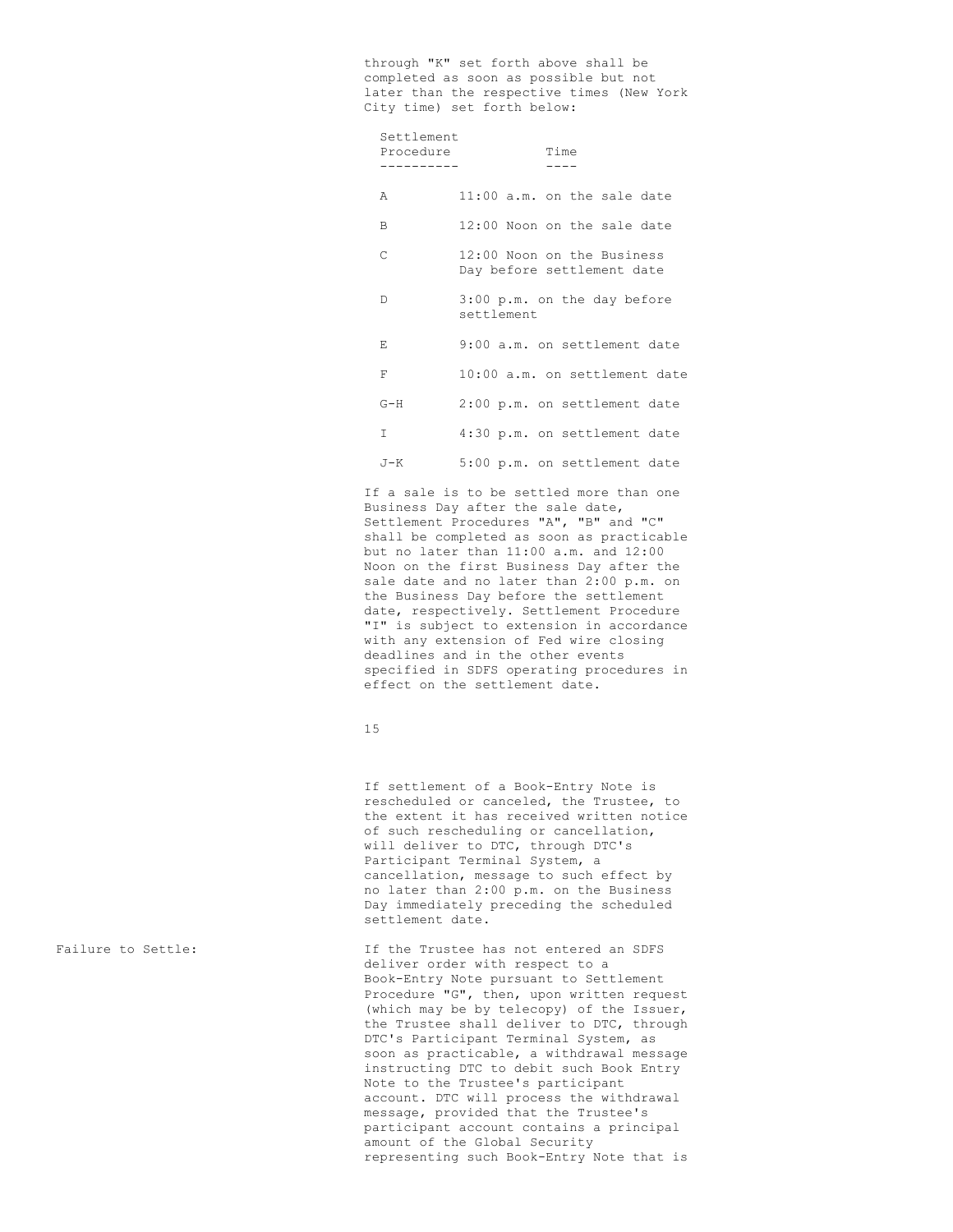through "K" set forth above shall be completed as soon as possible but not later than the respective times (New York City time) set forth below:

| Settlement<br>Procedure | Time                                                     |
|-------------------------|----------------------------------------------------------|
| A                       | 11:00 a.m. on the sale date                              |
| B                       | 12:00 Noon on the sale date                              |
| C                       | 12:00 Noon on the Business<br>Day before settlement date |
| D                       | 3:00 p.m. on the day before<br>settlement                |
| F.                      | 9:00 a.m. on settlement date                             |
| F                       | 10:00 a.m. on settlement date                            |
| $G-H$                   | 2:00 p.m. on settlement date                             |
| T.                      | 4:30 p.m. on settlement date                             |
| $J-K$                   | 5:00 p.m. on settlement date                             |

If a sale is to be settled more than one Business Day after the sale date, Settlement Procedures "A", "B" and "C" shall be completed as soon as practicable but no later than 11:00 a.m. and 12:00 Noon on the first Business Day after the sale date and no later than 2:00 p.m. on the Business Day before the settlement date, respectively. Settlement Procedure "I" is subject to extension in accordance with any extension of Fed wire closing deadlines and in the other events specified in SDFS operating procedures in effect on the settlement date.

15

If settlement of a Book-Entry Note is rescheduled or canceled, the Trustee, to the extent it has received written notice of such rescheduling or cancellation, will deliver to DTC, through DTC's Participant Terminal System, a cancellation, message to such effect by no later than 2:00 p.m. on the Business Day immediately preceding the scheduled settlement date.

Failure to Settle:  $\qquad \qquad$  If the Trustee has not entered an SDFS deliver order with respect to a Book-Entry Note pursuant to Settlement Procedure "G", then, upon written request (which may be by telecopy) of the Issuer, the Trustee shall deliver to DTC, through DTC's Participant Terminal System, as soon as practicable, a withdrawal message instructing DTC to debit such Book Entry Note to the Trustee's participant account. DTC will process the withdrawal message, provided that the Trustee's participant account contains a principal amount of the Global Security representing such Book-Entry Note that is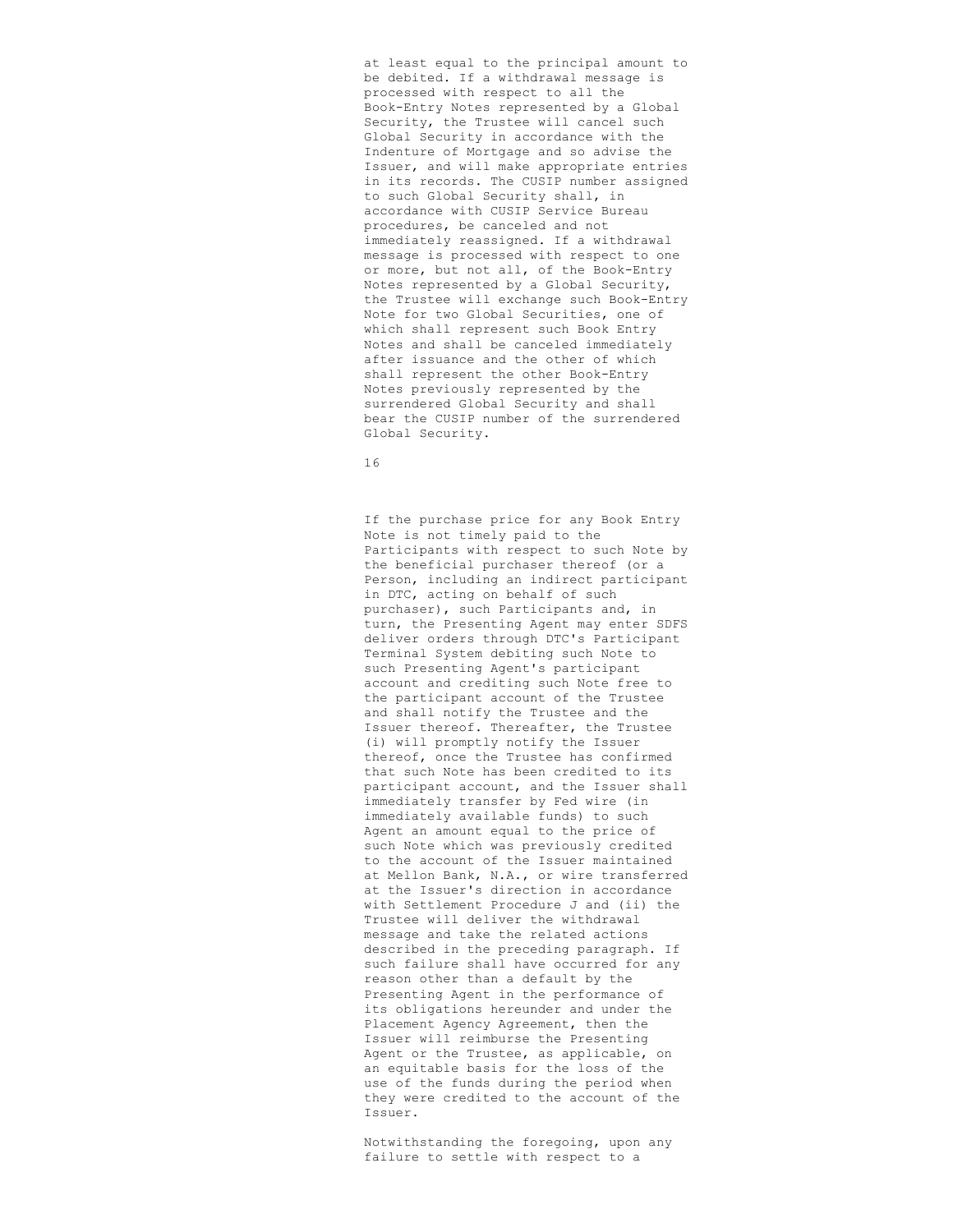at least equal to the principal amount to be debited. If a withdrawal message is processed with respect to all the Book-Entry Notes represented by a Global Security, the Trustee will cancel such Global Security in accordance with the Indenture of Mortgage and so advise the Issuer, and will make appropriate entries in its records. The CUSIP number assigned to such Global Security shall, in accordance with CUSIP Service Bureau procedures, be canceled and not immediately reassigned. If a withdrawal message is processed with respect to one or more, but not all, of the Book-Entry Notes represented by a Global Security, the Trustee will exchange such Book-Entry Note for two Global Securities, one of which shall represent such Book Entry Notes and shall be canceled immediately after issuance and the other of which shall represent the other Book-Entry Notes previously represented by the surrendered Global Security and shall bear the CUSIP number of the surrendered Global Security.

16

If the purchase price for any Book Entry Note is not timely paid to the Participants with respect to such Note by the beneficial purchaser thereof (or a Person, including an indirect participant in DTC, acting on behalf of such purchaser), such Participants and, in turn, the Presenting Agent may enter SDFS deliver orders through DTC's Participant Terminal System debiting such Note to such Presenting Agent's participant account and crediting such Note free to the participant account of the Trustee and shall notify the Trustee and the Issuer thereof. Thereafter, the Trustee (i) will promptly notify the Issuer thereof, once the Trustee has confirmed that such Note has been credited to its participant account, and the Issuer shall immediately transfer by Fed wire (in immediately available funds) to such Agent an amount equal to the price of such Note which was previously credited to the account of the Issuer maintained at Mellon Bank, N.A., or wire transferred at the Issuer's direction in accordance with Settlement Procedure J and (ii) the Trustee will deliver the withdrawal message and take the related actions described in the preceding paragraph. If such failure shall have occurred for any reason other than a default by the Presenting Agent in the performance of its obligations hereunder and under the Placement Agency Agreement, then the Issuer will reimburse the Presenting Agent or the Trustee, as applicable, on an equitable basis for the loss of the use of the funds during the period when they were credited to the account of the Issuer.

Notwithstanding the foregoing, upon any failure to settle with respect to a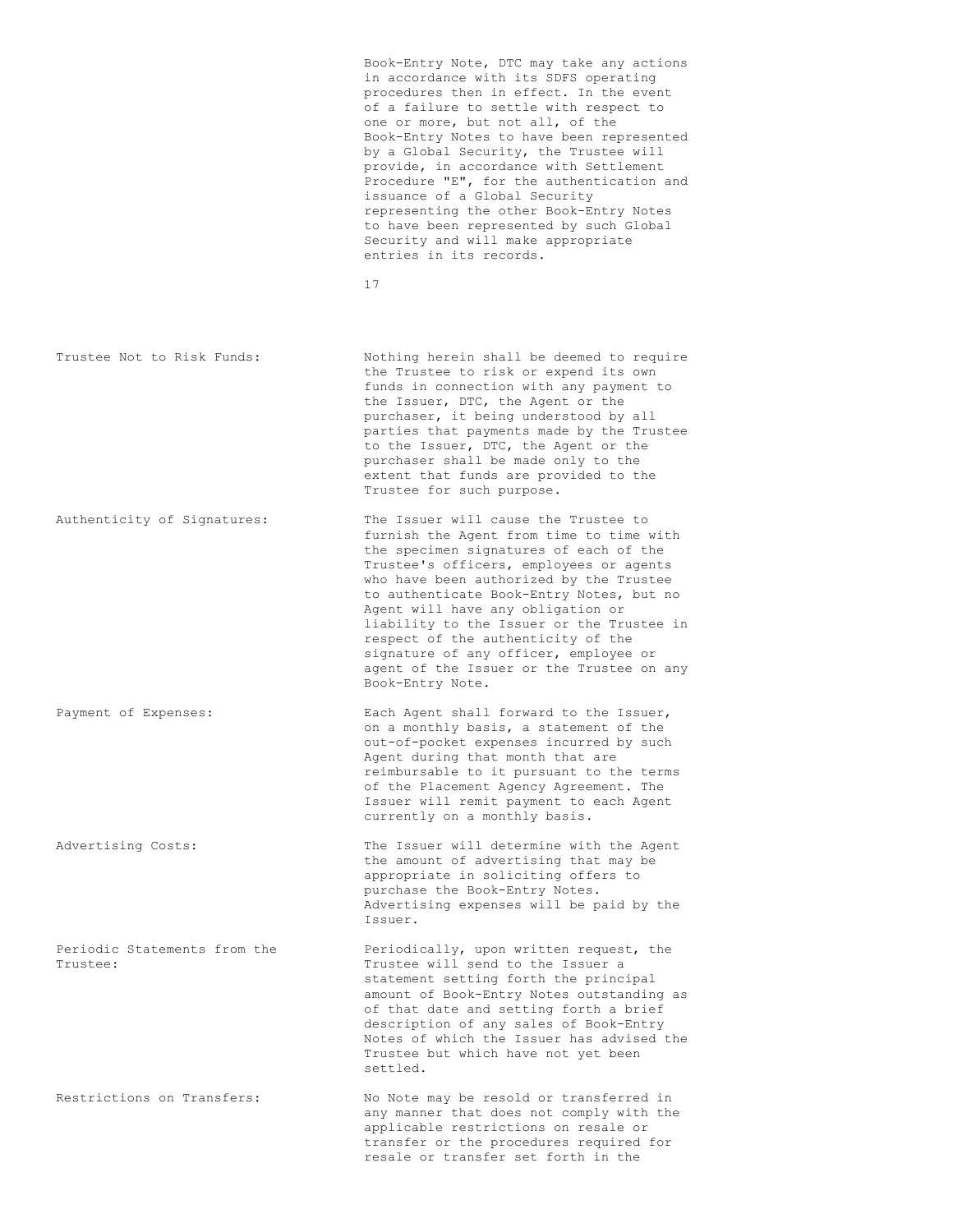|                                          | Book-Entry Note, DTC may take any actions<br>in accordance with its SDFS operating<br>procedures then in effect. In the event<br>of a failure to settle with respect to<br>one or more, but not all, of the<br>Book-Entry Notes to have been represented<br>by a Global Security, the Trustee will<br>provide, in accordance with Settlement<br>Procedure "E", for the authentication and<br>issuance of a Global Security<br>representing the other Book-Entry Notes<br>to have been represented by such Global<br>Security and will make appropriate<br>entries in its records. |
|------------------------------------------|-----------------------------------------------------------------------------------------------------------------------------------------------------------------------------------------------------------------------------------------------------------------------------------------------------------------------------------------------------------------------------------------------------------------------------------------------------------------------------------------------------------------------------------------------------------------------------------|
|                                          | 17                                                                                                                                                                                                                                                                                                                                                                                                                                                                                                                                                                                |
| Trustee Not to Risk Funds:               | Nothing herein shall be deemed to require<br>the Trustee to risk or expend its own<br>funds in connection with any payment to<br>the Issuer, DTC, the Agent or the<br>purchaser, it being understood by all<br>parties that payments made by the Trustee<br>to the Issuer, DTC, the Agent or the<br>purchaser shall be made only to the<br>extent that funds are provided to the<br>Trustee for such purpose.                                                                                                                                                                     |
| Authenticity of Signatures:              | The Issuer will cause the Trustee to<br>furnish the Agent from time to time with<br>the specimen signatures of each of the<br>Trustee's officers, employees or agents<br>who have been authorized by the Trustee<br>to authenticate Book-Entry Notes, but no<br>Agent will have any obligation or<br>liability to the Issuer or the Trustee in<br>respect of the authenticity of the<br>signature of any officer, employee or<br>agent of the Issuer or the Trustee on any<br>Book-Entry Note.                                                                                    |
| Payment of Expenses:                     | Each Agent shall forward to the Issuer,<br>on a monthly basis, a statement of the<br>out-of-pocket expenses incurred by such<br>Agent during that month that are<br>reimbursable to it pursuant to the terms<br>of the Placement Agency Agreement. The<br>Issuer will remit payment to each Agent<br>currently on a monthly basis.                                                                                                                                                                                                                                                |
| Advertising Costs:                       | The Issuer will determine with the Agent<br>the amount of advertising that may be<br>appropriate in soliciting offers to<br>purchase the Book-Entry Notes.<br>Advertising expenses will be paid by the<br>Issuer.                                                                                                                                                                                                                                                                                                                                                                 |
| Periodic Statements from the<br>Trustee: | Periodically, upon written request, the<br>Trustee will send to the Issuer a<br>statement setting forth the principal<br>amount of Book-Entry Notes outstanding as<br>of that date and setting forth a brief<br>description of any sales of Book-Entry<br>Notes of which the Issuer has advised the<br>Trustee but which have not yet been<br>settled.                                                                                                                                                                                                                            |
| Restrictions on Transfers:               | No Note may be resold or transferred in<br>any manner that does not comply with the<br>applicable restrictions on resale or<br>transfer or the procedures required for<br>resale or transfer set forth in the                                                                                                                                                                                                                                                                                                                                                                     |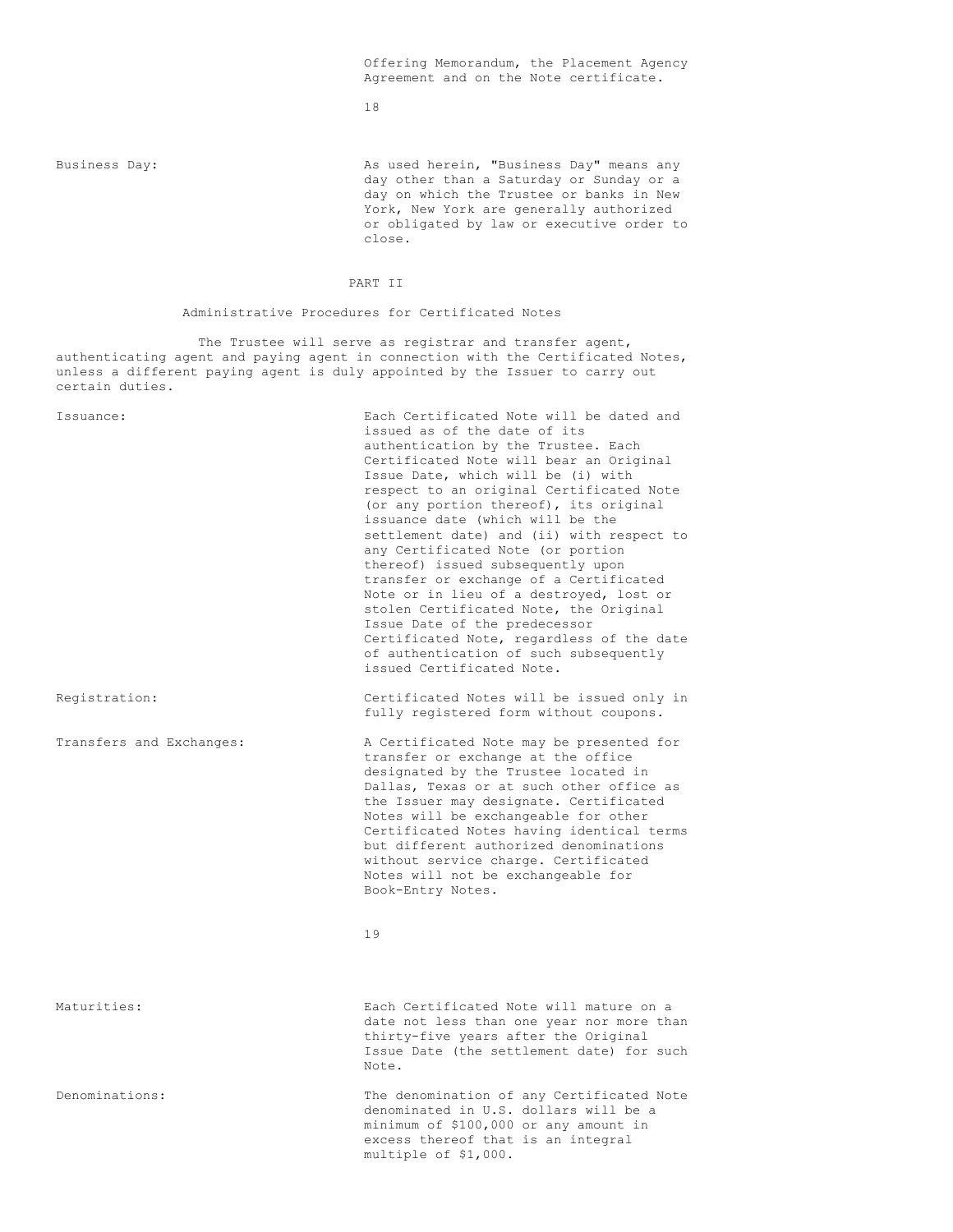Offering Memorandum, the Placement Agency Agreement and on the Note certificate.

18

Business Day:  $\hbox{As used herein, "Business Day" means any}$ day other than a Saturday or Sunday or a day on which the Trustee or banks in New York, New York are generally authorized or obligated by law or executive order to close.

> minimum of \$100,000 or any amount in excess thereof that is an integral

multiple of \$1,000.

# PART II

Administrative Procedures for Certificated Notes

The Trustee will serve as registrar and transfer agent, authenticating agent and paying agent in connection with the Certificated Notes, unless a different paying agent is duly appointed by the Issuer to carry out certain duties.

| Issuance:                | Each Certificated Note will be dated and<br>issued as of the date of its<br>authentication by the Trustee. Each<br>Certificated Note will bear an Original<br>Issue Date, which will be (i) with<br>respect to an original Certificated Note<br>(or any portion thereof), its original<br>issuance date (which will be the<br>settlement date) and (ii) with respect to<br>any Certificated Note (or portion<br>thereof) issued subsequently upon<br>transfer or exchange of a Certificated<br>Note or in lieu of a destroyed, lost or<br>stolen Certificated Note, the Original<br>Issue Date of the predecessor<br>Certificated Note, regardless of the date<br>of authentication of such subsequently<br>issued Certificated Note. |
|--------------------------|---------------------------------------------------------------------------------------------------------------------------------------------------------------------------------------------------------------------------------------------------------------------------------------------------------------------------------------------------------------------------------------------------------------------------------------------------------------------------------------------------------------------------------------------------------------------------------------------------------------------------------------------------------------------------------------------------------------------------------------|
| Registration:            | Certificated Notes will be issued only in<br>fully registered form without coupons.                                                                                                                                                                                                                                                                                                                                                                                                                                                                                                                                                                                                                                                   |
| Transfers and Exchanges: | A Certificated Note may be presented for<br>transfer or exchange at the office<br>designated by the Trustee located in<br>Dallas, Texas or at such other office as<br>the Issuer may designate. Certificated<br>Notes will be exchangeable for other<br>Certificated Notes having identical terms<br>but different authorized denominations<br>without service charge. Certificated<br>Notes will not be exchangeable for<br>Book-Entry Notes.                                                                                                                                                                                                                                                                                        |
|                          | 19                                                                                                                                                                                                                                                                                                                                                                                                                                                                                                                                                                                                                                                                                                                                    |
| Maturities:              | Each Certificated Note will mature on a<br>date not less than one year nor more than<br>thirty-five years after the Original<br>Issue Date (the settlement date) for such<br>Note.                                                                                                                                                                                                                                                                                                                                                                                                                                                                                                                                                    |
| Denominations:           | The denomination of any Certificated Note<br>denominated in U.S. dollars will be a                                                                                                                                                                                                                                                                                                                                                                                                                                                                                                                                                                                                                                                    |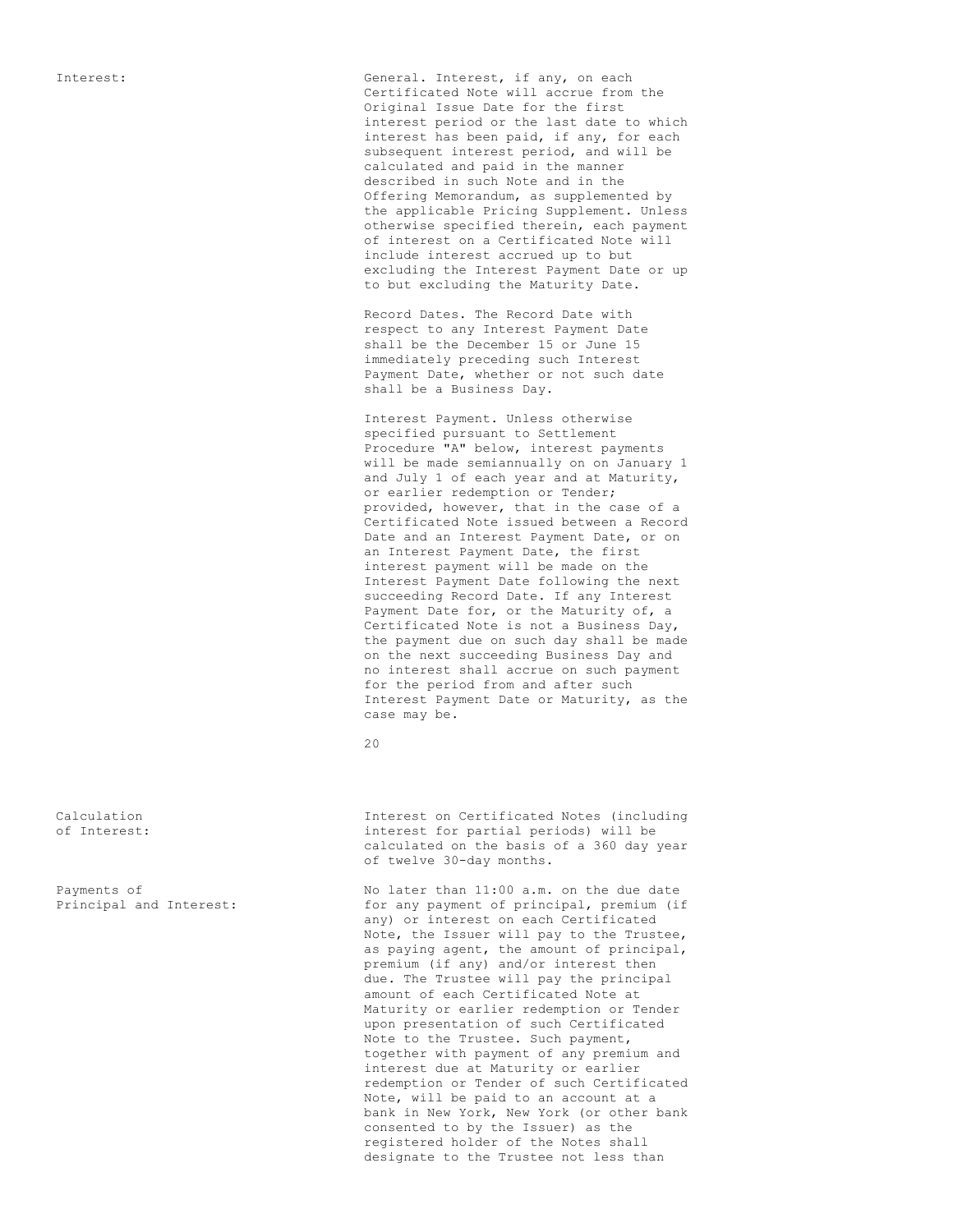Interest: The General. Interest, if any, on each Certificated Note will accrue from the Original Issue Date for the first interest period or the last date to which interest has been paid, if any, for each subsequent interest period, and will be calculated and paid in the manner described in such Note and in the Offering Memorandum, as supplemented by the applicable Pricing Supplement. Unless otherwise specified therein, each payment of interest on a Certificated Note will include interest accrued up to but excluding the Interest Payment Date or up to but excluding the Maturity Date.

> Record Dates. The Record Date with respect to any Interest Payment Date shall be the December 15 or June 15 immediately preceding such Interest Payment Date, whether or not such date shall be a Business Day.

Interest Payment. Unless otherwise specified pursuant to Settlement Procedure "A" below, interest payments will be made semiannually on on January 1 and July 1 of each year and at Maturity, or earlier redemption or Tender; provided, however, that in the case of a Certificated Note issued between a Record Date and an Interest Payment Date, or on an Interest Payment Date, the first interest payment will be made on the Interest Payment Date following the next succeeding Record Date. If any Interest Payment Date for, or the Maturity of, a Certificated Note is not a Business Day, the payment due on such day shall be made on the next succeeding Business Day and no interest shall accrue on such payment for the period from and after such Interest Payment Date or Maturity, as the case may be.

 $20$ 

Calculation Interest on Certificated Notes (including of Interest: interest for partial periods) will be calculated on the basis of a 360 day year of twelve 30-day months.

Payments of  $\sim$  No later than 11:00 a.m. on the due date<br>Principal and Interest:  $\sim$  for any payment of principal, premium (i for any payment of principal, premium (if any) or interest on each Certificated Note, the Issuer will pay to the Trustee, as paying agent, the amount of principal, premium (if any) and/or interest then due. The Trustee will pay the principal amount of each Certificated Note at Maturity or earlier redemption or Tender upon presentation of such Certificated Note to the Trustee. Such payment, together with payment of any premium and interest due at Maturity or earlier redemption or Tender of such Certificated Note, will be paid to an account at a bank in New York, New York (or other bank consented to by the Issuer) as the registered holder of the Notes shall designate to the Trustee not less than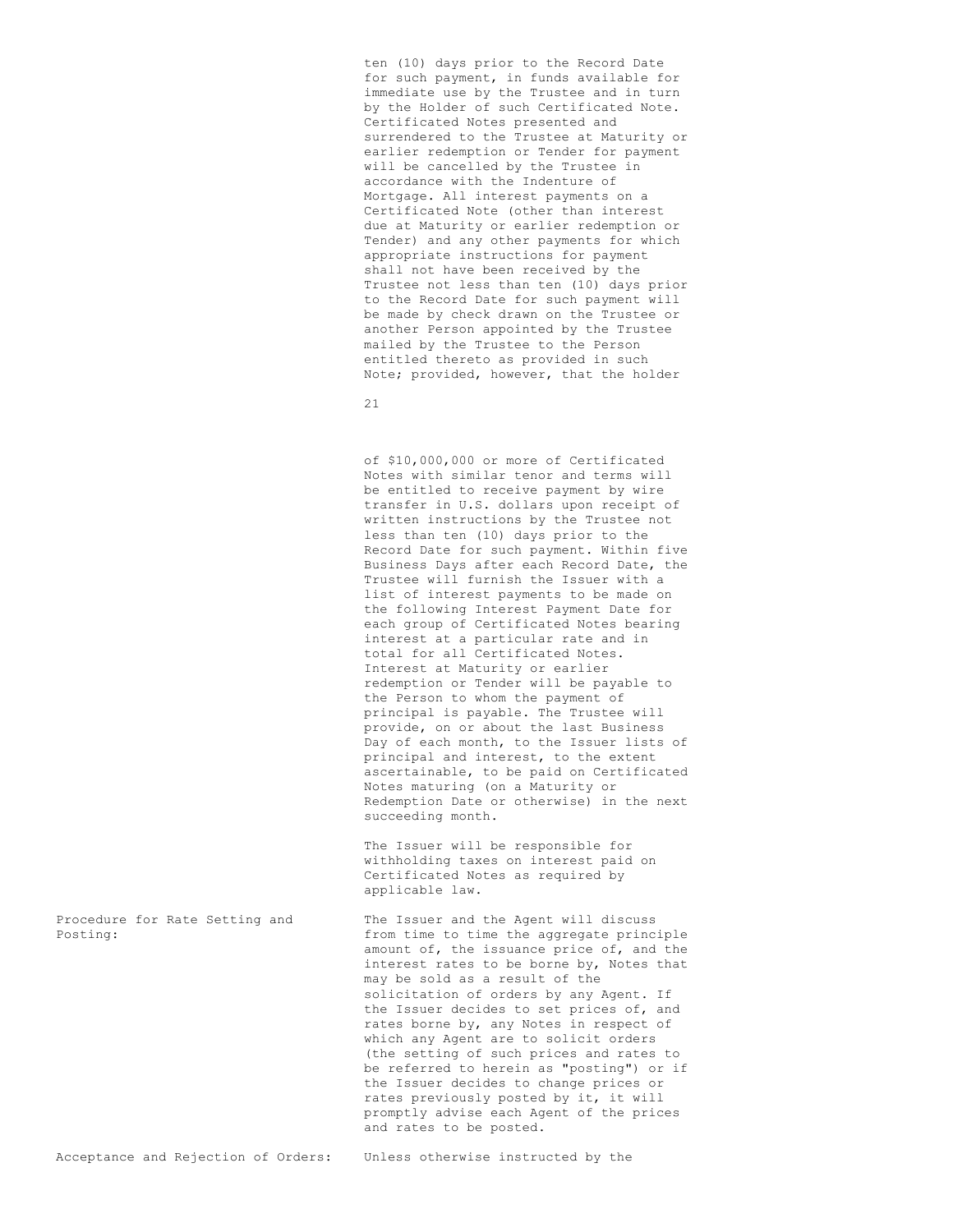ten (10) days prior to the Record Date for such payment, in funds available for immediate use by the Trustee and in turn by the Holder of such Certificated Note. Certificated Notes presented and surrendered to the Trustee at Maturity or earlier redemption or Tender for payment will be cancelled by the Trustee in accordance with the Indenture of Mortgage. All interest payments on a Certificated Note (other than interest due at Maturity or earlier redemption or Tender) and any other payments for which appropriate instructions for payment shall not have been received by the Trustee not less than ten (10) days prior to the Record Date for such payment will be made by check drawn on the Trustee or another Person appointed by the Trustee mailed by the Trustee to the Person entitled thereto as provided in such Note; provided, however, that the holder

21

of \$10,000,000 or more of Certificated Notes with similar tenor and terms will be entitled to receive payment by wire transfer in U.S. dollars upon receipt of written instructions by the Trustee not less than ten (10) days prior to the Record Date for such payment. Within five Business Days after each Record Date, the Trustee will furnish the Issuer with a list of interest payments to be made on the following Interest Payment Date for each group of Certificated Notes bearing interest at a particular rate and in total for all Certificated Notes. Interest at Maturity or earlier redemption or Tender will be payable to the Person to whom the payment of principal is payable. The Trustee will provide, on or about the last Business Day of each month, to the Issuer lists of principal and interest, to the extent ascertainable, to be paid on Certificated Notes maturing (on a Maturity or Redemption Date or otherwise) in the next succeeding month.

The Issuer will be responsible for withholding taxes on interest paid on Certificated Notes as required by applicable law.

Procedure for Rate Setting and The Issuer and the Agent will discuss Posting: from time to time the aggregate principle amount of, the issuance price of, and the interest rates to be borne by, Notes that may be sold as a result of the solicitation of orders by any Agent. If the Issuer decides to set prices of, and rates borne by, any Notes in respect of which any Agent are to solicit orders (the setting of such prices and rates to be referred to herein as "posting") or if the Issuer decides to change prices or rates previously posted by it, it will promptly advise each Agent of the prices and rates to be posted.

Acceptance and Rejection of Orders: Unless otherwise instructed by the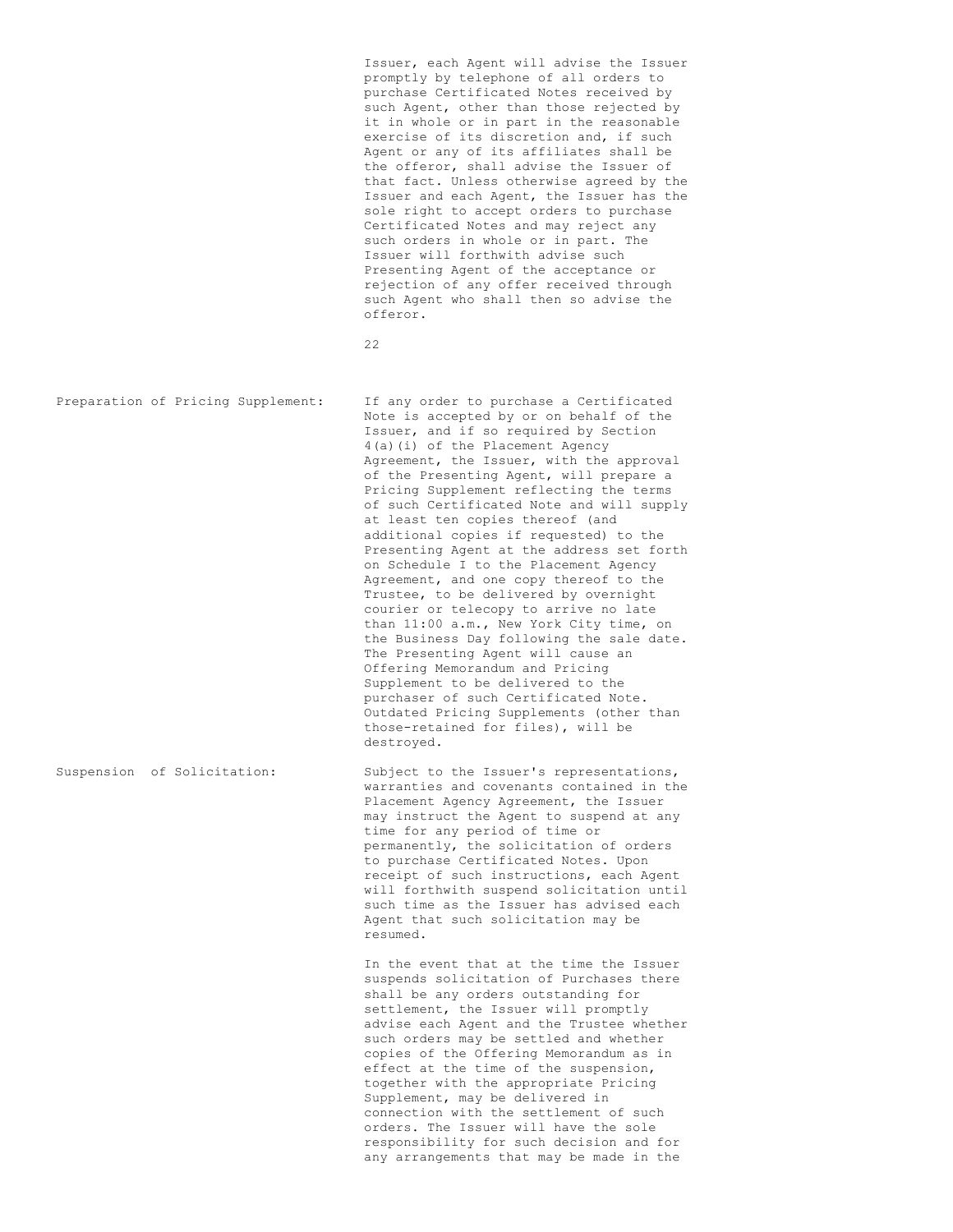Issuer, each Agent will advise the Issuer promptly by telephone of all orders to purchase Certificated Notes received by such Agent, other than those rejected by it in whole or in part in the reasonable exercise of its discretion and, if such Agent or any of its affiliates shall be the offeror, shall advise the Issuer of that fact. Unless otherwise agreed by the Issuer and each Agent, the Issuer has the sole right to accept orders to purchase Certificated Notes and may reject any such orders in whole or in part. The Issuer will forthwith advise such Presenting Agent of the acceptance or rejection of any offer received through such Agent who shall then so advise the offeror.

22

Preparation of Pricing Supplement: If any order to purchase a Certificated Note is accepted by or on behalf of the Issuer, and if so required by Section 4(a)(i) of the Placement Agency Agreement, the Issuer, with the approval of the Presenting Agent, will prepare a Pricing Supplement reflecting the terms of such Certificated Note and will supply at least ten copies thereof (and additional copies if requested) to the Presenting Agent at the address set forth on Schedule I to the Placement Agency Agreement, and one copy thereof to the Trustee, to be delivered by overnight courier or telecopy to arrive no late than 11:00 a.m., New York City time, on the Business Day following the sale date. The Presenting Agent will cause an Offering Memorandum and Pricing Supplement to be delivered to the purchaser of such Certificated Note. Outdated Pricing Supplements (other than those-retained for files), will be destroyed. Suspension of Solicitation: Subject to the Issuer's representations, warranties and covenants contained in the Placement Agency Agreement, the Issuer

may instruct the Agent to suspend at any time for any period of time or permanently, the solicitation of orders to purchase Certificated Notes. Upon receipt of such instructions, each Agent will forthwith suspend solicitation until such time as the Issuer has advised each Agent that such solicitation may be resumed.

In the event that at the time the Issuer suspends solicitation of Purchases there shall be any orders outstanding for settlement, the Issuer will promptly advise each Agent and the Trustee whether such orders may be settled and whether copies of the Offering Memorandum as in effect at the time of the suspension, together with the appropriate Pricing Supplement, may be delivered in connection with the settlement of such orders. The Issuer will have the sole responsibility for such decision and for any arrangements that may be made in the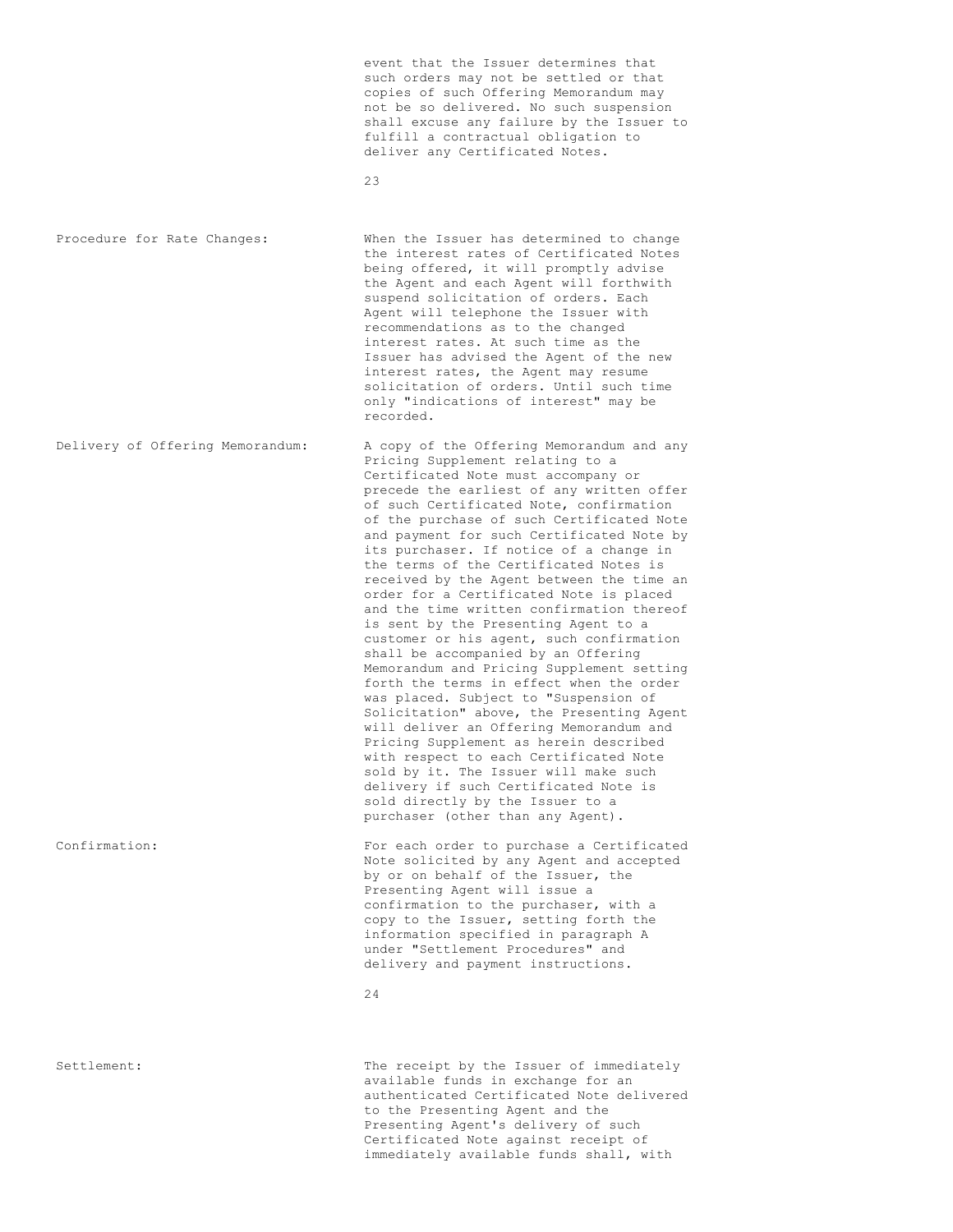event that the Issuer determines that such orders may not be settled or that copies of such Offering Memorandum may not be so delivered. No such suspension shall excuse any failure by the Issuer to fulfill a contractual obligation to deliver any Certificated Notes.

23

Procedure for Rate Changes: When the Issuer has determined to change the interest rates of Certificated Notes being offered, it will promptly advise the Agent and each Agent will forthwith suspend solicitation of orders. Each Agent will telephone the Issuer with recommendations as to the changed interest rates. At such time as the Issuer has advised the Agent of the new interest rates, the Agent may resume solicitation of orders. Until such time only "indications of interest" may be recorded. Delivery of Offering Memorandum: A copy of the Offering Memorandum and any Pricing Supplement relating to a

> of such Certificated Note, confirmation of the purchase of such Certificated Note and payment for such Certificated Note by its purchaser. If notice of a change in the terms of the Certificated Notes is received by the Agent between the time an order for a Certificated Note is placed and the time written confirmation thereof is sent by the Presenting Agent to a customer or his agent, such confirmation shall be accompanied by an Offering Memorandum and Pricing Supplement setting forth the terms in effect when the order was placed. Subject to "Suspension of Solicitation" above, the Presenting Agent will deliver an Offering Memorandum and Pricing Supplement as herein described with respect to each Certificated Note sold by it. The Issuer will make such delivery if such Certificated Note is sold directly by the Issuer to a purchaser (other than any Agent).

Certificated Note must accompany or precede the earliest of any written offer

Confirmation: For each order to purchase a Certificated Note solicited by any Agent and accepted by or on behalf of the Issuer, the Presenting Agent will issue a confirmation to the purchaser, with a copy to the Issuer, setting forth the information specified in paragraph A under "Settlement Procedures" and delivery and payment instructions.

Settlement: The receipt by the Issuer of immediately available funds in exchange for an authenticated Certificated Note delivered to the Presenting Agent and the Presenting Agent's delivery of such Certificated Note against receipt of immediately available funds shall, with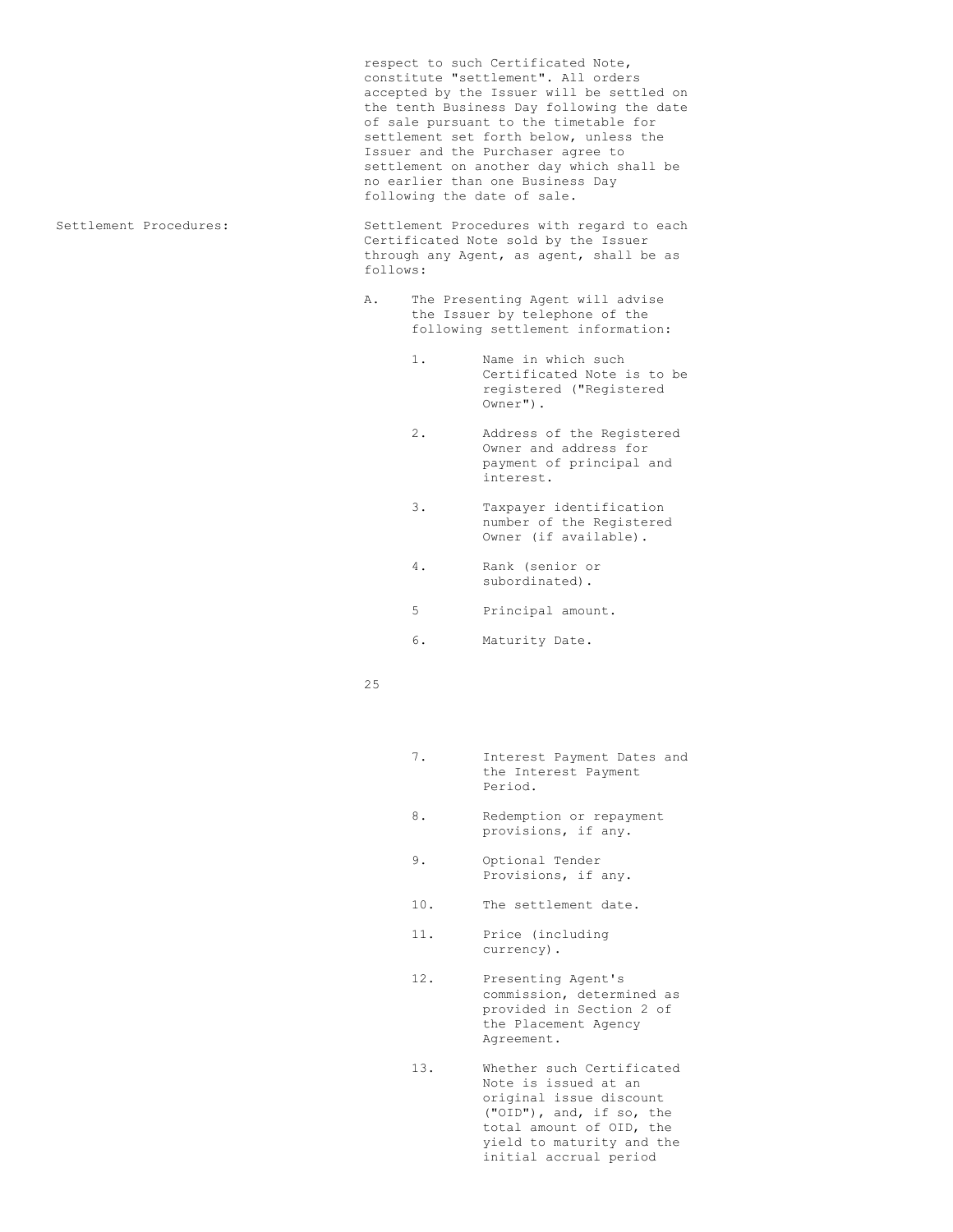respect to such Certificated Note, constitute "settlement". All orders accepted by the Issuer will be settled on the tenth Business Day following the date of sale pursuant to the timetable for settlement set forth below, unless the Issuer and the Purchaser agree to settlement on another day which shall be no earlier than one Business Day following the date of sale.

Settlement Procedures: Settlement Procedures with regard to each Certificated Note sold by the Issuer through any Agent, as agent, shall be as follows:

- A. The Presenting Agent will advise the Issuer by telephone of the following settlement information:
	- 1. Name in which such Certificated Note is to be registered ("Registered Owner").
	- 2. Address of the Registered Owner and address for payment of principal and interest.
	- 3. Taxpayer identification number of the Registered Owner (if available).
	- 4. Rank (senior or subordinated).
	- 5 Principal amount.
	- 6. Maturity Date.
- 25
- 7. Interest Payment Dates and the Interest Payment Period.
- 8. Redemption or repayment provisions, if any.
- 9. Optional Tender Provisions, if any.
- 10. The settlement date.
- 11. Price (including currency).
- 12. Presenting Agent's commission, determined as provided in Section 2 of the Placement Agency Agreement.
- 13. Whether such Certificated Note is issued at an original issue discount ("OID"), and, if so, the total amount of OID, the yield to maturity and the initial accrual period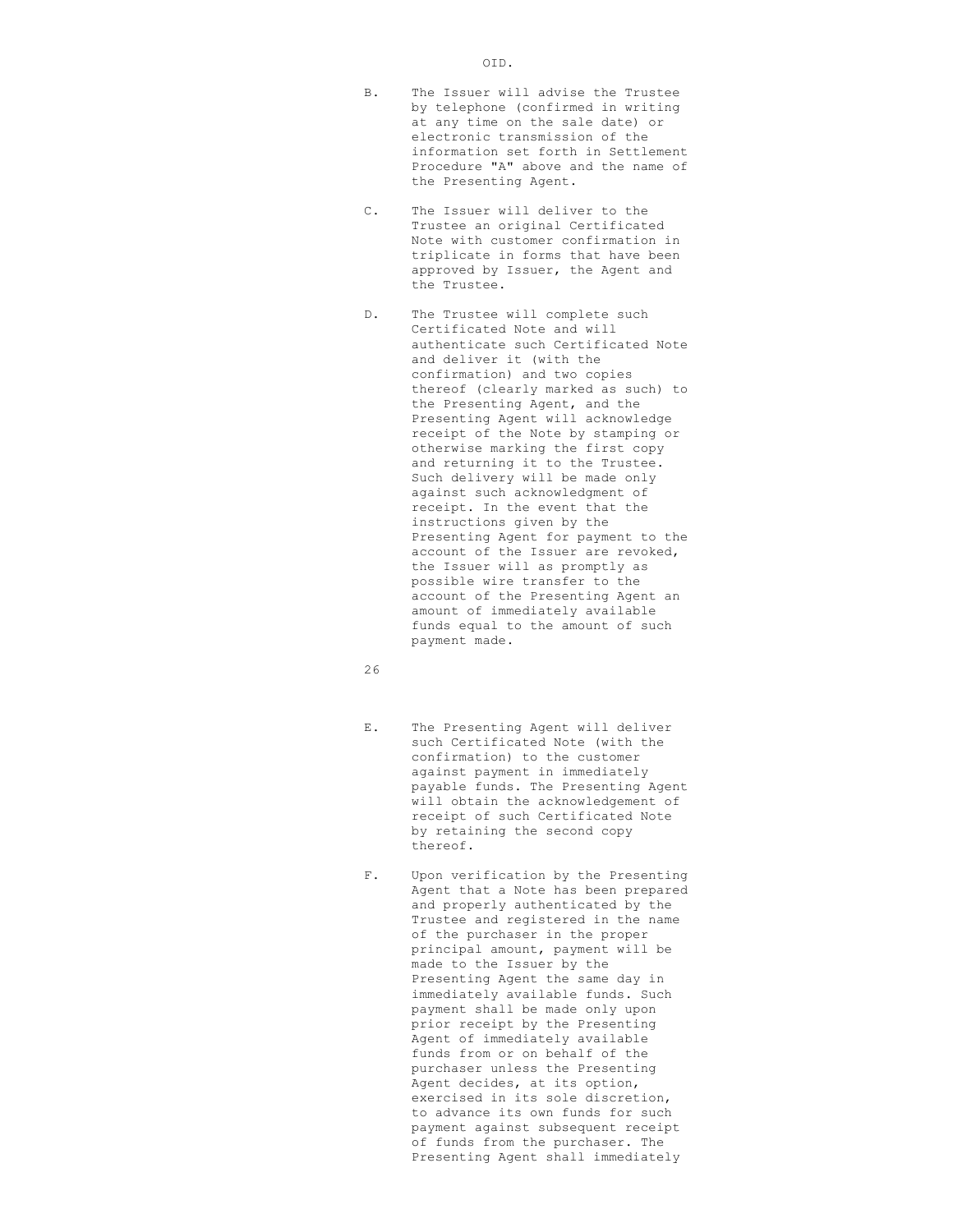- C. The Issuer will deliver to the Trustee an original Certificated Note with customer confirmation in triplicate in forms that have been approved by Issuer, the Agent and the Trustee.
- D. The Trustee will complete such Certificated Note and will authenticate such Certificated Note and deliver it (with the confirmation) and two copies thereof (clearly marked as such) to the Presenting Agent, and the Presenting Agent will acknowledge receipt of the Note by stamping or otherwise marking the first copy and returning it to the Trustee. Such delivery will be made only against such acknowledgment of receipt. In the event that the instructions given by the Presenting Agent for payment to the account of the Issuer are revoked, the Issuer will as promptly as possible wire transfer to the account of the Presenting Agent an amount of immediately available funds equal to the amount of such payment made.
- 26
- E. The Presenting Agent will deliver such Certificated Note (with the confirmation) to the customer against payment in immediately payable funds. The Presenting Agent will obtain the acknowledgement of receipt of such Certificated Note by retaining the second copy thereof.
- F. Upon verification by the Presenting Agent that a Note has been prepared and properly authenticated by the Trustee and registered in the name of the purchaser in the proper principal amount, payment will be made to the Issuer by the Presenting Agent the same day in immediately available funds. Such payment shall be made only upon prior receipt by the Presenting Agent of immediately available funds from or on behalf of the purchaser unless the Presenting Agent decides, at its option, exercised in its sole discretion, to advance its own funds for such payment against subsequent receipt of funds from the purchaser. The Presenting Agent shall immediately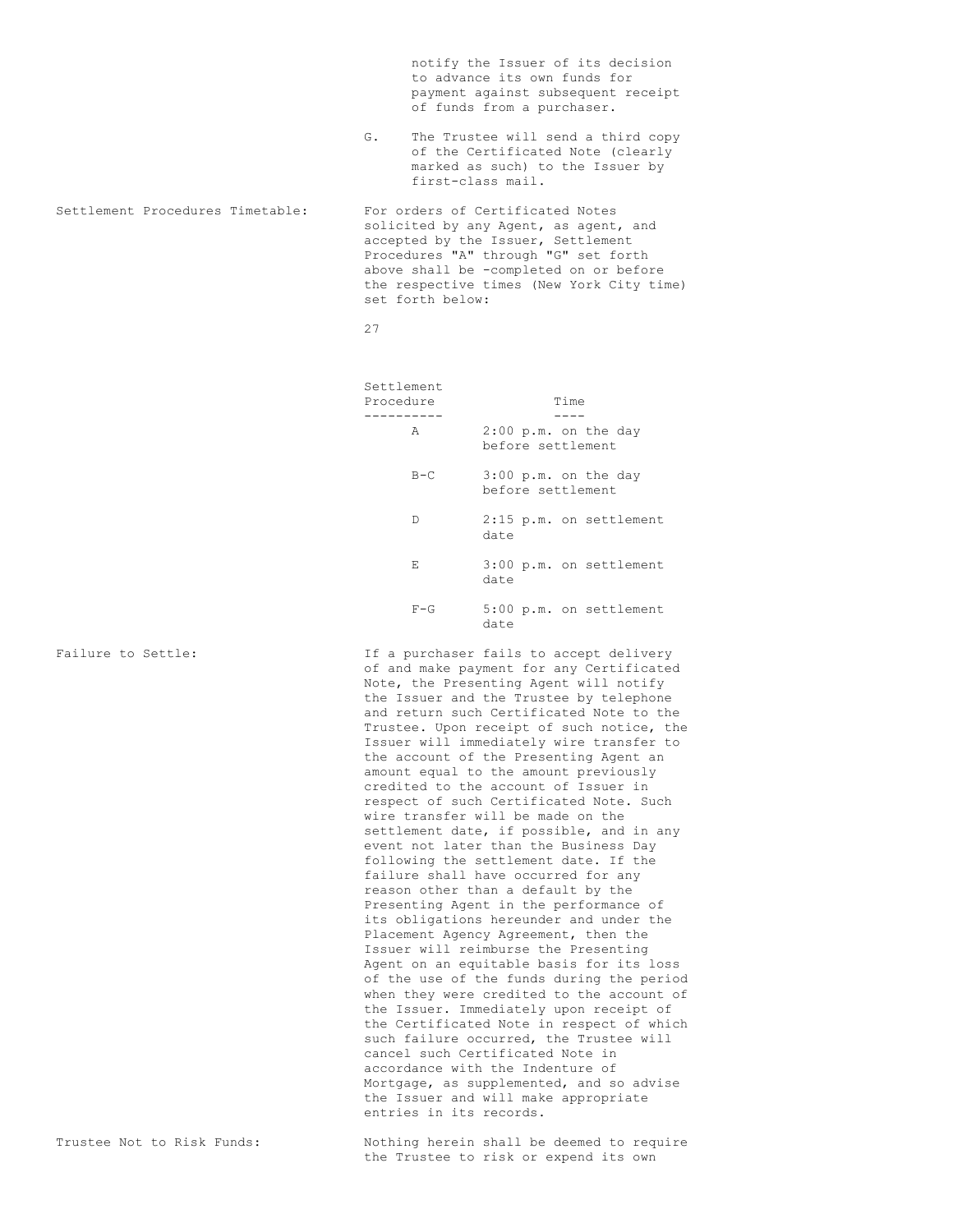notify the Issuer of its decision to advance its own funds for payment against subsequent receipt of funds from a purchaser.

G. The Trustee will send a third copy of the Certificated Note (clearly marked as such) to the Issuer by first-class mail.

### Settlement Procedures Timetable: For orders of Certificated Notes

solicited by any Agent, as agent, and accepted by the Issuer, Settlement Procedures "A" through "G" set forth above shall be -completed on or before the respective times (New York City time) set forth below:

27

| Settlement<br>Procedure | Time                                        |
|-------------------------|---------------------------------------------|
|                         |                                             |
| A                       | $2:00$ p.m. on the day<br>before settlement |
| $B-C$                   | $3:00$ p.m. on the day<br>before settlement |
| D                       | $2:15$ p.m. on settlement<br>date           |
| F.                      | 3:00 p.m. on settlement<br>date             |
| $F-G$                   | 5:00 p.m. on settlement<br>date             |

Failure to Settle:  $\qquad \qquad$  If a purchaser fails to accept delivery of and make payment for any Certificated Note, the Presenting Agent will notify the Issuer and the Trustee by telephone and return such Certificated Note to the Trustee. Upon receipt of such notice, the Issuer will immediately wire transfer to the account of the Presenting Agent an amount equal to the amount previously credited to the account of Issuer in respect of such Certificated Note. Such wire transfer will be made on the settlement date, if possible, and in any event not later than the Business Day following the settlement date. If the failure shall have occurred for any reason other than a default by the Presenting Agent in the performance of its obligations hereunder and under the Placement Agency Agreement, then the Issuer will reimburse the Presenting Agent on an equitable basis for its loss of the use of the funds during the period when they were credited to the account of the Issuer. Immediately upon receipt of the Certificated Note in respect of which such failure occurred, the Trustee will cancel such Certificated Note in accordance with the Indenture of Mortgage, as supplemented, and so advise the Issuer and will make appropriate entries in its records.

Trustee Not to Risk Funds: Nothing herein shall be deemed to require the Trustee to risk or expend its own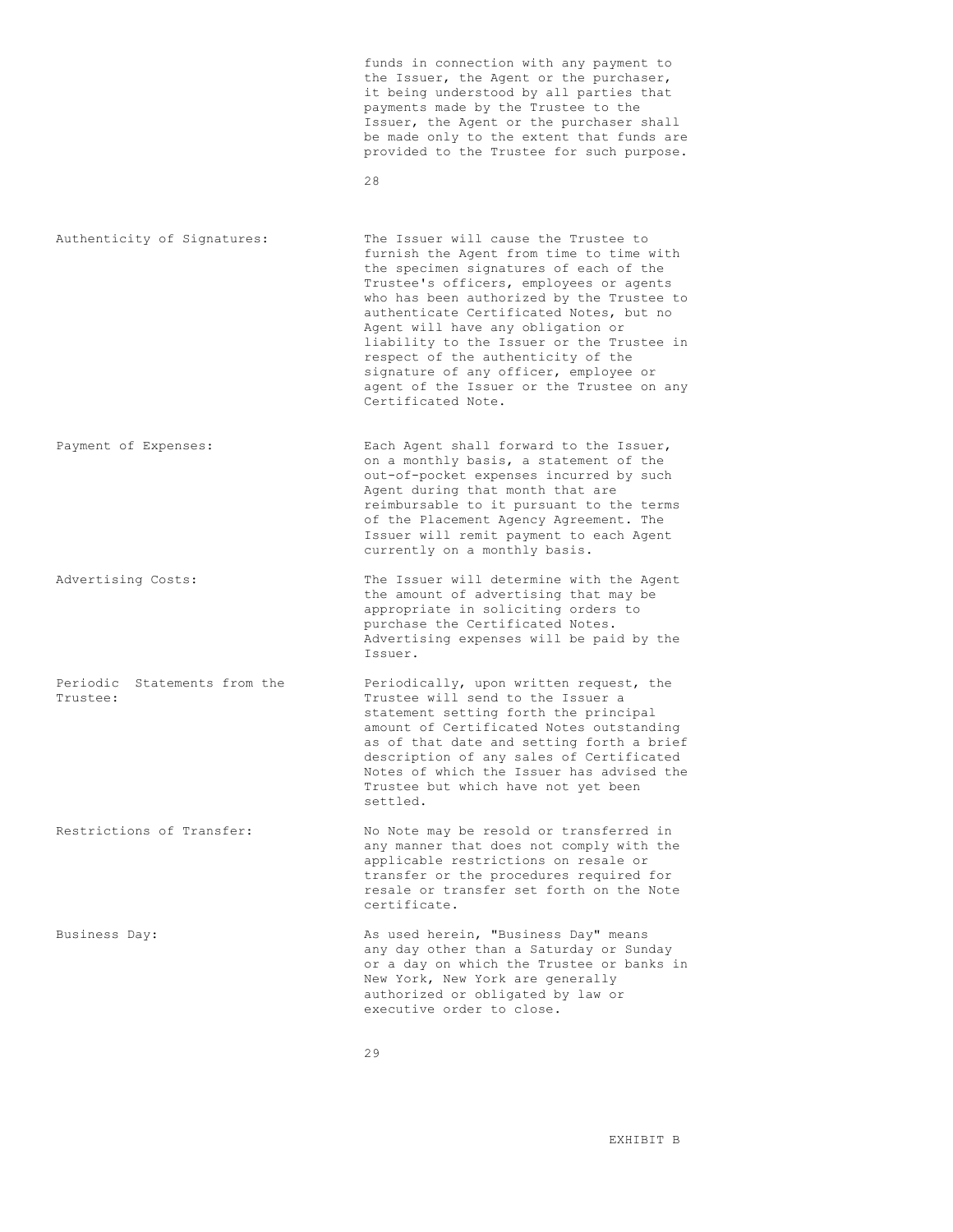funds in connection with any payment to the Issuer, the Agent or the purchaser, it being understood by all parties that payments made by the Trustee to the Issuer, the Agent or the purchaser shall be made only to the extent that funds are provided to the Trustee for such purpose. 28 Authenticity of Signatures: The Issuer will cause the Trustee to furnish the Agent from time to time with the specimen signatures of each of the Trustee's officers, employees or agents who has been authorized by the Trustee to authenticate Certificated Notes, but no Agent will have any obligation or liability to the Issuer or the Trustee in respect of the authenticity of the signature of any officer, employee or agent of the Issuer or the Trustee on any Certificated Note. Payment of Expenses: Each Agent shall forward to the Issuer, on a monthly basis, a statement of the out-of-pocket expenses incurred by such Agent during that month that are reimbursable to it pursuant to the terms of the Placement Agency Agreement. The Issuer will remit payment to each Agent currently on a monthly basis. Advertising Costs: The Issuer will determine with the Agent the amount of advertising that may be appropriate in soliciting orders to purchase the Certificated Notes. Advertising expenses will be paid by the Issuer. Periodic Statements from the Periodically, upon written request, the Trustee: Trustee will send to the Issuer a statement setting forth the principal amount of Certificated Notes outstanding as of that date and setting forth a brief description of any sales of Certificated Notes of which the Issuer has advised the Trustee but which have not yet been settled. Restrictions of Transfer: No Note may be resold or transferred in any manner that does not comply with the applicable restrictions on resale or transfer or the procedures required for resale or transfer set forth on the Note certificate. Business Day: The Management of the Mass used herein, "Business Day" means any day other than a Saturday or Sunday or a day on which the Trustee or banks in New York, New York are generally authorized or obligated by law or executive order to close.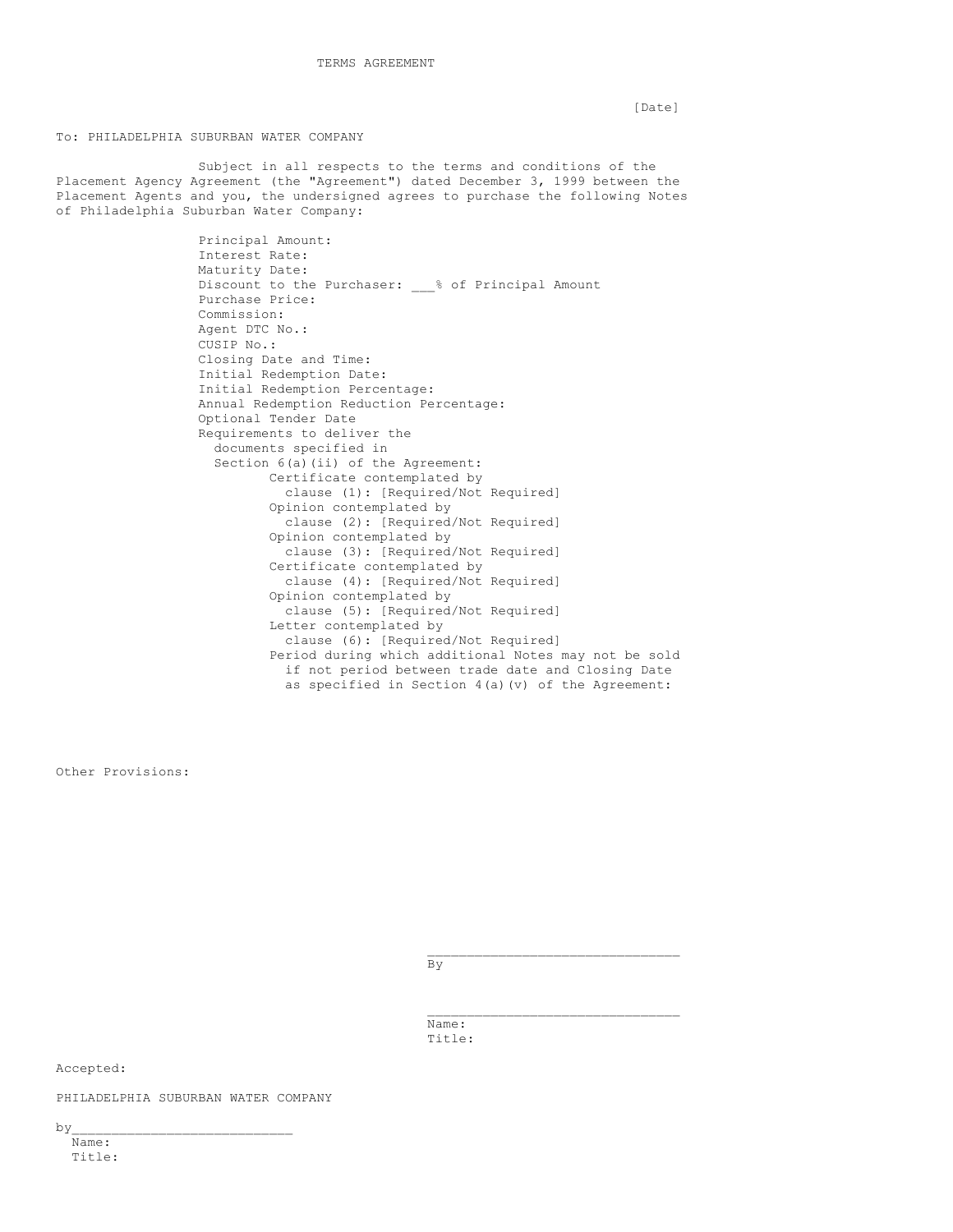[Date]

# To: PHILADELPHIA SUBURBAN WATER COMPANY

Subject in all respects to the terms and conditions of the Placement Agency Agreement (the "Agreement") dated December 3, 1999 between the Placement Agents and you, the undersigned agrees to purchase the following Notes of Philadelphia Suburban Water Company:

> Principal Amount: Interest Rate: Maturity Date: Discount to the Purchaser: \_\_\_& of Principal Amount Purchase Price: Commission: Agent DTC No.: CUSIP No.: Closing Date and Time: Initial Redemption Date: Initial Redemption Percentage: Annual Redemption Reduction Percentage: Optional Tender Date Requirements to deliver the documents specified in Section 6(a)(ii) of the Agreement: Certificate contemplated by clause (1): [Required/Not Required] Opinion contemplated by clause (2): [Required/Not Required] Opinion contemplated by clause (3): [Required/Not Required] Certificate contemplated by clause (4): [Required/Not Required] Opinion contemplated by clause (5): [Required/Not Required] Letter contemplated by clause (6): [Required/Not Required] Period during which additional Notes may not be sold if not period between trade date and Closing Date as specified in Section 4(a)(v) of the Agreement:

Other Provisions:

 $\overline{By}$ 

 $\mathcal{L}_\text{max}$ Name: Title:

 $\mathcal{L}_\text{max}$ 

Accepted:

PHILADELPHIA SUBURBAN WATER COMPANY

by\_\_\_\_\_\_\_\_\_\_\_\_\_\_\_\_\_\_\_\_\_\_\_\_\_\_\_\_

Name: Title: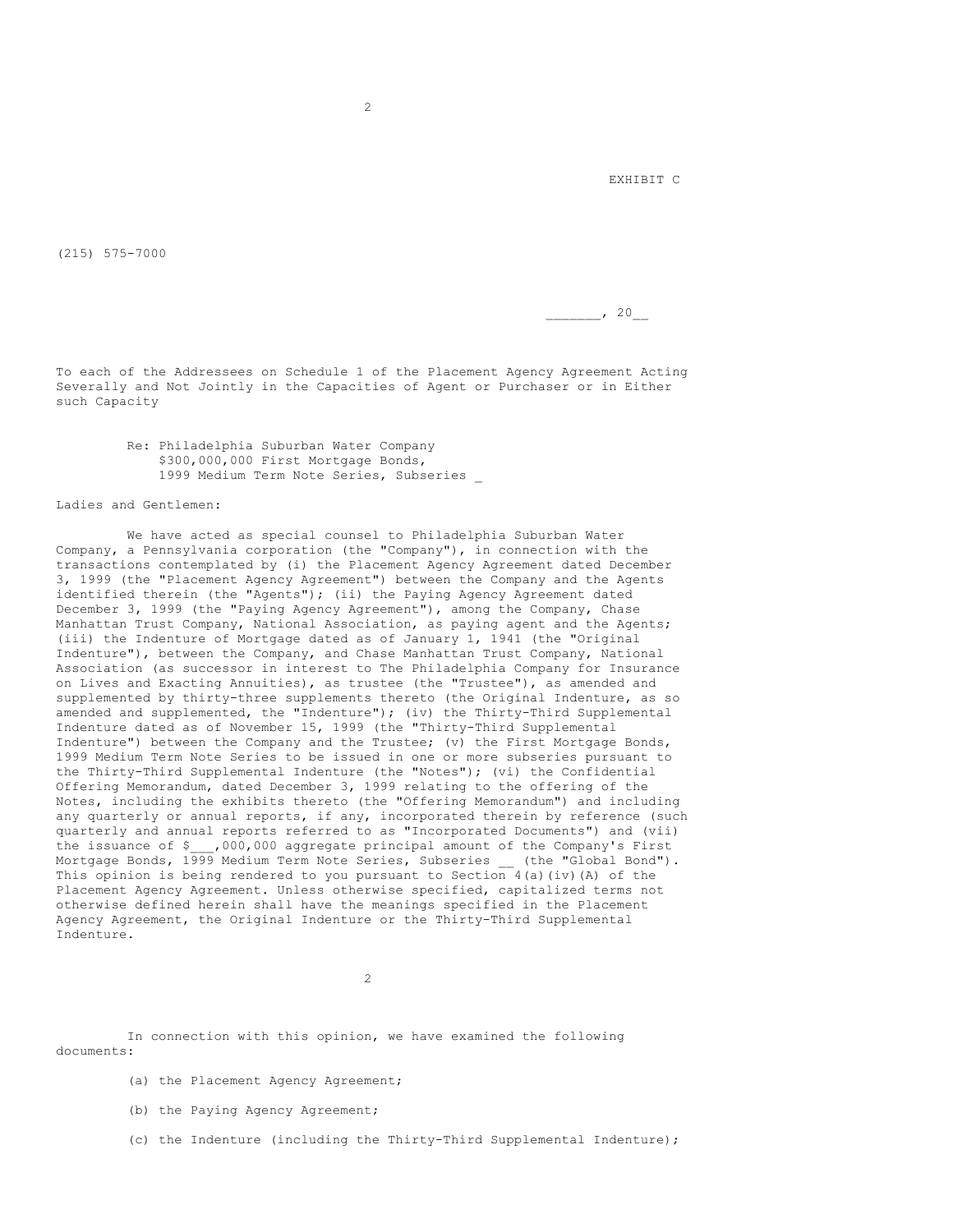EXHIBIT C

(215) 575-7000

 $, 20$ 

To each of the Addressees on Schedule 1 of the Placement Agency Agreement Acting Severally and Not Jointly in the Capacities of Agent or Purchaser or in Either such Capacity

> Re: Philadelphia Suburban Water Company \$300,000,000 First Mortgage Bonds, 1999 Medium Term Note Series, Subseries \_

Ladies and Gentlemen:

We have acted as special counsel to Philadelphia Suburban Water Company, a Pennsylvania corporation (the "Company"), in connection with the transactions contemplated by (i) the Placement Agency Agreement dated December 3, 1999 (the "Placement Agency Agreement") between the Company and the Agents identified therein (the "Agents"); (ii) the Paying Agency Agreement dated December 3, 1999 (the "Paying Agency Agreement"), among the Company, Chase Manhattan Trust Company, National Association, as paying agent and the Agents; (iii) the Indenture of Mortgage dated as of January 1, 1941 (the "Original Indenture"), between the Company, and Chase Manhattan Trust Company, National Association (as successor in interest to The Philadelphia Company for Insurance on Lives and Exacting Annuities), as trustee (the "Trustee"), as amended and supplemented by thirty-three supplements thereto (the Original Indenture, as so amended and supplemented, the "Indenture"); (iv) the Thirty-Third Supplemental Indenture dated as of November 15, 1999 (the "Thirty-Third Supplemental Indenture") between the Company and the Trustee; (v) the First Mortgage Bonds, 1999 Medium Term Note Series to be issued in one or more subseries pursuant to the Thirty-Third Supplemental Indenture (the "Notes"); (vi) the Confidential Offering Memorandum, dated December 3, 1999 relating to the offering of the Notes, including the exhibits thereto (the "Offering Memorandum") and including any quarterly or annual reports, if any, incorporated therein by reference (such quarterly and annual reports referred to as "Incorporated Documents") and (vii) the issuance of \$\_\_\_,000,000 aggregate principal amount of the Company's First Mortgage Bonds, 1999 Medium Term Note Series, Subseries \_\_ (the "Global Bond"). This opinion is being rendered to you pursuant to Section  $4(a)(iv)(A)$  of the Placement Agency Agreement. Unless otherwise specified, capitalized terms not otherwise defined herein shall have the meanings specified in the Placement Agency Agreement, the Original Indenture or the Thirty-Third Supplemental Indenture.

2

In connection with this opinion, we have examined the following documents:

- (a) the Placement Agency Agreement;
- (b) the Paying Agency Agreement;
- (c) the Indenture (including the Thirty-Third Supplemental Indenture);

2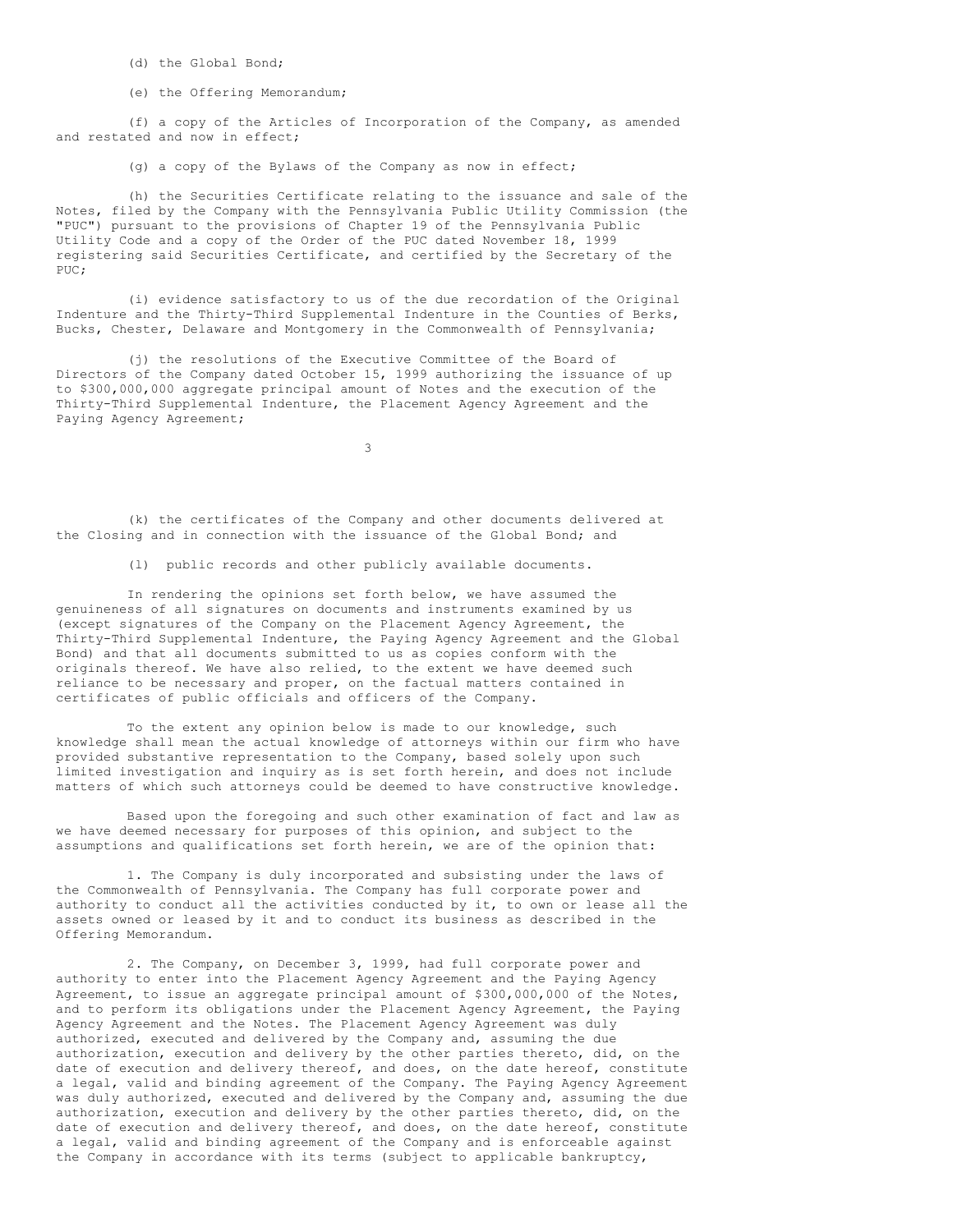(d) the Global Bond;

(e) the Offering Memorandum;

(f) a copy of the Articles of Incorporation of the Company, as amended and restated and now in effect;

(g) a copy of the Bylaws of the Company as now in effect;

(h) the Securities Certificate relating to the issuance and sale of the Notes, filed by the Company with the Pennsylvania Public Utility Commission (the "PUC") pursuant to the provisions of Chapter 19 of the Pennsylvania Public Utility Code and a copy of the Order of the PUC dated November 18, 1999 registering said Securities Certificate, and certified by the Secretary of the PUC;

(i) evidence satisfactory to us of the due recordation of the Original Indenture and the Thirty-Third Supplemental Indenture in the Counties of Berks, Bucks, Chester, Delaware and Montgomery in the Commonwealth of Pennsylvania;

(j) the resolutions of the Executive Committee of the Board of Directors of the Company dated October 15, 1999 authorizing the issuance of up to \$300,000,000 aggregate principal amount of Notes and the execution of the Thirty-Third Supplemental Indenture, the Placement Agency Agreement and the Paying Agency Agreement;

3

(k) the certificates of the Company and other documents delivered at the Closing and in connection with the issuance of the Global Bond; and

(l) public records and other publicly available documents.

In rendering the opinions set forth below, we have assumed the genuineness of all signatures on documents and instruments examined by us (except signatures of the Company on the Placement Agency Agreement, the Thirty-Third Supplemental Indenture, the Paying Agency Agreement and the Global Bond) and that all documents submitted to us as copies conform with the originals thereof. We have also relied, to the extent we have deemed such reliance to be necessary and proper, on the factual matters contained in certificates of public officials and officers of the Company.

To the extent any opinion below is made to our knowledge, such knowledge shall mean the actual knowledge of attorneys within our firm who have provided substantive representation to the Company, based solely upon such limited investigation and inquiry as is set forth herein, and does not include matters of which such attorneys could be deemed to have constructive knowledge.

Based upon the foregoing and such other examination of fact and law as we have deemed necessary for purposes of this opinion, and subject to the assumptions and qualifications set forth herein, we are of the opinion that:

1. The Company is duly incorporated and subsisting under the laws of the Commonwealth of Pennsylvania. The Company has full corporate power and authority to conduct all the activities conducted by it, to own or lease all the assets owned or leased by it and to conduct its business as described in the Offering Memorandum.

2. The Company, on December 3, 1999, had full corporate power and authority to enter into the Placement Agency Agreement and the Paying Agency Agreement, to issue an aggregate principal amount of \$300,000,000 of the Notes, and to perform its obligations under the Placement Agency Agreement, the Paying Agency Agreement and the Notes. The Placement Agency Agreement was duly authorized, executed and delivered by the Company and, assuming the due authorization, execution and delivery by the other parties thereto, did, on the date of execution and delivery thereof, and does, on the date hereof, constitute a legal, valid and binding agreement of the Company. The Paying Agency Agreement was duly authorized, executed and delivered by the Company and, assuming the due authorization, execution and delivery by the other parties thereto, did, on the date of execution and delivery thereof, and does, on the date hereof, constitute a legal, valid and binding agreement of the Company and is enforceable against the Company in accordance with its terms (subject to applicable bankruptcy,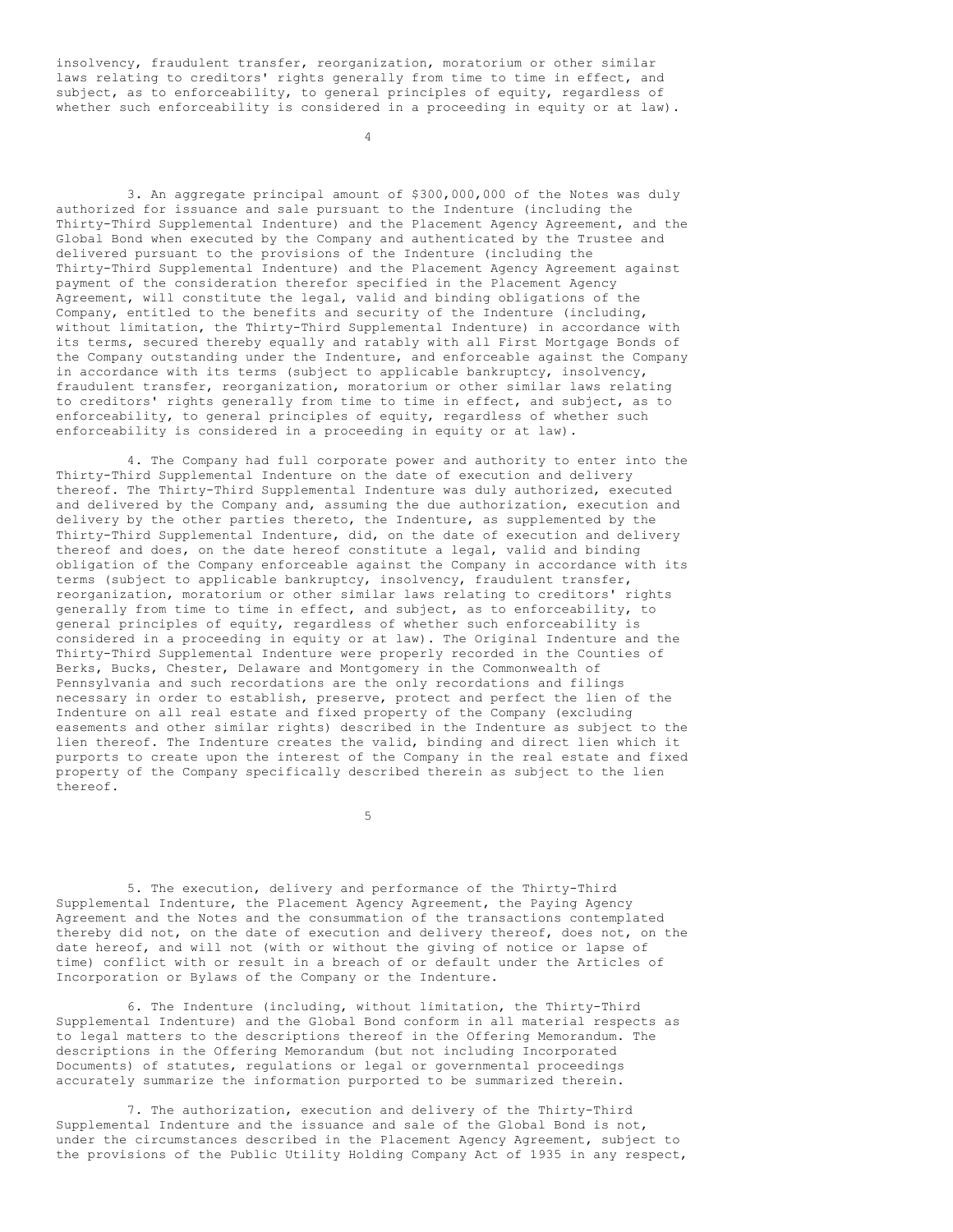insolvency, fraudulent transfer, reorganization, moratorium or other similar laws relating to creditors' rights generally from time to time in effect, and subject, as to enforceability, to general principles of equity, regardless of whether such enforceability is considered in a proceeding in equity or at law).

4

3. An aggregate principal amount of \$300,000,000 of the Notes was duly authorized for issuance and sale pursuant to the Indenture (including the Thirty-Third Supplemental Indenture) and the Placement Agency Agreement, and the Global Bond when executed by the Company and authenticated by the Trustee and delivered pursuant to the provisions of the Indenture (including the Thirty-Third Supplemental Indenture) and the Placement Agency Agreement against payment of the consideration therefor specified in the Placement Agency Agreement, will constitute the legal, valid and binding obligations of the Company, entitled to the benefits and security of the Indenture (including, without limitation, the Thirty-Third Supplemental Indenture) in accordance with its terms, secured thereby equally and ratably with all First Mortgage Bonds of the Company outstanding under the Indenture, and enforceable against the Company in accordance with its terms (subject to applicable bankruptcy, insolvency, fraudulent transfer, reorganization, moratorium or other similar laws relating to creditors' rights generally from time to time in effect, and subject, as to enforceability, to general principles of equity, regardless of whether such enforceability is considered in a proceeding in equity or at law).

4. The Company had full corporate power and authority to enter into the Thirty-Third Supplemental Indenture on the date of execution and delivery thereof. The Thirty-Third Supplemental Indenture was duly authorized, executed and delivered by the Company and, assuming the due authorization, execution and delivery by the other parties thereto, the Indenture, as supplemented by the Thirty-Third Supplemental Indenture, did, on the date of execution and delivery thereof and does, on the date hereof constitute a legal, valid and binding obligation of the Company enforceable against the Company in accordance with its terms (subject to applicable bankruptcy, insolvency, fraudulent transfer, reorganization, moratorium or other similar laws relating to creditors' rights generally from time to time in effect, and subject, as to enforceability, to general principles of equity, regardless of whether such enforceability is considered in a proceeding in equity or at law). The Original Indenture and the Thirty-Third Supplemental Indenture were properly recorded in the Counties of Berks, Bucks, Chester, Delaware and Montgomery in the Commonwealth of Pennsylvania and such recordations are the only recordations and filings necessary in order to establish, preserve, protect and perfect the lien of the Indenture on all real estate and fixed property of the Company (excluding easements and other similar rights) described in the Indenture as subject to the lien thereof. The Indenture creates the valid, binding and direct lien which it purports to create upon the interest of the Company in the real estate and fixed property of the Company specifically described therein as subject to the lien thereof.

5

5. The execution, delivery and performance of the Thirty-Third Supplemental Indenture, the Placement Agency Agreement, the Paying Agency Agreement and the Notes and the consummation of the transactions contemplated thereby did not, on the date of execution and delivery thereof, does not, on the date hereof, and will not (with or without the giving of notice or lapse of time) conflict with or result in a breach of or default under the Articles of Incorporation or Bylaws of the Company or the Indenture.

6. The Indenture (including, without limitation, the Thirty-Third Supplemental Indenture) and the Global Bond conform in all material respects as to legal matters to the descriptions thereof in the Offering Memorandum. The descriptions in the Offering Memorandum (but not including Incorporated Documents) of statutes, regulations or legal or governmental proceedings accurately summarize the information purported to be summarized therein.

7. The authorization, execution and delivery of the Thirty-Third Supplemental Indenture and the issuance and sale of the Global Bond is not, under the circumstances described in the Placement Agency Agreement, subject to the provisions of the Public Utility Holding Company Act of 1935 in any respect,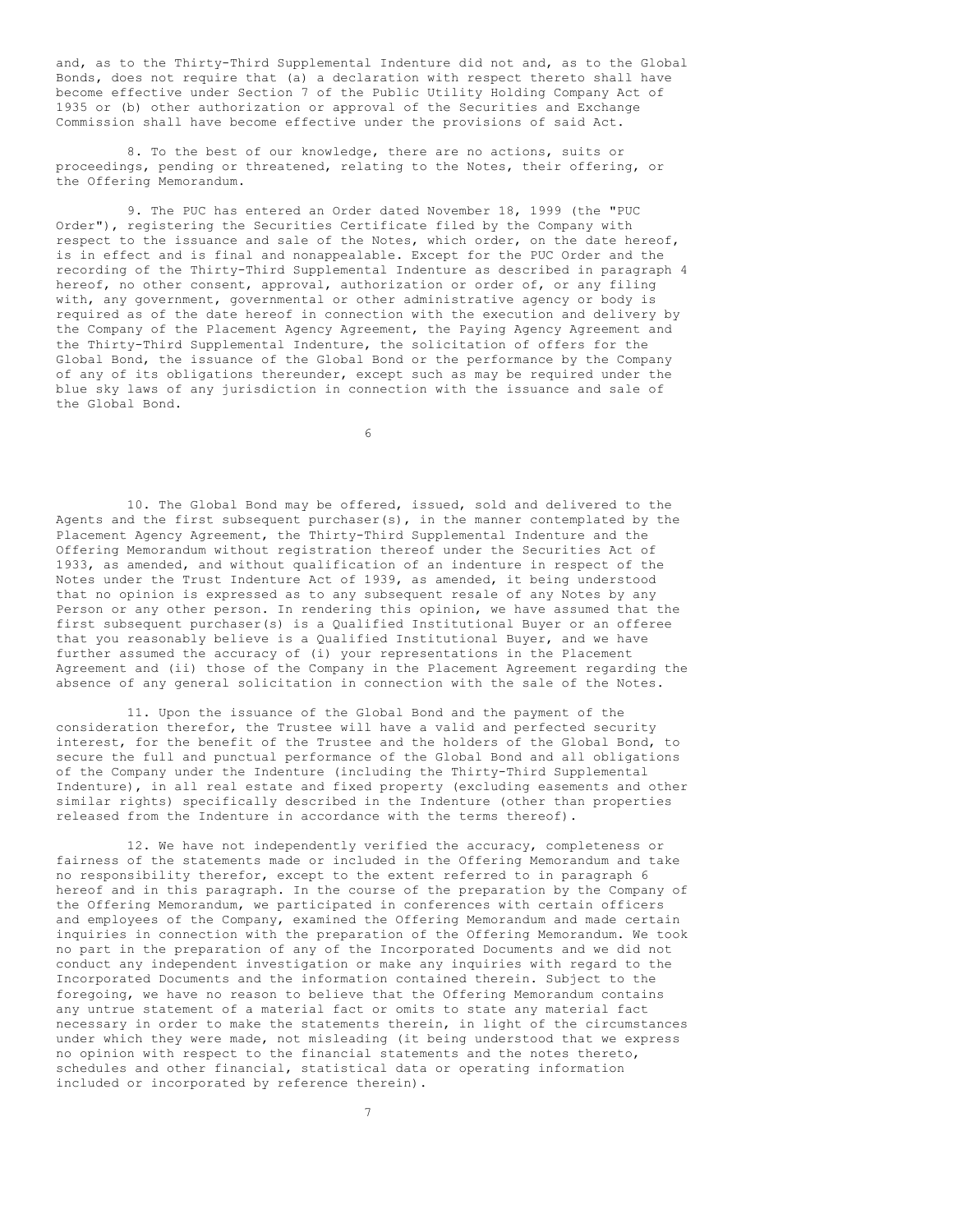and, as to the Thirty-Third Supplemental Indenture did not and, as to the Global Bonds, does not require that (a) a declaration with respect thereto shall have become effective under Section 7 of the Public Utility Holding Company Act of 1935 or (b) other authorization or approval of the Securities and Exchange Commission shall have become effective under the provisions of said Act.

8. To the best of our knowledge, there are no actions, suits or proceedings, pending or threatened, relating to the Notes, their offering, or the Offering Memorandum.

9. The PUC has entered an Order dated November 18, 1999 (the "PUC Order"), registering the Securities Certificate filed by the Company with respect to the issuance and sale of the Notes, which order, on the date hereof, is in effect and is final and nonappealable. Except for the PUC Order and the recording of the Thirty-Third Supplemental Indenture as described in paragraph 4 hereof, no other consent, approval, authorization or order of, or any filing with, any government, governmental or other administrative agency or body is required as of the date hereof in connection with the execution and delivery by the Company of the Placement Agency Agreement, the Paying Agency Agreement and the Thirty-Third Supplemental Indenture, the solicitation of offers for the Global Bond, the issuance of the Global Bond or the performance by the Company of any of its obligations thereunder, except such as may be required under the blue sky laws of any jurisdiction in connection with the issuance and sale of the Global Bond.

6

10. The Global Bond may be offered, issued, sold and delivered to the Agents and the first subsequent purchaser(s), in the manner contemplated by the Placement Agency Agreement, the Thirty-Third Supplemental Indenture and the Offering Memorandum without registration thereof under the Securities Act of 1933, as amended, and without qualification of an indenture in respect of the Notes under the Trust Indenture Act of 1939, as amended, it being understood that no opinion is expressed as to any subsequent resale of any Notes by any Person or any other person. In rendering this opinion, we have assumed that the first subsequent purchaser(s) is a Qualified Institutional Buyer or an offeree that you reasonably believe is a Qualified Institutional Buyer, and we have further assumed the accuracy of (i) your representations in the Placement Agreement and (ii) those of the Company in the Placement Agreement regarding the absence of any general solicitation in connection with the sale of the Notes.

11. Upon the issuance of the Global Bond and the payment of the consideration therefor, the Trustee will have a valid and perfected security interest, for the benefit of the Trustee and the holders of the Global Bond, to secure the full and punctual performance of the Global Bond and all obligations of the Company under the Indenture (including the Thirty-Third Supplemental Indenture), in all real estate and fixed property (excluding easements and other similar rights) specifically described in the Indenture (other than properties released from the Indenture in accordance with the terms thereof).

12. We have not independently verified the accuracy, completeness or fairness of the statements made or included in the Offering Memorandum and take no responsibility therefor, except to the extent referred to in paragraph 6 hereof and in this paragraph. In the course of the preparation by the Company of the Offering Memorandum, we participated in conferences with certain officers and employees of the Company, examined the Offering Memorandum and made certain inquiries in connection with the preparation of the Offering Memorandum. We took no part in the preparation of any of the Incorporated Documents and we did not conduct any independent investigation or make any inquiries with regard to the Incorporated Documents and the information contained therein. Subject to the foregoing, we have no reason to believe that the Offering Memorandum contains any untrue statement of a material fact or omits to state any material fact necessary in order to make the statements therein, in light of the circumstances under which they were made, not misleading (it being understood that we express no opinion with respect to the financial statements and the notes thereto, schedules and other financial, statistical data or operating information included or incorporated by reference therein).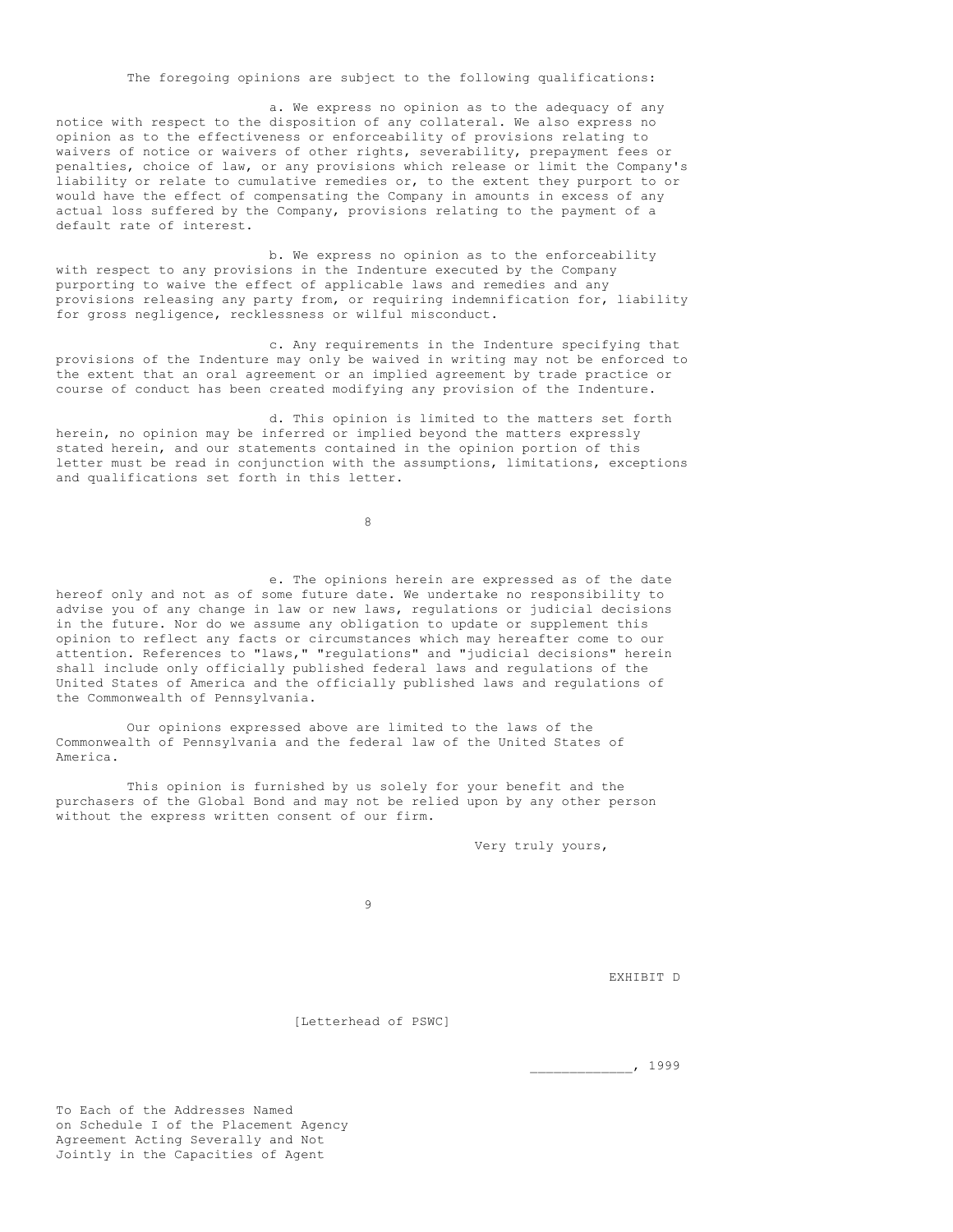The foregoing opinions are subject to the following qualifications:

a. We express no opinion as to the adequacy of any notice with respect to the disposition of any collateral. We also express no opinion as to the effectiveness or enforceability of provisions relating to waivers of notice or waivers of other rights, severability, prepayment fees or penalties, choice of law, or any provisions which release or limit the Company's liability or relate to cumulative remedies or, to the extent they purport to or would have the effect of compensating the Company in amounts in excess of any actual loss suffered by the Company, provisions relating to the payment of a default rate of interest.

b. We express no opinion as to the enforceability with respect to any provisions in the Indenture executed by the Company purporting to waive the effect of applicable laws and remedies and any provisions releasing any party from, or requiring indemnification for, liability for gross negligence, recklessness or wilful misconduct.

c. Any requirements in the Indenture specifying that provisions of the Indenture may only be waived in writing may not be enforced to the extent that an oral agreement or an implied agreement by trade practice or course of conduct has been created modifying any provision of the Indenture.

d. This opinion is limited to the matters set forth herein, no opinion may be inferred or implied beyond the matters expressly stated herein, and our statements contained in the opinion portion of this letter must be read in conjunction with the assumptions, limitations, exceptions and qualifications set forth in this letter.

8

e. The opinions herein are expressed as of the date hereof only and not as of some future date. We undertake no responsibility to advise you of any change in law or new laws, regulations or judicial decisions in the future. Nor do we assume any obligation to update or supplement this opinion to reflect any facts or circumstances which may hereafter come to our attention. References to "laws," "regulations" and "judicial decisions" herein shall include only officially published federal laws and regulations of the United States of America and the officially published laws and regulations of the Commonwealth of Pennsylvania.

Our opinions expressed above are limited to the laws of the Commonwealth of Pennsylvania and the federal law of the United States of America.

This opinion is furnished by us solely for your benefit and the purchasers of the Global Bond and may not be relied upon by any other person without the express written consent of our firm.

Very truly yours,

9

EXHIBIT D

[Letterhead of PSWC]

\_\_\_\_\_\_\_\_\_\_\_\_\_, 1999

To Each of the Addresses Named on Schedule I of the Placement Agency Agreement Acting Severally and Not Jointly in the Capacities of Agent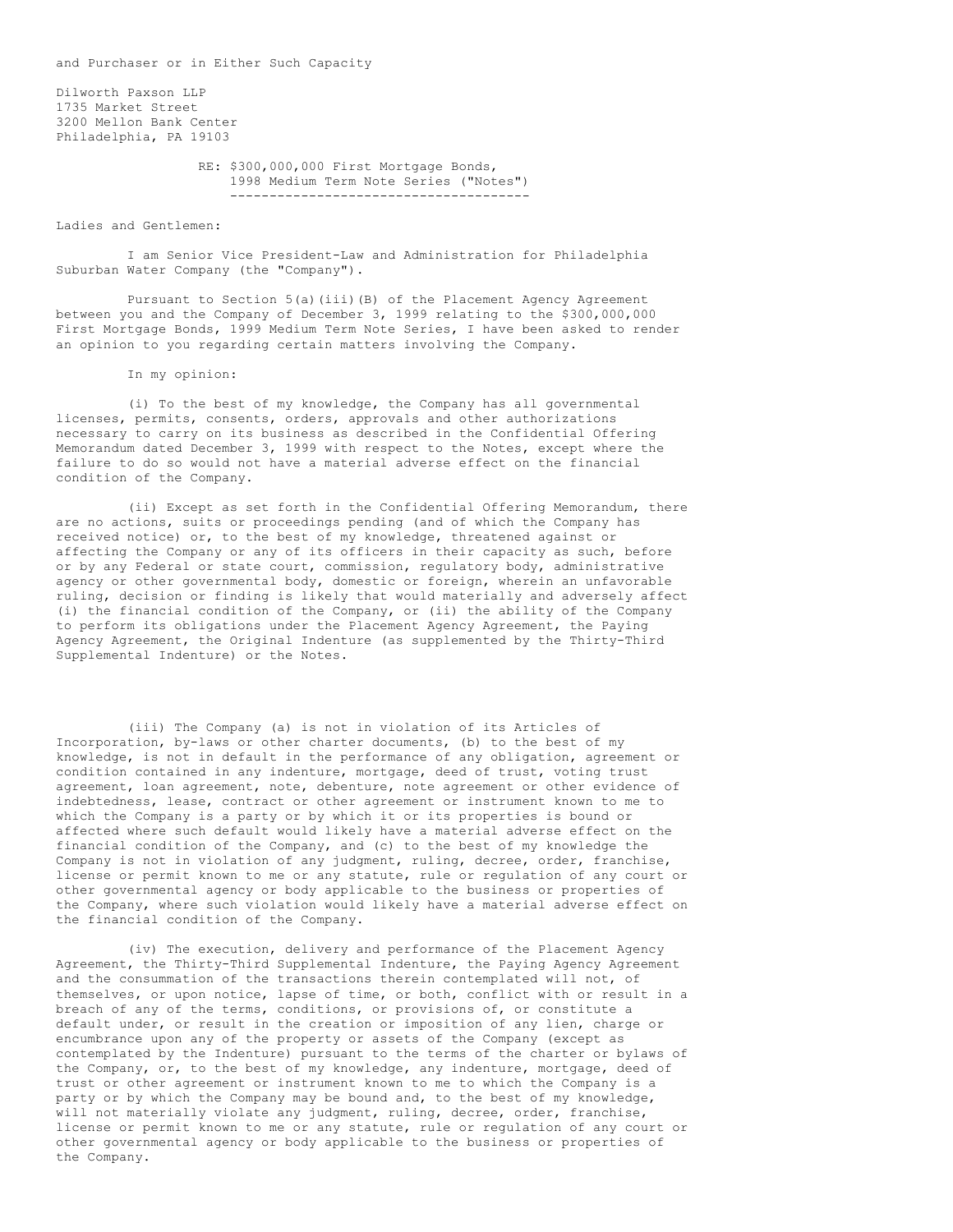and Purchaser or in Either Such Capacity

Dilworth Paxson LLP 1735 Market Street 3200 Mellon Bank Center Philadelphia, PA 19103

> RE: \$300,000,000 First Mortgage Bonds, 1998 Medium Term Note Series ("Notes") --------------------------------------

Ladies and Gentlemen:

I am Senior Vice President-Law and Administration for Philadelphia Suburban Water Company (the "Company").

Pursuant to Section 5(a)(iii)(B) of the Placement Agency Agreement between you and the Company of December 3, 1999 relating to the \$300,000,000 First Mortgage Bonds, 1999 Medium Term Note Series, I have been asked to render an opinion to you regarding certain matters involving the Company.

In my opinion:

(i) To the best of my knowledge, the Company has all governmental licenses, permits, consents, orders, approvals and other authorizations necessary to carry on its business as described in the Confidential Offering Memorandum dated December 3, 1999 with respect to the Notes, except where the failure to do so would not have a material adverse effect on the financial condition of the Company.

(ii) Except as set forth in the Confidential Offering Memorandum, there are no actions, suits or proceedings pending (and of which the Company has received notice) or, to the best of my knowledge, threatened against or affecting the Company or any of its officers in their capacity as such, before or by any Federal or state court, commission, regulatory body, administrative agency or other governmental body, domestic or foreign, wherein an unfavorable ruling, decision or finding is likely that would materially and adversely affect (i) the financial condition of the Company, or (ii) the ability of the Company to perform its obligations under the Placement Agency Agreement, the Paying Agency Agreement, the Original Indenture (as supplemented by the Thirty-Third Supplemental Indenture) or the Notes.

(iii) The Company (a) is not in violation of its Articles of Incorporation, by-laws or other charter documents, (b) to the best of my knowledge, is not in default in the performance of any obligation, agreement or condition contained in any indenture, mortgage, deed of trust, voting trust agreement, loan agreement, note, debenture, note agreement or other evidence of indebtedness, lease, contract or other agreement or instrument known to me to which the Company is a party or by which it or its properties is bound or affected where such default would likely have a material adverse effect on the financial condition of the Company, and (c) to the best of my knowledge the Company is not in violation of any judgment, ruling, decree, order, franchise, license or permit known to me or any statute, rule or regulation of any court or other governmental agency or body applicable to the business or properties of the Company, where such violation would likely have a material adverse effect on the financial condition of the Company.

(iv) The execution, delivery and performance of the Placement Agency Agreement, the Thirty-Third Supplemental Indenture, the Paying Agency Agreement and the consummation of the transactions therein contemplated will not, of themselves, or upon notice, lapse of time, or both, conflict with or result in a breach of any of the terms, conditions, or provisions of, or constitute a default under, or result in the creation or imposition of any lien, charge or encumbrance upon any of the property or assets of the Company (except as contemplated by the Indenture) pursuant to the terms of the charter or bylaws of the Company, or, to the best of my knowledge, any indenture, mortgage, deed of trust or other agreement or instrument known to me to which the Company is a party or by which the Company may be bound and, to the best of my knowledge, will not materially violate any judgment, ruling, decree, order, franchise, license or permit known to me or any statute, rule or regulation of any court or other governmental agency or body applicable to the business or properties of the Company.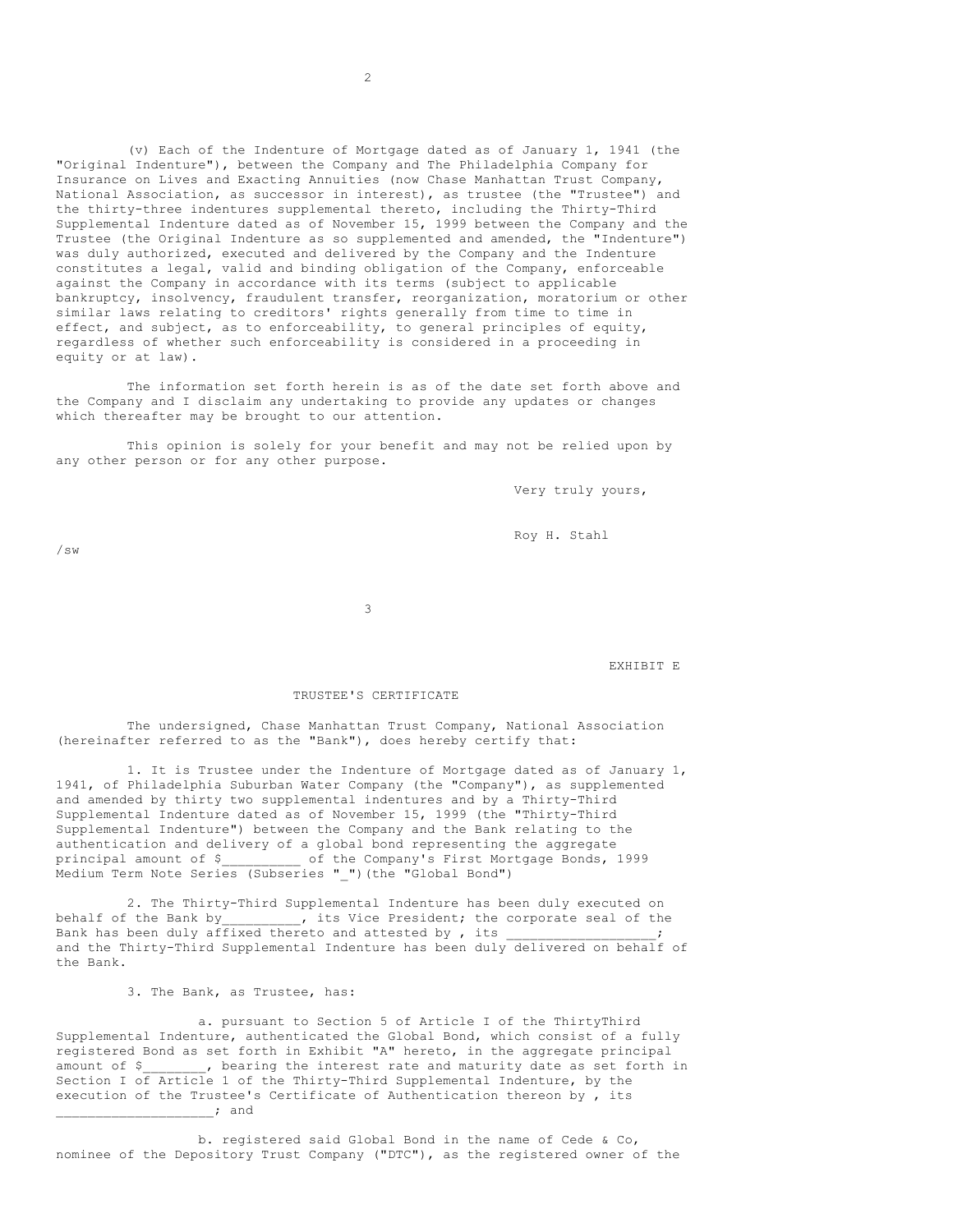(v) Each of the Indenture of Mortgage dated as of January 1, 1941 (the "Original Indenture"), between the Company and The Philadelphia Company for Insurance on Lives and Exacting Annuities (now Chase Manhattan Trust Company, National Association, as successor in interest), as trustee (the "Trustee") and the thirty-three indentures supplemental thereto, including the Thirty-Third Supplemental Indenture dated as of November 15, 1999 between the Company and the Trustee (the Original Indenture as so supplemented and amended, the "Indenture") was duly authorized, executed and delivered by the Company and the Indenture constitutes a legal, valid and binding obligation of the Company, enforceable against the Company in accordance with its terms (subject to applicable bankruptcy, insolvency, fraudulent transfer, reorganization, moratorium or other similar laws relating to creditors' rights generally from time to time in effect, and subject, as to enforceability, to general principles of equity, regardless of whether such enforceability is considered in a proceeding in equity or at law).

The information set forth herein is as of the date set forth above and the Company and I disclaim any undertaking to provide any updates or changes which thereafter may be brought to our attention.

This opinion is solely for your benefit and may not be relied upon by any other person or for any other purpose.

Very truly yours,

Roy H. Stahl

/sw

3

EXHIBIT E

### TRUSTEE'S CERTIFICATE

The undersigned, Chase Manhattan Trust Company, National Association (hereinafter referred to as the "Bank"), does hereby certify that:

1. It is Trustee under the Indenture of Mortgage dated as of January 1, 1941, of Philadelphia Suburban Water Company (the "Company"), as supplemented and amended by thirty two supplemental indentures and by a Thirty-Third Supplemental Indenture dated as of November 15, 1999 (the "Thirty-Third Supplemental Indenture") between the Company and the Bank relating to the authentication and delivery of a global bond representing the aggregate principal amount of \$\_\_\_\_\_\_\_\_\_\_ of the Company's First Mortgage Bonds, 1999 Medium Term Note Series (Subseries " ") (the "Global Bond")

2. The Thirty-Third Supplemental Indenture has been duly executed on behalf of the Bank by\_\_\_\_\_\_\_\_\_\_, its Vice President; the corporate seal of the Bank has been duly affixed thereto and attested by, its and the Thirty-Third Supplemental Indenture has been duly delivered on behalf of the Bank.

3. The Bank, as Trustee, has:

a. pursuant to Section 5 of Article I of the ThirtyThird Supplemental Indenture, authenticated the Global Bond, which consist of a fully registered Bond as set forth in Exhibit "A" hereto, in the aggregate principal amount of \$ , bearing the interest rate and maturity date as set forth in Section I of Article 1 of the Thirty-Third Supplemental Indenture, by the execution of the Trustee's Certificate of Authentication thereon by , its  $\overline{\phantom{a}}$  ; and

b. registered said Global Bond in the name of Cede & Co, nominee of the Depository Trust Company ("DTC"), as the registered owner of the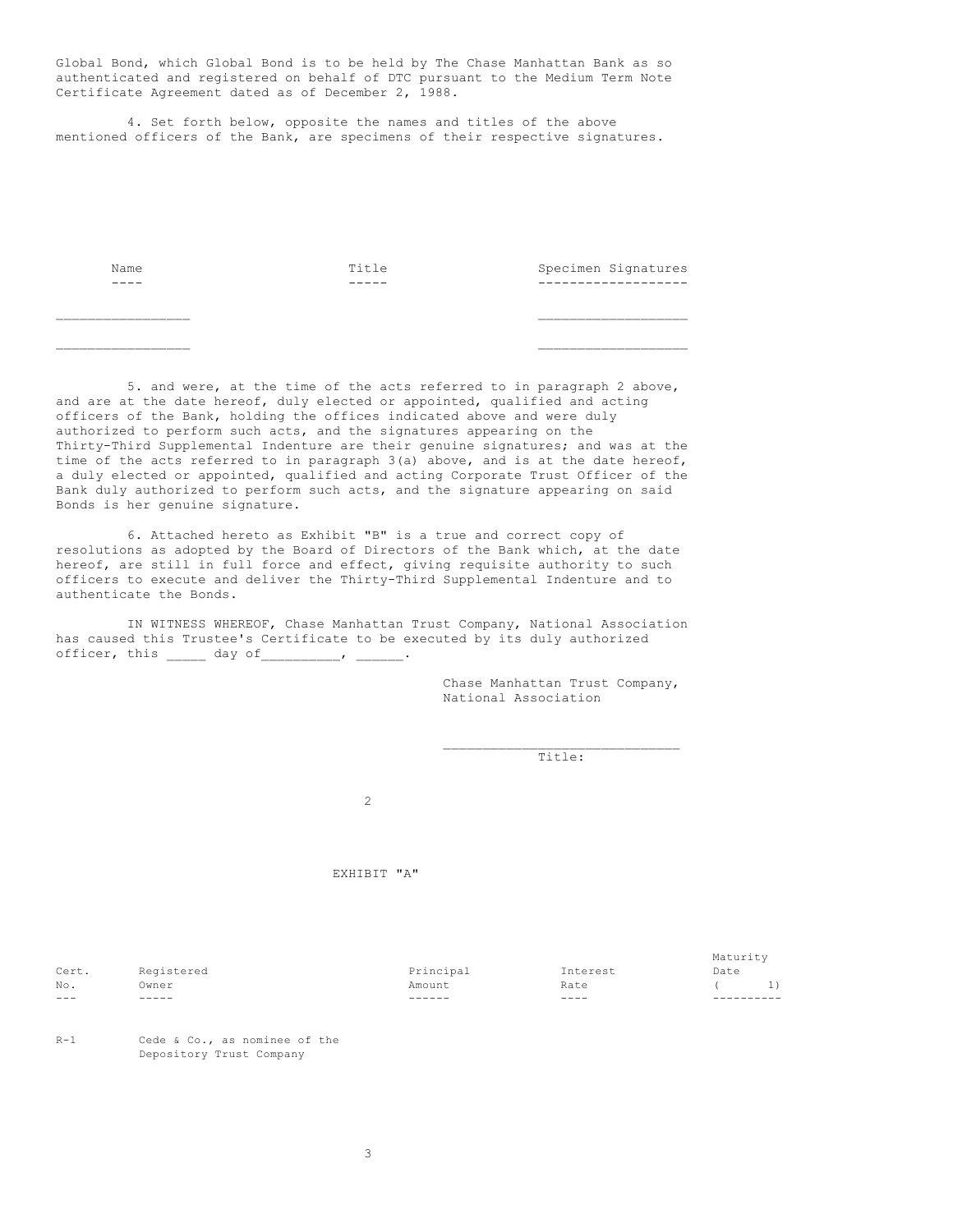Global Bond, which Global Bond is to be held by The Chase Manhattan Bank as so authenticated and registered on behalf of DTC pursuant to the Medium Term Note Certificate Agreement dated as of December 2, 1988.

4. Set forth below, opposite the names and titles of the above mentioned officers of the Bank, are specimens of their respective signatures.

 $\mathcal{L}_\text{max}$  $\mathcal{L}_\text{max}$ 

Name Title Specimen Signatures ---- ----- -------------------

5. and were, at the time of the acts referred to in paragraph 2 above, and are at the date hereof, duly elected or appointed, qualified and acting officers of the Bank, holding the offices indicated above and were duly authorized to perform such acts, and the signatures appearing on the Thirty-Third Supplemental Indenture are their genuine signatures; and was at the time of the acts referred to in paragraph 3(a) above, and is at the date hereof, a duly elected or appointed, qualified and acting Corporate Trust Officer of the Bank duly authorized to perform such acts, and the signature appearing on said Bonds is her genuine signature.

6. Attached hereto as Exhibit "B" is a true and correct copy of resolutions as adopted by the Board of Directors of the Bank which, at the date hereof, are still in full force and effect, giving requisite authority to such officers to execute and deliver the Thirty-Third Supplemental Indenture and to authenticate the Bonds.

IN WITNESS WHEREOF, Chase Manhattan Trust Company, National Association has caused this Trustee's Certificate to be executed by its duly authorized officer, this day of ,

> Chase Manhattan Trust Company, National Association

> > Title:

2

EXHIBIT "A"

| $\frac{1}{2}$ | $------$   | -------   | $- - - -$ | ---------- |  |
|---------------|------------|-----------|-----------|------------|--|
| No.           | Owner      | Amount    | Rate      |            |  |
| Cert.         | Registered | Principal | Interest  | Date       |  |
|               |            |           |           | Maturity   |  |

R-1 Cede & Co., as nominee of the Depository Trust Company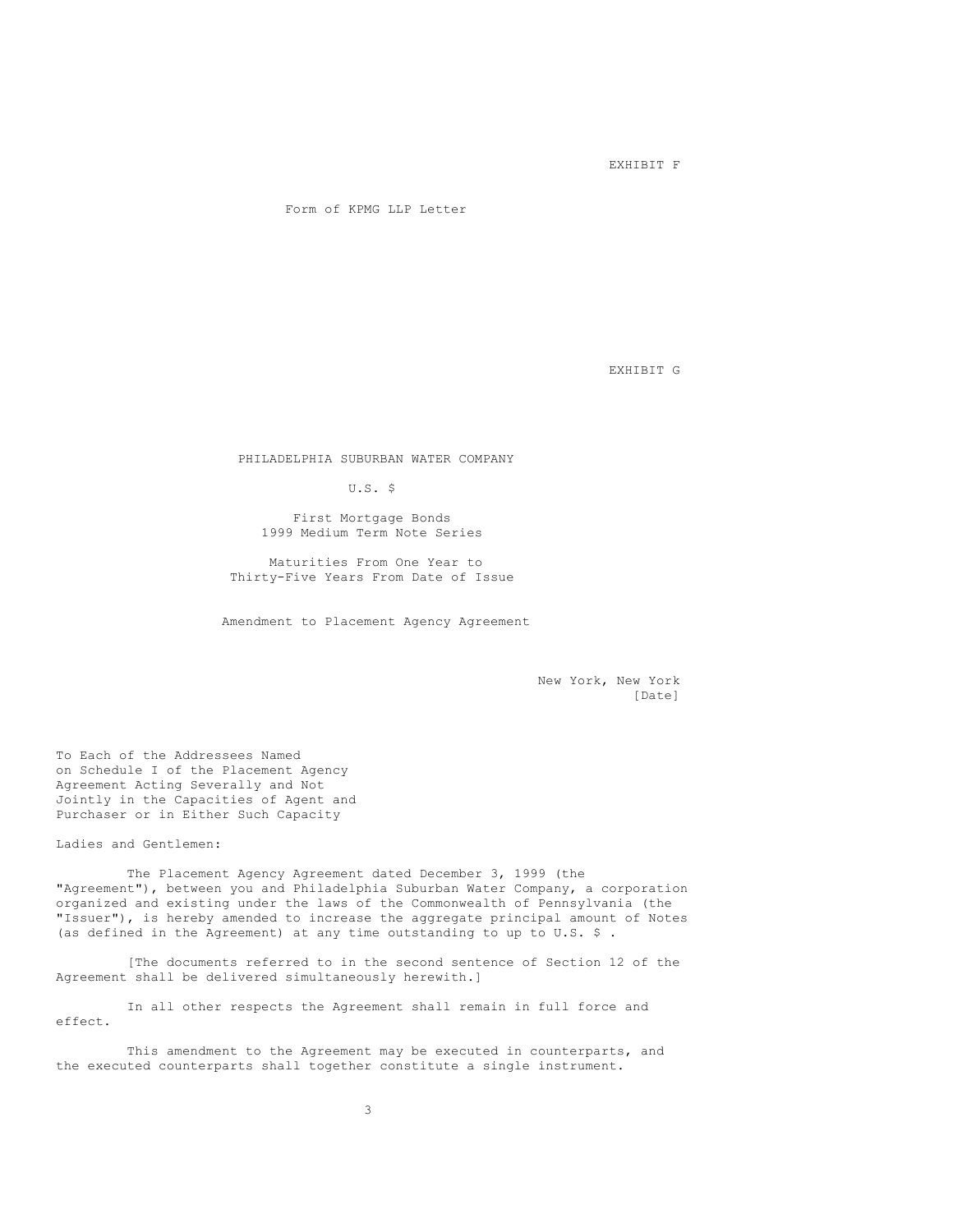EXHIBIT F

Form of KPMG LLP Letter

EXHIBIT G

#### PHILADELPHIA SUBURBAN WATER COMPANY

U.S. \$

First Mortgage Bonds 1999 Medium Term Note Series

Maturities From One Year to Thirty-Five Years From Date of Issue

Amendment to Placement Agency Agreement

New York, New York [Date]

To Each of the Addressees Named on Schedule I of the Placement Agency Agreement Acting Severally and Not Jointly in the Capacities of Agent and Purchaser or in Either Such Capacity

Ladies and Gentlemen:

The Placement Agency Agreement dated December 3, 1999 (the "Agreement"), between you and Philadelphia Suburban Water Company, a corporation organized and existing under the laws of the Commonwealth of Pennsylvania (the "Issuer"), is hereby amended to increase the aggregate principal amount of Notes (as defined in the Agreement) at any time outstanding to up to U.S. \$ .

[The documents referred to in the second sentence of Section 12 of the Agreement shall be delivered simultaneously herewith.]

In all other respects the Agreement shall remain in full force and effect.

This amendment to the Agreement may be executed in counterparts, and the executed counterparts shall together constitute a single instrument.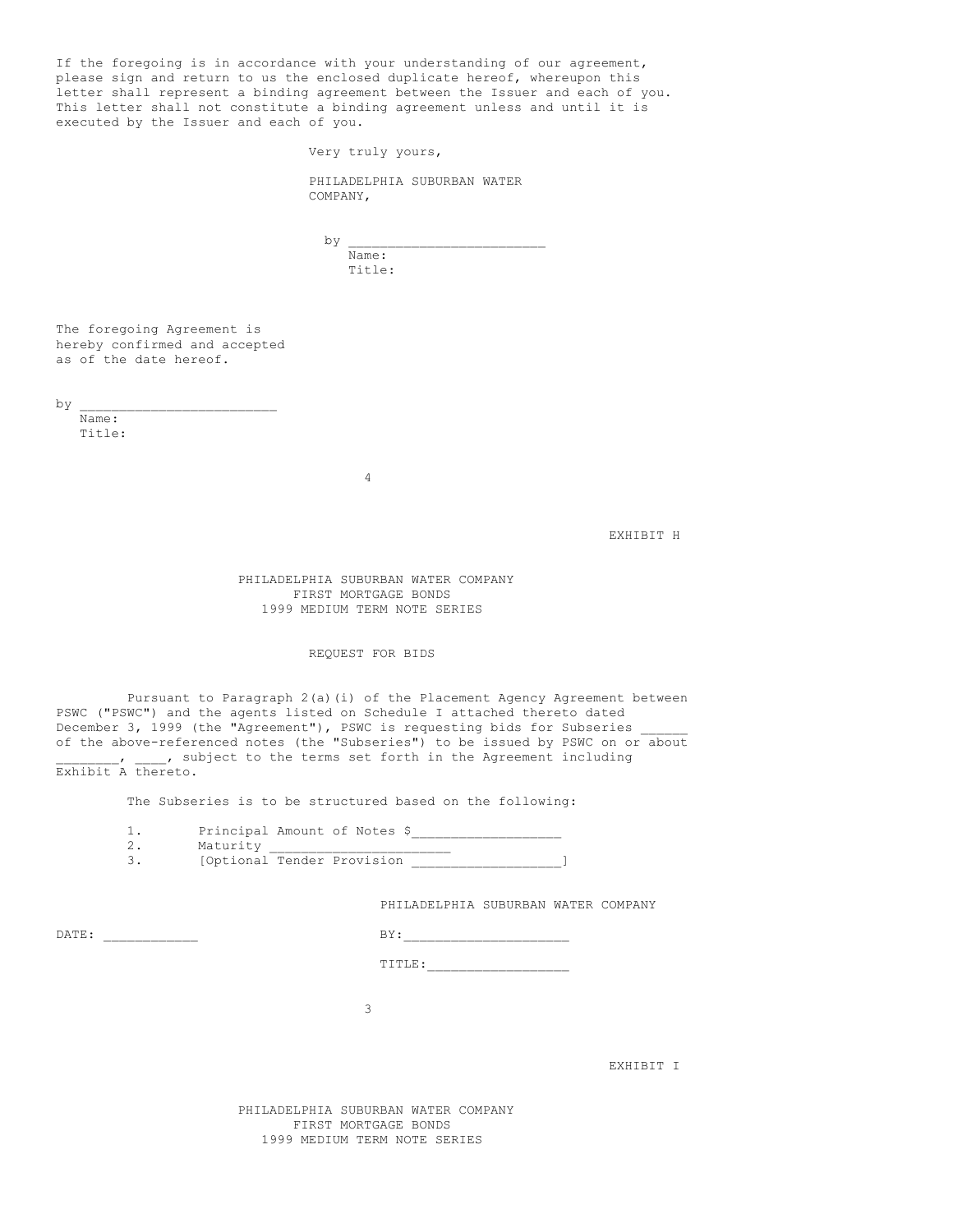If the foregoing is in accordance with your understanding of our agreement, please sign and return to us the enclosed duplicate hereof, whereupon this letter shall represent a binding agreement between the Issuer and each of you. This letter shall not constitute a binding agreement unless and until it is executed by the Issuer and each of you.

Very truly yours,

PHILADELPHIA SUBURBAN WATER COMPANY,

by \_\_\_\_\_\_\_\_\_\_\_\_\_\_\_\_\_\_\_\_\_\_\_\_\_ Name: Title:

The foregoing Agreement is hereby confirmed and accepted as of the date hereof.

 $by$ 

Name: Title:

4

EXHIBIT H

PHILADELPHIA SUBURBAN WATER COMPANY FIRST MORTGAGE BONDS 1999 MEDIUM TERM NOTE SERIES

#### REQUEST FOR BIDS

Pursuant to Paragraph 2(a)(i) of the Placement Agency Agreement between PSWC ("PSWC") and the agents listed on Schedule I attached thereto dated December 3, 1999 (the "Agreement"), PSWC is requesting bids for Subseries of the above-referenced notes (the "Subseries") to be issued by PSWC on or about \_\_\_\_\_\_\_\_, \_\_\_\_, subject to the terms set forth in the Agreement including Exhibit A thereto.

The Subseries is to be structured based on the following:

|                  | Principal Amount of Notes \$ |  |  |  |
|------------------|------------------------------|--|--|--|
| $\overline{2}$ . | Maturity                     |  |  |  |
|                  | [Optional Tender Provision   |  |  |  |

PHILADELPHIA SUBURBAN WATER COMPANY

DATE: \_\_\_\_\_\_\_\_\_\_\_\_ BY:\_\_\_\_\_\_\_\_\_\_\_\_\_\_\_\_\_\_\_\_\_

TITLE:\_\_\_\_\_\_\_\_\_\_\_\_\_\_\_\_\_\_

3

PHILADELPHIA SUBURBAN WATER COMPANY FIRST MORTGAGE BONDS 1999 MEDIUM TERM NOTE SERIES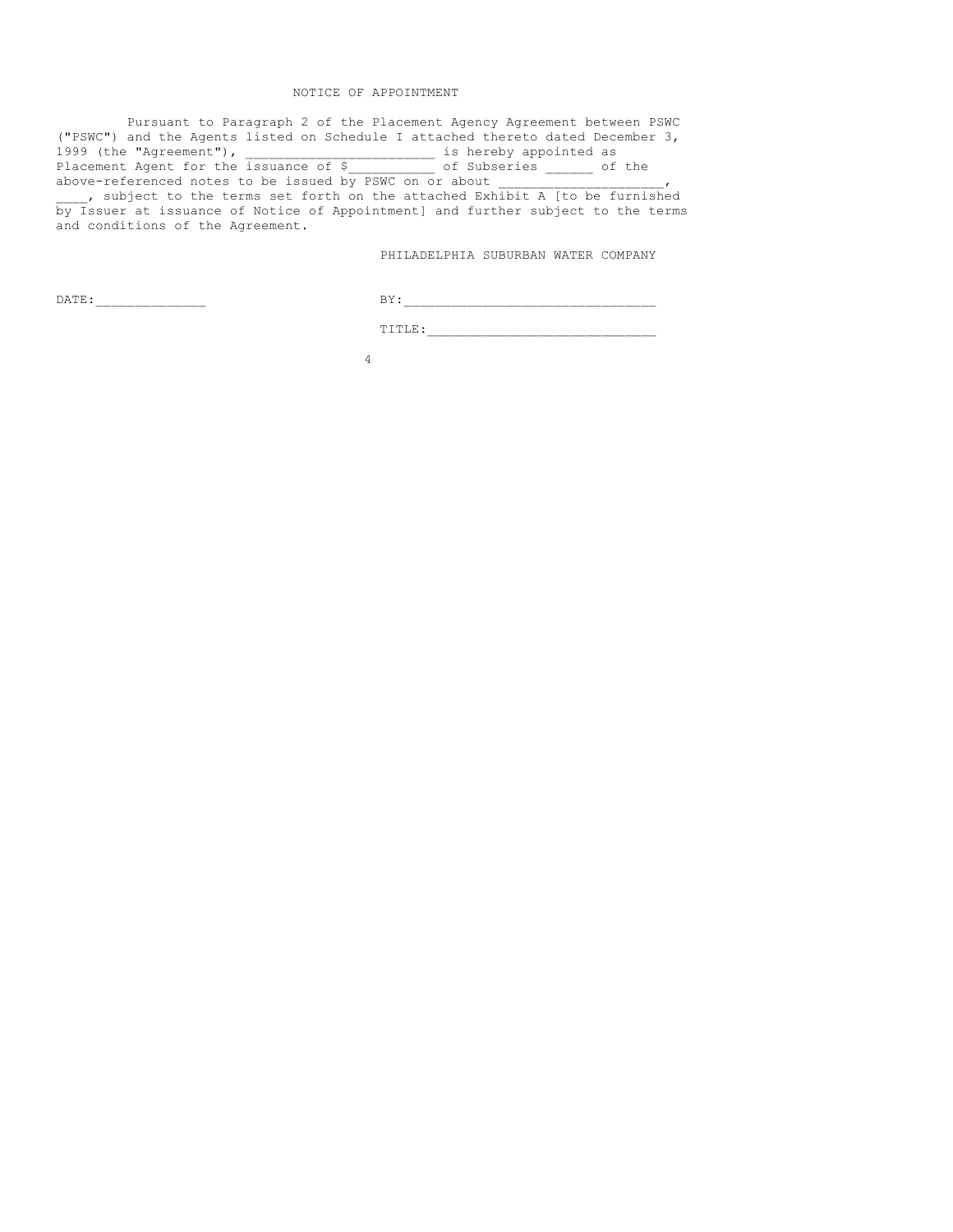## NOTICE OF APPOINTMENT

Pursuant to Paragraph 2 of the Placement Agency Agreement between PSWC ("PSWC") and the Agents listed on Schedule I attached thereto dated December 3, 1999 (the "Agreement"), the same set of the set of the set of the set of the set of the set of the set of the s Placement Agent for the issuance of \$\_\_\_\_\_\_\_\_\_\_\_ of Subseries \_\_\_\_\_\_ of the above-referenced notes to be issued by PSWC on or about  $\qquad \qquad$ , ove-referenced notes to be issued by PSWC on or about \_\_\_\_\_\_\_\_\_\_\_\_\_\_\_\_\_\_\_\_\_\_\_\_\_\_<br>\_\_, subject to the terms set forth on the attached Exhibit A [to be furnished by Issuer at issuance of Notice of Appointment] and further subject to the terms and conditions of the Agreement.

PHILADELPHIA SUBURBAN WATER COMPANY

DATE:\_\_\_\_\_\_\_\_\_\_\_\_\_\_ BY:\_\_\_\_\_\_\_\_\_\_\_\_\_\_\_\_\_\_\_\_\_\_\_\_\_\_\_\_\_\_\_\_

TITLE:\_\_\_\_\_\_\_\_\_\_\_\_\_\_\_\_\_\_\_\_\_\_\_\_\_\_\_\_\_

4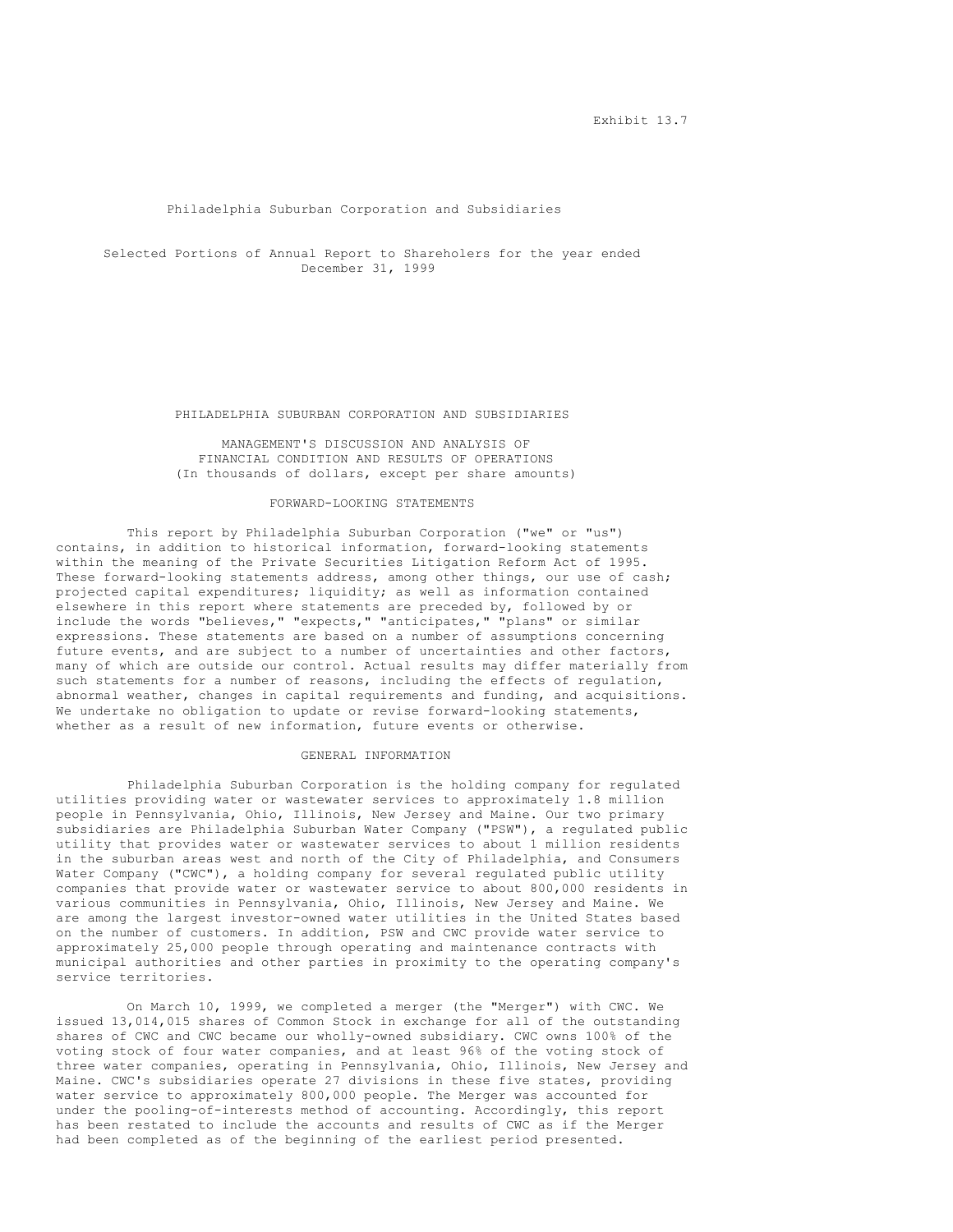#### Philadelphia Suburban Corporation and Subsidiaries

Selected Portions of Annual Report to Shareholers for the year ended December 31, 1999

PHILADELPHIA SUBURBAN CORPORATION AND SUBSIDIARIES

## MANAGEMENT'S DISCUSSION AND ANALYSIS OF FINANCIAL CONDITION AND RESULTS OF OPERATIONS (In thousands of dollars, except per share amounts)

### FORWARD-LOOKING STATEMENTS

This report by Philadelphia Suburban Corporation ("we" or "us") contains, in addition to historical information, forward-looking statements within the meaning of the Private Securities Litigation Reform Act of 1995. These forward-looking statements address, among other things, our use of cash; projected capital expenditures; liquidity; as well as information contained elsewhere in this report where statements are preceded by, followed by or include the words "believes," "expects," "anticipates," "plans" or similar expressions. These statements are based on a number of assumptions concerning future events, and are subject to a number of uncertainties and other factors, many of which are outside our control. Actual results may differ materially from such statements for a number of reasons, including the effects of regulation, abnormal weather, changes in capital requirements and funding, and acquisitions. We undertake no obligation to update or revise forward-looking statements, whether as a result of new information, future events or otherwise.

#### GENERAL INFORMATION

Philadelphia Suburban Corporation is the holding company for regulated utilities providing water or wastewater services to approximately 1.8 million people in Pennsylvania, Ohio, Illinois, New Jersey and Maine. Our two primary subsidiaries are Philadelphia Suburban Water Company ("PSW"), a regulated public utility that provides water or wastewater services to about 1 million residents in the suburban areas west and north of the City of Philadelphia, and Consumers Water Company ("CWC"), a holding company for several regulated public utility companies that provide water or wastewater service to about 800,000 residents in various communities in Pennsylvania, Ohio, Illinois, New Jersey and Maine. We are among the largest investor-owned water utilities in the United States based on the number of customers. In addition, PSW and CWC provide water service to approximately 25,000 people through operating and maintenance contracts with municipal authorities and other parties in proximity to the operating company's service territories.

On March 10, 1999, we completed a merger (the "Merger") with CWC. We issued 13,014,015 shares of Common Stock in exchange for all of the outstanding shares of CWC and CWC became our wholly-owned subsidiary. CWC owns 100% of the voting stock of four water companies, and at least 96% of the voting stock of three water companies, operating in Pennsylvania, Ohio, Illinois, New Jersey and Maine. CWC's subsidiaries operate 27 divisions in these five states, providing water service to approximately 800,000 people. The Merger was accounted for under the pooling-of-interests method of accounting. Accordingly, this report has been restated to include the accounts and results of CWC as if the Merger had been completed as of the beginning of the earliest period presented.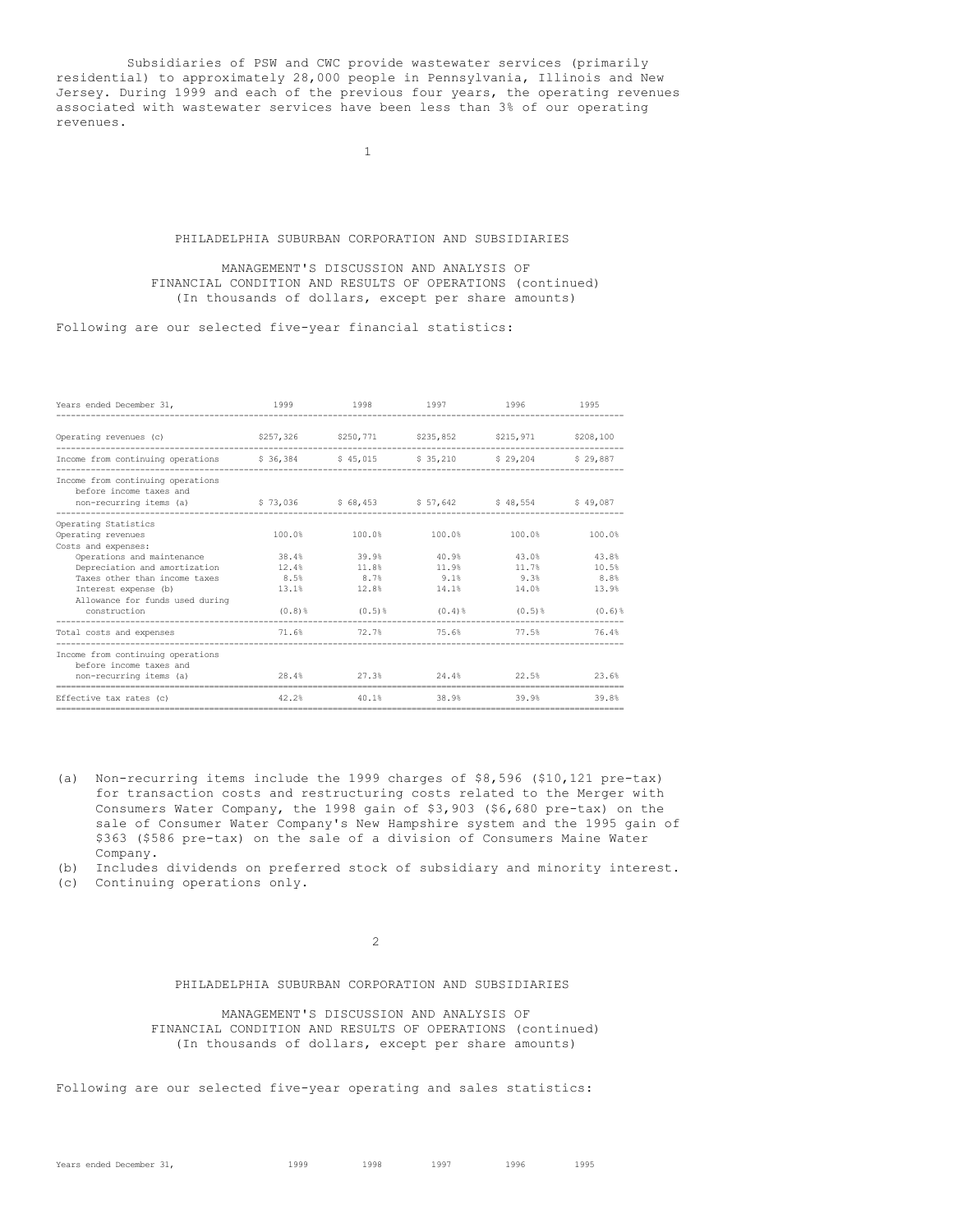Subsidiaries of PSW and CWC provide wastewater services (primarily residential) to approximately 28,000 people in Pennsylvania, Illinois and New Jersey. During 1999 and each of the previous four years, the operating revenues associated with wastewater services have been less than 3% of our operating revenues.

1

## PHILADELPHIA SUBURBAN CORPORATION AND SUBSIDIARIES

# MANAGEMENT'S DISCUSSION AND ANALYSIS OF FINANCIAL CONDITION AND RESULTS OF OPERATIONS (continued) (In thousands of dollars, except per share amounts)

Following are our selected five-year financial statistics:

| Years ended December 31,                                                                | 1999   | 1998  | 1997            | 1996                                              | 1995        |
|-----------------------------------------------------------------------------------------|--------|-------|-----------------|---------------------------------------------------|-------------|
| Operating revenues (c)                                                                  |        |       |                 | \$257,326 \$250,771 \$235,852 \$215,971 \$208,100 |             |
| Throme from continuing operations 5 36,384 5 45,015 5 35,210 5 29,204 5 29,887          |        |       |                 |                                                   |             |
| Income from continuing operations<br>before income taxes and<br>non-recurring items (a) |        |       |                 | \$73,036 \$68,453 \$57,642 \$48,554 \$49,087      |             |
| Operating Statistics                                                                    |        |       |                 |                                                   |             |
| Operating revenues                                                                      | 100.0% |       |                 | $100.0%$ $100.0%$ $100.0%$                        | 100.0%      |
| Costs and expenses:                                                                     |        |       |                 |                                                   |             |
| Operations and maintenance                                                              | 38.4%  | 39.9% | 40.9%           | 43.0%                                             | 43.8%       |
| Depreciation and amortization                                                           | 12.4%  | 11.8% | 11.9%           | 11.7%                                             | 10.5%       |
| Taxes other than income taxes                                                           | 8.5%   | 8.7%  | 9.1%            | 9.3%                                              | 8.8%        |
| Interest expense (b)                                                                    | 13.1%  | 12.8% | 14.1%           | 14.0%                                             | 13.9%       |
| Allowance for funds used during<br>construction                                         |        |       |                 | $(0.8)$ $(0.5)$ $(0.5)$ $(0.4)$ $(0.6)$ $(0.6)$   |             |
| Total costs and expenses                                                                | 71.6%  |       | $72.7%$ $75.6%$ |                                                   | 77.5% 76.4% |
| Income from continuing operations<br>before income taxes and<br>non-recurring items (a) |        |       |                 | $28.4\%$ 27.3 24.4 24.4 22.5 23.6 23.6            |             |
| Effective tax rates (c)                                                                 | 42.2%  | 40.1% | 38.9%           | 39.9%                                             | 39.8%       |

(a) Non-recurring items include the 1999 charges of \$8,596 (\$10,121 pre-tax) for transaction costs and restructuring costs related to the Merger with Consumers Water Company, the 1998 gain of \$3,903 (\$6,680 pre-tax) on the sale of Consumer Water Company's New Hampshire system and the 1995 gain of \$363 (\$586 pre-tax) on the sale of a division of Consumers Maine Water Company.

(b) Includes dividends on preferred stock of subsidiary and minority interest.

(c) Continuing operations only.

2

# PHILADELPHIA SUBURBAN CORPORATION AND SUBSIDIARIES

MANAGEMENT'S DISCUSSION AND ANALYSIS OF FINANCIAL CONDITION AND RESULTS OF OPERATIONS (continued) (In thousands of dollars, except per share amounts)

Following are our selected five-year operating and sales statistics:

Years ended December 31, 1999 1998 1997 1996 1995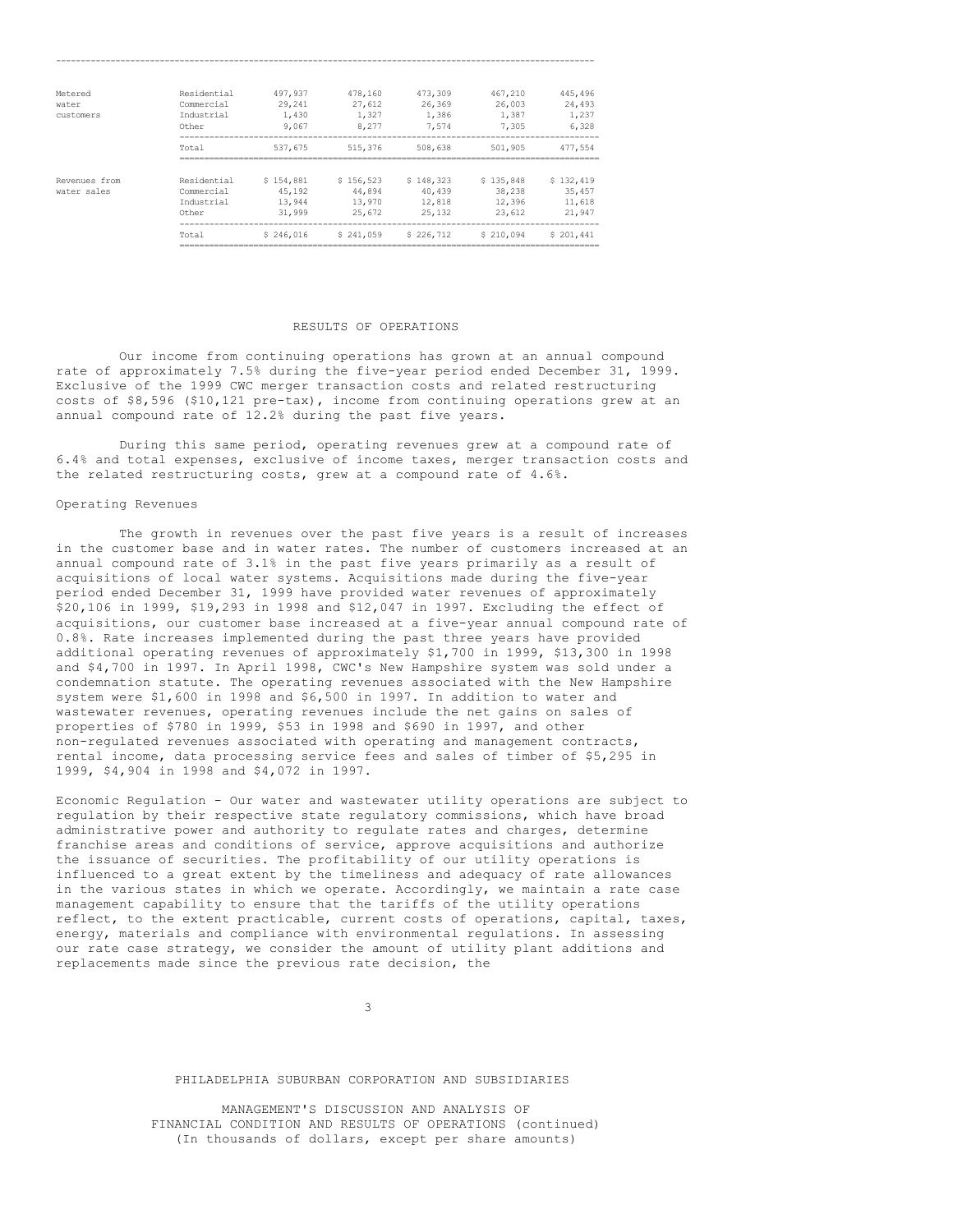| Metered       | Residential         | 497.937        | 478,160        | 473,309        | 467,210        | 445,496        |
|---------------|---------------------|----------------|----------------|----------------|----------------|----------------|
| water         | Commercial          | 29,241         | 27.612         | 26,369         | 26,003         | 24,493         |
| customers     | Industrial<br>Other | 1,430<br>9,067 | 1,327<br>8,277 | 1,386<br>7.574 | 1,387<br>7,305 | 1,237<br>6,328 |
|               | Total               | 537,675        | 515,376        | 508,638        | 501,905        | 477.554        |
| Revenues from | Residential         | \$154.881      | \$156,523      | \$148,323      | \$135,848      | \$132.419      |
| water sales   | Commercial          | 45,192         | 44,894         | 40,439         | 38,238         | 35,457         |
|               | Industrial          | 13,944         | 13,970         | 12,818         | 12,396         | 11,618         |
|               | Other               | 31,999         | 25,672         | 25,132         | 23,612         | 21,947         |
|               | Total               | \$246.016      | \$241.059      | \$226,712      | \$210,094      | \$201.441      |
|               |                     |                |                |                |                |                |

# RESULTS OF OPERATIONS

Our income from continuing operations has grown at an annual compound rate of approximately 7.5% during the five-year period ended December 31, 1999. Exclusive of the 1999 CWC merger transaction costs and related restructuring costs of \$8,596 (\$10,121 pre-tax), income from continuing operations grew at an annual compound rate of 12.2% during the past five years.

During this same period, operating revenues grew at a compound rate of 6.4% and total expenses, exclusive of income taxes, merger transaction costs and the related restructuring costs, grew at a compound rate of 4.6%.

#### Operating Revenues

The growth in revenues over the past five years is a result of increases in the customer base and in water rates. The number of customers increased at an annual compound rate of 3.1% in the past five years primarily as a result of acquisitions of local water systems. Acquisitions made during the five-year period ended December 31, 1999 have provided water revenues of approximately \$20,106 in 1999, \$19,293 in 1998 and \$12,047 in 1997. Excluding the effect of acquisitions, our customer base increased at a five-year annual compound rate of 0.8%. Rate increases implemented during the past three years have provided additional operating revenues of approximately \$1,700 in 1999, \$13,300 in 1998 and \$4,700 in 1997. In April 1998, CWC's New Hampshire system was sold under a condemnation statute. The operating revenues associated with the New Hampshire system were \$1,600 in 1998 and \$6,500 in 1997. In addition to water and wastewater revenues, operating revenues include the net gains on sales of properties of \$780 in 1999, \$53 in 1998 and \$690 in 1997, and other non-regulated revenues associated with operating and management contracts, rental income, data processing service fees and sales of timber of \$5,295 in 1999, \$4,904 in 1998 and \$4,072 in 1997.

Economic Regulation - Our water and wastewater utility operations are subject to regulation by their respective state regulatory commissions, which have broad administrative power and authority to regulate rates and charges, determine franchise areas and conditions of service, approve acquisitions and authorize the issuance of securities. The profitability of our utility operations is influenced to a great extent by the timeliness and adequacy of rate allowances in the various states in which we operate. Accordingly, we maintain a rate case management capability to ensure that the tariffs of the utility operations reflect, to the extent practicable, current costs of operations, capital, taxes, energy, materials and compliance with environmental regulations. In assessing our rate case strategy, we consider the amount of utility plant additions and replacements made since the previous rate decision, the

3

### PHILADELPHIA SUBURBAN CORPORATION AND SUBSIDIARIES

MANAGEMENT'S DISCUSSION AND ANALYSIS OF FINANCIAL CONDITION AND RESULTS OF OPERATIONS (continued) (In thousands of dollars, except per share amounts)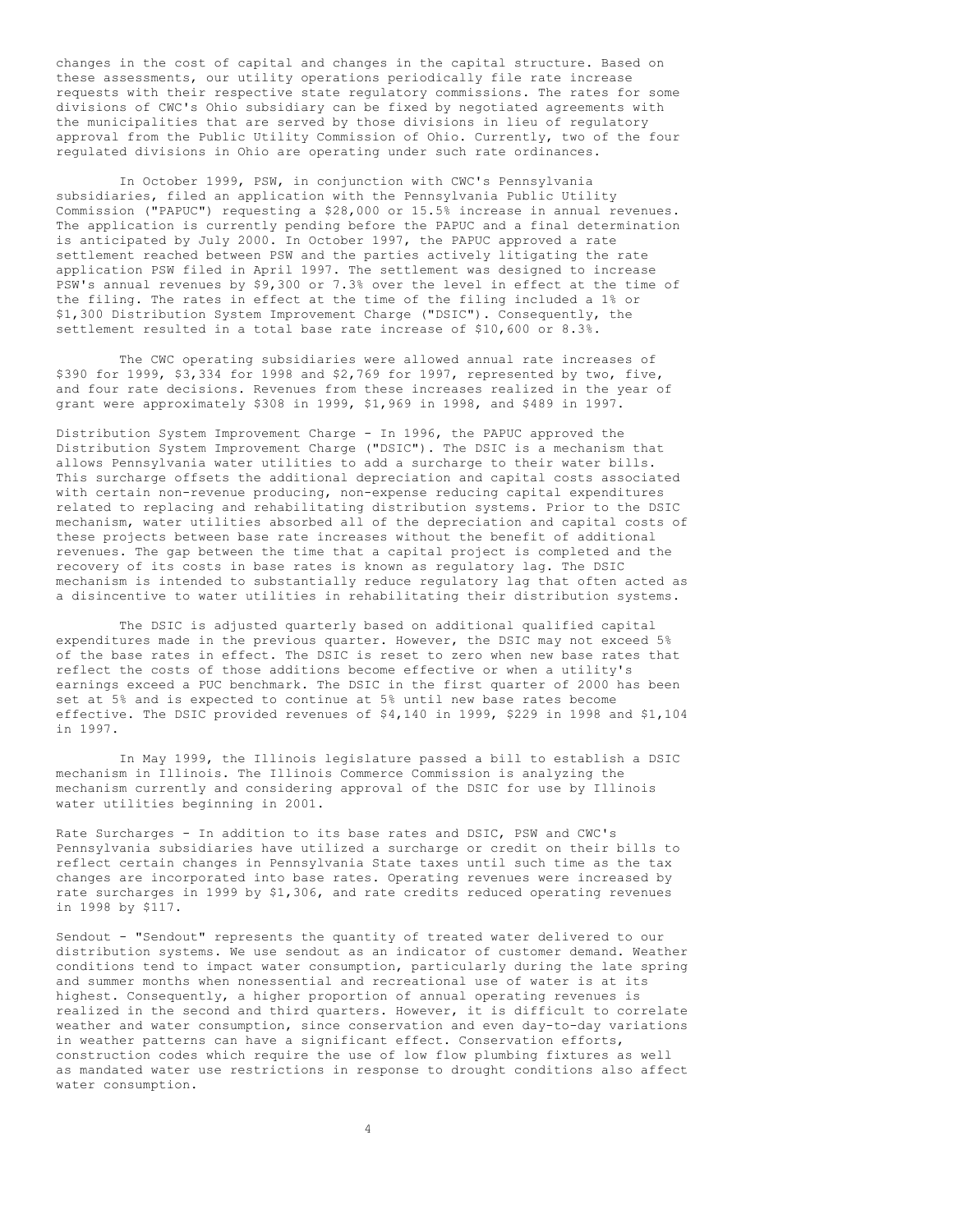changes in the cost of capital and changes in the capital structure. Based on these assessments, our utility operations periodically file rate increase requests with their respective state regulatory commissions. The rates for some divisions of CWC's Ohio subsidiary can be fixed by negotiated agreements with the municipalities that are served by those divisions in lieu of regulatory approval from the Public Utility Commission of Ohio. Currently, two of the four regulated divisions in Ohio are operating under such rate ordinances.

In October 1999, PSW, in conjunction with CWC's Pennsylvania subsidiaries, filed an application with the Pennsylvania Public Utility Commission ("PAPUC") requesting a \$28,000 or 15.5% increase in annual revenues. The application is currently pending before the PAPUC and a final determination is anticipated by July 2000. In October 1997, the PAPUC approved a rate settlement reached between PSW and the parties actively litigating the rate application PSW filed in April 1997. The settlement was designed to increase PSW's annual revenues by \$9,300 or 7.3% over the level in effect at the time of the filing. The rates in effect at the time of the filing included a 1% or \$1,300 Distribution System Improvement Charge ("DSIC"). Consequently, the settlement resulted in a total base rate increase of \$10,600 or 8.3%.

The CWC operating subsidiaries were allowed annual rate increases of \$390 for 1999, \$3,334 for 1998 and \$2,769 for 1997, represented by two, five, and four rate decisions. Revenues from these increases realized in the year of grant were approximately \$308 in 1999, \$1,969 in 1998, and \$489 in 1997.

Distribution System Improvement Charge - In 1996, the PAPUC approved the Distribution System Improvement Charge ("DSIC"). The DSIC is a mechanism that allows Pennsylvania water utilities to add a surcharge to their water bills. This surcharge offsets the additional depreciation and capital costs associated with certain non-revenue producing, non-expense reducing capital expenditures related to replacing and rehabilitating distribution systems. Prior to the DSIC mechanism, water utilities absorbed all of the depreciation and capital costs of these projects between base rate increases without the benefit of additional revenues. The gap between the time that a capital project is completed and the recovery of its costs in base rates is known as regulatory lag. The DSIC mechanism is intended to substantially reduce regulatory lag that often acted as a disincentive to water utilities in rehabilitating their distribution systems.

The DSIC is adjusted quarterly based on additional qualified capital expenditures made in the previous quarter. However, the DSIC may not exceed 5% of the base rates in effect. The DSIC is reset to zero when new base rates that reflect the costs of those additions become effective or when a utility's earnings exceed a PUC benchmark. The DSIC in the first quarter of 2000 has been set at 5% and is expected to continue at 5% until new base rates become effective. The DSIC provided revenues of \$4,140 in 1999, \$229 in 1998 and \$1,104 in 1997.

In May 1999, the Illinois legislature passed a bill to establish a DSIC mechanism in Illinois. The Illinois Commerce Commission is analyzing the mechanism currently and considering approval of the DSIC for use by Illinois water utilities beginning in 2001.

Rate Surcharges - In addition to its base rates and DSIC, PSW and CWC's Pennsylvania subsidiaries have utilized a surcharge or credit on their bills to reflect certain changes in Pennsylvania State taxes until such time as the tax changes are incorporated into base rates. Operating revenues were increased by rate surcharges in 1999 by \$1,306, and rate credits reduced operating revenues in 1998 by \$117.

Sendout - "Sendout" represents the quantity of treated water delivered to our distribution systems. We use sendout as an indicator of customer demand. Weather conditions tend to impact water consumption, particularly during the late spring and summer months when nonessential and recreational use of water is at its highest. Consequently, a higher proportion of annual operating revenues is realized in the second and third quarters. However, it is difficult to correlate weather and water consumption, since conservation and even day-to-day variations in weather patterns can have a significant effect. Conservation efforts, construction codes which require the use of low flow plumbing fixtures as well as mandated water use restrictions in response to drought conditions also affect water consumption.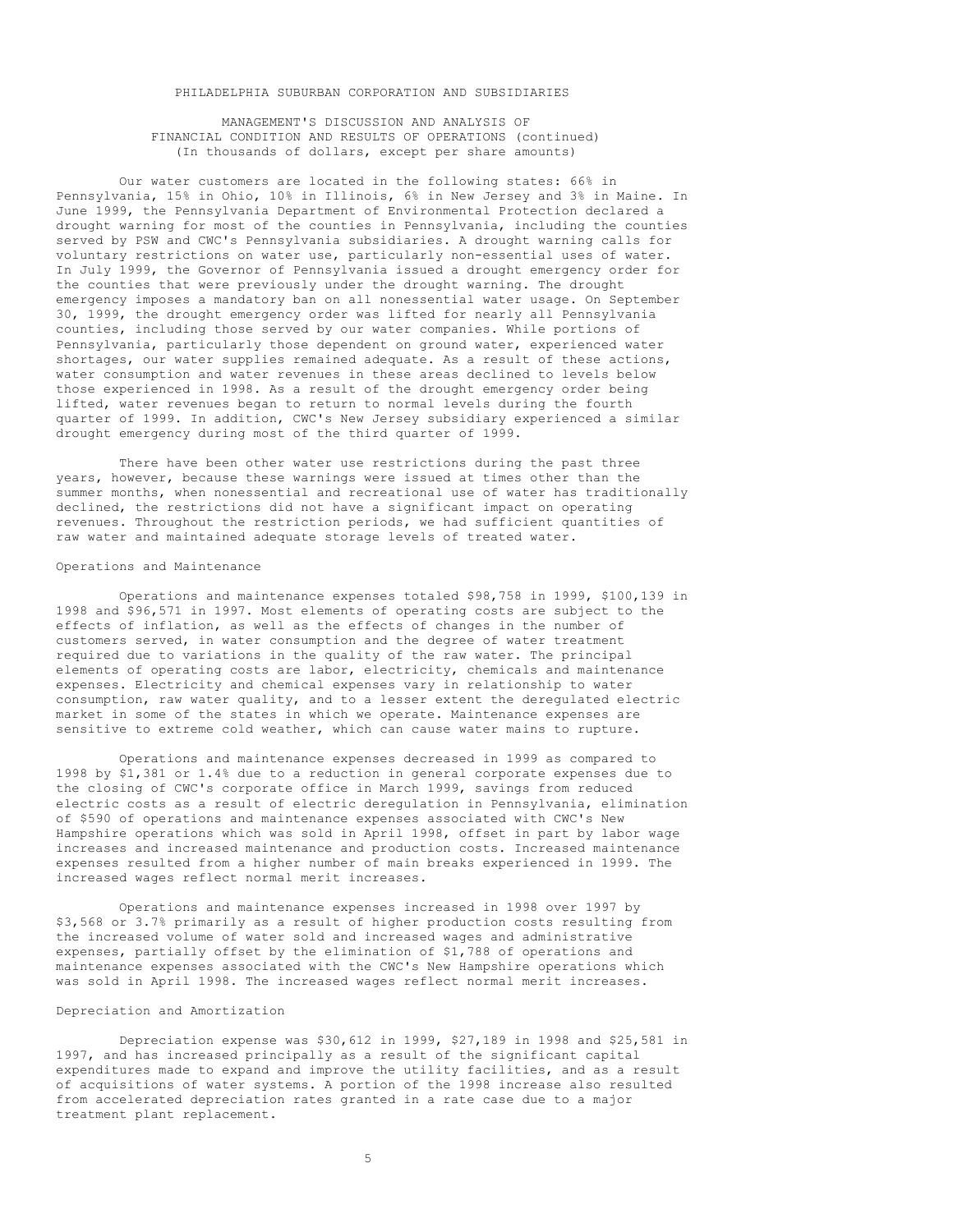# PHILADELPHIA SUBURBAN CORPORATION AND SUBSIDIARIES

MANAGEMENT'S DISCUSSION AND ANALYSIS OF FINANCIAL CONDITION AND RESULTS OF OPERATIONS (continued) (In thousands of dollars, except per share amounts)

Our water customers are located in the following states: 66% in Pennsylvania, 15% in Ohio, 10% in Illinois, 6% in New Jersey and 3% in Maine. In June 1999, the Pennsylvania Department of Environmental Protection declared a drought warning for most of the counties in Pennsylvania, including the counties served by PSW and CWC's Pennsylvania subsidiaries. A drought warning calls for voluntary restrictions on water use, particularly non-essential uses of water. In July 1999, the Governor of Pennsylvania issued a drought emergency order for the counties that were previously under the drought warning. The drought emergency imposes a mandatory ban on all nonessential water usage. On September 30, 1999, the drought emergency order was lifted for nearly all Pennsylvania counties, including those served by our water companies. While portions of Pennsylvania, particularly those dependent on ground water, experienced water shortages, our water supplies remained adequate. As a result of these actions, water consumption and water revenues in these areas declined to levels below those experienced in 1998. As a result of the drought emergency order being lifted, water revenues began to return to normal levels during the fourth quarter of 1999. In addition, CWC's New Jersey subsidiary experienced a similar drought emergency during most of the third quarter of 1999.

There have been other water use restrictions during the past three years, however, because these warnings were issued at times other than the summer months, when nonessential and recreational use of water has traditionally declined, the restrictions did not have a significant impact on operating revenues. Throughout the restriction periods, we had sufficient quantities of raw water and maintained adequate storage levels of treated water.

### Operations and Maintenance

Operations and maintenance expenses totaled \$98,758 in 1999, \$100,139 in 1998 and \$96,571 in 1997. Most elements of operating costs are subject to the effects of inflation, as well as the effects of changes in the number of customers served, in water consumption and the degree of water treatment required due to variations in the quality of the raw water. The principal elements of operating costs are labor, electricity, chemicals and maintenance expenses. Electricity and chemical expenses vary in relationship to water consumption, raw water quality, and to a lesser extent the deregulated electric market in some of the states in which we operate. Maintenance expenses are sensitive to extreme cold weather, which can cause water mains to rupture.

Operations and maintenance expenses decreased in 1999 as compared to 1998 by \$1,381 or 1.4% due to a reduction in general corporate expenses due to the closing of CWC's corporate office in March 1999, savings from reduced electric costs as a result of electric deregulation in Pennsylvania, elimination of \$590 of operations and maintenance expenses associated with CWC's New Hampshire operations which was sold in April 1998, offset in part by labor wage increases and increased maintenance and production costs. Increased maintenance expenses resulted from a higher number of main breaks experienced in 1999. The increased wages reflect normal merit increases.

Operations and maintenance expenses increased in 1998 over 1997 by \$3,568 or 3.7% primarily as a result of higher production costs resulting from the increased volume of water sold and increased wages and administrative expenses, partially offset by the elimination of \$1,788 of operations and maintenance expenses associated with the CWC's New Hampshire operations which was sold in April 1998. The increased wages reflect normal merit increases.

# Depreciation and Amortization

Depreciation expense was \$30,612 in 1999, \$27,189 in 1998 and \$25,581 in 1997, and has increased principally as a result of the significant capital expenditures made to expand and improve the utility facilities, and as a result of acquisitions of water systems. A portion of the 1998 increase also resulted from accelerated depreciation rates granted in a rate case due to a major treatment plant replacement.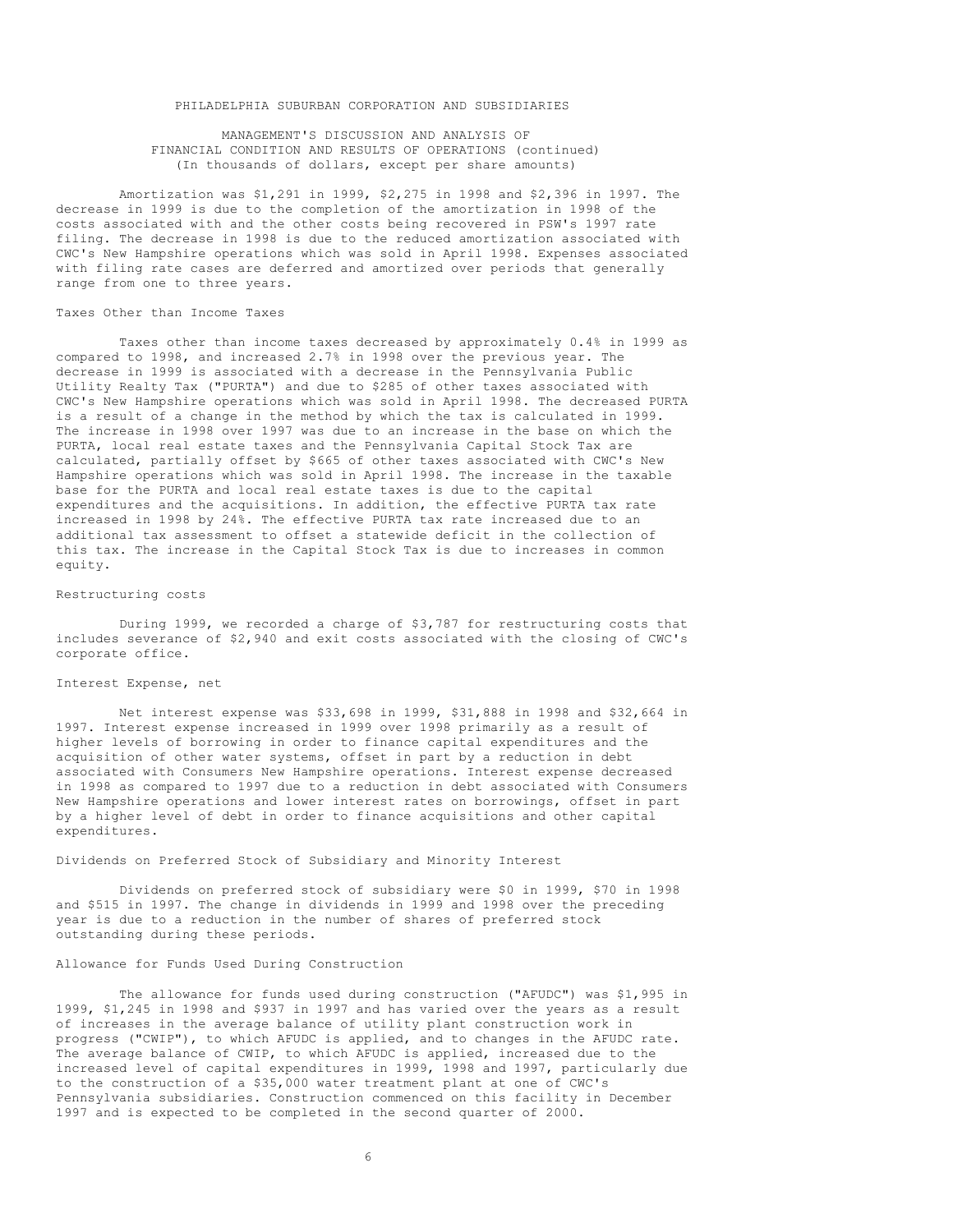#### PHILADELPHIA SUBURBAN CORPORATION AND SUBSIDIARIES

## MANAGEMENT'S DISCUSSION AND ANALYSIS OF FINANCIAL CONDITION AND RESULTS OF OPERATIONS (continued) (In thousands of dollars, except per share amounts)

Amortization was \$1,291 in 1999, \$2,275 in 1998 and \$2,396 in 1997. The decrease in 1999 is due to the completion of the amortization in 1998 of the costs associated with and the other costs being recovered in PSW's 1997 rate filing. The decrease in 1998 is due to the reduced amortization associated with CWC's New Hampshire operations which was sold in April 1998. Expenses associated with filing rate cases are deferred and amortized over periods that generally range from one to three years.

#### Taxes Other than Income Taxes

Taxes other than income taxes decreased by approximately 0.4% in 1999 as compared to 1998, and increased 2.7% in 1998 over the previous year. The decrease in 1999 is associated with a decrease in the Pennsylvania Public Utility Realty Tax ("PURTA") and due to \$285 of other taxes associated with CWC's New Hampshire operations which was sold in April 1998. The decreased PURTA is a result of a change in the method by which the tax is calculated in 1999. The increase in 1998 over 1997 was due to an increase in the base on which the PURTA, local real estate taxes and the Pennsylvania Capital Stock Tax are calculated, partially offset by \$665 of other taxes associated with CWC's New Hampshire operations which was sold in April 1998. The increase in the taxable base for the PURTA and local real estate taxes is due to the capital expenditures and the acquisitions. In addition, the effective PURTA tax rate increased in 1998 by 24%. The effective PURTA tax rate increased due to an additional tax assessment to offset a statewide deficit in the collection of this tax. The increase in the Capital Stock Tax is due to increases in common equity.

#### Restructuring costs

During 1999, we recorded a charge of \$3,787 for restructuring costs that includes severance of \$2,940 and exit costs associated with the closing of CWC's corporate office.

## Interest Expense, net

Net interest expense was \$33,698 in 1999, \$31,888 in 1998 and \$32,664 in 1997. Interest expense increased in 1999 over 1998 primarily as a result of higher levels of borrowing in order to finance capital expenditures and the acquisition of other water systems, offset in part by a reduction in debt associated with Consumers New Hampshire operations. Interest expense decreased in 1998 as compared to 1997 due to a reduction in debt associated with Consumers New Hampshire operations and lower interest rates on borrowings, offset in part by a higher level of debt in order to finance acquisitions and other capital expenditures.

#### Dividends on Preferred Stock of Subsidiary and Minority Interest

Dividends on preferred stock of subsidiary were \$0 in 1999, \$70 in 1998 and \$515 in 1997. The change in dividends in 1999 and 1998 over the preceding year is due to a reduction in the number of shares of preferred stock outstanding during these periods.

### Allowance for Funds Used During Construction

The allowance for funds used during construction ("AFUDC") was \$1,995 in 1999, \$1,245 in 1998 and \$937 in 1997 and has varied over the years as a result of increases in the average balance of utility plant construction work in progress ("CWIP"), to which AFUDC is applied, and to changes in the AFUDC rate. The average balance of CWIP, to which AFUDC is applied, increased due to the increased level of capital expenditures in 1999, 1998 and 1997, particularly due to the construction of a \$35,000 water treatment plant at one of CWC's Pennsylvania subsidiaries. Construction commenced on this facility in December 1997 and is expected to be completed in the second quarter of 2000.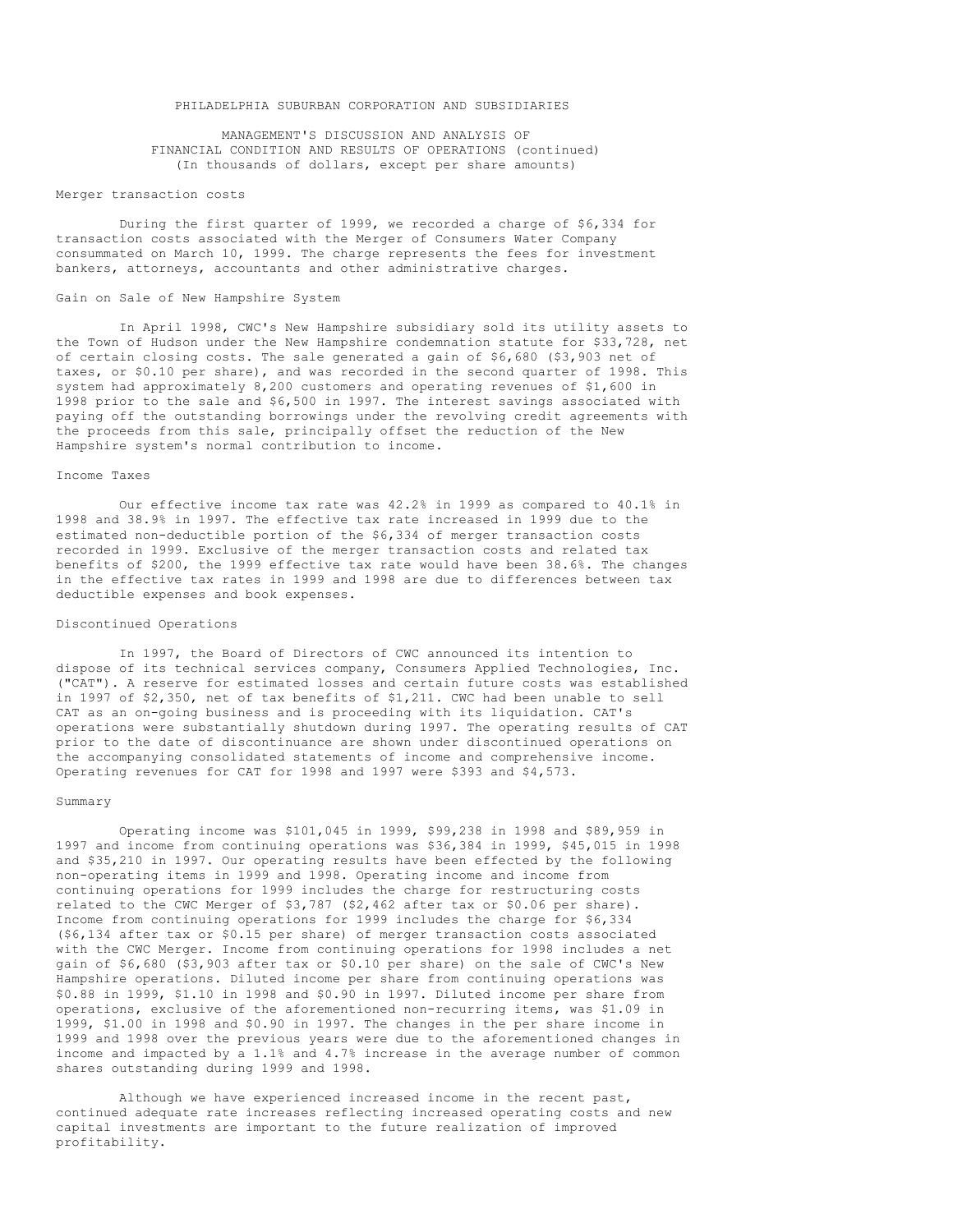#### PHILADELPHIA SUBURBAN CORPORATION AND SUBSIDIARIES

MANAGEMENT'S DISCUSSION AND ANALYSIS OF FINANCIAL CONDITION AND RESULTS OF OPERATIONS (continued) (In thousands of dollars, except per share amounts)

#### Merger transaction costs

During the first quarter of 1999, we recorded a charge of \$6,334 for transaction costs associated with the Merger of Consumers Water Company consummated on March 10, 1999. The charge represents the fees for investment bankers, attorneys, accountants and other administrative charges.

### Gain on Sale of New Hampshire System

In April 1998, CWC's New Hampshire subsidiary sold its utility assets to the Town of Hudson under the New Hampshire condemnation statute for \$33,728, net of certain closing costs. The sale generated a gain of \$6,680 (\$3,903 net of taxes, or \$0.10 per share), and was recorded in the second quarter of 1998. This system had approximately 8,200 customers and operating revenues of \$1,600 in 1998 prior to the sale and \$6,500 in 1997. The interest savings associated with paying off the outstanding borrowings under the revolving credit agreements with the proceeds from this sale, principally offset the reduction of the New Hampshire system's normal contribution to income.

#### Income Taxes

Our effective income tax rate was 42.2% in 1999 as compared to 40.1% in 1998 and 38.9% in 1997. The effective tax rate increased in 1999 due to the estimated non-deductible portion of the \$6,334 of merger transaction costs recorded in 1999. Exclusive of the merger transaction costs and related tax benefits of \$200, the 1999 effective tax rate would have been 38.6%. The changes in the effective tax rates in 1999 and 1998 are due to differences between tax deductible expenses and book expenses.

#### Discontinued Operations

In 1997, the Board of Directors of CWC announced its intention to dispose of its technical services company, Consumers Applied Technologies, Inc. ("CAT"). A reserve for estimated losses and certain future costs was established in 1997 of \$2,350, net of tax benefits of \$1,211. CWC had been unable to sell CAT as an on-going business and is proceeding with its liquidation. CAT's operations were substantially shutdown during 1997. The operating results of CAT prior to the date of discontinuance are shown under discontinued operations on the accompanying consolidated statements of income and comprehensive income. Operating revenues for CAT for 1998 and 1997 were \$393 and \$4,573.

#### Summary

Operating income was \$101,045 in 1999, \$99,238 in 1998 and \$89,959 in 1997 and income from continuing operations was \$36,384 in 1999, \$45,015 in 1998 and \$35,210 in 1997. Our operating results have been effected by the following non-operating items in 1999 and 1998. Operating income and income from continuing operations for 1999 includes the charge for restructuring costs related to the CWC Merger of \$3,787 (\$2,462 after tax or \$0.06 per share). Income from continuing operations for 1999 includes the charge for \$6,334 (\$6,134 after tax or \$0.15 per share) of merger transaction costs associated with the CWC Merger. Income from continuing operations for 1998 includes a net gain of \$6,680 (\$3,903 after tax or \$0.10 per share) on the sale of CWC's New Hampshire operations. Diluted income per share from continuing operations was \$0.88 in 1999, \$1.10 in 1998 and \$0.90 in 1997. Diluted income per share from operations, exclusive of the aforementioned non-recurring items, was \$1.09 in 1999, \$1.00 in 1998 and \$0.90 in 1997. The changes in the per share income in 1999 and 1998 over the previous years were due to the aforementioned changes in income and impacted by a 1.1% and 4.7% increase in the average number of common shares outstanding during 1999 and 1998.

Although we have experienced increased income in the recent past, continued adequate rate increases reflecting increased operating costs and new capital investments are important to the future realization of improved profitability.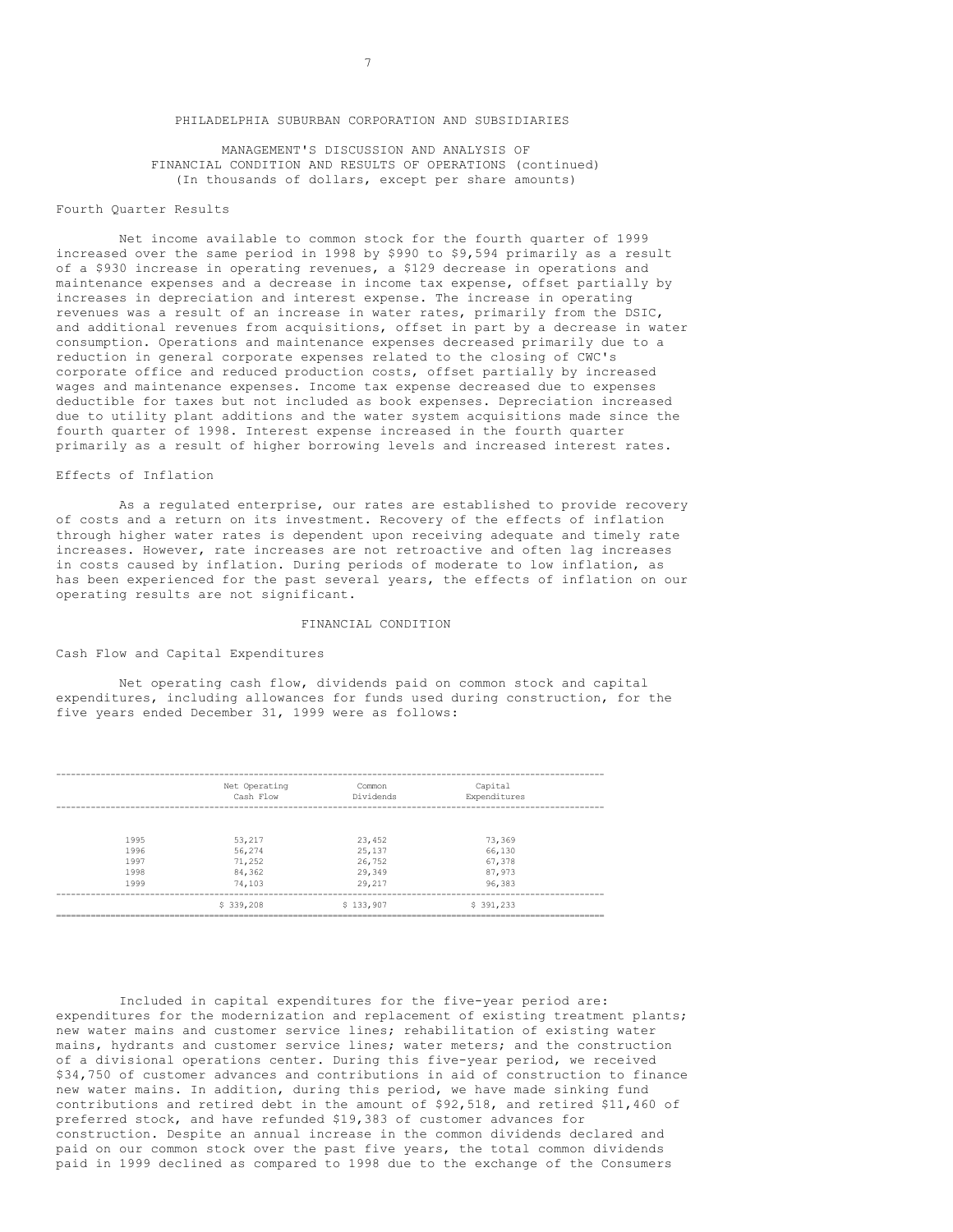## PHILADELPHIA SUBURBAN CORPORATION AND SUBSIDIARIES

MANAGEMENT'S DISCUSSION AND ANALYSIS OF FINANCIAL CONDITION AND RESULTS OF OPERATIONS (continued) (In thousands of dollars, except per share amounts)

### Fourth Quarter Results

Net income available to common stock for the fourth quarter of 1999 increased over the same period in 1998 by \$990 to \$9,594 primarily as a result of a \$930 increase in operating revenues, a \$129 decrease in operations and maintenance expenses and a decrease in income tax expense, offset partially by increases in depreciation and interest expense. The increase in operating revenues was a result of an increase in water rates, primarily from the DSIC, and additional revenues from acquisitions, offset in part by a decrease in water consumption. Operations and maintenance expenses decreased primarily due to a reduction in general corporate expenses related to the closing of CWC's corporate office and reduced production costs, offset partially by increased wages and maintenance expenses. Income tax expense decreased due to expenses deductible for taxes but not included as book expenses. Depreciation increased due to utility plant additions and the water system acquisitions made since the fourth quarter of 1998. Interest expense increased in the fourth quarter primarily as a result of higher borrowing levels and increased interest rates.

#### Effects of Inflation

As a regulated enterprise, our rates are established to provide recovery of costs and a return on its investment. Recovery of the effects of inflation through higher water rates is dependent upon receiving adequate and timely rate increases. However, rate increases are not retroactive and often lag increases in costs caused by inflation. During periods of moderate to low inflation, as has been experienced for the past several years, the effects of inflation on our operating results are not significant.

### FINANCIAL CONDITION

Cash Flow and Capital Expenditures

Net operating cash flow, dividends paid on common stock and capital expenditures, including allowances for funds used during construction, for the five years ended December 31, 1999 were as follows:

|                                      | Net Operating<br>Cash Flow                     | Common<br>Dividends                            | Capital<br>Expenditures                        |  |
|--------------------------------------|------------------------------------------------|------------------------------------------------|------------------------------------------------|--|
| 1995<br>1996<br>1997<br>1998<br>1999 | 53,217<br>56,274<br>71,252<br>84,362<br>74,103 | 23,452<br>25,137<br>26,752<br>29,349<br>29,217 | 73,369<br>66,130<br>67,378<br>87,973<br>96,383 |  |
|                                      | \$339,208                                      | \$133,907                                      | \$391,233                                      |  |

Included in capital expenditures for the five-year period are: expenditures for the modernization and replacement of existing treatment plants; new water mains and customer service lines; rehabilitation of existing water mains, hydrants and customer service lines; water meters; and the construction of a divisional operations center. During this five-year period, we received \$34,750 of customer advances and contributions in aid of construction to finance new water mains. In addition, during this period, we have made sinking fund contributions and retired debt in the amount of \$92,518, and retired \$11,460 of preferred stock, and have refunded \$19,383 of customer advances for construction. Despite an annual increase in the common dividends declared and paid on our common stock over the past five years, the total common dividends paid in 1999 declined as compared to 1998 due to the exchange of the Consumers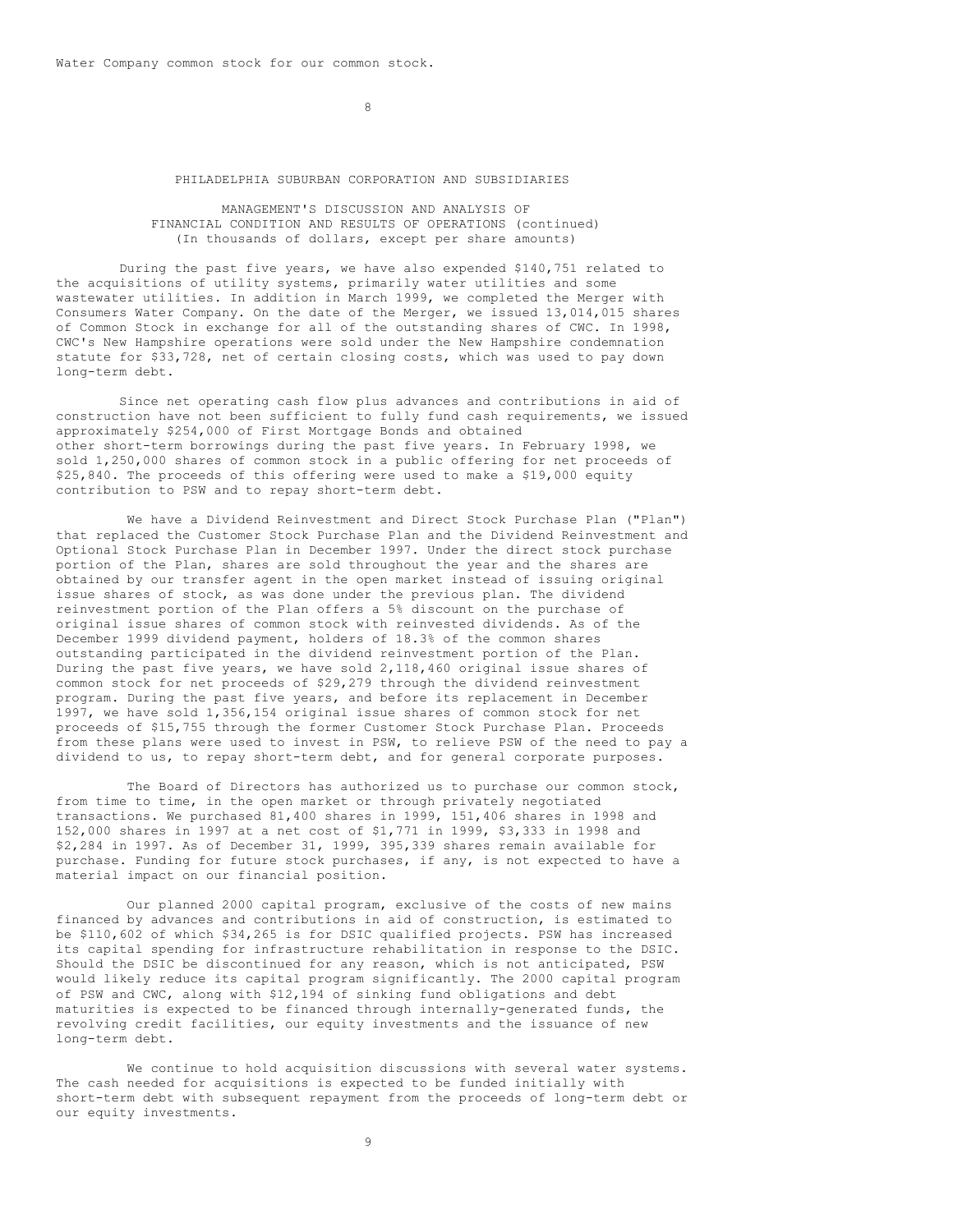### PHILADELPHIA SUBURBAN CORPORATION AND SUBSIDIARIES

MANAGEMENT'S DISCUSSION AND ANALYSIS OF FINANCIAL CONDITION AND RESULTS OF OPERATIONS (continued) (In thousands of dollars, except per share amounts)

During the past five years, we have also expended \$140,751 related to the acquisitions of utility systems, primarily water utilities and some wastewater utilities. In addition in March 1999, we completed the Merger with Consumers Water Company. On the date of the Merger, we issued 13,014,015 shares of Common Stock in exchange for all of the outstanding shares of CWC. In 1998, CWC's New Hampshire operations were sold under the New Hampshire condemnation statute for \$33,728, net of certain closing costs, which was used to pay down long-term debt.

Since net operating cash flow plus advances and contributions in aid of construction have not been sufficient to fully fund cash requirements, we issued approximately \$254,000 of First Mortgage Bonds and obtained other short-term borrowings during the past five years. In February 1998, we sold 1,250,000 shares of common stock in a public offering for net proceeds of \$25,840. The proceeds of this offering were used to make a \$19,000 equity contribution to PSW and to repay short-term debt.

We have a Dividend Reinvestment and Direct Stock Purchase Plan ("Plan") that replaced the Customer Stock Purchase Plan and the Dividend Reinvestment and Optional Stock Purchase Plan in December 1997. Under the direct stock purchase portion of the Plan, shares are sold throughout the year and the shares are obtained by our transfer agent in the open market instead of issuing original issue shares of stock, as was done under the previous plan. The dividend reinvestment portion of the Plan offers a 5% discount on the purchase of original issue shares of common stock with reinvested dividends. As of the December 1999 dividend payment, holders of 18.3% of the common shares outstanding participated in the dividend reinvestment portion of the Plan. During the past five years, we have sold 2,118,460 original issue shares of common stock for net proceeds of \$29,279 through the dividend reinvestment program. During the past five years, and before its replacement in December 1997, we have sold 1,356,154 original issue shares of common stock for net proceeds of \$15,755 through the former Customer Stock Purchase Plan. Proceeds from these plans were used to invest in PSW, to relieve PSW of the need to pay a dividend to us, to repay short-term debt, and for general corporate purposes.

The Board of Directors has authorized us to purchase our common stock, from time to time, in the open market or through privately negotiated transactions. We purchased 81,400 shares in 1999, 151,406 shares in 1998 and 152,000 shares in 1997 at a net cost of \$1,771 in 1999, \$3,333 in 1998 and \$2,284 in 1997. As of December 31, 1999, 395,339 shares remain available for purchase. Funding for future stock purchases, if any, is not expected to have a material impact on our financial position.

Our planned 2000 capital program, exclusive of the costs of new mains financed by advances and contributions in aid of construction, is estimated to be \$110,602 of which \$34,265 is for DSIC qualified projects. PSW has increased its capital spending for infrastructure rehabilitation in response to the DSIC. Should the DSIC be discontinued for any reason, which is not anticipated, PSW would likely reduce its capital program significantly. The 2000 capital program of PSW and CWC, along with \$12,194 of sinking fund obligations and debt maturities is expected to be financed through internally-generated funds, the revolving credit facilities, our equity investments and the issuance of new long-term debt.

We continue to hold acquisition discussions with several water systems. The cash needed for acquisitions is expected to be funded initially with short-term debt with subsequent repayment from the proceeds of long-term debt or our equity investments.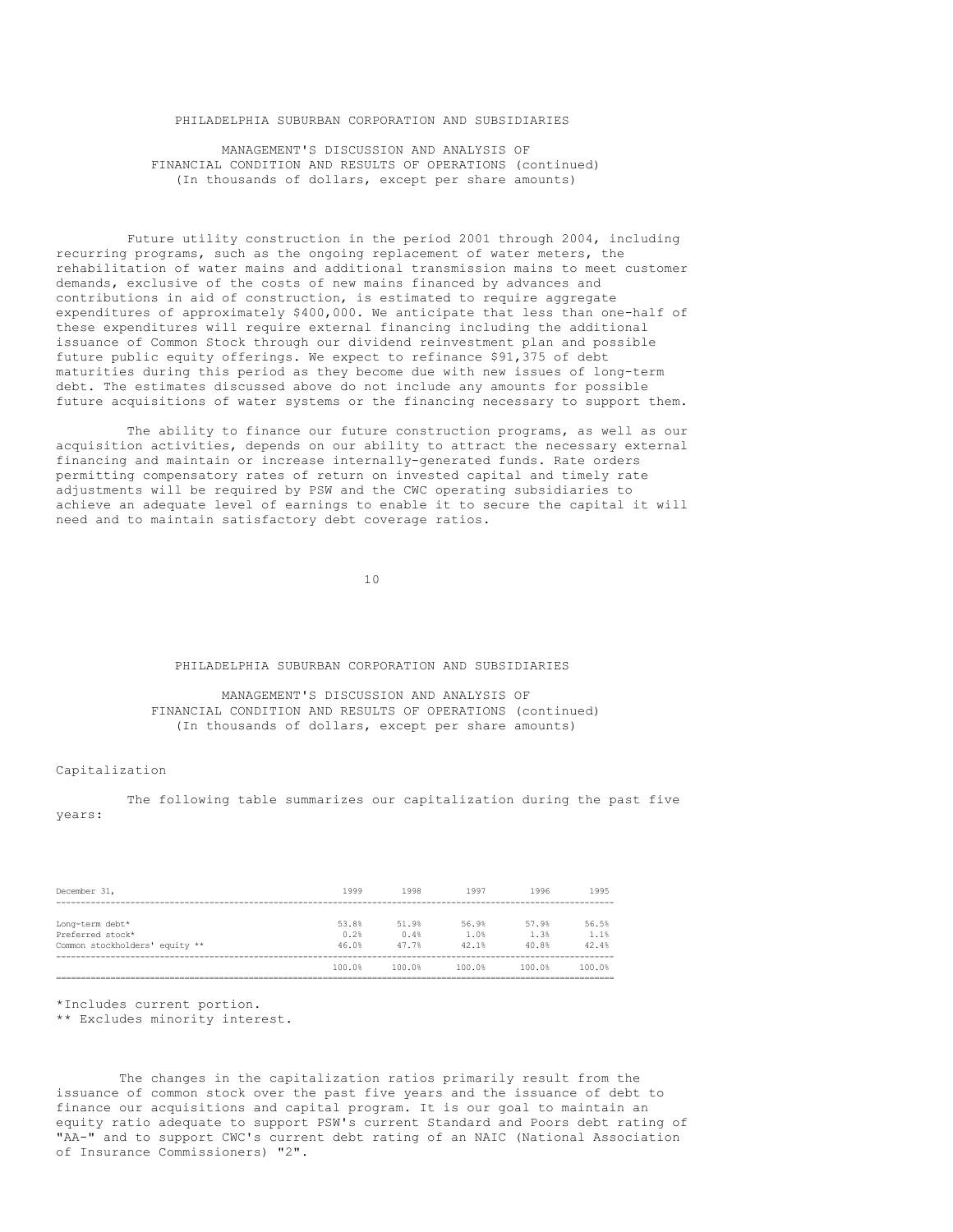## PHILADELPHIA SUBURBAN CORPORATION AND SUBSIDIARIES

MANAGEMENT'S DISCUSSION AND ANALYSIS OF FINANCIAL CONDITION AND RESULTS OF OPERATIONS (continued) (In thousands of dollars, except per share amounts)

Future utility construction in the period 2001 through 2004, including recurring programs, such as the ongoing replacement of water meters, the rehabilitation of water mains and additional transmission mains to meet customer demands, exclusive of the costs of new mains financed by advances and contributions in aid of construction, is estimated to require aggregate expenditures of approximately \$400,000. We anticipate that less than one-half of these expenditures will require external financing including the additional issuance of Common Stock through our dividend reinvestment plan and possible future public equity offerings. We expect to refinance \$91,375 of debt maturities during this period as they become due with new issues of long-term debt. The estimates discussed above do not include any amounts for possible future acquisitions of water systems or the financing necessary to support them.

The ability to finance our future construction programs, as well as our acquisition activities, depends on our ability to attract the necessary external financing and maintain or increase internally-generated funds. Rate orders permitting compensatory rates of return on invested capital and timely rate adjustments will be required by PSW and the CWC operating subsidiaries to achieve an adequate level of earnings to enable it to secure the capital it will need and to maintain satisfactory debt coverage ratios.

10

### PHILADELPHIA SUBURBAN CORPORATION AND SUBSIDIARIES

MANAGEMENT'S DISCUSSION AND ANALYSIS OF FINANCIAL CONDITION AND RESULTS OF OPERATIONS (continued) (In thousands of dollars, except per share amounts)

## Capitalization

The following table summarizes our capitalization during the past five years:

| December 31,                   | 1999   | 1998   | 1997   | 1996   | 1995   |
|--------------------------------|--------|--------|--------|--------|--------|
|                                |        |        |        |        |        |
| Long-term debt*                | 53.8%  | 51.9%  | 56.9%  | 57.9%  | 56.5%  |
| Preferred stock*               | 0.2%   | 0.4%   | 1.0%   | 1.3%   | 1.1%   |
| Common stockholders' equity ** | 46.0%  | 47.7%  | 42.1%  | 40.8%  | 42.4%  |
|                                | 100.0% | 100.0% | 100.0% | 100.0% | 100.0% |
|                                |        |        |        |        |        |

\*Includes current portion.

\*\* Excludes minority interest.

The changes in the capitalization ratios primarily result from the issuance of common stock over the past five years and the issuance of debt to finance our acquisitions and capital program. It is our goal to maintain an equity ratio adequate to support PSW's current Standard and Poors debt rating of "AA-" and to support CWC's current debt rating of an NAIC (National Association of Insurance Commissioners) "2".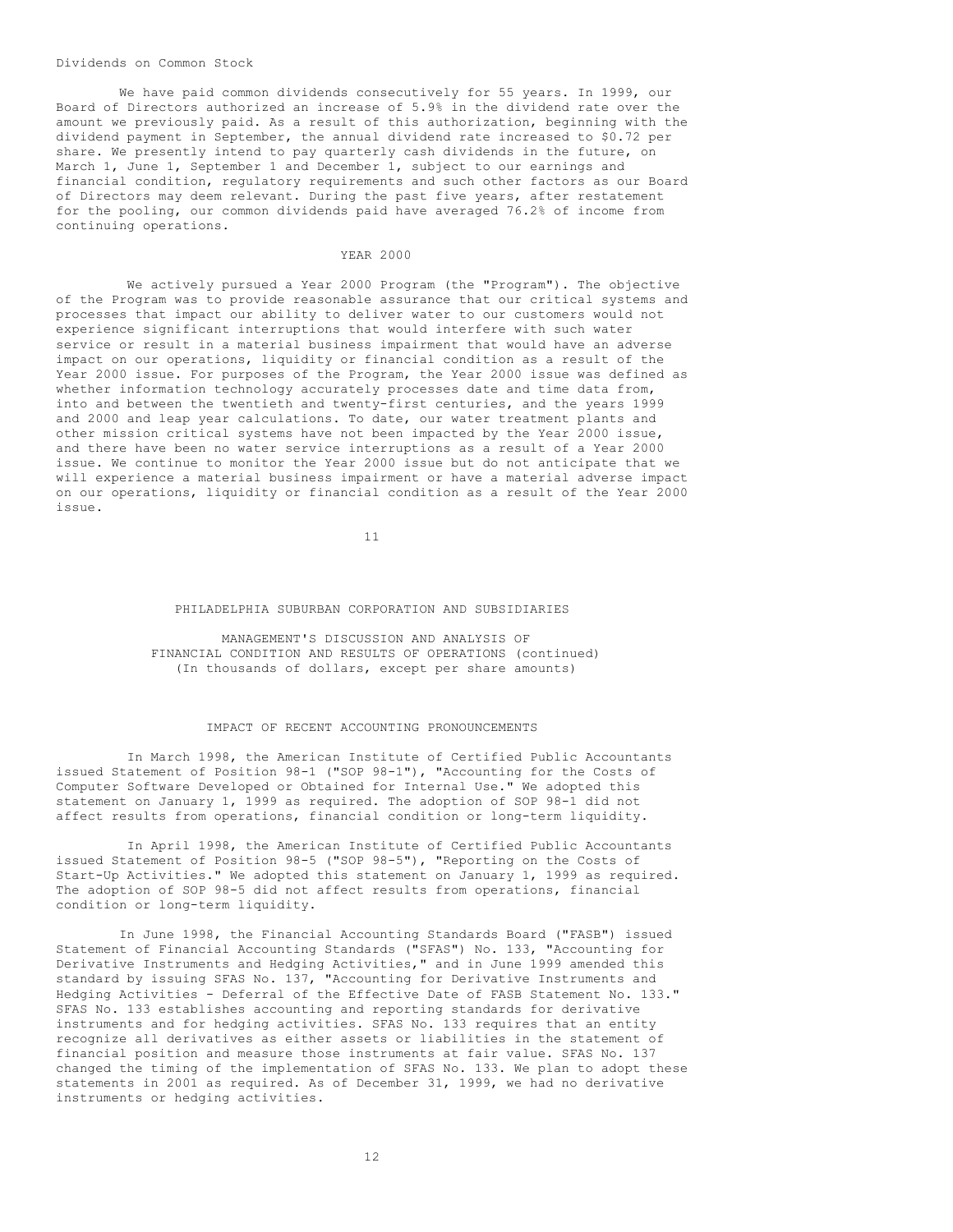## Dividends on Common Stock

We have paid common dividends consecutively for 55 years. In 1999, our Board of Directors authorized an increase of 5.9% in the dividend rate over the amount we previously paid. As a result of this authorization, beginning with the dividend payment in September, the annual dividend rate increased to \$0.72 per share. We presently intend to pay quarterly cash dividends in the future, on March 1, June 1, September 1 and December 1, subject to our earnings and financial condition, regulatory requirements and such other factors as our Board of Directors may deem relevant. During the past five years, after restatement for the pooling, our common dividends paid have averaged 76.2% of income from continuing operations.

# YEAR 2000

We actively pursued a Year 2000 Program (the "Program"). The objective of the Program was to provide reasonable assurance that our critical systems and processes that impact our ability to deliver water to our customers would not experience significant interruptions that would interfere with such water service or result in a material business impairment that would have an adverse impact on our operations, liquidity or financial condition as a result of the Year 2000 issue. For purposes of the Program, the Year 2000 issue was defined as whether information technology accurately processes date and time data from, into and between the twentieth and twenty-first centuries, and the years 1999 and 2000 and leap year calculations. To date, our water treatment plants and other mission critical systems have not been impacted by the Year 2000 issue, and there have been no water service interruptions as a result of a Year 2000 issue. We continue to monitor the Year 2000 issue but do not anticipate that we will experience a material business impairment or have a material adverse impact on our operations, liquidity or financial condition as a result of the Year 2000 issue.

11

### PHILADELPHIA SUBURBAN CORPORATION AND SUBSIDIARIES

MANAGEMENT'S DISCUSSION AND ANALYSIS OF FINANCIAL CONDITION AND RESULTS OF OPERATIONS (continued) (In thousands of dollars, except per share amounts)

## IMPACT OF RECENT ACCOUNTING PRONOUNCEMENTS

In March 1998, the American Institute of Certified Public Accountants issued Statement of Position 98-1 ("SOP 98-1"), "Accounting for the Costs of Computer Software Developed or Obtained for Internal Use." We adopted this statement on January 1, 1999 as required. The adoption of SOP 98-1 did not affect results from operations, financial condition or long-term liquidity.

In April 1998, the American Institute of Certified Public Accountants issued Statement of Position 98-5 ("SOP 98-5"), "Reporting on the Costs of Start-Up Activities." We adopted this statement on January 1, 1999 as required. The adoption of SOP 98-5 did not affect results from operations, financial condition or long-term liquidity.

In June 1998, the Financial Accounting Standards Board ("FASB") issued Statement of Financial Accounting Standards ("SFAS") No. 133, "Accounting for Derivative Instruments and Hedging Activities," and in June 1999 amended this standard by issuing SFAS No. 137, "Accounting for Derivative Instruments and Hedging Activities - Deferral of the Effective Date of FASB Statement No. 133." SFAS No. 133 establishes accounting and reporting standards for derivative instruments and for hedging activities. SFAS No. 133 requires that an entity recognize all derivatives as either assets or liabilities in the statement of financial position and measure those instruments at fair value. SFAS No. 137 changed the timing of the implementation of SFAS No. 133. We plan to adopt these statements in 2001 as required. As of December 31, 1999, we had no derivative instruments or hedging activities.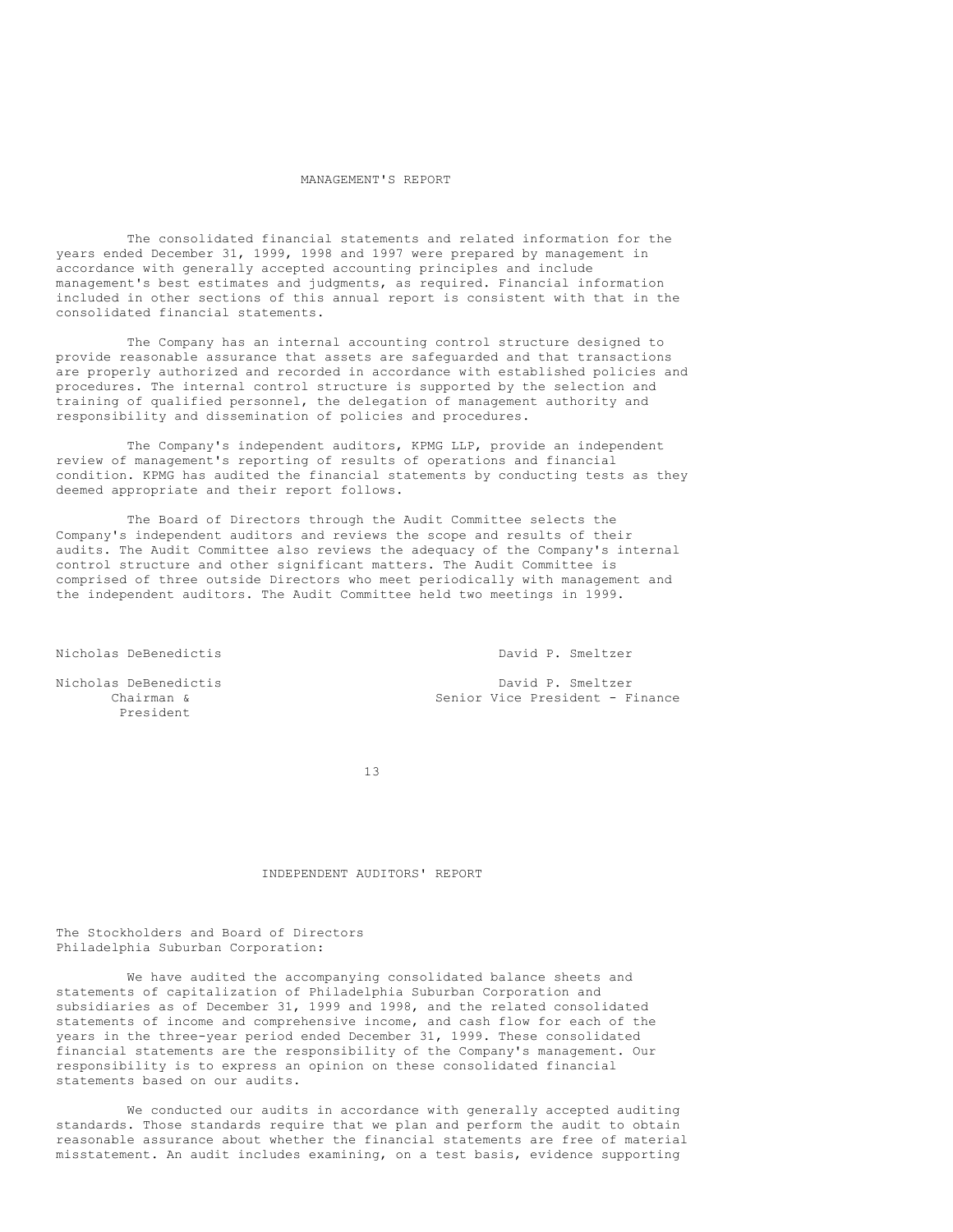### MANAGEMENT'S REPORT

The consolidated financial statements and related information for the years ended December 31, 1999, 1998 and 1997 were prepared by management in accordance with generally accepted accounting principles and include management's best estimates and judgments, as required. Financial information included in other sections of this annual report is consistent with that in the consolidated financial statements.

The Company has an internal accounting control structure designed to provide reasonable assurance that assets are safeguarded and that transactions are properly authorized and recorded in accordance with established policies and procedures. The internal control structure is supported by the selection and training of qualified personnel, the delegation of management authority and responsibility and dissemination of policies and procedures.

The Company's independent auditors, KPMG LLP, provide an independent review of management's reporting of results of operations and financial condition. KPMG has audited the financial statements by conducting tests as they deemed appropriate and their report follows.

The Board of Directors through the Audit Committee selects the Company's independent auditors and reviews the scope and results of their audits. The Audit Committee also reviews the adequacy of the Company's internal control structure and other significant matters. The Audit Committee is comprised of three outside Directors who meet periodically with management and the independent auditors. The Audit Committee held two meetings in 1999.

Nicholas DeBenedictis David P. Smeltzer

President

Nicholas DeBenedictis David P. Smeltzer Chairman & Senior Vice President - Finance

13

INDEPENDENT AUDITORS' REPORT

The Stockholders and Board of Directors Philadelphia Suburban Corporation:

We have audited the accompanying consolidated balance sheets and statements of capitalization of Philadelphia Suburban Corporation and subsidiaries as of December 31, 1999 and 1998, and the related consolidated statements of income and comprehensive income, and cash flow for each of the years in the three-year period ended December 31, 1999. These consolidated financial statements are the responsibility of the Company's management. Our responsibility is to express an opinion on these consolidated financial statements based on our audits.

We conducted our audits in accordance with generally accepted auditing standards. Those standards require that we plan and perform the audit to obtain reasonable assurance about whether the financial statements are free of material misstatement. An audit includes examining, on a test basis, evidence supporting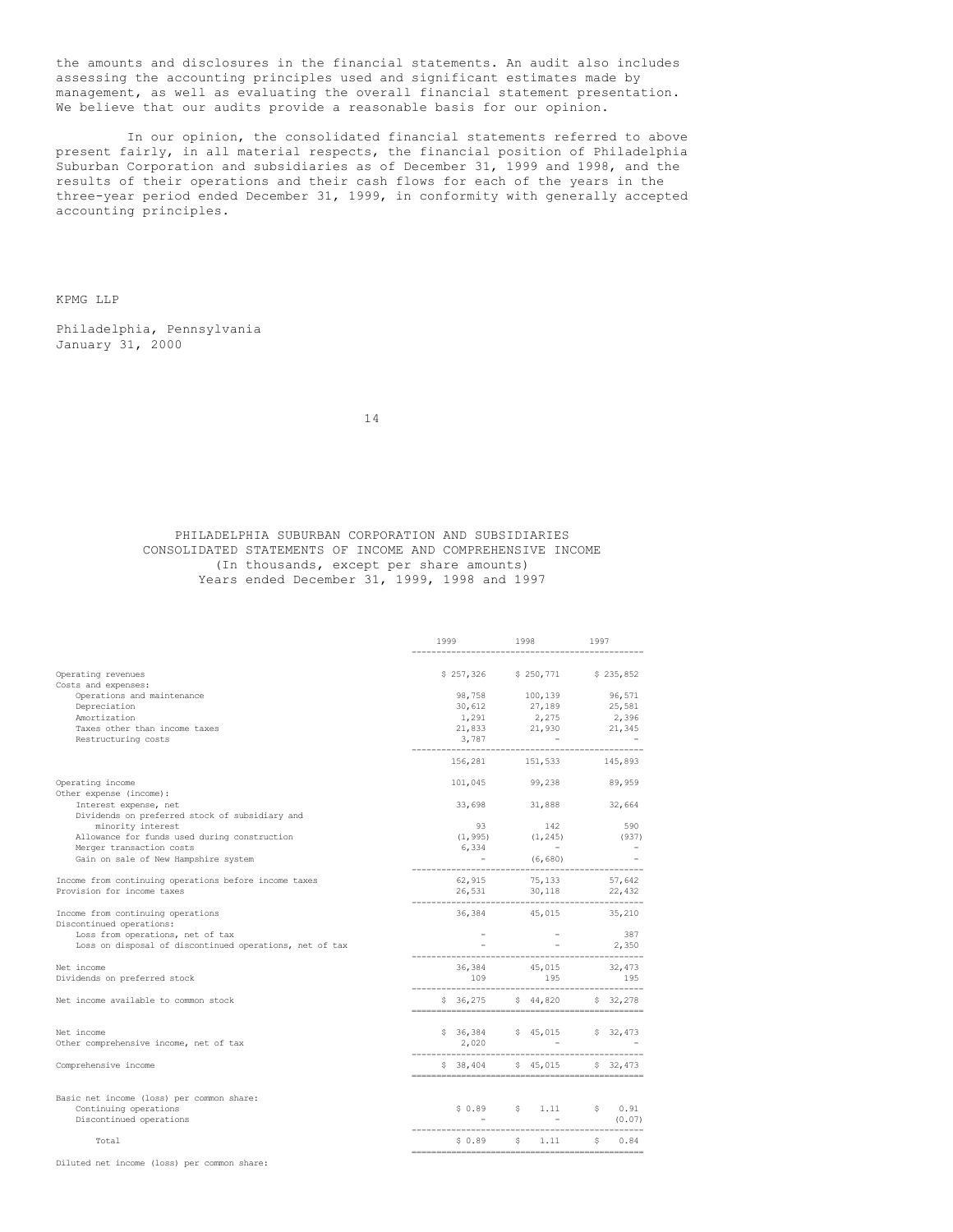the amounts and disclosures in the financial statements. An audit also includes assessing the accounting principles used and significant estimates made by management, as well as evaluating the overall financial statement presentation. We believe that our audits provide a reasonable basis for our opinion.

In our opinion, the consolidated financial statements referred to above present fairly, in all material respects, the financial position of Philadelphia Suburban Corporation and subsidiaries as of December 31, 1999 and 1998, and the results of their operations and their cash flows for each of the years in the three-year period ended December 31, 1999, in conformity with generally accepted accounting principles.

KPMG LLP

Philadelphia, Pennsylvania January 31, 2000

14

# PHILADELPHIA SUBURBAN CORPORATION AND SUBSIDIARIES CONSOLIDATED STATEMENTS OF INCOME AND COMPREHENSIVE INCOME (In thousands, except per share amounts) Years ended December 31, 1999, 1998 and 1997

| \$257,326 \$250,771<br>Operating revenues<br>Costs and expenses:<br>98,758 100,139<br>Operations and maintenance<br>30,612<br>$27,189$<br>$2,275$<br>Depreciation<br>Amortization<br>1,291<br>Taxes other than income taxes<br>21,833<br>21,930<br>Restructuring costs<br>3,787<br>156,281 151,533 145,893<br>101,045 99,238<br>Operating income       | 1997            |
|--------------------------------------------------------------------------------------------------------------------------------------------------------------------------------------------------------------------------------------------------------------------------------------------------------------------------------------------------------|-----------------|
|                                                                                                                                                                                                                                                                                                                                                        |                 |
|                                                                                                                                                                                                                                                                                                                                                        | \$235,852       |
|                                                                                                                                                                                                                                                                                                                                                        |                 |
|                                                                                                                                                                                                                                                                                                                                                        | 96,571          |
|                                                                                                                                                                                                                                                                                                                                                        | 25,581          |
|                                                                                                                                                                                                                                                                                                                                                        | 2,396           |
|                                                                                                                                                                                                                                                                                                                                                        | 21,345          |
|                                                                                                                                                                                                                                                                                                                                                        | $\sim 10^{-10}$ |
|                                                                                                                                                                                                                                                                                                                                                        |                 |
|                                                                                                                                                                                                                                                                                                                                                        | 89,959          |
| Other expense (income):                                                                                                                                                                                                                                                                                                                                |                 |
| Interest expense, net<br>33,698<br>31,888                                                                                                                                                                                                                                                                                                              | 32,664          |
| Dividends on preferred stock of subsidiary and                                                                                                                                                                                                                                                                                                         |                 |
| 93<br>minority interest<br>142                                                                                                                                                                                                                                                                                                                         | 590             |
| $(1, 995)$ $(1, 245)$ (937)<br>Allowance for funds used during construction                                                                                                                                                                                                                                                                            |                 |
| 6,334<br>Merger transaction costs                                                                                                                                                                                                                                                                                                                      |                 |
| Gain on sale of New Hampshire system<br>(6, 680)                                                                                                                                                                                                                                                                                                       |                 |
| Income from continuing operations before income taxes<br>62,915 75,133 57,642                                                                                                                                                                                                                                                                          |                 |
| Provision for income taxes                                                                                                                                                                                                                                                                                                                             |                 |
| 36,384 45,015 35,210<br>Income from continuing operations                                                                                                                                                                                                                                                                                              |                 |
| Discontinued operations:                                                                                                                                                                                                                                                                                                                               |                 |
|                                                                                                                                                                                                                                                                                                                                                        | 387             |
| Loss from operations, net of tax                                                                                                                                                                                                                                                                                                                       |                 |
| Loss on disposal of discontinued operations, net of tax                                                                                                                                                                                                                                                                                                | 2,350           |
| 36,384 45,015<br>Net income                                                                                                                                                                                                                                                                                                                            | 32,473          |
| 195<br>Dividends on preferred stock<br>109                                                                                                                                                                                                                                                                                                             | 195             |
|                                                                                                                                                                                                                                                                                                                                                        |                 |
| \$ 36,275 \$ 44,820 \$ 32,278<br>Net income available to common stock                                                                                                                                                                                                                                                                                  |                 |
|                                                                                                                                                                                                                                                                                                                                                        |                 |
| \$ 36,384 \$ 45,015 \$ 32,473<br>Net income                                                                                                                                                                                                                                                                                                            |                 |
| 2,020<br>Other comprehensive income, net of tax                                                                                                                                                                                                                                                                                                        |                 |
| Comprehensive income<br>\$ 38,404 \$ 45,015 \$ 32,473                                                                                                                                                                                                                                                                                                  |                 |
|                                                                                                                                                                                                                                                                                                                                                        |                 |
| Basic net income (loss) per common share:                                                                                                                                                                                                                                                                                                              |                 |
| \$0.89<br>Continuing operations<br>$\frac{1}{2}$ $\frac{1}{2}$ $\frac{1}{2}$ $\frac{1}{2}$ $\frac{1}{2}$ $\frac{1}{2}$ $\frac{1}{2}$ $\frac{1}{2}$ $\frac{1}{2}$ $\frac{1}{2}$ $\frac{1}{2}$ $\frac{1}{2}$ $\frac{1}{2}$ $\frac{1}{2}$ $\frac{1}{2}$ $\frac{1}{2}$ $\frac{1}{2}$ $\frac{1}{2}$ $\frac{1}{2}$ $\frac{1}{2}$ $\frac{1}{2}$ $\frac{1}{2}$ | $S \t 0.91$     |
| Discontinued operations                                                                                                                                                                                                                                                                                                                                | (0.07)          |
| \$0.89<br>Total<br>\$1.11                                                                                                                                                                                                                                                                                                                              |                 |
| Diluted net income (loss) per common share:                                                                                                                                                                                                                                                                                                            | $S \t 0.84$     |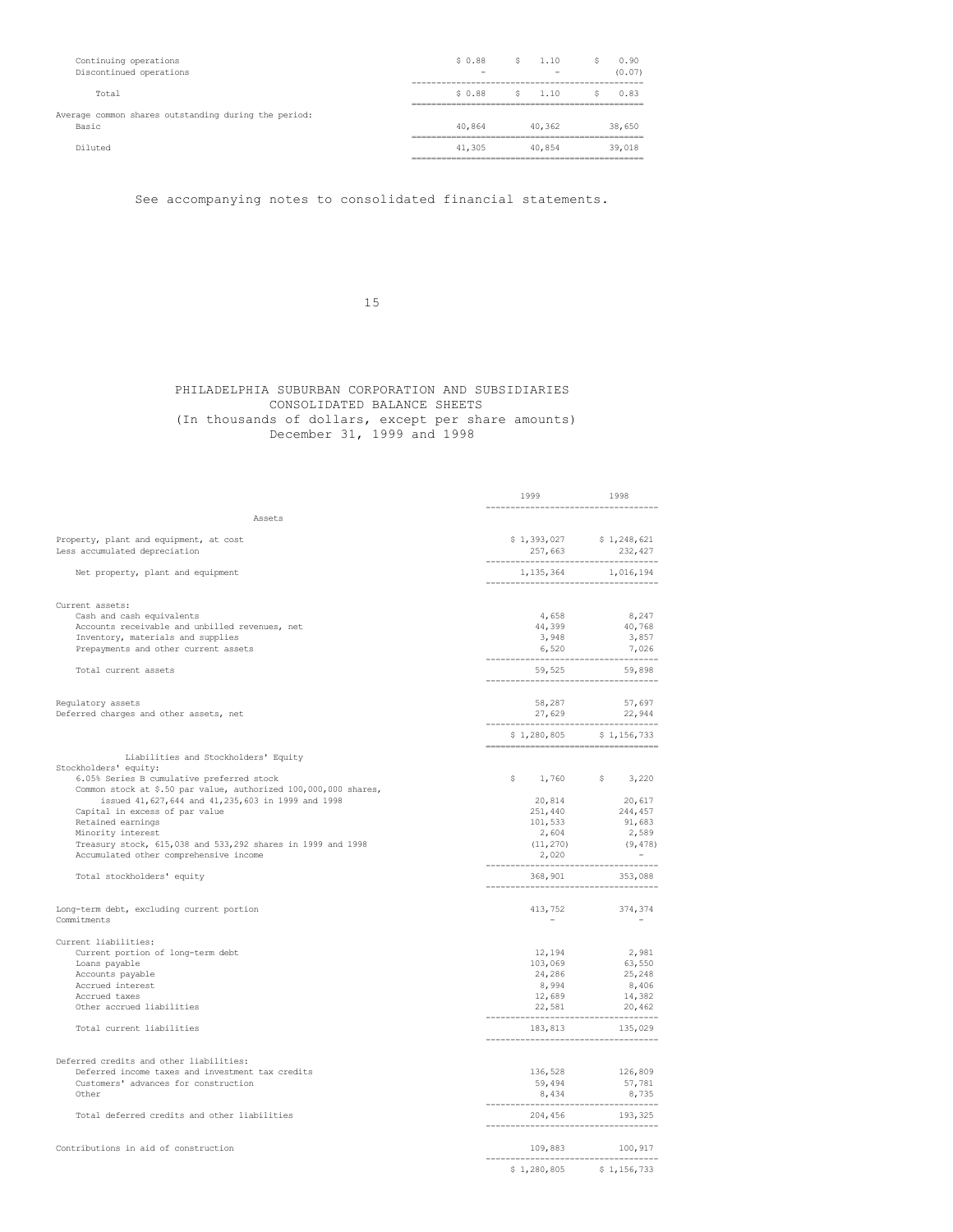| Continuing operations<br>Discontinued operations              | \$0.88<br>- | S.<br>1.10<br>$\overline{\phantom{0}}$ | S.<br>0.90<br>(0.07) |
|---------------------------------------------------------------|-------------|----------------------------------------|----------------------|
| Total                                                         | \$0.88      | S.<br>1.10                             | S<br>0.83            |
| Average common shares outstanding during the period:<br>Basic | 40,864      | 40,362                                 | 38,650               |
| Diluted                                                       | 41,305      | 40,854                                 | 39,018               |
|                                                               |             |                                        |                      |

See accompanying notes to consolidated financial statements.

15

# PHILADELPHIA SUBURBAN CORPORATION AND SUBSIDIARIES CONSOLIDATED BALANCE SHEETS (In thousands of dollars, except per share amounts) December 31, 1999 and 1998

|                                                                                     | 1999                                            | 1998                      |
|-------------------------------------------------------------------------------------|-------------------------------------------------|---------------------------|
| Assets                                                                              | -------------------------------                 |                           |
| Property, plant and equipment, at cost                                              |                                                 | $$1,393,027$ $$1,248,621$ |
| Less accumulated depreciation                                                       | 257,663                                         | 232,427                   |
| Net property, plant and equipment                                                   | ________________________________                | 1, 135, 364 1, 016, 194   |
| Current assets:                                                                     |                                                 |                           |
| Cash and cash equivalents                                                           | 4,658                                           | 8,247                     |
| Accounts receivable and unbilled revenues, net                                      | 44,399                                          | 40,768                    |
| Inventory, materials and supplies                                                   | 3,948<br>6,520                                  | 3,857<br>7,026            |
| Prepayments and other current assets                                                | -----------------------------------             |                           |
| Total current assets                                                                | 59,525<br>------------------------------------  | 59,898                    |
| Regulatory assets                                                                   | 58,287                                          | 57,697                    |
| Deferred charges and other assets, net                                              | 27,629                                          | 22,944                    |
|                                                                                     | \$1,280,805 \$1,156,733                         |                           |
| Liabilities and Stockholders' Equity                                                | ===================================             |                           |
| Stockholders' equity:                                                               |                                                 |                           |
| 6.05% Series B cumulative preferred stock                                           |                                                 | $$1,760$ $$3,220$         |
| Common stock at \$.50 par value, authorized 100,000,000 shares,                     |                                                 |                           |
| issued 41,627,644 and 41,235,603 in 1999 and 1998<br>Capital in excess of par value | 20,814<br>251,440                               | 20,617<br>244,457         |
| Retained earnings                                                                   | 101,533                                         | 91,683                    |
| Minority interest                                                                   | 2,604                                           | 2,589                     |
| Treasury stock, 615,038 and 533,292 shares in 1999 and 1998                         | (11, 270)                                       | (9, 478)                  |
| Accumulated other comprehensive income                                              | 2,020<br>------------------------------------   |                           |
| Total stockholders' equity                                                          | ---------------------------------               | 368,901 353,088           |
| Long-term debt, excluding current portion                                           |                                                 | 413,752 374,374           |
| Commitments                                                                         | $\sim$ $-$                                      | $\sim$                    |
| Current liabilities:                                                                |                                                 |                           |
| Current portion of long-term debt                                                   | 12,194                                          | 2,981                     |
| Loans payable                                                                       | 103,069                                         | 63,550                    |
| Accounts payable                                                                    | 24,286                                          | 25,248                    |
| Accrued interest<br>Accrued taxes                                                   | 8,994<br>12,689                                 | 8,406<br>14,382           |
| Other accrued liabilities                                                           | 22,581                                          | 20,462                    |
| Total current liabilities                                                           | 183,813                                         | 135,029                   |
|                                                                                     | ----------------------------------              |                           |
| Deferred credits and other liabilities:                                             |                                                 |                           |
| Deferred income taxes and investment tax credits                                    |                                                 | $136,528$ $126,809$       |
| Customers' advances for construction<br>Other                                       | 59,494<br>8,434                                 | 57,781<br>8,735           |
|                                                                                     |                                                 |                           |
| Total deferred credits and other liabilities                                        | 204,456<br>------------------------------------ | 193,325                   |
| Contributions in aid of construction                                                | 109,883                                         | 100,917                   |
|                                                                                     | ------------------------------------            | \$1,280,805 \$1,156,733   |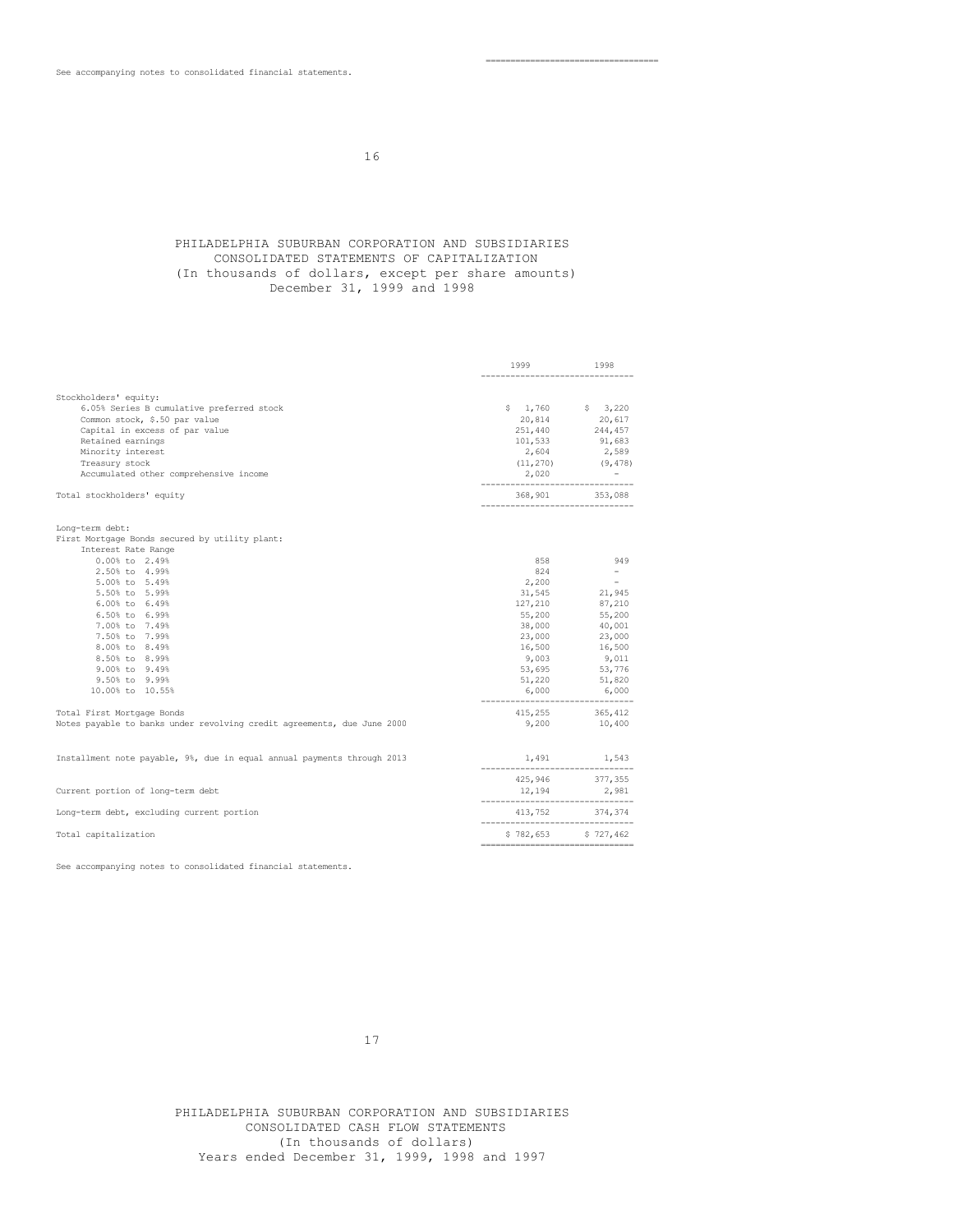16

===================================

# PHILADELPHIA SUBURBAN CORPORATION AND SUBSIDIARIES CONSOLIDATED STATEMENTS OF CAPITALIZATION (In thousands of dollars, except per share amounts) December 31, 1999 and 1998

| Stockholders' equity:<br>6.05% Series B cumulative preferred stock<br>Common stock, \$.50 par value<br>Capital in excess of par value<br>Retained earnings<br>Minority interest<br>Treasury stock<br>Accumulated other comprehensive income<br>Total stockholders' equity<br>Long-term debt:<br>First Mortgage Bonds secured by utility plant:<br>Interest Rate Range | $$1,760$ $$3,220$<br>20,814 20,617<br>251,440 244,457<br>$101,533$<br>2,604<br>$(11, 270)$ $(9, 478)$<br>2,020 | 20,617<br>91,683<br>2,589 |
|-----------------------------------------------------------------------------------------------------------------------------------------------------------------------------------------------------------------------------------------------------------------------------------------------------------------------------------------------------------------------|----------------------------------------------------------------------------------------------------------------|---------------------------|
|                                                                                                                                                                                                                                                                                                                                                                       |                                                                                                                |                           |
|                                                                                                                                                                                                                                                                                                                                                                       |                                                                                                                |                           |
|                                                                                                                                                                                                                                                                                                                                                                       |                                                                                                                |                           |
|                                                                                                                                                                                                                                                                                                                                                                       |                                                                                                                |                           |
|                                                                                                                                                                                                                                                                                                                                                                       |                                                                                                                |                           |
|                                                                                                                                                                                                                                                                                                                                                                       |                                                                                                                |                           |
|                                                                                                                                                                                                                                                                                                                                                                       |                                                                                                                |                           |
|                                                                                                                                                                                                                                                                                                                                                                       |                                                                                                                |                           |
|                                                                                                                                                                                                                                                                                                                                                                       | -------------------------------                                                                                |                           |
|                                                                                                                                                                                                                                                                                                                                                                       | 368,901 353,088                                                                                                |                           |
|                                                                                                                                                                                                                                                                                                                                                                       |                                                                                                                |                           |
|                                                                                                                                                                                                                                                                                                                                                                       |                                                                                                                |                           |
|                                                                                                                                                                                                                                                                                                                                                                       |                                                                                                                |                           |
| 0.00% to 2.49%                                                                                                                                                                                                                                                                                                                                                        | 858                                                                                                            | 949                       |
| 2.50% to 4.99%                                                                                                                                                                                                                                                                                                                                                        | 824                                                                                                            | $\sim$ $ \sim$            |
| 5.00% to 5.49%                                                                                                                                                                                                                                                                                                                                                        | 2,200                                                                                                          | $\sim$ $-$                |
| 5.50% to 5.99%                                                                                                                                                                                                                                                                                                                                                        | 31,545                                                                                                         | 21,945<br>87,210          |
| 6.00% to 6.49%                                                                                                                                                                                                                                                                                                                                                        | 127,210                                                                                                        |                           |
| 6.50% to 6.99%                                                                                                                                                                                                                                                                                                                                                        | 55,200                                                                                                         | 55,200                    |
| 7.00% to 7.49%                                                                                                                                                                                                                                                                                                                                                        | 38,000                                                                                                         | 40,001                    |
| 7.50% to 7.99%                                                                                                                                                                                                                                                                                                                                                        | 23,000                                                                                                         | 23,000                    |
| 8.00% to 8.49%                                                                                                                                                                                                                                                                                                                                                        | 16,500 16,500                                                                                                  |                           |
| 8.50% to 8.99%                                                                                                                                                                                                                                                                                                                                                        | 9,003                                                                                                          | 9,011                     |
| 9.00% to 9.49%                                                                                                                                                                                                                                                                                                                                                        | 53,695 53,776                                                                                                  |                           |
| 9.50% to 9.99%                                                                                                                                                                                                                                                                                                                                                        | 51,220 51,820                                                                                                  |                           |
| 10.00% to 10.55%                                                                                                                                                                                                                                                                                                                                                      | 6,000 6,000<br>-----------                                                                                     |                           |
| Total First Mortgage Bonds                                                                                                                                                                                                                                                                                                                                            | 415,255 365,412<br>9,200 10,400                                                                                |                           |
| Notes payable to banks under revolving credit agreements, due June 2000                                                                                                                                                                                                                                                                                               |                                                                                                                |                           |
| Installment note payable, 9%, due in equal annual payments through 2013                                                                                                                                                                                                                                                                                               | 1,491 1,543<br>--------------------------------                                                                |                           |
|                                                                                                                                                                                                                                                                                                                                                                       | 425,946 377,355                                                                                                |                           |
| Current portion of long-term debt                                                                                                                                                                                                                                                                                                                                     | 12,194                                                                                                         | 2,981                     |
| Long-term debt, excluding current portion                                                                                                                                                                                                                                                                                                                             |                                                                                                                |                           |
| \$782,653 \$727,462<br>Total capitalization<br>--------------------------------                                                                                                                                                                                                                                                                                       |                                                                                                                |                           |

See accompanying notes to consolidated financial statements.

PHILADELPHIA SUBURBAN CORPORATION AND SUBSIDIARIES CONSOLIDATED CASH FLOW STATEMENTS (In thousands of dollars) Years ended December 31, 1999, 1998 and 1997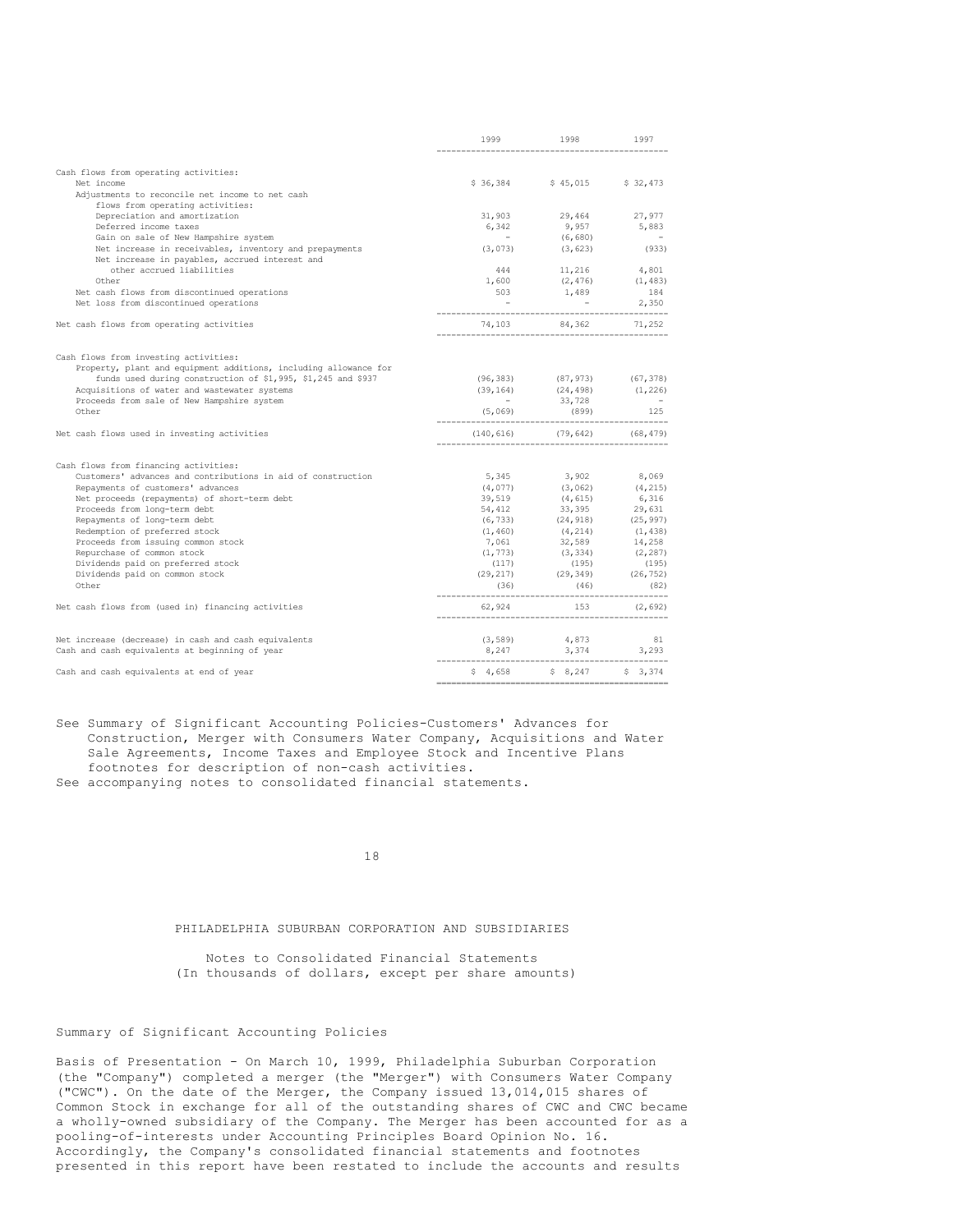|                                                                                                          | 1999                              | 1998                                                                                                                                              | 1997                             |
|----------------------------------------------------------------------------------------------------------|-----------------------------------|---------------------------------------------------------------------------------------------------------------------------------------------------|----------------------------------|
|                                                                                                          |                                   |                                                                                                                                                   |                                  |
| Cash flows from operating activities:                                                                    |                                   |                                                                                                                                                   |                                  |
| Net income                                                                                               |                                   | \$36,384 \$45,015 \$32,473                                                                                                                        |                                  |
| Adjustments to reconcile net income to net cash                                                          |                                   |                                                                                                                                                   |                                  |
| flows from operating activities:                                                                         |                                   |                                                                                                                                                   |                                  |
| Depreciation and amortization                                                                            |                                   | $29,464$<br>$27,977$<br>$6,342$<br>$9,957$<br>$5,883$                                                                                             |                                  |
| Deferred income taxes                                                                                    |                                   |                                                                                                                                                   |                                  |
| Gain on sale of New Hampshire system                                                                     | the company of the                | $(6, 680)$<br>$(3, 623)$                                                                                                                          | $\sim 100$ km s $^{-1}$          |
| Net increase in receivables, inventory and prepayments<br>Net increase in payables, accrued interest and | (3, 073)                          |                                                                                                                                                   | (933)                            |
| other accrued liabilities                                                                                | 444                               | 11,216 4,801                                                                                                                                      |                                  |
| Other                                                                                                    |                                   |                                                                                                                                                   |                                  |
|                                                                                                          |                                   | $\begin{array}{cccc} 1,600 & & & & (2,476) & & & & (1,483) \\ 503 & & & 1,489 & & & 184 \end{array}$                                              |                                  |
| Net cash flows from discontinued operations<br>Net loss from discontinued operations                     |                                   |                                                                                                                                                   | $-2,350$                         |
|                                                                                                          |                                   |                                                                                                                                                   |                                  |
| Net cash flows from operating activities                                                                 |                                   | 74,103 84,362 71,252                                                                                                                              |                                  |
| Cash flows from investing activities:                                                                    |                                   |                                                                                                                                                   |                                  |
| Property, plant and equipment additions, including allowance for                                         |                                   |                                                                                                                                                   |                                  |
| funds used during construction of \$1,995, \$1,245 and \$937                                             |                                   | $(96, 383)$ $(87, 973)$ $(67, 378)$                                                                                                               |                                  |
| Acquisitions of water and wastewater systems                                                             |                                   | $(39, 164)$ $(24, 498)$ $(1, 226)$                                                                                                                |                                  |
| Proceeds from sale of New Hampshire system                                                               | <b>Contract Contract Contract</b> | 33,728                                                                                                                                            | $\sim 10^{11}$ m $^{-1}$         |
| Other                                                                                                    |                                   | $(5,069)$ (899) 125                                                                                                                               |                                  |
| Net cash flows used in investing activities                                                              |                                   | $(140, 616)$ $(79, 642)$ $(68, 479)$                                                                                                              |                                  |
|                                                                                                          |                                   |                                                                                                                                                   |                                  |
| Cash flows from financing activities:                                                                    |                                   |                                                                                                                                                   |                                  |
| Customers' advances and contributions in aid of construction                                             |                                   |                                                                                                                                                   |                                  |
| Repayments of customers' advances                                                                        |                                   | $\begin{array}{lllllll} 5,345 & 3,902 & 8,069 \\ (4,077) & (3,062) & (4,215) \\ 39,519 & (4,615) & 6,316 \\ 54,412 & 33,395 & 29,631 \end{array}$ |                                  |
| Net proceeds (repayments) of short-term debt                                                             |                                   |                                                                                                                                                   |                                  |
| Proceeds from long-term debt                                                                             |                                   |                                                                                                                                                   |                                  |
| Repayments of long-term debt                                                                             |                                   | $(6, 733)$ $(24, 918)$ $(25, 997)$<br>$(1, 460)$ $(4, 214)$ $(1, 438)$                                                                            |                                  |
| Redemption of preferred stock                                                                            |                                   |                                                                                                                                                   |                                  |
| Proceeds from issuing common stock                                                                       | 7,061                             |                                                                                                                                                   | 32,589 14,258<br>(3,334) (2,287) |
| Repurchase of common stock                                                                               | (1, 773)                          |                                                                                                                                                   |                                  |
| Dividends paid on preferred stock<br>Dividends paid on common stock                                      |                                   | (117) (195) (195)<br>(29,217) (29,349) (26,752)                                                                                                   |                                  |
| Other                                                                                                    | (36)                              | $(46)$ (82)                                                                                                                                       |                                  |
|                                                                                                          |                                   |                                                                                                                                                   |                                  |
| Net cash flows from (used in) financing activities                                                       | $62,924$ 153 (2,692)              |                                                                                                                                                   |                                  |
| Net increase (decrease) in cash and cash equivalents                                                     |                                   | $(3, 589)$ 4,873                                                                                                                                  | 81                               |
| Cash and cash equivalents at beginning of year                                                           |                                   | 8,247 3,374 3,293                                                                                                                                 |                                  |
| Cash and cash equivalents at end of year                                                                 |                                   | \$4,658 \$8,247 \$3,374                                                                                                                           |                                  |

See Summary of Significant Accounting Policies-Customers' Advances for Construction, Merger with Consumers Water Company, Acquisitions and Water Sale Agreements, Income Taxes and Employee Stock and Incentive Plans footnotes for description of non-cash activities.

===============================================

See accompanying notes to consolidated financial statements.

18

# PHILADELPHIA SUBURBAN CORPORATION AND SUBSIDIARIES

Notes to Consolidated Financial Statements (In thousands of dollars, except per share amounts)

# Summary of Significant Accounting Policies

Basis of Presentation - On March 10, 1999, Philadelphia Suburban Corporation (the "Company") completed a merger (the "Merger") with Consumers Water Company ("CWC"). On the date of the Merger, the Company issued 13,014,015 shares of Common Stock in exchange for all of the outstanding shares of CWC and CWC became a wholly-owned subsidiary of the Company. The Merger has been accounted for as a pooling-of-interests under Accounting Principles Board Opinion No. 16. Accordingly, the Company's consolidated financial statements and footnotes presented in this report have been restated to include the accounts and results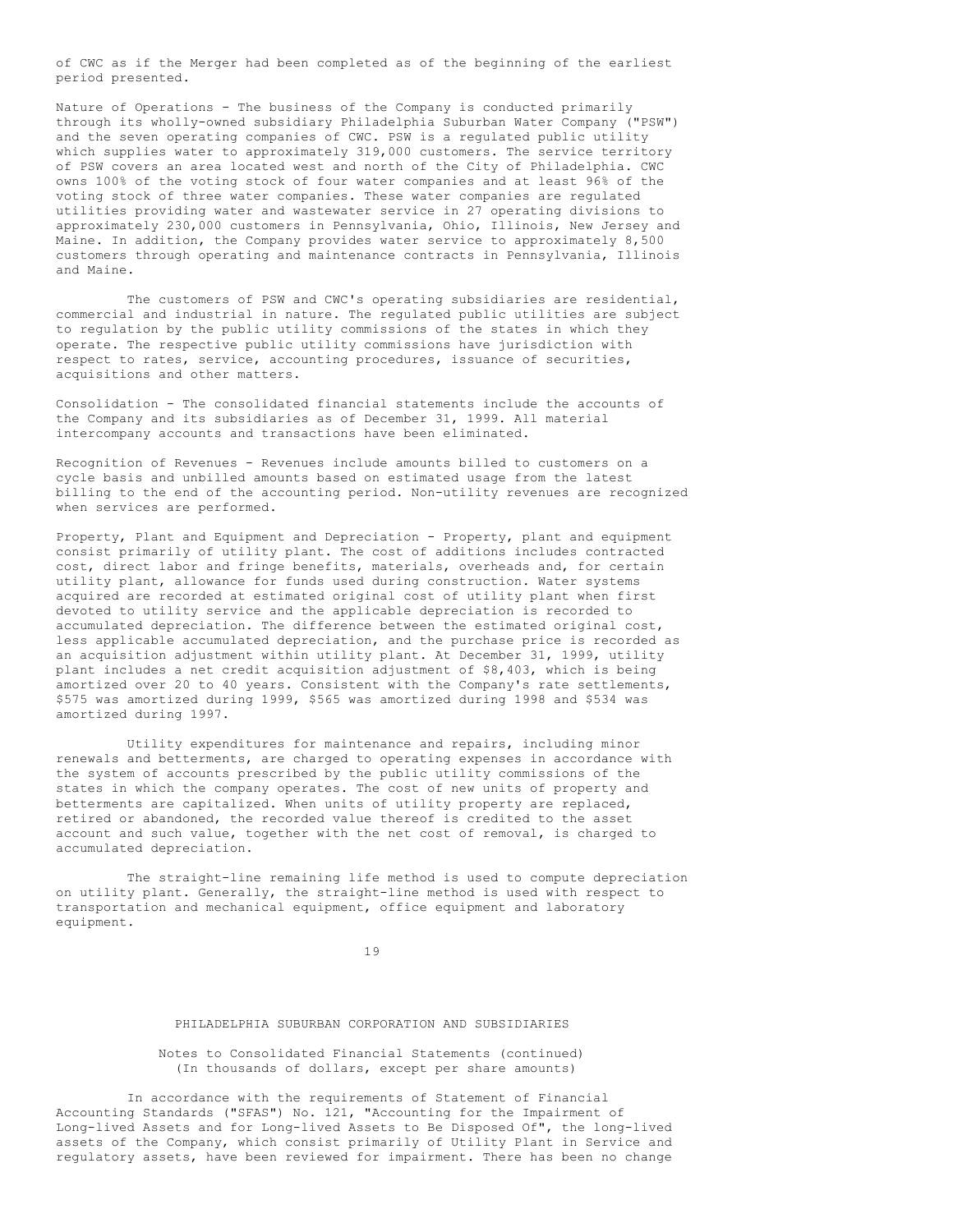of CWC as if the Merger had been completed as of the beginning of the earliest period presented.

Nature of Operations - The business of the Company is conducted primarily through its wholly-owned subsidiary Philadelphia Suburban Water Company ("PSW") and the seven operating companies of CWC. PSW is a regulated public utility which supplies water to approximately 319,000 customers. The service territory of PSW covers an area located west and north of the City of Philadelphia. CWC owns 100% of the voting stock of four water companies and at least 96% of the voting stock of three water companies. These water companies are regulated utilities providing water and wastewater service in 27 operating divisions to approximately 230,000 customers in Pennsylvania, Ohio, Illinois, New Jersey and Maine. In addition, the Company provides water service to approximately  $8,500$ customers through operating and maintenance contracts in Pennsylvania, Illinois and Maine.

The customers of PSW and CWC's operating subsidiaries are residential, commercial and industrial in nature. The regulated public utilities are subject to regulation by the public utility commissions of the states in which they operate. The respective public utility commissions have jurisdiction with respect to rates, service, accounting procedures, issuance of securities, acquisitions and other matters.

Consolidation - The consolidated financial statements include the accounts of the Company and its subsidiaries as of December 31, 1999. All material intercompany accounts and transactions have been eliminated.

Recognition of Revenues - Revenues include amounts billed to customers on a cycle basis and unbilled amounts based on estimated usage from the latest billing to the end of the accounting period. Non-utility revenues are recognized when services are performed.

Property, Plant and Equipment and Depreciation - Property, plant and equipment consist primarily of utility plant. The cost of additions includes contracted cost, direct labor and fringe benefits, materials, overheads and, for certain utility plant, allowance for funds used during construction. Water systems acquired are recorded at estimated original cost of utility plant when first devoted to utility service and the applicable depreciation is recorded to accumulated depreciation. The difference between the estimated original cost, less applicable accumulated depreciation, and the purchase price is recorded as an acquisition adjustment within utility plant. At December 31, 1999, utility plant includes a net credit acquisition adjustment of \$8,403, which is being amortized over 20 to 40 years. Consistent with the Company's rate settlements, \$575 was amortized during 1999, \$565 was amortized during 1998 and \$534 was amortized during 1997.

Utility expenditures for maintenance and repairs, including minor renewals and betterments, are charged to operating expenses in accordance with the system of accounts prescribed by the public utility commissions of the states in which the company operates. The cost of new units of property and betterments are capitalized. When units of utility property are replaced, retired or abandoned, the recorded value thereof is credited to the asset account and such value, together with the net cost of removal, is charged to accumulated depreciation.

The straight-line remaining life method is used to compute depreciation on utility plant. Generally, the straight-line method is used with respect to transportation and mechanical equipment, office equipment and laboratory equipment.

19

## PHILADELPHIA SUBURBAN CORPORATION AND SUBSIDIARIES

Notes to Consolidated Financial Statements (continued) (In thousands of dollars, except per share amounts)

In accordance with the requirements of Statement of Financial Accounting Standards ("SFAS") No. 121, "Accounting for the Impairment of Long-lived Assets and for Long-lived Assets to Be Disposed Of", the long-lived assets of the Company, which consist primarily of Utility Plant in Service and regulatory assets, have been reviewed for impairment. There has been no change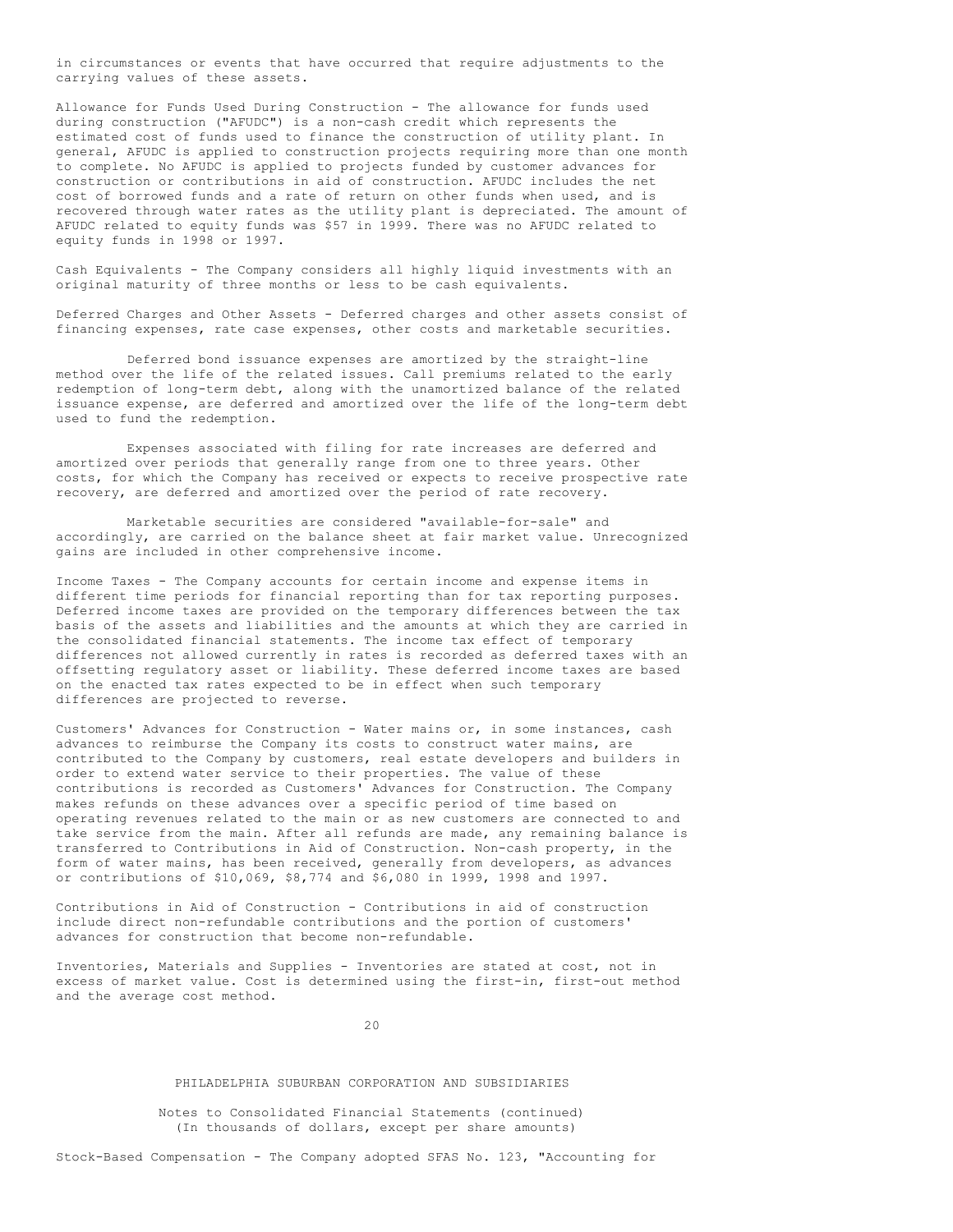in circumstances or events that have occurred that require adjustments to the carrying values of these assets.

Allowance for Funds Used During Construction - The allowance for funds used during construction ("AFUDC") is a non-cash credit which represents the estimated cost of funds used to finance the construction of utility plant. In general, AFUDC is applied to construction projects requiring more than one month to complete. No AFUDC is applied to projects funded by customer advances for construction or contributions in aid of construction. AFUDC includes the net cost of borrowed funds and a rate of return on other funds when used, and is recovered through water rates as the utility plant is depreciated. The amount of AFUDC related to equity funds was \$57 in 1999. There was no AFUDC related to equity funds in 1998 or 1997.

Cash Equivalents - The Company considers all highly liquid investments with an original maturity of three months or less to be cash equivalents.

Deferred Charges and Other Assets - Deferred charges and other assets consist of financing expenses, rate case expenses, other costs and marketable securities.

Deferred bond issuance expenses are amortized by the straight-line method over the life of the related issues. Call premiums related to the early redemption of long-term debt, along with the unamortized balance of the related issuance expense, are deferred and amortized over the life of the long-term debt used to fund the redemption.

Expenses associated with filing for rate increases are deferred and amortized over periods that generally range from one to three years. Other costs, for which the Company has received or expects to receive prospective rate recovery, are deferred and amortized over the period of rate recovery.

Marketable securities are considered "available-for-sale" and accordingly, are carried on the balance sheet at fair market value. Unrecognized gains are included in other comprehensive income.

Income Taxes - The Company accounts for certain income and expense items in different time periods for financial reporting than for tax reporting purposes. Deferred income taxes are provided on the temporary differences between the tax basis of the assets and liabilities and the amounts at which they are carried in the consolidated financial statements. The income tax effect of temporary differences not allowed currently in rates is recorded as deferred taxes with an offsetting regulatory asset or liability. These deferred income taxes are based on the enacted tax rates expected to be in effect when such temporary differences are projected to reverse.

Customers' Advances for Construction - Water mains or, in some instances, cash advances to reimburse the Company its costs to construct water mains, are contributed to the Company by customers, real estate developers and builders in order to extend water service to their properties. The value of these contributions is recorded as Customers' Advances for Construction. The Company makes refunds on these advances over a specific period of time based on operating revenues related to the main or as new customers are connected to and take service from the main. After all refunds are made, any remaining balance is transferred to Contributions in Aid of Construction. Non-cash property, in the form of water mains, has been received, generally from developers, as advances or contributions of \$10,069, \$8,774 and \$6,080 in 1999, 1998 and 1997.

Contributions in Aid of Construction - Contributions in aid of construction include direct non-refundable contributions and the portion of customers' advances for construction that become non-refundable.

Inventories, Materials and Supplies - Inventories are stated at cost, not in excess of market value. Cost is determined using the first-in, first-out method and the average cost method.

 $20$ 

# PHILADELPHIA SUBURBAN CORPORATION AND SUBSIDIARIES

Notes to Consolidated Financial Statements (continued) (In thousands of dollars, except per share amounts)

Stock-Based Compensation - The Company adopted SFAS No. 123, "Accounting for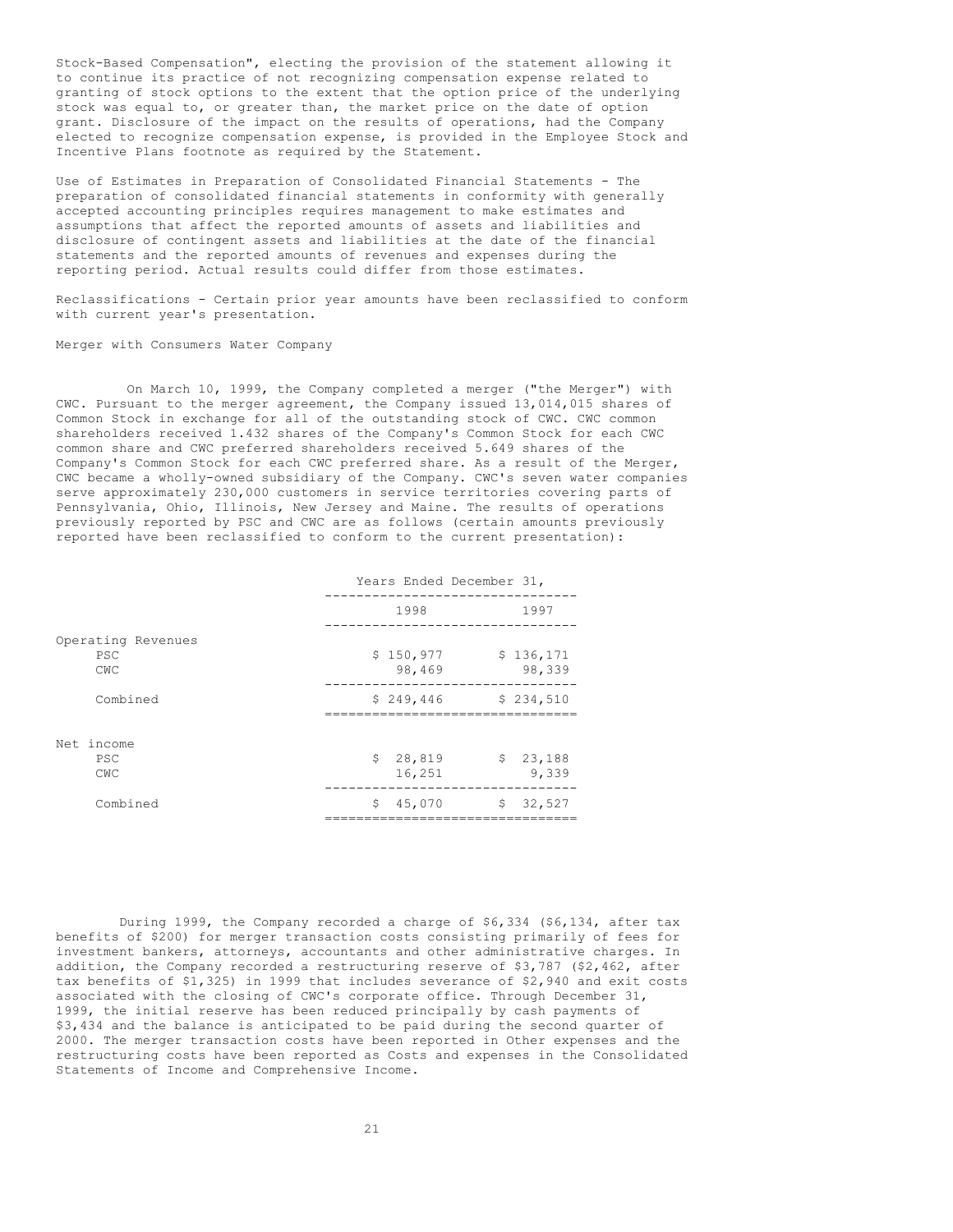Stock-Based Compensation", electing the provision of the statement allowing it to continue its practice of not recognizing compensation expense related to granting of stock options to the extent that the option price of the underlying stock was equal to, or greater than, the market price on the date of option grant. Disclosure of the impact on the results of operations, had the Company elected to recognize compensation expense, is provided in the Employee Stock and Incentive Plans footnote as required by the Statement.

Use of Estimates in Preparation of Consolidated Financial Statements - The preparation of consolidated financial statements in conformity with generally accepted accounting principles requires management to make estimates and assumptions that affect the reported amounts of assets and liabilities and disclosure of contingent assets and liabilities at the date of the financial statements and the reported amounts of revenues and expenses during the reporting period. Actual results could differ from those estimates.

Reclassifications - Certain prior year amounts have been reclassified to conform with current year's presentation.

Merger with Consumers Water Company

On March 10, 1999, the Company completed a merger ("the Merger") with CWC. Pursuant to the merger agreement, the Company issued 13,014,015 shares of Common Stock in exchange for all of the outstanding stock of CWC. CWC common shareholders received 1.432 shares of the Company's Common Stock for each CWC common share and CWC preferred shareholders received 5.649 shares of the Company's Common Stock for each CWC preferred share. As a result of the Merger, CWC became a wholly-owned subsidiary of the Company. CWC's seven water companies serve approximately 230,000 customers in service territories covering parts of Pennsylvania, Ohio, Illinois, New Jersey and Maine. The results of operations previously reported by PSC and CWC are as follows (certain amounts previously reported have been reclassified to conform to the current presentation):

|                                                | Years Ended December 31, |                     |  |  |
|------------------------------------------------|--------------------------|---------------------|--|--|
|                                                | 1998                     | 1997                |  |  |
| Operating Revenues<br><b>PSC</b><br><b>CWC</b> | \$150,977<br>98,469      | \$136,171<br>98,339 |  |  |
| Combined                                       | \$249,446                | \$234,510           |  |  |
| Net income<br><b>PSC</b><br><b>CWC</b>         | \$<br>28,819<br>16,251   | \$23,188<br>9,339   |  |  |
| Combined                                       | \$<br>45,070             | 32,527<br>\$        |  |  |

During 1999, the Company recorded a charge of \$6,334 (\$6,134, after tax benefits of \$200) for merger transaction costs consisting primarily of fees for investment bankers, attorneys, accountants and other administrative charges. In addition, the Company recorded a restructuring reserve of \$3,787 (\$2,462, after tax benefits of \$1,325) in 1999 that includes severance of \$2,940 and exit costs associated with the closing of CWC's corporate office. Through December 31, 1999, the initial reserve has been reduced principally by cash payments of \$3,434 and the balance is anticipated to be paid during the second quarter of 2000. The merger transaction costs have been reported in Other expenses and the restructuring costs have been reported as Costs and expenses in the Consolidated Statements of Income and Comprehensive Income.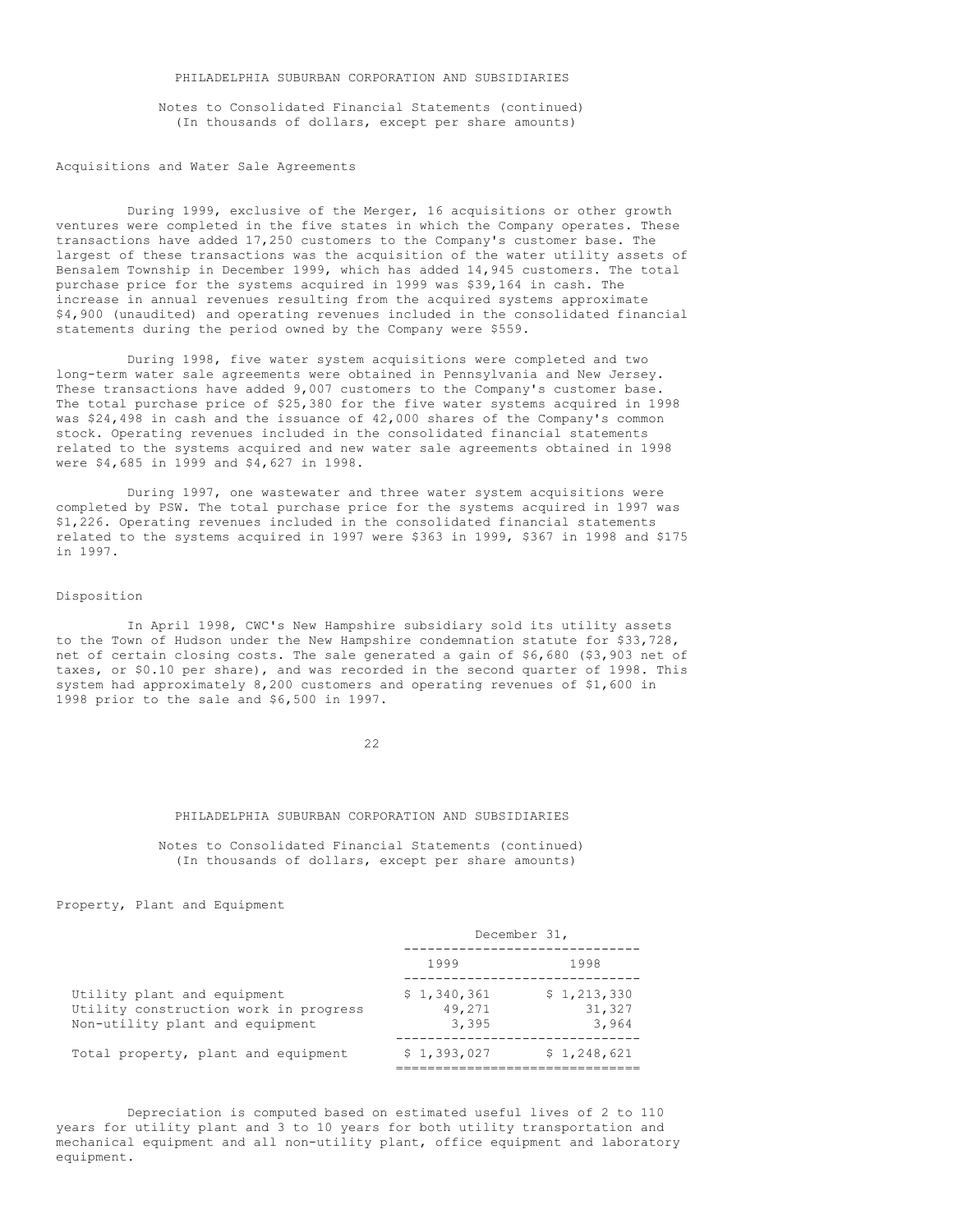Notes to Consolidated Financial Statements (continued) (In thousands of dollars, except per share amounts)

Acquisitions and Water Sale Agreements

During 1999, exclusive of the Merger, 16 acquisitions or other growth ventures were completed in the five states in which the Company operates. These transactions have added 17,250 customers to the Company's customer base. The largest of these transactions was the acquisition of the water utility assets of Bensalem Township in December 1999, which has added 14,945 customers. The total purchase price for the systems acquired in 1999 was \$39,164 in cash. The increase in annual revenues resulting from the acquired systems approximate \$4,900 (unaudited) and operating revenues included in the consolidated financial statements during the period owned by the Company were \$559.

During 1998, five water system acquisitions were completed and two long-term water sale agreements were obtained in Pennsylvania and New Jersey. These transactions have added 9,007 customers to the Company's customer base. The total purchase price of \$25,380 for the five water systems acquired in 1998 was \$24,498 in cash and the issuance of 42,000 shares of the Company's common stock. Operating revenues included in the consolidated financial statements related to the systems acquired and new water sale agreements obtained in 1998 were \$4,685 in 1999 and \$4,627 in 1998.

During 1997, one wastewater and three water system acquisitions were completed by PSW. The total purchase price for the systems acquired in 1997 was \$1,226. Operating revenues included in the consolidated financial statements related to the systems acquired in 1997 were \$363 in 1999, \$367 in 1998 and \$175 in 1997.

### Disposition

In April 1998, CWC's New Hampshire subsidiary sold its utility assets to the Town of Hudson under the New Hampshire condemnation statute for \$33,728, net of certain closing costs. The sale generated a gain of \$6,680 (\$3,903 net of taxes, or \$0.10 per share), and was recorded in the second quarter of 1998. This system had approximately 8,200 customers and operating revenues of \$1,600 in 1998 prior to the sale and \$6,500 in 1997.

 $22$ 

### PHILADELPHIA SUBURBAN CORPORATION AND SUBSIDIARIES

Notes to Consolidated Financial Statements (continued) (In thousands of dollars, except per share amounts)

Property, Plant and Equipment

|                                                                                                         | December 31,                   |                                |  |
|---------------------------------------------------------------------------------------------------------|--------------------------------|--------------------------------|--|
|                                                                                                         | 1999                           | 1998                           |  |
| Utility plant and equipment<br>Utility construction work in progress<br>Non-utility plant and equipment | \$1,340,361<br>49,271<br>3,395 | \$1,213,330<br>31,327<br>3,964 |  |
| Total property, plant and equipment                                                                     | \$1,393,027                    | \$1,248,621                    |  |

Depreciation is computed based on estimated useful lives of 2 to 110 years for utility plant and 3 to 10 years for both utility transportation and mechanical equipment and all non-utility plant, office equipment and laboratory equipment.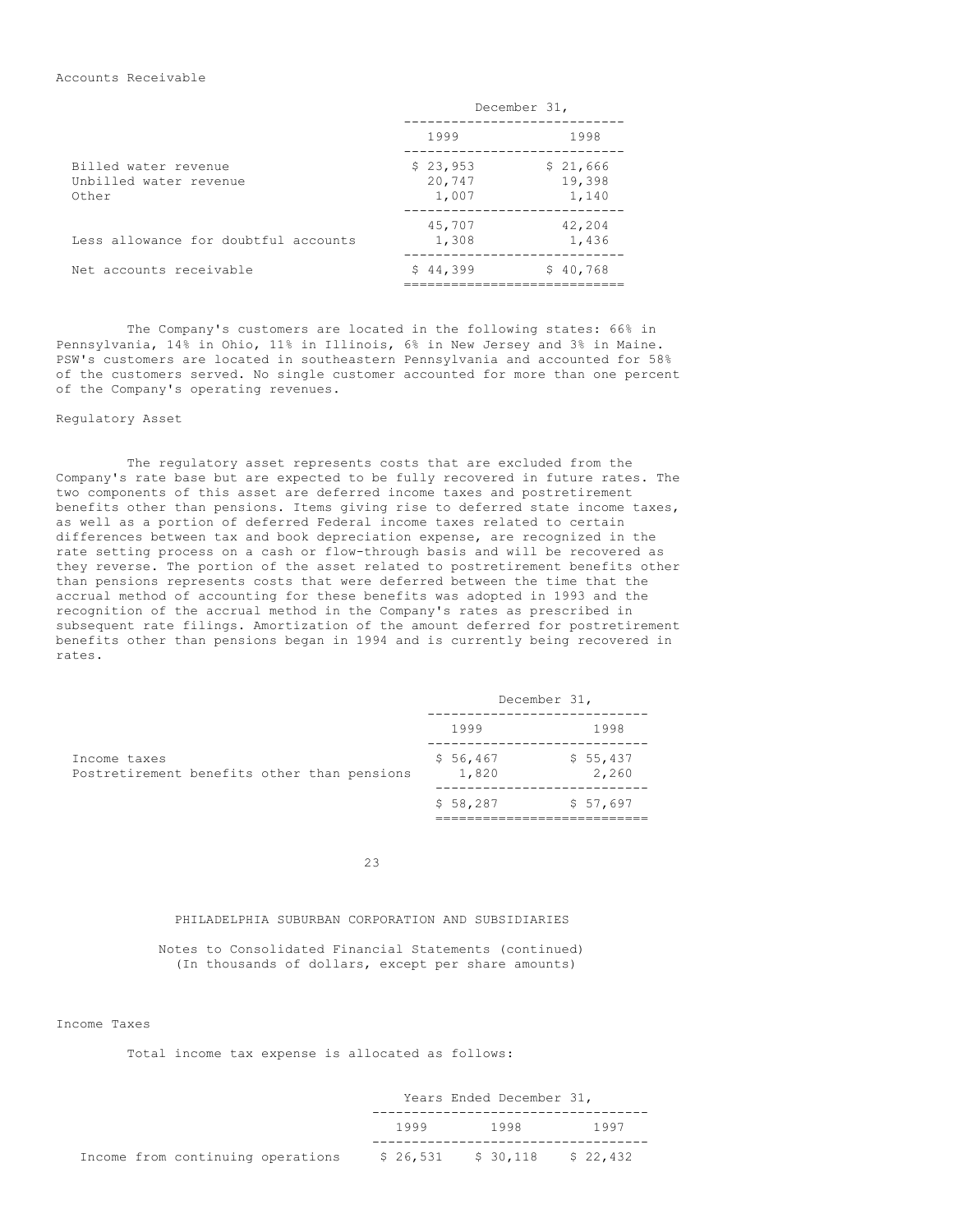|                                                         | December 31,                |                             |  |
|---------------------------------------------------------|-----------------------------|-----------------------------|--|
|                                                         | 1999                        | 1998                        |  |
| Billed water revenue<br>Unbilled water revenue<br>Other | \$23,953<br>20,747<br>1,007 | \$21,666<br>19,398<br>1,140 |  |
| Less allowance for doubtful accounts                    | 45,707<br>1,308             | 42,204<br>1,436             |  |
| Net accounts receivable                                 | \$44,399                    | \$40,768                    |  |

The Company's customers are located in the following states: 66% in Pennsylvania, 14% in Ohio, 11% in Illinois, 6% in New Jersey and 3% in Maine. PSW's customers are located in southeastern Pennsylvania and accounted for 58% of the customers served. No single customer accounted for more than one percent of the Company's operating revenues.

### Regulatory Asset

The regulatory asset represents costs that are excluded from the Company's rate base but are expected to be fully recovered in future rates. The two components of this asset are deferred income taxes and postretirement benefits other than pensions. Items giving rise to deferred state income taxes, as well as a portion of deferred Federal income taxes related to certain differences between tax and book depreciation expense, are recognized in the rate setting process on a cash or flow-through basis and will be recovered as they reverse. The portion of the asset related to postretirement benefits other than pensions represents costs that were deferred between the time that the accrual method of accounting for these benefits was adopted in 1993 and the recognition of the accrual method in the Company's rates as prescribed in subsequent rate filings. Amortization of the amount deferred for postretirement benefits other than pensions began in 1994 and is currently being recovered in rates.

|                                                             | December 31,      |                   |  |
|-------------------------------------------------------------|-------------------|-------------------|--|
|                                                             | 1999              | 1998              |  |
| Income taxes<br>Postretirement benefits other than pensions | \$56,467<br>1,820 | \$55,437<br>2,260 |  |
|                                                             | \$58,287          | \$57,697          |  |

23

# PHILADELPHIA SUBURBAN CORPORATION AND SUBSIDIARIES

Notes to Consolidated Financial Statements (continued) (In thousands of dollars, except per share amounts)

Income Taxes

Total income tax expense is allocated as follows:

|  |                                   |                               | Years Ended December 31, |      |
|--|-----------------------------------|-------------------------------|--------------------------|------|
|  |                                   | 1999                          | 1998                     | 1997 |
|  | Income from continuing operations | $$26,531$ $$30,118$ $$22,432$ |                          |      |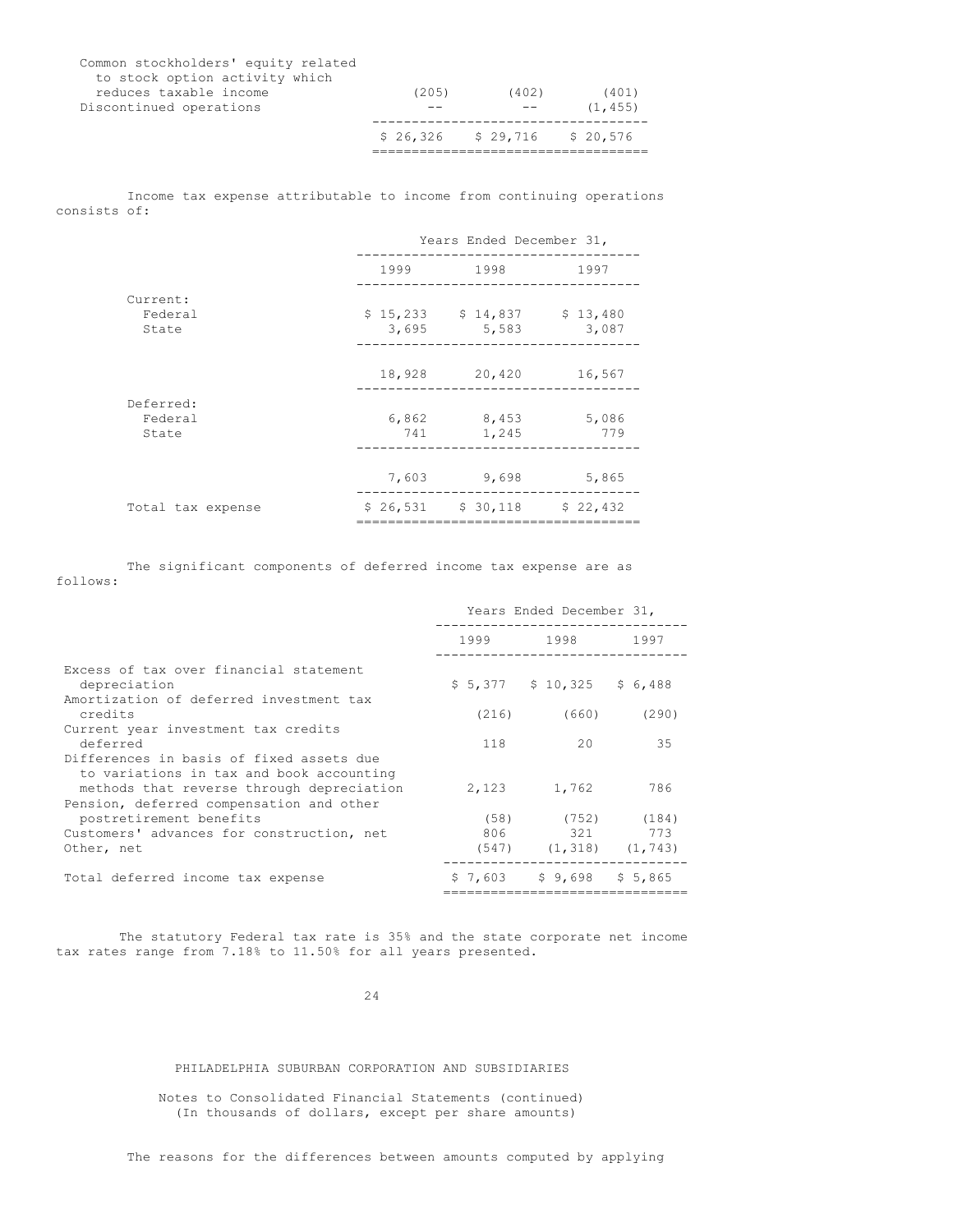| Common stockholders' equity related<br>to stock option activity which<br>reduces taxable income<br>Discontinued operations | (205) | (402)               | (401)<br>(1, 455) |
|----------------------------------------------------------------------------------------------------------------------------|-------|---------------------|-------------------|
|                                                                                                                            |       | $$26.326$ $$29.716$ | \$ 20,576         |

Income tax expense attributable to income from continuing operations consists of:

| Years Ended December 31,                                 |  |  |  |  |  |  |
|----------------------------------------------------------|--|--|--|--|--|--|
| 1999 1998<br>1997                                        |  |  |  |  |  |  |
|                                                          |  |  |  |  |  |  |
| $$15,233$ $$14,837$ $$13,480$<br>3,695<br>5,583<br>3,087 |  |  |  |  |  |  |
| 18,928 20,420<br>16,567                                  |  |  |  |  |  |  |
|                                                          |  |  |  |  |  |  |
| 6,862<br>8,453<br>5,086<br>741<br>1,245<br>779           |  |  |  |  |  |  |
| 7,603<br>9,698<br>5,865                                  |  |  |  |  |  |  |
| $$26,531 \t$30,118 \t$22,432$                            |  |  |  |  |  |  |
|                                                          |  |  |  |  |  |  |

The significant components of deferred income tax expense are as follows:

|                                                                                                                                   | Years Ended December 31, |                                      |       |  |
|-----------------------------------------------------------------------------------------------------------------------------------|--------------------------|--------------------------------------|-------|--|
|                                                                                                                                   |                          | 1999 1998 1997                       |       |  |
| Excess of tax over financial statement<br>depreciation                                                                            |                          | $$5,377$ $$10,325$ $$6,488$          |       |  |
| Amortization of deferred investment tax<br>credits                                                                                |                          | $(216)$ (660)                        | (290) |  |
| Current year investment tax credits<br>deferred                                                                                   | 118                      | 20                                   | 35    |  |
| Differences in basis of fixed assets due<br>to variations in tax and book accounting<br>methods that reverse through depreciation |                          | 2,123 1,762                          | 786   |  |
| Pension, deferred compensation and other                                                                                          |                          |                                      |       |  |
| postretirement benefits                                                                                                           |                          | $(58)$ $(752)$ $(184)$               |       |  |
| Customers' advances for construction, net<br>Other, net                                                                           | 806                      | 321<br>$(547)$ $(1, 318)$ $(1, 743)$ | 773   |  |
| Total deferred income tax expense                                                                                                 |                          | $$7,603$ $$9,698$ $$5,865$           |       |  |

The statutory Federal tax rate is 35% and the state corporate net income tax rates range from 7.18% to 11.50% for all years presented.

PHILADELPHIA SUBURBAN CORPORATION AND SUBSIDIARIES

Notes to Consolidated Financial Statements (continued) (In thousands of dollars, except per share amounts)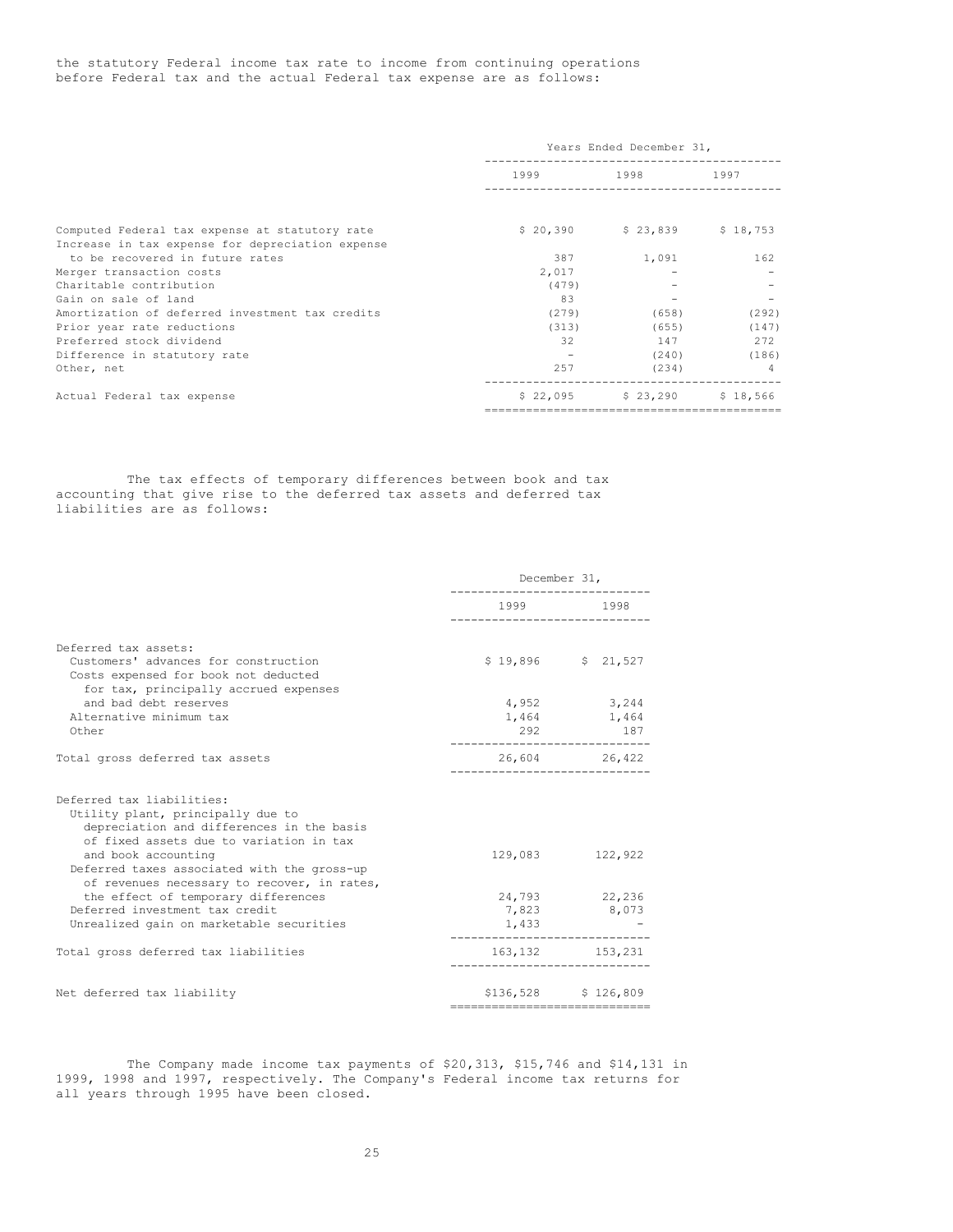# the statutory Federal income tax rate to income from continuing operations before Federal tax and the actual Federal tax expense are as follows:

|                                                  | Years Ended December 31, |          |                |  |  |
|--------------------------------------------------|--------------------------|----------|----------------|--|--|
|                                                  | 1999                     | 1998     | 1997           |  |  |
|                                                  |                          |          |                |  |  |
| Computed Federal tax expense at statutory rate   | \$20,390                 | \$23,839 | \$18,753       |  |  |
| Increase in tax expense for depreciation expense |                          |          |                |  |  |
| to be recovered in future rates                  | 387                      | 1,091    | 162            |  |  |
| Merger transaction costs                         | 2,017                    |          |                |  |  |
| Charitable contribution                          | (479)                    |          |                |  |  |
| Gain on sale of land                             | 83                       |          |                |  |  |
| Amortization of deferred investment tax credits  | (279)                    | (658)    | (292)          |  |  |
| Prior year rate reductions                       | (313)                    | (655)    | (147)          |  |  |
| Preferred stock dividend                         | 32                       | 147      | 272            |  |  |
| Difference in statutory rate                     |                          | (240)    | (186)          |  |  |
| Other, net                                       | 257                      | (234)    | $\overline{4}$ |  |  |
| Actual Federal tax expense                       | \$22,095                 | \$23,290 | \$18,566       |  |  |
|                                                  |                          |          |                |  |  |

The tax effects of temporary differences between book and tax accounting that give rise to the deferred tax assets and deferred tax liabilities are as follows:

|                                                                                                                       | December 31,                |                     |  |
|-----------------------------------------------------------------------------------------------------------------------|-----------------------------|---------------------|--|
|                                                                                                                       |                             | 1999 1998           |  |
| Deferred tax assets:                                                                                                  |                             |                     |  |
| Customers' advances for construction<br>Costs expensed for book not deducted<br>for tax, principally accrued expenses |                             | $$19,896$ $$21,527$ |  |
| and bad debt reserves                                                                                                 |                             | 4,952 3,244         |  |
| Alternative minimum tax                                                                                               |                             | 1,464 1,464         |  |
| Other                                                                                                                 |                             | 292 187             |  |
| Total gross deferred tax assets                                                                                       |                             | 26,604 26,422       |  |
| Deferred tax liabilities:<br>Utility plant, principally due to<br>depreciation and differences in the basis           |                             |                     |  |
| of fixed assets due to variation in tax                                                                               |                             |                     |  |
| and book accounting                                                                                                   |                             | 129,083 122,922     |  |
| Deferred taxes associated with the gross-up<br>of revenues necessary to recover, in rates,                            |                             |                     |  |
| the effect of temporary differences                                                                                   |                             | 24,793 22,236       |  |
| Deferred investment tax credit                                                                                        |                             | 7,823 8,073         |  |
| Unrealized gain on marketable securities                                                                              | 1,433                       |                     |  |
| Total gross deferred tax liabilities                                                                                  |                             | 163, 132 153, 231   |  |
| Net deferred tax liability                                                                                            | --------------------------- | \$136,528 \$126,809 |  |

The Company made income tax payments of \$20,313, \$15,746 and \$14,131 in 1999, 1998 and 1997, respectively. The Company's Federal income tax returns for all years through 1995 have been closed.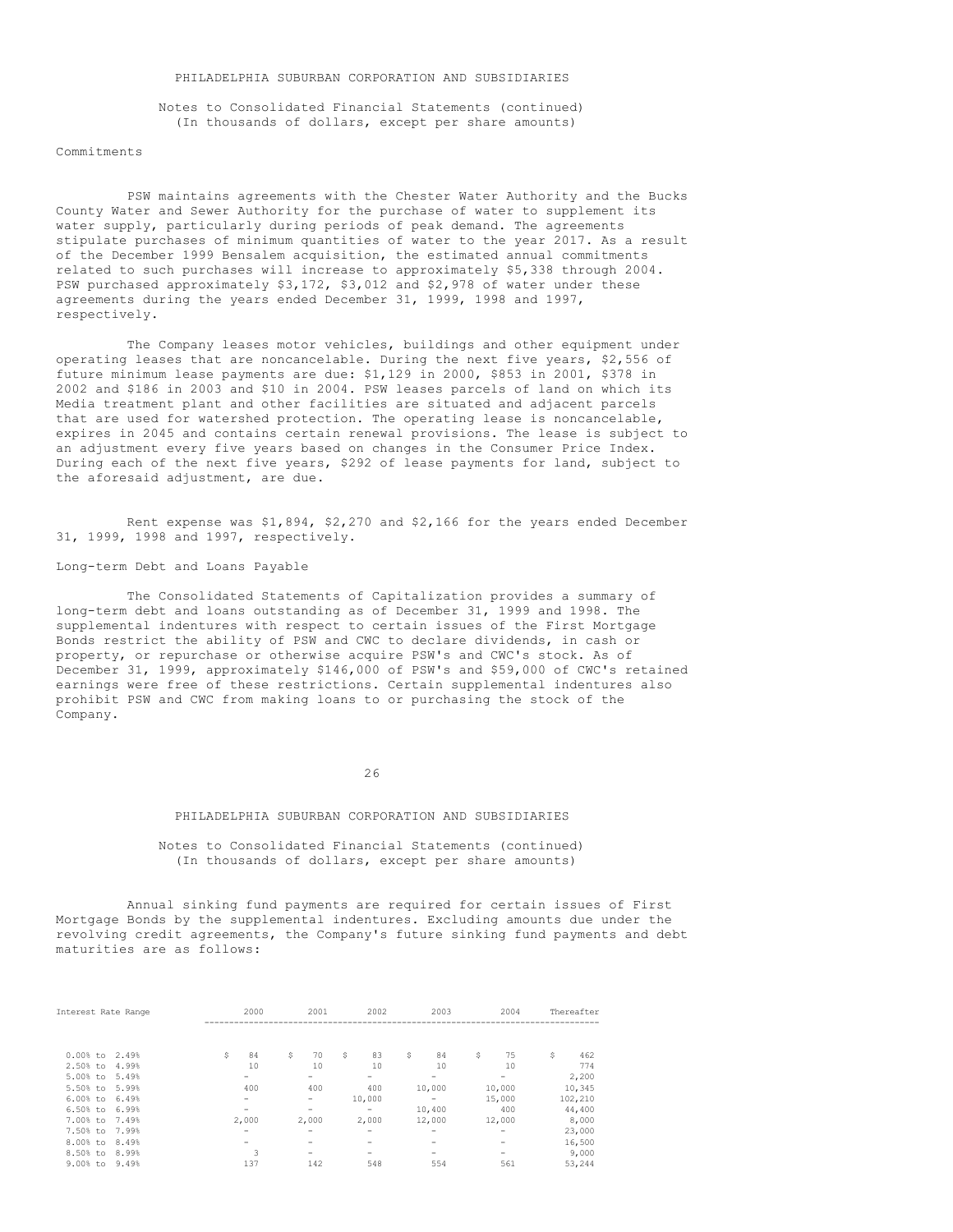Notes to Consolidated Financial Statements (continued) (In thousands of dollars, except per share amounts)

## Commitments

PSW maintains agreements with the Chester Water Authority and the Bucks County Water and Sewer Authority for the purchase of water to supplement its water supply, particularly during periods of peak demand. The agreements stipulate purchases of minimum quantities of water to the year 2017. As a result of the December 1999 Bensalem acquisition, the estimated annual commitments related to such purchases will increase to approximately \$5,338 through 2004. PSW purchased approximately \$3,172, \$3,012 and \$2,978 of water under these agreements during the years ended December 31, 1999, 1998 and 1997, respectively.

The Company leases motor vehicles, buildings and other equipment under operating leases that are noncancelable. During the next five years, \$2,556 of future minimum lease payments are due: \$1,129 in 2000, \$853 in 2001, \$378 in 2002 and \$186 in 2003 and \$10 in 2004. PSW leases parcels of land on which its Media treatment plant and other facilities are situated and adjacent parcels that are used for watershed protection. The operating lease is noncancelable, expires in 2045 and contains certain renewal provisions. The lease is subject to an adjustment every five years based on changes in the Consumer Price Index. During each of the next five years, \$292 of lease payments for land, subject to the aforesaid adjustment, are due.

Rent expense was \$1,894, \$2,270 and \$2,166 for the years ended December 31, 1999, 1998 and 1997, respectively.

## Long-term Debt and Loans Payable

The Consolidated Statements of Capitalization provides a summary of long-term debt and loans outstanding as of December 31, 1999 and 1998. The supplemental indentures with respect to certain issues of the First Mortgage Bonds restrict the ability of PSW and CWC to declare dividends, in cash or property, or repurchase or otherwise acquire PSW's and CWC's stock. As of December 31, 1999, approximately \$146,000 of PSW's and \$59,000 of CWC's retained earnings were free of these restrictions. Certain supplemental indentures also prohibit PSW and CWC from making loans to or purchasing the stock of the Company.

#### 26

### PHILADELPHIA SUBURBAN CORPORATION AND SUBSIDIARIES

## Notes to Consolidated Financial Statements (continued) (In thousands of dollars, except per share amounts)

Annual sinking fund payments are required for certain issues of First Mortgage Bonds by the supplemental indentures. Excluding amounts due under the revolving credit agreements, the Company's future sinking fund payments and debt maturities are as follows:

| Interest Rate Range |   | 2000  | 2001     |   | 2002   | 2003                     |   | 2004   | Thereafter |
|---------------------|---|-------|----------|---|--------|--------------------------|---|--------|------------|
|                     |   |       |          |   |        |                          |   |        |            |
| $0.00%$ to<br>2.49% | s | 84    | \$<br>70 | S | 83     | \$<br>84                 | S | 75     | \$<br>462  |
| 2.50% to<br>4.99%   |   | 10    | 10       |   | 10     | 10                       |   | 10     | 774        |
| 5.00% to<br>5.49%   |   | -     |          |   |        |                          |   |        | 2,200      |
| 5.50% to<br>5.99%   |   | 400   | 400      |   | 400    | 10,000                   |   | 10,000 | 10,345     |
| $6.00%$ to<br>6.49% |   | -     | -        |   | 10,000 |                          |   | 15,000 | 102,210    |
| $6.50%$ to<br>6.99% |   |       |          |   | -      | 10,400                   |   | 400    | 44,400     |
| 7.00% to<br>7.49%   |   | 2,000 | 2,000    |   | 2,000  | 12,000                   |   | 12,000 | 8,000      |
| 7.50% to<br>7.99%   |   | -     |          |   |        |                          |   | -      | 23,000     |
| 8.00% to<br>8.49%   |   |       |          |   |        |                          |   | -      | 16,500     |
| 8.50% to<br>8.99%   |   | 3     | -        |   | -      | $\overline{\phantom{0}}$ |   | -      | 9,000      |
| $9.00%$ to<br>9.49% |   | 137   | 142      |   | 548    | 554                      |   | 561    | 53,244     |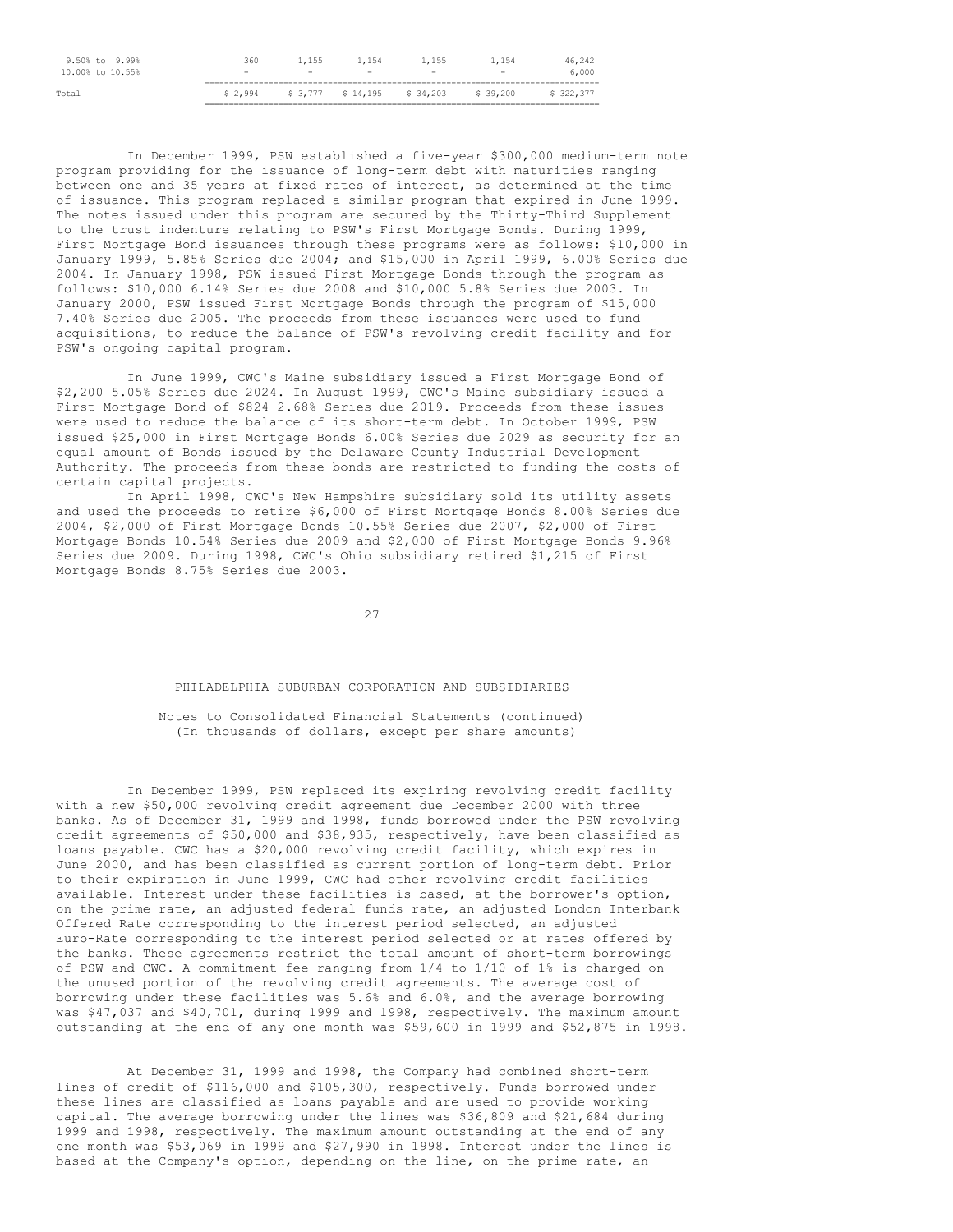| 9.50% to 9.99%   | 360     | 1,155                    | 1,154              | 1,155     | 1,154     | 46,242     |
|------------------|---------|--------------------------|--------------------|-----------|-----------|------------|
| 10.00% to 10.55% | -       | $\overline{\phantom{a}}$ | -                  | -         | -         | 6,000      |
| Total            | \$2.994 |                          | \$ 3,777 \$ 14,195 | \$ 34,203 | \$ 39,200 | \$ 322,377 |

In December 1999, PSW established a five-year \$300,000 medium-term note program providing for the issuance of long-term debt with maturities ranging between one and 35 years at fixed rates of interest, as determined at the time of issuance. This program replaced a similar program that expired in June 1999. The notes issued under this program are secured by the Thirty-Third Supplement to the trust indenture relating to PSW's First Mortgage Bonds. During 1999, First Mortgage Bond issuances through these programs were as follows: \$10,000 in January 1999, 5.85% Series due 2004; and \$15,000 in April 1999, 6.00% Series due 2004. In January 1998, PSW issued First Mortgage Bonds through the program as follows: \$10,000 6.14% Series due 2008 and \$10,000 5.8% Series due 2003. In January 2000, PSW issued First Mortgage Bonds through the program of \$15,000 7.40% Series due 2005. The proceeds from these issuances were used to fund acquisitions, to reduce the balance of PSW's revolving credit facility and for PSW's ongoing capital program.

In June 1999, CWC's Maine subsidiary issued a First Mortgage Bond of \$2,200 5.05% Series due 2024. In August 1999, CWC's Maine subsidiary issued a First Mortgage Bond of \$824 2.68% Series due 2019. Proceeds from these issues were used to reduce the balance of its short-term debt. In October 1999, PSW issued \$25,000 in First Mortgage Bonds 6.00% Series due 2029 as security for an equal amount of Bonds issued by the Delaware County Industrial Development Authority. The proceeds from these bonds are restricted to funding the costs of certain capital projects.

In April 1998, CWC's New Hampshire subsidiary sold its utility assets and used the proceeds to retire \$6,000 of First Mortgage Bonds 8.00% Series due 2004, \$2,000 of First Mortgage Bonds 10.55% Series due 2007, \$2,000 of First Mortgage Bonds 10.54% Series due 2009 and \$2,000 of First Mortgage Bonds 9.96% Series due 2009. During 1998, CWC's Ohio subsidiary retired \$1,215 of First Mortgage Bonds 8.75% Series due 2003.

 $27$ 

### PHILADELPHIA SUBURBAN CORPORATION AND SUBSIDIARIES

Notes to Consolidated Financial Statements (continued) (In thousands of dollars, except per share amounts)

In December 1999, PSW replaced its expiring revolving credit facility with a new \$50,000 revolving credit agreement due December 2000 with three banks. As of December 31, 1999 and 1998, funds borrowed under the PSW revolving credit agreements of \$50,000 and \$38,935, respectively, have been classified as loans payable. CWC has a \$20,000 revolving credit facility, which expires in June 2000, and has been classified as current portion of long-term debt. Prior to their expiration in June 1999, CWC had other revolving credit facilities available. Interest under these facilities is based, at the borrower's option, on the prime rate, an adjusted federal funds rate, an adjusted London Interbank Offered Rate corresponding to the interest period selected, an adjusted Euro-Rate corresponding to the interest period selected or at rates offered by the banks. These agreements restrict the total amount of short-term borrowings of PSW and CWC. A commitment fee ranging from 1/4 to 1/10 of 1% is charged on the unused portion of the revolving credit agreements. The average cost of borrowing under these facilities was 5.6% and 6.0%, and the average borrowing was \$47,037 and \$40,701, during 1999 and 1998, respectively. The maximum amount outstanding at the end of any one month was \$59,600 in 1999 and \$52,875 in 1998.

At December 31, 1999 and 1998, the Company had combined short-term lines of credit of \$116,000 and \$105,300, respectively. Funds borrowed under these lines are classified as loans payable and are used to provide working capital. The average borrowing under the lines was \$36,809 and \$21,684 during 1999 and 1998, respectively. The maximum amount outstanding at the end of any one month was \$53,069 in 1999 and \$27,990 in 1998. Interest under the lines is based at the Company's option, depending on the line, on the prime rate, an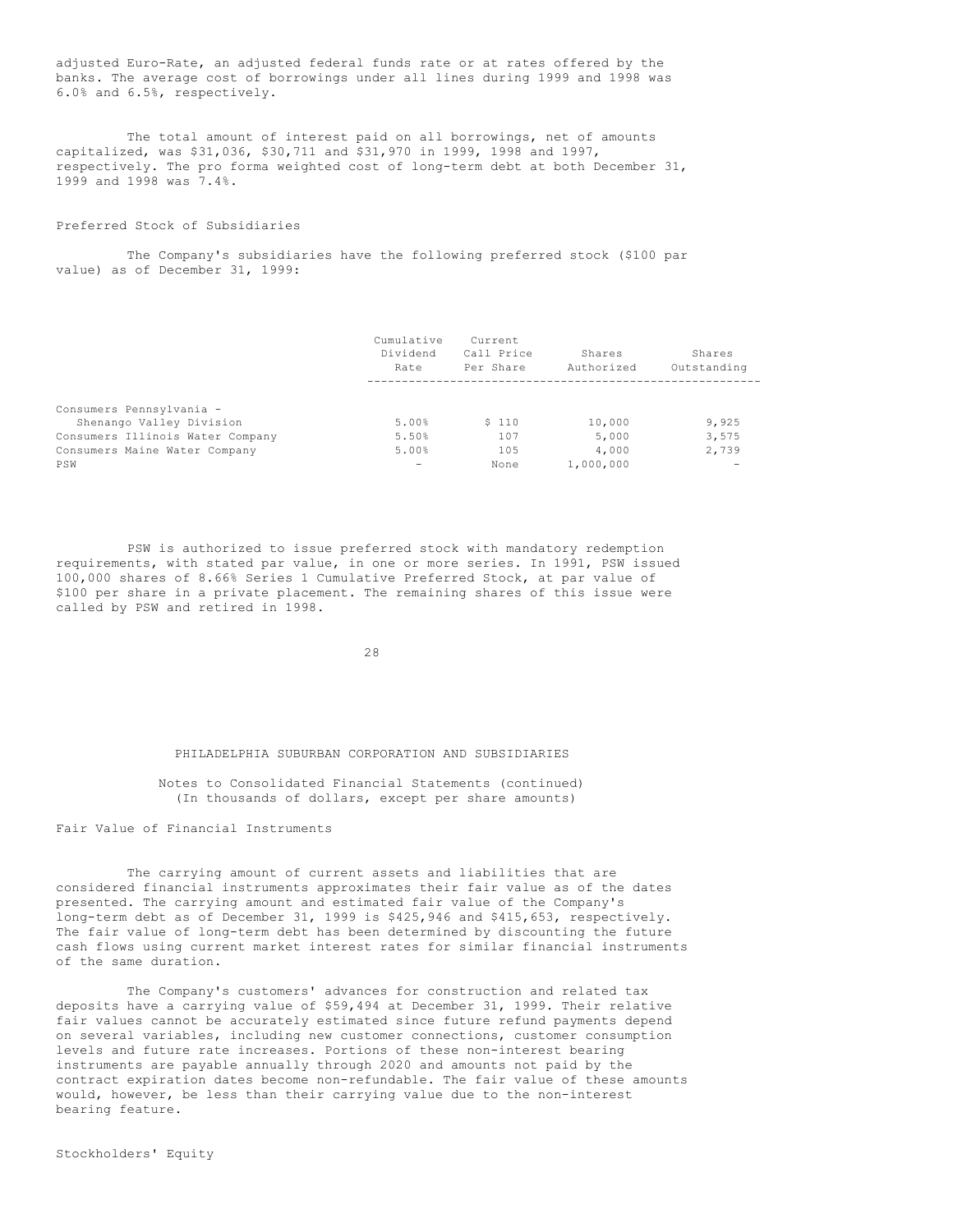adjusted Euro-Rate, an adjusted federal funds rate or at rates offered by the banks. The average cost of borrowings under all lines during 1999 and 1998 was 6.0% and 6.5%, respectively.

The total amount of interest paid on all borrowings, net of amounts capitalized, was \$31,036, \$30,711 and \$31,970 in 1999, 1998 and 1997, respectively. The pro forma weighted cost of long-term debt at both December 31, 1999 and 1998 was 7.4%.

Preferred Stock of Subsidiaries

The Company's subsidiaries have the following preferred stock (\$100 par value) as of December 31, 1999:

|                                  | Cumulative<br>Dividend<br>Rate | Current<br>Call Price<br>Per Share | Shares<br>Authorized | Shares<br>Outstanding |
|----------------------------------|--------------------------------|------------------------------------|----------------------|-----------------------|
| Consumers Pennsylvania -         |                                |                                    |                      |                       |
| Shenango Valley Division         | 5.00%                          | \$110                              | 10,000               | 9,925                 |
| Consumers Illinois Water Company | 5.50%                          | 107                                | 5,000                | 3,575                 |
| Consumers Maine Water Company    | 5.00%                          | 105                                | 4,000                | 2,739                 |
| PSW                              | $\overline{\phantom{a}}$       | None                               | 1,000,000            |                       |

PSW is authorized to issue preferred stock with mandatory redemption requirements, with stated par value, in one or more series. In 1991, PSW issued 100,000 shares of 8.66% Series 1 Cumulative Preferred Stock, at par value of \$100 per share in a private placement. The remaining shares of this issue were called by PSW and retired in 1998.

28

PHILADELPHIA SUBURBAN CORPORATION AND SUBSIDIARIES

Notes to Consolidated Financial Statements (continued) (In thousands of dollars, except per share amounts)

Fair Value of Financial Instruments

The carrying amount of current assets and liabilities that are considered financial instruments approximates their fair value as of the dates presented. The carrying amount and estimated fair value of the Company's long-term debt as of December 31, 1999 is \$425,946 and \$415,653, respectively. The fair value of long-term debt has been determined by discounting the future cash flows using current market interest rates for similar financial instruments of the same duration.

The Company's customers' advances for construction and related tax deposits have a carrying value of \$59,494 at December 31, 1999. Their relative fair values cannot be accurately estimated since future refund payments depend on several variables, including new customer connections, customer consumption levels and future rate increases. Portions of these non-interest bearing instruments are payable annually through 2020 and amounts not paid by the contract expiration dates become non-refundable. The fair value of these amounts would, however, be less than their carrying value due to the non-interest bearing feature.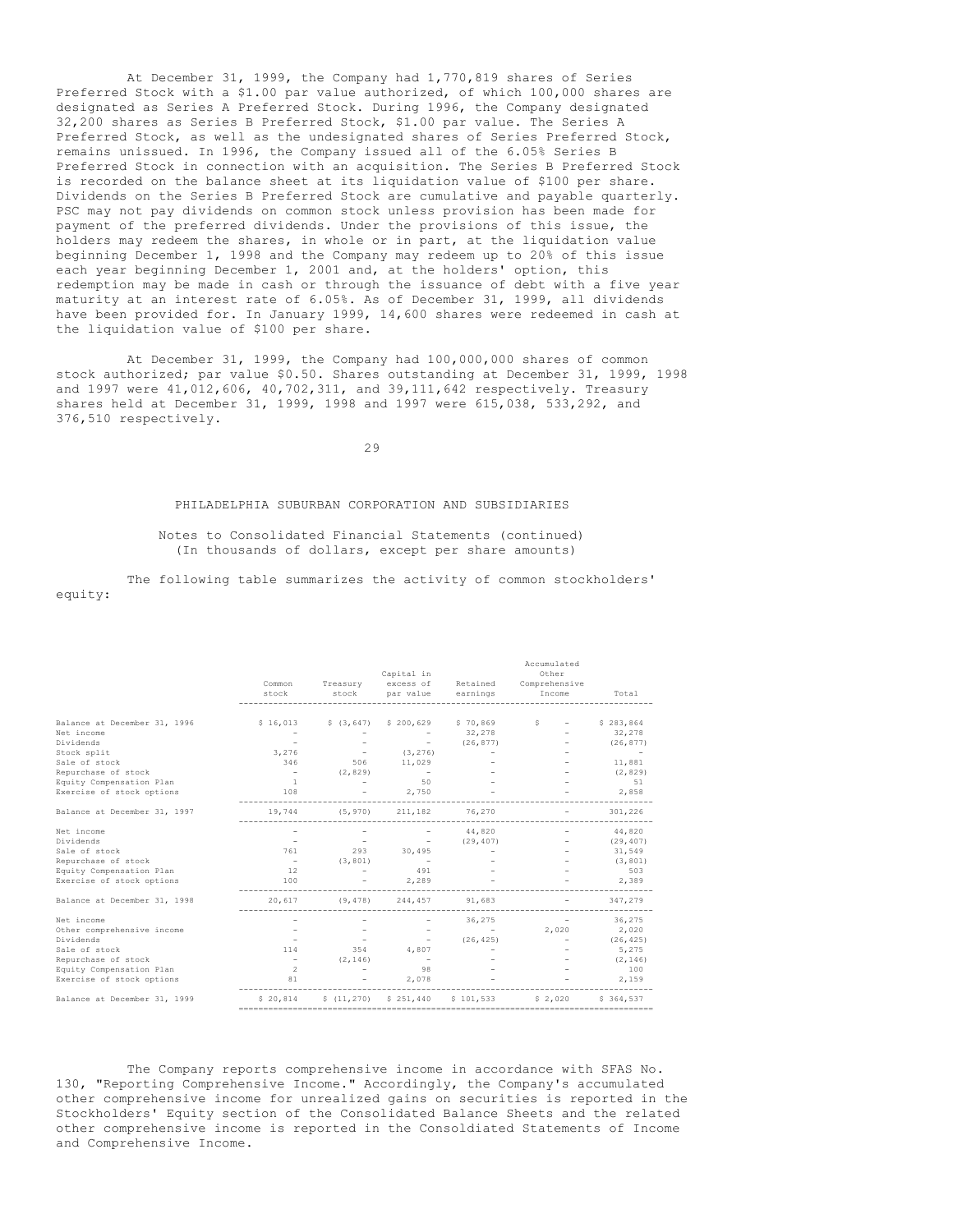At December 31, 1999, the Company had 1,770,819 shares of Series Preferred Stock with a \$1.00 par value authorized, of which 100,000 shares are designated as Series A Preferred Stock. During 1996, the Company designated 32,200 shares as Series B Preferred Stock, \$1.00 par value. The Series A Preferred Stock, as well as the undesignated shares of Series Preferred Stock, remains unissued. In 1996, the Company issued all of the 6.05% Series B Preferred Stock in connection with an acquisition. The Series B Preferred Stock is recorded on the balance sheet at its liquidation value of \$100 per share. Dividends on the Series B Preferred Stock are cumulative and payable quarterly. PSC may not pay dividends on common stock unless provision has been made for payment of the preferred dividends. Under the provisions of this issue, the holders may redeem the shares, in whole or in part, at the liquidation value beginning December 1, 1998 and the Company may redeem up to 20% of this issue each year beginning December 1, 2001 and, at the holders' option, this redemption may be made in cash or through the issuance of debt with a five year maturity at an interest rate of 6.05%. As of December 31, 1999, all dividends have been provided for. In January 1999, 14,600 shares were redeemed in cash at the liquidation value of \$100 per share.

At December 31, 1999, the Company had 100,000,000 shares of common stock authorized; par value \$0.50. Shares outstanding at December 31, 1999, 1998 and 1997 were 41,012,606, 40,702,311, and 39,111,642 respectively. Treasury shares held at December 31, 1999, 1998 and 1997 were 615,038, 533,292, and 376,510 respectively.

29

### PHILADELPHIA SUBURBAN CORPORATION AND SUBSIDIARIES

## Notes to Consolidated Financial Statements (continued) (In thousands of dollars, except per share amounts)

The following table summarizes the activity of common stockholders' equity:

|                              | Common<br>stock |          | Capital in<br>Treasury excess of<br>stock par value | Retained<br>earnings                 | Accumulated<br>Other<br>Comprehensive<br>Income | Total     |
|------------------------------|-----------------|----------|-----------------------------------------------------|--------------------------------------|-------------------------------------------------|-----------|
|                              |                 |          |                                                     |                                      |                                                 |           |
| Balance at December 31, 1996 | \$16,013        |          | $$(3, 647)$ $$200, 629$                             | \$70,869                             | S.                                              | \$283,864 |
| Net income                   |                 |          |                                                     | 32,278                               |                                                 | 32,278    |
| Dividends                    |                 |          |                                                     | (26, 877)                            |                                                 | (26, 877) |
| Stock split                  | 3.276           |          | (3, 276)                                            |                                      |                                                 |           |
| Sale of stock                | 346             | 506      | 11,029                                              |                                      |                                                 | 11,881    |
| Repurchase of stock          |                 | (2, 829) |                                                     |                                      |                                                 | (2, 829)  |
| Equity Compensation Plan     | $\sim$ 1        |          | 50                                                  |                                      |                                                 | 51        |
| Exercise of stock options    | 108             |          | 2,750                                               |                                      |                                                 | 2,858     |
| Balance at December 31, 1997 | 19,744          |          | $(5, 970)$ 211, 182 76, 270                         |                                      | $\overline{\phantom{0}}$                        | 301,226   |
| Net income                   |                 |          |                                                     | 44,820                               |                                                 | 44,820    |
| Dividends                    |                 |          |                                                     | (29.407)                             |                                                 | (29, 407) |
| Sale of stock                | 761             | 293      | 30,495                                              |                                      |                                                 | 31,549    |
| Repurchase of stock          | $\sim$          | (3, 801) | $\sim$ $\sim$                                       |                                      |                                                 | (3, 801)  |
| Equity Compensation Plan     | 12              |          | 491                                                 |                                      |                                                 | 503       |
| Exercise of stock options    | 100             |          | 2.289                                               |                                      |                                                 | 2,389     |
| Balance at December 31, 1998 | 20,617          | (9, 478) | 244,457                                             | 91,683                               |                                                 | 347.279   |
| Net income                   |                 |          |                                                     | 36.275                               |                                                 | 36,275    |
| Other comprehensive income   |                 |          |                                                     | $\overline{\phantom{a}}$             | 2.020                                           | 2,020     |
| Dividends                    |                 |          |                                                     | (26, 425)                            |                                                 | (26, 425) |
| Sale of stock                | 114             | 354      | 4,807                                               |                                      |                                                 | 5,275     |
| Repurchase of stock          |                 | (2, 146) | $\sim$                                              |                                      |                                                 | (2, 146)  |
| Equity Compensation Plan     | 2               |          | 98                                                  |                                      |                                                 | 100       |
| Exercise of stock options    | 81              |          | 2.078                                               |                                      |                                                 | 2,159     |
| Balance at December 31, 1999 | \$20.814        |          |                                                     | $$(11, 270)$ $$251, 440$ $$101, 533$ | \$2.020                                         | \$364.537 |

The Company reports comprehensive income in accordance with SFAS No. 130, "Reporting Comprehensive Income." Accordingly, the Company's accumulated other comprehensive income for unrealized gains on securities is reported in the Stockholders' Equity section of the Consolidated Balance Sheets and the related other comprehensive income is reported in the Consoldiated Statements of Income and Comprehensive Income.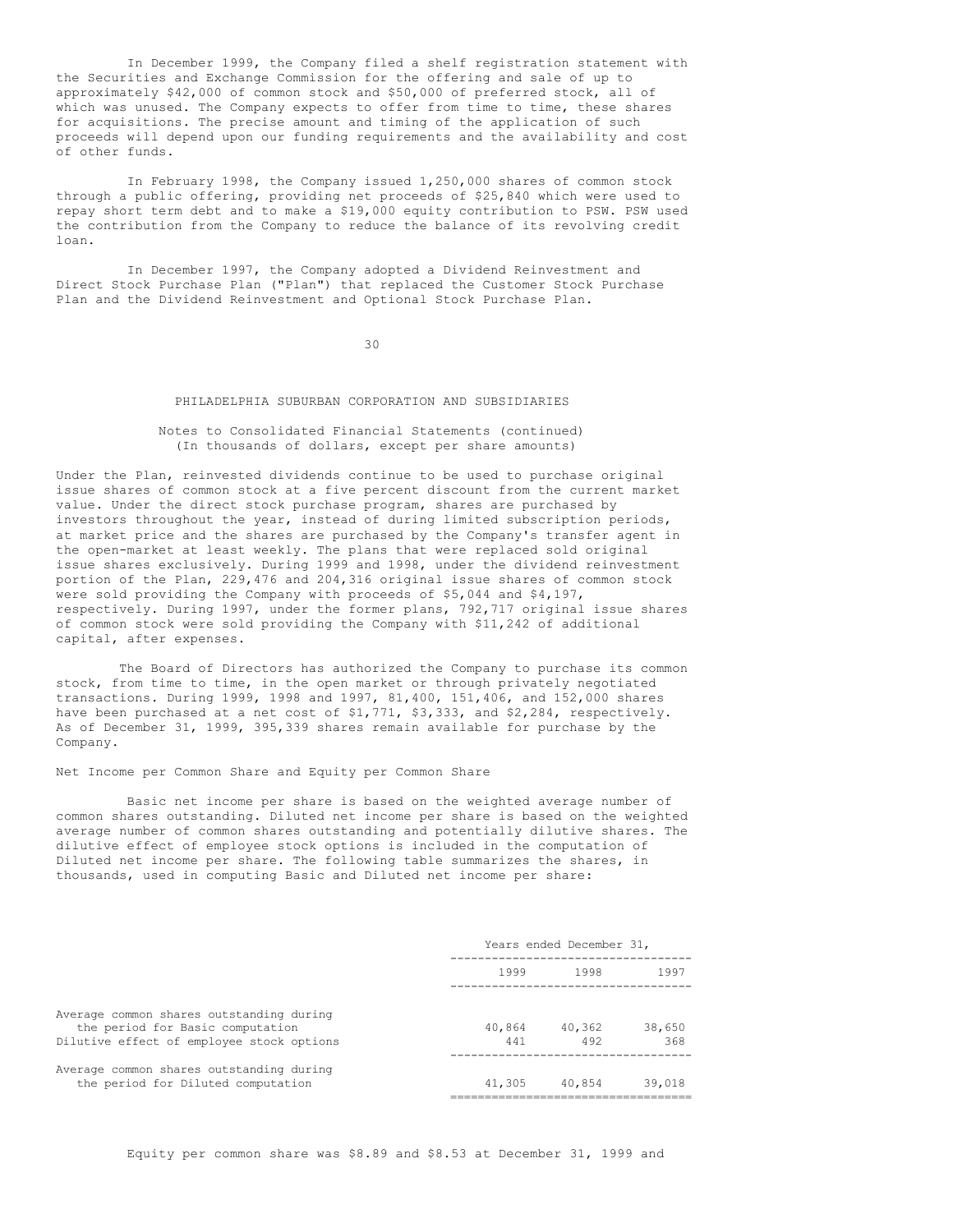In December 1999, the Company filed a shelf registration statement with the Securities and Exchange Commission for the offering and sale of up to approximately \$42,000 of common stock and \$50,000 of preferred stock, all of which was unused. The Company expects to offer from time to time, these shares for acquisitions. The precise amount and timing of the application of such proceeds will depend upon our funding requirements and the availability and cost of other funds.

In February 1998, the Company issued 1,250,000 shares of common stock through a public offering, providing net proceeds of \$25,840 which were used to repay short term debt and to make a \$19,000 equity contribution to PSW. PSW used the contribution from the Company to reduce the balance of its revolving credit loan.

In December 1997, the Company adopted a Dividend Reinvestment and Direct Stock Purchase Plan ("Plan") that replaced the Customer Stock Purchase Plan and the Dividend Reinvestment and Optional Stock Purchase Plan.

30

### PHILADELPHIA SUBURBAN CORPORATION AND SUBSIDIARIES

## Notes to Consolidated Financial Statements (continued) (In thousands of dollars, except per share amounts)

Under the Plan, reinvested dividends continue to be used to purchase original issue shares of common stock at a five percent discount from the current market value. Under the direct stock purchase program, shares are purchased by investors throughout the year, instead of during limited subscription periods, at market price and the shares are purchased by the Company's transfer agent in the open-market at least weekly. The plans that were replaced sold original issue shares exclusively. During 1999 and 1998, under the dividend reinvestment portion of the Plan, 229,476 and 204,316 original issue shares of common stock were sold providing the Company with proceeds of \$5,044 and \$4,197, respectively. During 1997, under the former plans, 792,717 original issue shares of common stock were sold providing the Company with \$11,242 of additional capital, after expenses.

The Board of Directors has authorized the Company to purchase its common stock, from time to time, in the open market or through privately negotiated transactions. During 1999, 1998 and 1997, 81,400, 151,406, and 152,000 shares have been purchased at a net cost of \$1,771, \$3,333, and \$2,284, respectively. As of December 31, 1999, 395,339 shares remain available for purchase by the Company.

Net Income per Common Share and Equity per Common Share

Basic net income per share is based on the weighted average number of common shares outstanding. Diluted net income per share is based on the weighted average number of common shares outstanding and potentially dilutive shares. The dilutive effect of employee stock options is included in the computation of Diluted net income per share. The following table summarizes the shares, in thousands, used in computing Basic and Diluted net income per share:

|                                                                                                                           | Years ended December 31, |               |               |  |
|---------------------------------------------------------------------------------------------------------------------------|--------------------------|---------------|---------------|--|
|                                                                                                                           | 1999                     | 1998          | 1997          |  |
| Average common shares outstanding during<br>the period for Basic computation<br>Dilutive effect of employee stock options | 40.864<br>441            | 40.362<br>492 | 38,650<br>368 |  |
| Average common shares outstanding during<br>the period for Diluted computation                                            | 41,305                   | 40,854        | 39,018        |  |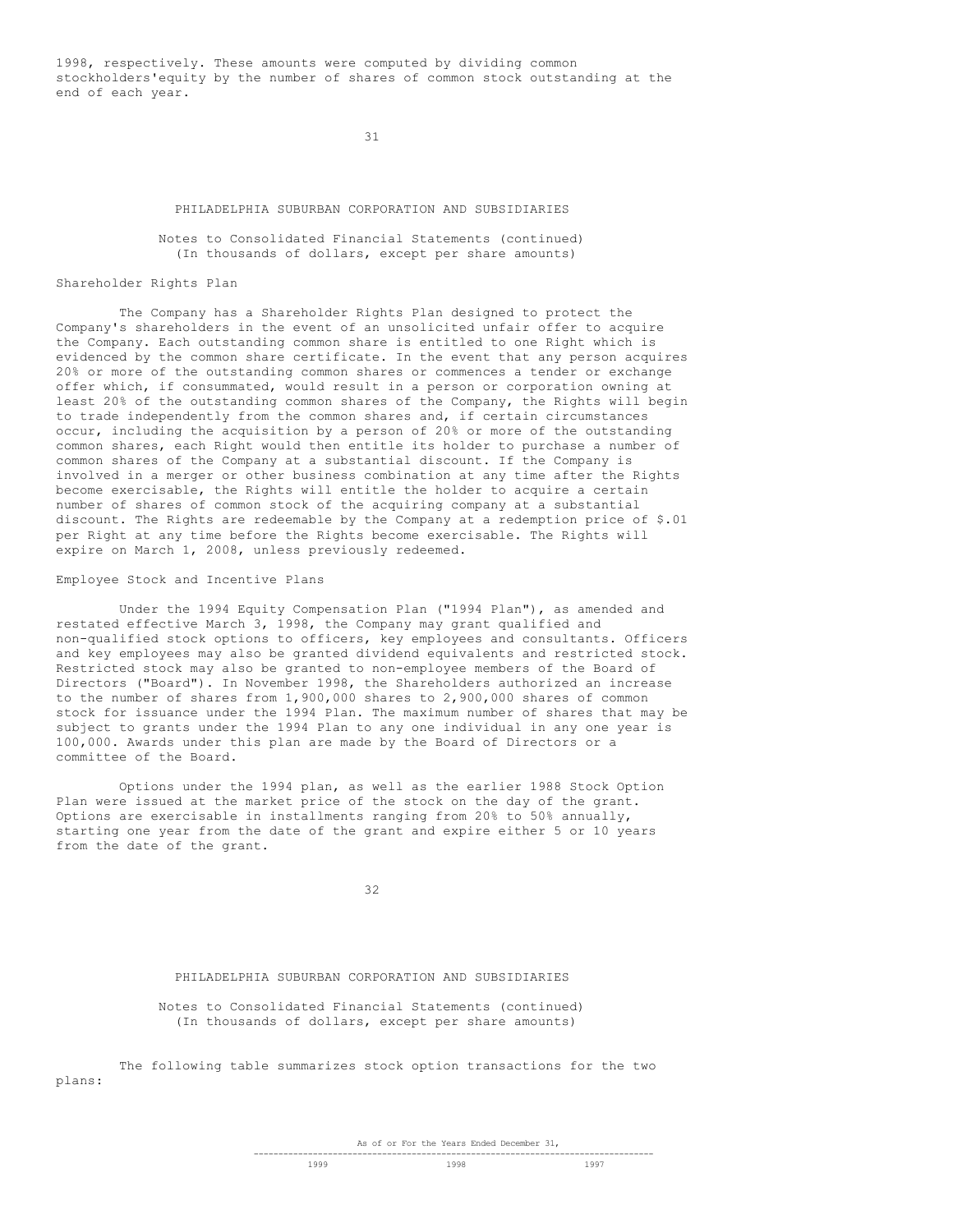1998, respectively. These amounts were computed by dividing common stockholders'equity by the number of shares of common stock outstanding at the end of each year.

31

### PHILADELPHIA SUBURBAN CORPORATION AND SUBSIDIARIES

## Notes to Consolidated Financial Statements (continued) (In thousands of dollars, except per share amounts)

### Shareholder Rights Plan

The Company has a Shareholder Rights Plan designed to protect the Company's shareholders in the event of an unsolicited unfair offer to acquire the Company. Each outstanding common share is entitled to one Right which is evidenced by the common share certificate. In the event that any person acquires 20% or more of the outstanding common shares or commences a tender or exchange offer which, if consummated, would result in a person or corporation owning at least 20% of the outstanding common shares of the Company, the Rights will begin to trade independently from the common shares and, if certain circumstances occur, including the acquisition by a person of 20% or more of the outstanding common shares, each Right would then entitle its holder to purchase a number of common shares of the Company at a substantial discount. If the Company is involved in a merger or other business combination at any time after the Rights become exercisable, the Rights will entitle the holder to acquire a certain number of shares of common stock of the acquiring company at a substantial discount. The Rights are redeemable by the Company at a redemption price of \$.01 per Right at any time before the Rights become exercisable. The Rights will expire on March 1, 2008, unless previously redeemed.

## Employee Stock and Incentive Plans

Under the 1994 Equity Compensation Plan ("1994 Plan"), as amended and restated effective March 3, 1998, the Company may grant qualified and non-qualified stock options to officers, key employees and consultants. Officers and key employees may also be granted dividend equivalents and restricted stock. Restricted stock may also be granted to non-employee members of the Board of Directors ("Board"). In November 1998, the Shareholders authorized an increase to the number of shares from 1,900,000 shares to 2,900,000 shares of common stock for issuance under the 1994 Plan. The maximum number of shares that may be subject to grants under the 1994 Plan to any one individual in any one year is 100,000. Awards under this plan are made by the Board of Directors or a committee of the Board.

Options under the 1994 plan, as well as the earlier 1988 Stock Option Plan were issued at the market price of the stock on the day of the grant. Options are exercisable in installments ranging from 20% to 50% annually, starting one year from the date of the grant and expire either 5 or 10 years from the date of the grant.

32

# PHILADELPHIA SUBURBAN CORPORATION AND SUBSIDIARIES

## Notes to Consolidated Financial Statements (continued) (In thousands of dollars, except per share amounts)

The following table summarizes stock option transactions for the two plans:

As of or For the Years Ended December 31,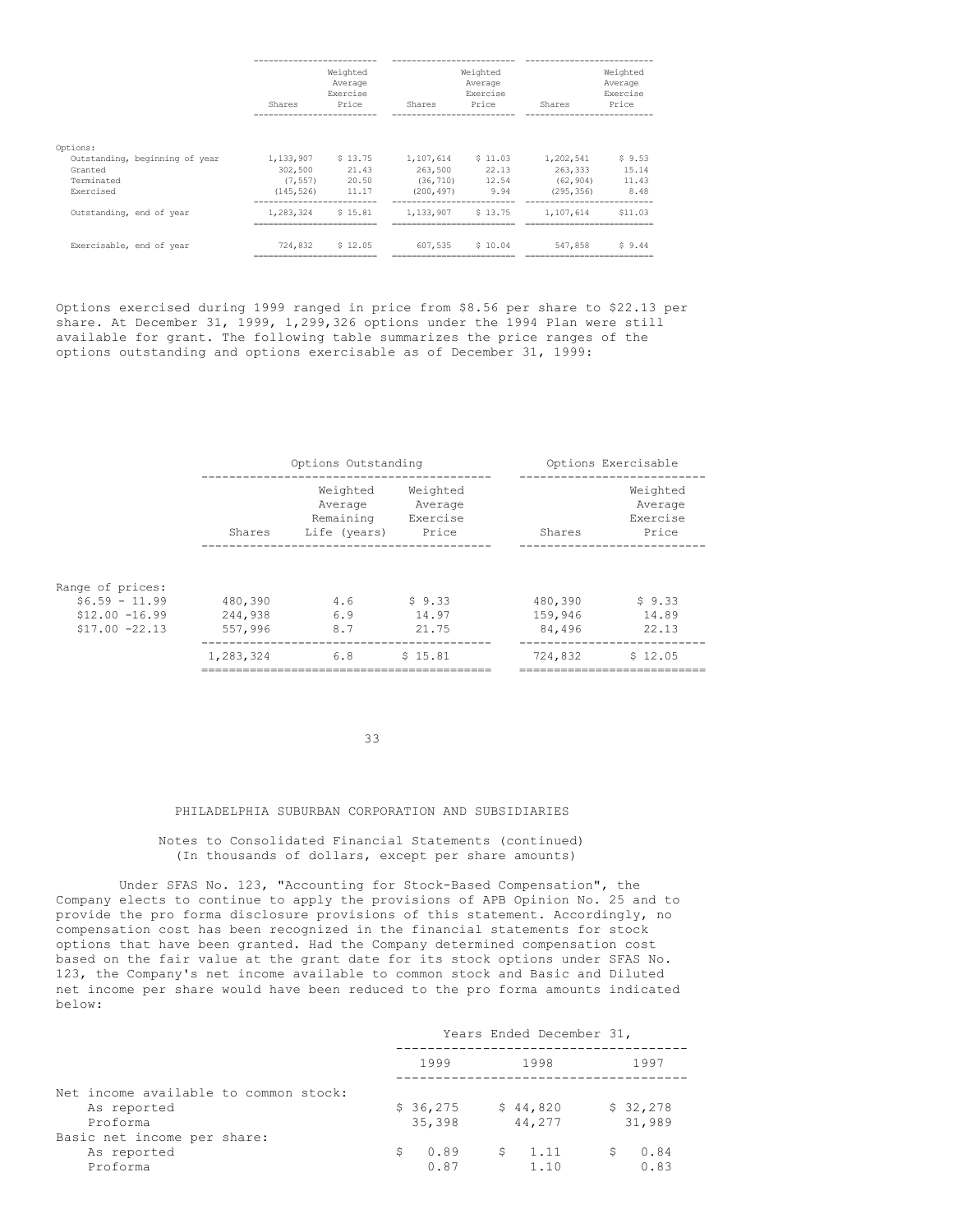|                                                                                  | Weighted<br>Average<br>Exercise                |                                    |                                                 | Weighted<br>Average<br>Exercise   |                                                 | Weighted<br>Average<br>Exercise  |
|----------------------------------------------------------------------------------|------------------------------------------------|------------------------------------|-------------------------------------------------|-----------------------------------|-------------------------------------------------|----------------------------------|
|                                                                                  | Shares                                         | Price                              | Shares                                          | Price                             | Shares                                          | Price                            |
| Options:<br>Outstanding, beginning of year<br>Granted<br>Terminated<br>Exercised | 1,133,907<br>302,500<br>(7, 557)<br>(145, 526) | \$13.75<br>21.43<br>20.50<br>11.17 | 1,107,614<br>263,500<br>(36, 710)<br>(200, 497) | \$11.03<br>22.13<br>12.54<br>9.94 | 1,202,541<br>263,333<br>(62, 904)<br>(295, 356) | \$9.53<br>15.14<br>11.43<br>8.48 |
| Outstanding, end of year                                                         | 1,283,324                                      | \$15.81                            | 1,133,907                                       | \$13.75                           | 1,107,614                                       | \$11.03                          |
| Exercisable, end of year                                                         | 724,832                                        | \$12.05                            | 607,535                                         | \$10.04                           | 547,858                                         | \$9.44                           |

Options exercised during 1999 ranged in price from \$8.56 per share to \$22.13 per share. At December 31, 1999, 1,299,326 options under the 1994 Plan were still available for grant. The following table summarizes the price ranges of the options outstanding and options exercisable as of December 31, 1999:

|                                                                           |                               | Options Outstanding                              |                                          | Options Exercisable          |                                          |  |
|---------------------------------------------------------------------------|-------------------------------|--------------------------------------------------|------------------------------------------|------------------------------|------------------------------------------|--|
|                                                                           | Shares                        | Weighted<br>Average<br>Remaining<br>Life (years) | Weighted<br>Average<br>Exercise<br>Price | Shares                       | Weighted<br>Average<br>Exercise<br>Price |  |
| Range of prices:<br>$$6.59 - 11.99$<br>$$12.00 -16.99$<br>$$17.00 -22.13$ | 480,390<br>244,938<br>557,996 | 4.6<br>6.9<br>8.7                                | \$9.33<br>14.97<br>21.75                 | 480,390<br>159,946<br>84,496 | \$9.33<br>14.89<br>22.13                 |  |
|                                                                           | 1,283,324                     | 6.8                                              | \$15.81                                  | 724,832                      | \$12.05                                  |  |

33

# PHILADELPHIA SUBURBAN CORPORATION AND SUBSIDIARIES

## Notes to Consolidated Financial Statements (continued) (In thousands of dollars, except per share amounts)

Under SFAS No. 123, "Accounting for Stock-Based Compensation", the Company elects to continue to apply the provisions of APB Opinion No. 25 and to provide the pro forma disclosure provisions of this statement. Accordingly, no compensation cost has been recognized in the financial statements for stock options that have been granted. Had the Company determined compensation cost based on the fair value at the grant date for its stock options under SFAS No. 123, the Company's net income available to common stock and Basic and Diluted net income per share would have been reduced to the pro forma amounts indicated below:

|                                       | Years Ended December 31, |          |  |          |   |          |
|---------------------------------------|--------------------------|----------|--|----------|---|----------|
|                                       |                          | 1999     |  | 1998     |   | 1997     |
| Net income available to common stock: |                          |          |  |          |   |          |
| As reported                           |                          | \$36,275 |  | \$44,820 |   | \$32,278 |
| Proforma                              |                          | 35,398   |  | 44,277   |   | 31,989   |
| Basic net income per share:           |                          |          |  |          |   |          |
| As reported                           | S                        | 0.89     |  | \$1.11   | S | 0.84     |
| Proforma                              |                          | 0.87     |  | 1.10     |   | 0.83     |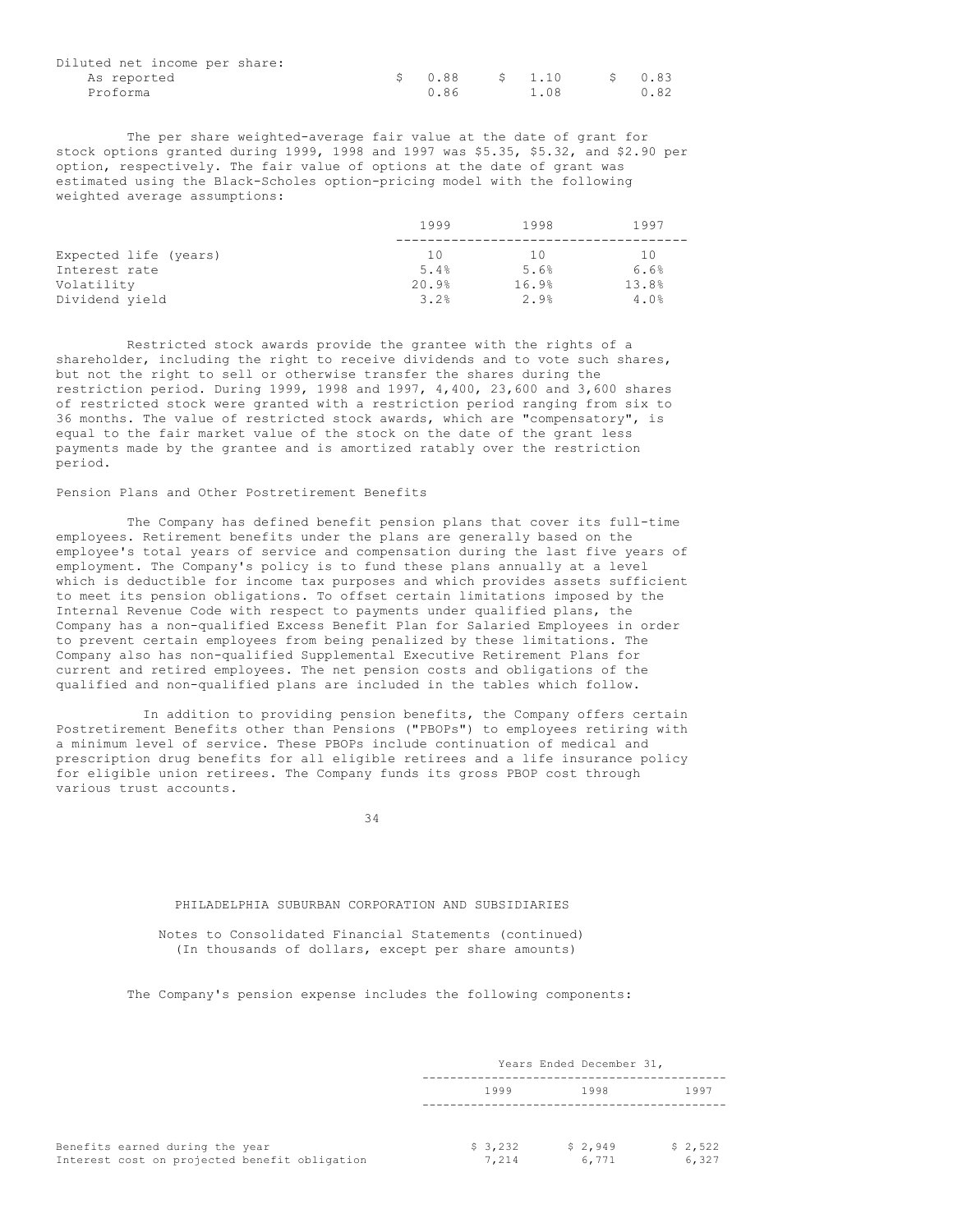| Diluted net income per share: |         |         |         |
|-------------------------------|---------|---------|---------|
| As reported                   | \$ 0.88 | \$ 1.10 | \$ 0.83 |
| Proforma                      | 0.86    | 1.08    | 0.82    |

The per share weighted-average fair value at the date of grant for stock options granted during 1999, 1998 and 1997 was \$5.35, \$5.32, and \$2.90 per option, respectively. The fair value of options at the date of grant was estimated using the Black-Scholes option-pricing model with the following weighted average assumptions:

|                       | 1999  | 1998  | 1997  |
|-----------------------|-------|-------|-------|
| Expected life (years) | 10    | 10    | 10    |
| Interest rate         | 5.4%  | 5.6%  | 6.6%  |
| Volatility            | 20.9% | 16.9% | 13.8% |
| Dividend vield        | 3.2%  | 2.9%  | 4.0%  |

Restricted stock awards provide the grantee with the rights of a shareholder, including the right to receive dividends and to vote such shares, but not the right to sell or otherwise transfer the shares during the restriction period. During 1999, 1998 and 1997, 4,400, 23,600 and 3,600 shares of restricted stock were granted with a restriction period ranging from six to 36 months. The value of restricted stock awards, which are "compensatory", is equal to the fair market value of the stock on the date of the grant less payments made by the grantee and is amortized ratably over the restriction period.

### Pension Plans and Other Postretirement Benefits

The Company has defined benefit pension plans that cover its full-time employees. Retirement benefits under the plans are generally based on the employee's total years of service and compensation during the last five years of employment. The Company's policy is to fund these plans annually at a level which is deductible for income tax purposes and which provides assets sufficient to meet its pension obligations. To offset certain limitations imposed by the Internal Revenue Code with respect to payments under qualified plans, the Company has a non-qualified Excess Benefit Plan for Salaried Employees in order to prevent certain employees from being penalized by these limitations. The Company also has non-qualified Supplemental Executive Retirement Plans for current and retired employees. The net pension costs and obligations of the qualified and non-qualified plans are included in the tables which follow.

In addition to providing pension benefits, the Company offers certain Postretirement Benefits other than Pensions ("PBOPs") to employees retiring with a minimum level of service. These PBOPs include continuation of medical and prescription drug benefits for all eligible retirees and a life insurance policy for eligible union retirees. The Company funds its gross PBOP cost through various trust accounts.

34

## PHILADELPHIA SUBURBAN CORPORATION AND SUBSIDIARIES

Notes to Consolidated Financial Statements (continued) (In thousands of dollars, except per share amounts)

The Company's pension expense includes the following components:

|                                               | Years Ended December 31, |         |         |  |  |
|-----------------------------------------------|--------------------------|---------|---------|--|--|
|                                               | 1999                     | 1998    | 1997    |  |  |
|                                               |                          |         |         |  |  |
| Benefits earned during the year               | \$ 3,232                 | \$2,949 | \$2,522 |  |  |
| Interest cost on projected benefit obligation | 7,214                    | 6,771   | 6,327   |  |  |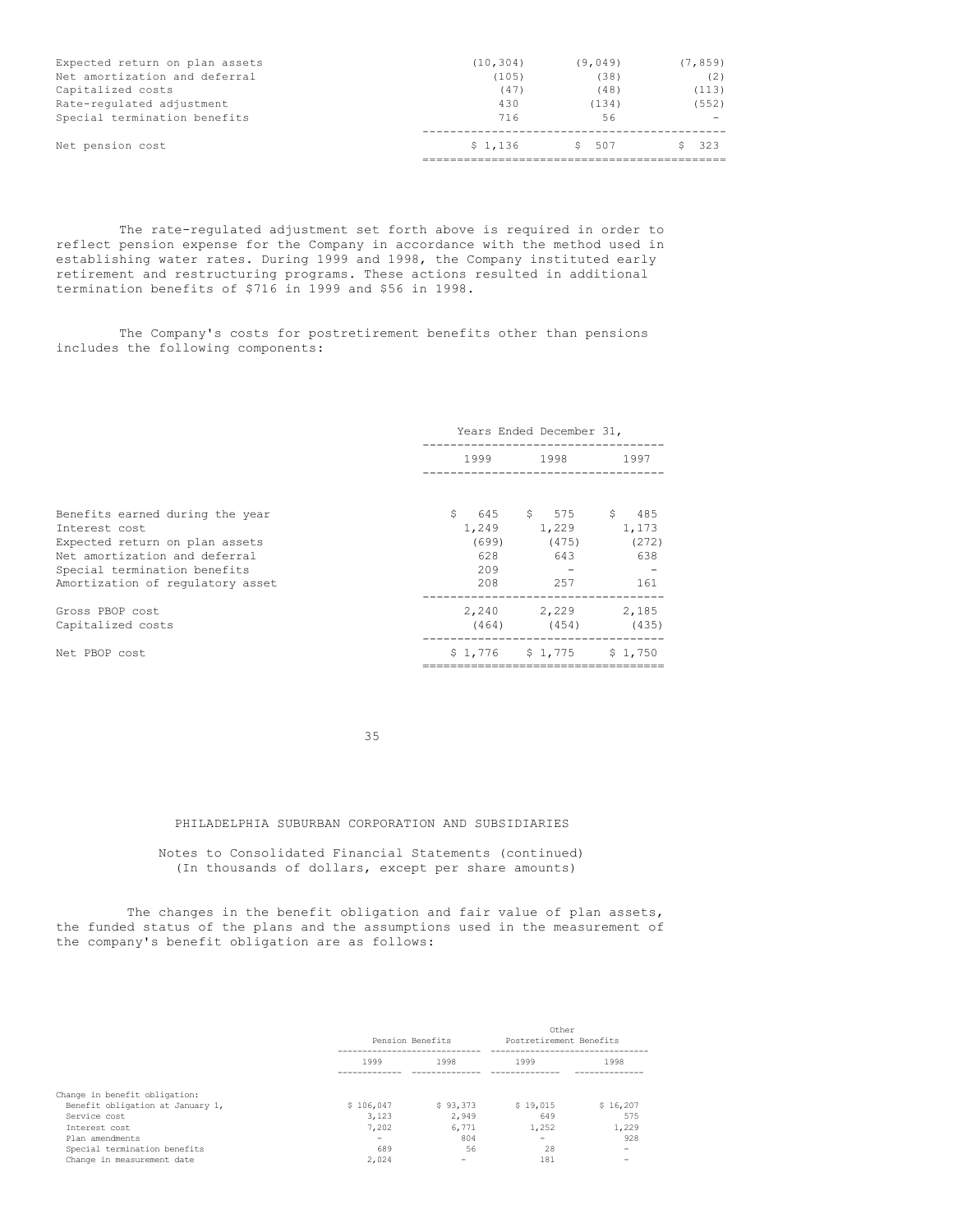| Expected return on plan assets | (10, 304) | (9,049) | (7, 859)                 |
|--------------------------------|-----------|---------|--------------------------|
| Net amortization and deferral  | (105)     | (38)    | (2)                      |
| Capitalized costs              | (47)      | (48)    | (113)                    |
| Rate-regulated adjustment      | 430       | (134)   | (552)                    |
| Special termination benefits   | 716       | 56      | $\overline{\phantom{0}}$ |
| Net pension cost               | \$1,136   | S 507   | \$323                    |
|                                |           |         |                          |

The rate-regulated adjustment set forth above is required in order to reflect pension expense for the Company in accordance with the method used in establishing water rates. During 1999 and 1998, the Company instituted early retirement and restructuring programs. These actions resulted in additional termination benefits of \$716 in 1999 and \$56 in 1998.

The Company's costs for postretirement benefits other than pensions includes the following components:

| Years Ended December 31, |       |                                                                                                              |  |  |
|--------------------------|-------|--------------------------------------------------------------------------------------------------------------|--|--|
|                          |       | 1997                                                                                                         |  |  |
|                          |       |                                                                                                              |  |  |
|                          |       | S.<br>485                                                                                                    |  |  |
|                          |       | 1,173                                                                                                        |  |  |
| (699)                    | (475) | (272)                                                                                                        |  |  |
| 628                      | 643   | 638                                                                                                          |  |  |
| 209                      |       |                                                                                                              |  |  |
| 208                      | 2.57  | 161                                                                                                          |  |  |
|                          |       |                                                                                                              |  |  |
|                          |       | (435)                                                                                                        |  |  |
|                          |       |                                                                                                              |  |  |
|                          | S.    | 1999 1998<br>645 \$ 575<br>1,249 1,229<br>2,240 2,229 2,185<br>$(464)$ $(454)$<br>$$1,776$ $$1,775$ $$1,750$ |  |  |

35

### PHILADELPHIA SUBURBAN CORPORATION AND SUBSIDIARIES

## Notes to Consolidated Financial Statements (continued) (In thousands of dollars, except per share amounts)

The changes in the benefit obligation and fair value of plan assets, the funded status of the plans and the assumptions used in the measurement of the company's benefit obligation are as follows:

|                                                  | Pension Benefits   |                   | Other<br>Postretirement Benefits |                 |  |
|--------------------------------------------------|--------------------|-------------------|----------------------------------|-----------------|--|
|                                                  | 1999               | 1998              |                                  | 1998            |  |
| Change in benefit obligation:                    |                    |                   |                                  |                 |  |
| Benefit obligation at January 1,<br>Service cost | \$106,047<br>3.123 | \$93,373<br>2.949 | \$19.015<br>649                  | \$16,207<br>575 |  |
| Interest cost                                    | 7,202              | 6.771             | 1,252                            | 1,229           |  |
| Plan amendments                                  | -                  | 804               | -                                | 928             |  |
| Special termination benefits                     | 689                | 56                | 28                               |                 |  |
| Change in measurement date                       | 2,024              | -                 | 181                              |                 |  |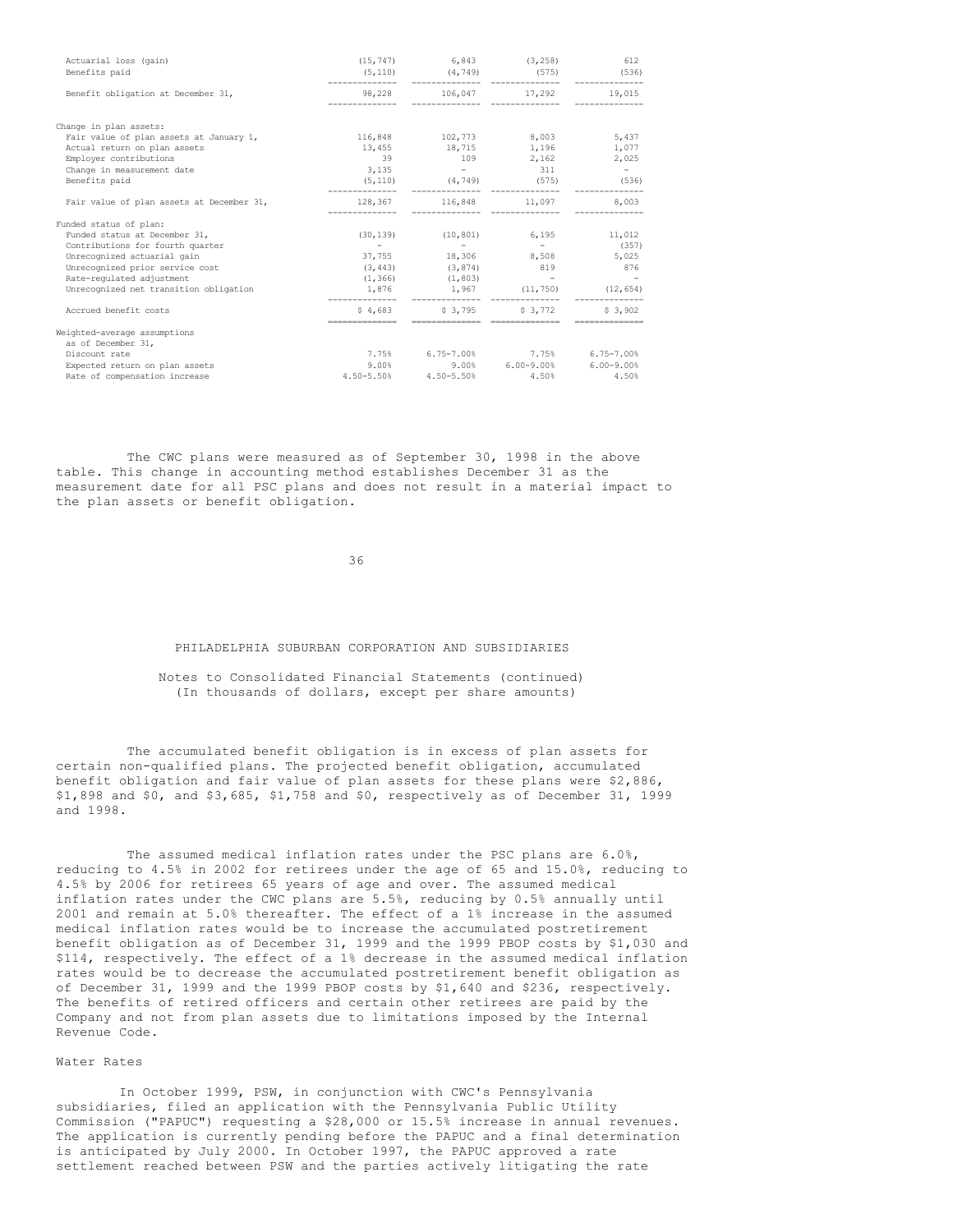| Actuarial loss (gain)<br>Benefits paid    |                          |                                 | $(15, 747)$ 6,843 $(3, 258)$<br>$(5, 110)$ $(4, 749)$ $(575)$ $(536)$ | 612                      |
|-------------------------------------------|--------------------------|---------------------------------|-----------------------------------------------------------------------|--------------------------|
| Benefit obligation at December 31,        |                          |                                 | 98,228 106,047 17,292 19,015                                          |                          |
| Change in plan assets:                    |                          |                                 |                                                                       |                          |
| Fair value of plan assets at January 1,   |                          |                                 | 116,848 102,773 8,003 5,437                                           |                          |
| Actual return on plan assets              |                          |                                 | 13,455 18,715 1,196 1,077                                             |                          |
| Employer contributions                    |                          |                                 | 39 109 2,162 2,025                                                    |                          |
| Change in measurement date                |                          | $3,135$ - 311                   |                                                                       | <b>Contract Contract</b> |
| Benefits paid                             |                          |                                 | $(5, 110)$ $(4, 749)$ $(575)$ $(536)$                                 |                          |
| Fair value of plan assets at December 31, | 128,367                  | --------------- --------------- | 116,848 11,097                                                        | 8,003                    |
| Funded status of plan:                    |                          |                                 |                                                                       |                          |
| Funded status at December 31,             |                          |                                 | $(30, 139)$ $(10, 801)$ $6, 195$ $11, 012$                            |                          |
| Contributions for fourth quarter          | <b>Contract Contract</b> | <b>Contract Contract</b>        | <b>Contract Contract</b>                                              | (357)                    |
| Unrecognized actuarial gain               |                          |                                 | 37.755 18.306 8.508                                                   | 5,025                    |
| Unrecognized prior service cost           |                          |                                 | $(3, 443)$ $(3, 874)$ 819 876                                         |                          |
| Rate-regulated adjustment                 |                          | $(1, 366)$ $(1, 803)$ $-$       |                                                                       |                          |
| Unrecognized net transition obligation    |                          |                                 | $1,876$ 1,967 (11,750) (12,654)                                       |                          |
| Accrued benefit costs                     |                          |                                 | $$4,683$ $$3,795$ $$3,772$                                            | \$3.902                  |
| Weighted-average assumptions              |                          |                                 |                                                                       |                          |
| as of December 31.                        |                          |                                 |                                                                       |                          |
| Discount rate                             |                          |                                 | $7.75\%$ 6.75-7.00% 7.75% 6.75-7.00%                                  |                          |
| Expected return on plan assets            | 9.00%                    |                                 | $9.00\%$ 6.00-9.00%                                                   | $6.00 - 9.00$            |
| Rate of compensation increase             |                          |                                 | $4.50-5.50\%$ $4.50-5.50\%$ $4.50\%$ $4.50\%$                         |                          |
|                                           |                          |                                 |                                                                       |                          |

The CWC plans were measured as of September 30, 1998 in the above table. This change in accounting method establishes December 31 as the measurement date for all PSC plans and does not result in a material impact to the plan assets or benefit obligation.

36

### PHILADELPHIA SUBURBAN CORPORATION AND SUBSIDIARIES

Notes to Consolidated Financial Statements (continued) (In thousands of dollars, except per share amounts)

The accumulated benefit obligation is in excess of plan assets for certain non-qualified plans. The projected benefit obligation, accumulated benefit obligation and fair value of plan assets for these plans were \$2,886, \$1,898 and \$0, and \$3,685, \$1,758 and \$0, respectively as of December 31, 1999 and 1998.

The assumed medical inflation rates under the PSC plans are 6.0%, reducing to 4.5% in 2002 for retirees under the age of 65 and 15.0%, reducing to 4.5% by 2006 for retirees 65 years of age and over. The assumed medical inflation rates under the CWC plans are 5.5%, reducing by 0.5% annually until 2001 and remain at 5.0% thereafter. The effect of a 1% increase in the assumed medical inflation rates would be to increase the accumulated postretirement benefit obligation as of December 31, 1999 and the 1999 PBOP costs by \$1,030 and \$114, respectively. The effect of a 1% decrease in the assumed medical inflation rates would be to decrease the accumulated postretirement benefit obligation as of December 31, 1999 and the 1999 PBOP costs by \$1,640 and \$236, respectively. The benefits of retired officers and certain other retirees are paid by the Company and not from plan assets due to limitations imposed by the Internal Revenue Code.

### Water Rates

In October 1999, PSW, in conjunction with CWC's Pennsylvania subsidiaries, filed an application with the Pennsylvania Public Utility Commission ("PAPUC") requesting a \$28,000 or 15.5% increase in annual revenues. The application is currently pending before the PAPUC and a final determination is anticipated by July 2000. In October 1997, the PAPUC approved a rate settlement reached between PSW and the parties actively litigating the rate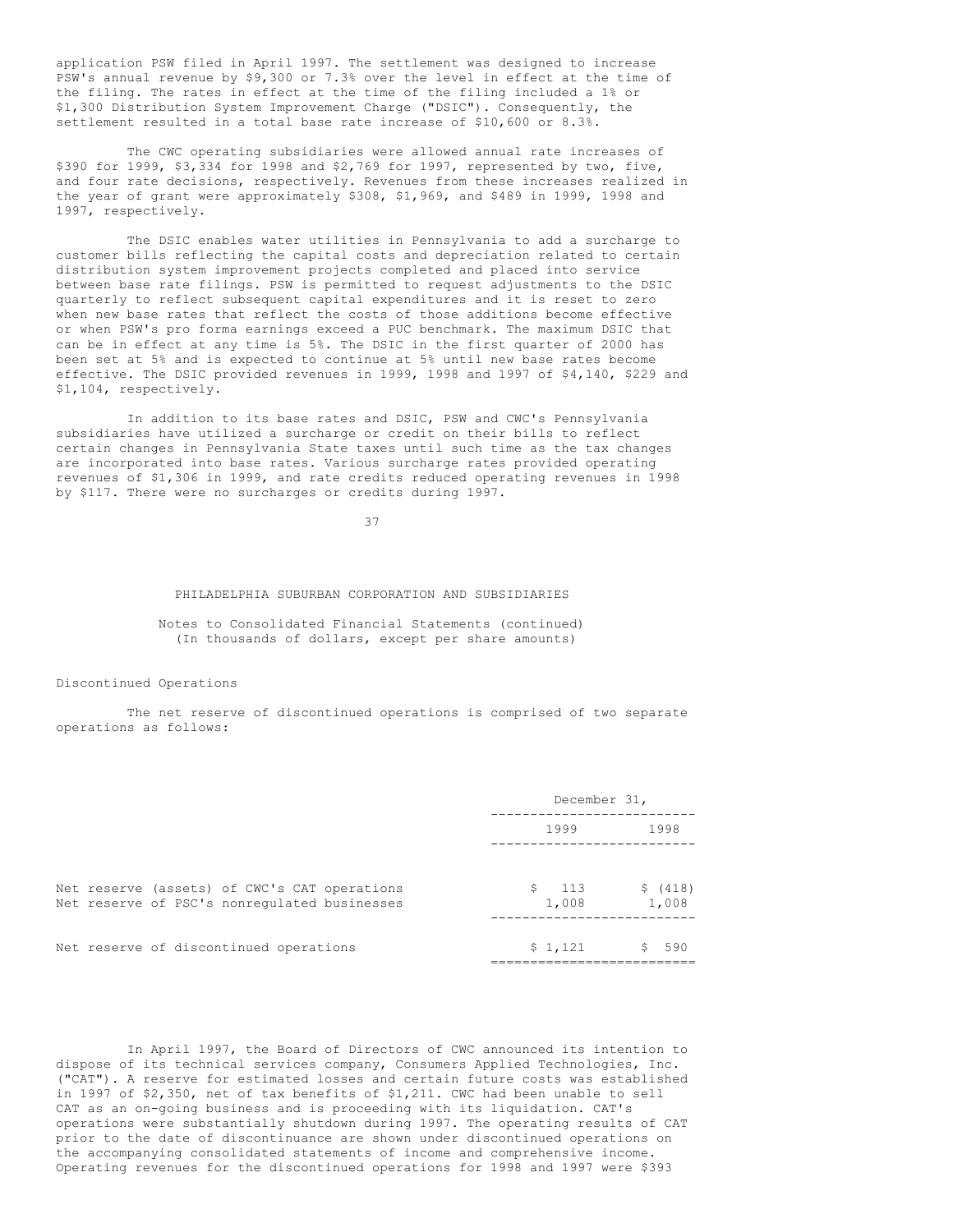application PSW filed in April 1997. The settlement was designed to increase PSW's annual revenue by \$9,300 or 7.3% over the level in effect at the time of the filing. The rates in effect at the time of the filing included a 1% or \$1,300 Distribution System Improvement Charge ("DSIC"). Consequently, the settlement resulted in a total base rate increase of \$10,600 or 8.3%.

The CWC operating subsidiaries were allowed annual rate increases of \$390 for 1999, \$3,334 for 1998 and \$2,769 for 1997, represented by two, five, and four rate decisions, respectively. Revenues from these increases realized in the year of grant were approximately \$308, \$1,969, and \$489 in 1999, 1998 and 1997, respectively.

The DSIC enables water utilities in Pennsylvania to add a surcharge to customer bills reflecting the capital costs and depreciation related to certain distribution system improvement projects completed and placed into service between base rate filings. PSW is permitted to request adjustments to the DSIC quarterly to reflect subsequent capital expenditures and it is reset to zero when new base rates that reflect the costs of those additions become effective or when PSW's pro forma earnings exceed a PUC benchmark. The maximum DSIC that can be in effect at any time is 5%. The DSIC in the first quarter of 2000 has been set at 5% and is expected to continue at 5% until new base rates become effective. The DSIC provided revenues in 1999, 1998 and 1997 of \$4,140, \$229 and \$1,104, respectively.

In addition to its base rates and DSIC, PSW and CWC's Pennsylvania subsidiaries have utilized a surcharge or credit on their bills to reflect certain changes in Pennsylvania State taxes until such time as the tax changes are incorporated into base rates. Various surcharge rates provided operating revenues of \$1,306 in 1999, and rate credits reduced operating revenues in 1998 by \$117. There were no surcharges or credits during 1997.

37

#### PHILADELPHIA SUBURBAN CORPORATION AND SUBSIDIARIES

Notes to Consolidated Financial Statements (continued) (In thousands of dollars, except per share amounts)

### Discontinued Operations

The net reserve of discontinued operations is comprised of two separate operations as follows:

|                                                                                              | December 31,   |                   |
|----------------------------------------------------------------------------------------------|----------------|-------------------|
|                                                                                              | 1999           | 1998              |
| Net reserve (assets) of CWC's CAT operations<br>Net reserve of PSC's nonregulated businesses | \$113<br>1,008 | \$ (418)<br>1,008 |
| Net reserve of discontinued operations                                                       | \$1,121        | 590<br>S          |

In April 1997, the Board of Directors of CWC announced its intention to dispose of its technical services company, Consumers Applied Technologies, Inc. ("CAT"). A reserve for estimated losses and certain future costs was established in 1997 of \$2,350, net of tax benefits of \$1,211. CWC had been unable to sell CAT as an on-going business and is proceeding with its liquidation. CAT's operations were substantially shutdown during 1997. The operating results of CAT prior to the date of discontinuance are shown under discontinued operations on the accompanying consolidated statements of income and comprehensive income. Operating revenues for the discontinued operations for 1998 and 1997 were \$393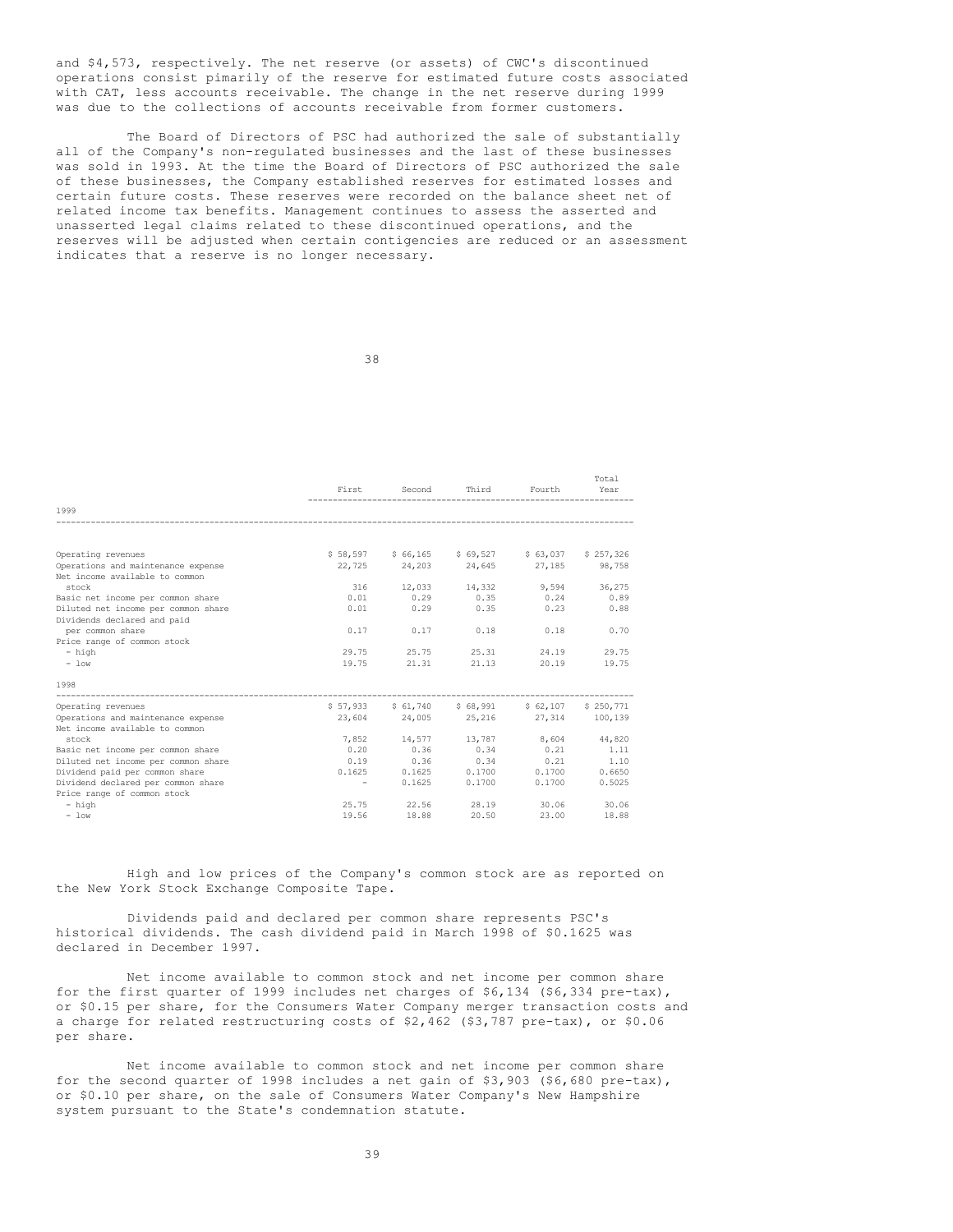and \$4,573, respectively. The net reserve (or assets) of CWC's discontinued operations consist pimarily of the reserve for estimated future costs associated with CAT, less accounts receivable. The change in the net reserve during 1999 was due to the collections of accounts receivable from former customers.

The Board of Directors of PSC had authorized the sale of substantially all of the Company's non-regulated businesses and the last of these businesses was sold in 1993. At the time the Board of Directors of PSC authorized the sale of these businesses, the Company established reserves for estimated losses and certain future costs. These reserves were recorded on the balance sheet net of related income tax benefits. Management continues to assess the asserted and unasserted legal claims related to these discontinued operations, and the reserves will be adjusted when certain contigencies are reduced or an assessment indicates that a reserve is no longer necessary.

38

|                                     | First | Second      |                                               | Third Fourth | Total<br>Year |  |  |  |  |  |
|-------------------------------------|-------|-------------|-----------------------------------------------|--------------|---------------|--|--|--|--|--|
| 1999                                |       |             |                                               |              |               |  |  |  |  |  |
|                                     |       |             |                                               |              |               |  |  |  |  |  |
| Operating revenues                  |       |             | \$58,597 \$66,165 \$69,527 \$63,037 \$257,326 |              |               |  |  |  |  |  |
| Operations and maintenance expense  |       |             | 22,725 24,203 24,645 27,185 98,758            |              |               |  |  |  |  |  |
| Net income available to common      |       |             |                                               |              |               |  |  |  |  |  |
| stock                               |       |             | 316 12,033 14,332 9,594 36,275                |              |               |  |  |  |  |  |
| Basic net income per common share   |       |             | $0.01$ $0.29$ $0.35$ $0.24$ $0.89$            |              |               |  |  |  |  |  |
| Diluted net income per common share |       |             | $0.01$ $0.29$ $0.35$ $0.23$                   |              | 0.88          |  |  |  |  |  |
| Dividends declared and paid         |       |             |                                               |              |               |  |  |  |  |  |
| per common share                    | 0.17  | 0.17        | 0.18                                          | 0.18         | 0.70          |  |  |  |  |  |
| Price range of common stock         |       |             |                                               |              |               |  |  |  |  |  |
| - high                              |       |             | 29.75 25.75 25.31                             | 24.19        | 29.75         |  |  |  |  |  |
| $-$ low                             |       | 19.75 21.31 | 21.13                                         | 20.19        | 19.75         |  |  |  |  |  |
| 1998                                |       |             |                                               |              |               |  |  |  |  |  |
| Operating revenues                  |       |             | \$57,933 \$61,740 \$68,991 \$62,107 \$250,771 |              |               |  |  |  |  |  |
| Operations and maintenance expense  |       |             | 23,604 24,005 25,216 27,314 100,139           |              |               |  |  |  |  |  |
| Net income available to common      |       |             |                                               |              |               |  |  |  |  |  |
| stock                               |       |             | 7,852 14,577 13,787 8,604 44,820              |              |               |  |  |  |  |  |
| Basic net income per common share   |       |             | $0.20$ $0.36$ $0.34$ $0.21$ $1.11$            |              |               |  |  |  |  |  |
| Diluted net income per common share |       |             | $0.19$ $0.36$ $0.34$ $0.21$ $1.10$            |              |               |  |  |  |  |  |
| Dividend paid per common share      |       |             | $0.1625$ $0.1625$ $0.1700$ $0.1700$           |              | 0.6650        |  |  |  |  |  |
| Dividend declared per common share  |       | 0.1625      | 0.1700                                        | 0.1700       | 0.5025        |  |  |  |  |  |
| Price range of common stock         |       |             |                                               |              |               |  |  |  |  |  |
| - high                              |       |             | 25.75 22.56 28.19                             | 30.06        | 30.06         |  |  |  |  |  |
| $-$ low                             |       | 19.56 18.88 | 20.50                                         | 23.00        | 18.88         |  |  |  |  |  |

High and low prices of the Company's common stock are as reported on the New York Stock Exchange Composite Tape.

Dividends paid and declared per common share represents PSC's historical dividends. The cash dividend paid in March 1998 of \$0.1625 was declared in December 1997.

Net income available to common stock and net income per common share for the first quarter of 1999 includes net charges of \$6,134 (\$6,334 pre-tax), or \$0.15 per share, for the Consumers Water Company merger transaction costs and a charge for related restructuring costs of \$2,462 (\$3,787 pre-tax), or \$0.06 per share.

Net income available to common stock and net income per common share for the second quarter of 1998 includes a net gain of  $$3,903$  ( $$6,680$  pre-tax), or \$0.10 per share, on the sale of Consumers Water Company's New Hampshire system pursuant to the State's condemnation statute.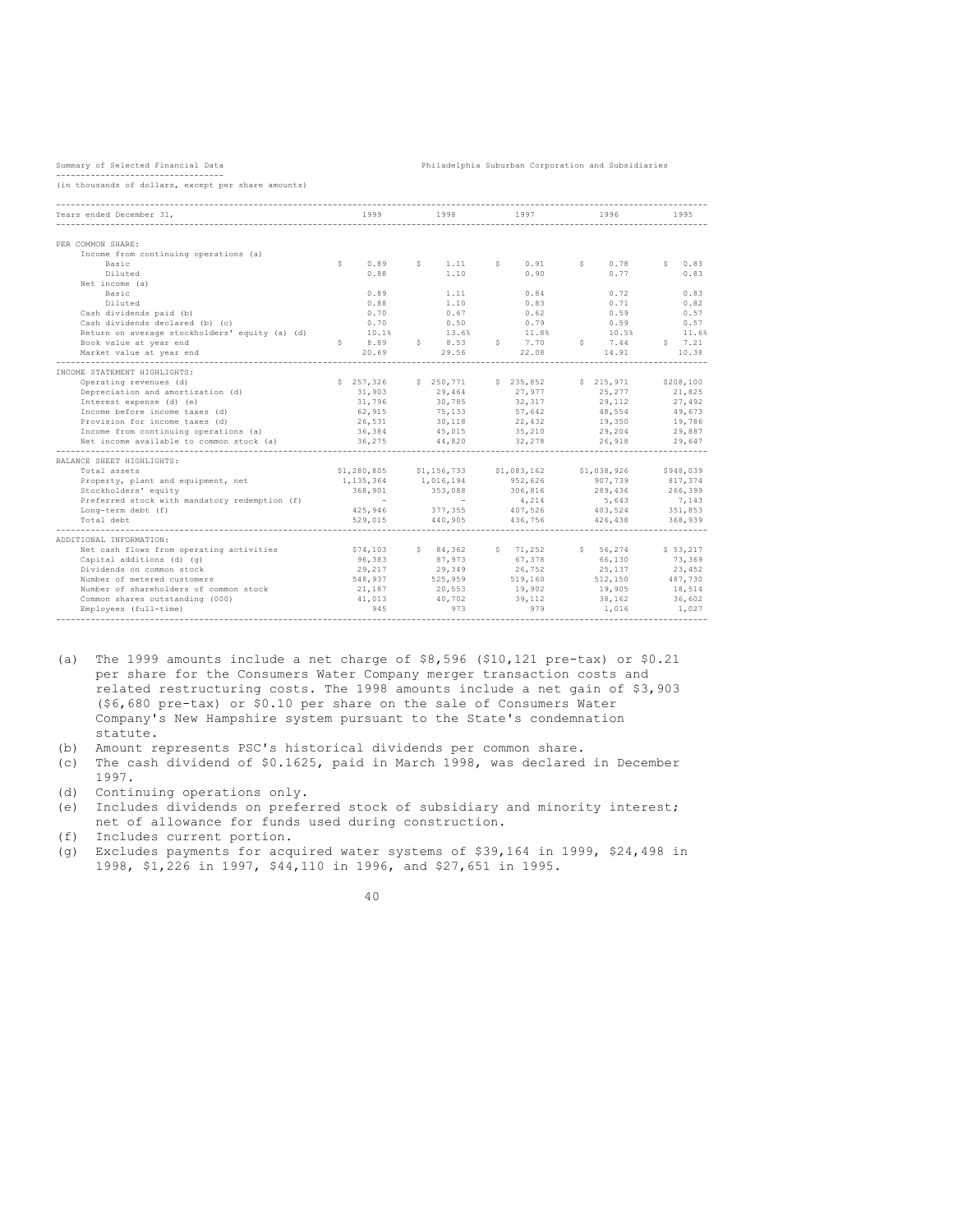Summary of Selected Financial Data Philadelphia Suburban Corporation and Subsidiaries

---------------------------------- (in thousands of dollars, except per share amounts)

| Years ended December 31.                       |    | 1999                     |     | 1998                     |   | 1997                    |    | 1996          |    | 1995      |
|------------------------------------------------|----|--------------------------|-----|--------------------------|---|-------------------------|----|---------------|----|-----------|
|                                                |    |                          |     | ----------------         |   |                         |    |               |    |           |
| PER COMMON SHARE:                              |    |                          |     |                          |   |                         |    |               |    |           |
| Income from continuing operations (a)          |    |                          |     |                          |   |                         |    |               |    |           |
| Basic                                          | s  | 0.89                     | \$. | 1.11                     | s | 0.91                    | S. | 0.78          | S. | 0.83      |
| Diluted                                        |    | 0.88                     |     | 1.10                     |   | 0.90                    |    | 0.77          |    | 0.83      |
| Net income (a)                                 |    |                          |     |                          |   |                         |    |               |    |           |
| Basic                                          |    | 0.89                     |     | 1.11                     |   | 0.84                    |    | 0.72          |    | 0.83      |
| Diluted                                        |    | 0.88                     |     | 1.10                     |   | 0.83                    |    | 0.71          |    | 0.82      |
| Cash dividends paid (b)                        |    | 0.70                     |     | 0.67                     |   | 0.62                    |    | 0.59          |    | 0.57      |
| Cash dividends declared (b) (c)                |    | 0.70                     |     | 0.50                     |   | 0.79                    |    | 0.59          |    | 0.57      |
| Return on average stockholders' equity (a) (d) |    | 10.1%                    |     | 13.6%                    |   | 11.8%                   |    | 10.5%         |    | 11.6%     |
| Book value at year end                         | S. | 8.89                     |     | $S \t 8.53$              |   | $5 \t 7.70$             |    | $5 \t 7.44$   |    | 5, 7.21   |
| Market value at year end                       |    | 20.69                    |     | 29.56                    |   | 22.08                   |    | 14.91         |    | 10.38     |
| INCOME STATEMENT HIGHLIGHTS:                   |    |                          |     |                          |   |                         |    |               |    |           |
| Operating revenues (d)                         |    | \$257,326                |     | \$250,771                |   | \$235,852               |    | \$215,971     |    | \$208,100 |
| Depreciation and amortization (d)              |    | 31,903                   |     | 29,464                   |   | 27,977                  |    | 25.277        |    | 21,825    |
| Interest expense (d) (e)                       |    | 31,796                   |     | 30,785                   |   | 32, 317                 |    | 29,112        |    | 27,492    |
| Income before income taxes (d)                 |    | 62,915                   |     | 75,133                   |   | 57,642                  |    | 48,554        |    | 49,673    |
| Provision for income taxes (d)                 |    | 26,531                   |     | 30,118                   |   | 22,432                  |    | 19,350 19,786 |    |           |
| Income from continuing operations (a)          |    | 36,384                   |     | 45,015                   |   | 35,210                  |    | 29,204        |    | 29,887    |
| Net income available to common stock (a)       |    | 36,275                   |     | 44,820                   |   | 32,278                  |    | 26,918        |    | 29,647    |
| BALANCE SHEET HIGHLIGHTS:                      |    |                          |     |                          |   |                         |    |               |    |           |
| Total assets                                   |    | \$1,280,805              |     | \$1,156,733              |   | \$1,083,162 \$1,038,926 |    |               |    | \$948,039 |
| Property, plant and equipment, net             |    | 1, 135, 364              |     | 1,016,194                |   | 952,626                 |    | 907,739       |    | 817,374   |
| Stockholders' equity                           |    | 368.901                  |     | 353,088                  |   | 306,816                 |    | 289,436       |    | 266,399   |
| Preferred stock with mandatory redemption (f)  |    | <b>Contract Contract</b> |     | <b>Contract Contract</b> |   | 4,214                   |    | 5,643         |    | 7,143     |
| Long-term debt (f)                             |    | 425,946                  |     | 377, 355                 |   | 407,526                 |    | 403,524       |    | 351,853   |
| Total debt                                     |    | 529,015                  |     | 440,905                  |   | 436,756                 |    | 426,438       |    | 368,939   |
| ADDITIONAL INFORMATION:                        |    |                          |     |                          |   |                         |    |               |    |           |
| Net cash flows from operating activities       |    | \$74,103                 |     | \$84,362                 |   | \$71,252                |    | \$56,274      |    | \$53,217  |
| Capital additions (d) (q)                      |    | 96,383                   |     | 87,973                   |   | 67,378                  |    | 66,130        |    | 73,369    |
| Dividends on common stock                      |    | 29,217                   |     | 29,349                   |   | 26,752                  |    | 25,137        |    | 23,452    |
| Number of metered customers                    |    | 548,937                  |     | 525,959                  |   | 519,160                 |    | 512,150       |    | 487,730   |
| Number of shareholders of common stock         |    | 21,187                   |     | 20,553                   |   | 19,902                  |    | 19,905        |    | 18,514    |
| Common shares outstanding (000)                |    | 41,013                   |     | 40,702                   |   | 39,112                  |    | 38,162        |    | 36,602    |
| Employees (full-time)                          |    | 945                      |     | 973                      |   | 979                     |    | 1,016         |    | 1,027     |
|                                                |    |                          |     |                          |   |                         |    |               |    |           |

(a) The 1999 amounts include a net charge of \$8,596 (\$10,121 pre-tax) or \$0.21 per share for the Consumers Water Company merger transaction costs and related restructuring costs. The 1998 amounts include a net gain of \$3,903 (\$6,680 pre-tax) or \$0.10 per share on the sale of Consumers Water Company's New Hampshire system pursuant to the State's condemnation statute.

- (b) Amount represents PSC's historical dividends per common share.
- (c) The cash dividend of \$0.1625, paid in March 1998, was declared in December 1997.
- (d) Continuing operations only.
- (e) Includes dividends on preferred stock of subsidiary and minority interest; net of allowance for funds used during construction.
- (f) Includes current portion.
- (g) Excludes payments for acquired water systems of \$39,164 in 1999, \$24,498 in 1998, \$1,226 in 1997, \$44,110 in 1996, and \$27,651 in 1995.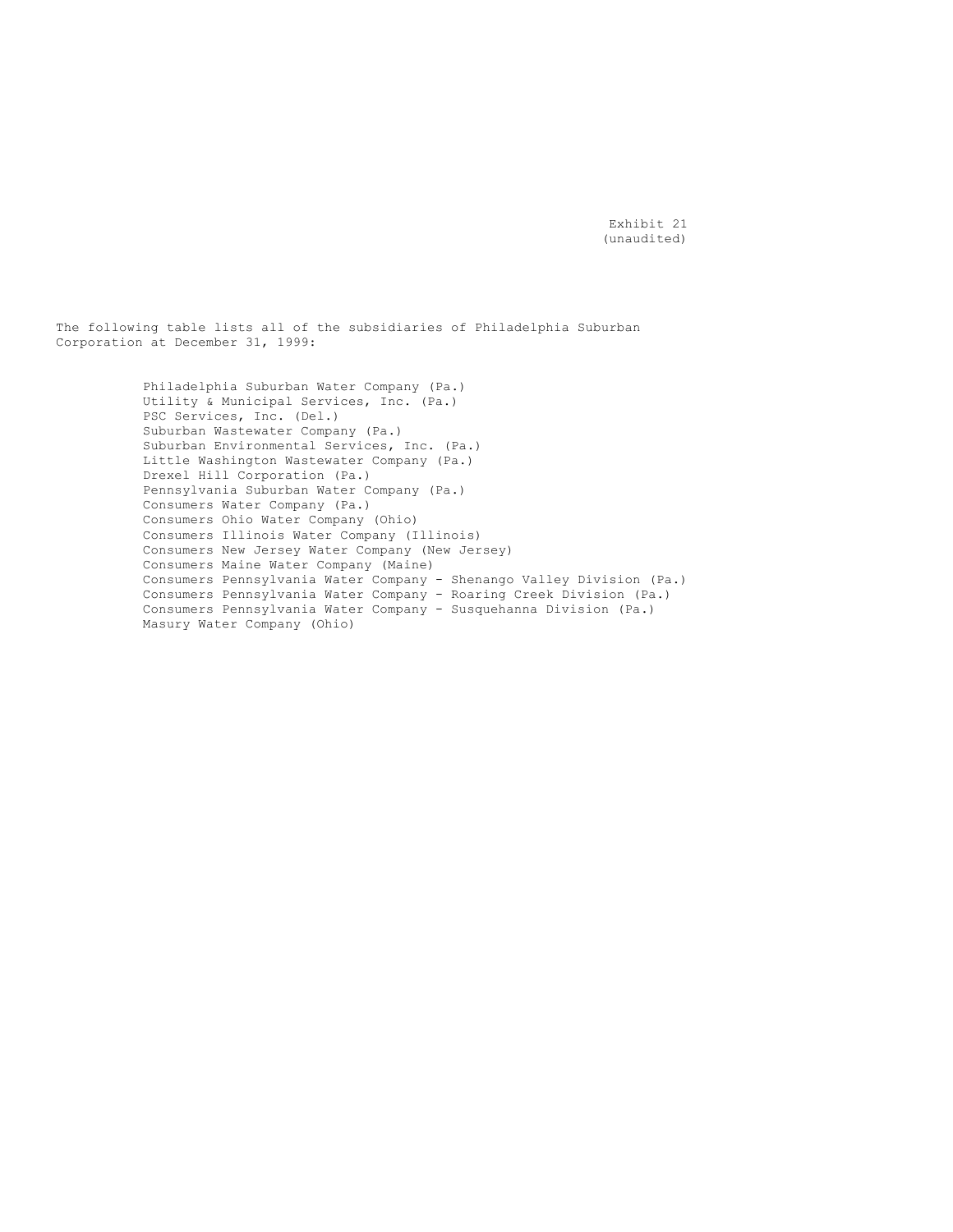Exhibit 21 (unaudited)

The following table lists all of the subsidiaries of Philadelphia Suburban Corporation at December 31, 1999:

> Philadelphia Suburban Water Company (Pa.) Utility & Municipal Services, Inc. (Pa.) PSC Services, Inc. (Del.) Suburban Wastewater Company (Pa.) Suburban Environmental Services, Inc. (Pa.) Little Washington Wastewater Company (Pa.) Drexel Hill Corporation (Pa.) Pennsylvania Suburban Water Company (Pa.) Consumers Water Company (Pa.) Consumers Ohio Water Company (Ohio) Consumers Illinois Water Company (Illinois) Consumers New Jersey Water Company (New Jersey) Consumers Maine Water Company (Maine) Consumers Pennsylvania Water Company - Shenango Valley Division (Pa.) Consumers Pennsylvania Water Company - Roaring Creek Division (Pa.) Consumers Pennsylvania Water Company - Susquehanna Division (Pa.) Masury Water Company (Ohio)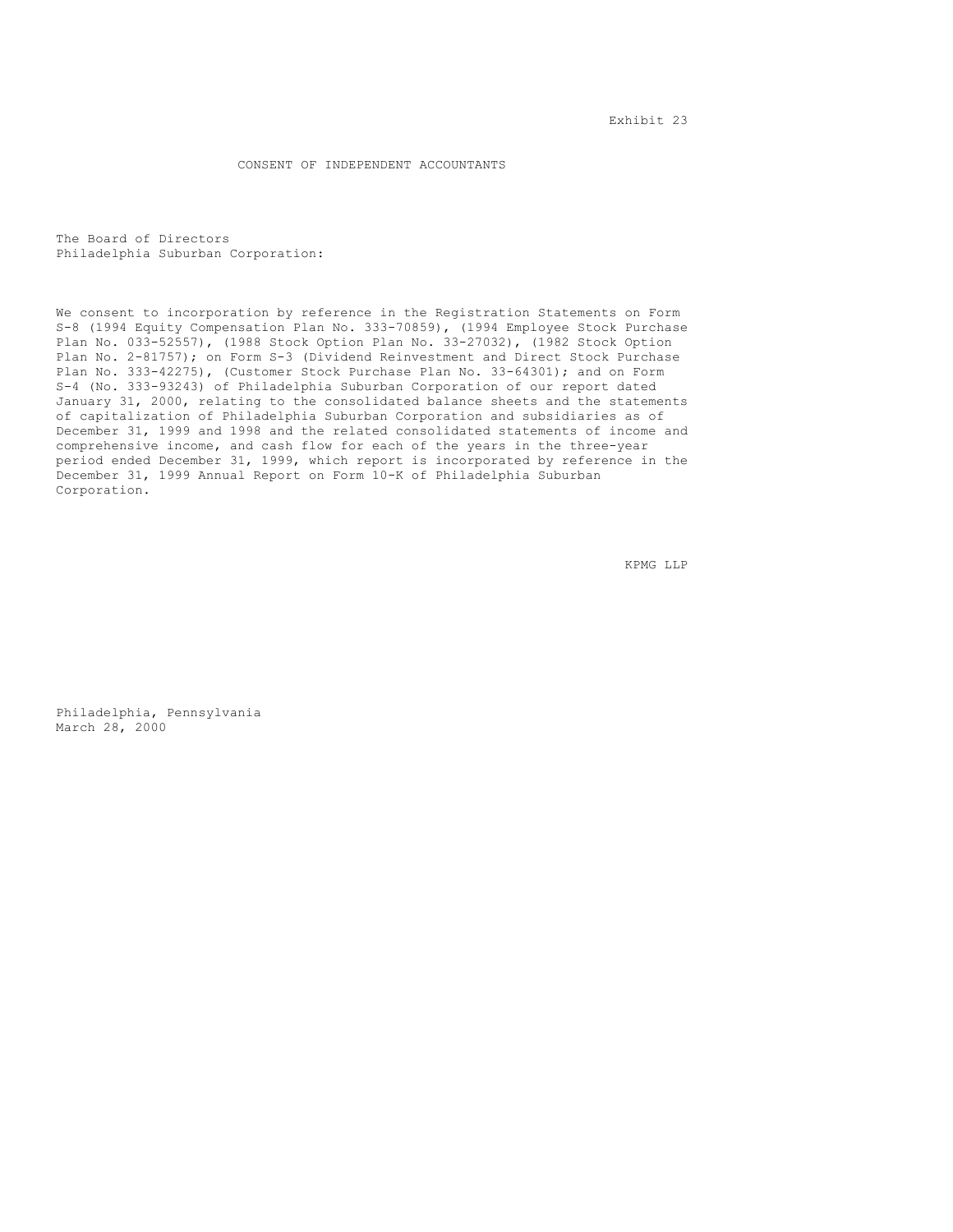Exhibit 23

CONSENT OF INDEPENDENT ACCOUNTANTS

The Board of Directors Philadelphia Suburban Corporation:

We consent to incorporation by reference in the Registration Statements on Form S-8 (1994 Equity Compensation Plan No. 333-70859), (1994 Employee Stock Purchase Plan No. 033-52557), (1988 Stock Option Plan No. 33-27032), (1982 Stock Option Plan No. 2-81757); on Form S-3 (Dividend Reinvestment and Direct Stock Purchase Plan No. 333-42275), (Customer Stock Purchase Plan No. 33-64301); and on Form S-4 (No. 333-93243) of Philadelphia Suburban Corporation of our report dated January 31, 2000, relating to the consolidated balance sheets and the statements of capitalization of Philadelphia Suburban Corporation and subsidiaries as of December 31, 1999 and 1998 and the related consolidated statements of income and comprehensive income, and cash flow for each of the years in the three-year period ended December 31, 1999, which report is incorporated by reference in the December 31, 1999 Annual Report on Form 10-K of Philadelphia Suburban Corporation.

KPMG LLP

Philadelphia, Pennsylvania March 28, 2000